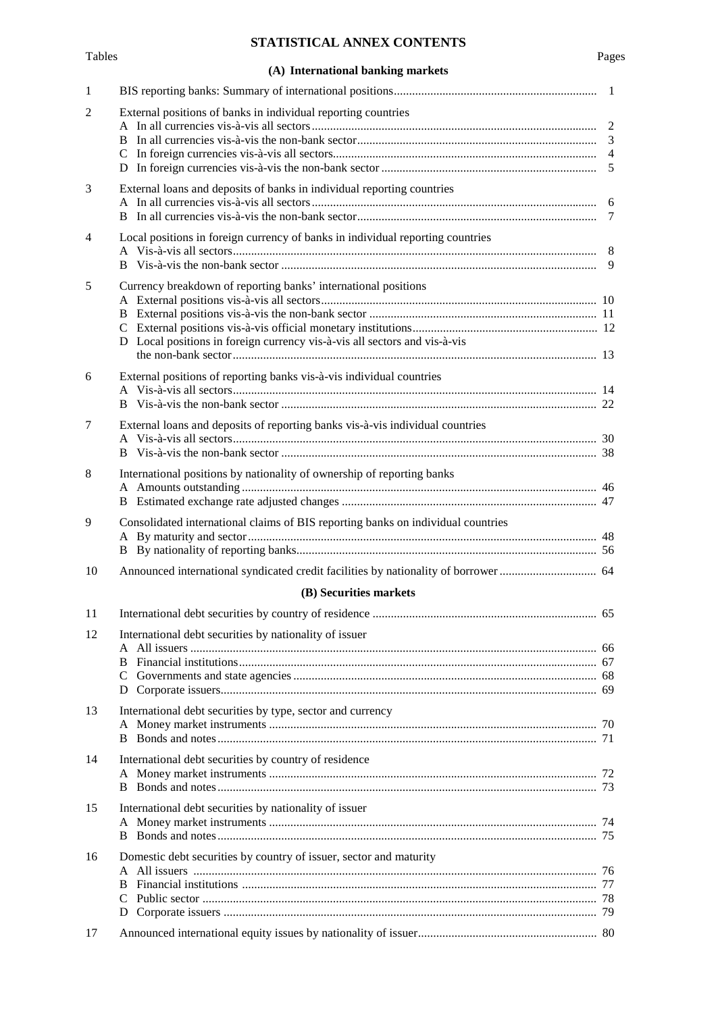# **STATISTICAL ANNEX CONTENTS**

**(A) International banking markets**

| $\mathbf{1}$   |                                                                                  |  |
|----------------|----------------------------------------------------------------------------------|--|
| 2              | External positions of banks in individual reporting countries                    |  |
|                |                                                                                  |  |
|                |                                                                                  |  |
|                |                                                                                  |  |
|                |                                                                                  |  |
| 3              | External loans and deposits of banks in individual reporting countries           |  |
|                |                                                                                  |  |
|                |                                                                                  |  |
| $\overline{4}$ | Local positions in foreign currency of banks in individual reporting countries   |  |
|                |                                                                                  |  |
| 5              | Currency breakdown of reporting banks' international positions                   |  |
|                |                                                                                  |  |
|                |                                                                                  |  |
|                |                                                                                  |  |
|                | D Local positions in foreign currency vis-à-vis all sectors and vis-à-vis        |  |
|                |                                                                                  |  |
| 6              | External positions of reporting banks vis-à-vis individual countries             |  |
|                |                                                                                  |  |
|                |                                                                                  |  |
| 7              | External loans and deposits of reporting banks vis-à-vis individual countries    |  |
|                |                                                                                  |  |
| 8              | International positions by nationality of ownership of reporting banks           |  |
|                |                                                                                  |  |
|                |                                                                                  |  |
| 9              | Consolidated international claims of BIS reporting banks on individual countries |  |
|                |                                                                                  |  |
|                |                                                                                  |  |
| 10             |                                                                                  |  |
|                | (B) Securities markets                                                           |  |
| 11             |                                                                                  |  |
|                |                                                                                  |  |
| 12             | International debt securities by nationality of issuer                           |  |
|                |                                                                                  |  |
|                |                                                                                  |  |
|                |                                                                                  |  |
| 13             | International debt securities by type, sector and currency                       |  |
|                |                                                                                  |  |
|                | B.                                                                               |  |
| 14             | International debt securities by country of residence                            |  |
|                |                                                                                  |  |
|                | В                                                                                |  |
| 15             | International debt securities by nationality of issuer                           |  |
|                |                                                                                  |  |
|                |                                                                                  |  |
| 16             | Domestic debt securities by country of issuer, sector and maturity               |  |
|                | B                                                                                |  |
|                |                                                                                  |  |
|                | D                                                                                |  |
| 17             |                                                                                  |  |
|                |                                                                                  |  |

## Tables Pages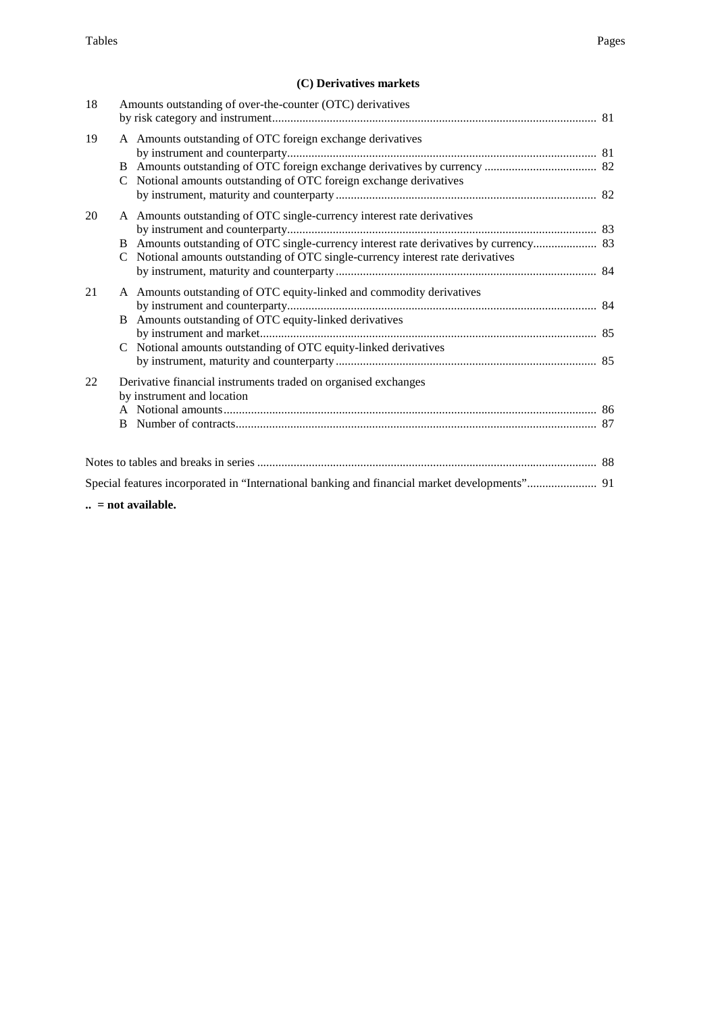## **(C) Derivatives markets**

| 18 | Amounts outstanding of over-the-counter (OTC) derivatives                                                                                                                                            |  |
|----|------------------------------------------------------------------------------------------------------------------------------------------------------------------------------------------------------|--|
| 19 | A Amounts outstanding of OTC foreign exchange derivatives<br>C Notional amounts outstanding of OTC foreign exchange derivatives                                                                      |  |
| 20 | A Amounts outstanding of OTC single-currency interest rate derivatives<br>C Notional amounts outstanding of OTC single-currency interest rate derivatives                                            |  |
| 21 | A Amounts outstanding of OTC equity-linked and commodity derivatives<br>B Amounts outstanding of OTC equity-linked derivatives<br>Notional amounts outstanding of OTC equity-linked derivatives<br>C |  |
| 22 | Derivative financial instruments traded on organised exchanges<br>by instrument and location<br><sub>B</sub>                                                                                         |  |
|    |                                                                                                                                                                                                      |  |
|    | Special features incorporated in "International banking and financial market developments" 91                                                                                                        |  |
|    | $\ldots$ = not available.                                                                                                                                                                            |  |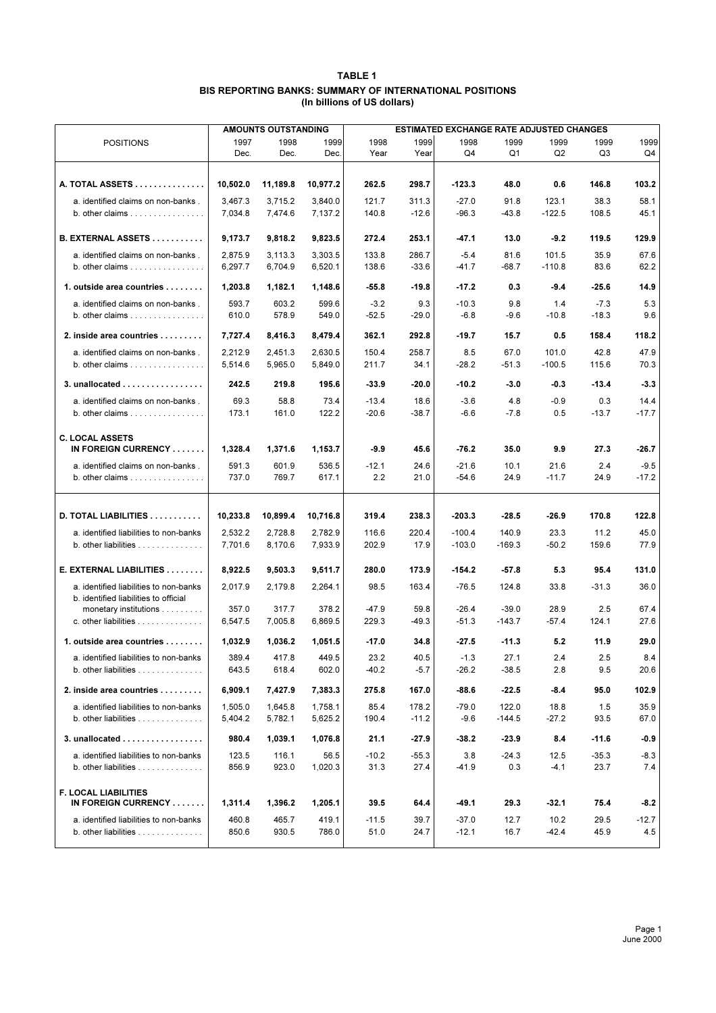| <b>TABLE 1</b>                                          |
|---------------------------------------------------------|
| BIS REPORTING BANKS: SUMMARY OF INTERNATIONAL POSITIONS |
| (In billions of US dollars)                             |

|                                                                                                |                    | <b>AMOUNTS OUTSTANDING</b> |                    | <b>ESTIMATED EXCHANGE RATE ADJUSTED CHANGES</b> |                 |                      |                   |                   |                 |               |
|------------------------------------------------------------------------------------------------|--------------------|----------------------------|--------------------|-------------------------------------------------|-----------------|----------------------|-------------------|-------------------|-----------------|---------------|
| <b>POSITIONS</b>                                                                               | 1997               | 1998                       | 1999               | 1998                                            | 1999            | 1998                 | 1999              | 1999              | 1999            | 1999          |
|                                                                                                | Dec.               | Dec.                       | Dec.               | Year                                            | Year            | Q4                   | Q1                | Q <sub>2</sub>    | Q3              | Q4            |
|                                                                                                |                    |                            |                    |                                                 |                 |                      |                   |                   |                 |               |
| A. TOTAL ASSETS                                                                                | 10.502.0           | 11,189.8                   | 10,977.2           | 262.5                                           | 298.7           | $-123.3$             | 48.0              | 0.6               | 146.8           | 103.2         |
| a. identified claims on non-banks.                                                             | 3,467.3            | 3,715.2                    | 3,840.0            | 121.7                                           | 311.3           | $-27.0$              | 91.8              | 123.1             | 38.3            | 58.1          |
| b. other claims $\ldots \ldots \ldots \ldots \ldots$                                           | 7,034.8            | 7,474.6                    | 7,137.2            | 140.8                                           | $-12.6$         | $-96.3$              | $-43.8$           | $-122.5$          | 108.5           | 45.1          |
|                                                                                                |                    |                            |                    |                                                 |                 |                      |                   |                   |                 |               |
| B. EXTERNAL ASSETS                                                                             | 9,173.7            | 9,818.2                    | 9,823.5            | 272.4                                           | 253.1           | -47.1                | 13.0              | $-9.2$            | 119.5           | 129.9         |
| a. identified claims on non-banks.                                                             | 2,875.9            | 3,113.3                    | 3,303.5            | 133.8                                           | 286.7           | $-5.4$               | 81.6              | 101.5             | 35.9            | 67.6          |
| b. other claims $\ldots \ldots \ldots \ldots \ldots$                                           | 6,297.7            | 6.704.9                    | 6,520.1            | 138.6                                           | $-33.6$         | $-41.7$              | $-68.7$           | $-110.8$          | 83.6            | 62.2          |
| 1. outside area countries $\dots\dots$                                                         | 1,203.8            | 1,182.1                    | 1,148.6            | -55.8                                           | $-19.8$         | -17.2                | 0.3               | $-9.4$            | $-25.6$         | 14.9          |
| a. identified claims on non-banks.                                                             | 593.7              | 603.2                      | 599.6              | $-3.2$                                          | 9.3             | $-10.3$              | 9.8               | 1.4               | $-7.3$          | 5.3           |
| b. other claims $\ldots \ldots \ldots \ldots \ldots$                                           | 610.0              | 578.9                      | 549.0              | $-52.5$                                         | $-29.0$         | $-6.8$               | $-9.6$            | $-10.8$           | $-18.3$         | 9.6           |
| 2. inside area countries                                                                       | 7,727.4            | 8,416.3                    | 8,479.4            | 362.1                                           | 292.8           | $-19.7$              | 15.7              | 0.5               | 158.4           | 118.2         |
|                                                                                                |                    |                            |                    |                                                 |                 |                      |                   |                   |                 |               |
| a. identified claims on non-banks.<br>b. other claims $\ldots \ldots \ldots \ldots \ldots$     | 2,212.9<br>5,514.6 | 2,451.3<br>5,965.0         | 2,630.5<br>5,849.0 | 150.4<br>211.7                                  | 258.7<br>34.1   | 8.5<br>$-28.2$       | 67.0<br>$-51.3$   | 101.0<br>$-100.5$ | 42.8<br>115.6   | 47.9<br>70.3  |
|                                                                                                |                    |                            |                    |                                                 |                 |                      |                   |                   |                 |               |
| 3. unallocated                                                                                 | 242.5              | 219.8                      | 195.6              | $-33.9$                                         | $-20.0$         | $-10.2$              | $-3.0$            | -0.3              | $-13.4$         | $-3.3$        |
| a. identified claims on non-banks.                                                             | 69.3               | 58.8                       | 73.4               | $-13.4$                                         | 18.6            | $-3.6$               | 4.8               | $-0.9$            | 0.3             | 14.4          |
| b. other claims $\ldots \ldots \ldots \ldots \ldots$                                           | 173.1              | 161.0                      | 122.2              | $-20.6$                                         | $-38.7$         | $-6.6$               | $-7.8$            | 0.5               | $-13.7$         | $-17.7$       |
|                                                                                                |                    |                            |                    |                                                 |                 |                      |                   |                   |                 |               |
| <b>C. LOCAL ASSETS</b><br>IN FOREIGN CURRENCY                                                  | 1,328.4            | 1,371.6                    | 1,153.7            | $-9.9$                                          | 45.6            | $-76.2$              | 35.0              | 9.9               | 27.3            | -26.7         |
| a. identified claims on non-banks.                                                             | 591.3              | 601.9                      | 536.5              | $-12.1$                                         | 24.6            | $-21.6$              | 10.1              | 21.6              | 2.4             | $-9.5$        |
| b. other claims $\ldots \ldots \ldots \ldots \ldots$                                           | 737.0              | 769.7                      | 617.1              | 2.2                                             | 21.0            | $-54.6$              | 24.9              | $-11.7$           | 24.9            | $-17.2$       |
|                                                                                                |                    |                            |                    |                                                 |                 |                      |                   |                   |                 |               |
| D. TOTAL LIABILITIES                                                                           | 10,233.8           | 10,899.4                   | 10,716.8           | 319.4                                           | 238.3           | $-203.3$             | $-28.5$           | $-26.9$           | 170.8           | 122.8         |
|                                                                                                |                    |                            |                    |                                                 |                 |                      |                   |                   |                 |               |
| a. identified liabilities to non-banks<br>$b.$ other liabilities $\ldots \ldots \ldots \ldots$ | 2,532.2<br>7,701.6 | 2,728.8<br>8,170.6         | 2,782.9<br>7,933.9 | 116.6<br>202.9                                  | 220.4<br>17.9   | $-100.4$<br>$-103.0$ | 140.9<br>$-169.3$ | 23.3<br>$-50.2$   | 11.2<br>159.6   | 45.0<br>77.9  |
|                                                                                                |                    |                            |                    |                                                 |                 |                      |                   |                   |                 |               |
| E. EXTERNAL LIABILITIES                                                                        | 8,922.5            | 9,503.3                    | 9,511.7            | 280.0                                           | 173.9           | $-154.2$             | $-57.8$           | 5.3               | 95.4            | 131.0         |
| a. identified liabilities to non-banks                                                         | 2,017.9            | 2,179.8                    | 2,264.1            | 98.5                                            | 163.4           | $-76.5$              | 124.8             | 33.8              | $-31.3$         | 36.0          |
| b. identified liabilities to official                                                          |                    |                            |                    |                                                 |                 |                      |                   |                   |                 |               |
| monetary institutions                                                                          | 357.0              | 317.7                      | 378.2              | $-47.9$                                         | 59.8            | $-26.4$              | $-39.0$           | 28.9              | 2.5             | 67.4          |
| c. other liabilities                                                                           | 6,547.5            | 7,005.8                    | 6,869.5            | 229.3                                           | $-49.3$         | $-51.3$              | $-143.7$          | $-57.4$           | 124.1           | 27.6          |
| 1. outside area countries                                                                      | 1,032.9            | 1,036.2                    | 1,051.5            | $-17.0$                                         | 34.8            | $-27.5$              | $-11.3$           | 5.2               | 11.9            | 29.0          |
| a. identified liabilities to non-banks                                                         | 389.4              | 417.8                      | 449.5              | 23.2                                            | 40.5            | $-1.3$               | 27.1              | 2.4               | 2.5             | 8.4           |
| b. other liabilities                                                                           | 643.5              | 618.4                      | 602.0              | $-40.2$                                         | $-5.7$          | $-26.2$              | $-38.5$           | 2.8               | 9.5             | 20.6          |
| 2. inside area countries                                                                       | 6,909.1            | 7,427.9                    | 7,383.3            | 275.8                                           | 167.0           | -88.6                | $-22.5$           | -8.4              | 95.0            | 102.9         |
| a. identified liabilities to non-banks                                                         | 1,505.0            | 1.645.8                    | 1,758.1            | 85.4                                            | 178.2           | -79.0                | 122.0             | 18.8              | 1.5             | 35.9          |
| b. other liabilities                                                                           | 5,404.2            | 5,782.1                    | 5,625.2            | 190.4                                           | $-11.2$         | $-9.6$               | $-144.5$          | $-27.2$           | 93.5            | 67.0          |
| $3.$ unallocated $\ldots \ldots \ldots \ldots \ldots$                                          | 980.4              | 1,039.1                    | 1,076.8            | 21.1                                            | $-27.9$         | $-38.2$              | $-23.9$           | 8.4               | -11.6           | $-0.9$        |
| a. identified liabilities to non-banks                                                         |                    | 116.1                      | 56.5               |                                                 |                 |                      | $-24.3$           | 12.5              |                 |               |
| b. other liabilities $\ldots \ldots \ldots \ldots$                                             | 123.5<br>856.9     | 923.0                      | 1,020.3            | $-10.2$<br>31.3                                 | $-55.3$<br>27.4 | 3.8<br>-41.9         | 0.3               | $-4.1$            | $-35.3$<br>23.7 | $-8.3$<br>7.4 |
|                                                                                                |                    |                            |                    |                                                 |                 |                      |                   |                   |                 |               |
| <b>F. LOCAL LIABILITIES</b>                                                                    |                    |                            |                    |                                                 |                 |                      |                   |                   |                 |               |
| IN FOREIGN CURRENCY                                                                            | 1,311.4            | 1,396.2                    | 1,205.1            | 39.5                                            | 64.4            | -49.1                | 29.3              | $-32.1$           | 75.4            | $-8.2$        |
| a. identified liabilities to non-banks                                                         | 460.8              | 465.7                      | 419.1              | $-11.5$                                         | 39.7            | $-37.0$              | 12.7              | 10.2              | 29.5            | $-12.7$       |
| b. other liabilities                                                                           | 850.6              | 930.5                      | 786.0              | 51.0                                            | 24.7            | -12.1                | 16.7              | $-42.4$           | 45.9            | 4.5           |
|                                                                                                |                    |                            |                    |                                                 |                 |                      |                   |                   |                 |               |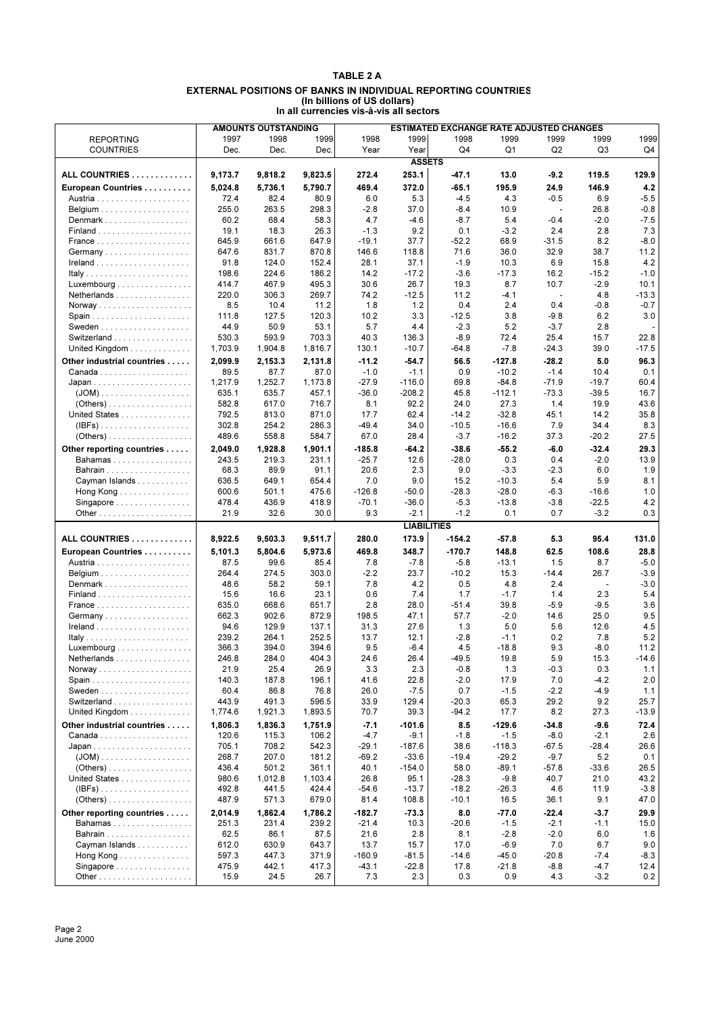#### **TABLE 2 A EXTERNAL POSITIONS OF BANKS IN INDIVIDUAL REPORTING COUNTRIES (In billions of US dollars) In all currencies vis-à-vis all sectors**

|                                                  | <b>ESTIMATED EXCHANGE RATE ADJUSTED CHANGES</b><br><b>AMOUNTS OUTSTANDING</b> |         |         |          |                    |          |          |                          |                          |         |  |  |  |
|--------------------------------------------------|-------------------------------------------------------------------------------|---------|---------|----------|--------------------|----------|----------|--------------------------|--------------------------|---------|--|--|--|
|                                                  |                                                                               |         |         |          |                    |          |          |                          |                          |         |  |  |  |
| <b>REPORTING</b>                                 | 1997                                                                          | 1998    | 1999    | 1998     | 1999               | 1998     | 1999     | 1999                     | 1999                     | 1999    |  |  |  |
| <b>COUNTRIES</b>                                 | Dec.                                                                          | Dec.    | Dec.    | Year     | Year               | Q4       | Q1       | Q <sub>2</sub>           | Q3                       | Q4      |  |  |  |
|                                                  |                                                                               |         |         |          | <b>ASSETS</b>      |          |          |                          |                          |         |  |  |  |
| ALL COUNTRIES                                    | 9,173.7                                                                       | 9,818.2 | 9,823.5 | 272.4    | 253.1              | $-47.1$  | 13.0     | $-9.2$                   | 119.5                    | 129.9   |  |  |  |
|                                                  |                                                                               |         |         |          |                    |          |          |                          |                          |         |  |  |  |
| European Countries                               | 5,024.8                                                                       | 5,736.1 | 5,790.7 | 469.4    | 372.0              | $-65.1$  | 195.9    | 24.9                     | 146.9                    | 4.2     |  |  |  |
|                                                  | 72.4                                                                          | 82.4    | 80.9    | 6.0      | 5.3                | $-4.5$   | 4.3      | $-0.5$                   | 6.9                      | $-5.5$  |  |  |  |
|                                                  | 255.0                                                                         | 263.5   | 298.3   | $-2.8$   | 37.0               | $-8.4$   | 10.9     | $\overline{\phantom{a}}$ | 26.8                     | $-0.8$  |  |  |  |
| Denmark                                          | 60.2                                                                          | 68.4    | 58.3    | 4.7      | $-4.6$             | $-8.7$   | 5.4      | $-0.4$                   | $-2.0$                   | $-7.5$  |  |  |  |
|                                                  | 19.1                                                                          | 18.3    | 26.3    | $-1.3$   | 9.2                | 0.1      | $-3.2$   | 2.4                      | 2.8                      | 7.3     |  |  |  |
|                                                  | 645.9                                                                         | 661.6   | 647.9   | $-19.1$  | 37.7               | $-52.2$  | 68.9     | $-31.5$                  | 8.2                      | -8.0    |  |  |  |
|                                                  |                                                                               |         |         |          |                    |          |          |                          |                          |         |  |  |  |
| Germany                                          | 647.6                                                                         | 831.7   | 870.8   | 146.6    | 118.8              | 71.6     | 36.0     | 32.9                     | 38.7                     | 11.2    |  |  |  |
|                                                  | 91.8                                                                          | 124.0   | 152.4   | 28.1     | 37.1               | $-1.9$   | 10.3     | 6.9                      | 15.8                     | 4.2     |  |  |  |
|                                                  | 198.6                                                                         | 224.6   | 186.2   | 14.2     | $-17.2$            | $-3.6$   | $-17.3$  | 16.2                     | $-15.2$                  | $-1.0$  |  |  |  |
| Luxembourg                                       | 414.7                                                                         | 467.9   | 495.3   | 30.6     | 26.7               | 19.3     | 8.7      | 10.7                     | $-2.9$                   | 10.1    |  |  |  |
| Netherlands                                      | 220.0                                                                         | 306.3   | 269.7   | 74.2     | $-12.5$            | 11.2     | $-4.1$   | $\overline{\phantom{a}}$ | 4.8                      | $-13.3$ |  |  |  |
|                                                  | 8.5                                                                           | 10.4    | 11.2    | 1.8      | 1.2                | 0.4      | 2.4      | 0.4                      | $-0.8$                   | $-0.7$  |  |  |  |
|                                                  | 111.8                                                                         | 127.5   | 120.3   | 10.2     | 3.3                | $-12.5$  | 3.8      | $-9.8$                   | 6.2                      | 3.0     |  |  |  |
|                                                  | 44.9                                                                          | 50.9    | 53.1    | 5.7      | 4.4                | $-2.3$   | 5.2      | $-3.7$                   | 2.8                      |         |  |  |  |
| Switzerland                                      | 530.3                                                                         | 593.9   | 703.3   | 40.3     | 136.3              | $-8.9$   | 72.4     | 25.4                     | 15.7                     | 22.8    |  |  |  |
|                                                  |                                                                               |         |         |          |                    |          |          |                          |                          |         |  |  |  |
| United Kingdom                                   | 1,703.9                                                                       | 1,904.8 | 1,816.7 | 130.1    | $-10.7$            | $-64.8$  | $-7.8$   | $-24.3$                  | 39.0                     | $-17.5$ |  |  |  |
| Other industrial countries                       | 2,099.9                                                                       | 2,153.3 | 2,131.8 | $-11.2$  | $-54.7$            | 56.5     | $-127.8$ | $-28.2$                  | 5.0                      | 96.3    |  |  |  |
|                                                  | 89.5                                                                          | 87.7    | 87.0    | $-1.0$   | $-1.1$             | 0.9      | $-10.2$  | $-1.4$                   | 10.4                     | 0.1     |  |  |  |
|                                                  | 1,217.9                                                                       | 1.252.7 | 1,173.8 | $-27.9$  | $-116.0$           | 69.8     | $-84.8$  | $-71.9$                  | $-19.7$                  | 60.4    |  |  |  |
|                                                  | 635.1                                                                         | 635.7   | 457.1   | $-36.0$  | $-208.2$           | 45.8     | $-112.1$ | $-73.3$                  | $-39.5$                  | 16.7    |  |  |  |
|                                                  | 582.8                                                                         | 617.0   | 716.7   | 8.1      | 92.2               | 24.0     | 27.3     | 1.4                      | 19.9                     | 43.6    |  |  |  |
|                                                  | 792.5                                                                         | 813.0   | 871.0   | 17.7     | 62.4               | $-14.2$  |          | 45.1                     | 14.2                     | 35.8    |  |  |  |
| United States                                    |                                                                               |         |         |          |                    |          | $-32.8$  |                          |                          |         |  |  |  |
| $\mathsf{IIBFs})$                                | 302.8                                                                         | 254.2   | 286.3   | $-49.4$  | 34.0               | $-10.5$  | $-16.6$  | 7.9                      | 34.4                     | 8.3     |  |  |  |
| $( Others) \ldots \ldots \ldots \ldots \ldots$   | 489.6                                                                         | 558.8   | 584.7   | 67.0     | 28.4               | $-3.7$   | $-16.2$  | 37.3                     | $-20.2$                  | 27.5    |  |  |  |
| Other reporting countries                        | 2,049.0                                                                       | 1,928.8 | 1,901.1 | $-185.8$ | -64.2              | $-38.6$  | $-55.2$  | $-6.0$                   | $-32.4$                  | 29.3    |  |  |  |
| Bahamas                                          | 243.5                                                                         | 219.3   | 231.1   | $-25.7$  | 12.6               | $-28.0$  | 0.3      | 0.4                      | $-2.0$                   | 13.9    |  |  |  |
| Bahrain                                          | 68.3                                                                          | 89.9    | 91.1    | 20.6     | 2.3                | 9.0      | $-3.3$   | $-2.3$                   | 6.0                      | 1.9     |  |  |  |
| Cayman Islands                                   | 636.5                                                                         | 649.1   | 654.4   | 7.0      | 9.0                | 15.2     | $-10.3$  | 5.4                      | 5.9                      | 8.1     |  |  |  |
|                                                  |                                                                               |         |         |          |                    |          |          |                          |                          |         |  |  |  |
| Hong Kong                                        | 600.6                                                                         | 501.1   | 475.6   | $-126.8$ | $-50.0$            | $-28.3$  | $-28.0$  | $-6.3$                   | $-16.6$                  | 1.0     |  |  |  |
| Singapore                                        | 478.4                                                                         | 436.9   | 418.9   | $-70.1$  | $-36.0$            | $-5.3$   | $-13.8$  | $-3.8$                   | $-22.5$                  | 4.2     |  |  |  |
|                                                  | 21.9                                                                          | 32.6    | 30.0    | 9.3      | $-2.1$             | $-1.2$   | 0.1      | 0.7                      | $-3.2$                   | 0.3     |  |  |  |
|                                                  |                                                                               |         |         |          | <b>LIABILITIES</b> |          |          |                          |                          |         |  |  |  |
| ALL COUNTRIES                                    | 8,922.5                                                                       | 9,503.3 | 9,511.7 | 280.0    | 173.9              | $-154.2$ | $-57.8$  | 5.3                      | 95.4                     | 131.0   |  |  |  |
| European Countries                               | 5,101.3                                                                       | 5,804.6 | 5,973.6 | 469.8    | 348.7              | $-170.7$ | 148.8    | 62.5                     | 108.6                    | 28.8    |  |  |  |
|                                                  | 87.5                                                                          | 99.6    | 85.4    | 7.8      | $-7.8$             | $-5.8$   | $-13.1$  | 1.5                      | 8.7                      | $-5.0$  |  |  |  |
|                                                  |                                                                               |         |         |          |                    |          |          |                          |                          |         |  |  |  |
|                                                  | 264.4                                                                         | 274.5   | 303.0   | $-2.2$   | 23.7               | $-10.2$  | 15.3     | $-14.4$                  | 26.7                     | -3.9    |  |  |  |
| Denmark                                          | 48.6                                                                          | 58.2    | 59.1    | 7.8      | 4.2                | 0.5      | 4.8      | 2.4                      | $\overline{\phantom{a}}$ | $-3.0$  |  |  |  |
|                                                  | 15.6                                                                          | 16.6    | 23.1    | 0.6      | 7.4                | 1.7      | $-1.7$   | 1.4                      | 2.3                      | 5.4     |  |  |  |
|                                                  | 635.0                                                                         | 668.6   | 651.7   | 2.8      | 28.0               | $-51.4$  | 39.8     | $-5.9$                   | $-9.5$                   | 3.6     |  |  |  |
| Germany                                          | 662.3                                                                         | 902.6   | 872.9   | 198.5    | 47.1               | 57.7     | $-2.0$   | 14.6                     | 25.0                     | 9.5     |  |  |  |
|                                                  | 94.6                                                                          | 129.9   | 137.1   | 31.3     | 27.6               | 1.3      | 5.0      | 5.6                      | 12.6                     | 4.5     |  |  |  |
|                                                  | 239.2                                                                         | 264.1   | 252.5   | 13.7     | 12.1               | $-2.8$   | $-1.1$   | 0.2                      | 7.8                      | 5.2     |  |  |  |
| $Luxembourg \dots \dots \dots \dots \dots \dots$ | 366.3                                                                         | 394.0   | 394.6   | 9.5      | $-6.4$             | 4.5      | $-18.8$  | 9.3                      | $-8.0$                   | 11.2    |  |  |  |
| Netherlands                                      | 246.8                                                                         | 284.0   | 404.3   | 24.6     | 26.4               | 49.5     | 19.8     | 5.9                      | 15.3                     | $-14.6$ |  |  |  |
|                                                  |                                                                               |         |         |          |                    |          |          |                          |                          |         |  |  |  |
|                                                  | 21.9                                                                          | 25.4    | 26.9    | 3.3      | 2.3                | $-0.8$   | 1.3      | $-0.3$                   | 0.3                      | 1.1     |  |  |  |
|                                                  | 140.3                                                                         | 187.8   | 196.1   | 41.6     | 22.8               | $-2.0$   | 17.9     | 7.0                      | $-4.2$                   | 2.0     |  |  |  |
|                                                  | 60.4                                                                          | 86.8    | 76.8    | 26.0     | $-7.5$             | 0.7      | $-1.5$   | $-2.2$                   | $-4.9$                   | 1.1     |  |  |  |
| Switzerland                                      | 443.9                                                                         | 491.3   | 596.5   | 33.9     | 129.4              | $-20.3$  | 65.3     | 29.2                     | 9.2                      | 25.7    |  |  |  |
| United Kingdom                                   | 1,774.6                                                                       | 1,921.3 | 1,893.5 | 70.7     | 39.3               | $-94.2$  | 17.7     | 8.2                      | 27.3                     | $-13.9$ |  |  |  |
| Other industrial countries                       | 1,806.3                                                                       | 1,836.3 | 1,751.9 | $-7.1$   | -101.6             | 8.5      | $-129.6$ | $-34.8$                  | $-9.6$                   | 72.4    |  |  |  |
|                                                  | 120.6                                                                         | 115.3   | 106.2   | $-4.7$   | $-9.1$             | $-1.8$   | $-1.5$   | $-8.0$                   | $-2.1$                   | 2.6     |  |  |  |
|                                                  | 705.1                                                                         | 708.2   | 542.3   | $-29.1$  | $-187.6$           | 38.6     | $-118.3$ | $-67.5$                  | $-28.4$                  | 26.6    |  |  |  |
|                                                  |                                                                               |         | 181.2   |          |                    |          |          |                          |                          |         |  |  |  |
|                                                  | 268.7                                                                         | 207.0   |         | $-69.2$  | $-33.6$            | $-19.4$  | $-29.2$  | $-9.7$                   | 5.2                      | 0.1     |  |  |  |
| $( Others) \ldots \ldots \ldots \ldots \ldots$   | 436.4                                                                         | 501.2   | 361.1   | 40.1     | $-154.0$           | 58.0     | $-89.1$  | $-57.8$                  | $-33.6$                  | 26.5    |  |  |  |
| United States                                    | 980.6                                                                         | 1,012.8 | 1,103.4 | 26.8     | 95.1               | $-28.3$  | $-9.8$   | 40.7                     | 21.0                     | 43.2    |  |  |  |
|                                                  | 492.8                                                                         | 441.5   | 424.4   | $-54.6$  | $-13.7$            | $-18.2$  | $-26.3$  | 4.6                      | 11.9                     | $-3.8$  |  |  |  |
|                                                  | 487.9                                                                         | 571.3   | 679.0   | 81.4     | 108.8              | $-10.1$  | 16.5     | 36.1                     | 9.1                      | 47.0    |  |  |  |
| Other reporting countries                        | 2,014.9                                                                       | 1,862.4 | 1,786.2 | $-182.7$ | $-73.3$            | 8.0      | $-77.0$  | $-22.4$                  | $-3.7$                   | 29.9    |  |  |  |
| Bahamas                                          | 251.3                                                                         | 231.4   | 239.2   | $-21.4$  | 10.3               | $-20.6$  | $-1.5$   | $-2.1$                   | $-1.1$                   | 15.0    |  |  |  |
|                                                  | 62.5                                                                          | 86.1    | 87.5    | 21.6     | 2.8                | 8.1      | $-2.8$   | $-2.0$                   |                          | 1.6     |  |  |  |
|                                                  |                                                                               |         |         |          |                    |          |          |                          | 6.0                      |         |  |  |  |
| Cayman Islands                                   | 612.0                                                                         | 630.9   | 643.7   | 13.7     | 15.7               | 17.0     | $-6.9$   | 7.0                      | 6.7                      | 9.0     |  |  |  |
| Hong Kong                                        | 597.3                                                                         | 447.3   | 371.9   | $-160.9$ | $-81.5$            | $-14.6$  | $-45.0$  | $-20.8$                  | $-7.4$                   | -8.3    |  |  |  |
| Singapore                                        | 475.9                                                                         | 442.1   | 417.3   | $-43.1$  | $-22.8$            | 17.8     | $-21.8$  | $-8.8$                   | $-4.7$                   | 12.4    |  |  |  |
|                                                  | 15.9                                                                          | 24.5    | 26.7    | 7.3      | 2.3                | 0.3      | 0.9      | 4.3                      | $-3.2$                   | 0.2     |  |  |  |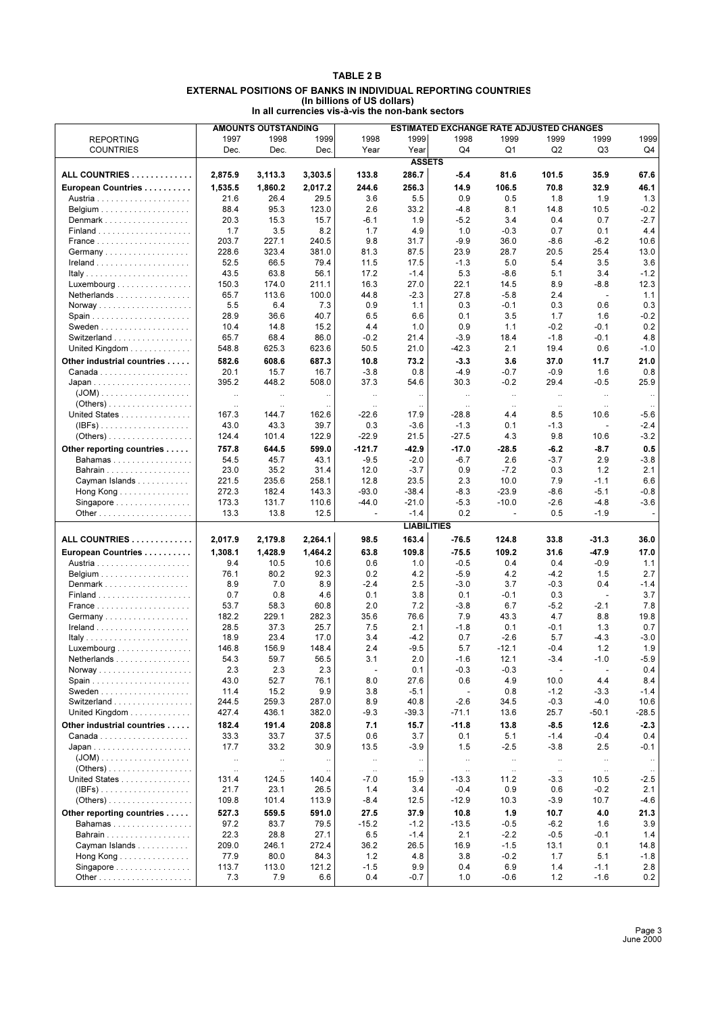### **TABLE 2 B EXTERNAL POSITIONS OF BANKS IN INDIVIDUAL REPORTING COUNTRIES (In billions of US dollars) In all currencies vis-à-vis the non-bank sectors**

|                                                  |           | <b>AMOUNTS OUTSTANDING</b> |              | ESTIMATED EXCHANGE RATE ADJUSTED CHANGES |                    |                |                |                |                          |                          |
|--------------------------------------------------|-----------|----------------------------|--------------|------------------------------------------|--------------------|----------------|----------------|----------------|--------------------------|--------------------------|
| <b>REPORTING</b>                                 | 1997      | 1998                       | 1999         | 1998                                     | 1999               | 1998           | 1999           | 1999           | 1999                     | 1999                     |
| <b>COUNTRIES</b>                                 | Dec.      | Dec.                       | Dec.         | Year                                     | Year               | Q4             | Q1             | Q <sub>2</sub> | Q3                       | Q4                       |
|                                                  |           |                            |              |                                          | <b>ASSETS</b>      |                |                |                |                          |                          |
|                                                  |           |                            |              |                                          |                    |                |                |                |                          |                          |
| ALL COUNTRIES                                    | 2,875.9   | 3,113.3                    | 3,303.5      | 133.8                                    | 286.7              | $-5.4$         | 81.6           | 101.5          | 35.9                     | 67.6                     |
| European Countries                               | 1,535.5   | 1.860.2                    | 2,017.2      | 244.6                                    | 256.3              | 14.9           | 106.5          | 70.8           | 32.9                     | 46.1                     |
|                                                  | 21.6      | 26.4                       | 29.5         | 3.6                                      | 5.5                | 0.9            | 0.5            | 1.8            | 1.9                      | 1.3                      |
|                                                  | 88.4      | 95.3                       | 123.0        | 2.6                                      | 33.2               | $-4.8$         | 8.1            | 14.8           | 10.5                     | $-0.2$                   |
| Denmark                                          | 20.3      | 15.3                       | 15.7         | -6.1                                     | 1.9                | $-5.2$         | 3.4            | 0.4            | 0.7                      | $-2.7$                   |
|                                                  | 1.7       | 3.5                        | 8.2          | 1.7                                      | 4.9                | 1.0            | $-0.3$         | 0.7            | 0.1                      | 4.4                      |
|                                                  | 203.7     | 227.1                      | 240.5        | 9.8                                      | 31.7               | $-9.9$         | 36.0           | $-8.6$         | $-6.2$                   | 10.6                     |
| Germany                                          | 228.6     | 323.4                      | 381.0        | 81.3                                     | 87.5               | 23.9           | 28.7           | 20.5           | 25.4                     | 13.0                     |
|                                                  | 52.5      | 66.5                       | 79.4         | 11.5                                     | 17.5               | $-1.3$         | 5.0            | 5.4            | 3.5                      | 3.6                      |
|                                                  | 43.5      | 63.8                       | 56.1         | 17.2                                     | $-1.4$             | 5.3            | $-8.6$         | 5.1            | 3.4                      | $-1.2$                   |
| $Luxembourg \dots \dots \dots \dots \dots \dots$ | 150.3     | 174.0                      | 211.1        | 16.3                                     | 27.0               | 22.1           | 14.5           | 8.9            | $-8.8$                   | 12.3                     |
| Netherlands                                      | 65.7      | 113.6                      | 100.0        | 44.8                                     | $-2.3$             | 27.8           | $-5.8$         | 2.4            | $\blacksquare$           | 1.1                      |
|                                                  | 5.5       | 6.4                        | 7.3          | 0.9                                      | 1.1                | 0.3            | $-0.1$         | 0.3            | 0.6                      | 0.3                      |
|                                                  | 28.9      | 36.6                       | 40.7         | 6.5                                      | 6.6                | 0.1            | 3.5            | 1.7            |                          | $-0.2$                   |
|                                                  |           |                            | 15.2         |                                          |                    |                |                |                | 1.6                      | 0.2                      |
|                                                  | 10.4      | 14.8                       |              | 4.4                                      | 1.0                | 0.9            | 1.1            | $-0.2$         | $-0.1$                   |                          |
| Switzerland                                      | 65.7      | 68.4                       | 86.0         | $-0.2$                                   | 21.4               | $-3.9$         | 18.4           | $-1.8$         | $-0.1$                   | 4.8                      |
| United Kingdom                                   | 548.8     | 625.3                      | 623.6        | 50.5                                     | 21.0               | $-42.3$        | 2.1            | 19.4           | 0.6                      | $-1.0$                   |
| Other industrial countries                       | 582.6     | 608.6                      | 687.3        | 10.8                                     | 73.2               | $-3.3$         | 3.6            | 37.0           | 11.7                     | 21.0                     |
|                                                  | 20.1      | 15.7                       | 16.7         | $-3.8$                                   | 0.8                | $-4.9$         | -0.7           | $-0.9$         | 1.6                      | 0.8                      |
|                                                  | 395.2     | 448.2                      | 508.0        | 37.3                                     | 54.6               | 30.3           | $-0.2$         | 29.4           | $-0.5$                   | 25.9                     |
| $(JOM)$                                          | $\ddotsc$ | $\ldots$                   | $\ddotsc$    | $\ddotsc$                                | $\ldots$           | $\ddotsc$      | $\ldots$       | $\ldots$       | $\ddotsc$                | $\ldots$                 |
| $(Others)$                                       | $\ddotsc$ | $\ddotsc$                  |              | $\ddot{\phantom{0}}$                     |                    | $\ldots$       | $\ddotsc$      | $\ldots$       | $\ddots$                 |                          |
| United States                                    | 167.3     | 144.7                      | 162.6        | $-22.6$                                  | 17.9               | $-28.8$        | 4.4            | 8.5            | 10.6                     | -5.6                     |
| $\mathsf{IIBFs})$                                | 43.0      | 43.3                       | 39.7         | 0.3                                      | $-3.6$             | $-1.3$         | 0.1            | $-1.3$         | $\overline{\phantom{a}}$ | $-2.4$                   |
|                                                  | 124.4     | 101.4                      | 122.9        | $-22.9$                                  | 21.5               | $-27.5$        | 4.3            | 9.8            | 10.6                     | $-3.2$                   |
|                                                  |           |                            |              |                                          |                    |                |                |                |                          |                          |
| Other reporting countries                        | 757.8     | 644.5                      | 599.0        | $-121.7$                                 | -42.9              | $-17.0$        | $-28.5$        | $-6.2$         | $-8.7$                   | 0.5                      |
| Bahamas                                          | 54.5      | 45.7                       | 43.1         | $-9.5$                                   | $-2.0$             | $-6.7$         | 2.6            | $-3.7$         | 2.9                      | -3.8                     |
| <b>Bahrain</b>                                   | 23.0      | 35.2                       | 31.4         | 12.0                                     | $-3.7$             | 0.9            | $-7.2$         | 0.3            | 1.2                      | 2.1                      |
| Cayman Islands                                   | 221.5     | 235.6                      | 258.1        | 12.8                                     | 23.5               | 2.3            | 10.0           | 7.9            | $-1.1$                   | 6.6                      |
| Hong Kong                                        | 272.3     | 182.4                      | 143.3        | $-93.0$                                  | $-38.4$            | $-8.3$         | $-23.9$        | $-8.6$         | $-5.1$                   | $-0.8$                   |
| Singapore                                        | 173.3     | 131.7                      | 110.6        | -44.0                                    | $-21.0$            | $-5.3$         | $-10.0$        | $-2.6$         | $-4.8$                   | -3.6                     |
|                                                  | 13.3      | 13.8                       | 12.5         | $\blacksquare$                           | $-1.4$             | 0.2            | $\blacksquare$ | 0.5            | $-1.9$                   | $\overline{\phantom{a}}$ |
|                                                  |           |                            |              |                                          | <b>LIABILITIES</b> |                |                |                |                          |                          |
| ALL COUNTRIES                                    | 2,017.9   | 2,179.8                    | 2,264.1      | 98.5                                     | 163.4              | $-76.5$        | 124.8          | 33.8           | $-31.3$                  | 36.0                     |
| European Countries                               | 1,308.1   | 1,428.9                    | 1,464.2      | 63.8                                     | 109.8              | $-75.5$        | 109.2          | 31.6           | $-47.9$                  | 17.0                     |
|                                                  | 9.4       | 10.5                       | 10.6         | 0.6                                      | 1.0                | $-0.5$         | 0.4            | 0.4            | $-0.9$                   | 1.1                      |
|                                                  |           |                            |              |                                          |                    |                |                |                |                          |                          |
|                                                  | 76.1      | 80.2                       | 92.3         | 0.2                                      | 4.2                | $-5.9$         | 4.2            | $-4.2$         | 1.5                      | 2.7                      |
| Denmark                                          | 8.9       | 7.0                        | 8.9          | $-2.4$                                   | 2.5                | $-3.0$         | 3.7            | $-0.3$         | 0.4                      | -1.4                     |
|                                                  | 0.7       | 0.8                        | 4.6          | 0.1                                      | 3.8                | 0.1            | $-0.1$         | 0.3            | $\sim$                   | 3.7                      |
|                                                  | 53.7      | 58.3                       | 60.8         | 2.0                                      | 7.2                | $-3.8$         | 6.7            | $-5.2$         | $-2.1$                   | 7.8                      |
| Germany                                          | 182.2     | 229.1                      | 282.3        | 35.6                                     | 76.6               | 7.9            | 43.3           | 4.7            | 8.8                      | 19.8                     |
|                                                  | 28.5      | 37.3                       | 25.7         | 7.5                                      | 2.1                | $-1.8$         | 0.1            | $-0.1$         | 1.3                      | 0.7                      |
|                                                  | 18.9      | 23.4                       | 17.0         | 3.4                                      | -4.2               | 0.7            | $-2.6$         | 5.7            | -4.3                     | $-3.0$                   |
| Luxembourg                                       | 146.8     | 156.9                      | 148.4        | 2.4                                      | $-9.5$             | 5.7            | $-12.1$        | $-0.4$         | 1.2                      | 1.9                      |
| Netherlands                                      | 54.3      | 59.7                       | 56.5         | 3.1                                      | 2.0                | $-1.6$         | 12.1           | $-3.4$         | $-1.0$                   | $-5.9$                   |
|                                                  | 2.3       | 2.3                        | 2.3          | $\overline{a}$                           | 0.1                | $-0.3$         | $-0.3$         |                | $\overline{\phantom{a}}$ | 0.4                      |
|                                                  | 43.0      | 52.7                       | 76.1         | 8.0                                      | 27.6               | 0.6            | 4.9            | 10.0           | 4.4                      | 8.4                      |
|                                                  | 11.4      | 15.2                       | 9.9          | 3.8                                      | $-5.1$             | $\blacksquare$ | 0.8            | $-1.2$         | $-3.3$                   | $-1.4$                   |
| Switzerland                                      | 244.5     | 259.3                      | 287.0        | 8.9                                      | 40.8               | $-2.6$         | 34.5           | $-0.3$         | $-4.0$                   | 10.6                     |
| United Kingdom                                   | 427.4     | 436.1                      | 382.0        | $-9.3$                                   | $-39.3$            | $-71.1$        | 13.6           | 25.7           | $-50.1$                  | -28.5                    |
| Other industrial countries                       | 182.4     | 191.4                      | 208.8        | 7.1                                      | 15.7               | $-11.8$        | 13.8           | $-8.5$         | 12.6                     | $-2.3$                   |
|                                                  | 33.3      | 33.7                       | 37.5         | 0.6                                      | 3.7                | 0.1            | 5.1            | $-1.4$         | $-0.4$                   | 0.4                      |
|                                                  | 17.7      | 33.2                       | 30.9         | 13.5                                     | $-3.9$             | 1.5            | $-2.5$         | $-3.8$         | 2.5                      | -0.1                     |
|                                                  |           |                            |              |                                          |                    |                |                |                |                          |                          |
|                                                  | $\ldots$  | $\ldots$                   | $\cdot\cdot$ | $\ldots$                                 | $\ldots$           | $\ldots$       | $\cdot\cdot$   | $\ldots$       | $\ldots$                 | $\cdots$                 |
| $(Others)$                                       | $\ldots$  | $\ddot{\phantom{a}}$       | $\ddotsc$    | $\ldots$                                 | $\ddotsc$          | $\ldots$       | $\ddots$       | $\ldots$       | $\ldots$                 | $\ddotsc$                |
| United States                                    | 131.4     | 124.5                      | 140.4        | $-7.0$                                   | 15.9               | $-13.3$        | 11.2           | $-3.3$         | 10.5                     | -2.5                     |
| $(IBFs)$                                         | 21.7      | 23.1                       | 26.5         | 1.4                                      | 3.4                | $-0.4$         | 0.9            | 0.6            | $-0.2$                   | 2.1                      |
|                                                  | 109.8     | 101.4                      | 113.9        | -8.4                                     | 12.5               | $-12.9$        | 10.3           | $-3.9$         | 10.7                     | -4.6                     |
| Other reporting countries                        | 527.3     | 559.5                      | 591.0        | 27.5                                     | 37.9               | 10.8           | 1.9            | 10.7           | 4.0                      | 21.3                     |
| <b>Bahamas</b>                                   | 97.2      | 83.7                       | 79.5         | $-15.2$                                  | $-1.2$             | $-13.5$        | $-0.5$         | $-6.2$         | 1.6                      | 3.9                      |
|                                                  | 22.3      | 28.8                       | 27.1         | 6.5                                      | $-1.4$             | 2.1            | $-2.2$         | $-0.5$         | $-0.1$                   | 1.4                      |
| Cayman Islands                                   | 209.0     | 246.1                      | 272.4        | 36.2                                     | 26.5               | 16.9           | $-1.5$         | 13.1           | 0.1                      | 14.8                     |
| Hong Kong                                        | 77.9      | 80.0                       | 84.3         | $1.2$                                    | 4.8                | 3.8            | $-0.2$         | 1.7            | 5.1                      | -1.8                     |
| Singapore                                        | 113.7     | 113.0                      | 121.2        | $-1.5$                                   | 9.9                | 0.4            | 6.9            | 1.4            | $-1.1$                   | 2.8                      |
|                                                  |           |                            |              |                                          |                    |                |                |                |                          |                          |
|                                                  | 7.3       | 7.9                        | 6.6          | 0.4                                      | $-0.7$             | 1.0            | $-0.6$         | 1.2            | $-1.6$                   | 0.2                      |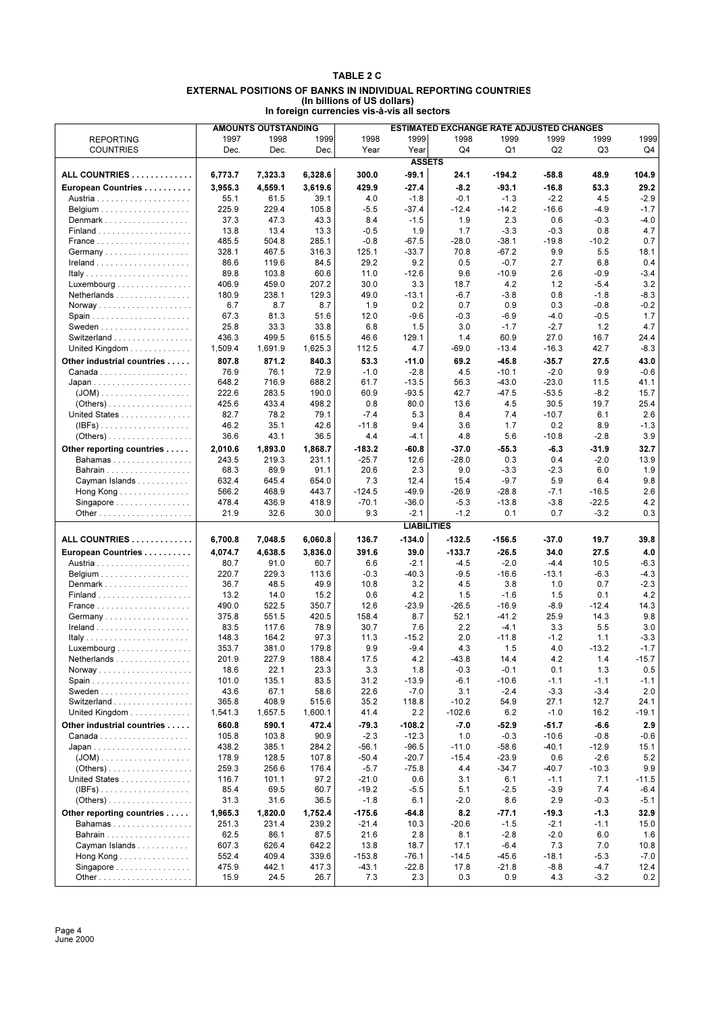### **TABLE 2 C EXTERNAL POSITIONS OF BANKS IN INDIVIDUAL REPORTING COUNTRIES (In billions of US dollars) In foreign currencies vis-à-vis all sectors**

|                                                  |                | <b>AMOUNTS OUTSTANDING</b> |                | <b>ESTIMATED EXCHANGE RATE ADJUSTED CHANGES</b> |                    |                  |                    |                   |                  |                |
|--------------------------------------------------|----------------|----------------------------|----------------|-------------------------------------------------|--------------------|------------------|--------------------|-------------------|------------------|----------------|
| <b>REPORTING</b>                                 | 1997           | 1998                       | 1999           | 1998                                            | 1999               | 1998             | 1999               | 1999              | 1999             | 1999           |
| <b>COUNTRIES</b>                                 | Dec.           | Dec.                       | Dec.           | Year                                            | Year               | Q4               | Q1                 | Q <sub>2</sub>    | Q3               | Q4             |
|                                                  |                |                            |                |                                                 | <b>ASSETS</b>      |                  |                    |                   |                  |                |
| ALL COUNTRIES                                    | 6,773.7        | 7,323.3                    | 6,328.6        | 300.0                                           | $-99.1$            | 24.1             | $-194.2$           | $-58.8$           | 48.9             | 104.9          |
| European Countries                               | 3,955.3        | 4,559.1                    | 3,619.6        | 429.9                                           | -27.4              | $-8.2$           | $-93.1$            | $-16.8$           | 53.3             | 29.2           |
|                                                  | 55.1           | 61.5                       | 39.1           | 4.0                                             | $-1.8$             | $-0.1$           | $-1.3$             | $-2.2$            | 4.5              | $-2.9$         |
|                                                  | 225.9          | 229.4                      | 105.8          | $-5.5$                                          | $-37.4$            | $-12.4$          | $-14.2$            | $-16.6$           | $-4.9$           | $-1.7$         |
| Denmark                                          | 37.3           | 47.3                       | 43.3           | 8.4                                             | $-1.5$             | 1.9              | 2.3                | 0.6               | $-0.3$           | $-4.0$         |
|                                                  | 13.8           | 13.4                       | 13.3           | $-0.5$                                          | 1.9                | 1.7              | $-3.3$             | $-0.3$            | 0.8              | 4.7            |
|                                                  | 485.5          | 504.8                      | 285.1          | $-0.8$                                          | $-67.5$            | $-28.0$          | $-38.1$            | $-19.8$           | $-10.2$          | 0.7            |
|                                                  | 328.1          | 467.5                      | 316.3          | 125.1                                           | $-33.7$            | 70.8             | $-67.2$            | 9.9               | 5.5              | 18.1           |
|                                                  | 86.6           | 119.6                      | 84.5           | 29.2                                            | 9.2                | 0.5              | $-0.7$             | 2.7               | 6.8              | 0.4            |
|                                                  | 89.8           | 103.8                      | 60.6           | 11.0                                            | $-12.6$            | 9.6              | $-10.9$            | 2.6               | $-0.9$           | $-3.4$         |
| $Luxembourg \dots \dots \dots \dots \dots \dots$ | 406.9          | 459.0                      | 207.2          | 30.0                                            | 3.3                | 18.7             | 4.2                | 1.2               | $-5.4$           | 3.2            |
| Netherlands                                      | 180.9          | 238.1                      | 129.3          | 49.0                                            | $-13.1$            | $-6.7$           | $-3.8$             | 0.8               | $-1.8$           | $-8.3$         |
|                                                  | 6.7            | 8.7                        | 8.7            | 1.9                                             | 0.2                | 0.7              | 0.9                | 0.3               | $-0.8$           | $-0.2$         |
|                                                  | 67.3<br>25.8   | 81.3<br>33.3               | 51.6<br>33.8   | 12.0<br>6.8                                     | $-9.6$<br>1.5      | $-0.3$<br>3.0    | $-6.9$<br>$-1.7$   | $-4.0$<br>$-2.7$  | $-0.5$<br>1.2    | 1.7<br>4.7     |
| Switzerland                                      | 436.3          | 499.5                      | 615.5          | 46.6                                            | 129.1              | 1.4              | 60.9               | 27.0              | 16.7             | 24.4           |
| United Kingdom                                   | 1,509.4        | 1,691.9                    | 1,625.3        | 112.5                                           | 4.7                | $-69.0$          | $-13.4$            | $-16.3$           | 42.7             | $-8.3$         |
|                                                  | 807.8          | 871.2                      | 840.3          |                                                 | $-11.0$            |                  |                    | $-35.7$           |                  | 43.0           |
| Other industrial countries                       | 76.9           | 76.1                       | 72.9           | 53.3<br>$-1.0$                                  | $-2.8$             | 69.2<br>4.5      | $-45.8$<br>$-10.1$ | $-2.0$            | 27.5<br>9.9      | $-0.6$         |
|                                                  | 648.2          | 716.9                      | 688.2          | 61.7                                            | $-13.5$            | 56.3             | $-43.0$            | $-23.0$           | 11.5             | 41.1           |
|                                                  | 222.6          | 283.5                      | 190.0          | 60.9                                            | $-93.5$            | 42.7             | $-47.5$            | $-53.5$           | $-8.2$           | 15.7           |
| $( Others) \ldots \ldots \ldots \ldots \ldots$   | 425.6          | 433.4                      | 498.2          | 0.8                                             | 80.0               | 13.6             | 4.5                | 30.5              | 19.7             | 25.4           |
| United States                                    | 82.7           | 78.2                       | 79.1           | $-7.4$                                          | 5.3                | 8.4              | 7.4                | $-10.7$           | 6.1              | 2.6            |
| $(IBFs)$                                         | 46.2           | 35.1                       | 42.6           | $-11.8$                                         | 9.4                | 3.6              | 1.7                | 0.2               | 8.9              | $-1.3$         |
|                                                  | 36.6           | 43.1                       | 36.5           | 4.4                                             | $-4.1$             | 4.8              | 5.6                | $-10.8$           | $-2.8$           | 3.9            |
| Other reporting countries                        | 2,010.6        | 1,893.0                    | 1,868.7        | $-183.2$                                        | $-60.8$            | $-37.0$          | $-55.3$            | $-6.3$            | $-31.9$          | 32.7           |
| Bahamas                                          | 243.5          | 219.3                      | 231.1          | $-25.7$                                         | 12.6               | $-28.0$          | 0.3                | 0.4               | $-2.0$           | 13.9           |
| <b>Bahrain</b>                                   | 68.3           | 89.9                       | 91.1           | 20.6                                            | 2.3                | 9.0              | $-3.3$             | $-2.3$            | 6.0              | 1.9            |
| Cayman Islands                                   | 632.4          | 645.4                      | 654.0          | 7.3                                             | 12.4               | 15.4             | $-9.7$             | 5.9               | 6.4              | 9.8            |
| Hong Kong                                        | 566.2          | 468.9                      | 443.7          | $-124.5$                                        | $-49.9$            | $-26.9$          | $-28.8$            | $-7.1$            | $-16.5$          | 2.6            |
| Singapore                                        | 478.4          | 436.9                      | 418.9          | $-70.1$                                         | $-36.0$            | $-5.3$           | $-13.8$            | $-3.8$            | $-22.5$          | 4.2            |
|                                                  | 21.9           | 32.6                       | 30.0           | 9.3                                             | $-2.1$             | $-1.2$           | 0.1                | 0.7               | $-3.2$           | 0.3            |
|                                                  |                |                            |                |                                                 | <b>LIABILITIES</b> |                  |                    |                   |                  |                |
| ALL COUNTRIES                                    | 6,700.8        | 7,048.5                    | 6,060.8        | 136.7                                           | $-134.0$           | $-132.5$         | $-156.5$           | $-37.0$           | 19.7             | 39.8           |
| European Countries                               | 4,074.7        | 4,638.5                    | 3,836.0        | 391.6                                           | 39.0               | $-133.7$         | $-26.5$            | 34.0              | 27.5             | 4.0            |
|                                                  | 80.7           | 91.0                       | 60.7           | 6.6                                             | $-2.1$             | $-4.5$           | $-2.0$             | $-4.4$            | 10.5             | $-6.3$         |
|                                                  | 220.7          | 229.3                      | 113.6          | $-0.3$                                          | $-40.3$            | $-9.5$           | $-16.6$            | $-13.1$           | $-6.3$           | $-4.3$         |
| Denmark                                          | 36.7           | 48.5                       | 49.9           | 10.8                                            | 3.2                | 4.5              | 3.8                | 1.0               | 0.7              | $-2.3$         |
|                                                  | 13.2           | 14.0                       | 15.2           | 0.6                                             | 4.2                | 1.5              | $-1.6$             | 1.5               | 0.1              | 4.2            |
|                                                  | 490.0          | 522.5                      | 350.7          | 12.6                                            | $-23.9$            | $-26.5$          | $-16.9$            | $-8.9$            | $-12.4$          | 14.3           |
| Germany                                          | 375.8          | 551.5                      | 420.5          | 158.4                                           | 8.7                | 52.1             | $-41.2$            | 25.9              | 14.3             | 9.8            |
|                                                  | 83.5           | 117.6                      | 78.9<br>97.3   | 30.7                                            | 7.6<br>$-15.2$     | 2.2<br>2.0       | $-4.1$<br>$-11.8$  | 3.3<br>$-1.2$     | 5.5              | 3.0<br>$-3.3$  |
|                                                  | 148.3<br>353.7 | 164.2                      |                | 11.3                                            |                    |                  |                    |                   |                  |                |
| Luxembourg<br>Netherlands                        |                |                            |                |                                                 |                    |                  |                    |                   | 1.1              |                |
|                                                  |                | 381.0                      | 179.8          | 9.9                                             | $-9.4$             | 4.3              | 1.5                | 4.0               | $-13.2$          | $-1.7$         |
|                                                  | 201.9          | 227.9                      | 188.4          | 17.5                                            | 4.2                | 43.8             | 14.4               | 4.2               | 1.4              | $-15.7$        |
|                                                  | 18.6<br>101.0  | 22.1<br>135.1              | 23.3<br>83.5   | 3.3<br>31.2                                     | 1.8<br>$-13.9$     | $-0.3$<br>$-6.1$ | $-0.1$<br>$-10.6$  | 0.1<br>$-1.1$     | 1.3<br>$-1.1$    | 0.5<br>$-1.1$  |
|                                                  | 43.6           | 67.1                       | 58.6           | 22.6                                            | $-7.0$             | 3.1              | $-2.4$             | $-3.3$            | $-3.4$           | 2.0            |
|                                                  | 365.8          | 408.9                      | 515.6          | 35.2                                            | 118.8              | $-10.2$          | 54.9               | 27.1              | 12.7             | 24.1           |
| Switzerland<br>United Kingdom                    | 1,541.3        | 1,657.5                    | 1,600.1        | 41.4                                            | 2.2                | $-102.6$         | 6.2                | $-1.0$            | 16.2             | -19.1          |
| Other industrial countries                       | 660.8          | 590.1                      | 472.4          | $-79.3$                                         | $-108.2$           | $-7.0$           | $-52.9$            | $-51.7$           | $-6.6$           | 2.9            |
|                                                  | 105.8          | 103.8                      | 90.9           | $-2.3$                                          | $-12.3$            | 1.0              | $-0.3$             | $-10.6$           | $-0.8$           | $-0.6$         |
|                                                  | 438.2          | 385.1                      | 284.2          | $-56.1$                                         | $-96.5$            | $-11.0$          | $-58.6$            | $-40.1$           | $-12.9$          | 15.1           |
|                                                  | 178.9          | 128.5                      | 107.8          | $-50.4$                                         | $-20.7$            | $-15.4$          | $-23.9$            | 0.6               | $-2.6$           | 5.2            |
|                                                  | 259.3          | 256.6                      | 176.4          | $-5.7$                                          | $-75.8$            | 4.4              | $-34.7$            | -40.7             | $-10.3$          | 9.9            |
| United States                                    | 116.7          | 101.1                      | 97.2           | $-21.0$                                         | 0.6                | 3.1              | 6.1                | $-1.1$            | 7.1              | $-11.5$        |
| $(\mathsf{IBFs})$                                | 85.4           | 69.5                       | 60.7           | $-19.2$                                         | $-5.5$             | 5.1              | $-2.5$             | $-3.9$            | 7.4              | $-6.4$         |
| $( Others) \ldots \ldots \ldots \ldots \ldots$   | 31.3           | 31.6                       | 36.5           | $-1.8$                                          | 6.1                | $-2.0$           | 8.6                | 2.9               | $-0.3$           | $-5.1$         |
| Other reporting countries                        | 1,965.3        | 1,820.0                    | 1,752.4        | $-175.6$                                        | -64.8              | 8.2              | $-77.1$            | $-19.3$           | $-1.3$           | 32.9           |
| Bahamas                                          | 251.3          | 231.4                      | 239.2          | $-21.4$                                         | 10.3               | $-20.6$          | $-1.5$             | $-2.1$            | $-1.1$           | 15.0           |
|                                                  | 62.5           | 86.1                       | 87.5           | 21.6                                            | 2.8                | 8.1              | $-2.8$             | $-2.0$            | 6.0              | 1.6            |
| Cayman Islands                                   | 607.3          | 626.4                      | 642.2          | 13.8                                            | 18.7               | 17.1             | $-6.4$             | 7.3               | 7.0              | 10.8           |
| Hong Kong<br>Singapore                           | 552.4<br>475.9 | 409.4<br>442.1             | 339.6<br>417.3 | $-153.8$<br>$-43.1$                             | $-76.1$<br>$-22.8$ | $-14.5$<br>17.8  | $-45.6$<br>$-21.8$ | $-18.1$<br>$-8.8$ | $-5.3$<br>$-4.7$ | $-7.0$<br>12.4 |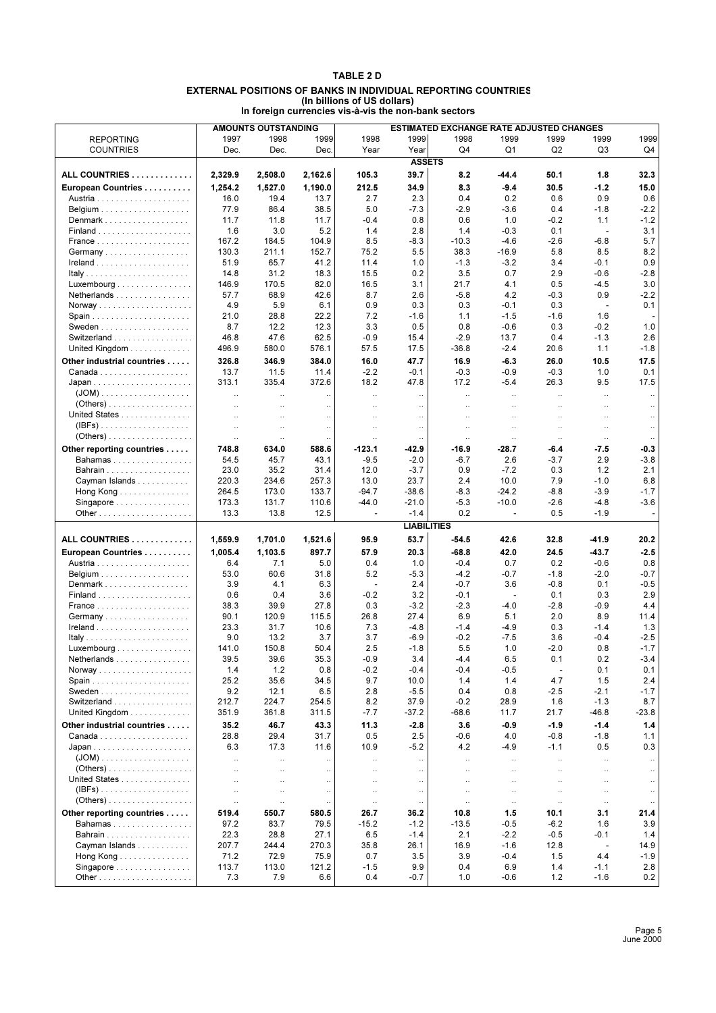### **TABLE 2 D EXTERNAL POSITIONS OF BANKS IN INDIVIDUAL REPORTING COUNTRIES (In billions of US dollars) In foreign currencies vis-à-vis the non-bank sectors**

|                                                |                      | <b>AMOUNTS OUTSTANDING</b> |                      | <b>ESTIMATED EXCHANGE RATE ADJUSTED CHANGES</b> |                    |               |                          |                |                                    |               |
|------------------------------------------------|----------------------|----------------------------|----------------------|-------------------------------------------------|--------------------|---------------|--------------------------|----------------|------------------------------------|---------------|
| <b>REPORTING</b>                               | 1997                 | 1998                       | 1999                 | 1998                                            | 1999               | 1998          | 1999                     | 1999           | 1999                               | 1999          |
| <b>COUNTRIES</b>                               | Dec.                 | Dec.                       | Dec.                 | Year                                            | Year               | Q4            | Q1                       | Q <sub>2</sub> | Q3                                 | Q4            |
|                                                |                      |                            |                      |                                                 | <b>ASSETS</b>      |               |                          |                |                                    |               |
| ALL COUNTRIES                                  | 2,329.9              | 2,508.0                    | 2,162.6              | 105.3                                           | 39.7               | 8.2           | $-44.4$                  | 50.1           | 1.8                                | 32.3          |
| European Countries                             | 1,254.2              | 1,527.0                    | 1,190.0              | 212.5                                           | 34.9               | 8.3           | $-9.4$                   | 30.5           | $-1.2$                             | 15.0          |
|                                                | 16.0                 | 19.4                       | 13.7                 | 2.7                                             | 2.3                | 0.4           | 0.2                      | 0.6            | 0.9                                | 0.6           |
|                                                | 77.9                 | 86.4                       | 38.5                 | 5.0                                             | $-7.3$             | $-2.9$        | $-3.6$                   | 0.4            | $-1.8$                             | $-2.2$        |
| Denmark                                        | 11.7                 | 11.8                       | 11.7                 | -0.4                                            | 0.8                | 0.6           | 1.0                      | $-0.2$         | 1.1                                | $-1.2$        |
|                                                | 1.6                  | 3.0                        | 5.2                  | 1.4                                             | 2.8                | 1.4           | $-0.3$                   | 0.1            | $\overline{\phantom{a}}$           | 3.1           |
|                                                | 167.2                | 184.5                      | 104.9                | 8.5                                             | $-8.3$             | $-10.3$       | $-4.6$                   | $-2.6$         | $-6.8$                             | 5.7           |
| Germany                                        | 130.3                | 211.1                      | 152.7                | 75.2                                            | 5.5                | 38.3          | $-16.9$                  | 5.8            | 8.5                                | 8.2           |
|                                                | 51.9                 | 65.7                       | 41.2                 | 11.4                                            | 1.0                | $-1.3$        | $-3.2$                   | 3.4            | $-0.1$                             | 0.9           |
|                                                | 14.8                 | 31.2                       | 18.3                 | 15.5                                            | 0.2                | 3.5           | 0.7                      | 2.9            | $-0.6$                             | $-2.8$        |
| Luxembourg                                     | 146.9                | 170.5                      | 82.0                 | 16.5                                            | 3.1                | 21.7          | 4.1                      | 0.5            | $-4.5$                             | 3.0           |
| Netherlands                                    | 57.7                 | 68.9                       | 42.6                 | 8.7                                             | 2.6                | $-5.8$        | 4.2                      | $-0.3$         | 0.9                                | $-2.2$        |
|                                                | 4.9                  | 5.9                        | 6.1                  | 0.9                                             | 0.3                | 0.3           | $-0.1$                   | 0.3            | $\overline{\phantom{a}}$           | 0.1           |
| Spain                                          | 21.0                 | 28.8                       | 22.2                 | 7.2                                             | -1.6               | 1.1           | $-1.5$                   | $-1.6$         | 1.6                                |               |
|                                                | 8.7                  | 12.2                       | 12.3                 | 3.3                                             | 0.5                | 0.8           | $-0.6$                   | 0.3            | $-0.2$                             | 1.0           |
| Switzerland                                    | 46.8                 | 47.6                       | 62.5                 | $-0.9$                                          | 15.4               | $-2.9$        | 13.7                     | 0.4            | $-1.3$                             | 2.6           |
| United Kingdom                                 | 496.9                | 580.0                      | 576.1                | 57.5                                            | 17.5               | $-36.8$       | $-2.4$                   | 20.6           | 1.1                                | $-1.8$        |
| Other industrial countries                     | 326.8                | 346.9                      | 384.0                | 16.0                                            | 47.7               | 16.9          | $-6.3$                   | 26.0           | 10.5                               | 17.5          |
|                                                | 13.7                 | 11.5                       | 11.4                 | $-2.2$                                          | $-0.1$             | $-0.3$        | $-0.9$                   | $-0.3$         | 1.0                                | 0.1           |
|                                                | 313.1                | 335.4                      | 372.6                | 18.2                                            | 47.8               | 17.2          | $-5.4$                   | 26.3           | 9.5                                | 17.5          |
| $(JOM)$                                        | $\ddot{\phantom{a}}$ | $\ddot{\phantom{a}}$       | $\ddot{\phantom{a}}$ | $\ddot{\phantom{a}}$                            | $\ddotsc$          | $\ddotsc$     | $\ddotsc$                | $\ddotsc$      | $\ddot{\phantom{a}}$               | $\ddotsc$     |
| $(Others) \ldots \ldots \ldots \ldots \ldots$  | $\ddotsc$            | $\ddotsc$                  | $\ldots$             | $\ddotsc$                                       | $\ldots$           | $\ldots$      | $\ldots$                 | $\ddotsc$      | $\ddotsc$                          | $\ddotsc$     |
| United States                                  |                      | $\ddot{\phantom{a}}$       | $\ddot{\phantom{a}}$ | $\ddotsc$                                       | $\ddotsc$          | $\ddotsc$     | $\ddotsc$                | $\ddotsc$      | $\ddotsc$                          | $\ddotsc$     |
| (IBFs).                                        | $\ddotsc$            | $\ddotsc$                  | $\ddotsc$            | $\ddotsc$                                       | $\ldots$           | $\ldots$      | $\ddotsc$                | $\ddotsc$      | $\ddotsc$                          | $\sim$        |
| $( Others) \ldots \ldots \ldots \ldots \ldots$ | $\ddot{\phantom{0}}$ | $\ddotsc$                  | $\ddot{\phantom{0}}$ | $\ldots$                                        | $\ddotsc$          | $\ddotsc$     | $\ldots$                 | $\ldots$       | $\ldots$                           | $\ddotsc$     |
| Other reporting countries                      | 748.8                | 634.0                      | 588.6                | $-123.1$                                        | -42.9              | $-16.9$       | $-28.7$                  | -6.4           | $-7.5$                             | $-0.3$        |
| Bahamas                                        | 54.5                 | 45.7                       | 43.1                 | $-9.5$                                          | $-2.0$             | $-6.7$        | 2.6                      | $-3.7$         | 2.9                                | $-3.8$        |
| <b>Bahrain</b>                                 | 23.0                 | 35.2                       | 31.4                 | 12.0                                            | $-3.7$             | 0.9           | $-7.2$                   | 0.3            | 1.2                                | 2.1           |
| Cayman Islands                                 | 220.3                | 234.6                      | 257.3                | 13.0                                            | 23.7               | 2.4           | 10.0                     | 7.9            | $-1.0$                             | 6.8           |
| Hong Kong $\ldots \ldots \ldots \ldots$        | 264.5                | 173.0                      | 133.7                | $-94.7$                                         | $-38.6$            | $-8.3$        | $-24.2$                  | $-8.8$         | $-3.9$                             | $-1.7$        |
| Singapore                                      | 173.3                | 131.7                      | 110.6                | $-44.0$                                         | $-21.0$            | $-5.3$        | $-10.0$                  | $-2.6$         | $-4.8$                             | $-3.6$        |
|                                                | 13.3                 | 13.8                       | 12.5                 | $\overline{\phantom{a}}$                        | $-1.4$             | 0.2           | $\overline{\phantom{a}}$ | 0.5            | $-1.9$                             | ÷.            |
|                                                |                      |                            |                      |                                                 | <b>LIABILITIES</b> |               |                          |                |                                    |               |
| ALL COUNTRIES                                  | 1,559.9              | 1,701.0                    | 1,521.6              | 95.9                                            | 53.7               | $-54.5$       | 42.6                     | 32.8           | -41.9                              | 20.2          |
| European Countries                             | 1,005.4              | 1,103.5                    | 897.7                | 57.9                                            | 20.3               | $-68.8$       | 42.0                     | 24.5           | $-43.7$                            | $-2.5$        |
|                                                | 6.4                  | 7.1                        | 5.0                  | 0.4                                             | 1.0                | $-0.4$        | 0.7                      | 0.2            | $-0.6$                             | 0.8           |
|                                                | 53.0                 | 60.6                       | 31.8                 | 5.2                                             | $-5.3$             | $-4.2$        | $-0.7$                   | $-1.8$         | $-2.0$                             | $-0.7$        |
| Denmark                                        | 3.9                  | 4.1                        | 6.3                  | $\overline{a}$                                  | 2.4                | $-0.7$        | 3.6                      | $-0.8$         | 0.1                                | $-0.5$        |
|                                                | 0.6                  | 0.4                        | 3.6                  | $-0.2$                                          | 3.2                | $-0.1$        | $\blacksquare$           | 0.1            | 0.3                                | 2.9           |
|                                                | 38.3                 | 39.9                       | 27.8                 | 0.3                                             | $-3.2$             | $-2.3$        | $-4.0$                   | $-2.8$         | $-0.9$                             | 4.4           |
| Germany                                        | 90.1                 | 120.9                      | 115.5                | 26.8                                            | 27.4               | 6.9           | 5.1                      | 2.0            | 8.9                                | 11.4          |
|                                                | 23.3                 | 31.7                       | 10.6                 | 7.3                                             | $-4.8$             | $-1.4$        | $-4.9$                   | 0.3            | $-1.4$                             | 1.3           |
|                                                | 9.0                  | 13.2                       | 3.7                  | 3.7                                             | $-6.9$             | $-0.2$        | $-7.5$                   | 3.6            | $-0.4$                             | $-2.5$        |
| Luxembourg                                     | 141.0                | 150.8                      | 50.4                 | 2.5                                             | $-1.8$             | 5.5           | 1.0                      | $-2.0$         | 0.8                                | $-1.7$        |
| Netherlands                                    | 39.5                 | 39.6                       | 35.3                 | $-0.9$                                          | 3.4                | -4.4          | 6.5                      | 0.1            | 0.2                                | $-3.4$        |
|                                                | 1.4                  | 1.2                        | 0.8                  | $-0.2$                                          | $-0.4$             | $-0.4$        | $-0.5$                   | $\overline{a}$ | 0.1                                | 0.1           |
|                                                | 25.2                 | 35.6                       | 34.5                 | 9.7                                             | 10.0               | 1.4           | 1.4                      | 4.7            | 1.5                                | 2.4           |
| Switzerland                                    | 9.2<br>212.7         | 12.1<br>224.7              | 6.5<br>254.5         | 2.8<br>8.2                                      | $-5.5$<br>37.9     | 0.4<br>$-0.2$ | 0.8<br>28.9              | $-2.5$<br>1.6  | $-2.1$<br>$-1.3$                   | $-1.7$<br>8.7 |
| United Kingdom                                 | 351.9                | 361.8                      | 311.5                | $-7.7$                                          | $-37.2$            | $-68.6$       | 11.7                     | 21.7           | -46.8                              | -23.8         |
|                                                |                      |                            |                      |                                                 |                    |               |                          |                |                                    |               |
| Other industrial countries                     | 35.2                 | 46.7                       | 43.3                 | 11.3                                            | $-2.8$             | 3.6           | $-0.9$                   | $-1.9$         | $-1.4$                             | 1.4           |
|                                                | 28.8                 | 29.4                       | 31.7                 | 0.5                                             | 2.5                | $-0.6$        | 4.0                      | $-0.8$         | $-1.8$                             | 1.1           |
|                                                | 6.3                  | 17.3                       | 11.6                 | 10.9                                            | $-5.2$             | 4.2           | $-4.9$                   | $-1.1$         | 0.5                                | 0.3           |
| $(Others) \ldots \ldots \ldots \ldots \ldots$  | $\ddotsc$            | $\ddotsc$                  | $\ddot{\phantom{a}}$ | $\ldots$                                        | $\ddotsc$          | $\ddotsc$     | $\ddotsc$                | ÷.             | $\ddotsc$                          | $\ldots$      |
| United States                                  |                      | $\ddotsc$                  | $\ddotsc$            | $\ddotsc$                                       | $\ddotsc$          | $\ddotsc$     | $\ddotsc$                |                | $\ddotsc$                          | $\ddotsc$     |
| $(IBFs)$                                       |                      | $\ddot{\phantom{0}}$       | $\ddotsc$            | $\ddot{\phantom{0}}$                            | $\ddotsc$          | $\ddotsc$     | $\ddotsc$                |                | $\ddotsc$                          | $\ldots$      |
| $( Others) \ldots \ldots \ldots \ldots \ldots$ | $\ddotsc$            | $\ddotsc$                  | $\ddotsc$            | $\ddotsc$                                       | $\ddotsc$          | $\ddotsc$     | $\ddotsc$                | $\ddotsc$      | $\ddotsc$                          | $\ldots$      |
|                                                | $\ddot{\phantom{0}}$ | $\ldots$                   | $\ddotsc$            | $\cdot$                                         | $\ldots$           | $\ldots$      | $\ldots$                 | $\ldots$       | $\cdot\cdot$                       | $\ldots$      |
| Other reporting countries                      | 519.4                | 550.7                      | 580.5                | 26.7                                            | 36.2               | 10.8          | 1.5                      | 10.1           | 3.1                                | 21.4          |
| Bahamas                                        | 97.2<br>22.3         | 83.7<br>28.8               | 79.5                 | $-15.2$                                         | $-1.2$             | $-13.5$       | $-0.5$                   | $-6.2$         | 1.6                                | 3.9           |
| Bahrain<br>Cayman Islands                      | 207.7                | 244.4                      | 27.1<br>270.3        | 6.5<br>35.8                                     | $-1.4$<br>26.1     | 2.1<br>16.9   | $-2.2$<br>$-1.6$         | $-0.5$<br>12.8 | $-0.1$<br>$\overline{\phantom{a}}$ | 1.4<br>14.9   |
|                                                | 71.2                 | 72.9                       | 75.9                 | 0.7                                             | 3.5                | 3.9           | $-0.4$                   | 1.5            | 4.4                                | -1.9          |
| Hong Kong<br>Singapore                         | 113.7                | 113.0                      | 121.2                | $-1.5$                                          | 9.9                | 0.4           | 6.9                      | 1.4            | $-1.1$                             | 2.8           |
|                                                | 7.3                  | 7.9                        | 6.6                  | 0.4                                             | $-0.7$             | 1.0           | $-0.6$                   | 1.2            | $-1.6$                             | 0.2           |
|                                                |                      |                            |                      |                                                 |                    |               |                          |                |                                    |               |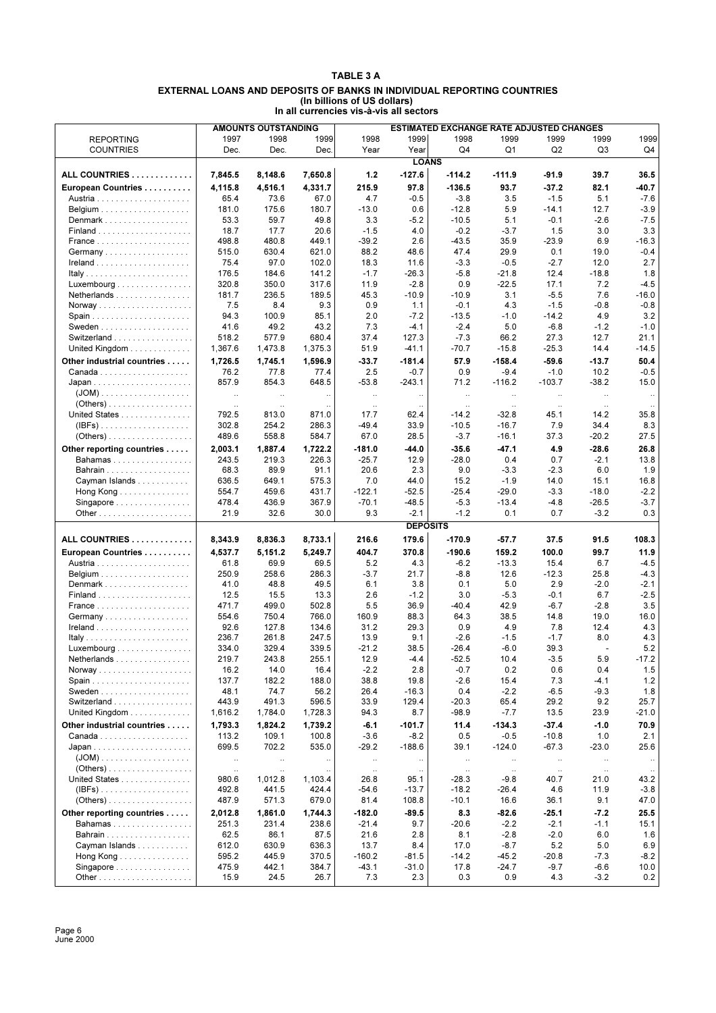#### **TABLE 3 A EXTERNAL LOANS AND DEPOSITS OF BANKS IN INDIVIDUAL REPORTING COUNTRIES (In billions of US dollars) In all currencies vis-à-vis all sectors**

|                                                |           | <b>AMOUNTS OUTSTANDING</b> |              | ESTIMATED EXCHANGE RATE ADJUSTED CHANGES |                 |           |           |                |                          |           |
|------------------------------------------------|-----------|----------------------------|--------------|------------------------------------------|-----------------|-----------|-----------|----------------|--------------------------|-----------|
| <b>REPORTING</b>                               | 1997      | 1998                       | 1999         | 1998                                     | 1999            | 1998      | 1999      | 1999           | 1999                     | 1999      |
| <b>COUNTRIES</b>                               | Dec.      | Dec.                       | Dec.         | Year                                     | Year            | Q4        | Q1        | Q <sub>2</sub> | Q3                       | Q4        |
|                                                |           |                            |              |                                          | <b>LOANS</b>    |           |           |                |                          |           |
|                                                |           |                            |              |                                          |                 |           |           |                |                          |           |
| ALL COUNTRIES                                  | 7,845.5   | 8,148.6                    | 7,650.8      | 1.2                                      | $-127.6$        | $-114.2$  | $-111.9$  | -91.9          | 39.7                     | 36.5      |
| European Countries                             | 4.115.8   | 4,516.1                    | 4,331.7      | 215.9                                    | 97.8            | $-136.5$  | 93.7      | $-37.2$        | 82.1                     | -40.7     |
|                                                | 65.4      | 73.6                       | 67.0         | 4.7                                      | $-0.5$          | $-3.8$    | 3.5       | $-1.5$         | 5.1                      | $-7.6$    |
|                                                | 181.0     | 175.6                      | 180.7        | $-13.0$                                  | 0.6             | $-12.8$   | 5.9       | $-14.1$        | 12.7                     | $-3.9$    |
| Denmark                                        | 53.3      | 59.7                       | 49.8         | 3.3                                      | $-5.2$          | $-10.5$   | 5.1       | $-0.1$         | $-2.6$                   | $-7.5$    |
|                                                | 18.7      | 17.7                       | 20.6         | $-1.5$                                   | 4.0             | $-0.2$    | $-3.7$    | 1.5            | 3.0                      | 3.3       |
|                                                | 498.8     | 480.8                      | 449.1        | $-39.2$                                  | 2.6             | $-43.5$   | 35.9      | $-23.9$        | 6.9                      | $-16.3$   |
| Germany                                        | 515.0     | 630.4                      | 621.0        | 88.2                                     | 48.6            | 47.4      | 29.9      | 0.1            | 19.0                     | $-0.4$    |
|                                                | 75.4      | 97.0                       | 102.0        | 18.3                                     | 11.6            | $-3.3$    | $-0.5$    | $-2.7$         | 12.0                     | 2.7       |
|                                                | 176.5     | 184.6                      | 141.2        | $-1.7$                                   | $-26.3$         | $-5.8$    | $-21.8$   | 12.4           | $-18.8$                  | 1.8       |
| Luxembourg                                     | 320.8     | 350.0                      | 317.6        | 11.9                                     | $-2.8$          | 0.9       | $-22.5$   | 17.1           | 7.2                      | $-4.5$    |
| Netherlands                                    | 181.7     | 236.5                      | 189.5        | 45.3                                     | $-10.9$         | $-10.9$   | 3.1       | $-5.5$         | 7.6                      | $-16.0$   |
|                                                | 7.5       | 8.4                        | 9.3          | 0.9                                      | 1.1             | $-0.1$    | 4.3       | $-1.5$         | $-0.8$                   | $-0.8$    |
|                                                |           |                            |              |                                          |                 |           |           |                |                          |           |
|                                                | 94.3      | 100.9                      | 85.1         | 2.0                                      | $-7.2$          | $-13.5$   | $-1.0$    | $-14.2$        | 4.9                      | 3.2       |
|                                                | 41.6      | 49.2                       | 43.2         | 7.3                                      | -4.1            | $-2.4$    | 5.0       | $-6.8$         | $-1.2$                   | $-1.0$    |
| Switzerland                                    | 518.2     | 577.9                      | 680.4        | 37.4                                     | 127.3           | $-7.3$    | 66.2      | 27.3           | 12.7                     | 21.1      |
| United Kingdom                                 | 1,367.6   | 1,473.8                    | 1,375.3      | 51.9                                     | $-41.1$         | $-70.7$   | $-15.8$   | $-25.3$        | 14.4                     | $-14.5$   |
| Other industrial countries                     | 1,726.5   | 1,745.1                    | 1,596.9      | $-33.7$                                  | $-181.4$        | 57.9      | $-158.4$  | $-59.6$        | $-13.7$                  | 50.4      |
|                                                | 76.2      | 77.8                       | 77.4         | 2.5                                      | $-0.7$          | 0.9       | $-9.4$    | $-1.0$         | 10.2                     | $-0.5$    |
|                                                | 857.9     | 854.3                      | 648.5        | $-53.8$                                  | $-243.1$        | 71.2      | $-116.2$  | $-103.7$       | $-38.2$                  | 15.0      |
| $(JOM)$                                        | $\ldots$  | $\ddotsc$                  | $\ddotsc$    | $\ldots$                                 | $\ldots$        | $\ddotsc$ | $\ldots$  | $\ddotsc$      | $\ddotsc$                | $\ldots$  |
| $( Others) \ldots \ldots \ldots \ldots \ldots$ | $\ddotsc$ | $\ddotsc$                  |              | $\ldots$                                 |                 | $\ldots$  | $\ldots$  | $\ldots$       | $\ddots$                 |           |
| United States                                  | 792.5     | 813.0                      | 871.0        | 17.7                                     | 62.4            | $-14.2$   | $-32.8$   | 45.1           | 14.2                     | 35.8      |
| $\mathsf{IIBFs})$                              | 302.8     | 254.2                      | 286.3        | $-49.4$                                  | 33.9            | $-10.5$   | $-16.7$   | 7.9            | 34.4                     | 8.3       |
| $(Others)$                                     | 489.6     | 558.8                      | 584.7        | 67.0                                     | 28.5            | $-3.7$    | $-16.1$   | 37.3           | $-20.2$                  | 27.5      |
|                                                |           |                            |              |                                          |                 |           |           |                |                          |           |
| Other reporting countries                      | 2,003.1   | 1,887.4                    | 1.722.2      | $-181.0$                                 | -44.0           | $-35.6$   | $-47.1$   | 4.9            | -28.6                    | 26.8      |
| <b>Bahamas</b>                                 | 243.5     | 219.3                      | 226.3        | $-25.7$                                  | 12.9            | $-28.0$   | 0.4       | 0.7            | $-2.1$                   | 13.8      |
| <b>Bahrain</b>                                 | 68.3      | 89.9                       | 91.1         | 20.6                                     | 2.3             | 9.0       | $-3.3$    | $-2.3$         | 6.0                      | 1.9       |
| Cayman Islands                                 | 636.5     | 649.1                      | 575.3        | 7.0                                      | 44.0            | 15.2      | $-1.9$    | 14.0           | 15.1                     | 16.8      |
| Hong Kong                                      | 554.7     | 459.6                      | 431.7        | $-122.1$                                 | $-52.5$         | $-25.4$   | $-29.0$   | $-3.3$         | $-18.0$                  | $-2.2$    |
| Singapore                                      | 478.4     | 436.9                      | 367.9        | $-70.1$                                  | $-48.5$         | $-5.3$    | $-13.4$   | $-4.8$         | $-26.5$                  | $-3.7$    |
|                                                | 21.9      | 32.6                       | 30.0         | 9.3                                      | -2.1            | $-1.2$    | 0.1       | 0.7            | $-3.2$                   | 0.3       |
|                                                |           |                            |              |                                          | <b>DEPOSITS</b> |           |           |                |                          |           |
| ALL COUNTRIES                                  | 8,343.9   | 8,836.3                    | 8,733.1      | 216.6                                    | 179.6           | $-170.9$  | $-57.7$   | 37.5           | 91.5                     | 108.3     |
|                                                | 4,537.7   | 5,151.2                    |              | 404.7                                    | 370.8           | $-190.6$  | 159.2     | 100.0          | 99.7                     | 11.9      |
| European Countries                             |           |                            | 5,249.7      |                                          |                 |           |           |                |                          |           |
|                                                | 61.8      | 69.9                       | 69.5         | 5.2                                      | 4.3             | $-6.2$    | $-13.3$   | 15.4           | 6.7                      | $-4.5$    |
|                                                | 250.9     | 258.6                      | 286.3        | $-3.7$                                   | 21.7            | $-8.8$    | 12.6      | $-12.3$        | 25.8                     | -4.3      |
| Denmark                                        | 41.0      | 48.8                       | 49.5         | 6.1                                      | 3.8             | 0.1       | 5.0       | 2.9            | $-2.0$                   | $-2.1$    |
|                                                | 12.5      | 15.5                       | 13.3         | 2.6                                      | $-1.2$          | 3.0       | $-5.3$    | $-0.1$         | 6.7                      | $-2.5$    |
|                                                | 471.7     | 499.0                      | 502.8        | 5.5                                      | 36.9            | $-40.4$   | 42.9      | $-6.7$         | $-2.8$                   | 3.5       |
| Germany                                        | 554.6     | 750.4                      | 766.0        | 160.9                                    | 88.3            | 64.3      | 38.5      | 14.8           | 19.0                     | 16.0      |
|                                                | 92.6      | 127.8                      | 134.6        | 31.2                                     | 29.3            | 0.9       | 4.9       | 7.8            | 12.4                     | 4.3       |
|                                                | 236.7     | 261.8                      | 247.5        | 13.9                                     | 9.1             | $-2.6$    | $-1.5$    | $-1.7$         | 8.0                      | 4.3       |
| Luxembourg                                     | 334.0     | 329.4                      | 339.5        | $-21.2$                                  | 38.5            | $-26.4$   | $-6.0$    | 39.3           | $\overline{\phantom{a}}$ | 5.2       |
| Netherlands                                    | 219.7     | 243.8                      | 255.1        | 12.9                                     | $-4.4$          | $-52.5$   | 10.4      | $-3.5$         | 5.9                      | $-17.2$   |
|                                                | 16.2      | 14.0                       | 16.4         | $-2.2$                                   | 2.8             | $-0.7$    | 0.2       | 0.6            | 0.4                      | 1.5       |
|                                                | 137.7     | 182.2                      | 188.0        | 38.8                                     | 19.8            | $-2.6$    | 15.4      | 7.3            | $-4.1$                   | 1.2       |
|                                                | 48.1      | 74.7                       | 56.2         | 26.4                                     | $-16.3$         | 0.4       | $-2.2$    | $-6.5$         | $-9.3$                   | 1.8       |
| Switzerland                                    | 443.9     | 491.3                      | 596.5        | 33.9                                     | 129.4           | $-20.3$   | 65.4      | 29.2           | 9.2                      | 25.7      |
| United Kingdom                                 | 1,616.2   | 1,784.0                    | 1,728.3      | 94.3                                     | 8.7             | $-98.9$   | $-7.7$    | 13.5           | 23.9                     | -21.0     |
| Other industrial countries                     | 1,793.3   | 1,824.2                    | 1,739.2      | $-6.1$                                   | $-101.7$        | 11.4      | $-134.3$  | $-37.4$        | $-1.0$                   | 70.9      |
|                                                | 113.2     | 109.1                      | 100.8        | $-3.6$                                   | -8.2            | 0.5       | $-0.5$    | $-10.8$        | 1.0                      | 2.1       |
|                                                |           |                            |              |                                          |                 |           |           |                |                          |           |
|                                                | 699.5     | 702.2                      | 535.0        | -29.2                                    | $-188.6$        | 39.1      | $-124.0$  | $-67.3$        | $-23.0$                  | 25.6      |
|                                                | $\ldots$  | $\ldots$                   | $\cdot\cdot$ | $\ldots$                                 | $\cdot$ .       | $\ldots$  | $\cdot$ . | $\ldots$       | $\ldots$                 | $\cdots$  |
| $(Others)$                                     | $\ddotsc$ | $\ldots$                   | $\ddotsc$    | $\ldots$                                 | $\ldots$        | $\ldots$  | $\cdot$ . | $\ldots$       | $\ldots$                 | $\ddotsc$ |
| United States                                  | 980.6     | 1,012.8                    | 1,103.4      | 26.8                                     | 95.1            | $-28.3$   | $-9.8$    | 40.7           | 21.0                     | 43.2      |
| $(IBFs)$                                       | 492.8     | 441.5                      | 424.4        | $-54.6$                                  | $-13.7$         | $-18.2$   | $-26.4$   | 4.6            | 11.9                     | $-3.8$    |
| $( Others) \ldots \ldots \ldots \ldots \ldots$ | 487.9     | 571.3                      | 679.0        | 81.4                                     | 108.8           | $-10.1$   | 16.6      | 36.1           | 9.1                      | 47.0      |
| Other reporting countries                      | 2,012.8   | 1,861.0                    | 1,744.3      | $-182.0$                                 | $-89.5$         | 8.3       | -82.6     | $-25.1$        | $-7.2$                   | 25.5      |
| Bahamas                                        | 251.3     | 231.4                      | 238.6        | $-21.4$                                  | 9.7             | $-20.6$   | $-2.2$    | $-2.1$         | $-1.1$                   | 15.1      |
|                                                | 62.5      | 86.1                       | 87.5         | 21.6                                     | 2.8             | 8.1       | $-2.8$    | $-2.0$         | 6.0                      | 1.6       |
| Cayman Islands                                 | 612.0     | 630.9                      | 636.3        | 13.7                                     | 8.4             | 17.0      | $-8.7$    | 5.2            | 5.0                      | 6.9       |
| Hong Kong                                      | 595.2     | 445.9                      | 370.5        | $-160.2$                                 | -81.5           | $-14.2$   | $-45.2$   | $-20.8$        | $-7.3$                   | -8.2      |
| Singapore                                      | 475.9     | 442.1                      | 384.7        | -43.1                                    | $-31.0$         | 17.8      | $-24.7$   | $-9.7$         | $-6.6$                   | 10.0      |
|                                                | 15.9      | 24.5                       | 26.7         | 7.3                                      | 2.3             | 0.3       | 0.9       | 4.3            | $-3.2$                   | 0.2       |
|                                                |           |                            |              |                                          |                 |           |           |                |                          |           |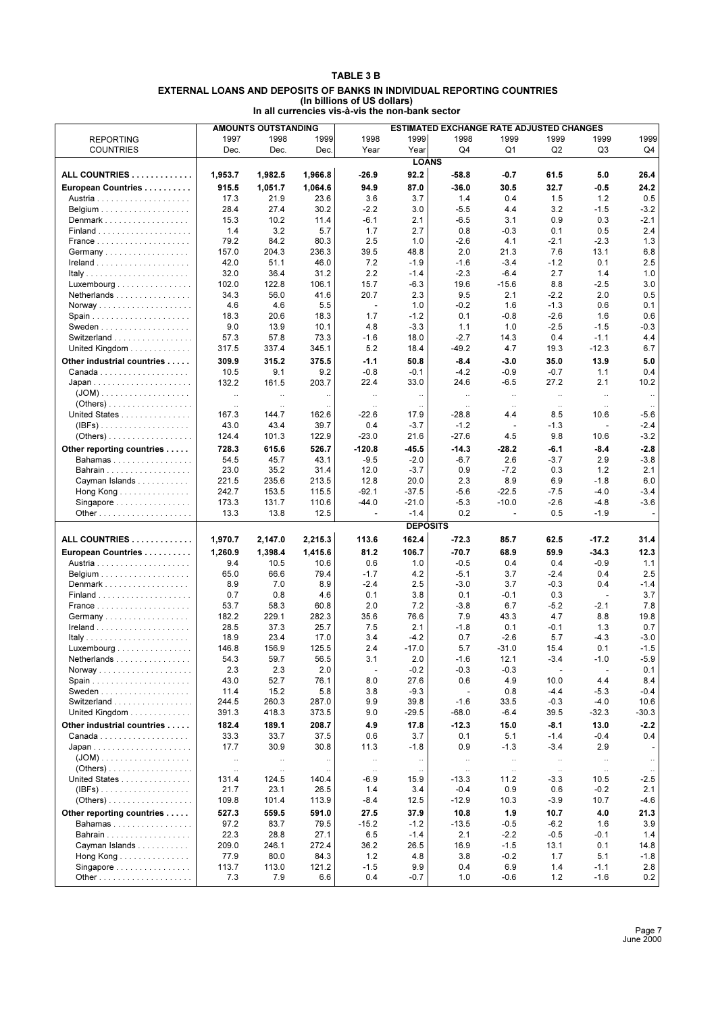#### **TABLE 3 B EXTERNAL LOANS AND DEPOSITS OF BANKS IN INDIVIDUAL REPORTING COUNTRIES (In billions of US dollars) In all currencies vis-à-vis the non-bank sector**

|                                                 |                   | <b>AMOUNTS OUTSTANDING</b> |                    |                          | ESTIMATED EXCHANGE RATE ADJUSTED CHANGES |                     |                          |                          |                          |                    |  |
|-------------------------------------------------|-------------------|----------------------------|--------------------|--------------------------|------------------------------------------|---------------------|--------------------------|--------------------------|--------------------------|--------------------|--|
| <b>REPORTING</b>                                | 1997              | 1998                       | 1999               | 1998                     | 1999                                     | 1998                | 1999                     | 1999                     | 1999                     | 1999               |  |
| <b>COUNTRIES</b>                                | Dec.              | Dec.                       | Dec.               | Year                     | Year                                     | Q4                  | Q1                       | Q2                       | Q3                       | Q4                 |  |
|                                                 |                   |                            |                    |                          | <b>LOANS</b>                             |                     |                          |                          |                          |                    |  |
|                                                 |                   |                            |                    |                          |                                          |                     |                          |                          |                          |                    |  |
| ALL COUNTRIES                                   | 1,953.7           | 1,982.5                    | 1,966.8            | -26.9                    | 92.2                                     | $-58.8$             | -0.7                     | 61.5                     | 5.0                      | 26.4               |  |
| European Countries                              | 915.5             | 1,051.7                    | 1,064.6            | 94.9                     | 87.0                                     | $-36.0$             | 30.5                     | 32.7                     | $-0.5$                   | 24.2               |  |
|                                                 | 17.3              | 21.9                       | 23.6               | 3.6                      | 3.7                                      | 1.4                 | 0.4                      | 1.5                      | 1.2                      | 0.5                |  |
|                                                 | 28.4              | 27.4                       | 30.2               | $-2.2$                   | 3.0                                      | $-5.5$              | 4.4                      | 3.2                      | $-1.5$                   | $-3.2$             |  |
| Denmark                                         | 15.3              | 10.2                       | 11.4               | -6.1                     | 2.1                                      | $-6.5$              | 3.1                      | 0.9                      | 0.3                      | $-2.1$             |  |
|                                                 | 1.4               | 3.2                        | 5.7                | 1.7                      | 2.7                                      | 0.8                 | $-0.3$                   | 0.1                      | 0.5                      | 2.4                |  |
|                                                 | 79.2              | 84.2                       | 80.3               | 2.5                      | 1.0                                      | $-2.6$              | 4.1                      | $-2.1$                   | $-2.3$                   | 1.3                |  |
| Germany                                         | 157.0             | 204.3                      | 236.3              | 39.5                     | 48.8                                     | 2.0                 | 21.3                     | 7.6                      | 13.1                     | 6.8                |  |
|                                                 | 42.0              | 51.1                       | 46.0               | 7.2                      | $-1.9$                                   | $-1.6$              | $-3.4$                   | $-1.2$                   | 0.1                      | 2.5                |  |
|                                                 | 32.0              | 36.4                       | 31.2               | 2.2                      | $-1.4$                                   | $-2.3$              | $-6.4$                   | 2.7                      | 1.4                      | 1.0                |  |
| Luxembourg $\ldots \ldots \ldots \ldots \ldots$ | 102.0             | 122.8                      | 106.1              | 15.7                     | $-6.3$                                   | 19.6                | $-15.6$                  | 8.8                      | $-2.5$                   | 3.0                |  |
| Netherlands                                     | 34.3              | 56.0                       | 41.6               | 20.7                     | 2.3                                      | 9.5                 | 2.1                      | $-2.2$                   | 2.0                      | 0.5                |  |
|                                                 | 4.6               | 4.6                        | 5.5                | $\overline{\phantom{a}}$ | 1.0                                      | $-0.2$              | 1.6                      | $-1.3$                   | 0.6                      | 0.1                |  |
|                                                 | 18.3              | 20.6                       | 18.3               | 1.7                      | $-1.2$                                   | 0.1                 | $-0.8$                   | $-2.6$                   | 1.6                      | 0.6                |  |
|                                                 | 9.0               | 13.9                       | 10.1               | 4.8                      | $-3.3$                                   | 1.1                 | 1.0                      | $-2.5$                   | $-1.5$                   | -0.3               |  |
|                                                 |                   |                            |                    |                          |                                          |                     |                          |                          |                          |                    |  |
| Switzerland                                     | 57.3              | 57.8                       | 73.3               | $-1.6$                   | 18.0                                     | $-2.7$              | 14.3                     | 0.4                      | $-1.1$                   | 4.4                |  |
| United Kingdom                                  | 317.5             | 337.4                      | 345.1              | 5.2                      | 18.4                                     | $-49.2$             | 4.7                      | 19.3                     | $-12.3$                  | 6.7                |  |
| Other industrial countries                      | 309.9             | 315.2                      | 375.5              | $-1.1$                   | 50.8                                     | $-8.4$              | $-3.0$                   | 35.0                     | 13.9                     | 5.0                |  |
|                                                 | 10.5              | 9.1                        | 9.2                | $-0.8$                   | $-0.1$                                   | $-4.2$              | $-0.9$                   | $-0.7$                   | 1.1                      | 0.4                |  |
|                                                 | 132.2             | 161.5                      | 203.7              | 22.4                     | 33.0                                     | 24.6                | $-6.5$                   | 27.2                     | 2.1                      | 10.2               |  |
| $(JOM)$                                         | $\ddotsc$         | $\ddot{\phantom{a}}$       | $\ddotsc$          | $\ddotsc$                | $\ldots$                                 | $\ddotsc$           | $\ldots$                 | $\ldots$                 | $\ddotsc$                | $\ldots$           |  |
| $( Others) \ldots \ldots \ldots \ldots \ldots$  | $\ddotsc$         | $\ddotsc$                  |                    | $\ddotsc$                | $\ddotsc$                                | $\ddotsc$           | $\ddotsc$                | $\ddotsc$                | $\ddotsc$                |                    |  |
| United States                                   | 167.3             | 144.7                      | 162.6              | $-22.6$                  | 17.9                                     | $-28.8$             | 4.4                      | 8.5                      | 10.6                     | -5.6               |  |
| $(\mathsf{IBFs})$                               | 43.0              | 43.4                       | 39.7               | 0.4                      | $-3.7$                                   | $-1.2$              | $\overline{\phantom{a}}$ | $-1.3$                   | ÷,                       | $-2.4$             |  |
| $( Others) \ldots \ldots \ldots \ldots \ldots$  | 124.4             | 101.3                      | 122.9              | $-23.0$                  | 21.6                                     | $-27.6$             | 4.5                      | 9.8                      | 10.6                     | $-3.2$             |  |
|                                                 | 728.3             | 615.6                      | 526.7              | $-120.8$                 | -45.5                                    | $-14.3$             | -28.2                    | $-6.1$                   | $-8.4$                   | $-2.8$             |  |
| Other reporting countries                       |                   |                            |                    |                          |                                          |                     |                          |                          |                          |                    |  |
| Bahamas                                         | 54.5              | 45.7                       | 43.1               | $-9.5$                   | $-2.0$                                   | $-6.7$              | 2.6                      | $-3.7$                   | 2.9                      | $-3.8$             |  |
|                                                 | 23.0              | 35.2                       | 31.4               | 12.0                     | $-3.7$                                   | 0.9                 | $-7.2$                   | 0.3                      | 1.2                      | 2.1                |  |
| Cayman Islands                                  | 221.5             | 235.6                      | 213.5              | 12.8                     | 20.0                                     | 2.3                 | 8.9                      | 6.9                      | $-1.8$                   | 6.0                |  |
| Hong Kong                                       | 242.7             | 153.5                      | 115.5              | $-92.1$                  | $-37.5$                                  | $-5.6$              | $-22.5$                  | $-7.5$                   | $-4.0$                   | $-3.4$             |  |
| Singapore                                       | 173.3             | 131.7                      | 110.6              | $-44.0$                  | $-21.0$                                  | $-5.3$              | $-10.0$                  | $-2.6$                   | $-4.8$                   | $-3.6$             |  |
|                                                 | 13.3              | 13.8                       | 12.5               | $\sim$                   | $-1.4$                                   | 0.2                 | ÷.                       | 0.5                      | $-1.9$                   | $\sim$             |  |
|                                                 |                   |                            |                    |                          | <b>DEPOSITS</b>                          |                     |                          |                          |                          |                    |  |
| ALL COUNTRIES                                   | 1,970.7           | 2,147.0                    | 2,215.3            | 113.6                    | 162.4                                    | $-72.3$             | 85.7                     | 62.5                     | -17.2                    | 31.4               |  |
| European Countries                              | 1,260.9           | 1,398.4                    | 1,415.6            | 81.2                     | 106.7                                    | $-70.7$             | 68.9                     | 59.9                     | $-34.3$                  | 12.3               |  |
|                                                 | 9.4               | 10.5                       | 10.6               | 0.6                      | 1.0                                      | $-0.5$              | 0.4                      | 0.4                      | $-0.9$                   | 1.1                |  |
|                                                 |                   |                            |                    |                          |                                          |                     |                          |                          |                          |                    |  |
|                                                 | 65.0              | 66.6                       | 79.4               | $-1.7$                   | 4.2                                      | $-5.1$              | 3.7                      | $-2.4$                   | 0.4                      | 2.5                |  |
| Denmark                                         | 8.9               | 7.0                        | 8.9                | $-2.4$                   | 2.5                                      | $-3.0$              | 3.7                      | $-0.3$                   | 0.4                      | $-1.4$             |  |
|                                                 | 0.7               | 0.8                        | 4.6                | 0.1                      | 3.8                                      | 0.1                 | $-0.1$                   | 0.3                      | $\overline{\phantom{a}}$ | 3.7                |  |
|                                                 | 53.7              | 58.3                       | 60.8               | 2.0                      | 7.2                                      | $-3.8$              | 6.7                      | $-5.2$                   | $-2.1$                   | 7.8                |  |
| Germany                                         | 182.2             | 229.1                      | 282.3              | 35.6                     | 76.6                                     | 7.9                 | 43.3                     | 4.7                      | 8.8                      | 19.8               |  |
|                                                 | 28.5              | 37.3                       | 25.7               | 7.5                      | 2.1                                      | $-1.8$              | 0.1                      | $-0.1$                   | 1.3                      | 0.7                |  |
|                                                 | 18.9              | 23.4                       | 17.0               | 3.4                      | $-4.2$                                   | 0.7                 | $-2.6$                   | 5.7                      | $-4.3$                   | $-3.0$             |  |
| Luxembourg                                      | 146.8             | 156.9                      | 125.5              | 2.4                      | $-17.0$                                  | 5.7                 | $-31.0$                  | 15.4                     | 0.1                      | $-1.5$             |  |
| <b>Netherlands</b>                              | 54.3              | 59.7                       | 56.5               | 3.1                      | 2.0                                      | $-1.6$              | 12.1                     | -3.4                     | -1.0                     | $-5.9$             |  |
|                                                 | 2.3               | 2.3                        | 2.0                | $\overline{a}$           | $-0.2$                                   | $-0.3$              | $-0.3$                   | $\overline{\phantom{a}}$ | $\overline{\phantom{a}}$ | 0.1                |  |
|                                                 | 43.0              | 52.7                       | 76.1               | 8.0                      | 27.6                                     | 0.6                 | 4.9                      | 10.0                     | 4.4                      | 8.4                |  |
|                                                 | 11.4              | 15.2                       | 5.8                | 3.8                      | $-9.3$                                   | $\overline{a}$      | 0.8                      | $-4.4$                   | $-5.3$                   | $-0.4$             |  |
| Switzerland                                     | 244.5             | 260.3                      | 287.0              | 9.9                      | 39.8                                     | $-1.6$              | 33.5                     | $-0.3$                   | $-4.0$                   | 10.6               |  |
| United Kingdom                                  | 391.3             | 418.3                      | 373.5              | 9.0                      | $-29.5$                                  | $-68.0$             | $-6.4$                   | 39.5                     | $-32.3$                  | $-30.3$            |  |
| Other industrial countries                      | 182.4             | 189.1                      | 208.7              | 4.9                      | 17.8                                     | $-12.3$             | 15.0                     | -8.1                     | 13.0                     | $-2.2$             |  |
|                                                 | 33.3              | 33.7                       | 37.5               | 0.6                      | 3.7                                      | 0.1                 | 5.1                      | $-1.4$                   | $-0.4$                   | 0.4                |  |
|                                                 | 17.7              | 30.9                       | 30.8               | 11.3                     | $-1.8$                                   | 0.9                 | $-1.3$                   | $-3.4$                   | 2.9                      |                    |  |
| $(JOM)$                                         | $\ldots$          | $\ldots$                   |                    |                          |                                          | $\ddotsc$           | $\ddots$                 | $\ldots$                 | $\ddotsc$                |                    |  |
|                                                 |                   |                            | $\ddotsc$          | $\ldots$                 | $\ldots$                                 |                     |                          |                          |                          | $\ldots$           |  |
| United States                                   | $\ldots$<br>131.4 | $\ldots$<br>124.5          | $\ddotsc$<br>140.4 | $\ldots$<br>$-6.9$       | $\ldots$<br>15.9                         | $\ldots$<br>$-13.3$ | $\ldots$<br>11.2         | $\ldots$<br>$-3.3$       | $\ldots$<br>10.5         | $\ldots$<br>$-2.5$ |  |
|                                                 | 21.7              | 23.1                       | 26.5               | 1.4                      | 3.4                                      | $-0.4$              | 0.9                      | 0.6                      | $-0.2$                   | 2.1                |  |
| $(IBFs)$                                        | 109.8             | 101.4                      | 113.9              | $-8.4$                   | 12.5                                     | $-12.9$             | 10.3                     | $-3.9$                   | 10.7                     | $-4.6$             |  |
| $( Others) \ldots \ldots \ldots \ldots \ldots$  |                   |                            |                    |                          |                                          |                     |                          |                          |                          |                    |  |
| Other reporting countries                       | 527.3             | 559.5                      | 591.0              | 27.5                     | 37.9                                     | 10.8                | 1.9                      | 10.7                     | 4.0                      | 21.3               |  |
| Bahamas                                         | 97.2              | 83.7                       | 79.5               | $-15.2$                  | $-1.2$                                   | $-13.5$             | $-0.5$                   | $-6.2$                   | 1.6                      | 3.9                |  |
|                                                 | 22.3              | 28.8                       | 27.1               | 6.5                      | $-1.4$                                   | 2.1                 | $-2.2$                   | $-0.5$                   | $-0.1$                   | 1.4                |  |
| Cayman Islands                                  | 209.0             | 246.1                      | 272.4              | 36.2                     | 26.5                                     | 16.9                | $-1.5$                   | 13.1                     | 0.1                      | 14.8               |  |
| Hong Kong                                       | 77.9              | 80.0                       | 84.3               | 1.2                      | 4.8                                      | 3.8                 | $-0.2$                   | 1.7                      | 5.1                      | $-1.8$             |  |
| Singapore                                       | 113.7             | 113.0                      | 121.2              | $-1.5$                   | 9.9                                      | 0.4                 | 6.9                      | 1.4                      | $-1.1$                   | 2.8                |  |
|                                                 | 7.3               | 7.9                        | 6.6                | 0.4                      | $-0.7$                                   | 1.0                 | $-0.6$                   | 1.2                      | $-1.6$                   | 0.2                |  |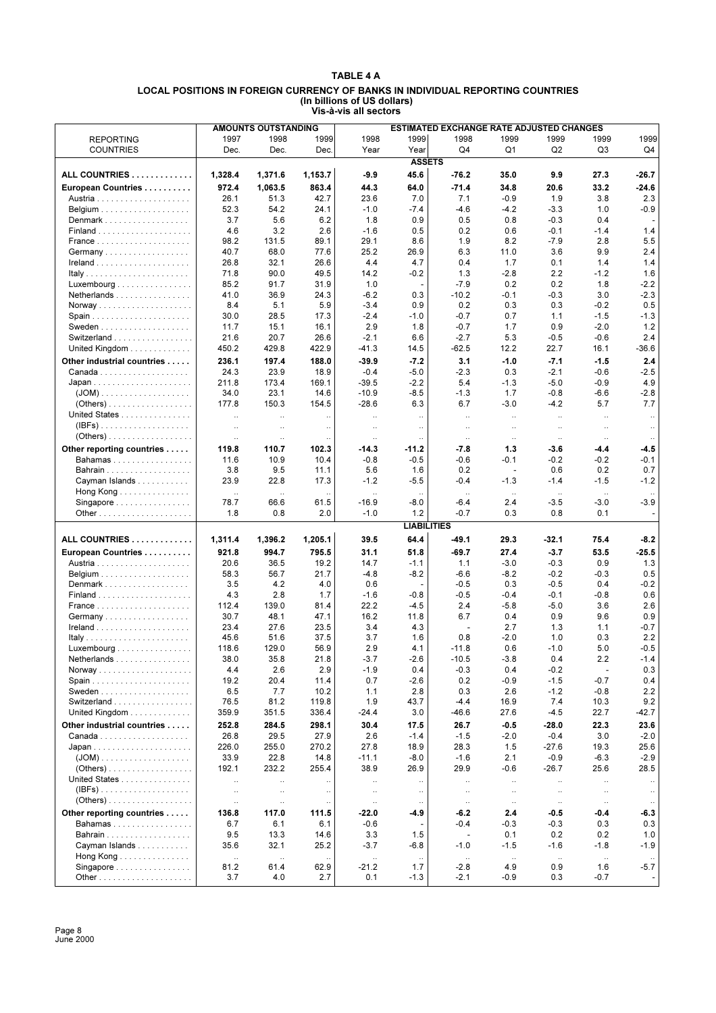#### **TABLE 4 A LOCAL POSITIONS IN FOREIGN CURRENCY OF BANKS IN INDIVIDUAL REPORTING COUNTRIES (In billions of US dollars) Vis-à-vis all sectors**

|                                                     |                      | <b>AMOUNTS OUTSTANDING</b><br><b>ESTIMATED EXCHANGE RATE ADJUSTED CHANGES</b> |                      |                      |                          |                          |                          |           |                          |           |
|-----------------------------------------------------|----------------------|-------------------------------------------------------------------------------|----------------------|----------------------|--------------------------|--------------------------|--------------------------|-----------|--------------------------|-----------|
|                                                     |                      |                                                                               |                      |                      |                          |                          |                          |           |                          |           |
| <b>REPORTING</b>                                    | 1997                 | 1998                                                                          | 1999                 | 1998                 | 1999                     | 1998                     | 1999                     | 1999      | 1999                     | 1999      |
| <b>COUNTRIES</b>                                    | Dec.                 | Dec.                                                                          | Dec.                 | Year                 | Year                     | Q <sub>4</sub>           | Q <sub>1</sub>           | Q2        | Q3                       | Q4        |
|                                                     |                      |                                                                               |                      |                      |                          |                          |                          |           |                          |           |
|                                                     |                      |                                                                               |                      |                      | <b>ASSETS</b>            |                          |                          |           |                          |           |
| ALL COUNTRIES                                       | 1,328.4              | 1,371.6                                                                       | 1,153.7              | $-9.9$               | 45.6                     | $-76.2$                  | 35.0                     | 9.9       | 27.3                     | $-26.7$   |
|                                                     |                      |                                                                               |                      |                      |                          |                          |                          |           |                          |           |
| European Countries                                  | 972.4                | 1,063.5                                                                       | 863.4                | 44.3                 | 64.0                     | $-71.4$                  | 34.8                     | 20.6      | 33.2                     | -24.6     |
|                                                     | 26.1                 | 51.3                                                                          | 42.7                 | 23.6                 | 7.0                      | 7.1                      | $-0.9$                   | 1.9       | 3.8                      | 2.3       |
|                                                     |                      |                                                                               |                      |                      |                          |                          |                          |           |                          |           |
|                                                     | 52.3                 | 54.2                                                                          | 24.1                 | $-1.0$               | $-7.4$                   | $-4.6$                   | $-4.2$                   | $-3.3$    | 1.0                      | $-0.9$    |
| Denmark                                             | 3.7                  | 5.6                                                                           | 6.2                  | 1.8                  | 0.9                      | 0.5                      | 0.8                      | $-0.3$    | 0.4                      |           |
|                                                     | 4.6                  | 3.2                                                                           | 2.6                  | $-1.6$               | 0.5                      | 0.2                      | 0.6                      | $-0.1$    | $-1.4$                   | 1.4       |
|                                                     |                      |                                                                               |                      |                      |                          |                          |                          |           |                          |           |
|                                                     | 98.2                 | 131.5                                                                         | 89.1                 | 29.1                 | 8.6                      | 1.9                      | 8.2                      | $-7.9$    | 2.8                      | 5.5       |
|                                                     | 40.7                 | 68.0                                                                          | 77.6                 | 25.2                 | 26.9                     | 6.3                      | 11.0                     | 3.6       | 9.9                      | 2.4       |
|                                                     |                      |                                                                               |                      |                      |                          |                          |                          |           |                          |           |
|                                                     | 26.8                 | 32.1                                                                          | 26.6                 | 4.4                  | 4.7                      | 0.4                      | 1.7                      | 0.1       | 1.4                      | 1.4       |
| Italy                                               | 71.8                 | 90.0                                                                          | 49.5                 | 14.2                 | $-0.2$                   | 1.3                      | $-2.8$                   | 2.2       | $-1.2$                   | 1.6       |
| Luxembourg $\ldots \ldots \ldots \ldots \ldots$     | 85.2                 | 91.7                                                                          | 31.9                 | 1.0                  | $\overline{\phantom{a}}$ | $-7.9$                   | 0.2                      | 0.2       | 1.8                      | $-2.2$    |
|                                                     |                      |                                                                               |                      |                      |                          |                          |                          |           |                          |           |
| Netherlands                                         | 41.0                 | 36.9                                                                          | 24.3                 | $-6.2$               | 0.3                      | $-10.2$                  | -0.1                     | $-0.3$    | 3.0                      | $-2.3$    |
|                                                     | 8.4                  | 5.1                                                                           | 5.9                  | $-3.4$               | 0.9                      | 0.2                      | 0.3                      | 0.3       | $-0.2$                   | 0.5       |
| Spain                                               | 30.0                 | 28.5                                                                          | 17.3                 | $-2.4$               | $-1.0$                   | $-0.7$                   | 0.7                      | 1.1       | $-1.5$                   | $-1.3$    |
|                                                     |                      |                                                                               |                      |                      |                          |                          |                          |           |                          |           |
|                                                     | 11.7                 | 15.1                                                                          | 16.1                 | 2.9                  | 1.8                      | $-0.7$                   | 1.7                      | 0.9       | $-2.0$                   | 1.2       |
| Switzerland                                         | 21.6                 | 20.7                                                                          | 26.6                 | $-2.1$               | 6.6                      | $-2.7$                   | 5.3                      | $-0.5$    | $-0.6$                   | 2.4       |
|                                                     |                      |                                                                               | 422.9                |                      |                          | $-62.5$                  |                          | 22.7      |                          |           |
| United Kingdom                                      | 450.2                | 429.8                                                                         |                      | $-41.3$              | 14.5                     |                          | 12.2                     |           | 16.1                     | $-36.6$   |
| Other industrial countries                          | 236.1                | 197.4                                                                         | 188.0                | $-39.9$              | $-7.2$                   | 3.1                      | $-1.0$                   | $-7.1$    | $-1.5$                   | 2.4       |
|                                                     |                      |                                                                               |                      |                      |                          |                          |                          |           |                          |           |
|                                                     | 24.3                 | 23.9                                                                          | 18.9                 | $-0.4$               | $-5.0$                   | $-2.3$                   | 0.3                      | $-2.1$    | $-0.6$                   | $-2.5$    |
|                                                     | 211.8                | 173.4                                                                         | 169.1                | $-39.5$              | $-2.2$                   | 5.4                      | $-1.3$                   | $-5.0$    | $-0.9$                   | 4.9       |
| $(JOM)$                                             | 34.0                 | 23.1                                                                          | 14.6                 | $-10.9$              | $-8.5$                   | $-1.3$                   | 1.7                      | $-0.8$    | -6.6                     | $-2.8$    |
|                                                     |                      |                                                                               |                      |                      |                          |                          |                          |           |                          |           |
| $( Others) \ldots \ldots \ldots \ldots \ldots$      | 177.8                | 150.3                                                                         | 154.5                | $-28.6$              | 6.3                      | 6.7                      | $-3.0$                   | $-4.2$    | 5.7                      | 7.7       |
| United States                                       | $\ddotsc$            | $\ddotsc$                                                                     | $\ddotsc$            | $\ldots$             | $\ddotsc$                | $\ldots$                 | $\ldots$                 | $\ddotsc$ | $\ddotsc$                | $\ddotsc$ |
| $(IBFs)$                                            |                      |                                                                               |                      |                      |                          |                          |                          |           |                          |           |
|                                                     | $\ddot{\phantom{0}}$ | $\ddot{\phantom{0}}$                                                          | $\ddotsc$            | $\ldots$             | $\ldots$                 | $\ldots$                 | $\ldots$                 | $\ddotsc$ | $\ldots$                 | $\ldots$  |
|                                                     | $\ddotsc$            | $\ldots$                                                                      |                      | $\ddot{\phantom{0}}$ | $\ddot{\phantom{0}}$     | $\cdot$ .                | $\ldots$                 | $\ldots$  | $\ldots$                 | $\ldots$  |
| Other reporting countries                           | 119.8                | 110.7                                                                         | 102.3                | -14.3                | $-11.2$                  | $-7.8$                   | 1.3                      | -3.6      | -4.4                     | $-4.5$    |
|                                                     |                      |                                                                               |                      |                      |                          |                          |                          |           |                          |           |
| <b>Bahamas</b>                                      | 11.6                 | 10.9                                                                          | 10.4                 | $-0.8$               | $-0.5$                   | $-0.6$                   | -0.1                     | $-0.2$    | $-0.2$                   | $-0.1$    |
|                                                     | 3.8                  | 9.5                                                                           | 11.1                 | 5.6                  | 1.6                      | 0.2                      | $\overline{\phantom{a}}$ | 0.6       | 0.2                      | 0.7       |
|                                                     |                      |                                                                               |                      |                      |                          |                          |                          |           |                          |           |
| Cayman Islands                                      | 23.9                 | 22.8                                                                          | 17.3                 | $-1.2$               | $-5.5$                   | $-0.4$                   | $-1.3$                   | $-1.4$    | $-1.5$                   | $-1.2$    |
| Hong Kong $\ldots \ldots \ldots \ldots$             | $\ddotsc$            | $\ddotsc$                                                                     | $\ddot{\phantom{a}}$ | $\ddotsc$            | $\ddotsc$                | $\ldots$                 | $\ddotsc$                | $\ddotsc$ | $\ddot{\phantom{a}}$     | $\ddotsc$ |
| Singapore $\ldots \ldots \ldots \ldots \ldots$      | 78.7                 | 66.6                                                                          | 61.5                 | $-16.9$              | $-8.0$                   | -6.4                     | 2.4                      | $-3.5$    | $-3.0$                   | $-3.9$    |
|                                                     |                      |                                                                               |                      |                      |                          |                          |                          |           |                          |           |
|                                                     | 1.8                  | 0.8                                                                           | 2.0                  | $-1.0$               | 1.2                      | $-0.7$                   | 0.3                      | 0.8       | 0.1                      |           |
|                                                     |                      |                                                                               |                      |                      | <b>LIABILITIES</b>       |                          |                          |           |                          |           |
|                                                     |                      |                                                                               |                      |                      |                          |                          |                          |           |                          |           |
| ALL COUNTRIES                                       | 1,311.4              | 1,396.2                                                                       | 1,205.1              | 39.5                 | 64.4                     | -49.1                    | 29.3                     | $-32.1$   | 75.4                     | $-8.2$    |
|                                                     |                      |                                                                               |                      |                      |                          |                          |                          |           |                          |           |
| European Countries                                  | 921.8                | 994.7                                                                         | 795.5                | 31.1                 | 51.8                     | $-69.7$                  | 27.4                     | $-3.7$    | 53.5                     | $-25.5$   |
|                                                     | 20.6                 | 36.5                                                                          | 19.2                 | 14.7                 | $-1.1$                   | 1.1                      | $-3.0$                   | $-0.3$    | 0.9                      | 1.3       |
|                                                     |                      |                                                                               |                      |                      |                          |                          |                          |           |                          |           |
|                                                     | 58.3                 | 56.7                                                                          | 21.7                 | $-4.8$               | $-8.2$                   | $-6.6$                   | $-8.2$                   | $-0.2$    | $-0.3$                   | 0.5       |
| Denmark                                             | 3.5                  | 4.2                                                                           | 4.0                  | 0.6                  |                          | $-0.5$                   | 0.3                      | $-0.5$    | 0.4                      | $-0.2$    |
|                                                     | 4.3                  | 2.8                                                                           | 1.7                  | $-1.6$               | $-0.8$                   | $-0.5$                   | $-0.4$                   | $-0.1$    | $-0.8$                   | 0.6       |
|                                                     |                      |                                                                               |                      |                      |                          |                          |                          |           |                          |           |
|                                                     | 112.4                | 139.0                                                                         | 81.4                 | 22.2                 | $-4.5$                   | 2.4                      | $-5.8$                   | $-5.0$    | 3.6                      | 2.6       |
| Germany                                             | 30.7                 | 48.1                                                                          | 47.1                 | 16.2                 | 11.8                     | 6.7                      | 0.4                      | 0.9       | 9.6                      | 0.9       |
|                                                     | 23.4                 | 27.6                                                                          | 23.5                 | 3.4                  | 4.3                      | $\mathbf{r}$             | 2.7                      | 1.3       | 1.1                      | $-0.7$    |
|                                                     |                      |                                                                               |                      |                      |                          |                          |                          |           |                          |           |
|                                                     | 45.6                 | 51.6                                                                          | 37.5                 | 3.7                  | 1.6                      | 0.8                      | $-2.0$                   | 1.0       | 0.3                      | 2.2       |
| Luxembourg                                          | 118.6                | 129.0                                                                         | 56.9                 | 2.9                  | 4.1                      | $-11.8$                  | 0.6                      | $-1.0$    | 5.0                      | $-0.5$    |
|                                                     |                      |                                                                               |                      |                      |                          |                          |                          |           |                          |           |
| $N$ etheriands $\ldots \ldots \ldots \ldots \ldots$ | 38.0                 | 35.8                                                                          | 21.8                 | $-3.7$               | $-2.6$                   | $-10.5$                  | $-3.8$                   | 0.4       | 2.2                      | $-1.4$    |
|                                                     | 4.4                  | 2.6                                                                           | 2.9                  | $-1.9$               | 0.4                      | $-0.3$                   | 0.4                      | $-0.2$    | $\overline{\phantom{a}}$ | 0.3       |
|                                                     | 19.2                 | 20.4                                                                          | 11.4                 | 0.7                  | -2.6                     | 0.2                      | -0.9                     | $-1.5$    | $-0.7$                   | 0.4       |
|                                                     |                      |                                                                               |                      |                      |                          |                          |                          |           |                          |           |
|                                                     | 6.5                  | 7.7                                                                           | 10.2                 | 1.1                  | 2.8                      | 0.3                      | 2.6                      | $-1.2$    | $-0.8$                   | 2.2       |
| Switzerland                                         | 76.5                 | 81.2                                                                          | 119.8                | 1.9                  | 43.7                     | $-4.4$                   | 16.9                     | 7.4       | 10.3                     | 9.2       |
| United Kingdom                                      | 359.9                | 351.5                                                                         | 336.4                | $-24.4$              | 3.0                      | -46.6                    | 27.6                     | $-4.5$    | 22.7                     | $-42.7$   |
|                                                     |                      |                                                                               |                      |                      |                          |                          |                          |           |                          |           |
| Other industrial countries                          | 252.8                | 284.5                                                                         | 298.1                | 30.4                 | 17.5                     | 26.7                     | $-0.5$                   | $-28.0$   | 22.3                     | 23.6      |
|                                                     | 26.8                 | 29.5                                                                          | 27.9                 | 2.6                  | $-1.4$                   | $-1.5$                   | $-2.0$                   | $-0.4$    | 3.0                      | $-2.0$    |
|                                                     |                      |                                                                               |                      |                      |                          |                          |                          |           |                          |           |
|                                                     | 226.0                | 255.0                                                                         | 270.2                | 27.8                 | 18.9                     | 28.3                     | 1.5                      | $-27.6$   | 19.3                     | 25.6      |
|                                                     | 33.9                 | 22.8                                                                          | 14.8                 | $-11.1$              | $-8.0$                   | $-1.6$                   | 2.1                      | $-0.9$    | $-6.3$                   | $-2.9$    |
|                                                     | 192.1                | 232.2                                                                         | 255.4                | 38.9                 | 26.9                     | 29.9                     | -0.6                     | $-26.7$   | 25.6                     | 28.5      |
|                                                     |                      |                                                                               |                      |                      |                          |                          |                          |           |                          |           |
| United States                                       | $\ldots$             | $\ldots$                                                                      |                      | $\ldots$             | $\ldots$                 | $\ddotsc$                | $\ldots$                 | $\ddotsc$ | $\ldots$                 | $\cdot$ . |
| $(IBFs)$                                            | $\ldots$             | $\ddotsc$                                                                     | $\ldots$             | $\ldots$             | $\ldots$                 | $\ddot{\phantom{1}}$     | $\ddotsc$                | $\ldots$  | $\ldots$                 | $\ldots$  |
|                                                     |                      |                                                                               |                      |                      |                          |                          |                          |           |                          |           |
|                                                     | $\ldots$             | $\ddotsc$                                                                     | $\cdot$ .            | $\ldots$             | $\cdot$ .                | $\cdot$ .                | $\ldots$                 | $\ddotsc$ | $\ldots$                 |           |
| Other reporting countries                           | 136.8                | 117.0                                                                         | 111.5                | -22.0                | -4.9                     | $-6.2$                   | 2.4                      | -0.5      | -0.4                     | $-6.3$    |
|                                                     |                      |                                                                               |                      |                      |                          |                          |                          |           |                          |           |
| Bahamas                                             | 6.7                  | 6.1                                                                           | 6.1                  | $-0.6$               |                          | $-0.4$                   | $-0.3$                   | $-0.3$    | 0.3                      | 0.3       |
| Bahrain                                             | 9.5                  | 13.3                                                                          | 14.6                 | 3.3                  | 1.5                      | $\overline{\phantom{a}}$ | 0.1                      | 0.2       | 0.2                      | 1.0       |
| Cayman Islands                                      | 35.6                 | 32.1                                                                          | 25.2                 | $-3.7$               | $-6.8$                   | $-1.0$                   | $-1.5$                   | $-1.6$    | $-1.8$                   | $-1.9$    |
|                                                     |                      |                                                                               |                      |                      |                          |                          |                          |           |                          |           |
| Hong Kong $\ldots \ldots \ldots \ldots$             | $\ldots$             | $\ldots$                                                                      |                      | $\ldots$             | $\ddotsc$                | $\cdot$ .                | $\ldots$                 | $\ldots$  | $\ldots$                 |           |
| Singapore                                           | 81.2                 | 61.4                                                                          | 62.9                 | $-21.2$              | 1.7                      | $-2.8$                   | 4.9                      | 0.9       | 1.6                      | $-5.7$    |
|                                                     |                      |                                                                               |                      |                      |                          |                          |                          |           |                          |           |
|                                                     | 3.7                  | 4.0                                                                           | 2.7                  | 0.1                  | $-1.3$                   | $-2.1$                   | $-0.9$                   | 0.3       | $-0.7$                   |           |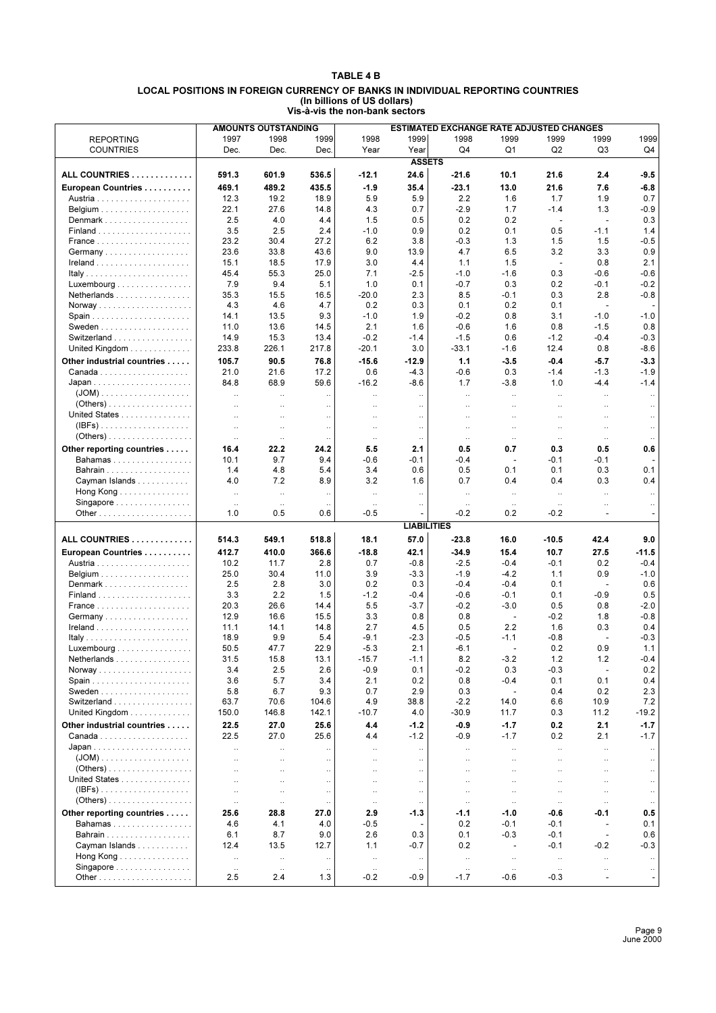#### **TABLE 4 B LOCAL POSITIONS IN FOREIGN CURRENCY OF BANKS IN INDIVIDUAL REPORTING COUNTRIES (In billions of US dollars) Vis-à-vis the non-bank sectors**

|                                                     |                      | <b>AMOUNTS OUTSTANDING</b> |                      |                      |                          | <b>ESTIMATED EXCHANGE RATE ADJUSTED CHANGES</b> |                          |                          |                          |           |
|-----------------------------------------------------|----------------------|----------------------------|----------------------|----------------------|--------------------------|-------------------------------------------------|--------------------------|--------------------------|--------------------------|-----------|
|                                                     | 1997                 | 1998                       | 1999                 | 1998                 | 1999                     | 1998                                            | 1999                     | 1999                     | 1999                     | 1999      |
| <b>REPORTING</b>                                    |                      |                            |                      |                      |                          |                                                 |                          |                          |                          |           |
| <b>COUNTRIES</b>                                    | Dec.                 | Dec.                       | Dec.                 | Year                 | Year                     | Q <sub>4</sub>                                  | Q1                       | Q <sub>2</sub>           | Q3                       | Q4        |
|                                                     |                      |                            |                      |                      | <b>ASSETS</b>            |                                                 |                          |                          |                          |           |
| ALL COUNTRIES                                       | 591.3                | 601.9                      | 536.5                | $-12.1$              | 24.6                     | $-21.6$                                         | 10.1                     | 21.6                     | 2.4                      | $-9.5$    |
| European Countries                                  | 469.1                | 489.2                      | 435.5                | $-1.9$               | 35.4                     | $-23.1$                                         | 13.0                     | 21.6                     | 7.6                      | $-6.8$    |
|                                                     | 12.3                 | 19.2                       | 18.9                 | 5.9                  | 5.9                      | 2.2                                             | 1.6                      | 1.7                      | 1.9                      | 0.7       |
|                                                     |                      |                            |                      |                      |                          |                                                 |                          |                          |                          |           |
|                                                     | 22.1                 | 27.6                       | 14.8                 | 4.3                  | 0.7                      | $-2.9$                                          | 1.7                      | $-1.4$                   | 1.3                      | $-0.9$    |
| Denmark                                             | 2.5                  | 4.0                        | 4.4                  | 1.5                  | 0.5                      | 0.2                                             | 0.2                      | ÷,                       | $\sim$                   | 0.3       |
|                                                     | 3.5                  | 2.5                        | 2.4                  | $-1.0$               | 0.9                      | 0.2                                             | 0.1                      | 0.5                      | $-1.1$                   | 1.4       |
|                                                     | 23.2                 | 30.4                       | 27.2                 | 6.2                  | 3.8                      | $-0.3$                                          | 1.3                      | 1.5                      | 1.5                      | $-0.5$    |
| Germany                                             | 23.6                 | 33.8                       | 43.6                 | 9.0                  | 13.9                     | 4.7                                             | 6.5                      | 3.2                      | 3.3                      | 0.9       |
|                                                     | 15.1                 | 18.5                       | 17.9                 | 3.0                  | 4.4                      | 1.1                                             | 1.5                      | $\overline{\phantom{a}}$ | 0.8                      | 2.1       |
| Italy                                               | 45.4                 | 55.3                       | 25.0                 | 7.1                  | $-2.5$                   | $-1.0$                                          | $-1.6$                   | 0.3                      | $-0.6$                   | $-0.6$    |
|                                                     |                      |                            |                      |                      |                          |                                                 |                          |                          |                          |           |
| $Luxembourg \ldots  \ldots $                        | 7.9                  | 9.4                        | 5.1                  | 1.0                  | 0.1                      | $-0.7$                                          | 0.3                      | 0.2                      | $-0.1$                   | $-0.2$    |
| Netherlands                                         | 35.3                 | 15.5                       | 16.5                 | $-20.0$              | 2.3                      | 8.5                                             | $-0.1$                   | 0.3                      | 2.8                      | $-0.8$    |
|                                                     | 4.3                  | 4.6                        | 4.7                  | 0.2                  | 0.3                      | 0.1                                             | 0.2                      | 0.1                      | $\blacksquare$           |           |
| Spain                                               | 14.1                 | 13.5                       | 9.3                  | $-1.0$               | 1.9                      | $-0.2$                                          | 0.8                      | 3.1                      | $-1.0$                   | -1.0      |
|                                                     | 11.0                 | 13.6                       | 14.5                 | 2.1                  | 1.6                      | $-0.6$                                          | 1.6                      | 0.8                      | $-1.5$                   | 0.8       |
| Switzerland                                         | 14.9                 | 15.3                       | 13.4                 | $-0.2$               | $-1.4$                   | $-1.5$                                          | 0.6                      | $-1.2$                   | $-0.4$                   | $-0.3$    |
| United Kingdom                                      | 233.8                | 226.1                      | 217.8                | $-20.1$              | 3.0                      | $-33.1$                                         | $-1.6$                   | 12.4                     | 0.8                      | $-8.6$    |
|                                                     |                      |                            |                      |                      |                          |                                                 |                          |                          |                          |           |
| Other industrial countries                          | 105.7                | 90.5                       | 76.8                 | $-15.6$              | $-12.9$                  | 1.1                                             | $-3.5$                   | $-0.4$                   | $-5.7$                   | $-3.3$    |
|                                                     | 21.0                 | 21.6                       | 17.2                 | 0.6                  | $-4.3$                   | $-0.6$                                          | 0.3                      | $-1.4$                   | $-1.3$                   | $-1.9$    |
|                                                     | 84.8                 | 68.9                       | 59.6                 | $-16.2$              | -8.6                     | 1.7                                             | $-3.8$                   | 1.0                      | $-4.4$                   | $-1.4$    |
|                                                     | v.                   | $\ddotsc$                  | $\ddotsc$            | $\ddotsc$            | $\ddotsc$                | $\ddotsc$                                       | $\ddotsc$                | $\ddotsc$                | $\ddot{\phantom{a}}$     | $\ldots$  |
|                                                     | $\ddotsc$            | $\ddotsc$                  | $\ddotsc$            | $\ddotsc$            | $\ldots$                 | $\ddotsc$                                       | $\ldots$                 | $\ddotsc$                |                          | $\ldots$  |
| United States                                       |                      |                            |                      |                      |                          |                                                 |                          |                          |                          |           |
|                                                     | $\ddotsc$            | $\ddotsc$                  | $\ddot{\phantom{0}}$ | $\ddotsc$            | $\ldots$                 | $\ddotsc$                                       | $\ldots$                 | $\ddotsc$                | $\ddotsc$                | $\ldots$  |
| $(IBFs)$                                            | $\ddotsc$            | $\ddotsc$                  | $\ddotsc$            | $\ddotsc$            | $\ldots$                 | $\ldots$                                        | $\ddotsc$                | $\ddotsc$                | $\ddotsc$                | $\ldots$  |
| $(Others)$                                          | $\ldots$             | $\ldots$                   | $\ddotsc$            | $\ldots$             | $\cdot$ .                | $\ldots$                                        | $\ldots$                 | $\ldots$                 | $\ldots$                 |           |
| Other reporting countries                           | 16.4                 | 22.2                       | 24.2                 | 5.5                  | 2.1                      | 0.5                                             | 0.7                      | 0.3                      | 0.5                      | 0.6       |
| Bahamas                                             | 10.1                 | 9.7                        | 9.4                  | $-0.6$               | -0.1                     | -0.4                                            | $\overline{\phantom{a}}$ | $-0.1$                   | $-0.1$                   |           |
|                                                     | 1.4                  | 4.8                        | 5.4                  | 3.4                  | 0.6                      | 0.5                                             | 0.1                      | 0.1                      | 0.3                      | 0.1       |
| Cayman Islands                                      | 4.0                  | 7.2                        | 8.9                  | 3.2                  | 1.6                      | 0.7                                             | 0.4                      | 0.4                      | 0.3                      | 0.4       |
|                                                     |                      |                            |                      |                      |                          |                                                 |                          |                          |                          |           |
| Hong Kong                                           | $\ddot{\phantom{a}}$ | $\ddotsc$                  | $\ddotsc$            | $\ddotsc$            | $\ddot{\phantom{a}}$     | $\ddot{\phantom{a}}$                            | $\ldots$                 | $\ldots$                 | $\ddot{\phantom{a}}$     | $\ddotsc$ |
| Singapore $\ldots \ldots \ldots \ldots \ldots$      | $\cdot$ .            | $\cdot$ .                  |                      | $\ldots$             | $\ddotsc$                | $\ddotsc$                                       | $\ldots$                 | $\ldots$                 | $\ddotsc$                | $\ldots$  |
|                                                     | 1.0                  | 0.5                        | 0.6                  | $-0.5$               |                          | $-0.2$                                          | 0.2                      | $-0.2$                   | $\overline{\phantom{a}}$ |           |
|                                                     |                      |                            |                      |                      | <b>LIABILITIES</b>       |                                                 |                          |                          |                          |           |
| ALL COUNTRIES                                       | 514.3                | 549.1                      | 518.8                | 18.1                 | 57.0                     | $-23.8$                                         | 16.0                     | $-10.5$                  | 42.4                     | 9.0       |
|                                                     |                      |                            |                      |                      |                          |                                                 |                          |                          |                          |           |
| European Countries                                  | 412.7                | 410.0                      | 366.6                | $-18.8$              | 42.1                     | $-34.9$                                         | 15.4                     | 10.7                     | 27.5                     | -11.5     |
|                                                     | 10.2                 | 11.7                       | 2.8                  | 0.7                  | $-0.8$                   | $-2.5$                                          | $-0.4$                   | $-0.1$                   | 0.2                      | $-0.4$    |
|                                                     | 25.0                 | 30.4                       | 11.0                 | 3.9                  | $-3.3$                   | $-1.9$                                          | $-4.2$                   | 1.1                      | 0.9                      | -1.0      |
| Denmark                                             | 2.5                  | 2.8                        | 3.0                  | 0.2                  | 0.3                      | $-0.4$                                          | $-0.4$                   | 0.1                      | $\overline{\phantom{a}}$ | 0.6       |
|                                                     | 3.3                  | 2.2                        | 1.5                  | $-1.2$               | -0.4                     | $-0.6$                                          | $-0.1$                   | 0.1                      | $-0.9$                   | 0.5       |
|                                                     | 20.3                 | 26.6                       | 14.4                 | 5.5                  | $-3.7$                   | $-0.2$                                          | $-3.0$                   | 0.5                      | 0.8                      | $-2.0$    |
|                                                     |                      |                            |                      |                      |                          |                                                 |                          |                          |                          |           |
| Germany                                             | 12.9                 | 16.6                       | 15.5                 | 3.3                  | 0.8                      | 0.8                                             | $\overline{\phantom{a}}$ | $-0.2$                   | 1.8                      | $-0.8$    |
|                                                     | 11.1                 | 14.1                       | 14.8                 | 2.7                  | 4.5                      | 0.5                                             | 2.2                      | 1.6                      | 0.3                      | 0.4       |
|                                                     | 18.9                 | 9.9                        | 5.4                  | -9.1                 | $-2.3$                   | $-0.5$                                          | $-1.1$                   | $-0.8$                   | ÷,                       | $-0.3$    |
| Luxembourg                                          | 50.5                 | 47.7                       | 22.9                 | $-5.3$               | 2.1                      | $-6.1$                                          | ÷                        | 0.2                      | 0.9                      | 1.1       |
| $N$ etheriands $\ldots \ldots \ldots \ldots \ldots$ | 31.5                 | 15.8                       | 13.1                 | $-15.7$              | -1.1                     | 8.2                                             | $-3.2$                   | 1.2                      | 1.2                      | $-0.4$    |
|                                                     | 3.4                  | 2.5                        | 2.6                  | $-0.9$               | 0.1                      | $-0.2$                                          | 0.3                      | $-0.3$                   | $\overline{\phantom{a}}$ | 0.2       |
|                                                     | 3.6                  | 5.7                        | 3.4                  | 2.1                  | 0.2                      | 0.8                                             | $-0.4$                   | 0.1                      | 0.1                      | 0.4       |
|                                                     | 5.8                  | 6.7                        | 9.3                  | 0.7                  | 2.9                      | 0.3                                             | $\overline{\phantom{a}}$ | 0.4                      | 0.2                      | 2.3       |
| Switzerland                                         | 63.7                 | 70.6                       | 104.6                | 4.9                  | 38.8                     | $-2.2$                                          | 14.0                     | 6.6                      | 10.9                     | 7.2       |
|                                                     |                      |                            |                      |                      |                          |                                                 |                          |                          |                          |           |
| United Kingdom                                      | 150.0                | 146.8                      | 142.1                | $-10.7$              | 4.0                      | $-30.9$                                         | 11.7                     | 0.3                      | 11.2                     | $-19.2$   |
| Other industrial countries                          | 22.5                 | 27.0                       | 25.6                 | 4.4                  | -1.2                     | -0.9                                            | $-1.7$                   | 0.2                      | 2.1                      | $-1.7$    |
|                                                     | 22.5                 | 27.0                       | 25.6                 | 4.4                  | $-1.2$                   | $-0.9$                                          | $-1.7$                   | 0.2                      | 2.1                      | $-1.7$    |
|                                                     | v.                   | $\ddotsc$                  |                      | $\ddot{\phantom{a}}$ | $\ddotsc$                | $\ddotsc$                                       | $\ddotsc$                | $\ddot{\phantom{1}}$     | $\ddot{\phantom{a}}$     |           |
|                                                     |                      | $\ddotsc$                  | $\ldots$             | $\ddotsc$            | $\ldots$                 | $\ddotsc$                                       | $\ldots$                 | $\ddotsc$                |                          | $\ldots$  |
|                                                     |                      |                            |                      |                      |                          |                                                 |                          |                          |                          |           |
|                                                     | $\ddot{\phantom{a}}$ | $\ddotsc$                  | $\ldots$             | $\ddotsc$            | $\ldots$                 | $\ddotsc$                                       | $\ddotsc$                | $\ddotsc$                | $\ddotsc$                | $\ldots$  |
| United States                                       | $\ddot{\phantom{a}}$ | $\ddotsc$                  | $\ddotsc$            | $\ddotsc$            | $\ldots$                 | $\ddotsc$                                       | $\ddotsc$                | $\ddotsc$                | $\ddotsc$                | $\ldots$  |
| $(IBFs)$                                            | $\ddot{\phantom{0}}$ | $\ddotsc$                  | $\ddotsc$            | $\ddotsc$            | $\ldots$                 | $\ddotsc$                                       | $\ddotsc$                | $\ddotsc$                | $\ddotsc$                | $\ddotsc$ |
| $(Others) \ldots \ldots \ldots \ldots \ldots$       | $\ddot{\phantom{0}}$ | $\ldots$                   | $\ldots$             | $\ldots$             | $\ldots$                 | $\ldots$                                        | $\ldots$                 | $\cdot$ .                | $\ldots$                 | $\cdot$ . |
| Other reporting countries                           | 25.6                 | 28.8                       | 27.0                 | 2.9                  | -1.3                     | $-1.1$                                          | $-1.0$                   | $-0.6$                   | -0.1                     | 0.5       |
| Bahamas                                             | 4.6                  | 4.1                        | 4.0                  | -0.5                 | $\overline{\phantom{a}}$ | 0.2                                             | $-0.1$                   | $-0.1$                   | $\overline{\phantom{a}}$ | 0.1       |
| Bahrain                                             | 6.1                  | 8.7                        | 9.0                  | 2.6                  | 0.3                      | 0.1                                             | $-0.3$                   | $-0.1$                   | $\overline{\phantom{a}}$ | 0.6       |
|                                                     |                      |                            |                      |                      |                          |                                                 |                          |                          |                          |           |
| Cayman Islands                                      | 12.4                 | 13.5                       | 12.7                 | 1.1                  | $-0.7$                   | 0.2                                             | $\overline{\phantom{a}}$ | -0.1                     | $-0.2$                   | -0.3      |
| Hong Kong $\ldots \ldots \ldots \ldots$             | $\ldots$             | $\ldots$                   | $\ldots$             | $\ldots$             | $\ldots$                 | $\ldots$                                        | $\cdot$ .                | $\ddotsc$                | $\ldots$                 | $\ldots$  |
| Singapore                                           | $\ldots$             | $\ldots$                   | $\ddotsc$            | $\ldots$             | $\ddotsc$                | $\ddotsc$                                       | $\ldots$                 | $\ldots$                 | $\ddotsc$                | $\ldots$  |
|                                                     | 2.5                  | 2.4                        | 1.3                  | $-0.2$               | $-0.9$                   | $-1.7$                                          | $-0.6$                   | $-0.3$                   | $\blacksquare$           |           |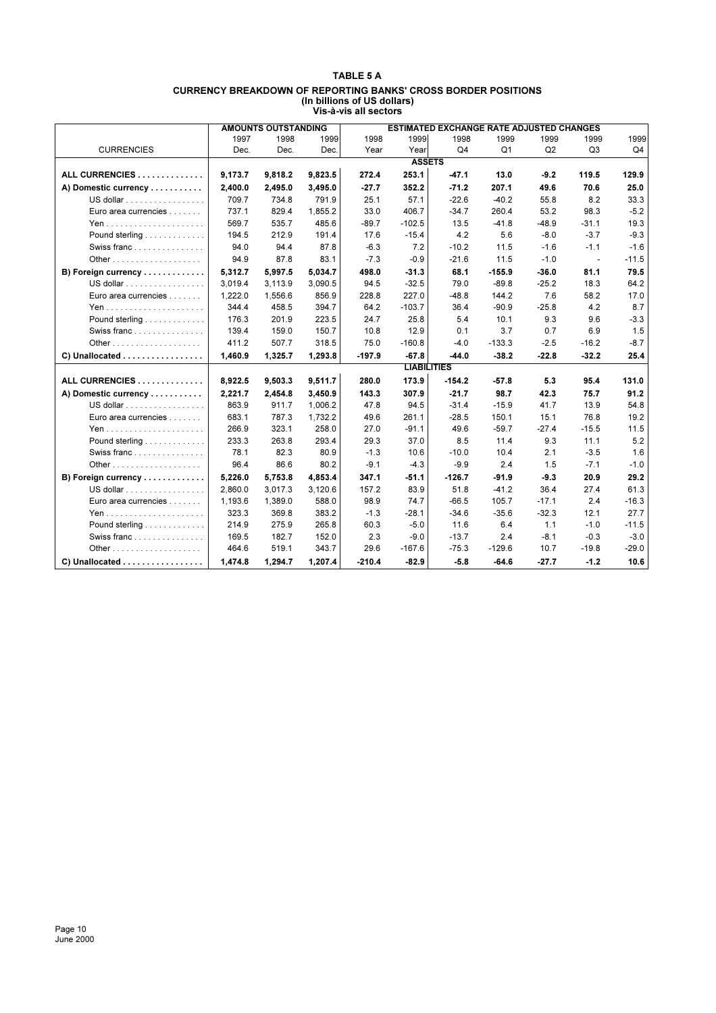#### **TABLE 5 A CURRENCY BREAKDOWN OF REPORTING BANKS' CROSS BORDER POSITIONS (In billions of US dollars) Vis-à-vis all sectors**

|                      |         | <b>AMOUNTS OUTSTANDING</b> |         |          |                    | <b>ESTIMATED EXCHANGE RATE ADJUSTED CHANGES</b> |                |         |                          |         |
|----------------------|---------|----------------------------|---------|----------|--------------------|-------------------------------------------------|----------------|---------|--------------------------|---------|
|                      | 1997    | 1998                       | 1999    | 1998     | 1999               | 1998                                            | 1999           | 1999    | 1999                     | 1999    |
| <b>CURRENCIES</b>    | Dec.    | Dec.                       | Dec.    | Year     | Year               | Q <sub>4</sub>                                  | Q <sub>1</sub> | Q2      | Q <sub>3</sub>           | Q4      |
|                      |         |                            |         |          | <b>ASSETS</b>      |                                                 |                |         |                          |         |
| ALL CURRENCIES       | 9,173.7 | 9,818.2                    | 9,823.5 | 272.4    | 253.1              | $-47.1$                                         | 13.0           | $-9.2$  | 119.5                    | 129.9   |
| A) Domestic currency | 2.400.0 | 2,495.0                    | 3,495.0 | $-27.7$  | 352.2              | $-71.2$                                         | 207.1          | 49.6    | 70.6                     | 25.0    |
| US dollar            | 709.7   | 734.8                      | 791.9   | 25.1     | 57.1               | $-22.6$                                         | $-40.2$        | 55.8    | 8.2                      | 33.3    |
| Euro area currencies | 737.1   | 829.4                      | 1,855.2 | 33.0     | 406.7              | $-34.7$                                         | 260.4          | 53.2    | 98.3                     | $-5.2$  |
|                      | 569.7   | 535.7                      | 485.6   | $-89.7$  | $-102.5$           | 13.5                                            | $-41.8$        | $-48.9$ | $-31.1$                  | 19.3    |
| Pound sterling       | 194.5   | 212.9                      | 191.4   | 17.6     | $-15.4$            | 4.2                                             | 5.6            | $-8.0$  | $-3.7$                   | $-9.3$  |
| Swiss franc          | 94.0    | 94.4                       | 87.8    | $-6.3$   | 7.2                | $-10.2$                                         | 11.5           | $-1.6$  | $-1.1$                   | $-1.6$  |
|                      | 94.9    | 87.8                       | 83.1    | $-7.3$   | $-0.9$             | $-21.6$                                         | 11.5           | $-1.0$  | $\overline{\phantom{a}}$ | $-11.5$ |
| B) Foreign currency  | 5,312.7 | 5,997.5                    | 5,034.7 | 498.0    | $-31.3$            | 68.1                                            | $-155.9$       | $-36.0$ | 81.1                     | 79.5    |
| US dollar            | 3,019.4 | 3,113.9                    | 3,090.5 | 94.5     | $-32.5$            | 79.0                                            | $-89.8$        | $-25.2$ | 18.3                     | 64.2    |
| Euro area currencies | 1,222.0 | 1,556.6                    | 856.9   | 228.8    | 227.0              | $-48.8$                                         | 144.2          | 7.6     | 58.2                     | 17.0    |
|                      | 344.4   | 458.5                      | 394.7   | 64.2     | $-103.7$           | 36.4                                            | $-90.9$        | $-25.8$ | 4.2                      | 8.7     |
| Pound sterling       | 176.3   | 201.9                      | 223.5   | 24.7     | 25.8               | 5.4                                             | 10.1           | 9.3     | 9.6                      | $-3.3$  |
| Swiss franc          | 139.4   | 159.0                      | 150.7   | 10.8     | 12.9               | 0.1                                             | 3.7            | 0.7     | 6.9                      | 1.5     |
|                      | 411.2   | 507.7                      | 318.5   | 75.0     | $-160.8$           | $-4.0$                                          | $-133.3$       | $-2.5$  | $-16.2$                  | $-8.7$  |
| C) Unallocated       | 1,460.9 | 1,325.7                    | 1,293.8 | $-197.9$ | $-67.8$            | $-44.0$                                         | $-38.2$        | $-22.8$ | $-32.2$                  | 25.4    |
|                      |         |                            |         |          | <b>LIABILITIES</b> |                                                 |                |         |                          |         |
| ALL CURRENCIES       | 8,922.5 | 9,503.3                    | 9,511.7 | 280.0    | 173.9              | $-154.2$                                        | $-57.8$        | 5.3     | 95.4                     | 131.0   |
| A) Domestic currency | 2.221.7 | 2.454.8                    | 3,450.9 | 143.3    | 307.9              | $-21.7$                                         | 98.7           | 42.3    | 75.7                     | 91.2    |
| US dollar            | 863.9   | 911.7                      | 1,006.2 | 47.8     | 94.5               | $-31.4$                                         | $-15.9$        | 41.7    | 13.9                     | 54.8    |
| Euro area currencies | 683.1   | 787.3                      | 1,732.2 | 49.6     | 261.1              | $-28.5$                                         | 150.1          | 15.1    | 76.8                     | 19.2    |
|                      | 266.9   | 323.1                      | 258.0   | 27.0     | $-91.1$            | 49.6                                            | $-59.7$        | $-27.4$ | $-15.5$                  | 11.5    |
| Pound sterling       | 233.3   | 263.8                      | 293.4   | 29.3     | 37.0               | 8.5                                             | 11.4           | 9.3     | 11.1                     | 5.2     |
| Swiss franc          | 78.1    | 82.3                       | 80.9    | $-1.3$   | 10.6               | $-10.0$                                         | 10.4           | 2.1     | $-3.5$                   | 1.6     |
|                      | 96.4    | 86.6                       | 80.2    | $-9.1$   | $-4.3$             | $-9.9$                                          | 2.4            | 1.5     | $-7.1$                   | $-1.0$  |
| B) Foreign currency  | 5,226.0 | 5,753.8                    | 4,853.4 | 347.1    | $-51.1$            | $-126.7$                                        | $-91.9$        | $-9.3$  | 20.9                     | 29.2    |
| US dollar            | 2.860.0 | 3,017.3                    | 3,120.6 | 157.2    | 83.9               | 51.8                                            | $-41.2$        | 36.4    | 27.4                     | 61.3    |
| Euro area currencies | 1,193.6 | 1,389.0                    | 588.0   | 98.9     | 74.7               | $-66.5$                                         | 105.7          | $-17.1$ | 2.4                      | $-16.3$ |
|                      | 323.3   | 369.8                      | 383.2   | $-1.3$   | $-28.1$            | $-34.6$                                         | $-35.6$        | $-32.3$ | 12.1                     | 27.7    |
| Pound sterling       | 214.9   | 275.9                      | 265.8   | 60.3     | $-5.0$             | 11.6                                            | 6.4            | 1.1     | $-1.0$                   | $-11.5$ |
| Swiss franc          | 169.5   | 182.7                      | 152.0   | 2.3      | $-9.0$             | $-13.7$                                         | 2.4            | $-8.1$  | $-0.3$                   | $-3.0$  |
|                      | 464.6   | 519.1                      | 343.7   | 29.6     | $-167.6$           | $-75.3$                                         | $-129.6$       | 10.7    | $-19.8$                  | $-29.0$ |
| C) Unallocated       | 1,474.8 | 1,294.7                    | 1,207.4 | $-210.4$ | $-82.9$            | $-5.8$                                          | $-64.6$        | $-27.7$ | $-1.2$                   | 10.6    |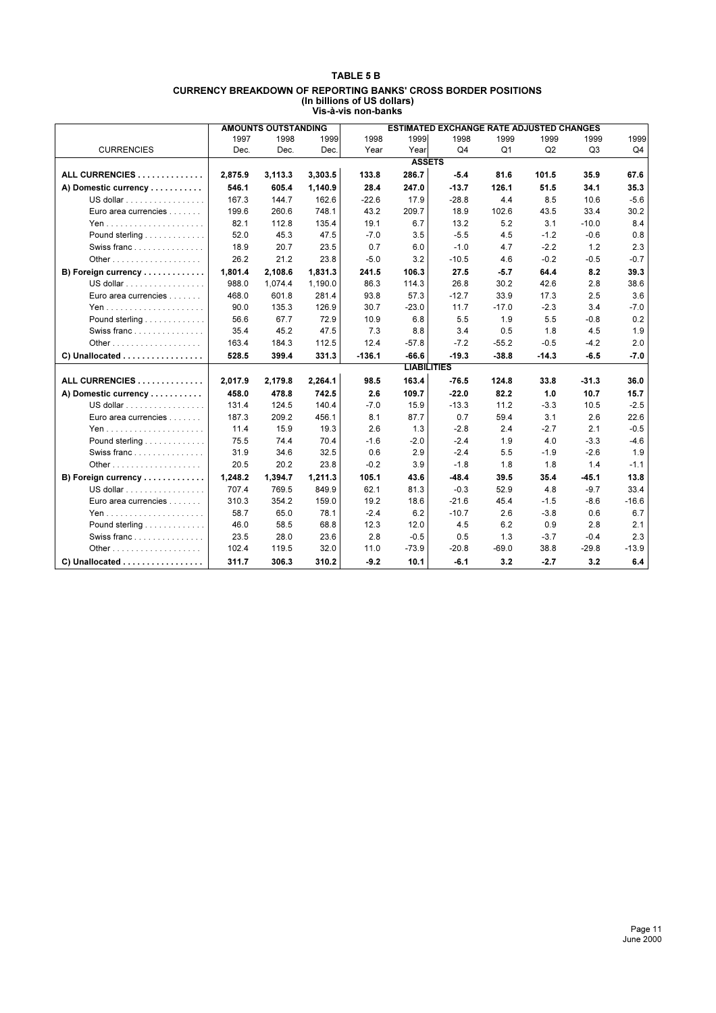#### **TABLE 5 B CURRENCY BREAKDOWN OF REPORTING BANKS' CROSS BORDER POSITIONS (In billions of US dollars) Vis-à-vis non-banks**

|                                                    |         | <b>AMOUNTS OUTSTANDING</b> |         |          |                    | <b>ESTIMATED EXCHANGE RATE ADJUSTED CHANGES</b> |         |         |         |         |
|----------------------------------------------------|---------|----------------------------|---------|----------|--------------------|-------------------------------------------------|---------|---------|---------|---------|
|                                                    | 1997    | 1998                       | 1999    | 1998     | 1999               | 1998                                            | 1999    | 1999    | 1999    | 1999    |
| <b>CURRENCIES</b>                                  | Dec.    | Dec.                       | Dec.    | Year     | Year               | Q <sub>4</sub>                                  | Q1      | Q2      | Q3      | Q4      |
|                                                    |         |                            |         |          | <b>ASSETS</b>      |                                                 |         |         |         |         |
| ALL CURRENCIES                                     | 2.875.9 | 3,113.3                    | 3,303.5 | 133.8    | 286.7              | $-5.4$                                          | 81.6    | 101.5   | 35.9    | 67.6    |
| A) Domestic currency                               | 546.1   | 605.4                      | 1,140.9 | 28.4     | 247.0              | $-13.7$                                         | 126.1   | 51.5    | 34.1    | 35.3    |
| US dollar                                          | 167.3   | 144.7                      | 162.6   | $-22.6$  | 17.9               | $-28.8$                                         | 4.4     | 8.5     | 10.6    | $-5.6$  |
| Euro area currencies                               | 199.6   | 260.6                      | 748.1   | 43.2     | 209.7              | 18.9                                            | 102.6   | 43.5    | 33.4    | 30.2    |
|                                                    | 82.1    | 112.8                      | 135.4   | 19.1     | 6.7                | 13.2                                            | 5.2     | 3.1     | $-10.0$ | 8.4     |
| Pound sterling                                     | 52.0    | 45.3                       | 47.5    | $-7.0$   | 3.5                | $-5.5$                                          | 4.5     | $-1.2$  | $-0.6$  | 0.8     |
| Swiss franc                                        | 18.9    | 20.7                       | 23.5    | 0.7      | 6.0                | $-1.0$                                          | 4.7     | $-2.2$  | 1.2     | 2.3     |
| Other $\ldots$                                     | 26.2    | 21.2                       | 23.8    | $-5.0$   | 3.2                | $-10.5$                                         | 4.6     | $-0.2$  | $-0.5$  | $-0.7$  |
| B) Foreign currency                                | 1,801.4 | 2,108.6                    | 1,831.3 | 241.5    | 106.3              | 27.5                                            | -5.7    | 64.4    | 8.2     | 39.3    |
| US dollar                                          | 988.0   | 1,074.4                    | 1,190.0 | 86.3     | 114.3              | 26.8                                            | 30.2    | 42.6    | 2.8     | 38.6    |
| Euro area currencies                               | 468.0   | 601.8                      | 281.4   | 93.8     | 57.3               | $-12.7$                                         | 33.9    | 17.3    | 2.5     | 3.6     |
|                                                    | 90.0    | 135.3                      | 126.9   | 30.7     | $-23.0$            | 11.7                                            | $-17.0$ | $-2.3$  | 3.4     | $-7.0$  |
| Pound sterling                                     | 56.6    | 67.7                       | 72.9    | 10.9     | 6.8                | 5.5                                             | 1.9     | 5.5     | $-0.8$  | 0.2     |
| Swiss franc                                        | 35.4    | 45.2                       | 47.5    | 7.3      | 8.8                | 3.4                                             | 0.5     | 1.8     | 4.5     | 1.9     |
|                                                    | 163.4   | 184.3                      | 112.5   | 12.4     | $-57.8$            | $-7.2$                                          | $-55.2$ | $-0.5$  | $-4.2$  | 2.0     |
| C) Unallocated                                     | 528.5   | 399.4                      | 331.3   | $-136.1$ | $-66.6$            | $-19.3$                                         | $-38.8$ | $-14.3$ | $-6.5$  | $-7.0$  |
|                                                    |         |                            |         |          | <b>LIABILITIES</b> |                                                 |         |         |         |         |
| ALL CURRENCIES                                     | 2,017.9 | 2,179.8                    | 2,264.1 | 98.5     | 163.4              | $-76.5$                                         | 124.8   | 33.8    | $-31.3$ | 36.0    |
| A) Domestic currency                               | 458.0   | 478.8                      | 742.5   | 2.6      | 109.7              | $-22.0$                                         | 82.2    | 1.0     | 10.7    | 15.7    |
| US dollar                                          | 131.4   | 124.5                      | 140.4   | $-7.0$   | 15.9               | $-13.3$                                         | 11.2    | $-3.3$  | 10.5    | $-2.5$  |
| Euro area currencies                               | 187.3   | 209.2                      | 456.1   | 8.1      | 87.7               | 0.7                                             | 59.4    | 3.1     | 2.6     | 22.6    |
|                                                    | 11.4    | 15.9                       | 19.3    | 2.6      | 1.3                | $-2.8$                                          | 2.4     | $-2.7$  | 2.1     | $-0.5$  |
| Pound sterling                                     | 75.5    | 74.4                       | 70.4    | $-1.6$   | $-2.0$             | $-2.4$                                          | 1.9     | 4.0     | $-3.3$  | $-4.6$  |
| Swiss franc                                        | 31.9    | 34.6                       | 32.5    | 0.6      | 2.9                | $-2.4$                                          | 5.5     | $-1.9$  | $-2.6$  | 1.9     |
| Other $\ldots$ $\ldots$ $\ldots$ $\ldots$ $\ldots$ | 20.5    | 20.2                       | 23.8    | $-0.2$   | 3.9                | $-1.8$                                          | 1.8     | 1.8     | 1.4     | $-1.1$  |
| B) Foreign currency                                | 1,248.2 | 1,394.7                    | 1,211.3 | 105.1    | 43.6               | $-48.4$                                         | 39.5    | 35.4    | -45.1   | 13.8    |
| US dollar                                          | 707.4   | 769.5                      | 849.9   | 62.1     | 81.3               | $-0.3$                                          | 52.9    | 4.8     | $-9.7$  | 33.4    |
| Euro area currencies                               | 310.3   | 354.2                      | 159.0   | 19.2     | 18.6               | $-21.6$                                         | 45.4    | $-1.5$  | $-8.6$  | $-16.6$ |
|                                                    | 58.7    | 65.0                       | 78.1    | $-2.4$   | 6.2                | $-10.7$                                         | 2.6     | $-3.8$  | 0.6     | 6.7     |
| Pound sterling                                     | 46.0    | 58.5                       | 68.8    | 12.3     | 12.0               | 4.5                                             | 6.2     | 0.9     | 2.8     | 2.1     |
| Swiss franc                                        | 23.5    | 28.0                       | 23.6    | 2.8      | $-0.5$             | 0.5                                             | 1.3     | $-3.7$  | $-0.4$  | 2.3     |
|                                                    | 102.4   | 119.5                      | 32.0    | 11.0     | $-73.9$            | $-20.8$                                         | $-69.0$ | 38.8    | $-29.8$ | $-13.9$ |
| C) Unallocated                                     | 311.7   | 306.3                      | 310.2   | $-9.2$   | 10.1               | $-6.1$                                          | 3.2     | $-2.7$  | 3.2     | 6.4     |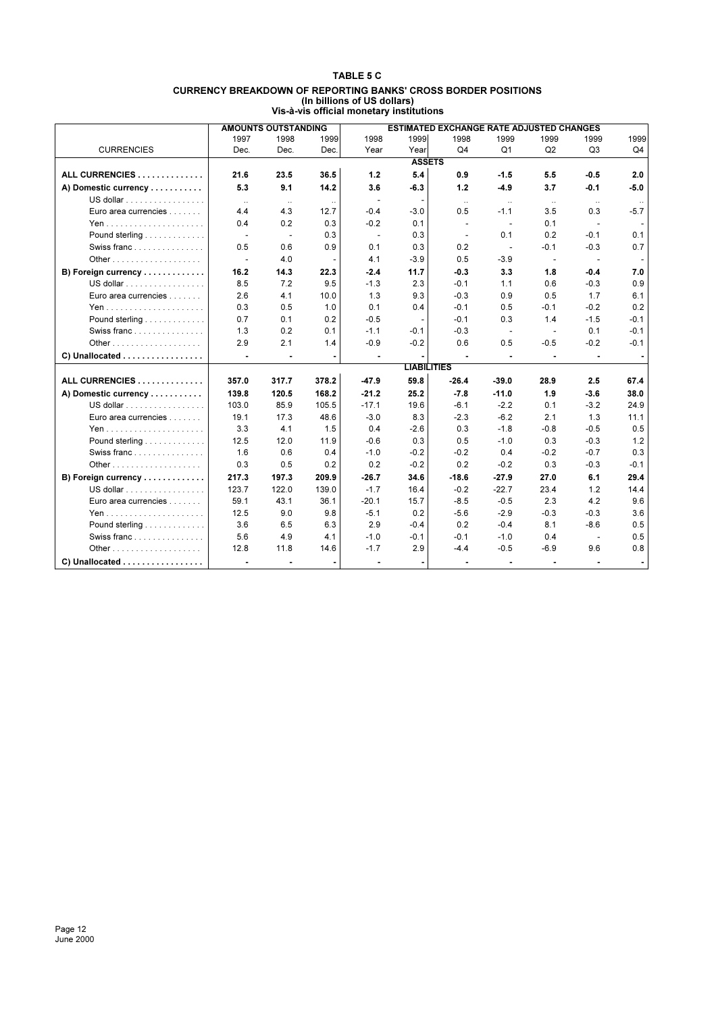#### **TABLE 5 C CURRENCY BREAKDOWN OF REPORTING BANKS' CROSS BORDER POSITIONS (In billions of US dollars) Vis-à-vis official monetary institutions**

|                                                |                | <b>AMOUNTS OUTSTANDING</b> |       |                |                    | <b>ESTIMATED EXCHANGE RATE ADJUSTED CHANGES</b> |                          |                |          |        |
|------------------------------------------------|----------------|----------------------------|-------|----------------|--------------------|-------------------------------------------------|--------------------------|----------------|----------|--------|
|                                                | 1997           | 1998                       | 1999  | 1998           | 1999               | 1998                                            | 1999                     | 1999           | 1999     | 1999   |
| <b>CURRENCIES</b>                              | Dec.           | Dec.                       | Dec.  | Year           | Year               | Q <sub>4</sub>                                  | Q1                       | Q2             | Q3       | Q4     |
|                                                |                |                            |       |                | <b>ASSETS</b>      |                                                 |                          |                |          |        |
| ALL CURRENCIES                                 | 21.6           | 23.5                       | 36.5  | 1.2            | 5.4                | 0.9                                             | $-1.5$                   | 5.5            | $-0.5$   | 2.0    |
| A) Domestic currency                           | 5.3            | 9.1                        | 14.2  | 3.6            | $-6.3$             | 1.2                                             | $-4.9$                   | 3.7            | $-0.1$   | $-5.0$ |
| US dollar                                      | $\ldots$       | $\ldots$                   |       |                |                    | $\ldots$                                        | $\ddotsc$                | $\ldots$       | $\ldots$ |        |
| Euro area currencies                           | 4.4            | 4.3                        | 12.7  | $-0.4$         | $-3.0$             | 0.5                                             | $-1.1$                   | 3.5            | 0.3      | $-5.7$ |
|                                                | 0.4            | 0.2                        | 0.3   | $-0.2$         | 0.1                |                                                 | $\blacksquare$           | 0.1            |          |        |
| Pound sterling                                 | $\sim$         | $\sim$                     | 0.3   | $\sim$         | 0.3                | $\sim$                                          | 0.1                      | 0.2            | $-0.1$   | 0.1    |
| Swiss franc                                    | 0.5            | 0.6                        | 0.9   | 0.1            | 0.3                | 0.2                                             | $\sim$                   | $-0.1$         | $-0.3$   | 0.7    |
|                                                | $\sim$         | 4.0                        |       | 4.1            | $-3.9$             | 0.5                                             | $-3.9$                   | $\blacksquare$ |          |        |
| B) Foreign currency                            | 16.2           | 14.3                       | 22.3  | $-2.4$         | 11.7               | -0.3                                            | 3.3                      | 1.8            | $-0.4$   | 7.0    |
| US dollar $\ldots \ldots \ldots \ldots \ldots$ | 8.5            | 7.2                        | 9.5   | $-1.3$         | 2.3                | $-0.1$                                          | 1.1                      | 0.6            | $-0.3$   | 0.9    |
| Euro area currencies                           | 2.6            | 4.1                        | 10.0  | 1.3            | 9.3                | $-0.3$                                          | 0.9                      | 0.5            | 1.7      | 6.1    |
|                                                | 0.3            | 0.5                        | 1.0   | 0.1            | 0.4                | $-0.1$                                          | 0.5                      | $-0.1$         | $-0.2$   | 0.2    |
| Pound sterling                                 | 0.7            | 0.1                        | 0.2   | $-0.5$         |                    | $-0.1$                                          | 0.3                      | 1.4            | $-1.5$   | $-0.1$ |
| Swiss franc                                    | 1.3            | 0.2                        | 0.1   | $-1.1$         | $-0.1$             | $-0.3$                                          | $\sim$                   |                | 0.1      | $-0.1$ |
|                                                | 2.9            | 2.1                        | 1.4   | $-0.9$         | $-0.2$             | 0.6                                             | 0.5                      | $-0.5$         | $-0.2$   | $-0.1$ |
| C) Unallocated                                 | $\sim$         | $\blacksquare$             |       | $\blacksquare$ |                    |                                                 | $\blacksquare$           |                |          |        |
|                                                |                |                            |       |                | <b>LIABILITIES</b> |                                                 |                          |                |          |        |
| ALL CURRENCIES                                 | 357.0          | 317.7                      | 378.2 | -47.9          | 59.8               | $-26.4$                                         | $-39.0$                  | 28.9           | 2.5      | 67.4   |
| A) Domestic currency                           | 139.8          | 120.5                      | 168.2 | $-21.2$        | 25.2               | $-7.8$                                          | $-11.0$                  | 1.9            | $-3.6$   | 38.0   |
| US dollar                                      | 103.0          | 85.9                       | 105.5 | $-17.1$        | 19.6               | $-6.1$                                          | $-2.2$                   | 0.1            | $-3.2$   | 24.9   |
| Euro area currencies                           | 19.1           | 17.3                       | 48.6  | $-3.0$         | 8.3                | $-2.3$                                          | $-6.2$                   | 2.1            | 1.3      | 11.1   |
|                                                | 3.3            | 4.1                        | 1.5   | 0.4            | $-2.6$             | 0.3                                             | $-1.8$                   | $-0.8$         | $-0.5$   | 0.5    |
| Pound sterling                                 | 12.5           | 12.0                       | 11.9  | $-0.6$         | 0.3                | 0.5                                             | $-1.0$                   | 0.3            | $-0.3$   | 1.2    |
| Swiss franc                                    | 1.6            | 0.6                        | 0.4   | $-1.0$         | $-0.2$             | $-0.2$                                          | 0.4                      | $-0.2$         | $-0.7$   | 0.3    |
|                                                | 0.3            | 0.5                        | 0.2   | 0.2            | $-0.2$             | 0.2                                             | $-0.2$                   | 0.3            | $-0.3$   | $-0.1$ |
| B) Foreign currency                            | 217.3          | 197.3                      | 209.9 | $-26.7$        | 34.6               | $-18.6$                                         | $-27.9$                  | 27.0           | 6.1      | 29.4   |
| US dollar                                      | 123.7          | 122.0                      | 139.0 | $-1.7$         | 16.4               | $-0.2$                                          | $-22.7$                  | 23.4           | 1.2      | 14.4   |
| Euro area currencies                           | 59.1           | 43.1                       | 36.1  | $-20.1$        | 15.7               | $-8.5$                                          | $-0.5$                   | 2.3            | 4.2      | 9.6    |
|                                                | 12.5           | 9.0                        | 9.8   | $-5.1$         | 0.2                | $-5.6$                                          | $-2.9$                   | $-0.3$         | $-0.3$   | 3.6    |
| Pound sterling                                 | 3.6            | 6.5                        | 6.3   | 2.9            | $-0.4$             | 0.2                                             | $-0.4$                   | 8.1            | $-8.6$   | 0.5    |
| Swiss franc                                    | 5.6            | 4.9                        | 4.1   | $-1.0$         | $-0.1$             | $-0.1$                                          | $-1.0$                   | 0.4            | $\sim$   | 0.5    |
|                                                | 12.8           | 11.8                       | 14.6  | $-1.7$         | 2.9                | $-4.4$                                          | $-0.5$                   | $-6.9$         | 9.6      | 0.8    |
| C) Unallocated                                 | $\blacksquare$ | $\blacksquare$             |       |                |                    |                                                 | $\overline{\phantom{a}}$ |                |          |        |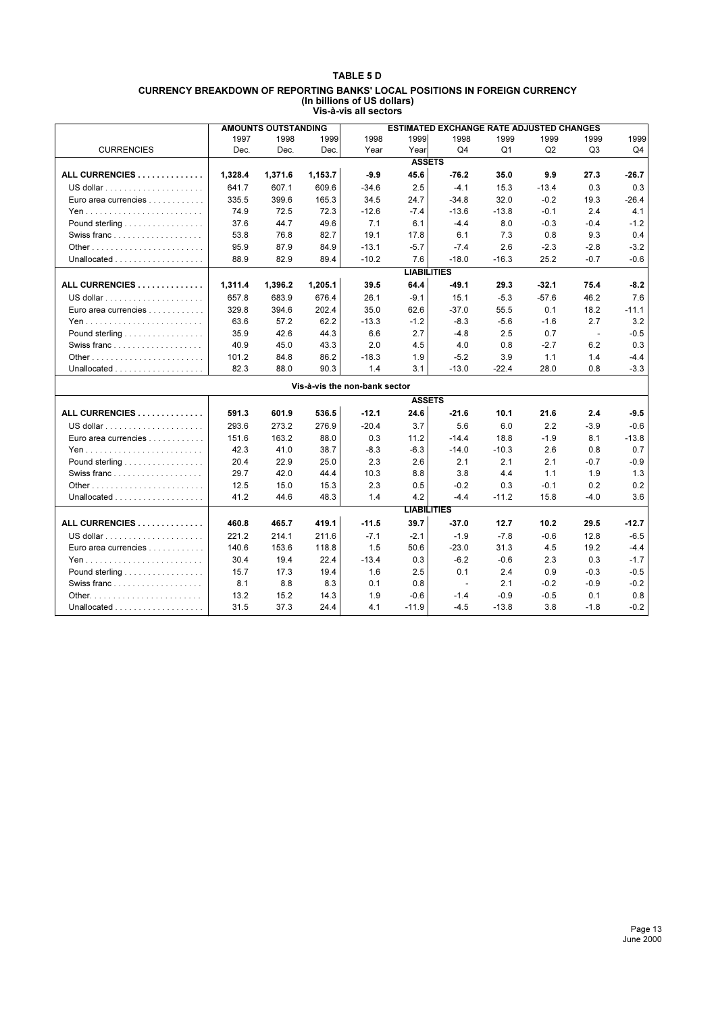#### **TABLE 5 D CURRENCY BREAKDOWN OF REPORTING BANKS' LOCAL POSITIONS IN FOREIGN CURRENCY (In billions of US dollars) Vis-à-vis all sectors**

|                                                     |         | <b>AMOUNTS OUTSTANDING</b> |         |                               |                    | ESTIMATED EXCHANGE RATE ADJUSTED CHANGES |         |         |                |         |
|-----------------------------------------------------|---------|----------------------------|---------|-------------------------------|--------------------|------------------------------------------|---------|---------|----------------|---------|
|                                                     | 1997    | 1998                       | 1999    | 1998                          | 1999               | 1998                                     | 1999    | 1999    | 1999           | 1999    |
| <b>CURRENCIES</b>                                   | Dec.    | Dec.                       | Dec.    | Year                          | Year               | Q <sub>4</sub>                           | Q1      | Q2      | Q <sub>3</sub> | Q4      |
|                                                     |         |                            |         |                               | <b>ASSETS</b>      |                                          |         |         |                |         |
| ALL CURRENCIES                                      | 1,328.4 | 1,371.6                    | 1,153.7 | $-9.9$                        | 45.6               | $-76.2$                                  | 35.0    | 9.9     | 27.3           | $-26.7$ |
|                                                     | 641.7   | 607.1                      | 609.6   | $-34.6$                       | 2.5                | $-4.1$                                   | 15.3    | $-13.4$ | 0.3            | 0.3     |
| Euro area currencies                                | 335.5   | 399.6                      | 165.3   | 34.5                          | 24.7               | $-34.8$                                  | 32.0    | $-0.2$  | 19.3           | $-26.4$ |
|                                                     | 74.9    | 72.5                       | 72.3    | $-12.6$                       | $-7.4$             | $-13.6$                                  | $-13.8$ | $-0.1$  | 2.4            | 4.1     |
| Pound sterling $\ldots \ldots \ldots \ldots \ldots$ | 37.6    | 44.7                       | 49.6    | 7.1                           | 6.1                | $-4.4$                                   | 8.0     | $-0.3$  | $-0.4$         | $-1.2$  |
| Swiss franc                                         | 53.8    | 76.8                       | 82.7    | 19.1                          | 17.8               | 6.1                                      | 7.3     | 0.8     | 9.3            | 0.4     |
|                                                     | 95.9    | 87.9                       | 84.9    | $-13.1$                       | $-5.7$             | $-7.4$                                   | 2.6     | $-2.3$  | $-2.8$         | $-3.2$  |
| Unallocated $\ldots \ldots \ldots \ldots \ldots$    | 88.9    | 82.9                       | 89.4    | $-10.2$                       | 7.6                | $-18.0$                                  | $-16.3$ | 25.2    | $-0.7$         | $-0.6$  |
|                                                     |         |                            |         |                               | <b>LIABILITIES</b> |                                          |         |         |                |         |
| ALL CURRENCIES                                      | 1,311.4 | 1,396.2                    | 1,205.1 | 39.5                          | 64.4               | $-49.1$                                  | 29.3    | $-32.1$ | 75.4           | $-8.2$  |
|                                                     | 657.8   | 683.9                      | 676.4   | 26.1                          | $-9.1$             | 15.1                                     | $-5.3$  | $-57.6$ | 46.2           | 7.6     |
| Euro area currencies                                | 329.8   | 394.6                      | 202.4   | 35.0                          | 62.6               | $-37.0$                                  | 55.5    | 0.1     | 18.2           | $-11.1$ |
|                                                     | 63.6    | 57.2                       | 62.2    | $-13.3$                       | $-1.2$             | $-8.3$                                   | $-5.6$  | $-1.6$  | 2.7            | 3.2     |
| Pound sterling                                      | 35.9    | 42.6                       | 44.3    | 6.6                           | 2.7                | $-4.8$                                   | 2.5     | 0.7     | $\sim$         | $-0.5$  |
| Swiss franc                                         | 40.9    | 45.0                       | 43.3    | 2.0                           | 4.5                | 4.0                                      | 0.8     | $-2.7$  | 6.2            | 0.3     |
|                                                     | 101.2   | 84.8                       | 86.2    | $-18.3$                       | 1.9                | $-5.2$                                   | 3.9     | 1.1     | 1.4            | $-4.4$  |
|                                                     | 82.3    | 88.0                       | 90.3    | 1.4                           | 3.1                | $-13.0$                                  | $-22.4$ | 28.0    | 0.8            | $-3.3$  |
|                                                     |         |                            |         | Vis-à-vis the non-bank sector |                    |                                          |         |         |                |         |
|                                                     |         |                            |         |                               | <b>ASSETS</b>      |                                          |         |         |                |         |
| ALL CURRENCIES                                      | 591.3   | 601.9                      | 536.5   | $-12.1$                       | 24.6               | $-21.6$                                  | 10.1    | 21.6    | 2.4            | $-9.5$  |
|                                                     | 293.6   | 273.2                      | 276.9   | $-20.4$                       | 3.7                | 5.6                                      | 6.0     | 2.2     | $-3.9$         | $-0.6$  |
| Euro area currencies                                | 151.6   | 163.2                      | 88.0    | 0.3                           | 11.2               | $-14.4$                                  | 18.8    | $-1.9$  | 8.1            | $-13.8$ |
|                                                     | 42.3    | 41.0                       | 38.7    | $-8.3$                        | $-6.3$             | $-14.0$                                  | $-10.3$ | 2.6     | 0.8            | 0.7     |
| Pound sterling                                      | 20.4    | 22.9                       | 25.0    | 2.3                           | 2.6                | 2.1                                      | 2.1     | 2.1     | $-0.7$         | $-0.9$  |
|                                                     | 29.7    | 42.0                       | 44.4    | 10.3                          | 8.8                | 3.8                                      | 4.4     | 1.1     | 1.9            | 1.3     |
|                                                     | 12.5    | 15.0                       | 15.3    | 2.3                           | 0.5                | $-0.2$                                   | 0.3     | $-0.1$  | 0.2            | 0.2     |
|                                                     | 41.2    | 44.6                       | 48.3    | 1.4                           | 4.2                | $-4.4$                                   | $-11.2$ | 15.8    | $-4.0$         | 3.6     |
|                                                     |         |                            |         |                               | <b>LIABILITIES</b> |                                          |         |         |                |         |
| ALL CURRENCIES                                      | 460.8   | 465.7                      | 419.1   | $-11.5$                       | 39.7               | $-37.0$                                  | 12.7    | 10.2    | 29.5           | $-12.7$ |
|                                                     | 221.2   | 214.1                      | 211.6   | $-7.1$                        | $-2.1$             | $-1.9$                                   | $-7.8$  | $-0.6$  | 12.8           | $-6.5$  |
| Euro area currencies                                | 140.6   | 153.6                      | 118.8   | 1.5                           | 50.6               | $-23.0$                                  | 31.3    | 4.5     | 19.2           | $-4.4$  |
|                                                     | 30.4    | 19.4                       | 22.4    | $-13.4$                       | 0.3                | $-6.2$                                   | $-0.6$  | 2.3     | 0.3            | $-1.7$  |
| Pound sterling $\ldots \ldots \ldots \ldots \ldots$ | 15.7    | 17.3                       | 19.4    | 1.6                           | 2.5                | 0.1                                      | 2.4     | 0.9     | $-0.3$         | $-0.5$  |
| Swiss franc                                         | 8.1     | 8.8                        | 8.3     | 0.1                           | 0.8                | - 11                                     | 2.1     | $-0.2$  | $-0.9$         | $-0.2$  |
|                                                     | 13.2    | 15.2                       | 14.3    | 1.9                           | $-0.6$             | $-1.4$                                   | $-0.9$  | $-0.5$  | 0.1            | 0.8     |
| Unallocated $\ldots \ldots \ldots \ldots \ldots$    | 31.5    | 37.3                       | 24.4    | 4.1                           | $-11.9$            | $-4.5$                                   | $-13.8$ | 3.8     | $-1.8$         | $-0.2$  |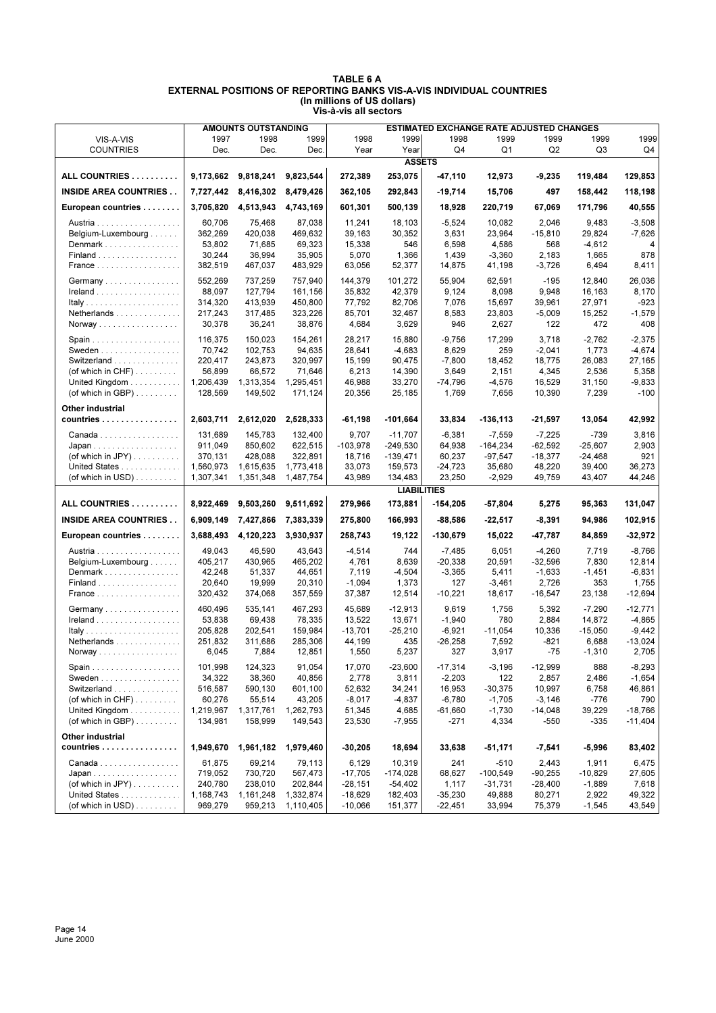|                                                      |                   | <b>AMOUNTS OUTSTANDING</b> |                     |                    |                    | <b>ESTIMATED EXCHANGE RATE ADJUSTED CHANGES</b> |                      |                       |                  |                  |
|------------------------------------------------------|-------------------|----------------------------|---------------------|--------------------|--------------------|-------------------------------------------------|----------------------|-----------------------|------------------|------------------|
| VIS-A-VIS                                            | 1997              | 1998                       | 1999                | 1998               | 1999               | 1998                                            | 1999                 | 1999                  | 1999             | 1999             |
| <b>COUNTRIES</b>                                     | Dec.              | Dec.                       | Dec.                | Year               | Year               | Q4                                              | Q <sub>1</sub>       | Q <sub>2</sub>        | Q3               | Q4               |
|                                                      |                   |                            |                     |                    | <b>ASSETS</b>      |                                                 |                      |                       |                  |                  |
| ALL COUNTRIES                                        | 9,173,662         | 9,818,241                  | 9,823,544           | 272,389            | 253,075            | -47,110                                         | 12,973               | $-9,235$              | 119,484          | 129,853          |
| <b>INSIDE AREA COUNTRIES</b>                         | 7,727,442         | 8,416,302                  | 8,479,426           | 362,105            | 292,843            | $-19,714$                                       | 15,706               | 497                   | 158,442          | 118,198          |
| European countries                                   | 3,705,820         | 4,513,943                  | 4,743,169           | 601,301            | 500,139            | 18,928                                          | 220,719              | 67,069                | 171,796          | 40,555           |
| Austria                                              | 60,706            | 75,468                     | 87,038              | 11,241             | 18,103             | $-5,524$                                        | 10,082               | 2,046                 | 9,483            | $-3,508$         |
| Belgium-Luxembourg                                   | 362,269           | 420,038                    | 469,632             | 39,163             | 30,352             | 3,631                                           | 23,964               | $-15,810$             | 29,824           | $-7,626$         |
| Denmark                                              | 53,802            | 71,685                     | 69,323              | 15,338             | 546                | 6,598                                           | 4,586                | 568                   | $-4,612$         | 4                |
| Finland                                              | 30,244            | 36,994                     | 35,905              | 5,070              | 1,366              | 1,439                                           | $-3,360$             | 2,183                 | 1,665            | 878              |
| France                                               | 382,519           | 467,037                    | 483,929             | 63,056             | 52,377             | 14,875                                          | 41,198               | $-3,726$              | 6,494            | 8,411            |
|                                                      |                   |                            |                     |                    |                    |                                                 |                      |                       |                  |                  |
| Germany                                              | 552,269           | 737,259                    | 757.940             | 144.379            | 101,272            | 55,904                                          | 62,591               | $-195$                | 12,840           | 26,036           |
| $I$ reland                                           | 88,097            | 127,794                    | 161.156             | 35,832             | 42,379             | 9,124                                           | 8,098                | 9,948                 | 16,163           | 8,170            |
|                                                      | 314,320           | 413,939                    | 450,800             | 77,792             | 82,706             | 7,076                                           | 15,697               | 39,961                | 27,971           | $-923$           |
| Netherlands                                          | 217,243           | 317,485                    | 323,226             | 85,701             | 32,467             | 8,583<br>946                                    | 23,803               | $-5,009$<br>122       | 15,252<br>472    | $-1,579$<br>408  |
| Norway                                               | 30,378            | 36,241                     | 38,876              | 4,684              | 3,629              |                                                 | 2,627                |                       |                  |                  |
|                                                      | 116,375           | 150,023                    | 154,261             | 28,217             | 15,880             | $-9,756$                                        | 17,299               | 3,718                 | $-2,762$         | $-2,375$         |
| Sweden                                               | 70,742            | 102,753                    | 94,635              | 28,641             | $-4,683$           | 8,629                                           | 259                  | $-2,041$              | 1,773            | $-4,674$         |
| Switzerland                                          | 220,417           | 243,873                    | 320,997             | 15,199             | 90,475             | $-7,800$                                        | 18,452               | 18,775                | 26,083           | 27,165           |
| (of which in $CHF$ )                                 | 56,899            | 66,572                     | 71,646              | 6,213              | 14,390             | 3,649                                           | 2,151                | 4,345                 | 2,536            | 5,358            |
| United Kingdom                                       | 1,206,439         | 1,313,354                  | 1,295,451           | 46,988             | 33,270             | -74,796                                         | $-4,576$             | 16,529                | 31,150           | $-9,833$         |
| (of which in GBP) $\ldots \ldots$                    | 128,569           | 149,502                    | 171,124             | 20,356             | 25,185             | 1,769                                           | 7,656                | 10,390                | 7,239            | $-100$           |
| Other industrial                                     |                   |                            |                     |                    |                    |                                                 |                      |                       |                  |                  |
| countries                                            | 2,603,711         | 2,612,020                  | 2,528,333           | $-61,198$          | -101,664           | 33,834                                          | $-136, 113$          | -21,597               | 13,054           | 42,992           |
| Canada                                               | 131,689           | 145,783                    | 132,400             | 9,707              | $-11,707$          | $-6,381$                                        | $-7,559$             | $-7,225$              | $-739$           | 3,816            |
| $Japan \dots \dots \dots \dots \dots \dots \dots$    | 911,049           | 850,602                    | 622,515             | -103,978           | $-249,530$         | 64,938                                          | $-164,234$           | $-62,592$             | $-25,607$        | 2,903            |
| (of which in JPY) $\dots \dots$                      | 370,131           | 428,088                    | 322,891             | 18,716             | $-139,471$         | 60,237                                          | $-97,547$            | $-18,377$             | $-24,468$        | 921              |
| United States                                        | 1,560,973         | 1,615,635                  | 1,773,418           | 33,073             | 159,573            | $-24,723$                                       | 35,680               | 48,220                | 39,400           | 36,273           |
| (of which in USD) $\ldots$                           | 1,307,341         | 1,351,348                  | 1,487,754           | 43,989             | 134,483            | 23,250                                          | $-2,929$             | 49,759                | 43,407           | 44,246           |
|                                                      |                   |                            |                     |                    | <b>LIABILITIES</b> |                                                 |                      |                       |                  |                  |
| ALL COUNTRIES                                        | 8,922,469         | 9,503,260                  | 9,511,692           | 279,966            | 173,881            | $-154,205$                                      | -57,804              | 5,275                 | 95,363           | 131,047          |
| <b>INSIDE AREA COUNTRIES</b>                         | 6,909,149         | 7,427,866                  | 7,383,339           | 275,800            | 166,993            | -88,586                                         | -22,517              | -8,391                | 94,986           | 102,915          |
| European countries                                   | 3,688,493         | 4,120,223                  | 3,930,937           | 258,743            | 19,122             | -130,679                                        | 15,022               | -47,787               | 84,859           | $-32,972$        |
| Austria                                              | 49,043            | 46,590                     | 43,643              | $-4,514$           | 744                | $-7,485$                                        | 6,051                | $-4,260$              | 7,719            | $-8,766$         |
| Belgium-Luxembourg                                   | 405,217           | 430,965                    | 465,202             | 4,761              | 8,639              | $-20,338$                                       | 20,591               | $-32,596$             | 7,830            | 12,814           |
| Denmark                                              | 42,248            | 51,337                     | 44,651              | 7,119              | $-4,504$           | $-3,365$                                        | 5,411                | $-1,633$              | $-1,451$         | $-6,831$         |
| $Finaland$                                           | 20,640            | 19,999                     | 20,310              | $-1,094$           | 1,373              | 127                                             | $-3,461$             | 2,726                 | 353              | 1,755            |
| France                                               | 320,432           | 374,068                    | 357,559             | 37,387             | 12,514             | $-10,221$                                       | 18,617               | $-16,547$             | 23,138           | $-12,694$        |
| Germany                                              | 460.496           | 535,141                    | 467,293             | 45,689             | -12,913            | 9,619                                           | 1,756                | 5,392                 | $-7,290$         | $-12,771$        |
| $I$ reland                                           | 53,838            | 69,438                     | 78,335              | 13,522             | 13,671             | $-1,940$                                        | 780                  | 2,884                 | 14,872           | $-4,865$         |
|                                                      | 205,828           | 202,541                    | 159,984             | $-13,701$          | $-25,210$          | $-6,921$                                        | $-11,054$            | 10.336                | $-15,050$        | $-9.442$         |
| Netherlands                                          | 251,832           | 311,686                    | 285,306             | 44,199             | 435                | $-26,258$                                       | 7,592                | -821                  | 6,688            | $-13,024$        |
| Norway                                               | 6,045             | 7,884                      | 12,851              | 1,550              | 5,237              | 327                                             | 3,917                | $-75$                 | $-1,310$         | 2,705            |
|                                                      |                   |                            |                     |                    |                    |                                                 |                      |                       |                  |                  |
|                                                      | 101,998           | 124,323                    | 91,054              | 17,070             | $-23,600$          | $-17,314$                                       | $-3,196$             | $-12,999$             | 888              | $-8,293$         |
| Sweden $\ldots$ , $\ldots$ , $\ldots$<br>Switzerland | 34,322            | 38,360                     | 40,856              | 2,778              | 3,811              | $-2,203$                                        | 122                  | 2,857                 | 2,486            | $-1,654$         |
| (of which in $CHF$ )                                 | 516,587<br>60,276 | 590,130                    | 601,100             | 52,632             | 34,241             | 16,953                                          | -30,375              | 10,997                | 6,758            | 46,861           |
| United Kingdom                                       | 1,219,967         | 55,514<br>1,317,761        | 43,205<br>1,262,793 | $-8,017$<br>51,345 | $-4,837$<br>4,685  | $-6,780$<br>$-61,660$                           | $-1,705$<br>$-1,730$ | $-3,146$<br>$-14,048$ | $-776$<br>39,229 | 790<br>$-18,766$ |
| (of which in GBP) $\ldots$                           | 134,981           | 158,999                    | 149,543             | 23,530             | $-7,955$           | $-271$                                          | 4,334                | -550                  | $-335$           | $-11,404$        |
|                                                      |                   |                            |                     |                    |                    |                                                 |                      |                       |                  |                  |
| Other industrial                                     |                   |                            |                     |                    |                    |                                                 |                      |                       |                  |                  |
| countries                                            | 1,949,670         | 1,961,182                  | 1,979,460           | $-30,205$          | 18,694             | 33,638                                          | -51,171              | -7,541                | $-5,996$         | 83,402           |
| Canada                                               | 61,875            | 69,214                     | 79,113              | 6,129              | 10,319             | 241                                             | $-510$               | 2,443                 | 1,911            | 6,475            |
| $Japan \dots \dots \dots \dots \dots \dots \dots$    | 719,052           | 730,720                    | 567,473             | $-17,705$          | $-174,028$         | 68,627                                          | $-100,549$           | $-90,255$             | $-10,829$        | 27,605           |
| (of which in JPY) $\dots \dots$                      | 240,780           | 238,010                    | 202,844             | $-28,151$          | $-54,402$          | 1,117                                           | -31,731              | $-28,400$             | $-1,889$         | 7,618            |
| United States                                        | 1,168,743         | 1,161,248                  | 1,332,874           | $-18,629$          | 182,403            | $-35,230$                                       | 49,888               | 80,271                | 2,922            | 49,322           |
| (of which in USD) $\ldots$                           | 969,279           | 959,213                    | 1,110,405           | $-10,066$          | 151,377            | $-22,451$                                       | 33,994               | 75,379                | $-1,545$         | 43,549           |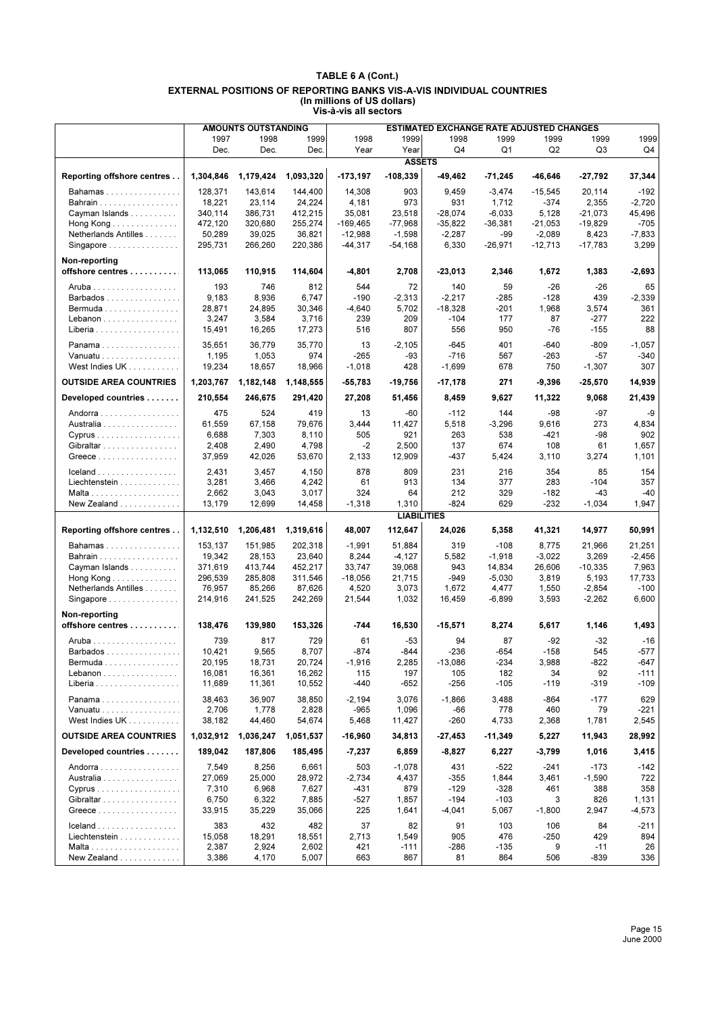|                                                       |                     | <b>AMOUNTS OUTSTANDING</b> |                     |                      |                     | ESTIMATED EXCHANGE RATE ADJUSTED CHANGES |                       |                    |                        |                    |
|-------------------------------------------------------|---------------------|----------------------------|---------------------|----------------------|---------------------|------------------------------------------|-----------------------|--------------------|------------------------|--------------------|
|                                                       | 1997                | 1998                       | 1999                | 1998                 | 1999                | 1998                                     | 1999                  | 1999               | 1999                   | 1999               |
|                                                       | Dec.                | Dec.                       | Dec.                | Year                 | Year                | Q4                                       | Q1                    | Q2                 | Q3                     | Q4                 |
|                                                       |                     |                            |                     |                      | <b>ASSETS</b>       |                                          |                       |                    |                        |                    |
| Reporting offshore centres                            | 1,304,846           | 1,179,424                  | 1,093,320           | $-173,197$           | $-108,339$          | -49,462                                  | $-71,245$             | $-46,646$          | -27,792                | 37,344             |
| Bahamas                                               | 128,371             | 143,614                    | 144,400             | 14.308               | 903                 | 9,459                                    | $-3,474$              | $-15,545$          | 20,114                 | $-192$             |
| Bahrain                                               | 18,221              | 23,114                     | 24,224              | 4,181                | 973                 | 931<br>$-28,074$                         | 1,712                 | $-374$             | 2,355                  | $-2,720$           |
| Cayman Islands<br>Hong Kong $\dots \dots \dots \dots$ | 340,114<br>472,120  | 386,731<br>320,680         | 412,215<br>255,274  | 35,081<br>$-169,465$ | 23,518<br>$-77,968$ | $-35,822$                                | $-6,033$<br>$-36,381$ | 5,128<br>$-21,053$ | $-21,073$<br>$-19,829$ | 45,496<br>$-705$   |
| Netherlands Antilles                                  | 50,289              | 39,025                     | 36,821              | $-12,988$            | $-1,598$            | $-2,287$                                 | -99                   | $-2,089$           | 8,423                  | $-7,833$           |
| Singapore                                             | 295,731             | 266,260                    | 220,386             | $-44,317$            | $-54,168$           | 6,330                                    | $-26,971$             | $-12,713$          | $-17,783$              | 3,299              |
|                                                       |                     |                            |                     |                      |                     |                                          |                       |                    |                        |                    |
| Non-reporting<br>offshore centres                     | 113,065             | 110,915                    | 114,604             | -4,801               | 2,708               | $-23,013$                                | 2,346                 | 1,672              | 1,383                  | -2,693             |
| Aruba                                                 | 193                 | 746                        | 812                 | 544                  | 72                  | 140                                      | 59                    | $-26$              | $-26$                  | 65                 |
| Barbados                                              | 9,183               | 8,936                      | 6,747               | $-190$               | $-2,313$            | $-2,217$                                 | -285                  | $-128$             | 439                    | $-2,339$           |
| Bermuda                                               | 28,871              | 24,895                     | 30,346              | $-4,640$             | 5,702               | $-18,328$                                | -201                  | 1,968              | 3,574                  | 361                |
| Lebanon                                               | 3,247               | 3,584                      | 3,716               | 239                  | 209                 | $-104$                                   | 177                   | 87                 | $-277$                 | 222                |
| Liberia                                               | 15,491              | 16,265                     | 17,273              | 516                  | 807                 | 556                                      | 950                   | -76                | $-155$                 | 88                 |
| Panama                                                | 35,651              | 36,779                     | 35,770              | 13                   | $-2,105$            | $-645$                                   | 401                   | $-640$             | -809                   | $-1,057$           |
| Vanuatu                                               | 1,195               | 1,053                      | 974                 | $-265$               | $-93$               | $-716$                                   | 567                   | $-263$             | $-57$                  | $-340$             |
| West Indies UK                                        | 19,234              | 18,657                     | 18,966              | $-1,018$             | 428                 | $-1,699$                                 | 678                   | 750                | $-1,307$               | 307                |
| <b>OUTSIDE AREA COUNTRIES</b>                         | 1,203,767           | 1,182,148                  | 1,148,555           | $-55,783$            | $-19,756$           | $-17,178$                                | 271                   | -9,396             | $-25,570$              | 14,939             |
| Developed countries                                   | 210,554             | 246,675                    | 291,420             | 27,208               | 51,456              | 8,459                                    | 9,627                 | 11,322             | 9,068                  | 21,439             |
| Andorra                                               | 475                 | 524                        | 419                 | 13                   | -60                 | $-112$                                   | 144                   | $-98$              | $-97$                  | -9                 |
| Australia                                             | 61,559              | 67,158                     | 79.676              | 3,444                | 11,427              | 5,518                                    | $-3,296$              | 9,616              | 273                    | 4,834              |
| Cyprus                                                | 6,688               | 7,303                      | 8,110               | 505                  | 921                 | 263                                      | 538                   | $-421$             | -98                    | 902                |
| Gibraltar                                             | 2,408               | 2,490                      | 4,798               | $-2$                 | 2,500               | 137                                      | 674                   | 108                | 61                     | 1,657              |
|                                                       | 37,959              | 42,026                     | 53,670              | 2,133                | 12,909              | -437                                     | 5,424                 | 3,110              | 3,274                  | 1,101              |
| $I$ celand                                            | 2,431               | 3,457                      | 4,150               | 878                  | 809                 | 231                                      | 216                   | 354                | 85                     | 154                |
| Liechtenstein                                         | 3,281               | 3,466                      | 4,242               | 61                   | 913                 | 134                                      | 377                   | 283                | $-104$                 | 357                |
| New Zealand                                           | 2,662<br>13,179     | 3,043<br>12,699            | 3,017<br>14,458     | 324<br>$-1,318$      | 64<br>1,310         | 212<br>$-824$                            | 329<br>629            | $-182$<br>-232     | -43<br>$-1,034$        | -40<br>1,947       |
|                                                       |                     |                            |                     |                      | <b>LIABILITIES</b>  |                                          |                       |                    |                        |                    |
|                                                       |                     |                            |                     |                      |                     |                                          |                       |                    |                        |                    |
| Reporting offshore centres                            | 1,132,510           | 1,206,481                  | 1,319,616           | 48,007               | 112,647             | 24,026                                   | 5,358                 | 41,321             | 14,977                 | 50,991             |
| Bahamas<br>Bahrain                                    | 153,137<br>19,342   | 151,985<br>28,153          | 202,318<br>23,640   | $-1,991$<br>8,244    | 51,884<br>$-4,127$  | 319<br>5,582                             | $-108$<br>$-1,918$    | 8,775<br>$-3,022$  | 21,966<br>3,269        | 21,251<br>$-2,456$ |
| Cayman Islands                                        | 371,619             | 413,744                    | 452,217             | 33,747               | 39,068              | 943                                      | 14,834                | 26,606             | $-10,335$              | 7,963              |
| Hong Kong $\dots \dots \dots \dots$                   | 296,539             | 285,808                    | 311,546             | $-18,056$            | 21,715              | -949                                     | $-5,030$              | 3,819              | 5,193                  | 17,733             |
| Netherlands Antilles                                  | 76,957              | 85,266                     | 87,626              | 4,520                | 3,073               | 1,672                                    | 4,477                 | 1,550              | $-2,854$               | $-100$             |
| Singapore $\ldots \ldots \ldots \ldots \ldots$        | 214,916             | 241,525                    | 242,269             | 21,544               | 1,032               | 16,459                                   | $-6,899$              | 3,593              | $-2,262$               | 6,600              |
| Non-reporting                                         |                     |                            |                     |                      |                     |                                          |                       |                    |                        |                    |
| offshore centres                                      | 138,476             | 139,980                    | 153,326             | -744                 | 16,530              | $-15,571$                                | 8,274                 | 5,617              | 1,146                  | 1,493              |
| Aruba                                                 | 739                 | 817                        | 729                 | 61                   | $-53$               | 94                                       | 87                    | $-92$              | -32                    | $-16$              |
| Barbados                                              | 10,421              | 9,565                      | 8,707               | $-874$               | $-844$              | $-236$                                   | $-654$                | $-158$             | 545                    | $-577$             |
| Bermuda                                               | 20,195              | 18,731                     | 20,724              | $-1,916$             | 2,285               | $-13,086$                                | -234                  | 3,988              | -822                   | -647               |
| Lebanon<br>Liberia                                    | 16,081<br>11,689    | 16,361<br>11,361           | 16,262<br>10,552    | 115<br>-440          | 197<br>-652         | 105<br>$-256$                            | 182<br>$-105$         | 34<br>$-119$       | 92<br>$-319$           | $-111$<br>-109     |
|                                                       |                     |                            |                     |                      |                     |                                          |                       |                    |                        |                    |
| Panama                                                | 38,463              | 36,907                     | 38,850              | $-2,194$             | 3,076               | $-1,866$                                 | 3,488                 | $-864$             | $-177$                 | 629                |
| Vanuatu                                               | 2,706               | 1,778                      | 2,828               | $-965$               | 1,096               | -66                                      | 778                   | 460                | 79                     | $-221$             |
| West Indies UK<br><b>OUTSIDE AREA COUNTRIES</b>       | 38,182<br>1,032,912 | 44,460<br>1,036,247        | 54,674<br>1,051,537 | 5,468<br>$-16,960$   | 11,427<br>34,813    | $-260$<br>-27,453                        | 4,733<br>$-11,349$    | 2,368<br>5,227     | 1,781<br>11,943        | 2,545<br>28,992    |
| Developed countries                                   | 189,042             | 187,806                    | 185,495             | $-7,237$             | 6,859               | $-8,827$                                 | 6,227                 | -3,799             | 1,016                  | 3,415              |
| Andorra                                               | 7,549               | 8,256                      | 6,661               | 503                  | $-1,078$            | 431                                      | $-522$                | $-241$             | $-173$                 | $-142$             |
| Australia                                             | 27,069              | 25,000                     | 28,972              | $-2,734$             | 4,437               | $-355$                                   | 1,844                 | 3,461              | $-1,590$               | 722                |
| Cyprus                                                | 7,310               | 6,968                      | 7,627               | -431                 | 879                 | $-129$                                   | $-328$                | 461                | 388                    | 358                |
| Gibraltar                                             | 6,750               | 6,322                      | 7,885               | $-527$               | 1,857               | $-194$                                   | $-103$                | 3                  | 826                    | 1,131              |
| Greece                                                | 33,915              | 35,229                     | 35,066              | 225                  | 1,641               | $-4,041$                                 | 5,067                 | $-1,800$           | 2,947                  | $-4,573$           |
|                                                       | 383                 | 432                        | 482                 | 37                   | 82                  | 91                                       | 103                   | 106                | 84                     | -211               |
| Liechtenstein                                         | 15,058              | 18,291                     | 18,551              | 2,713                | 1,549               | 905                                      | 476                   | $-250$             | 429                    | 894                |
|                                                       | 2,387               | 2,924                      | 2,602               | 421                  | $-111$              | $-286$                                   | $-135$                | 9                  | $-11$                  | 26                 |
| New Zealand                                           | 3,386               | 4,170                      | 5,007               | 663                  | 867                 | 81                                       | 864                   | 506                | $-839$                 | 336                |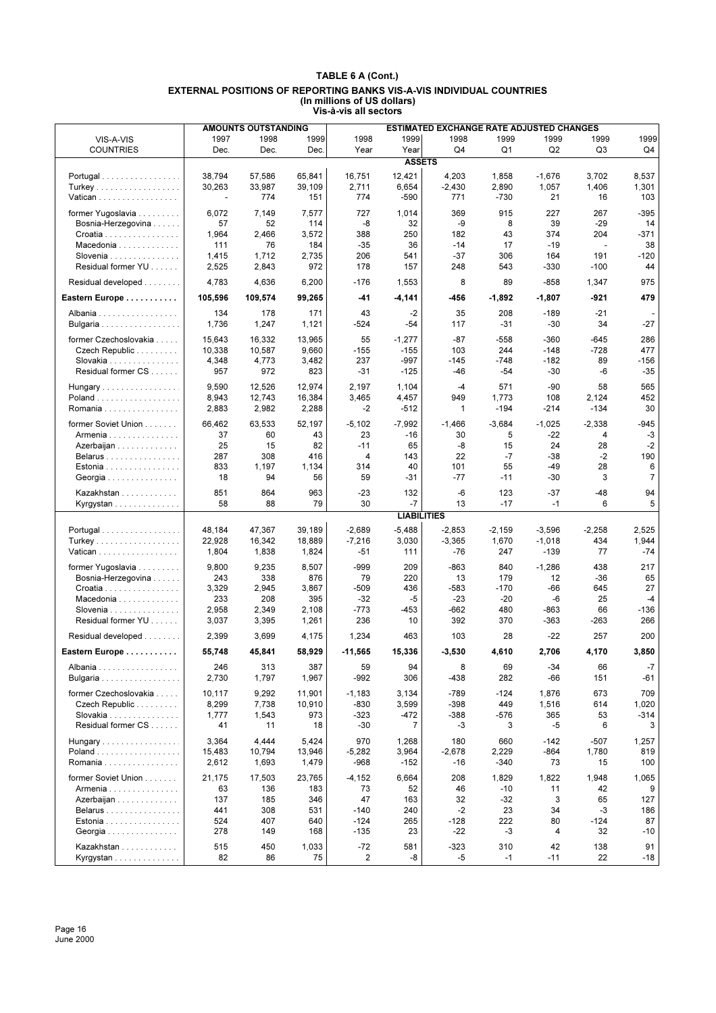|                       |                          | <b>AMOUNTS OUTSTANDING</b> |              |                 |                    | <b>ESTIMATED EXCHANGE RATE ADJUSTED CHANGES</b> |                |                   |                          |                |
|-----------------------|--------------------------|----------------------------|--------------|-----------------|--------------------|-------------------------------------------------|----------------|-------------------|--------------------------|----------------|
| VIS-A-VIS             | 1997                     | 1998                       | 1999         | 1998            | 1999               | 1998                                            | 1999           | 1999              | 1999                     | 1999           |
| <b>COUNTRIES</b>      | Dec.                     | Dec.                       | Dec.         | Year            | Year               | Q4                                              | Q1             | Q <sub>2</sub>    | Q3                       | Q4             |
|                       |                          |                            |              |                 | <b>ASSETS</b>      |                                                 |                |                   |                          |                |
|                       | 38,794                   | 57,586                     | 65,841       |                 | 12,421             |                                                 |                |                   |                          | 8,537          |
| Portugal              | 30,263                   | 33,987                     | 39.109       | 16,751<br>2,711 | 6,654              | 4,203<br>$-2,430$                               | 1,858<br>2,890 | $-1,676$<br>1,057 | 3,702<br>1,406           | 1,301          |
| Turkey<br>Vatican     | $\overline{\phantom{a}}$ | 774                        | 151          | 774             | $-590$             | 771                                             | $-730$         | 21                | 16                       | 103            |
|                       |                          |                            |              |                 |                    |                                                 |                |                   |                          |                |
| former Yugoslavia     | 6,072                    | 7,149                      | 7,577        | 727             | 1,014              | 369                                             | 915            | 227               | 267                      | $-395$         |
| Bosnia-Herzegovina    | 57                       | 52                         | 114          | -8              | 32                 | -9                                              | 8              | 39                | $-29$                    | 14             |
| Croatia               | 1,964                    | 2,466                      | 3,572        | 388             | 250                | 182                                             | 43             | 374               | 204                      | -371           |
| Macedonia             | 111                      | 76                         | 184          | $-35$           | 36                 | $-14$                                           | 17             | $-19$             | $\overline{\phantom{a}}$ | 38             |
| Slovenia              | 1,415                    | 1,712                      | 2,735        | 206             | 541                | $-37$                                           | 306            | 164               | 191                      | $-120$         |
| Residual former YU    | 2,525                    | 2,843                      | 972          | 178             | 157                | 248                                             | 543            | $-330$            | $-100$                   | 44             |
| Residual developed    | 4,783                    | 4,636                      | 6,200        | $-176$          | 1,553              | 8                                               | 89             | $-858$            | 1,347                    | 975            |
| Eastern Europe        | 105,596                  | 109,574                    | 99,265       | -41             | $-4,141$           | -456                                            | $-1,892$       | $-1,807$          | -921                     | 479            |
| Albania               | 134                      | 178                        | 171          | 43              | $-2$               | 35                                              | 208            | $-189$            | $-21$                    |                |
| Bulgaria              | 1,736                    | 1,247                      | 1,121        | $-524$          | $-54$              | 117                                             | $-31$          | $-30$             | 34                       | $-27$          |
| former Czechoslovakia | 15,643                   | 16,332                     | 13,965       | 55              | $-1,277$           | $-87$                                           | $-558$         | $-360$            | $-645$                   | 286            |
| Czech Republic        | 10,338                   | 10,587                     | 9,660        | $-155$          | $-155$             | 103                                             | 244            | $-148$            | $-728$                   | 477            |
| Slovakia              | 4,348                    | 4,773                      | 3,482        | 237             | -997               | $-145$                                          | $-748$         | $-182$            | 89                       | $-156$         |
| Residual former CS    | 957                      | 972                        | 823          | $-31$           | $-125$             | $-46$                                           | $-54$          | $-30$             | -6                       | $-35$          |
| Hungary               | 9,590                    | 12,526                     | 12,974       | 2,197           | 1,104              | $-4$                                            | 571            | $-90$             | 58                       | 565            |
| Poland                | 8,943                    | 12,743                     | 16,384       | 3,465           | 4,457              | 949                                             | 1,773          | 108               | 2,124                    | 452            |
| Romania               | 2,883                    | 2,982                      | 2,288        | $-2$            | $-512$             | $\mathbf{1}$                                    | $-194$         | $-214$            | $-134$                   | 30             |
|                       |                          |                            |              |                 |                    |                                                 |                |                   |                          |                |
| former Soviet Union   | 66,462                   | 63,533                     | 52,197       | $-5,102$        | $-7,992$           | $-1,466$                                        | $-3,684$       | $-1,025$          | $-2,338$                 | -945           |
| Armenia               | 37                       | 60                         | 43           | 23              | $-16$              | 30                                              | 5              | $-22$             | 4                        | $-3$           |
| Azerbaijan            | 25                       | 15                         | 82           | $-11$           | 65                 | -8                                              | 15             | 24                | 28                       | $-2$           |
| Belarus               | 287                      | 308                        | 416          | 4               | 143                | 22                                              | $-7$           | $-38$             | $-2$                     | 190            |
| Estonia               | 833                      | 1,197                      | 1,134        | 314             | 40                 | 101                                             | 55             | -49               | 28                       | 6              |
| Georgia               | 18                       | 94                         | 56           | 59              | -31                | -77                                             | $-11$          | $-30$             | 3                        | $\overline{7}$ |
| Kazakhstan            | 851                      | 864                        | 963          | $-23$           | 132                | -6                                              | 123            | $-37$             | $-48$                    | 94             |
| Kyrgystan             | 58                       | 88                         | 79           | 30              | $-7$               | 13                                              | $-17$          | $-1$              | 6                        | 5              |
|                       |                          |                            |              |                 | <b>LIABILITIES</b> |                                                 |                |                   |                          |                |
| Portugal              | 48,184                   | 47,367                     | 39,189       | $-2,689$        | $-5,488$           | $-2,853$                                        | $-2,159$       | $-3,596$          | $-2,258$                 | 2,525          |
| Turkey                | 22,928                   | 16,342                     | 18,889       | $-7,216$        | 3,030              | $-3,365$                                        | 1,670          | $-1,018$          | 434                      | 1,944          |
| Vatican               | 1,804                    | 1,838                      | 1,824        | $-51$           | 111                | -76                                             | 247            | $-139$            | 77                       | $-74$          |
| former Yugoslavia     | 9,800                    | 9,235                      | 8,507        | -999            | 209                | -863                                            | 840            | $-1,286$          | 438                      | 217            |
| Bosnia-Herzegovina    | 243                      | 338                        | 876          | 79              | 220                | 13                                              | 179            | 12                | $-36$                    | 65             |
| Croatia               | 3,329                    | 2,945                      | 3,867        | $-509$          | 436                | $-583$                                          | $-170$         | -66               | 645                      | 27             |
| Macedonia             | 233                      | 208                        | 395          | $-32$           | $-5$               | $-23$                                           | $-20$          | -6                | 25                       | $-4$           |
| Slovenia              | 2,958                    | 2,349                      | 2,108        | $-773$          | -453               | $-662$                                          | 480            | -863              | 66                       | $-136$         |
| Residual former YU    | 3,037                    | 3,395                      | 1,261        | 236             | 10                 | 392                                             | 370            | $-363$            | -263                     | 266            |
| Residual developed    | 2,399                    | 3,699                      | 4,175        | 1,234           | 463                | 103                                             | 28             | $-22$             | 257                      | 200            |
| Eastern Europe        | 55,748                   | 45,841                     | 58,929       | $-11,565$       | 15,336             | $-3,530$                                        | 4,610          | 2,706             | 4,170                    | 3,850          |
|                       |                          |                            |              |                 |                    |                                                 |                |                   |                          |                |
| Albania<br>Bulgaria   | 246<br>2,730             | 313<br>1,797               | 387<br>1,967 | 59<br>-992      | 94<br>306          | 8<br>-438                                       | 69<br>282      | $-34$<br>-66      | 66<br>151                | $-7$<br>-61    |
| former Czechoslovakia | 10.117                   | 9,292                      | 11,901       | $-1,183$        | 3,134              | $-789$                                          | $-124$         | 1,876             | 673                      | 709            |
| Czech Republic        | 8,299                    | 7,738                      | 10,910       | -830            | 3,599              | $-398$                                          | 449            | 1,516             | 614                      | 1,020          |
| Slovakia              | 1,777                    | 1,543                      | 973          | -323            | $-472$             | $-388$                                          | $-576$         | 365               | 53                       | $-314$         |
| Residual former CS    | 41                       | 11                         | 18           | $-30$           | 7                  | -3                                              | 3              | $-5$              | 6                        | 3              |
|                       |                          |                            |              |                 |                    |                                                 |                |                   |                          |                |
| Hungary               | 3,364                    | 4,444                      | 5,424        | 970             | 1,268              | 180                                             | 660            | $-142$            | -507                     | 1,257          |
| Poland                | 15,483                   | 10,794                     | 13,946       | $-5,282$        | 3,964              | $-2,678$                                        | 2,229          | $-864$            | 1,780                    | 819            |
| Romania               | 2,612                    | 1,693                      | 1,479        | -968            | $-152$             | -16                                             | -340           | 73                | 15                       | 100            |
| former Soviet Union   | 21,175                   | 17,503                     | 23,765       | $-4,152$        | 6,664              | 208                                             | 1,829          | 1,822             | 1,948                    | 1,065          |
| Armenia               | 63                       | 136                        | 183          | 73              | 52                 | 46                                              | $-10$          | 11                | 42                       | 9              |
| Azerbaijan            | 137                      | 185                        | 346          | 47              | 163                | 32                                              | -32            | 3                 | 65                       | 127            |
| Belarus               | 441                      | 308                        | 531          | $-140$          | 240                | $-2$                                            | 23             | 34                | -3                       | 186            |
| Estonia               | 524                      | 407                        | 640          | $-124$          | 265                | $-128$                                          | 222            | 80                | $-124$                   | 87             |
| Georgia               | 278                      | 149                        | 168          | $-135$          | 23                 | -22                                             | $-3$           | 4                 | 32                       | -10            |
| Kazakhstan            | 515                      | 450                        | 1,033        | $-72$           | 581                | $-323$                                          | 310            | 42                | 138                      | 91             |
| Kyrgystan             | 82                       | 86                         | 75           | 2               | -8                 | $-5$                                            | $-1$           | $-11$             | 22                       | -18            |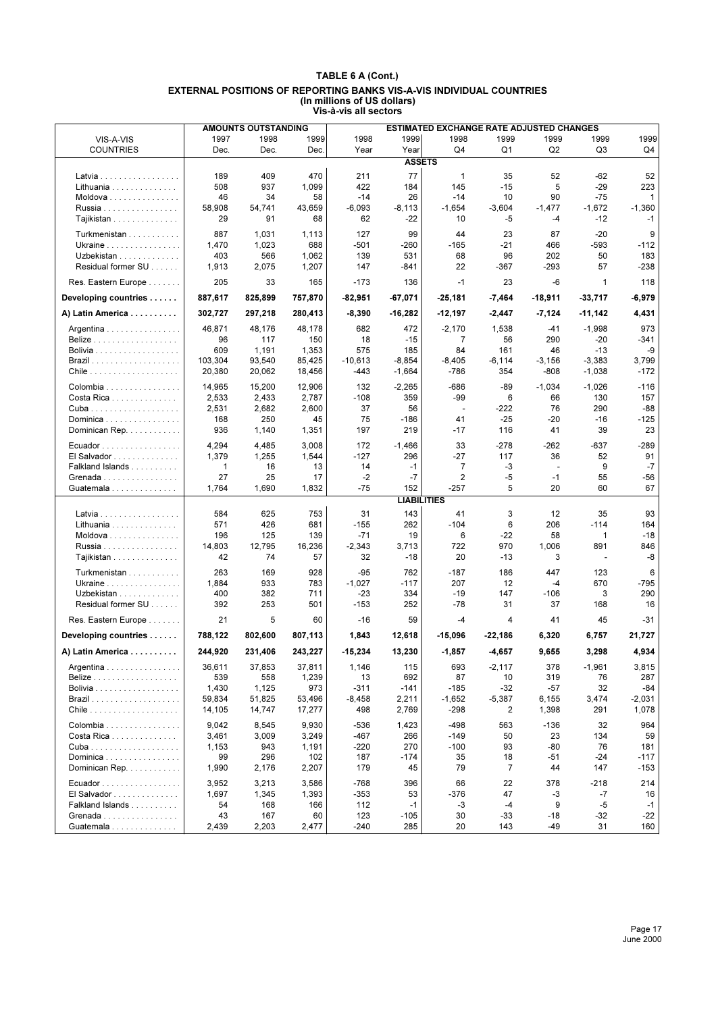| 1998<br>1999<br>1998<br>1999<br>1999<br>1999<br>1997<br>1998<br>1999<br>1999<br>VIS-A-VIS<br>Q2<br><b>COUNTRIES</b><br>Dec.<br>Q4<br>Q1<br>Q3<br>Q4<br>Dec.<br>Dec.<br>Year<br>Year<br><b>ASSETS</b><br>77<br>470<br>52<br>189<br>409<br>211<br>$\mathbf{1}$<br>35<br>52<br>$-62$<br>Latvia<br>937<br>422<br>145<br>5<br>Lithuania<br>508<br>1,099<br>184<br>$-15$<br>-29<br>223<br>34<br>58<br>$-14$<br>26<br>90<br>$-75$<br>$\mathbf{1}$<br>Moldova<br>46<br>$-14$<br>10<br>$-6,093$<br>$-1,360$<br>58,908<br>54,741<br>43,659<br>$-8,113$<br>$-1,654$<br>$-3,604$<br>$-1,477$<br>$-1,672$<br>Russia<br>91<br>62<br>Tajikistan<br>29<br>68<br>$-22$<br>10<br>-5<br>$-12$<br>$-1$<br>-4<br>127<br>99<br>$-20$<br>9<br>Turkmenistan<br>887<br>1,031<br>1,113<br>44<br>23<br>87<br>Ukraine<br>1,470<br>1,023<br>688<br>$-501$<br>$-260$<br>$-165$<br>-21<br>466<br>-593<br>$-112$<br>139<br>50<br>183<br>Uzbekistan<br>403<br>566<br>1,062<br>531<br>68<br>96<br>202<br>Residual former SU<br>$-238$<br>1,913<br>2,075<br>1,207<br>147<br>-841<br>22<br>-367<br>$-293$<br>57<br>$-173$<br>23<br>-6<br>118<br>Res. Eastern Europe<br>205<br>33<br>165<br>136<br>$-1$<br>1<br>$-6,979$<br>Developing countries<br>887,617<br>825,899<br>757,870<br>-82,951<br>$-67,071$<br>$-25,181$<br>-18,911<br>$-33,717$<br>-7,464<br>302,727<br>297,218<br>280,413<br>$-8,390$<br>$-16,282$<br>$-12,197$<br>$-2,447$<br>$-7,124$<br>4,431<br>A) Latin America<br>-11,142<br>682<br>973<br>46,871<br>48,176<br>48,178<br>472<br>$-2,170$<br>1,538<br>-41<br>$-1,998$<br>Argentina<br>117<br>150<br>18<br>$\overline{7}$<br>290<br>$-20$<br>-341<br>96<br>$-15$<br>56<br><b>Belize</b><br>575<br>84<br>609<br>1,191<br>1,353<br>185<br>161<br>46<br>$-13$<br>-9<br>Bolivia<br>3,799<br>103,304<br>93,540<br>85,425<br>$-10.613$<br>$-8,854$<br>$-8,405$<br>$-6, 114$<br>$-3,156$<br>$-3,383$<br>20,380<br>20,062<br>-443<br>$-1,664$<br>$-786$<br>354<br>-808<br>$-1,038$<br>$-172$<br>18,456<br>132<br>-686<br>$-89$<br>$-1,034$<br>$-1,026$<br>14,965<br>15,200<br>12,906<br>$-2,265$<br>$-116$<br>Colombia<br>$-108$<br>6<br>130<br>157<br>Costa Rica<br>2,533<br>2,433<br>2,787<br>359<br>-99<br>66<br>37<br>$-222$<br>76<br>290<br>-88<br>2,531<br>2,682<br>2,600<br>56<br>$\overline{\phantom{a}}$<br>250<br>45<br>75<br>$-125$<br>168<br>-186<br>41<br>$-25$<br>-20<br>$-16$<br>Dominica<br>936<br>197<br>39<br>23<br>Dominican Rep.<br>1,140<br>1,351<br>219<br>$-17$<br>116<br>41<br>4,294<br>3,008<br>172<br>33<br>$-278$<br>$-262$<br>-637<br>$-289$<br>4,485<br>$-1,466$<br>Ecuador<br>El Salvador<br>1,379<br>1,255<br>1,544<br>$-127$<br>296<br>-27<br>117<br>36<br>52<br>91<br>$\overline{7}$<br>9<br>$-7$<br>Falkland Islands<br>16<br>13<br>14<br>$-1$<br>-3<br>1<br>$\blacksquare$<br>$-7$<br>27<br>25<br>$-2$<br>2<br>-5<br>55<br>$-56$<br>17<br>$-1$<br>Grenada<br>5<br>67<br>1,764<br>$-75$<br>152<br>-257<br>20<br>60<br>Guatemala<br>1,690<br>1,832<br><b>LIABILITIES</b><br>625<br>753<br>143<br>3<br>584<br>31<br>41<br>12<br>35<br>93<br>Latvia<br>$-104$<br>$-114$<br>Lithuania<br>571<br>426<br>681<br>$-155$<br>262<br>6<br>206<br>164<br>$-18$<br>196<br>125<br>139<br>$-71$<br>19<br>6<br>$-22$<br>58<br>1<br>Moldova<br>14,803<br>12,795<br>16,236<br>$-2,343$<br>3,713<br>722<br>970<br>1,006<br>891<br>846<br>Russia<br>74<br>-8<br>42<br>57<br>32<br>$-18$<br>20<br>$-13$<br>3<br>Tajikistan<br>$\overline{\phantom{a}}$<br>263<br>169<br>928<br>$-95$<br>762<br>$-187$<br>186<br>447<br>123<br>Turkmenistan<br>6<br>$-1,027$<br>207<br>12<br>670<br>-795<br>Ukraine<br>1,884<br>933<br>783<br>$-117$<br>$-4$<br>382<br>711<br>$-23$<br>334<br>$-19$<br>147<br>3<br>290<br>Uzbekistan<br>400<br>$-106$<br>Residual former SU<br>392<br>253<br>501<br>$-153$<br>252<br>$-78$<br>31<br>37<br>168<br>16<br>5<br>Res. Eastern Europe<br>21<br>60<br>$-16$<br>59<br>$-4$<br>4<br>41<br>45<br>-31<br>Developing countries<br>788,122<br>802,600<br>807,113<br>1,843<br>12,618<br>$-15,096$<br>6,320<br>6,757<br>21,727<br>-22,186<br>244,920<br>243,227<br>13,230<br>4,934<br>231.406<br>$-15,234$<br>$-1,857$<br>$-4,657$<br>9,655<br>3,298<br>A) Latin America<br>36,611<br>37,853<br>37,811<br>1,146<br>115<br>693<br>$-2,117$<br>378<br>$-1,961$<br>3,815<br>Argentina<br>539<br>558<br>1,239<br>692<br>87<br>319<br>76<br>287<br>13<br>10<br>1,125<br>973<br>$-32$<br>$-57$<br>32<br>1,430<br>$-311$<br>$-141$<br>$-185$<br>-84<br>51,825<br>53,496<br>$-8,458$<br>2,211<br>$-1,652$<br>$-5,387$<br>3,474<br>$-2,031$<br>59,834<br>6,155<br>17,277<br>498<br>2,769<br>-298<br>2<br>1,398<br>291<br>1,078<br>14,105<br>14,747<br>9,042<br>8,545<br>$-536$<br>$-498$<br>964<br>Colombia<br>9,930<br>1,423<br>563<br>$-136$<br>32<br>$-467$<br>59<br>Costa Rica<br>3,461<br>3,009<br>3,249<br>266<br>$-149$<br>50<br>23<br>134<br>943<br>1,191<br>$-220$<br>270<br>$-100$<br>93<br>-80<br>76<br>181<br>1,153<br>$-117$<br>Dominica<br>99<br>296<br>102<br>187<br>$-174$<br>35<br>18<br>$-51$<br>$-24$<br>$\overline{7}$<br>Dominican Rep.<br>1,990<br>2,176<br>2,207<br>179<br>45<br>79<br>44<br>147<br>$-153$<br>$-768$<br>396<br>66<br>22<br>378<br>$-218$<br>214<br>3,952<br>3,213<br>3,586<br>Ecuador<br>1,393<br>$-353$<br>47<br>$-7$<br>El Salvador<br>1,697<br>1,345<br>53<br>-376<br>-3<br>16 |  | <b>AMOUNTS OUTSTANDING</b> |  | <b>ESTIMATED EXCHANGE RATE ADJUSTED CHANGES</b> |  |  |
|----------------------------------------------------------------------------------------------------------------------------------------------------------------------------------------------------------------------------------------------------------------------------------------------------------------------------------------------------------------------------------------------------------------------------------------------------------------------------------------------------------------------------------------------------------------------------------------------------------------------------------------------------------------------------------------------------------------------------------------------------------------------------------------------------------------------------------------------------------------------------------------------------------------------------------------------------------------------------------------------------------------------------------------------------------------------------------------------------------------------------------------------------------------------------------------------------------------------------------------------------------------------------------------------------------------------------------------------------------------------------------------------------------------------------------------------------------------------------------------------------------------------------------------------------------------------------------------------------------------------------------------------------------------------------------------------------------------------------------------------------------------------------------------------------------------------------------------------------------------------------------------------------------------------------------------------------------------------------------------------------------------------------------------------------------------------------------------------------------------------------------------------------------------------------------------------------------------------------------------------------------------------------------------------------------------------------------------------------------------------------------------------------------------------------------------------------------------------------------------------------------------------------------------------------------------------------------------------------------------------------------------------------------------------------------------------------------------------------------------------------------------------------------------------------------------------------------------------------------------------------------------------------------------------------------------------------------------------------------------------------------------------------------------------------------------------------------------------------------------------------------------------------------------------------------------------------------------------------------------------------------------------------------------------------------------------------------------------------------------------------------------------------------------------------------------------------------------------------------------------------------------------------------------------------------------------------------------------------------------------------------------------------------------------------------------------------------------------------------------------------------------------------------------------------------------------------------------------------------------------------------------------------------------------------------------------------------------------------------------------------------------------------------------------------------------------------------------------------------------------------------------------------------------------------------------------------------------------------------------------------------------------------------------------------------------------------------------------------------------------------------------------------------------------------------------------------------------------------------------------------------------------------------------------------------------------------------------------------------------------------------------------------------------------------------------------------------------------------------------------------------------------------------------------------------------------------------------------------------------------------------------------------------------------------------------------------------------------------------------------------------------------------------------------------------------------------------------------------------------------------------------------------------------------------------------------------------------------------------------------------------------------------------------------------------------------|--|----------------------------|--|-------------------------------------------------|--|--|
|                                                                                                                                                                                                                                                                                                                                                                                                                                                                                                                                                                                                                                                                                                                                                                                                                                                                                                                                                                                                                                                                                                                                                                                                                                                                                                                                                                                                                                                                                                                                                                                                                                                                                                                                                                                                                                                                                                                                                                                                                                                                                                                                                                                                                                                                                                                                                                                                                                                                                                                                                                                                                                                                                                                                                                                                                                                                                                                                                                                                                                                                                                                                                                                                                                                                                                                                                                                                                                                                                                                                                                                                                                                                                                                                                                                                                                                                                                                                                                                                                                                                                                                                                                                                                                                                                                                                                                                                                                                                                                                                                                                                                                                                                                                                                                                                                                                                                                                                                                                                                                                                                                                                                                                                                                                                                                                      |  |                            |  |                                                 |  |  |
|                                                                                                                                                                                                                                                                                                                                                                                                                                                                                                                                                                                                                                                                                                                                                                                                                                                                                                                                                                                                                                                                                                                                                                                                                                                                                                                                                                                                                                                                                                                                                                                                                                                                                                                                                                                                                                                                                                                                                                                                                                                                                                                                                                                                                                                                                                                                                                                                                                                                                                                                                                                                                                                                                                                                                                                                                                                                                                                                                                                                                                                                                                                                                                                                                                                                                                                                                                                                                                                                                                                                                                                                                                                                                                                                                                                                                                                                                                                                                                                                                                                                                                                                                                                                                                                                                                                                                                                                                                                                                                                                                                                                                                                                                                                                                                                                                                                                                                                                                                                                                                                                                                                                                                                                                                                                                                                      |  |                            |  |                                                 |  |  |
|                                                                                                                                                                                                                                                                                                                                                                                                                                                                                                                                                                                                                                                                                                                                                                                                                                                                                                                                                                                                                                                                                                                                                                                                                                                                                                                                                                                                                                                                                                                                                                                                                                                                                                                                                                                                                                                                                                                                                                                                                                                                                                                                                                                                                                                                                                                                                                                                                                                                                                                                                                                                                                                                                                                                                                                                                                                                                                                                                                                                                                                                                                                                                                                                                                                                                                                                                                                                                                                                                                                                                                                                                                                                                                                                                                                                                                                                                                                                                                                                                                                                                                                                                                                                                                                                                                                                                                                                                                                                                                                                                                                                                                                                                                                                                                                                                                                                                                                                                                                                                                                                                                                                                                                                                                                                                                                      |  |                            |  |                                                 |  |  |
|                                                                                                                                                                                                                                                                                                                                                                                                                                                                                                                                                                                                                                                                                                                                                                                                                                                                                                                                                                                                                                                                                                                                                                                                                                                                                                                                                                                                                                                                                                                                                                                                                                                                                                                                                                                                                                                                                                                                                                                                                                                                                                                                                                                                                                                                                                                                                                                                                                                                                                                                                                                                                                                                                                                                                                                                                                                                                                                                                                                                                                                                                                                                                                                                                                                                                                                                                                                                                                                                                                                                                                                                                                                                                                                                                                                                                                                                                                                                                                                                                                                                                                                                                                                                                                                                                                                                                                                                                                                                                                                                                                                                                                                                                                                                                                                                                                                                                                                                                                                                                                                                                                                                                                                                                                                                                                                      |  |                            |  |                                                 |  |  |
|                                                                                                                                                                                                                                                                                                                                                                                                                                                                                                                                                                                                                                                                                                                                                                                                                                                                                                                                                                                                                                                                                                                                                                                                                                                                                                                                                                                                                                                                                                                                                                                                                                                                                                                                                                                                                                                                                                                                                                                                                                                                                                                                                                                                                                                                                                                                                                                                                                                                                                                                                                                                                                                                                                                                                                                                                                                                                                                                                                                                                                                                                                                                                                                                                                                                                                                                                                                                                                                                                                                                                                                                                                                                                                                                                                                                                                                                                                                                                                                                                                                                                                                                                                                                                                                                                                                                                                                                                                                                                                                                                                                                                                                                                                                                                                                                                                                                                                                                                                                                                                                                                                                                                                                                                                                                                                                      |  |                            |  |                                                 |  |  |
|                                                                                                                                                                                                                                                                                                                                                                                                                                                                                                                                                                                                                                                                                                                                                                                                                                                                                                                                                                                                                                                                                                                                                                                                                                                                                                                                                                                                                                                                                                                                                                                                                                                                                                                                                                                                                                                                                                                                                                                                                                                                                                                                                                                                                                                                                                                                                                                                                                                                                                                                                                                                                                                                                                                                                                                                                                                                                                                                                                                                                                                                                                                                                                                                                                                                                                                                                                                                                                                                                                                                                                                                                                                                                                                                                                                                                                                                                                                                                                                                                                                                                                                                                                                                                                                                                                                                                                                                                                                                                                                                                                                                                                                                                                                                                                                                                                                                                                                                                                                                                                                                                                                                                                                                                                                                                                                      |  |                            |  |                                                 |  |  |
|                                                                                                                                                                                                                                                                                                                                                                                                                                                                                                                                                                                                                                                                                                                                                                                                                                                                                                                                                                                                                                                                                                                                                                                                                                                                                                                                                                                                                                                                                                                                                                                                                                                                                                                                                                                                                                                                                                                                                                                                                                                                                                                                                                                                                                                                                                                                                                                                                                                                                                                                                                                                                                                                                                                                                                                                                                                                                                                                                                                                                                                                                                                                                                                                                                                                                                                                                                                                                                                                                                                                                                                                                                                                                                                                                                                                                                                                                                                                                                                                                                                                                                                                                                                                                                                                                                                                                                                                                                                                                                                                                                                                                                                                                                                                                                                                                                                                                                                                                                                                                                                                                                                                                                                                                                                                                                                      |  |                            |  |                                                 |  |  |
|                                                                                                                                                                                                                                                                                                                                                                                                                                                                                                                                                                                                                                                                                                                                                                                                                                                                                                                                                                                                                                                                                                                                                                                                                                                                                                                                                                                                                                                                                                                                                                                                                                                                                                                                                                                                                                                                                                                                                                                                                                                                                                                                                                                                                                                                                                                                                                                                                                                                                                                                                                                                                                                                                                                                                                                                                                                                                                                                                                                                                                                                                                                                                                                                                                                                                                                                                                                                                                                                                                                                                                                                                                                                                                                                                                                                                                                                                                                                                                                                                                                                                                                                                                                                                                                                                                                                                                                                                                                                                                                                                                                                                                                                                                                                                                                                                                                                                                                                                                                                                                                                                                                                                                                                                                                                                                                      |  |                            |  |                                                 |  |  |
|                                                                                                                                                                                                                                                                                                                                                                                                                                                                                                                                                                                                                                                                                                                                                                                                                                                                                                                                                                                                                                                                                                                                                                                                                                                                                                                                                                                                                                                                                                                                                                                                                                                                                                                                                                                                                                                                                                                                                                                                                                                                                                                                                                                                                                                                                                                                                                                                                                                                                                                                                                                                                                                                                                                                                                                                                                                                                                                                                                                                                                                                                                                                                                                                                                                                                                                                                                                                                                                                                                                                                                                                                                                                                                                                                                                                                                                                                                                                                                                                                                                                                                                                                                                                                                                                                                                                                                                                                                                                                                                                                                                                                                                                                                                                                                                                                                                                                                                                                                                                                                                                                                                                                                                                                                                                                                                      |  |                            |  |                                                 |  |  |
|                                                                                                                                                                                                                                                                                                                                                                                                                                                                                                                                                                                                                                                                                                                                                                                                                                                                                                                                                                                                                                                                                                                                                                                                                                                                                                                                                                                                                                                                                                                                                                                                                                                                                                                                                                                                                                                                                                                                                                                                                                                                                                                                                                                                                                                                                                                                                                                                                                                                                                                                                                                                                                                                                                                                                                                                                                                                                                                                                                                                                                                                                                                                                                                                                                                                                                                                                                                                                                                                                                                                                                                                                                                                                                                                                                                                                                                                                                                                                                                                                                                                                                                                                                                                                                                                                                                                                                                                                                                                                                                                                                                                                                                                                                                                                                                                                                                                                                                                                                                                                                                                                                                                                                                                                                                                                                                      |  |                            |  |                                                 |  |  |
|                                                                                                                                                                                                                                                                                                                                                                                                                                                                                                                                                                                                                                                                                                                                                                                                                                                                                                                                                                                                                                                                                                                                                                                                                                                                                                                                                                                                                                                                                                                                                                                                                                                                                                                                                                                                                                                                                                                                                                                                                                                                                                                                                                                                                                                                                                                                                                                                                                                                                                                                                                                                                                                                                                                                                                                                                                                                                                                                                                                                                                                                                                                                                                                                                                                                                                                                                                                                                                                                                                                                                                                                                                                                                                                                                                                                                                                                                                                                                                                                                                                                                                                                                                                                                                                                                                                                                                                                                                                                                                                                                                                                                                                                                                                                                                                                                                                                                                                                                                                                                                                                                                                                                                                                                                                                                                                      |  |                            |  |                                                 |  |  |
|                                                                                                                                                                                                                                                                                                                                                                                                                                                                                                                                                                                                                                                                                                                                                                                                                                                                                                                                                                                                                                                                                                                                                                                                                                                                                                                                                                                                                                                                                                                                                                                                                                                                                                                                                                                                                                                                                                                                                                                                                                                                                                                                                                                                                                                                                                                                                                                                                                                                                                                                                                                                                                                                                                                                                                                                                                                                                                                                                                                                                                                                                                                                                                                                                                                                                                                                                                                                                                                                                                                                                                                                                                                                                                                                                                                                                                                                                                                                                                                                                                                                                                                                                                                                                                                                                                                                                                                                                                                                                                                                                                                                                                                                                                                                                                                                                                                                                                                                                                                                                                                                                                                                                                                                                                                                                                                      |  |                            |  |                                                 |  |  |
|                                                                                                                                                                                                                                                                                                                                                                                                                                                                                                                                                                                                                                                                                                                                                                                                                                                                                                                                                                                                                                                                                                                                                                                                                                                                                                                                                                                                                                                                                                                                                                                                                                                                                                                                                                                                                                                                                                                                                                                                                                                                                                                                                                                                                                                                                                                                                                                                                                                                                                                                                                                                                                                                                                                                                                                                                                                                                                                                                                                                                                                                                                                                                                                                                                                                                                                                                                                                                                                                                                                                                                                                                                                                                                                                                                                                                                                                                                                                                                                                                                                                                                                                                                                                                                                                                                                                                                                                                                                                                                                                                                                                                                                                                                                                                                                                                                                                                                                                                                                                                                                                                                                                                                                                                                                                                                                      |  |                            |  |                                                 |  |  |
|                                                                                                                                                                                                                                                                                                                                                                                                                                                                                                                                                                                                                                                                                                                                                                                                                                                                                                                                                                                                                                                                                                                                                                                                                                                                                                                                                                                                                                                                                                                                                                                                                                                                                                                                                                                                                                                                                                                                                                                                                                                                                                                                                                                                                                                                                                                                                                                                                                                                                                                                                                                                                                                                                                                                                                                                                                                                                                                                                                                                                                                                                                                                                                                                                                                                                                                                                                                                                                                                                                                                                                                                                                                                                                                                                                                                                                                                                                                                                                                                                                                                                                                                                                                                                                                                                                                                                                                                                                                                                                                                                                                                                                                                                                                                                                                                                                                                                                                                                                                                                                                                                                                                                                                                                                                                                                                      |  |                            |  |                                                 |  |  |
|                                                                                                                                                                                                                                                                                                                                                                                                                                                                                                                                                                                                                                                                                                                                                                                                                                                                                                                                                                                                                                                                                                                                                                                                                                                                                                                                                                                                                                                                                                                                                                                                                                                                                                                                                                                                                                                                                                                                                                                                                                                                                                                                                                                                                                                                                                                                                                                                                                                                                                                                                                                                                                                                                                                                                                                                                                                                                                                                                                                                                                                                                                                                                                                                                                                                                                                                                                                                                                                                                                                                                                                                                                                                                                                                                                                                                                                                                                                                                                                                                                                                                                                                                                                                                                                                                                                                                                                                                                                                                                                                                                                                                                                                                                                                                                                                                                                                                                                                                                                                                                                                                                                                                                                                                                                                                                                      |  |                            |  |                                                 |  |  |
|                                                                                                                                                                                                                                                                                                                                                                                                                                                                                                                                                                                                                                                                                                                                                                                                                                                                                                                                                                                                                                                                                                                                                                                                                                                                                                                                                                                                                                                                                                                                                                                                                                                                                                                                                                                                                                                                                                                                                                                                                                                                                                                                                                                                                                                                                                                                                                                                                                                                                                                                                                                                                                                                                                                                                                                                                                                                                                                                                                                                                                                                                                                                                                                                                                                                                                                                                                                                                                                                                                                                                                                                                                                                                                                                                                                                                                                                                                                                                                                                                                                                                                                                                                                                                                                                                                                                                                                                                                                                                                                                                                                                                                                                                                                                                                                                                                                                                                                                                                                                                                                                                                                                                                                                                                                                                                                      |  |                            |  |                                                 |  |  |
|                                                                                                                                                                                                                                                                                                                                                                                                                                                                                                                                                                                                                                                                                                                                                                                                                                                                                                                                                                                                                                                                                                                                                                                                                                                                                                                                                                                                                                                                                                                                                                                                                                                                                                                                                                                                                                                                                                                                                                                                                                                                                                                                                                                                                                                                                                                                                                                                                                                                                                                                                                                                                                                                                                                                                                                                                                                                                                                                                                                                                                                                                                                                                                                                                                                                                                                                                                                                                                                                                                                                                                                                                                                                                                                                                                                                                                                                                                                                                                                                                                                                                                                                                                                                                                                                                                                                                                                                                                                                                                                                                                                                                                                                                                                                                                                                                                                                                                                                                                                                                                                                                                                                                                                                                                                                                                                      |  |                            |  |                                                 |  |  |
|                                                                                                                                                                                                                                                                                                                                                                                                                                                                                                                                                                                                                                                                                                                                                                                                                                                                                                                                                                                                                                                                                                                                                                                                                                                                                                                                                                                                                                                                                                                                                                                                                                                                                                                                                                                                                                                                                                                                                                                                                                                                                                                                                                                                                                                                                                                                                                                                                                                                                                                                                                                                                                                                                                                                                                                                                                                                                                                                                                                                                                                                                                                                                                                                                                                                                                                                                                                                                                                                                                                                                                                                                                                                                                                                                                                                                                                                                                                                                                                                                                                                                                                                                                                                                                                                                                                                                                                                                                                                                                                                                                                                                                                                                                                                                                                                                                                                                                                                                                                                                                                                                                                                                                                                                                                                                                                      |  |                            |  |                                                 |  |  |
|                                                                                                                                                                                                                                                                                                                                                                                                                                                                                                                                                                                                                                                                                                                                                                                                                                                                                                                                                                                                                                                                                                                                                                                                                                                                                                                                                                                                                                                                                                                                                                                                                                                                                                                                                                                                                                                                                                                                                                                                                                                                                                                                                                                                                                                                                                                                                                                                                                                                                                                                                                                                                                                                                                                                                                                                                                                                                                                                                                                                                                                                                                                                                                                                                                                                                                                                                                                                                                                                                                                                                                                                                                                                                                                                                                                                                                                                                                                                                                                                                                                                                                                                                                                                                                                                                                                                                                                                                                                                                                                                                                                                                                                                                                                                                                                                                                                                                                                                                                                                                                                                                                                                                                                                                                                                                                                      |  |                            |  |                                                 |  |  |
|                                                                                                                                                                                                                                                                                                                                                                                                                                                                                                                                                                                                                                                                                                                                                                                                                                                                                                                                                                                                                                                                                                                                                                                                                                                                                                                                                                                                                                                                                                                                                                                                                                                                                                                                                                                                                                                                                                                                                                                                                                                                                                                                                                                                                                                                                                                                                                                                                                                                                                                                                                                                                                                                                                                                                                                                                                                                                                                                                                                                                                                                                                                                                                                                                                                                                                                                                                                                                                                                                                                                                                                                                                                                                                                                                                                                                                                                                                                                                                                                                                                                                                                                                                                                                                                                                                                                                                                                                                                                                                                                                                                                                                                                                                                                                                                                                                                                                                                                                                                                                                                                                                                                                                                                                                                                                                                      |  |                            |  |                                                 |  |  |
|                                                                                                                                                                                                                                                                                                                                                                                                                                                                                                                                                                                                                                                                                                                                                                                                                                                                                                                                                                                                                                                                                                                                                                                                                                                                                                                                                                                                                                                                                                                                                                                                                                                                                                                                                                                                                                                                                                                                                                                                                                                                                                                                                                                                                                                                                                                                                                                                                                                                                                                                                                                                                                                                                                                                                                                                                                                                                                                                                                                                                                                                                                                                                                                                                                                                                                                                                                                                                                                                                                                                                                                                                                                                                                                                                                                                                                                                                                                                                                                                                                                                                                                                                                                                                                                                                                                                                                                                                                                                                                                                                                                                                                                                                                                                                                                                                                                                                                                                                                                                                                                                                                                                                                                                                                                                                                                      |  |                            |  |                                                 |  |  |
|                                                                                                                                                                                                                                                                                                                                                                                                                                                                                                                                                                                                                                                                                                                                                                                                                                                                                                                                                                                                                                                                                                                                                                                                                                                                                                                                                                                                                                                                                                                                                                                                                                                                                                                                                                                                                                                                                                                                                                                                                                                                                                                                                                                                                                                                                                                                                                                                                                                                                                                                                                                                                                                                                                                                                                                                                                                                                                                                                                                                                                                                                                                                                                                                                                                                                                                                                                                                                                                                                                                                                                                                                                                                                                                                                                                                                                                                                                                                                                                                                                                                                                                                                                                                                                                                                                                                                                                                                                                                                                                                                                                                                                                                                                                                                                                                                                                                                                                                                                                                                                                                                                                                                                                                                                                                                                                      |  |                            |  |                                                 |  |  |
|                                                                                                                                                                                                                                                                                                                                                                                                                                                                                                                                                                                                                                                                                                                                                                                                                                                                                                                                                                                                                                                                                                                                                                                                                                                                                                                                                                                                                                                                                                                                                                                                                                                                                                                                                                                                                                                                                                                                                                                                                                                                                                                                                                                                                                                                                                                                                                                                                                                                                                                                                                                                                                                                                                                                                                                                                                                                                                                                                                                                                                                                                                                                                                                                                                                                                                                                                                                                                                                                                                                                                                                                                                                                                                                                                                                                                                                                                                                                                                                                                                                                                                                                                                                                                                                                                                                                                                                                                                                                                                                                                                                                                                                                                                                                                                                                                                                                                                                                                                                                                                                                                                                                                                                                                                                                                                                      |  |                            |  |                                                 |  |  |
|                                                                                                                                                                                                                                                                                                                                                                                                                                                                                                                                                                                                                                                                                                                                                                                                                                                                                                                                                                                                                                                                                                                                                                                                                                                                                                                                                                                                                                                                                                                                                                                                                                                                                                                                                                                                                                                                                                                                                                                                                                                                                                                                                                                                                                                                                                                                                                                                                                                                                                                                                                                                                                                                                                                                                                                                                                                                                                                                                                                                                                                                                                                                                                                                                                                                                                                                                                                                                                                                                                                                                                                                                                                                                                                                                                                                                                                                                                                                                                                                                                                                                                                                                                                                                                                                                                                                                                                                                                                                                                                                                                                                                                                                                                                                                                                                                                                                                                                                                                                                                                                                                                                                                                                                                                                                                                                      |  |                            |  |                                                 |  |  |
|                                                                                                                                                                                                                                                                                                                                                                                                                                                                                                                                                                                                                                                                                                                                                                                                                                                                                                                                                                                                                                                                                                                                                                                                                                                                                                                                                                                                                                                                                                                                                                                                                                                                                                                                                                                                                                                                                                                                                                                                                                                                                                                                                                                                                                                                                                                                                                                                                                                                                                                                                                                                                                                                                                                                                                                                                                                                                                                                                                                                                                                                                                                                                                                                                                                                                                                                                                                                                                                                                                                                                                                                                                                                                                                                                                                                                                                                                                                                                                                                                                                                                                                                                                                                                                                                                                                                                                                                                                                                                                                                                                                                                                                                                                                                                                                                                                                                                                                                                                                                                                                                                                                                                                                                                                                                                                                      |  |                            |  |                                                 |  |  |
|                                                                                                                                                                                                                                                                                                                                                                                                                                                                                                                                                                                                                                                                                                                                                                                                                                                                                                                                                                                                                                                                                                                                                                                                                                                                                                                                                                                                                                                                                                                                                                                                                                                                                                                                                                                                                                                                                                                                                                                                                                                                                                                                                                                                                                                                                                                                                                                                                                                                                                                                                                                                                                                                                                                                                                                                                                                                                                                                                                                                                                                                                                                                                                                                                                                                                                                                                                                                                                                                                                                                                                                                                                                                                                                                                                                                                                                                                                                                                                                                                                                                                                                                                                                                                                                                                                                                                                                                                                                                                                                                                                                                                                                                                                                                                                                                                                                                                                                                                                                                                                                                                                                                                                                                                                                                                                                      |  |                            |  |                                                 |  |  |
|                                                                                                                                                                                                                                                                                                                                                                                                                                                                                                                                                                                                                                                                                                                                                                                                                                                                                                                                                                                                                                                                                                                                                                                                                                                                                                                                                                                                                                                                                                                                                                                                                                                                                                                                                                                                                                                                                                                                                                                                                                                                                                                                                                                                                                                                                                                                                                                                                                                                                                                                                                                                                                                                                                                                                                                                                                                                                                                                                                                                                                                                                                                                                                                                                                                                                                                                                                                                                                                                                                                                                                                                                                                                                                                                                                                                                                                                                                                                                                                                                                                                                                                                                                                                                                                                                                                                                                                                                                                                                                                                                                                                                                                                                                                                                                                                                                                                                                                                                                                                                                                                                                                                                                                                                                                                                                                      |  |                            |  |                                                 |  |  |
|                                                                                                                                                                                                                                                                                                                                                                                                                                                                                                                                                                                                                                                                                                                                                                                                                                                                                                                                                                                                                                                                                                                                                                                                                                                                                                                                                                                                                                                                                                                                                                                                                                                                                                                                                                                                                                                                                                                                                                                                                                                                                                                                                                                                                                                                                                                                                                                                                                                                                                                                                                                                                                                                                                                                                                                                                                                                                                                                                                                                                                                                                                                                                                                                                                                                                                                                                                                                                                                                                                                                                                                                                                                                                                                                                                                                                                                                                                                                                                                                                                                                                                                                                                                                                                                                                                                                                                                                                                                                                                                                                                                                                                                                                                                                                                                                                                                                                                                                                                                                                                                                                                                                                                                                                                                                                                                      |  |                            |  |                                                 |  |  |
|                                                                                                                                                                                                                                                                                                                                                                                                                                                                                                                                                                                                                                                                                                                                                                                                                                                                                                                                                                                                                                                                                                                                                                                                                                                                                                                                                                                                                                                                                                                                                                                                                                                                                                                                                                                                                                                                                                                                                                                                                                                                                                                                                                                                                                                                                                                                                                                                                                                                                                                                                                                                                                                                                                                                                                                                                                                                                                                                                                                                                                                                                                                                                                                                                                                                                                                                                                                                                                                                                                                                                                                                                                                                                                                                                                                                                                                                                                                                                                                                                                                                                                                                                                                                                                                                                                                                                                                                                                                                                                                                                                                                                                                                                                                                                                                                                                                                                                                                                                                                                                                                                                                                                                                                                                                                                                                      |  |                            |  |                                                 |  |  |
|                                                                                                                                                                                                                                                                                                                                                                                                                                                                                                                                                                                                                                                                                                                                                                                                                                                                                                                                                                                                                                                                                                                                                                                                                                                                                                                                                                                                                                                                                                                                                                                                                                                                                                                                                                                                                                                                                                                                                                                                                                                                                                                                                                                                                                                                                                                                                                                                                                                                                                                                                                                                                                                                                                                                                                                                                                                                                                                                                                                                                                                                                                                                                                                                                                                                                                                                                                                                                                                                                                                                                                                                                                                                                                                                                                                                                                                                                                                                                                                                                                                                                                                                                                                                                                                                                                                                                                                                                                                                                                                                                                                                                                                                                                                                                                                                                                                                                                                                                                                                                                                                                                                                                                                                                                                                                                                      |  |                            |  |                                                 |  |  |
|                                                                                                                                                                                                                                                                                                                                                                                                                                                                                                                                                                                                                                                                                                                                                                                                                                                                                                                                                                                                                                                                                                                                                                                                                                                                                                                                                                                                                                                                                                                                                                                                                                                                                                                                                                                                                                                                                                                                                                                                                                                                                                                                                                                                                                                                                                                                                                                                                                                                                                                                                                                                                                                                                                                                                                                                                                                                                                                                                                                                                                                                                                                                                                                                                                                                                                                                                                                                                                                                                                                                                                                                                                                                                                                                                                                                                                                                                                                                                                                                                                                                                                                                                                                                                                                                                                                                                                                                                                                                                                                                                                                                                                                                                                                                                                                                                                                                                                                                                                                                                                                                                                                                                                                                                                                                                                                      |  |                            |  |                                                 |  |  |
|                                                                                                                                                                                                                                                                                                                                                                                                                                                                                                                                                                                                                                                                                                                                                                                                                                                                                                                                                                                                                                                                                                                                                                                                                                                                                                                                                                                                                                                                                                                                                                                                                                                                                                                                                                                                                                                                                                                                                                                                                                                                                                                                                                                                                                                                                                                                                                                                                                                                                                                                                                                                                                                                                                                                                                                                                                                                                                                                                                                                                                                                                                                                                                                                                                                                                                                                                                                                                                                                                                                                                                                                                                                                                                                                                                                                                                                                                                                                                                                                                                                                                                                                                                                                                                                                                                                                                                                                                                                                                                                                                                                                                                                                                                                                                                                                                                                                                                                                                                                                                                                                                                                                                                                                                                                                                                                      |  |                            |  |                                                 |  |  |
|                                                                                                                                                                                                                                                                                                                                                                                                                                                                                                                                                                                                                                                                                                                                                                                                                                                                                                                                                                                                                                                                                                                                                                                                                                                                                                                                                                                                                                                                                                                                                                                                                                                                                                                                                                                                                                                                                                                                                                                                                                                                                                                                                                                                                                                                                                                                                                                                                                                                                                                                                                                                                                                                                                                                                                                                                                                                                                                                                                                                                                                                                                                                                                                                                                                                                                                                                                                                                                                                                                                                                                                                                                                                                                                                                                                                                                                                                                                                                                                                                                                                                                                                                                                                                                                                                                                                                                                                                                                                                                                                                                                                                                                                                                                                                                                                                                                                                                                                                                                                                                                                                                                                                                                                                                                                                                                      |  |                            |  |                                                 |  |  |
|                                                                                                                                                                                                                                                                                                                                                                                                                                                                                                                                                                                                                                                                                                                                                                                                                                                                                                                                                                                                                                                                                                                                                                                                                                                                                                                                                                                                                                                                                                                                                                                                                                                                                                                                                                                                                                                                                                                                                                                                                                                                                                                                                                                                                                                                                                                                                                                                                                                                                                                                                                                                                                                                                                                                                                                                                                                                                                                                                                                                                                                                                                                                                                                                                                                                                                                                                                                                                                                                                                                                                                                                                                                                                                                                                                                                                                                                                                                                                                                                                                                                                                                                                                                                                                                                                                                                                                                                                                                                                                                                                                                                                                                                                                                                                                                                                                                                                                                                                                                                                                                                                                                                                                                                                                                                                                                      |  |                            |  |                                                 |  |  |
|                                                                                                                                                                                                                                                                                                                                                                                                                                                                                                                                                                                                                                                                                                                                                                                                                                                                                                                                                                                                                                                                                                                                                                                                                                                                                                                                                                                                                                                                                                                                                                                                                                                                                                                                                                                                                                                                                                                                                                                                                                                                                                                                                                                                                                                                                                                                                                                                                                                                                                                                                                                                                                                                                                                                                                                                                                                                                                                                                                                                                                                                                                                                                                                                                                                                                                                                                                                                                                                                                                                                                                                                                                                                                                                                                                                                                                                                                                                                                                                                                                                                                                                                                                                                                                                                                                                                                                                                                                                                                                                                                                                                                                                                                                                                                                                                                                                                                                                                                                                                                                                                                                                                                                                                                                                                                                                      |  |                            |  |                                                 |  |  |
|                                                                                                                                                                                                                                                                                                                                                                                                                                                                                                                                                                                                                                                                                                                                                                                                                                                                                                                                                                                                                                                                                                                                                                                                                                                                                                                                                                                                                                                                                                                                                                                                                                                                                                                                                                                                                                                                                                                                                                                                                                                                                                                                                                                                                                                                                                                                                                                                                                                                                                                                                                                                                                                                                                                                                                                                                                                                                                                                                                                                                                                                                                                                                                                                                                                                                                                                                                                                                                                                                                                                                                                                                                                                                                                                                                                                                                                                                                                                                                                                                                                                                                                                                                                                                                                                                                                                                                                                                                                                                                                                                                                                                                                                                                                                                                                                                                                                                                                                                                                                                                                                                                                                                                                                                                                                                                                      |  |                            |  |                                                 |  |  |
|                                                                                                                                                                                                                                                                                                                                                                                                                                                                                                                                                                                                                                                                                                                                                                                                                                                                                                                                                                                                                                                                                                                                                                                                                                                                                                                                                                                                                                                                                                                                                                                                                                                                                                                                                                                                                                                                                                                                                                                                                                                                                                                                                                                                                                                                                                                                                                                                                                                                                                                                                                                                                                                                                                                                                                                                                                                                                                                                                                                                                                                                                                                                                                                                                                                                                                                                                                                                                                                                                                                                                                                                                                                                                                                                                                                                                                                                                                                                                                                                                                                                                                                                                                                                                                                                                                                                                                                                                                                                                                                                                                                                                                                                                                                                                                                                                                                                                                                                                                                                                                                                                                                                                                                                                                                                                                                      |  |                            |  |                                                 |  |  |
|                                                                                                                                                                                                                                                                                                                                                                                                                                                                                                                                                                                                                                                                                                                                                                                                                                                                                                                                                                                                                                                                                                                                                                                                                                                                                                                                                                                                                                                                                                                                                                                                                                                                                                                                                                                                                                                                                                                                                                                                                                                                                                                                                                                                                                                                                                                                                                                                                                                                                                                                                                                                                                                                                                                                                                                                                                                                                                                                                                                                                                                                                                                                                                                                                                                                                                                                                                                                                                                                                                                                                                                                                                                                                                                                                                                                                                                                                                                                                                                                                                                                                                                                                                                                                                                                                                                                                                                                                                                                                                                                                                                                                                                                                                                                                                                                                                                                                                                                                                                                                                                                                                                                                                                                                                                                                                                      |  |                            |  |                                                 |  |  |
|                                                                                                                                                                                                                                                                                                                                                                                                                                                                                                                                                                                                                                                                                                                                                                                                                                                                                                                                                                                                                                                                                                                                                                                                                                                                                                                                                                                                                                                                                                                                                                                                                                                                                                                                                                                                                                                                                                                                                                                                                                                                                                                                                                                                                                                                                                                                                                                                                                                                                                                                                                                                                                                                                                                                                                                                                                                                                                                                                                                                                                                                                                                                                                                                                                                                                                                                                                                                                                                                                                                                                                                                                                                                                                                                                                                                                                                                                                                                                                                                                                                                                                                                                                                                                                                                                                                                                                                                                                                                                                                                                                                                                                                                                                                                                                                                                                                                                                                                                                                                                                                                                                                                                                                                                                                                                                                      |  |                            |  |                                                 |  |  |
|                                                                                                                                                                                                                                                                                                                                                                                                                                                                                                                                                                                                                                                                                                                                                                                                                                                                                                                                                                                                                                                                                                                                                                                                                                                                                                                                                                                                                                                                                                                                                                                                                                                                                                                                                                                                                                                                                                                                                                                                                                                                                                                                                                                                                                                                                                                                                                                                                                                                                                                                                                                                                                                                                                                                                                                                                                                                                                                                                                                                                                                                                                                                                                                                                                                                                                                                                                                                                                                                                                                                                                                                                                                                                                                                                                                                                                                                                                                                                                                                                                                                                                                                                                                                                                                                                                                                                                                                                                                                                                                                                                                                                                                                                                                                                                                                                                                                                                                                                                                                                                                                                                                                                                                                                                                                                                                      |  |                            |  |                                                 |  |  |
|                                                                                                                                                                                                                                                                                                                                                                                                                                                                                                                                                                                                                                                                                                                                                                                                                                                                                                                                                                                                                                                                                                                                                                                                                                                                                                                                                                                                                                                                                                                                                                                                                                                                                                                                                                                                                                                                                                                                                                                                                                                                                                                                                                                                                                                                                                                                                                                                                                                                                                                                                                                                                                                                                                                                                                                                                                                                                                                                                                                                                                                                                                                                                                                                                                                                                                                                                                                                                                                                                                                                                                                                                                                                                                                                                                                                                                                                                                                                                                                                                                                                                                                                                                                                                                                                                                                                                                                                                                                                                                                                                                                                                                                                                                                                                                                                                                                                                                                                                                                                                                                                                                                                                                                                                                                                                                                      |  |                            |  |                                                 |  |  |
|                                                                                                                                                                                                                                                                                                                                                                                                                                                                                                                                                                                                                                                                                                                                                                                                                                                                                                                                                                                                                                                                                                                                                                                                                                                                                                                                                                                                                                                                                                                                                                                                                                                                                                                                                                                                                                                                                                                                                                                                                                                                                                                                                                                                                                                                                                                                                                                                                                                                                                                                                                                                                                                                                                                                                                                                                                                                                                                                                                                                                                                                                                                                                                                                                                                                                                                                                                                                                                                                                                                                                                                                                                                                                                                                                                                                                                                                                                                                                                                                                                                                                                                                                                                                                                                                                                                                                                                                                                                                                                                                                                                                                                                                                                                                                                                                                                                                                                                                                                                                                                                                                                                                                                                                                                                                                                                      |  |                            |  |                                                 |  |  |
|                                                                                                                                                                                                                                                                                                                                                                                                                                                                                                                                                                                                                                                                                                                                                                                                                                                                                                                                                                                                                                                                                                                                                                                                                                                                                                                                                                                                                                                                                                                                                                                                                                                                                                                                                                                                                                                                                                                                                                                                                                                                                                                                                                                                                                                                                                                                                                                                                                                                                                                                                                                                                                                                                                                                                                                                                                                                                                                                                                                                                                                                                                                                                                                                                                                                                                                                                                                                                                                                                                                                                                                                                                                                                                                                                                                                                                                                                                                                                                                                                                                                                                                                                                                                                                                                                                                                                                                                                                                                                                                                                                                                                                                                                                                                                                                                                                                                                                                                                                                                                                                                                                                                                                                                                                                                                                                      |  |                            |  |                                                 |  |  |
|                                                                                                                                                                                                                                                                                                                                                                                                                                                                                                                                                                                                                                                                                                                                                                                                                                                                                                                                                                                                                                                                                                                                                                                                                                                                                                                                                                                                                                                                                                                                                                                                                                                                                                                                                                                                                                                                                                                                                                                                                                                                                                                                                                                                                                                                                                                                                                                                                                                                                                                                                                                                                                                                                                                                                                                                                                                                                                                                                                                                                                                                                                                                                                                                                                                                                                                                                                                                                                                                                                                                                                                                                                                                                                                                                                                                                                                                                                                                                                                                                                                                                                                                                                                                                                                                                                                                                                                                                                                                                                                                                                                                                                                                                                                                                                                                                                                                                                                                                                                                                                                                                                                                                                                                                                                                                                                      |  |                            |  |                                                 |  |  |
|                                                                                                                                                                                                                                                                                                                                                                                                                                                                                                                                                                                                                                                                                                                                                                                                                                                                                                                                                                                                                                                                                                                                                                                                                                                                                                                                                                                                                                                                                                                                                                                                                                                                                                                                                                                                                                                                                                                                                                                                                                                                                                                                                                                                                                                                                                                                                                                                                                                                                                                                                                                                                                                                                                                                                                                                                                                                                                                                                                                                                                                                                                                                                                                                                                                                                                                                                                                                                                                                                                                                                                                                                                                                                                                                                                                                                                                                                                                                                                                                                                                                                                                                                                                                                                                                                                                                                                                                                                                                                                                                                                                                                                                                                                                                                                                                                                                                                                                                                                                                                                                                                                                                                                                                                                                                                                                      |  |                            |  |                                                 |  |  |
|                                                                                                                                                                                                                                                                                                                                                                                                                                                                                                                                                                                                                                                                                                                                                                                                                                                                                                                                                                                                                                                                                                                                                                                                                                                                                                                                                                                                                                                                                                                                                                                                                                                                                                                                                                                                                                                                                                                                                                                                                                                                                                                                                                                                                                                                                                                                                                                                                                                                                                                                                                                                                                                                                                                                                                                                                                                                                                                                                                                                                                                                                                                                                                                                                                                                                                                                                                                                                                                                                                                                                                                                                                                                                                                                                                                                                                                                                                                                                                                                                                                                                                                                                                                                                                                                                                                                                                                                                                                                                                                                                                                                                                                                                                                                                                                                                                                                                                                                                                                                                                                                                                                                                                                                                                                                                                                      |  |                            |  |                                                 |  |  |
|                                                                                                                                                                                                                                                                                                                                                                                                                                                                                                                                                                                                                                                                                                                                                                                                                                                                                                                                                                                                                                                                                                                                                                                                                                                                                                                                                                                                                                                                                                                                                                                                                                                                                                                                                                                                                                                                                                                                                                                                                                                                                                                                                                                                                                                                                                                                                                                                                                                                                                                                                                                                                                                                                                                                                                                                                                                                                                                                                                                                                                                                                                                                                                                                                                                                                                                                                                                                                                                                                                                                                                                                                                                                                                                                                                                                                                                                                                                                                                                                                                                                                                                                                                                                                                                                                                                                                                                                                                                                                                                                                                                                                                                                                                                                                                                                                                                                                                                                                                                                                                                                                                                                                                                                                                                                                                                      |  |                            |  |                                                 |  |  |
|                                                                                                                                                                                                                                                                                                                                                                                                                                                                                                                                                                                                                                                                                                                                                                                                                                                                                                                                                                                                                                                                                                                                                                                                                                                                                                                                                                                                                                                                                                                                                                                                                                                                                                                                                                                                                                                                                                                                                                                                                                                                                                                                                                                                                                                                                                                                                                                                                                                                                                                                                                                                                                                                                                                                                                                                                                                                                                                                                                                                                                                                                                                                                                                                                                                                                                                                                                                                                                                                                                                                                                                                                                                                                                                                                                                                                                                                                                                                                                                                                                                                                                                                                                                                                                                                                                                                                                                                                                                                                                                                                                                                                                                                                                                                                                                                                                                                                                                                                                                                                                                                                                                                                                                                                                                                                                                      |  |                            |  |                                                 |  |  |
|                                                                                                                                                                                                                                                                                                                                                                                                                                                                                                                                                                                                                                                                                                                                                                                                                                                                                                                                                                                                                                                                                                                                                                                                                                                                                                                                                                                                                                                                                                                                                                                                                                                                                                                                                                                                                                                                                                                                                                                                                                                                                                                                                                                                                                                                                                                                                                                                                                                                                                                                                                                                                                                                                                                                                                                                                                                                                                                                                                                                                                                                                                                                                                                                                                                                                                                                                                                                                                                                                                                                                                                                                                                                                                                                                                                                                                                                                                                                                                                                                                                                                                                                                                                                                                                                                                                                                                                                                                                                                                                                                                                                                                                                                                                                                                                                                                                                                                                                                                                                                                                                                                                                                                                                                                                                                                                      |  |                            |  |                                                 |  |  |
|                                                                                                                                                                                                                                                                                                                                                                                                                                                                                                                                                                                                                                                                                                                                                                                                                                                                                                                                                                                                                                                                                                                                                                                                                                                                                                                                                                                                                                                                                                                                                                                                                                                                                                                                                                                                                                                                                                                                                                                                                                                                                                                                                                                                                                                                                                                                                                                                                                                                                                                                                                                                                                                                                                                                                                                                                                                                                                                                                                                                                                                                                                                                                                                                                                                                                                                                                                                                                                                                                                                                                                                                                                                                                                                                                                                                                                                                                                                                                                                                                                                                                                                                                                                                                                                                                                                                                                                                                                                                                                                                                                                                                                                                                                                                                                                                                                                                                                                                                                                                                                                                                                                                                                                                                                                                                                                      |  |                            |  |                                                 |  |  |
|                                                                                                                                                                                                                                                                                                                                                                                                                                                                                                                                                                                                                                                                                                                                                                                                                                                                                                                                                                                                                                                                                                                                                                                                                                                                                                                                                                                                                                                                                                                                                                                                                                                                                                                                                                                                                                                                                                                                                                                                                                                                                                                                                                                                                                                                                                                                                                                                                                                                                                                                                                                                                                                                                                                                                                                                                                                                                                                                                                                                                                                                                                                                                                                                                                                                                                                                                                                                                                                                                                                                                                                                                                                                                                                                                                                                                                                                                                                                                                                                                                                                                                                                                                                                                                                                                                                                                                                                                                                                                                                                                                                                                                                                                                                                                                                                                                                                                                                                                                                                                                                                                                                                                                                                                                                                                                                      |  |                            |  |                                                 |  |  |
|                                                                                                                                                                                                                                                                                                                                                                                                                                                                                                                                                                                                                                                                                                                                                                                                                                                                                                                                                                                                                                                                                                                                                                                                                                                                                                                                                                                                                                                                                                                                                                                                                                                                                                                                                                                                                                                                                                                                                                                                                                                                                                                                                                                                                                                                                                                                                                                                                                                                                                                                                                                                                                                                                                                                                                                                                                                                                                                                                                                                                                                                                                                                                                                                                                                                                                                                                                                                                                                                                                                                                                                                                                                                                                                                                                                                                                                                                                                                                                                                                                                                                                                                                                                                                                                                                                                                                                                                                                                                                                                                                                                                                                                                                                                                                                                                                                                                                                                                                                                                                                                                                                                                                                                                                                                                                                                      |  |                            |  |                                                 |  |  |
|                                                                                                                                                                                                                                                                                                                                                                                                                                                                                                                                                                                                                                                                                                                                                                                                                                                                                                                                                                                                                                                                                                                                                                                                                                                                                                                                                                                                                                                                                                                                                                                                                                                                                                                                                                                                                                                                                                                                                                                                                                                                                                                                                                                                                                                                                                                                                                                                                                                                                                                                                                                                                                                                                                                                                                                                                                                                                                                                                                                                                                                                                                                                                                                                                                                                                                                                                                                                                                                                                                                                                                                                                                                                                                                                                                                                                                                                                                                                                                                                                                                                                                                                                                                                                                                                                                                                                                                                                                                                                                                                                                                                                                                                                                                                                                                                                                                                                                                                                                                                                                                                                                                                                                                                                                                                                                                      |  |                            |  |                                                 |  |  |
|                                                                                                                                                                                                                                                                                                                                                                                                                                                                                                                                                                                                                                                                                                                                                                                                                                                                                                                                                                                                                                                                                                                                                                                                                                                                                                                                                                                                                                                                                                                                                                                                                                                                                                                                                                                                                                                                                                                                                                                                                                                                                                                                                                                                                                                                                                                                                                                                                                                                                                                                                                                                                                                                                                                                                                                                                                                                                                                                                                                                                                                                                                                                                                                                                                                                                                                                                                                                                                                                                                                                                                                                                                                                                                                                                                                                                                                                                                                                                                                                                                                                                                                                                                                                                                                                                                                                                                                                                                                                                                                                                                                                                                                                                                                                                                                                                                                                                                                                                                                                                                                                                                                                                                                                                                                                                                                      |  |                            |  |                                                 |  |  |
|                                                                                                                                                                                                                                                                                                                                                                                                                                                                                                                                                                                                                                                                                                                                                                                                                                                                                                                                                                                                                                                                                                                                                                                                                                                                                                                                                                                                                                                                                                                                                                                                                                                                                                                                                                                                                                                                                                                                                                                                                                                                                                                                                                                                                                                                                                                                                                                                                                                                                                                                                                                                                                                                                                                                                                                                                                                                                                                                                                                                                                                                                                                                                                                                                                                                                                                                                                                                                                                                                                                                                                                                                                                                                                                                                                                                                                                                                                                                                                                                                                                                                                                                                                                                                                                                                                                                                                                                                                                                                                                                                                                                                                                                                                                                                                                                                                                                                                                                                                                                                                                                                                                                                                                                                                                                                                                      |  |                            |  |                                                 |  |  |
|                                                                                                                                                                                                                                                                                                                                                                                                                                                                                                                                                                                                                                                                                                                                                                                                                                                                                                                                                                                                                                                                                                                                                                                                                                                                                                                                                                                                                                                                                                                                                                                                                                                                                                                                                                                                                                                                                                                                                                                                                                                                                                                                                                                                                                                                                                                                                                                                                                                                                                                                                                                                                                                                                                                                                                                                                                                                                                                                                                                                                                                                                                                                                                                                                                                                                                                                                                                                                                                                                                                                                                                                                                                                                                                                                                                                                                                                                                                                                                                                                                                                                                                                                                                                                                                                                                                                                                                                                                                                                                                                                                                                                                                                                                                                                                                                                                                                                                                                                                                                                                                                                                                                                                                                                                                                                                                      |  |                            |  |                                                 |  |  |
|                                                                                                                                                                                                                                                                                                                                                                                                                                                                                                                                                                                                                                                                                                                                                                                                                                                                                                                                                                                                                                                                                                                                                                                                                                                                                                                                                                                                                                                                                                                                                                                                                                                                                                                                                                                                                                                                                                                                                                                                                                                                                                                                                                                                                                                                                                                                                                                                                                                                                                                                                                                                                                                                                                                                                                                                                                                                                                                                                                                                                                                                                                                                                                                                                                                                                                                                                                                                                                                                                                                                                                                                                                                                                                                                                                                                                                                                                                                                                                                                                                                                                                                                                                                                                                                                                                                                                                                                                                                                                                                                                                                                                                                                                                                                                                                                                                                                                                                                                                                                                                                                                                                                                                                                                                                                                                                      |  |                            |  |                                                 |  |  |
| $-4$<br>9<br>$-5$<br>Falkland Islands<br>54<br>168<br>166<br>112<br>$-1$<br>-3<br>$-1$                                                                                                                                                                                                                                                                                                                                                                                                                                                                                                                                                                                                                                                                                                                                                                                                                                                                                                                                                                                                                                                                                                                                                                                                                                                                                                                                                                                                                                                                                                                                                                                                                                                                                                                                                                                                                                                                                                                                                                                                                                                                                                                                                                                                                                                                                                                                                                                                                                                                                                                                                                                                                                                                                                                                                                                                                                                                                                                                                                                                                                                                                                                                                                                                                                                                                                                                                                                                                                                                                                                                                                                                                                                                                                                                                                                                                                                                                                                                                                                                                                                                                                                                                                                                                                                                                                                                                                                                                                                                                                                                                                                                                                                                                                                                                                                                                                                                                                                                                                                                                                                                                                                                                                                                                               |  |                            |  |                                                 |  |  |
| $-33$<br>$-22$<br>43<br>167<br>60<br>123<br>$-105$<br>30<br>$-18$<br>-32<br>Grenada                                                                                                                                                                                                                                                                                                                                                                                                                                                                                                                                                                                                                                                                                                                                                                                                                                                                                                                                                                                                                                                                                                                                                                                                                                                                                                                                                                                                                                                                                                                                                                                                                                                                                                                                                                                                                                                                                                                                                                                                                                                                                                                                                                                                                                                                                                                                                                                                                                                                                                                                                                                                                                                                                                                                                                                                                                                                                                                                                                                                                                                                                                                                                                                                                                                                                                                                                                                                                                                                                                                                                                                                                                                                                                                                                                                                                                                                                                                                                                                                                                                                                                                                                                                                                                                                                                                                                                                                                                                                                                                                                                                                                                                                                                                                                                                                                                                                                                                                                                                                                                                                                                                                                                                                                                  |  |                            |  |                                                 |  |  |
| Guatemala<br>2,439<br>2,203<br>2,477<br>$-240$<br>285<br>20<br>143<br>-49<br>31<br>160                                                                                                                                                                                                                                                                                                                                                                                                                                                                                                                                                                                                                                                                                                                                                                                                                                                                                                                                                                                                                                                                                                                                                                                                                                                                                                                                                                                                                                                                                                                                                                                                                                                                                                                                                                                                                                                                                                                                                                                                                                                                                                                                                                                                                                                                                                                                                                                                                                                                                                                                                                                                                                                                                                                                                                                                                                                                                                                                                                                                                                                                                                                                                                                                                                                                                                                                                                                                                                                                                                                                                                                                                                                                                                                                                                                                                                                                                                                                                                                                                                                                                                                                                                                                                                                                                                                                                                                                                                                                                                                                                                                                                                                                                                                                                                                                                                                                                                                                                                                                                                                                                                                                                                                                                               |  |                            |  |                                                 |  |  |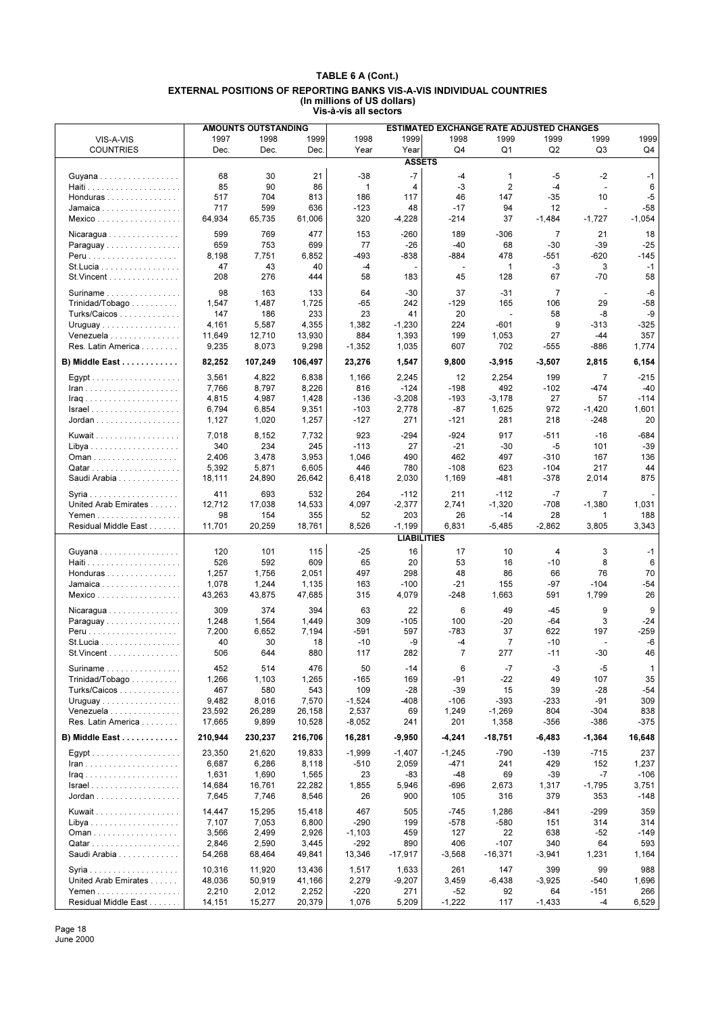|                                                    |         | <b>AMOUNTS OUTSTANDING</b> |         |              |                    | ESTIMATED EXCHANGE RATE ADJUSTED CHANGES |                |                |                |          |
|----------------------------------------------------|---------|----------------------------|---------|--------------|--------------------|------------------------------------------|----------------|----------------|----------------|----------|
| VIS-A-VIS                                          | 1997    | 1998                       | 1999    | 1998         | 1999               | 1998                                     | 1999           | 1999           | 1999           | 1999     |
| <b>COUNTRIES</b>                                   | Dec.    | Dec.                       | Dec.    | Year         | Year               | Q <sub>4</sub>                           | Q <sub>1</sub> | Q2             | Q <sub>3</sub> | Q4       |
|                                                    |         |                            |         |              | <b>ASSETS</b>      |                                          |                |                |                |          |
|                                                    |         |                            |         |              |                    |                                          |                |                |                |          |
| Guyana                                             | 68      | 30                         | 21      | $-38$        | $-7$               | -4                                       | 1              | $-5$           | $-2$           | $-1$     |
|                                                    | 85      | 90                         | 86      | $\mathbf{1}$ | 4                  | -3                                       | 2              | $-4$           | $\blacksquare$ | 6        |
| Honduras                                           | 517     | 704                        | 813     | 186          | 117                | 46                                       | 147            | $-35$          | 10             | $-5$     |
| Jamaica                                            | 717     | 599                        | 636     | $-123$       | 48                 | $-17$                                    | 94             | 12             | ÷,             | $-58$    |
| Mexico                                             | 64,934  | 65,735                     | 61,006  | 320          | $-4,228$           | -214                                     | 37             | $-1,484$       | $-1,727$       | $-1,054$ |
| Nicaragua                                          | 599     | 769                        | 477     | 153          | $-260$             | 189                                      | $-306$         | $\overline{7}$ | 21             | 18       |
| Paraguay                                           | 659     | 753                        | 699     | 77           | $-26$              | $-40$                                    | 68             | $-30$          | $-39$          | $-25$    |
|                                                    | 8,198   | 7,751                      | 6,852   | $-493$       | -838               | $-884$                                   | 478            | $-551$         | $-620$         | $-145$   |
| St.Lucia                                           | 47      | 43                         | 40      | $-4$         |                    | $\overline{\phantom{a}}$                 | 1              | $-3$           | 3              | $-1$     |
| $St.Vincent$                                       | 208     | 276                        | 444     | 58           | 183                | 45                                       | 128            | 67             | $-70$          | 58       |
|                                                    |         |                            |         |              |                    |                                          |                |                |                |          |
| Suriname                                           | 98      | 163                        | 133     | 64           | -30                | 37                                       | $-31$          | 7              | $\blacksquare$ | -6       |
| Trinidad/Tobago                                    | 1,547   | 1,487                      | 1,725   | $-65$        | 242                | $-129$                                   | 165            | 106            | 29             | $-58$    |
| Turks/Caicos                                       | 147     | 186                        | 233     | 23           | 41                 | 20                                       | $\overline{a}$ | 58             | -8             | -9       |
| Uruguay                                            | 4,161   | 5,587                      | 4,355   | 1,382        | $-1,230$           | 224                                      | $-601$         | 9              | -313           | $-325$   |
| Venezuela                                          | 11,649  | 12,710                     | 13,930  | 884          | 1,393              | 199                                      | 1,053          | 27             | -44            | 357      |
| Res. Latin America                                 | 9,235   | 8,073                      | 9,298   | $-1,352$     | 1,035              | 607                                      | 702            | $-555$         | -886           | 1,774    |
| B) Middle East                                     | 82,252  | 107,249                    | 106,497 | 23,276       | 1,547              | 9,800                                    | $-3,915$       | $-3,507$       | 2,815          | 6,154    |
|                                                    |         |                            |         |              |                    |                                          |                |                |                |          |
|                                                    | 3,561   | 4,822                      | 6,838   | 1,166        | 2,245              | 12                                       | 2,254          | 199            | $\overline{7}$ | $-215$   |
| $lran$                                             | 7,766   | 8,797                      | 8,226   | 816          | $-124$             | $-198$                                   | 492            | $-102$         | $-474$         | $-40$    |
| <b>Iraq</b>                                        | 4,815   | 4,987                      | 1,428   | $-136$       | $-3,208$           | $-193$                                   | $-3,178$       | 27             | 57             | $-114$   |
|                                                    | 6,794   | 6,854                      | 9,351   | $-103$       | 2,778              | -87                                      | 1,625          | 972            | $-1,420$       | 1,601    |
| Jordan                                             | 1,127   | 1,020                      | 1,257   | $-127$       | 271                | $-121$                                   | 281            | 218            | $-248$         | 20       |
|                                                    |         |                            |         |              |                    |                                          |                |                |                |          |
| Kuwait                                             | 7,018   | 8,152                      | 7,732   | 923          | $-294$             | $-924$                                   | 917            | $-511$         | $-16$          | -684     |
|                                                    | 340     | 234                        | 245     | $-113$       | 27                 | $-21$                                    | $-30$          | -5             | 101            | $-39$    |
|                                                    | 2,406   | 3,478                      | 3,953   | 1,046        | 490                | 462                                      | 497            | $-310$         | 167            | 136      |
|                                                    | 5,392   | 5,871                      | 6,605   | 446          | 780                | $-108$                                   | 623            | $-104$         | 217            | 44       |
| Saudi Arabia                                       | 18,111  | 24,890                     | 26,642  | 6,418        | 2,030              | 1,169                                    | -481           | $-378$         | 2,014          | 875      |
|                                                    | 411     | 693                        | 532     | 264          | $-112$             | 211                                      | $-112$         | $-7$           | $\overline{7}$ |          |
| United Arab Emirates                               | 12,712  | 17,038                     | 14,533  | 4,097        | $-2,377$           | 2,741                                    | $-1,320$       | $-708$         | $-1,380$       | 1,031    |
| Yemen                                              | 98      | 154                        | 355     | 52           | 203                | 26                                       | -14            | 28             | 1              | 188      |
| Residual Middle East                               | 11,701  | 20,259                     | 18,761  | 8,526        | $-1,199$           | 6,831                                    | $-5,485$       | $-2,862$       | 3,805          | 3,343    |
|                                                    |         |                            |         |              | <b>LIABILITIES</b> |                                          |                |                |                |          |
|                                                    |         |                            |         |              |                    |                                          |                |                |                |          |
| Guyana                                             | 120     | 101                        | 115     | $-25$        | 16                 | 17                                       | 10             | 4              | 3              | $-1$     |
|                                                    | 526     | 592                        | 609     | 65           | 20                 | 53                                       | 16             | $-10$          | 8              | 6        |
| Honduras                                           | 1,257   | 1,756                      | 2,051   | 497          | 298                | 48                                       | 86             | 66             | 76             | 70       |
| Jamaica                                            | 1,078   | 1,244                      | 1,135   | 163          | $-100$             | $-21$                                    | 155            | $-97$          | $-104$         | $-54$    |
| Mexico                                             | 43,263  | 43,875                     | 47,685  | 315          | 4,079              | $-248$                                   | 1,663          | 591            | 1,799          | 26       |
| Nicaragua                                          | 309     | 374                        | 394     | 63           | 22                 | 6                                        | 49             | $-45$          | 9              | 9        |
| Paraguay                                           | 1,248   | 1,564                      | 1,449   | 309          | $-105$             | 100                                      | $-20$          | $-64$          | 3              | $-24$    |
|                                                    | 7,200   | 6,652                      | 7,194   | $-591$       | 597                | $-783$                                   | 37             | 622            | 197            | $-259$   |
| St. Lucia                                          | 40      | 30                         | 18      | $-10$        | -9                 | -4                                       | 7              | $-10$          | ÷,             | $-6$     |
| St. Vincent                                        | 506     | 644                        | 880     | 117          | 282                | $\overline{7}$                           | 277            | $-11$          | $-30$          | 46       |
|                                                    |         |                            |         |              |                    |                                          |                |                |                |          |
| Suriname $\ldots \ldots \ldots \ldots \ldots$      | 452     | 514                        | 476     | 50           | -14                | 6                                        | -7             | -3             | -5             | 1        |
| $Trinidad/Topago \ldots $                          | 1,266   | 1,103                      | 1,265   | $-165$       | 169                | -91                                      | $-22$          | 49             | 107            | 35       |
| Turks/Caicos                                       | 467     | 580                        | 543     | 109          | $-28$              | $-39$                                    | 15             | 39             | $-28$          | $-54$    |
| Uruguay                                            | 9,482   | 8,016                      | 7,570   | $-1,524$     | -408               | $-106$                                   | $-393$         | $-233$         | -91            | 309      |
| Venezuela                                          | 23,592  | 26,289                     | 26,158  | 2,537        | 69                 | 1,249                                    | $-1,269$       | 804            | -304           | 838      |
| Res. Latin America                                 | 17,665  | 9,899                      | 10,528  | $-8,052$     | 241                | 201                                      | 1,358          | $-356$         | -386           | $-375$   |
| B) Middle East                                     | 210,944 | 230,237                    | 216,706 | 16,281       | $-9,950$           | -4,241                                   | $-18,751$      | $-6,483$       | $-1,364$       | 16,648   |
|                                                    |         |                            |         |              |                    |                                          |                |                |                |          |
|                                                    | 23.350  | 21,620                     | 19,833  | $-1,999$     | $-1,407$           | $-1,245$                                 | $-790$         | $-139$         | $-715$         | 237      |
|                                                    | 6,687   | 6,286                      | 8,118   | $-510$       | 2,059              | -471                                     | 241            | 429            | 152            | 1,237    |
|                                                    | 1,631   | 1,690                      | 1,565   | 23           | -83                | -48                                      | 69             | -39            | $-7$           | $-106$   |
| $Israel \ldots \ldots \ldots \ldots \ldots \ldots$ | 14,684  | 16,761                     | 22,282  | 1,855        | 5,946              | -696                                     | 2,673          | 1,317          | $-1,795$       | 3,751    |
|                                                    | 7,645   | 7,746                      | 8,546   | 26           | 900                | 105                                      | 316            | 379            | 353            | -148     |
| Kuwait                                             | 14,447  | 15,295                     | 15,418  | 467          | 505                | $-745$                                   | 1,286          | $-841$         | $-299$         | 359      |
|                                                    | 7,107   | 7,053                      | 6,800   | $-290$       | 199                | $-578$                                   | $-580$         | 151            | 314            | 314      |
|                                                    |         |                            |         |              |                    |                                          |                |                | $-52$          | $-149$   |
| Oman                                               | 3,566   | 2,499                      | 2,926   | $-1,103$     | 459<br>890         | 127<br>406                               | 22<br>$-107$   | 638<br>340     | 64             | 593      |
|                                                    | 2,846   | 2,590                      | 3,445   | $-292$       |                    |                                          |                |                |                |          |
| Saudi Arabia                                       | 54,268  | 68,464                     | 49,841  | 13,346       | -17,917            | $-3,568$                                 | $-16,371$      | $-3,941$       | 1,231          | 1,164    |
|                                                    | 10,316  | 11,920                     | 13,436  | 1,517        | 1,633              | 261                                      | 147            | 399            | 99             | 988      |
| United Arab Emirates                               | 48,036  | 50,919                     | 41,166  | 2,279        | $-9,207$           | 3,459                                    | $-6,438$       | $-3,925$       | $-540$         | 1,696    |
|                                                    | 2,210   | 2,012                      | 2,252   | $-220$       | 271                | -52                                      | 92             | 64             | $-151$         | 266      |
| Residual Middle East                               | 14,151  | 15,277                     | 20,379  | 1,076        | 5,209              | $-1,222$                                 | 117            | $-1,433$       | $-4$           | 6,529    |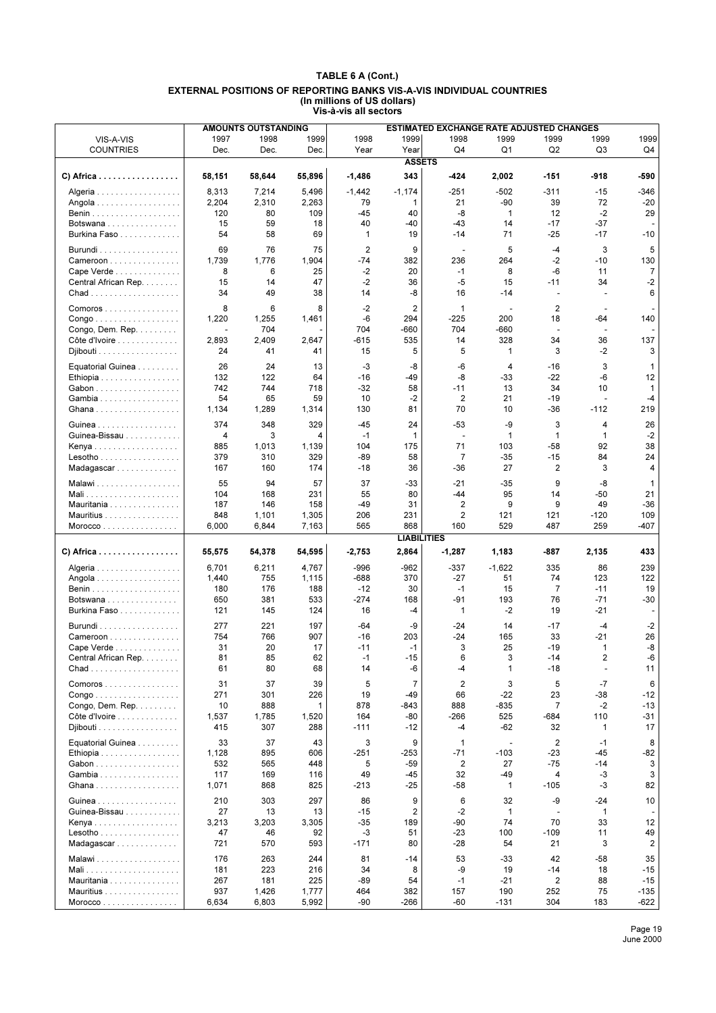|                                                     |        | <b>AMOUNTS OUTSTANDING</b> |        |                |                    | <b>ESTIMATED EXCHANGE RATE ADJUSTED CHANGES</b> |              |                |                          |                |
|-----------------------------------------------------|--------|----------------------------|--------|----------------|--------------------|-------------------------------------------------|--------------|----------------|--------------------------|----------------|
| VIS-A-VIS                                           | 1997   | 1998                       | 1999   | 1998           | 1999               | 1998                                            | 1999         | 1999           | 1999                     | 1999           |
| <b>COUNTRIES</b>                                    | Dec.   | Dec.                       | Dec.   | Year           | Year               | Q4                                              | Q1           | Q <sub>2</sub> | Q3                       | Q4             |
|                                                     |        |                            |        |                | <b>ASSETS</b>      |                                                 |              |                |                          |                |
| C) Africa                                           | 58,151 | 58,644                     | 55,896 | $-1,486$       | 343                | -424                                            | 2,002        | -151           | -918                     | -590           |
| Algeria                                             | 8,313  | 7,214                      | 5,496  | $-1,442$       | $-1,174$           | $-251$                                          | $-502$       | $-311$         | $-15$                    | -346           |
| Angola                                              | 2,204  | 2,310                      | 2,263  | 79             | 1                  | 21                                              | $-90$        | 39             | 72                       | $-20$          |
|                                                     | 120    | 80                         | 109    | -45            | 40                 | -8                                              | $\mathbf{1}$ | 12             | $-2$                     | 29             |
| Botswana                                            | 15     | 59                         | 18     | 40             | -40                | $-43$                                           | 14           | $-17$          | $-37$                    |                |
| Burkina Faso                                        | 54     | 58                         | 69     | $\mathbf{1}$   | 19                 | -14                                             | 71           | $-25$          | $-17$                    | $-10$          |
| Burundi                                             | 69     | 76                         | 75     | $\overline{2}$ | 9                  | $\mathbf{r}$                                    | 5            | $-4$           | 3                        | 5              |
| Cameroon                                            | 1,739  | 1,776                      | 1,904  | $-74$          | 382                | 236                                             | 264          | $-2$           | $-10$                    | 130            |
| Cape Verde                                          | 8      | 6                          | 25     | $-2$           | 20                 | $-1$                                            | 8            | -6             | 11                       | 7              |
| Central African Rep.                                | 15     | 14                         | 47     | $-2$           | 36                 | -5                                              | 15           | $-11$          | 34                       | $-2$           |
|                                                     | 34     | 49                         | 38     | 14             | -8                 | 16                                              | $-14$        | $\overline{a}$ |                          | 6              |
|                                                     |        |                            |        |                |                    |                                                 |              |                |                          |                |
| Comoros                                             | 8      | 6                          | 8      | -2             | 2                  | 1                                               | ÷            | 2              | $\blacksquare$           |                |
| $\mathsf{Congo}\dots\dots\dots\dots\dots\dots\dots$ | 1,220  | 1,255                      | 1,461  | -6             | 294                | -225                                            | 200          | 18             | -64                      | 140            |
| Congo, Dem. Rep.                                    |        | 704                        |        | 704            | -660               | 704                                             | -660         | ÷,             |                          |                |
| Côte d'Ivoire                                       | 2,893  | 2,409                      | 2,647  | $-615$         | 535                | 14                                              | 328          | 34             | 36                       | 137            |
| Djibouti                                            | 24     | 41                         | 41     | 15             | 5                  | 5                                               | $\mathbf 1$  | 3              | -2                       | 3              |
| Equatorial Guinea                                   | 26     | 24                         | 13     | $-3$           | -8                 | $-6$                                            | 4            | $-16$          | 3                        | 1              |
| Ethiopia                                            | 132    | 122                        | 64     | -16            | -49                | -8                                              | -33          | $-22$          | -6                       | 12             |
| Gabon                                               | 742    | 744                        | 718    | $-32$          | 58                 | $-11$                                           | 13           | 34             | 10                       | $\mathbf{1}$   |
| Gambia                                              | 54     | 65                         | 59     | 10             | $-2$               | 2                                               | 21           | $-19$          | $\overline{\phantom{a}}$ | -4             |
| Ghana                                               | 1,134  | 1,289                      | 1,314  | 130            | 81                 | 70                                              | 10           | $-36$          | $-112$                   | 219            |
| Guinea                                              | 374    | 348                        | 329    | -45            | 24                 | $-53$                                           | -9           | 3              | 4                        | 26             |
| Guinea-Bissau                                       | 4      | 3                          | 4      | $-1$           | 1                  | $\overline{\phantom{a}}$                        | $\mathbf{1}$ | $\mathbf{1}$   | $\mathbf{1}$             | $-2$           |
| Kenya                                               | 885    | 1,013                      | 1,139  | 104            | 175                | 71                                              | 103          | -58            | 92                       | 38             |
| Lesotho                                             | 379    | 310                        | 329    | $-89$          | 58                 | $\overline{7}$                                  | $-35$        | $-15$          | 84                       | 24             |
| Madagascar                                          | 167    | 160                        | 174    | -18            | 36                 | $-36$                                           | 27           | 2              | 3                        | 4              |
| Malawi                                              | 55     | 94                         | 57     | 37             | -33                | $-21$                                           | $-35$        | 9              | -8                       | $\mathbf 1$    |
|                                                     | 104    | 168                        | 231    | 55             | 80                 | $-44$                                           | 95           | 14             | -50                      | 21             |
| Mauritania                                          | 187    | 146                        | 158    | -49            | 31                 | 2                                               | 9            | 9              | 49                       | -36            |
| Mauritius                                           | 848    | 1,101                      | 1,305  | 206            | 231                | $\overline{2}$                                  | 121          | 121            | $-120$                   | 109            |
| Moreover                                            | 6,000  | 6,844                      | 7,163  | 565            | 868                | 160                                             | 529          | 487            | 259                      | $-407$         |
|                                                     |        |                            |        |                | <b>LIABILITIES</b> |                                                 |              |                |                          |                |
| $C)$ Africa                                         | 55,575 | 54,378                     | 54,595 | $-2,753$       | 2,864              | $-1,287$                                        | 1,183        | -887           | 2,135                    | 433            |
| Algeria                                             | 6,701  | 6,211                      | 4,767  | $-996$         | -962               | $-337$                                          | $-1,622$     | 335            | 86                       | 239            |
| Angola                                              | 1,440  | 755                        | 1,115  | $-688$         | 370                | $-27$                                           | 51           | 74             | 123                      | 122            |
|                                                     | 180    | 176                        | 188    | $-12$          | 30                 | $-1$                                            | 15           | 7              | $-11$                    | 19             |
| Botswana                                            | 650    | 381                        | 533    | $-274$         | 168                | $-91$                                           | 193          | 76             | $-71$                    | $-30$          |
| Burkina Faso                                        | 121    | 145                        | 124    | 16             | -4                 | $\mathbf 1$                                     | $-2$         | 19             | $-21$                    |                |
| Burundi                                             | 277    | 221                        | 197    | $-64$          | -9                 | $-24$                                           | 14           | -17            | $-4$                     | $-2$           |
| Cameroon                                            | 754    | 766                        | 907    | $-16$          | 203                | -24                                             | 165          | 33             | -21                      | 26             |
| Cape Verde                                          | 31     | 20                         | 17     | $-11$          | -1                 | 3                                               | 25           | $-19$          | $\mathbf{1}$             | -8             |
| Central African Rep.                                | 81     | 85                         | 62     | $-1$           | -15                | ĥ                                               | 3            | -14            | $\overline{2}$           | -6             |
|                                                     | 61     | 80                         | 68     | 14             | -6                 | -4                                              | 1            | $-18$          | ÷                        | 11             |
| Comoros                                             | 31     | 37                         | 39     | 5              | $\overline{7}$     | $\overline{2}$                                  | 3            | 5              | $-7$                     | 6              |
| $\mathsf{Congo}\dots\dots\dots\dots\dots\dots\dots$ | 271    | 301                        | 226    | 19             | $-49$              | 66                                              | $-22$        | 23             | -38                      | $-12$          |
| Congo, Dem. Rep.                                    | 10     | 888                        | 1      | 878            | -843               | 888                                             | -835         | 7              | $-2$                     | -13            |
| Côte d'Ivoire                                       | 1,537  | 1,785                      | 1,520  | 164            | -80                | -266                                            | 525          | -684           | 110                      | -31            |
| Djibouti                                            | 415    | 307                        | 288    | $-111$         | $-12$              | -4                                              | $-62$        | 32             | 1                        | 17             |
| Equatorial Guinea                                   | 33     | 37                         | 43     | 3              | 9                  | 1                                               |              | 2              | $-1$                     | 8              |
| Ethiopia                                            | 1,128  | 895                        | 606    | $-251$         | -253               | $-71$                                           | $-103$       | $-23$          | -45                      | -82            |
| Gabon                                               | 532    | 565                        | 448    | 5              | -59                | 2                                               | 27           | $-75$          | $-14$                    | 3              |
| Gambia                                              | 117    | 169                        | 116    | 49             | -45                | 32                                              | -49          | 4              | -3                       | 3              |
| Ghana                                               | 1,071  | 868                        | 825    | $-213$         | $-25$              | -58                                             | $\mathbf{1}$ | -105           | -3                       | 82             |
| Guinea                                              | 210    | 303                        | 297    | 86             | 9                  | 6                                               | 32           | -9             | -24                      | 10             |
| Guinea-Bissau                                       | 27     | 13                         | 13     | $-15$          | 2                  | $-2$                                            | $\mathbf{1}$ | $\blacksquare$ | 1                        |                |
| Kenya                                               | 3,213  | 3,203                      | 3,305  | $-35$          | 189                | -90                                             | 74           | 70             | 33                       | 12             |
| $Lesotho \ldots \ldots \ldots \ldots$               | 47     | 46                         | 92     | $-3$           | 51                 | -23                                             | 100          | $-109$         | 11                       | 49             |
| Madagascar                                          | 721    | 570                        | 593    | $-171$         | 80                 | $-28$                                           | 54           | 21             | 3                        | $\overline{2}$ |
| Malawi                                              | 176    | 263                        | 244    | 81             | -14                | 53                                              | -33          | 42             | -58                      | 35             |
| Mali                                                | 181    | 223                        | 216    | 34             | 8                  | -9                                              | 19           | -14            | 18                       | $-15$          |
| Mauritania                                          | 267    | 181                        | 225    | -89            | 54                 | $-1$                                            | $-21$        | 2              | 88                       | $-15$          |
| Mauritius                                           | 937    | 1,426                      | 1,777  | 464            | 382                | 157                                             | 190          | 252            | 75                       | $-135$         |
| Moreover                                            | 6,634  | 6,803                      | 5,992  | $-90$          | -266               | -60                                             | $-131$       | 304            | 183                      | -622           |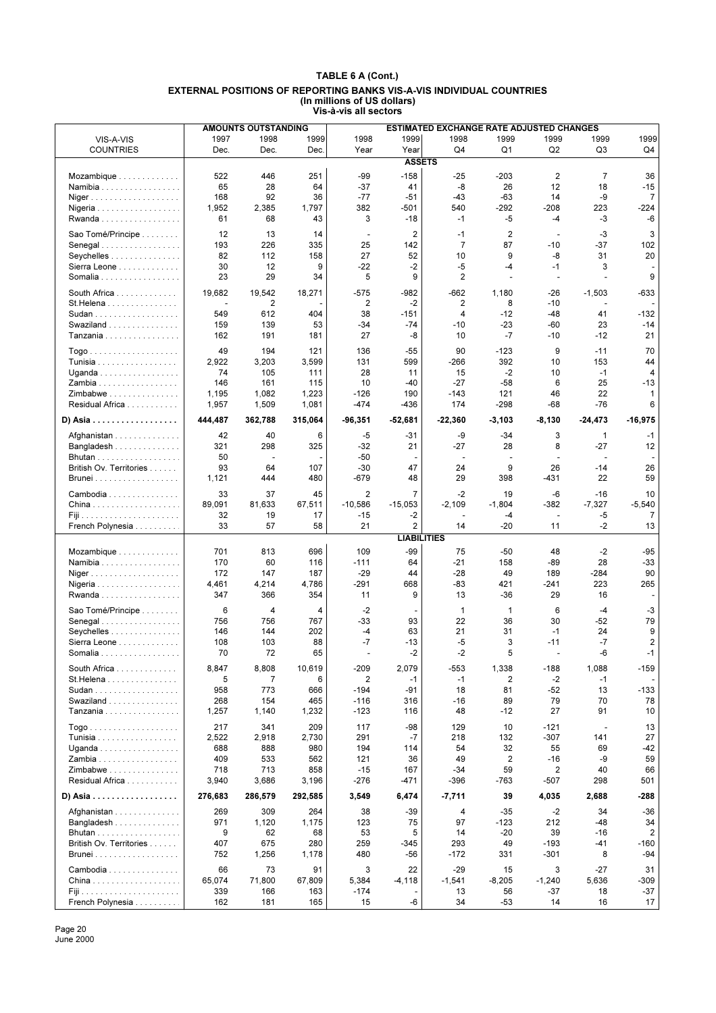|                         |                | <b>AMOUNTS OUTSTANDING</b> |            |                |                          | ESTIMATED EXCHANGE RATE ADJUSTED CHANGES |                         |             |                |             |
|-------------------------|----------------|----------------------------|------------|----------------|--------------------------|------------------------------------------|-------------------------|-------------|----------------|-------------|
| VIS-A-VIS               | 1997           | 1998                       | 1999       | 1998           | 1999                     | 1998                                     | 1999                    | 1999        | 1999           | 1999        |
| <b>COUNTRIES</b>        | Dec.           | Dec.                       | Dec.       | Year           | Year                     | Q4                                       | Q <sub>1</sub>          | Q2          | Q <sub>3</sub> | Q4          |
|                         |                |                            |            |                | <b>ASSETS</b>            |                                          |                         |             |                |             |
|                         |                |                            |            |                |                          |                                          |                         |             |                |             |
| Mozambique              | 522            | 446                        | 251        | -99            | $-158$                   | $-25$                                    | -203                    | 2           | $\overline{7}$ | 36          |
| Namibia                 | 65             | 28                         | 64         | $-37$          | 41                       | -8                                       | 26                      | 12          | 18             | $-15$       |
| Niger                   | 168            | 92                         | 36         | $-77$          | $-51$                    | $-43$                                    | $-63$                   | 14          | -9             | 7           |
| Nigeria                 | 1,952          | 2,385                      | 1,797      | 382            | -501                     | 540                                      | $-292$                  | $-208$      | 223            | -224        |
| Rwanda                  | 61             | 68                         | 43         | 3              | $-18$                    | $-1$                                     | -5                      | $-4$        | -3             | -6          |
|                         |                |                            |            | ÷,             |                          |                                          | $\overline{\mathbf{c}}$ | ÷,          | $-3$           |             |
| Sao Tomé/Principe       | 12             | 13                         | 14         |                | $\overline{\mathbf{c}}$  | $-1$                                     |                         |             |                | 3           |
| Senegal                 | 193            | 226                        | 335        | 25             | 142                      | $\overline{7}$                           | 87                      | $-10$       | $-37$          | 102         |
| Seychelles              | 82             | 112                        | 158        | 27             | 52                       | 10                                       | 9                       | -8          | 31             | 20          |
| Sierra Leone            | 30             | 12                         | 9          | $-22$          | $-2$                     | -5                                       | -4                      | $-1$        | 3              |             |
| Somalia                 | 23             | 29                         | 34         | 5              | 9                        | 2                                        | ÷.                      | ÷.          | $\overline{a}$ | 9           |
| South Africa            | 19,682         | 19,542                     | 18,271     | $-575$         | -982                     | -662                                     | 1,180                   | $-26$       | $-1,503$       | $-633$      |
| St. Helena              | $\blacksquare$ | 2                          |            | 2              | $-2$                     | 2                                        | 8                       | $-10$       |                |             |
| Sudan                   | 549            | 612                        | 404        | 38             | -151                     | 4                                        | $-12$                   | $-48$       | 41             | $-132$      |
| Swaziland               | 159            | 139                        | 53         | $-34$          | $-74$                    | $-10$                                    | $-23$                   | -60         | 23             | $-14$       |
| Tanzania                | 162            | 191                        | 181        | 27             | -8                       | 10                                       | $-7$                    | $-10$       | $-12$          | 21          |
|                         |                |                            |            |                |                          |                                          |                         |             |                |             |
|                         | 49             | 194                        | 121        | 136            | $-55$                    | 90                                       | $-123$                  | 9           | $-11$          | 70          |
| Tunisia                 | 2,922          | 3,203                      | 3,599      | 131            | 599                      | $-266$                                   | 392                     | 10          | 153            | 44          |
| Uganda                  | 74             | 105                        | 111        | 28             | 11                       | 15                                       | $-2$                    | 10          | $-1$           | 4           |
| Zambia                  | 146            | 161                        | 115        | 10             | -40                      | $-27$                                    | $-58$                   | 6           | 25             | $-13$       |
| Zimbabwe                | 1,195          | 1,082                      | 1,223      | $-126$         | 190                      | $-143$                                   | 121                     | 46          | 22             | 1           |
| Residual Africa         | 1,957          | 1,509                      | 1,081      | $-474$         | -436                     | 174                                      | $-298$                  | -68         | -76            | 6           |
|                         |                |                            |            |                |                          |                                          |                         |             |                |             |
| D) Asia                 | 444,487        | 362,788                    | 315,064    | $-96,351$      | $-52,681$                | $-22,360$                                | $-3,103$                | $-8,130$    | $-24,473$      | $-16,975$   |
| Afghanistan             | 42             | 40                         | 6          | $-5$           | -31                      | -9                                       | $-34$                   | 3           | $\mathbf 1$    | $-1$        |
| Bangladesh              | 321            | 298                        | 325        | $-32$          | 21                       | -27                                      | 28                      | 8           | -27            | 12          |
|                         | 50             | ÷,                         |            | $-50$          | $\overline{\phantom{a}}$ | $\overline{\phantom{a}}$                 | $\sim$                  |             | ÷.             |             |
|                         | 93             |                            |            |                |                          |                                          |                         |             | $-14$          | 26          |
| British Ov. Territories |                | 64                         | 107        | $-30$          | 47                       | 24                                       | 9                       | 26          |                |             |
| <b>Brunei</b>           | 1,121          | 444                        | 480        | -679           | 48                       | 29                                       | 398                     | -431        | 22             | 59          |
| Cambodia                | 33             | 37                         | 45         | $\overline{2}$ | $\overline{7}$           | $-2$                                     | 19                      | -6          | $-16$          | 10          |
|                         | 89,091         | 81,633                     | 67,511     | $-10,586$      | $-15,053$                | $-2,109$                                 | $-1,804$                | $-382$      | $-7,327$       | $-5,540$    |
|                         | 32             | 19                         | 17         | $-15$          | -2                       |                                          | -4                      | $\sim$      | -5             | 7           |
| French Polynesia        | 33             | 57                         | 58         | 21             | 2                        | 14                                       | $-20$                   | 11          | $-2$           | 13          |
|                         |                |                            |            |                | <b>LIABILITIES</b>       |                                          |                         |             |                |             |
|                         |                |                            |            |                |                          |                                          |                         |             |                |             |
| Mozambique              | 701            | 813                        | 696        | 109            | $-99$                    | 75                                       | $-50$                   | 48          | $-2$           | $-95$       |
| Namibia                 | 170            | 60                         | 116        | $-111$         | 64                       | $-21$                                    | 158                     | $-89$       | 28             | $-33$       |
| Niger                   | 172            | 147                        | 187        | $-29$          | 44                       | $-28$                                    | 49                      | 189         | $-284$         | 90          |
| Nigeria                 | 4,461          | 4,214                      | 4,786      | $-291$         | 668                      | $-83$                                    | 421                     | $-241$      |                | 265         |
| Rwanda                  | 347            | 366                        | 354        | 11             |                          |                                          |                         |             | 223            |             |
|                         |                |                            |            |                | 9                        | 13                                       | $-36$                   | 29          | 16             |             |
| Sao Tomé/Principe       | 6              |                            |            |                |                          |                                          |                         |             |                |             |
| Senegal                 |                | 4                          | 4          | $-2$           | $\overline{a}$           | $\mathbf{1}$                             | $\mathbf 1$             | 6           | $-4$           | -3          |
|                         | 756            | 756                        | 767        | $-33$          | 93                       | 22                                       | 36                      | 30          | $-52$          | 79          |
| Seychelles              | 146            | 144                        | 202        | -4             | 63                       | 21                                       | 31                      | $-1$        | 24             | 9           |
| Sierra Leone            | 108            | 103                        | 88         | $-7$           | $-13$                    | -5                                       | 3                       | $-11$       | $-7$           | 2           |
| Somalia                 | 70             | 72                         | 65         |                | $-2$                     | $-2$                                     | 5                       | ÷,          | $-6$           | $-1$        |
|                         |                |                            |            |                |                          |                                          |                         |             |                |             |
| South Africa            | 8,847          | 8,808                      | 10,619     | $-209$         | 2,079                    | $-553$                                   | 1,338                   | $-188$      | 1,088          | $-159$      |
| $St.Helena$             | 5              | 7                          | 6          | $\overline{2}$ | $-1$                     | $-1$                                     | 2                       | $-2$        | $-1$           |             |
|                         | 958            | 773                        | 666        | $-194$         | -91                      | 18                                       | 81                      | $-52$       | 13             | $-133$      |
| Swaziland               | 268            | 154                        | 465        | $-116$         | 316                      | $-16$                                    | 89                      | 79          | 70             | 78          |
| Tanzania                | 1,257          | 1,140                      | 1,232      | $-123$         | 116                      | 48                                       | -12                     | 27          | 91             | 10          |
|                         |                |                            |            |                |                          |                                          |                         |             | $\overline{a}$ |             |
|                         | 217            | 341                        | 209        | 117            | $-98$                    | 129                                      | 10                      | $-121$      |                | 13          |
| Tunisia                 | 2,522          | 2,918                      | 2,730      | 291            | $-7$                     | 218                                      | 132                     | $-307$      | 141            | 27          |
| Uganda                  | 688            | 888                        | 980        | 194            | 114                      | 54                                       | 32                      | 55          | 69             | $-42$       |
| Zambia                  | 409            | 533                        | 562        | 121            | 36                       | 49                                       | 2                       | $-16$       | -9             | 59          |
| Zimbabwe                | 718            | 713                        | 858        | $-15$          | 167                      | $-34$                                    | 59                      | 2           | 40             | 66          |
| Residual Africa         | 3,940          | 3,686                      | 3,196      | $-276$         | -471                     | $-396$                                   | $-763$                  | $-507$      | 298            | 501         |
| D) Asia                 | 276,683        | 286,579                    | 292,585    | 3,549          | 6,474                    | -7,711                                   | 39                      | 4,035       | 2,688          | $-288$      |
|                         |                |                            |            |                |                          |                                          |                         |             |                |             |
| Afghanistan             | 269            | 309                        | 264        | 38             | -39                      | 4                                        | $-35$                   | $-2$        | 34             | $-36$       |
| Bangladesh              | 971            | 1,120                      | 1,175      | 123            | 75                       | 97                                       | $-123$                  | 212         | -48            | 34          |
| Bhutan                  | 9              | 62                         | 68         | 53             | 5                        | 14                                       | $-20$                   | 39          | -16            | 2           |
| British Ov. Territories | 407            | 675                        | 280        | 259            | $-345$                   | 293                                      | 49                      | $-193$      | -41            | $-160$      |
|                         | 752            | 1,256                      | 1,178      | 480            | -56                      | $-172$                                   | 331                     | -301        | 8              | -94         |
|                         |                |                            |            |                |                          |                                          |                         |             |                |             |
| Cambodia                | 66             | 73                         | 91         | 3              | 22                       | $-29$                                    | 15                      | 3           | -27            | 31          |
|                         | 65,074         | 71,800                     | 67,809     | 5,384          | $-4,118$                 | $-1,541$                                 | $-8,205$                | $-1,240$    | 5,636          | -309        |
| French Polynesia        | 339<br>162     | 166<br>181                 | 163<br>165 | $-174$<br>15   | -6                       | 13<br>34                                 | 56<br>$-53$             | $-37$<br>14 | 18<br>16       | $-37$<br>17 |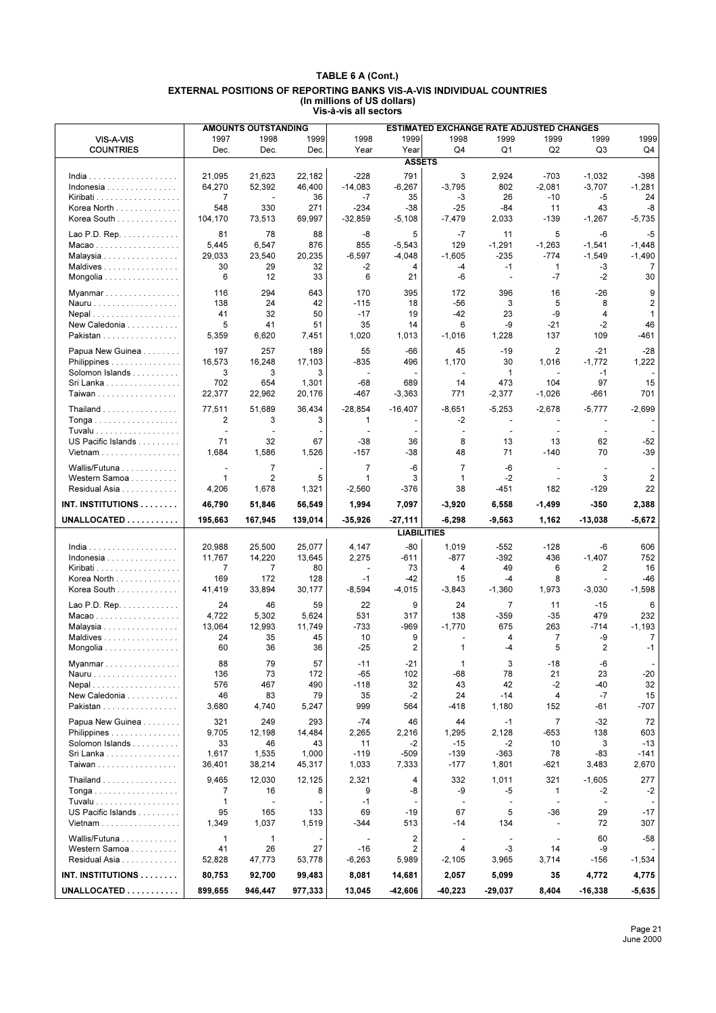|                                   |                          | <b>AMOUNTS OUTSTANDING</b> |                 |                                    |                      | <b>ESTIMATED EXCHANGE RATE ADJUSTED CHANGES</b> |                     |                    |                                |                  |
|-----------------------------------|--------------------------|----------------------------|-----------------|------------------------------------|----------------------|-------------------------------------------------|---------------------|--------------------|--------------------------------|------------------|
| VIS-A-VIS                         | 1997                     | 1998                       | 1999            | 1998                               | 1999                 | 1998                                            | 1999                | 1999               | 1999                           | 1999             |
| <b>COUNTRIES</b>                  | Dec.                     | Dec.                       | Dec.            | Year                               | Year                 | Q4                                              | Q <sub>1</sub>      | Q <sub>2</sub>     | Q3                             | Q4               |
|                                   |                          |                            |                 |                                    | <b>ASSETS</b>        |                                                 |                     |                    |                                |                  |
|                                   | 21,095                   | 21,623                     | 22,182          | $-228$                             | 791                  | 3                                               | 2,924               | $-703$             | $-1,032$                       | $-398$           |
| Indonesia                         | 64,270                   | 52,392                     | 46,400          | $-14,083$                          | $-6,267$             | $-3,795$                                        | 802                 | $-2,081$           | $-3,707$                       | $-1,281$         |
| Kiribati<br>Korea North           | $\overline{7}$<br>548    | $\overline{a}$<br>330      | 36<br>271       | $-7$<br>$-234$                     | 35<br>$-38$          | $-3$<br>$-25$                                   | 26<br>-84           | $-10$<br>11        | $-5$<br>43                     | 24<br>-8         |
| Korea South                       | 104,170                  | 73,513                     | 69,997          | $-32,859$                          | $-5,108$             | $-7,479$                                        | 2,033               | $-139$             | $-1,267$                       | $-5,735$         |
|                                   |                          |                            |                 |                                    |                      |                                                 |                     |                    |                                |                  |
| Lao P.D. Rep. $\dots \dots \dots$ | 81                       | 78                         | 88              | -8<br>855                          | 5                    | $-7$<br>129                                     | 11                  | 5                  | -6                             | $-5$<br>$-1,448$ |
| Macao<br>Malaysia                 | 5,445<br>29,033          | 6,547<br>23,540            | 876<br>20,235   | -6,597                             | $-5,543$<br>$-4,048$ | $-1,605$                                        | $-1,291$<br>$-235$  | $-1,263$<br>$-774$ | $-1,541$<br>$-1,549$           | $-1,490$         |
| Maldives                          | 30                       | 29                         | 32              | $-2$                               | 4                    | $-4$                                            | $-1$                | $\mathbf{1}$       | -3                             | 7                |
| Mongolia                          | 6                        | 12                         | 33              | 6                                  | 21                   | -6                                              | $\blacksquare$      | $-7$               | $-2$                           | 30               |
| Myanmar                           | 116                      | 294                        | 643             | 170                                | 395                  | 172                                             | 396                 | 16                 | $-26$                          | 9                |
| Nauru                             | 138                      | 24                         | 42              | $-115$                             | 18                   | $-56$                                           | 3                   | 5                  | 8                              | $\overline{2}$   |
| Nepal                             | 41                       | 32                         | 50              | $-17$                              | 19                   | $-42$                                           | 23                  | -9                 | 4                              | $\mathbf{1}$     |
| New Caledonia                     | 5                        | 41                         | 51              | 35                                 | 14                   | 6                                               | -9                  | $-21$              | $-2$                           | 46               |
| Pakistan                          | 5,359                    | 6,620                      | 7,451           | 1,020                              | 1,013                | $-1,016$                                        | 1,228               | 137                | 109                            | -461             |
| Papua New Guinea                  | 197                      | 257                        | 189             | 55                                 | $-66$                | 45                                              | $-19$               | $\overline{2}$     | $-21$                          | $-28$            |
| Philippines                       | 16,573                   | 16,248                     | 17,103          | $-835$<br>$\overline{\phantom{a}}$ | 496                  | 1,170                                           | 30                  | 1,016<br>$\sim$    | $-1,772$                       | 1,222            |
| Solomon Islands<br>Sri Lanka      | 3<br>702                 | 3<br>654                   | 3<br>1,301      | -68                                | 689                  | $\overline{\phantom{a}}$<br>14                  | $\mathbf{1}$<br>473 | 104                | $-1$<br>97                     | 15               |
| <b>Taiwan</b>                     | 22,377                   | 22,962                     | 20,176          | -467                               | $-3,363$             | 771                                             | $-2,377$            | $-1,026$           | $-661$                         | 701              |
|                                   |                          |                            |                 |                                    |                      |                                                 |                     |                    |                                |                  |
| Thailand<br>Tonga                 | 77,511<br>$\overline{2}$ | 51,689<br>3                | 36.434<br>3     | $-28,854$<br>$\mathbf{1}$          | $-16,407$            | $-8,651$<br>-2                                  | $-5,253$            | $-2,678$           | $-5,777$                       | $-2,699$         |
| Tuvalu                            | $\mathcal{L}$            | $\overline{a}$             |                 |                                    |                      | $\overline{\phantom{a}}$                        | $\sim$              | $\sim$             | $\sim$                         |                  |
| US Pacific Islands                | 71                       | 32                         | 67              | $-38$                              | 36                   | 8                                               | 13                  | 13                 | 62                             | $-52$            |
| Vietnam                           | 1,684                    | 1,586                      | 1,526           | $-157$                             | -38                  | 48                                              | 71                  | $-140$             | 70                             | $-39$            |
| Wallis/Futuna                     | $\blacksquare$           | $\overline{7}$             |                 | $\overline{7}$                     | -6                   | $\overline{7}$                                  | $-6$                | $\blacksquare$     | $\overline{\phantom{a}}$       |                  |
| Western Samoa                     | $\mathbf{1}$             | $\overline{2}$             | 5               | $\mathbf{1}$                       | 3                    | $\mathbf{1}$                                    | $-2$                | $\sim$             | 3                              | 2                |
| Residual Asia                     | 4,206                    | 1,678                      | 1,321           | $-2,560$                           | $-376$               | 38                                              | $-451$              | 182                | -129                           | 22               |
|                                   |                          |                            |                 |                                    |                      |                                                 |                     |                    |                                |                  |
|                                   |                          |                            |                 |                                    |                      |                                                 |                     |                    |                                |                  |
| <b>INT. INSTITUTIONS</b>          | 46,790                   | 51,846                     | 56,549          | 1,994                              | 7,097                | $-3,920$                                        | 6,558               | -1,499             | -350                           | 2,388            |
| UNALLOCATED                       | 195,663                  | 167,945                    | 139,014         | $-35,926$                          | $-27,111$            | $-6,298$                                        | -9,563              | 1,162              | $-13,038$                      | $-5,672$         |
|                                   |                          |                            |                 |                                    | <b>LIABILITIES</b>   |                                                 |                     |                    |                                |                  |
| $India$                           | 20,988                   | 25,500                     | 25,077          | 4,147                              | $-80$                | 1,019                                           | -552                | $-128$             | -6                             | 606              |
| Indonesia                         | 11,767                   | 14,220                     | 13,645          | 2,275                              | -611                 | $-877$                                          | -392                | 436                | $-1,407$                       | 752              |
|                                   | $\overline{7}$<br>169    | 7                          | 80              | $\blacksquare$<br>$-1$             | 73                   | 4                                               | 49<br>$-4$          | 6<br>8             | 2<br>$\overline{\phantom{a}}$  | 16<br>-46        |
| Korea North<br>Korea South        | 41,419                   | 172<br>33,894              | 128<br>30,177   | $-8,594$                           | -42<br>$-4,015$      | 15<br>$-3,843$                                  | $-1,360$            | 1,973              | $-3,030$                       | $-1.598$         |
|                                   |                          |                            |                 |                                    |                      |                                                 |                     |                    |                                |                  |
| Lao P.D. Rep.                     | 24                       | 46                         | 59              | 22                                 | 9                    | 24                                              | $\overline{7}$      | 11                 | $-15$                          | 6                |
| Macao<br>Malaysia                 | 4,722<br>13,064          | 5,302<br>12,993            | 5,624<br>11,749 | 531<br>$-733$                      | 317<br>-969          | 138<br>$-1,770$                                 | -359<br>675         | $-35$<br>263       | 479<br>$-714$                  | 232<br>$-1,193$  |
| Maldives                          | 24                       | 35                         | 45              | 10                                 | 9                    |                                                 | 4                   | $\overline{7}$     | -9                             | 7                |
| Mongolia                          | 60                       | 36                         | 36              | $-25$                              | $\overline{2}$       | $\mathbf{1}$                                    | $-4$                | 5                  | $\overline{2}$                 | $-1$             |
| Myanmar                           | 88                       | 79                         | 57              | -11                                | -21                  | 1                                               | 3                   | -18                | -6                             |                  |
| Nauru                             | 136                      | 73                         | 172             | $-65$                              | 102                  | -68                                             | 78                  | 21                 | 23                             | -20              |
| Nepal                             | 576                      | 467                        | 490             | $-118$                             | 32                   | 43                                              | 42                  | $-2$               | -40                            | 32               |
| New Caledonia                     | 46                       | 83                         | 79              | 35                                 | $-2$                 | 24                                              | $-14$               | 4                  | $-7$                           | 15               |
| Pakistan                          | 3,680                    | 4,740                      | 5,247           | 999                                | 564                  | $-418$                                          | 1,180               | 152                | -61                            | $-707$           |
| Papua New Guinea                  | 321                      | 249                        | 293             | $-74$                              | 46                   | 44                                              | -1                  | $\overline{7}$     | $-32$                          | 72               |
| Philippines                       | 9,705                    | 12,198                     | 14,484          | 2,265                              | 2,216                | 1,295                                           | 2,128               | $-653$             | 138                            | 603              |
| Solomon Islands                   | 33                       | 46                         | 43              | 11                                 | $-2$                 | $-15$                                           | $-2$                | 10                 | 3                              | $-13$            |
| Sri Lanka                         | 1,617                    | 1,535                      | 1,000           | $-119$                             | $-509$               | $-139$                                          | $-363$              | 78                 | -83                            | $-141$           |
| Taiwan                            | 36,401                   | 38,214                     | 45,317          | 1,033                              | 7,333                | $-177$                                          | 1,801               | -621               | 3,483                          | 2,670            |
| Thailand                          | 9,465                    | 12,030                     | 12,125          | 2,321                              | 4                    | 332                                             | 1,011               | 321                | $-1,605$                       | 277              |
|                                   | 7                        | 16                         | 8               | 9                                  | -8                   | -9                                              | -5<br>$\sim$        | 1<br>$\sim$        | -2                             | $-2$             |
| US Pacific Islands                | $\mathbf{1}$<br>95       | $\blacksquare$<br>165      | 133             | $-1$<br>69                         | -19                  | $\overline{\phantom{a}}$<br>67                  | 5                   | -36                | $\overline{\phantom{a}}$<br>29 | $-17$            |
| Vietnam                           | 1,349                    | 1,037                      | 1,519           | -344                               | 513                  | -14                                             | 134                 | $\blacksquare$     | 72                             | 307              |
|                                   |                          |                            |                 |                                    |                      |                                                 |                     |                    |                                |                  |
| Wallis/Futuna                     | $\mathbf{1}$             | $\mathbf{1}$               |                 | $\overline{\phantom{a}}$<br>$-16$  | 2                    | $\overline{\phantom{a}}$<br>4                   | $-3$                | $\sim$<br>14       | 60<br>-9                       | -58              |
| Western Samoa<br>Residual Asia    | 41<br>52,828             | 26<br>47,773               | 27<br>53,778    | $-6,263$                           | 2<br>5,989           | $-2,105$                                        | 3,965               | 3,714              | $-156$                         | $-1,534$         |
| INT. INSTITUTIONS                 | 80,753                   | 92,700                     | 99,483          | 8,081                              | 14,681               | 2,057                                           | 5,099               | 35                 | 4,772                          | 4,775            |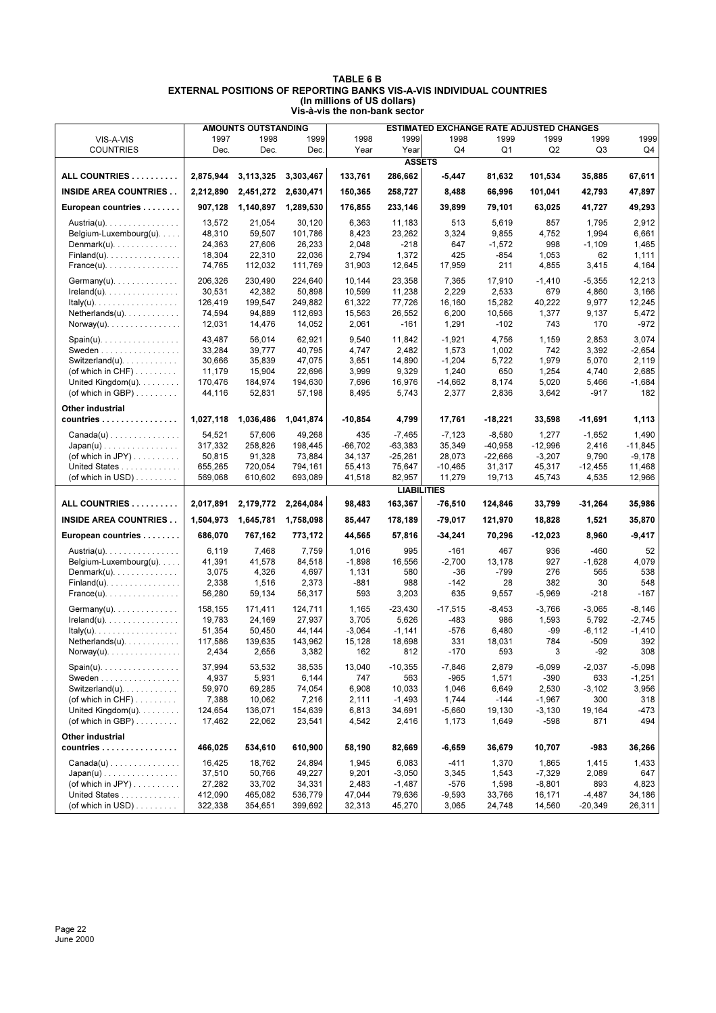|                                                |                  | <b>AMOUNTS OUTSTANDING</b> |                  |                |                    | ESTIMATED EXCHANGE RATE ADJUSTED CHANGES |                |                |                |                   |
|------------------------------------------------|------------------|----------------------------|------------------|----------------|--------------------|------------------------------------------|----------------|----------------|----------------|-------------------|
| VIS-A-VIS                                      | 1997             | 1998                       | 1999             | 1998           | 1999               | 1998                                     | 1999           | 1999           | 1999           | 1999              |
| <b>COUNTRIES</b>                               | Dec.             | Dec.                       | Dec.             | Year           | Year               | Q4                                       | Q1             | Q <sub>2</sub> | Q3             | Q4                |
|                                                |                  |                            |                  |                | <b>ASSETS</b>      |                                          |                |                |                |                   |
| ALL COUNTRIES                                  | 2,875,944        | 3,113,325                  | 3,303,467        | 133,761        | 286,662            | -5,447                                   | 81,632         | 101,534        | 35,885         | 67,611            |
| <b>INSIDE AREA COUNTRIES</b>                   | 2,212,890        | 2,451,272                  | 2,630,471        | 150,365        | 258,727            | 8,488                                    | 66,996         | 101,041        | 42,793         | 47,897            |
| European countries                             | 907,128          | 1,140,897                  | 1,289,530        | 176,855        | 233,146            | 39,899                                   | 79,101         | 63,025         | 41,727         | 49,293            |
| Austria(u).                                    | 13,572           | 21,054                     | 30,120           | 6,363          | 11,183             | 513                                      | 5,619          | 857            | 1,795          | 2,912             |
| Belgium-Luxembourg(u).                         | 48,310           | 59,507                     | 101,786          | 8,423          | 23,262             | 3,324                                    | 9,855          | 4,752          | 1,994          | 6,661             |
| $Dennark(u)$ .                                 | 24.363           | 27,606                     | 26,233           | 2,048          | $-218$             | 647                                      | $-1,572$       | 998            | $-1,109$       | 1,465             |
| $Findand(u), \ldots, \ldots, \ldots, \ldots$   | 18,304           | 22,310                     | 22,036           | 2,794          | 1,372              | 425                                      | $-854$         | 1,053          | 62             | 1,111             |
| $France(u)$ .                                  | 74,765           | 112,032                    | 111,769          | 31,903         | 12,645             | 17,959                                   | 211            | 4,855          | 3,415          | 4,164             |
| $Germany(u)$ .                                 | 206,326          | 230,490                    | 224.640          | 10,144         | 23,358             | 7,365                                    | 17,910         | $-1,410$       | $-5,355$       | 12,213            |
| $Ireland(u)$ .                                 | 30,531           | 42.382                     | 50,898           | 10,599         | 11,238             | 2,229                                    | 2,533          | 679            | 4,860          | 3,166             |
| $ltaky(u)$ .                                   | 126,419          | 199,547                    | 249,882          | 61,322         | 77,726             | 16,160                                   | 15,282         | 40,222         | 9,977          | 12,245            |
| $Netherlands(u)$ .                             | 74,594           | 94,889                     | 112,693          | 15,563         | 26,552             | 6,200                                    | 10,566         | 1,377          | 9,137          | 5,472             |
| $\text{Norway}(u)$ .                           | 12,031           | 14,476                     | 14,052           | 2,061          | $-161$             | 1,291                                    | $-102$         | 743            | 170            | $-972$            |
|                                                |                  |                            |                  |                |                    |                                          |                |                |                |                   |
| $Span(u)$ .<br>Sweden                          | 43,487<br>33,284 | 56,014<br>39,777           | 62,921<br>40,795 | 9,540<br>4,747 | 11,842<br>2,482    | $-1,921$<br>1,573                        | 4,756<br>1,002 | 1,159<br>742   | 2,853<br>3,392 | 3,074<br>$-2,654$ |
| Switzerland(u). $\ldots$ .                     | 30,666           | 35,839                     | 47,075           | 3,651          | 14,890             | $-1,204$                                 | 5,722          | 1,979          | 5,070          | 2,119             |
| (of which in $CHF$ )                           | 11,179           | 15,904                     | 22,696           | 3,999          | 9,329              | 1,240                                    | 650            | 1,254          | 4,740          | 2,685             |
| United Kingdom $(u)$ .                         | 170,476          | 184,974                    | 194,630          | 7,696          | 16,976             | $-14,662$                                | 8,174          | 5,020          | 5,466          | -1,684            |
| (of which in GBP) $\ldots \ldots$              | 44,116           | 52,831                     | 57,198           | 8,495          | 5,743              | 2,377                                    | 2,836          | 3,642          | $-917$         | 182               |
|                                                |                  |                            |                  |                |                    |                                          |                |                |                |                   |
| Other industrial                               |                  |                            |                  |                |                    |                                          |                |                |                |                   |
| countries                                      | 1,027,118        | 1,036,486                  | 1,041,874        | $-10,854$      | 4,799              | 17,761                                   | -18,221        | 33,598         | -11,691        | 1,113             |
| $Canada(u) \ldots \ldots \ldots \ldots$        | 54,521           | 57.606                     | 49,268           | 435            | $-7,465$           | $-7,123$                                 | $-8,580$       | 1,277          | $-1,652$       | 1,490             |
| $Japan(u) \ldots \ldots \ldots \ldots \ldots$  | 317,332          | 258,826                    | 198,445          | $-66,702$      | $-63,383$          | 35.349                                   | $-40,958$      | $-12,996$      | 2,416          | $-11,845$         |
| (of which in JPY) $\ldots \ldots \ldots$       | 50,815           | 91,328                     | 73,884           | 34,137         | $-25,261$          | 28,073                                   | $-22,666$      | $-3,207$       | 9,790          | $-9,178$          |
| United States                                  | 655,265          | 720,054                    | 794,161          | 55,413         | 75,647             | $-10,465$                                | 31,317         | 45,317         | $-12,455$      | 11,468            |
| (of which in USD) $\ldots$                     | 569,068          | 610,602                    | 693,089          | 41,518         | 82,957             | 11,279                                   | 19,713         | 45,743         | 4,535          | 12,966            |
|                                                |                  |                            |                  |                | <b>LIABILITIES</b> |                                          |                |                |                |                   |
| ALL COUNTRIES                                  | 2,017,891        | 2,179,772                  | 2,264,084        | 98,483         | 163,367            | $-76,510$                                | 124,846        | 33,799         | -31,264        | 35,986            |
| <b>INSIDE AREA COUNTRIES</b>                   | 1,504,973        | 1,645,781                  | 1,758,098        | 85,447         | 178,189            | -79,017                                  | 121,970        | 18,828         | 1,521          | 35,870            |
| European countries                             | 686,070          | 767,162                    | 773,172          | 44,565         | 57,816             | $-34,241$                                | 70,296         | $-12,023$      | 8,960          | $-9,417$          |
| Austria(u).                                    | 6,119            | 7,468                      | 7,759            | 1,016          | 995                | $-161$                                   | 467            | 936            | $-460$         | 52                |
| Belgium-Luxembourg(u).                         | 41,391           | 41,578                     | 84,518           | $-1,898$       | 16,556             | $-2,700$                                 | 13,178         | 927            | $-1,628$       | 4,079             |
| $Dennark(u)$ .                                 | 3,075            | 4,326                      | 4,697            | 1,131          | 580                | $-36$                                    | $-799$         | 276            | 565            | 538               |
| $Findand(u), \ldots, \ldots, \ldots, \ldots$   | 2,338            | 1,516                      | 2,373            | $-881$         | 988                | $-142$                                   | 28             | 382            | 30             | 548               |
| $France(u)$ .                                  | 56,280           | 59,134                     | 56,317           | 593            | 3,203              | 635                                      | 9,557          | $-5,969$       | $-218$         | $-167$            |
| $Germany(u)$ .                                 | 158.155          | 171,411                    | 124,711          | 1,165          | $-23,430$          | $-17,515$                                | $-8,453$       | $-3,766$       | $-3,065$       | -8,146            |
| $Ireland(u)$ .                                 | 19,783           | 24,169                     | 27,937           | 3,705          | 5,626              | -483                                     | 986            | 1,593          | 5,792          | $-2,745$          |
| Italy(u). $\ldots \ldots \ldots \ldots \ldots$ | 51,354           | 50,450                     | 44,144           | $-3,064$       | $-1,141$           | $-576$                                   | 6,480          | -99            | $-6, 112$      | $-1,410$          |
| $Netherlands(u)$ .                             | 117,586          | 139,635                    | 143,962          | 15,128         | 18,698             | 331                                      | 18,031         | 784            | $-509$         | 392               |
| $Norway(u)$ .                                  | 2,434            | 2,656                      | 3,382            | 162            | 812                | $-170$                                   | 593            | 3              | $-92$          | 308               |
| $Span(u)$ .                                    | 37,994           | 53,532                     | 38,535           | 13,040         | $-10,355$          | $-7,846$                                 | 2,879          | $-6,099$       | $-2,037$       | $-5,098$          |
| Sweden                                         | 4,937            | 5,931                      | 6,144            | 747            | 563                | $-965$                                   | 1,571          | $-390$         | 633            | $-1,251$          |
| Switzerland(u). $\ldots$ .                     | 59,970           | 69,285                     | 74,054           | 6,908          | 10,033             | 1,046                                    | 6,649          | 2,530          | $-3,102$       | 3,956             |
| (of which in $CHF$ )                           | 7,388            | 10,062                     | 7,216            | 2,111          | $-1,493$           | 1,744                                    | $-144$         | $-1,967$       | 300            | 318               |
| United Kingdom(u).                             | 124,654          | 136,071                    | 154,639          | 6,813          | 34,691             | $-5,660$                                 | 19,130         | $-3,130$       | 19,164         | -473              |
| (of which in GBP) $\ldots$                     | 17,462           | 22,062                     | 23,541           | 4,542          | 2,416              | 1,173                                    | 1,649          | $-598$         | 871            | 494               |
| Other industrial                               |                  |                            |                  |                |                    |                                          |                |                |                |                   |
| countries                                      | 466,025          | 534,610                    | 610,900          | 58,190         | 82,669             | -6,659                                   | 36,679         | 10,707         | -983           | 36,266            |
| $Canada(u) \ldots \ldots \ldots \ldots$        | 16,425           | 18,762                     | 24,894           | 1,945          | 6,083              | $-411$                                   | 1,370          | 1,865          | 1,415          | 1,433             |
| $Japan(u) \dots \dots \dots \dots \dots \dots$ | 37,510           | 50,766                     | 49,227           | 9,201          | $-3,050$           | 3,345                                    | 1,543          | $-7,329$       | 2,089          | 647               |
| (of which in JPY) $\dots \dots$                | 27,282           | 33,702                     | 34,331           | 2,483          | $-1,487$           | $-576$                                   | 1,598          | -8,801         | 893            | 4,823             |
| United States                                  | 412,090          | 465,082                    | 536,779          | 47,044         | 79,636             | $-9,593$                                 | 33,766         | 16,171         | $-4,487$       | 34,186            |
| (of which in USD) $\ldots \ldots$              | 322,338          | 354,651                    | 399,692          | 32,313         | 45,270             | 3,065                                    | 24,748         | 14,560         | $-20,349$      | 26,311            |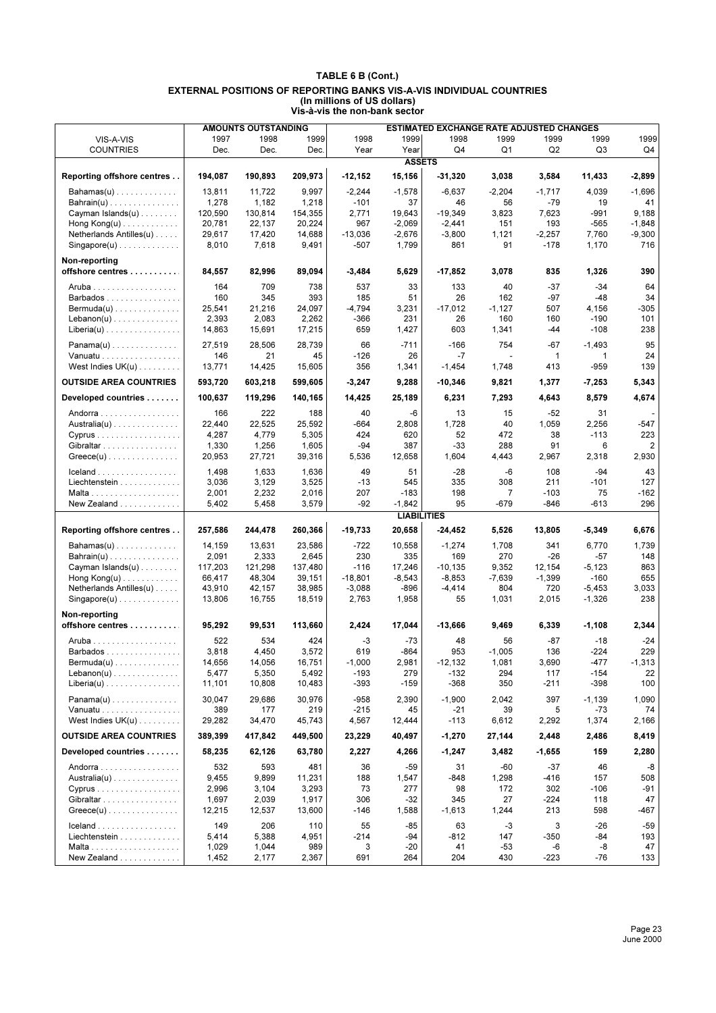|                                                    |                   | <b>AMOUNTS OUTSTANDING</b> |                   |                  |                    | ESTIMATED EXCHANGE RATE ADJUSTED CHANGES |                 |                |                |                |
|----------------------------------------------------|-------------------|----------------------------|-------------------|------------------|--------------------|------------------------------------------|-----------------|----------------|----------------|----------------|
| VIS-A-VIS                                          | 1997              | 1998                       | 1999              | 1998             | 1999               | 1998                                     | 1999            | 1999           | 1999           | 1999           |
| <b>COUNTRIES</b>                                   | Dec.              | Dec.                       | Dec.              | Year             | Year               | Q4                                       | Q1              | Q <sub>2</sub> | Q3             | Q4             |
|                                                    |                   |                            |                   |                  | <b>ASSETS</b>      |                                          |                 |                |                |                |
| Reporting offshore centres                         | 194,087           | 190,893                    | 209,973           | $-12,152$        | 15,156             | $-31,320$                                | 3,038           | 3,584          | 11,433         | -2,899         |
| $Bahamas(u)$                                       | 13,811            | 11.722                     | 9,997             | $-2,244$         | $-1,578$           | $-6,637$                                 | $-2,204$        | $-1,717$       | 4,039          | $-1,696$       |
| $Bahrain(u)$                                       | 1,278             | 1,182                      | 1,218             | $-101$           | 37                 | 46                                       | 56              | $-79$          | 19             | 41             |
| Cayman Islands $(u)$                               | 120,590           | 130,814                    | 154,355           | 2,771            | 19,643             | $-19,349$                                | 3,823           | 7,623          | -991           | 9,188          |
| Hong $Kong(u)$                                     | 20,781            | 22,137                     | 20,224            | 967              | $-2,069$           | $-2,441$                                 | 151             | 193            | $-565$         | $-1,848$       |
| Netherlands Antilles(u)                            | 29,617            | 17,420                     | 14,688            | $-13,036$        | $-2,676$           | $-3,800$                                 | 1,121           | $-2,257$       | 7,760          | $-9,300$       |
| $Singapore(u)$                                     | 8,010             | 7,618                      | 9,491             | $-507$           | 1,799              | 861                                      | 91              | $-178$         | 1,170          | 716            |
| Non-reporting<br>offshore centres                  | 84,557            | 82,996                     | 89,094            | $-3,484$         | 5,629              | $-17,852$                                | 3,078           | 835            | 1,326          | 390            |
| Aruba                                              | 164               | 709                        | 738               | 537              | 33                 | 133                                      | 40              | $-37$          | $-34$          | 64             |
| Barbados                                           | 160               | 345                        | 393               | 185              | 51                 | 26                                       | 162             | $-97$          | $-48$          | 34             |
| $Bernuda(u) \dots \dots \dots \dots \dots$         | 25,541            | 21,216                     | 24,097            | $-4,794$         | 3,231              | $-17,012$                                | $-1,127$        | 507            | 4,156          | $-305$         |
| $Lebanon(u)$                                       | 2,393             | 2,083                      | 2,262             | $-366$           | 231                | 26                                       | 160             | 160            | $-190$         | 101            |
| $Liberia(u)$                                       | 14,863            | 15,691                     | 17,215            | 659              | 1,427              | 603                                      | 1,341           | -44            | $-108$         | 238            |
| $Panama(u)$                                        | 27,519            | 28,506                     | 28,739            | 66               | $-711$             | $-166$                                   | 754             | -67            | $-1,493$       | 95             |
| Vanuatu                                            | 146               | 21                         | 45                | $-126$           | 26                 | $-7$                                     | ÷               | $\mathbf{1}$   | 1              | 24             |
| West Indies $UK(u)$                                | 13,771            | 14,425                     | 15,605            | 356              | 1,341              | $-1,454$                                 | 1,748           | 413            | -959           | 139            |
| <b>OUTSIDE AREA COUNTRIES</b>                      | 593,720           | 603,218                    | 599,605           | $-3,247$         | 9,288              | $-10,346$                                | 9,821           | 1,377          | $-7,253$       | 5,343          |
| Developed countries                                | 100,637           | 119,296                    | 140,165           | 14,425           | 25,189             | 6,231                                    | 7,293           | 4,643          | 8,579          | 4,674          |
| Andorra                                            | 166               | 222                        | 188               | 40               | -6                 | 13                                       | 15              | $-52$          | 31             |                |
| $A$ ustralia $(u)$                                 | 22,440            | 22,525                     | 25,592            | -664             | 2,808              | 1,728                                    | 40              | 1,059          | 2,256          | -547           |
| Cyprus                                             | 4,287             | 4,779                      | 5,305             | 424              | 620                | 52                                       | 472             | 38             | $-113$         | 223            |
| Gibraltar                                          | 1,330             | 1,256                      | 1,605             | -94              | 387                | -33                                      | 288             | 91             | 6              | 2              |
| $Greeze(u) \ldots \ldots \ldots \ldots \ldots$     | 20,953            | 27,721                     | 39,316            | 5,536            | 12,658             | 1,604                                    | 4,443           | 2,967          | 2,318          | 2,930          |
| Iceland                                            | 1,498             | 1,633                      | 1,636             | 49               | 51                 | $-28$                                    | $-6$            | 108            | $-94$          | 43             |
| Liechtenstein                                      | 3,036             | 3,129                      | 3,525             | $-13$            | 545                | 335                                      | 308             | 211            | $-101$         | 127            |
|                                                    | 2,001             | 2,232                      | 2,016             | 207              | $-183$             | 198                                      | $\overline{7}$  | $-103$         | 75             | $-162$         |
| New Zealand                                        | 5,402             | 5,458                      | 3,579             | -92              | $-1,842$           | 95                                       | -679            | $-846$         | $-613$         | 296            |
|                                                    |                   |                            |                   |                  | <b>LIABILITIES</b> |                                          |                 |                |                |                |
| Reporting offshore centres                         | 257,586           | 244,478                    | 260,366           | $-19,733$        | 20,658             | $-24,452$                                | 5,526           | 13,805         | $-5,349$       | 6,676          |
| $Bahamas(u)$                                       | 14,159            | 13,631                     | 23,586            | -722             | 10,558             | $-1,274$                                 | 1,708           | 341            | 6,770          | 1,739          |
| $Bahrain(u)$                                       | 2,091             | 2,333                      | 2,645             | 230              | 335                | 169                                      | 270             | $-26$          | $-57$          | 148            |
| Cayman Islands $(u)$                               | 117,203           | 121,298                    | 137,480           | $-116$           | 17,246             | $-10, 135$                               | 9,352           | 12,154         | $-5,123$       | 863            |
| Hong $Kong(u)$                                     | 66,417            | 48,304                     | 39,151            | $-18,801$        | $-8,543$           | $-8,853$                                 | $-7,639$        | $-1,399$       | $-160$         | 655            |
| Netherlands Antilles(u)                            | 43,910            | 42,157                     | 38,985            | $-3,088$         | -896               | $-4,414$                                 | 804             | 720            | $-5,453$       | 3,033          |
| $Singapore(u)$                                     | 13,806            | 16,755                     | 18,519            | 2,763            | 1,958              | 55                                       | 1,031           | 2,015          | $-1,326$       | 238            |
| Non-reporting                                      |                   |                            |                   |                  |                    |                                          |                 |                |                |                |
| offshore centres                                   | 95,292            | 99,531                     | 113,660           | 2,424            | 17,044             | $-13,666$                                | 9,469           | 6,339          | $-1,108$       | 2,344          |
| Aruba                                              | 522               | 534                        | 424               | -3               | $-73$              | 48                                       | 56              | -87            | $-18$          | $-24$          |
| Barbados                                           | 3,818             | 4,450                      | 3,572             | 619              | -864               | 953                                      | $-1,005$        | 136            | $-224$         | 229            |
| $Bernuda(u) \dots \dots \dots \dots \dots$         | 14,656            | 14,056                     | 16,751            | $-1,000$         | 2,981              | $-12,132$                                | 1,081           | 3,690          | -477           | -1,313         |
| $Lebanon(u)$<br>$Liberia(u)$                       | 5,477<br>11,101   | 5,350<br>10,808            | 5,492<br>10,483   | $-193$<br>$-393$ | 279<br>$-159$      | $-132$<br>$-368$                         | 294<br>350      | 117<br>$-211$  | $-154$<br>-398 | 22<br>100      |
|                                                    |                   |                            |                   |                  |                    |                                          |                 |                |                |                |
| $Panama(u)$                                        | 30,047            | 29,686                     | 30,976            | $-958$           | 2,390              | $-1,900$                                 | 2,042           | 397            | $-1,139$       | 1,090          |
| Vanuatu                                            | 389               | 177                        | 219               | $-215$           | 45                 | $-21$                                    | 39              | 5              | $-73$          | 74             |
| West Indies UK(u)<br><b>OUTSIDE AREA COUNTRIES</b> | 29,282<br>389,399 | 34,470<br>417,842          | 45,743<br>449,500 | 4,567            | 12,444<br>40,497   | $-113$<br>$-1,270$                       | 6,612<br>27,144 | 2,292<br>2,448 | 1,374<br>2,486 | 2,166<br>8,419 |
| Developed countries                                | 58,235            | 62,126                     | 63,780            | 23,229           | 4,266              | $-1,247$                                 | 3,482           | $-1,655$       | 159            | 2,280          |
| Andorra                                            | 532               | 593                        | 481               | 2,227<br>36      | $-59$              | 31                                       | $-60$           | $-37$          | 46             | -8             |
| $A$ ustralia $(u)$                                 | 9,455             | 9,899                      | 11,231            | 188              | 1,547              | $-848$                                   | 1,298           | $-416$         | 157            | 508            |
| Cyprus                                             | 2,996             | 3,104                      | 3,293             | 73               | 277                | 98                                       | 172             | 302            | $-106$         | $-91$          |
| Gibraltar                                          | 1,697             | 2,039                      | 1,917             | 306              | -32                | 345                                      | 27              | $-224$         | 118            | 47             |
| $Greeze(u) \ldots \ldots \ldots \ldots \ldots$     | 12,215            | 12,537                     | 13,600            | $-146$           | 1,588              | $-1,613$                                 | 1,244           | 213            | 598            | -467           |
|                                                    |                   |                            |                   |                  |                    |                                          |                 |                |                |                |
| $lceland$<br>Liechtenstein                         | 149<br>5,414      | 206<br>5,388               | 110<br>4,951      | 55<br>$-214$     | -85<br>-94         | 63<br>$-812$                             | $-3$<br>147     | 3<br>$-350$    | $-26$<br>-84   | -59<br>193     |
|                                                    | 1,029             | 1,044                      | 989               | 3                | $-20$              | 41                                       | -53             | -6             | -8             | 47             |
| New Zealand                                        | 1,452             | 2,177                      | 2,367             | 691              | 264                | 204                                      | 430             | $-223$         | $-76$          | 133            |
|                                                    |                   |                            |                   |                  |                    |                                          |                 |                |                |                |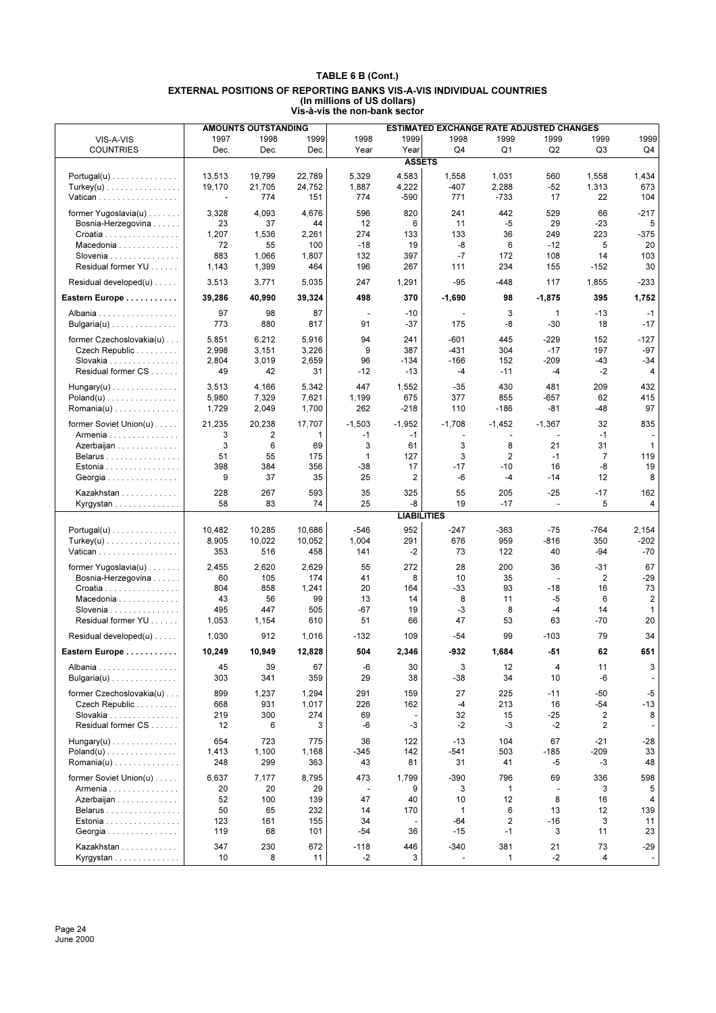| <b>ESTIMATED EXCHANGE RATE ADJUSTED CHANGES</b><br>1997<br>1998<br>1999<br>1998<br>1999<br>1998<br>1999<br>1999<br>1999<br>1999<br>VIS-A-VIS<br>Q <sub>1</sub><br>Q2<br><b>COUNTRIES</b><br>Dec.<br>Dec.<br>Dec.<br>Year<br>Year<br>Q4<br>Q3<br>Q4<br><b>ASSETS</b><br>22,789<br>4,583<br>13,513<br>19,799<br>5,329<br>1,558<br>1,031<br>560<br>1,558<br>1,434<br>$Portugal(u) \ldots \ldots \ldots \ldots$<br>19,170<br>24,752<br>1,887<br>4,222<br>$-407$<br>2,288<br>673<br>21,705<br>$-52$<br>1,313<br>$Turkey(u)$<br>774<br>774<br>771<br>$-733$<br>17<br>22<br>104<br>Vatican<br>151<br>-590<br>$\sim$<br>$-217$<br>4,093<br>4,676<br>596<br>820<br>241<br>442<br>529<br>former Yugoslavia $(u)$<br>3,328<br>66<br>37<br>12<br>6<br>11<br>$-5$<br>29<br>$-23$<br>5<br>Bosnia-Herzegovina<br>23<br>44<br>1,207<br>274<br>133<br>36<br>249<br>223<br>$-375$<br>1,536<br>2,261<br>133<br>Croatia<br>20<br>Macedonia<br>72<br>55<br>100<br>$-18$<br>19<br>-8<br>6<br>$-12$<br>5<br>883<br>1,066<br>397<br>$-7$<br>172<br>103<br>Slovenia<br>1,807<br>132<br>108<br>14<br>Residual former YU<br>30<br>1,143<br>1,399<br>464<br>196<br>267<br>111<br>234<br>155<br>$-152$<br>Residual developed(u)<br>247<br>1,291<br>$-95$<br>$-448$<br>117<br>1,855<br>$-233$<br>3,513<br>3,771<br>5,035<br>498<br>395<br>1,752<br>Eastern Europe<br>39,286<br>40,990<br>39,324<br>370<br>$-1,690$<br>98<br>$-1,875$<br>97<br>98<br>87<br>3<br>$\mathbf{1}$<br>$-13$<br>$-1$<br>$-10$<br>Albania<br>$\overline{\phantom{a}}$<br>$\overline{\phantom{a}}$<br>773<br>880<br>$-37$<br>$-30$<br>18<br>$-17$<br>Bulgaria(u)<br>817<br>91<br>175<br>-8<br>5,851<br>6,212<br>5,916<br>94<br>241<br>$-601$<br>445<br>$-229$<br>152<br>$-127$<br>former Czechoslovakia(u)<br>2,998<br>3,151<br>3,226<br>9<br>387<br>-431<br>197<br>$-97$<br>Czech Republic<br>304<br>$-17$<br>2,804<br>3,019<br>2,659<br>$-209$<br>$-43$<br>Slovakia<br>96<br>$-134$<br>$-166$<br>152<br>$-34$<br>Residual former CS<br>49<br>42<br>31<br>$-12$<br>$-13$<br>-4<br>$-11$<br>-4<br>-2<br>4<br>3,513<br>4,166<br>447<br>1,552<br>$-35$<br>430<br>481<br>209<br>432<br>5,342<br>$Hungary(u)$<br>5,980<br>675<br>377<br>855<br>$-657$<br>62<br>415<br>$Poland(u)$<br>7,329<br>7,621<br>1,199<br>97<br>262<br>$-48$<br>Romania(u)<br>1,729<br>2,049<br>1,700<br>$-218$<br>110<br>$-186$<br>-81<br>former Soviet Union(u)<br>21,235<br>17,707<br>$-1,503$<br>$-1,952$<br>32<br>835<br>20,238<br>$-1.708$<br>$-1.452$<br>$-1,367$<br>$-1$<br>3<br>2<br>1<br>$-1$<br>$-1$<br>Armenia<br>$\overline{\phantom{a}}$<br>3<br>6<br>3<br>3<br>21<br>31<br>$\mathbf{1}$<br>69<br>61<br>8<br>Azerbaijan<br>3<br>2<br>$\overline{7}$<br>51<br>55<br>175<br>1<br>127<br>$-1$<br>119<br>Belarus<br>$-17$<br>$-10$<br>16<br>-8<br>19<br>398<br>384<br>356<br>$-38$<br>17<br>Estonia<br>9<br>2<br>-6<br>8<br>37<br>35<br>25<br>-4<br>$-14$<br>12<br>Georgia<br>228<br>267<br>593<br>35<br>325<br>55<br>205<br>$-25$<br>$-17$<br>162<br>Kazakhstan<br>74<br>25<br>-8<br>19<br>5<br>Kyrgystan<br>58<br>83<br>$-17$<br>4<br>$\blacksquare$<br><b>LIABILITIES</b><br>952<br>10,686<br>$-546$<br>10,482<br>10,285<br>-247<br>-363<br>$-75$<br>-764<br>2,154<br>$Portugal(u) \dots \dots \dots \dots \dots$<br>8,905<br>10,052<br>1,004<br>676<br>959<br>$-816$<br>350<br>$-202$<br>$Turkey(u)$<br>10,022<br>291<br>516<br>$-70$<br>353<br>458<br>141<br>$-2$<br>73<br>122<br>40<br>-94<br>Vatican<br>67<br>2,629<br>55<br>272<br>28<br>200<br>36<br>$-31$<br>former Yugoslavia(u)<br>2,455<br>2,620<br>60<br>105<br>174<br>41<br>8<br>10<br>35<br>2<br>$-29$<br>Bosnia-Herzegovina<br>÷,<br>804<br>858<br>-33<br>93<br>$-18$<br>73<br>1,241<br>20<br>164<br>16<br>$C$ roatia $\ldots \ldots \ldots \ldots \ldots$<br>56<br>99<br>13<br>8<br>$-5$<br>2<br>Macedonia<br>43<br>14<br>11<br>6<br>495<br>447<br>$-67$<br>-3<br>8<br>14<br>Slovenia<br>505<br>19<br>-4<br>$\mathbf{1}$<br>Residual former YU<br>20<br>1,053<br>1,154<br>610<br>51<br>66<br>47<br>53<br>63<br>$-70$<br>79<br>34<br>Residual developed(u)<br>1,030<br>912<br>1,016<br>$-132$<br>109<br>-54<br>99<br>$-103$<br>10,949<br>12,828<br>504<br>2,346<br>-932<br>$-51$<br>62<br>651<br>Eastern Europe<br>10.249<br>1,684<br>67<br>45<br>39<br>-6<br>30<br>3<br>12<br>3<br>4<br>11<br>Albania<br>359<br>29<br>38<br>-38<br>34<br>10<br>-6<br>Bulgaria(u)<br>303<br>341<br>former Czechoslovakia(u)<br>899<br>1,237<br>1,294<br>291<br>159<br>27<br>225<br>$-11$<br>$-50$<br>$-5$<br>931<br>1,017<br>226<br>162<br>$-4$<br>213<br>16<br>$-54$<br>$-13$<br>Czech Republic<br>668<br>219<br>300<br>274<br>69<br>32<br>15<br>$-25$<br>2<br>8<br>Slovakia<br>Residual former CS<br>6<br>-6<br>$-3$<br>$-2$<br>-3<br>$-2$<br>2<br>12<br>3<br>654<br>723<br>$-13$<br>104<br>67<br>$-21$<br>$-28$<br>$Hungary(u)$<br>775<br>36<br>122<br>$-541$<br>33<br>$Poland(u) \dots \dots \dots \dots \dots$<br>1,413<br>1,100<br>1,168<br>$-345$<br>142<br>503<br>$-185$<br>-209<br>48<br>248<br>299<br>43<br>31<br>-5<br>-3<br>363<br>81<br>41<br>former Soviet Union(u)<br>6,637<br>7,177<br>8,795<br>473<br>1,799<br>$-390$<br>796<br>69<br>336<br>598<br>20<br>29<br>9<br>3<br>1<br>5<br>Armenia<br>20<br>3<br>$\overline{\phantom{a}}$<br>÷,<br>52<br>47<br>12<br>8<br>Azerbaijan<br>100<br>139<br>40<br>10<br>16<br>4<br>6<br>13<br>139<br>Belarus<br>50<br>65<br>232<br>14<br>170<br>1<br>12<br>$-64$<br>2<br>$-16$<br>Estonia<br>123<br>161<br>155<br>34<br>3<br>11<br>$-15$<br>68<br>101<br>$-54$<br>36<br>$-1$<br>3<br>11<br>23<br>Georgia<br>119<br>347<br>230<br>672<br>381<br>73<br>$-29$<br>Kazakhstan<br>$-118$<br>446<br>-340<br>21<br>8<br>$-2$<br>3<br>$\mathbf{1}$<br>$-2$<br>4<br>10<br>11<br>Kyrgystan<br>$\blacksquare$ |  | <b>AMOUNTS OUTSTANDING</b> |  |  |  |  |
|----------------------------------------------------------------------------------------------------------------------------------------------------------------------------------------------------------------------------------------------------------------------------------------------------------------------------------------------------------------------------------------------------------------------------------------------------------------------------------------------------------------------------------------------------------------------------------------------------------------------------------------------------------------------------------------------------------------------------------------------------------------------------------------------------------------------------------------------------------------------------------------------------------------------------------------------------------------------------------------------------------------------------------------------------------------------------------------------------------------------------------------------------------------------------------------------------------------------------------------------------------------------------------------------------------------------------------------------------------------------------------------------------------------------------------------------------------------------------------------------------------------------------------------------------------------------------------------------------------------------------------------------------------------------------------------------------------------------------------------------------------------------------------------------------------------------------------------------------------------------------------------------------------------------------------------------------------------------------------------------------------------------------------------------------------------------------------------------------------------------------------------------------------------------------------------------------------------------------------------------------------------------------------------------------------------------------------------------------------------------------------------------------------------------------------------------------------------------------------------------------------------------------------------------------------------------------------------------------------------------------------------------------------------------------------------------------------------------------------------------------------------------------------------------------------------------------------------------------------------------------------------------------------------------------------------------------------------------------------------------------------------------------------------------------------------------------------------------------------------------------------------------------------------------------------------------------------------------------------------------------------------------------------------------------------------------------------------------------------------------------------------------------------------------------------------------------------------------------------------------------------------------------------------------------------------------------------------------------------------------------------------------------------------------------------------------------------------------------------------------------------------------------------------------------------------------------------------------------------------------------------------------------------------------------------------------------------------------------------------------------------------------------------------------------------------------------------------------------------------------------------------------------------------------------------------------------------------------------------------------------------------------------------------------------------------------------------------------------------------------------------------------------------------------------------------------------------------------------------------------------------------------------------------------------------------------------------------------------------------------------------------------------------------------------------------------------------------------------------------------------------------------------------------------------------------------------------------------------------------------------------------------------------------------------------------------------------------------------------------------------------------------------------------------------------------------------------------------------------------------------------------------------------------------------------------------------------------------------------------------------------------------------------------------------------------------------------------------------------------------------------------------------------------------------------------------------------------------------------------------------------------------------------------------------------------------------------------------------------------------------------------------------------------------------------------------------------------------------|--|----------------------------|--|--|--|--|
|                                                                                                                                                                                                                                                                                                                                                                                                                                                                                                                                                                                                                                                                                                                                                                                                                                                                                                                                                                                                                                                                                                                                                                                                                                                                                                                                                                                                                                                                                                                                                                                                                                                                                                                                                                                                                                                                                                                                                                                                                                                                                                                                                                                                                                                                                                                                                                                                                                                                                                                                                                                                                                                                                                                                                                                                                                                                                                                                                                                                                                                                                                                                                                                                                                                                                                                                                                                                                                                                                                                                                                                                                                                                                                                                                                                                                                                                                                                                                                                                                                                                                                                                                                                                                                                                                                                                                                                                                                                                                                                                                                                                                                                                                                                                                                                                                                                                                                                                                                                                                                                                                                                                                                                                                                                                                                                                                                                                                                                                                                                                                                                                                                                                                                                            |  |                            |  |  |  |  |
|                                                                                                                                                                                                                                                                                                                                                                                                                                                                                                                                                                                                                                                                                                                                                                                                                                                                                                                                                                                                                                                                                                                                                                                                                                                                                                                                                                                                                                                                                                                                                                                                                                                                                                                                                                                                                                                                                                                                                                                                                                                                                                                                                                                                                                                                                                                                                                                                                                                                                                                                                                                                                                                                                                                                                                                                                                                                                                                                                                                                                                                                                                                                                                                                                                                                                                                                                                                                                                                                                                                                                                                                                                                                                                                                                                                                                                                                                                                                                                                                                                                                                                                                                                                                                                                                                                                                                                                                                                                                                                                                                                                                                                                                                                                                                                                                                                                                                                                                                                                                                                                                                                                                                                                                                                                                                                                                                                                                                                                                                                                                                                                                                                                                                                                            |  |                            |  |  |  |  |
|                                                                                                                                                                                                                                                                                                                                                                                                                                                                                                                                                                                                                                                                                                                                                                                                                                                                                                                                                                                                                                                                                                                                                                                                                                                                                                                                                                                                                                                                                                                                                                                                                                                                                                                                                                                                                                                                                                                                                                                                                                                                                                                                                                                                                                                                                                                                                                                                                                                                                                                                                                                                                                                                                                                                                                                                                                                                                                                                                                                                                                                                                                                                                                                                                                                                                                                                                                                                                                                                                                                                                                                                                                                                                                                                                                                                                                                                                                                                                                                                                                                                                                                                                                                                                                                                                                                                                                                                                                                                                                                                                                                                                                                                                                                                                                                                                                                                                                                                                                                                                                                                                                                                                                                                                                                                                                                                                                                                                                                                                                                                                                                                                                                                                                                            |  |                            |  |  |  |  |
|                                                                                                                                                                                                                                                                                                                                                                                                                                                                                                                                                                                                                                                                                                                                                                                                                                                                                                                                                                                                                                                                                                                                                                                                                                                                                                                                                                                                                                                                                                                                                                                                                                                                                                                                                                                                                                                                                                                                                                                                                                                                                                                                                                                                                                                                                                                                                                                                                                                                                                                                                                                                                                                                                                                                                                                                                                                                                                                                                                                                                                                                                                                                                                                                                                                                                                                                                                                                                                                                                                                                                                                                                                                                                                                                                                                                                                                                                                                                                                                                                                                                                                                                                                                                                                                                                                                                                                                                                                                                                                                                                                                                                                                                                                                                                                                                                                                                                                                                                                                                                                                                                                                                                                                                                                                                                                                                                                                                                                                                                                                                                                                                                                                                                                                            |  |                            |  |  |  |  |
|                                                                                                                                                                                                                                                                                                                                                                                                                                                                                                                                                                                                                                                                                                                                                                                                                                                                                                                                                                                                                                                                                                                                                                                                                                                                                                                                                                                                                                                                                                                                                                                                                                                                                                                                                                                                                                                                                                                                                                                                                                                                                                                                                                                                                                                                                                                                                                                                                                                                                                                                                                                                                                                                                                                                                                                                                                                                                                                                                                                                                                                                                                                                                                                                                                                                                                                                                                                                                                                                                                                                                                                                                                                                                                                                                                                                                                                                                                                                                                                                                                                                                                                                                                                                                                                                                                                                                                                                                                                                                                                                                                                                                                                                                                                                                                                                                                                                                                                                                                                                                                                                                                                                                                                                                                                                                                                                                                                                                                                                                                                                                                                                                                                                                                                            |  |                            |  |  |  |  |
|                                                                                                                                                                                                                                                                                                                                                                                                                                                                                                                                                                                                                                                                                                                                                                                                                                                                                                                                                                                                                                                                                                                                                                                                                                                                                                                                                                                                                                                                                                                                                                                                                                                                                                                                                                                                                                                                                                                                                                                                                                                                                                                                                                                                                                                                                                                                                                                                                                                                                                                                                                                                                                                                                                                                                                                                                                                                                                                                                                                                                                                                                                                                                                                                                                                                                                                                                                                                                                                                                                                                                                                                                                                                                                                                                                                                                                                                                                                                                                                                                                                                                                                                                                                                                                                                                                                                                                                                                                                                                                                                                                                                                                                                                                                                                                                                                                                                                                                                                                                                                                                                                                                                                                                                                                                                                                                                                                                                                                                                                                                                                                                                                                                                                                                            |  |                            |  |  |  |  |
|                                                                                                                                                                                                                                                                                                                                                                                                                                                                                                                                                                                                                                                                                                                                                                                                                                                                                                                                                                                                                                                                                                                                                                                                                                                                                                                                                                                                                                                                                                                                                                                                                                                                                                                                                                                                                                                                                                                                                                                                                                                                                                                                                                                                                                                                                                                                                                                                                                                                                                                                                                                                                                                                                                                                                                                                                                                                                                                                                                                                                                                                                                                                                                                                                                                                                                                                                                                                                                                                                                                                                                                                                                                                                                                                                                                                                                                                                                                                                                                                                                                                                                                                                                                                                                                                                                                                                                                                                                                                                                                                                                                                                                                                                                                                                                                                                                                                                                                                                                                                                                                                                                                                                                                                                                                                                                                                                                                                                                                                                                                                                                                                                                                                                                                            |  |                            |  |  |  |  |
|                                                                                                                                                                                                                                                                                                                                                                                                                                                                                                                                                                                                                                                                                                                                                                                                                                                                                                                                                                                                                                                                                                                                                                                                                                                                                                                                                                                                                                                                                                                                                                                                                                                                                                                                                                                                                                                                                                                                                                                                                                                                                                                                                                                                                                                                                                                                                                                                                                                                                                                                                                                                                                                                                                                                                                                                                                                                                                                                                                                                                                                                                                                                                                                                                                                                                                                                                                                                                                                                                                                                                                                                                                                                                                                                                                                                                                                                                                                                                                                                                                                                                                                                                                                                                                                                                                                                                                                                                                                                                                                                                                                                                                                                                                                                                                                                                                                                                                                                                                                                                                                                                                                                                                                                                                                                                                                                                                                                                                                                                                                                                                                                                                                                                                                            |  |                            |  |  |  |  |
|                                                                                                                                                                                                                                                                                                                                                                                                                                                                                                                                                                                                                                                                                                                                                                                                                                                                                                                                                                                                                                                                                                                                                                                                                                                                                                                                                                                                                                                                                                                                                                                                                                                                                                                                                                                                                                                                                                                                                                                                                                                                                                                                                                                                                                                                                                                                                                                                                                                                                                                                                                                                                                                                                                                                                                                                                                                                                                                                                                                                                                                                                                                                                                                                                                                                                                                                                                                                                                                                                                                                                                                                                                                                                                                                                                                                                                                                                                                                                                                                                                                                                                                                                                                                                                                                                                                                                                                                                                                                                                                                                                                                                                                                                                                                                                                                                                                                                                                                                                                                                                                                                                                                                                                                                                                                                                                                                                                                                                                                                                                                                                                                                                                                                                                            |  |                            |  |  |  |  |
|                                                                                                                                                                                                                                                                                                                                                                                                                                                                                                                                                                                                                                                                                                                                                                                                                                                                                                                                                                                                                                                                                                                                                                                                                                                                                                                                                                                                                                                                                                                                                                                                                                                                                                                                                                                                                                                                                                                                                                                                                                                                                                                                                                                                                                                                                                                                                                                                                                                                                                                                                                                                                                                                                                                                                                                                                                                                                                                                                                                                                                                                                                                                                                                                                                                                                                                                                                                                                                                                                                                                                                                                                                                                                                                                                                                                                                                                                                                                                                                                                                                                                                                                                                                                                                                                                                                                                                                                                                                                                                                                                                                                                                                                                                                                                                                                                                                                                                                                                                                                                                                                                                                                                                                                                                                                                                                                                                                                                                                                                                                                                                                                                                                                                                                            |  |                            |  |  |  |  |
|                                                                                                                                                                                                                                                                                                                                                                                                                                                                                                                                                                                                                                                                                                                                                                                                                                                                                                                                                                                                                                                                                                                                                                                                                                                                                                                                                                                                                                                                                                                                                                                                                                                                                                                                                                                                                                                                                                                                                                                                                                                                                                                                                                                                                                                                                                                                                                                                                                                                                                                                                                                                                                                                                                                                                                                                                                                                                                                                                                                                                                                                                                                                                                                                                                                                                                                                                                                                                                                                                                                                                                                                                                                                                                                                                                                                                                                                                                                                                                                                                                                                                                                                                                                                                                                                                                                                                                                                                                                                                                                                                                                                                                                                                                                                                                                                                                                                                                                                                                                                                                                                                                                                                                                                                                                                                                                                                                                                                                                                                                                                                                                                                                                                                                                            |  |                            |  |  |  |  |
|                                                                                                                                                                                                                                                                                                                                                                                                                                                                                                                                                                                                                                                                                                                                                                                                                                                                                                                                                                                                                                                                                                                                                                                                                                                                                                                                                                                                                                                                                                                                                                                                                                                                                                                                                                                                                                                                                                                                                                                                                                                                                                                                                                                                                                                                                                                                                                                                                                                                                                                                                                                                                                                                                                                                                                                                                                                                                                                                                                                                                                                                                                                                                                                                                                                                                                                                                                                                                                                                                                                                                                                                                                                                                                                                                                                                                                                                                                                                                                                                                                                                                                                                                                                                                                                                                                                                                                                                                                                                                                                                                                                                                                                                                                                                                                                                                                                                                                                                                                                                                                                                                                                                                                                                                                                                                                                                                                                                                                                                                                                                                                                                                                                                                                                            |  |                            |  |  |  |  |
|                                                                                                                                                                                                                                                                                                                                                                                                                                                                                                                                                                                                                                                                                                                                                                                                                                                                                                                                                                                                                                                                                                                                                                                                                                                                                                                                                                                                                                                                                                                                                                                                                                                                                                                                                                                                                                                                                                                                                                                                                                                                                                                                                                                                                                                                                                                                                                                                                                                                                                                                                                                                                                                                                                                                                                                                                                                                                                                                                                                                                                                                                                                                                                                                                                                                                                                                                                                                                                                                                                                                                                                                                                                                                                                                                                                                                                                                                                                                                                                                                                                                                                                                                                                                                                                                                                                                                                                                                                                                                                                                                                                                                                                                                                                                                                                                                                                                                                                                                                                                                                                                                                                                                                                                                                                                                                                                                                                                                                                                                                                                                                                                                                                                                                                            |  |                            |  |  |  |  |
|                                                                                                                                                                                                                                                                                                                                                                                                                                                                                                                                                                                                                                                                                                                                                                                                                                                                                                                                                                                                                                                                                                                                                                                                                                                                                                                                                                                                                                                                                                                                                                                                                                                                                                                                                                                                                                                                                                                                                                                                                                                                                                                                                                                                                                                                                                                                                                                                                                                                                                                                                                                                                                                                                                                                                                                                                                                                                                                                                                                                                                                                                                                                                                                                                                                                                                                                                                                                                                                                                                                                                                                                                                                                                                                                                                                                                                                                                                                                                                                                                                                                                                                                                                                                                                                                                                                                                                                                                                                                                                                                                                                                                                                                                                                                                                                                                                                                                                                                                                                                                                                                                                                                                                                                                                                                                                                                                                                                                                                                                                                                                                                                                                                                                                                            |  |                            |  |  |  |  |
|                                                                                                                                                                                                                                                                                                                                                                                                                                                                                                                                                                                                                                                                                                                                                                                                                                                                                                                                                                                                                                                                                                                                                                                                                                                                                                                                                                                                                                                                                                                                                                                                                                                                                                                                                                                                                                                                                                                                                                                                                                                                                                                                                                                                                                                                                                                                                                                                                                                                                                                                                                                                                                                                                                                                                                                                                                                                                                                                                                                                                                                                                                                                                                                                                                                                                                                                                                                                                                                                                                                                                                                                                                                                                                                                                                                                                                                                                                                                                                                                                                                                                                                                                                                                                                                                                                                                                                                                                                                                                                                                                                                                                                                                                                                                                                                                                                                                                                                                                                                                                                                                                                                                                                                                                                                                                                                                                                                                                                                                                                                                                                                                                                                                                                                            |  |                            |  |  |  |  |
|                                                                                                                                                                                                                                                                                                                                                                                                                                                                                                                                                                                                                                                                                                                                                                                                                                                                                                                                                                                                                                                                                                                                                                                                                                                                                                                                                                                                                                                                                                                                                                                                                                                                                                                                                                                                                                                                                                                                                                                                                                                                                                                                                                                                                                                                                                                                                                                                                                                                                                                                                                                                                                                                                                                                                                                                                                                                                                                                                                                                                                                                                                                                                                                                                                                                                                                                                                                                                                                                                                                                                                                                                                                                                                                                                                                                                                                                                                                                                                                                                                                                                                                                                                                                                                                                                                                                                                                                                                                                                                                                                                                                                                                                                                                                                                                                                                                                                                                                                                                                                                                                                                                                                                                                                                                                                                                                                                                                                                                                                                                                                                                                                                                                                                                            |  |                            |  |  |  |  |
|                                                                                                                                                                                                                                                                                                                                                                                                                                                                                                                                                                                                                                                                                                                                                                                                                                                                                                                                                                                                                                                                                                                                                                                                                                                                                                                                                                                                                                                                                                                                                                                                                                                                                                                                                                                                                                                                                                                                                                                                                                                                                                                                                                                                                                                                                                                                                                                                                                                                                                                                                                                                                                                                                                                                                                                                                                                                                                                                                                                                                                                                                                                                                                                                                                                                                                                                                                                                                                                                                                                                                                                                                                                                                                                                                                                                                                                                                                                                                                                                                                                                                                                                                                                                                                                                                                                                                                                                                                                                                                                                                                                                                                                                                                                                                                                                                                                                                                                                                                                                                                                                                                                                                                                                                                                                                                                                                                                                                                                                                                                                                                                                                                                                                                                            |  |                            |  |  |  |  |
|                                                                                                                                                                                                                                                                                                                                                                                                                                                                                                                                                                                                                                                                                                                                                                                                                                                                                                                                                                                                                                                                                                                                                                                                                                                                                                                                                                                                                                                                                                                                                                                                                                                                                                                                                                                                                                                                                                                                                                                                                                                                                                                                                                                                                                                                                                                                                                                                                                                                                                                                                                                                                                                                                                                                                                                                                                                                                                                                                                                                                                                                                                                                                                                                                                                                                                                                                                                                                                                                                                                                                                                                                                                                                                                                                                                                                                                                                                                                                                                                                                                                                                                                                                                                                                                                                                                                                                                                                                                                                                                                                                                                                                                                                                                                                                                                                                                                                                                                                                                                                                                                                                                                                                                                                                                                                                                                                                                                                                                                                                                                                                                                                                                                                                                            |  |                            |  |  |  |  |
|                                                                                                                                                                                                                                                                                                                                                                                                                                                                                                                                                                                                                                                                                                                                                                                                                                                                                                                                                                                                                                                                                                                                                                                                                                                                                                                                                                                                                                                                                                                                                                                                                                                                                                                                                                                                                                                                                                                                                                                                                                                                                                                                                                                                                                                                                                                                                                                                                                                                                                                                                                                                                                                                                                                                                                                                                                                                                                                                                                                                                                                                                                                                                                                                                                                                                                                                                                                                                                                                                                                                                                                                                                                                                                                                                                                                                                                                                                                                                                                                                                                                                                                                                                                                                                                                                                                                                                                                                                                                                                                                                                                                                                                                                                                                                                                                                                                                                                                                                                                                                                                                                                                                                                                                                                                                                                                                                                                                                                                                                                                                                                                                                                                                                                                            |  |                            |  |  |  |  |
|                                                                                                                                                                                                                                                                                                                                                                                                                                                                                                                                                                                                                                                                                                                                                                                                                                                                                                                                                                                                                                                                                                                                                                                                                                                                                                                                                                                                                                                                                                                                                                                                                                                                                                                                                                                                                                                                                                                                                                                                                                                                                                                                                                                                                                                                                                                                                                                                                                                                                                                                                                                                                                                                                                                                                                                                                                                                                                                                                                                                                                                                                                                                                                                                                                                                                                                                                                                                                                                                                                                                                                                                                                                                                                                                                                                                                                                                                                                                                                                                                                                                                                                                                                                                                                                                                                                                                                                                                                                                                                                                                                                                                                                                                                                                                                                                                                                                                                                                                                                                                                                                                                                                                                                                                                                                                                                                                                                                                                                                                                                                                                                                                                                                                                                            |  |                            |  |  |  |  |
|                                                                                                                                                                                                                                                                                                                                                                                                                                                                                                                                                                                                                                                                                                                                                                                                                                                                                                                                                                                                                                                                                                                                                                                                                                                                                                                                                                                                                                                                                                                                                                                                                                                                                                                                                                                                                                                                                                                                                                                                                                                                                                                                                                                                                                                                                                                                                                                                                                                                                                                                                                                                                                                                                                                                                                                                                                                                                                                                                                                                                                                                                                                                                                                                                                                                                                                                                                                                                                                                                                                                                                                                                                                                                                                                                                                                                                                                                                                                                                                                                                                                                                                                                                                                                                                                                                                                                                                                                                                                                                                                                                                                                                                                                                                                                                                                                                                                                                                                                                                                                                                                                                                                                                                                                                                                                                                                                                                                                                                                                                                                                                                                                                                                                                                            |  |                            |  |  |  |  |
|                                                                                                                                                                                                                                                                                                                                                                                                                                                                                                                                                                                                                                                                                                                                                                                                                                                                                                                                                                                                                                                                                                                                                                                                                                                                                                                                                                                                                                                                                                                                                                                                                                                                                                                                                                                                                                                                                                                                                                                                                                                                                                                                                                                                                                                                                                                                                                                                                                                                                                                                                                                                                                                                                                                                                                                                                                                                                                                                                                                                                                                                                                                                                                                                                                                                                                                                                                                                                                                                                                                                                                                                                                                                                                                                                                                                                                                                                                                                                                                                                                                                                                                                                                                                                                                                                                                                                                                                                                                                                                                                                                                                                                                                                                                                                                                                                                                                                                                                                                                                                                                                                                                                                                                                                                                                                                                                                                                                                                                                                                                                                                                                                                                                                                                            |  |                            |  |  |  |  |
|                                                                                                                                                                                                                                                                                                                                                                                                                                                                                                                                                                                                                                                                                                                                                                                                                                                                                                                                                                                                                                                                                                                                                                                                                                                                                                                                                                                                                                                                                                                                                                                                                                                                                                                                                                                                                                                                                                                                                                                                                                                                                                                                                                                                                                                                                                                                                                                                                                                                                                                                                                                                                                                                                                                                                                                                                                                                                                                                                                                                                                                                                                                                                                                                                                                                                                                                                                                                                                                                                                                                                                                                                                                                                                                                                                                                                                                                                                                                                                                                                                                                                                                                                                                                                                                                                                                                                                                                                                                                                                                                                                                                                                                                                                                                                                                                                                                                                                                                                                                                                                                                                                                                                                                                                                                                                                                                                                                                                                                                                                                                                                                                                                                                                                                            |  |                            |  |  |  |  |
|                                                                                                                                                                                                                                                                                                                                                                                                                                                                                                                                                                                                                                                                                                                                                                                                                                                                                                                                                                                                                                                                                                                                                                                                                                                                                                                                                                                                                                                                                                                                                                                                                                                                                                                                                                                                                                                                                                                                                                                                                                                                                                                                                                                                                                                                                                                                                                                                                                                                                                                                                                                                                                                                                                                                                                                                                                                                                                                                                                                                                                                                                                                                                                                                                                                                                                                                                                                                                                                                                                                                                                                                                                                                                                                                                                                                                                                                                                                                                                                                                                                                                                                                                                                                                                                                                                                                                                                                                                                                                                                                                                                                                                                                                                                                                                                                                                                                                                                                                                                                                                                                                                                                                                                                                                                                                                                                                                                                                                                                                                                                                                                                                                                                                                                            |  |                            |  |  |  |  |
|                                                                                                                                                                                                                                                                                                                                                                                                                                                                                                                                                                                                                                                                                                                                                                                                                                                                                                                                                                                                                                                                                                                                                                                                                                                                                                                                                                                                                                                                                                                                                                                                                                                                                                                                                                                                                                                                                                                                                                                                                                                                                                                                                                                                                                                                                                                                                                                                                                                                                                                                                                                                                                                                                                                                                                                                                                                                                                                                                                                                                                                                                                                                                                                                                                                                                                                                                                                                                                                                                                                                                                                                                                                                                                                                                                                                                                                                                                                                                                                                                                                                                                                                                                                                                                                                                                                                                                                                                                                                                                                                                                                                                                                                                                                                                                                                                                                                                                                                                                                                                                                                                                                                                                                                                                                                                                                                                                                                                                                                                                                                                                                                                                                                                                                            |  |                            |  |  |  |  |
|                                                                                                                                                                                                                                                                                                                                                                                                                                                                                                                                                                                                                                                                                                                                                                                                                                                                                                                                                                                                                                                                                                                                                                                                                                                                                                                                                                                                                                                                                                                                                                                                                                                                                                                                                                                                                                                                                                                                                                                                                                                                                                                                                                                                                                                                                                                                                                                                                                                                                                                                                                                                                                                                                                                                                                                                                                                                                                                                                                                                                                                                                                                                                                                                                                                                                                                                                                                                                                                                                                                                                                                                                                                                                                                                                                                                                                                                                                                                                                                                                                                                                                                                                                                                                                                                                                                                                                                                                                                                                                                                                                                                                                                                                                                                                                                                                                                                                                                                                                                                                                                                                                                                                                                                                                                                                                                                                                                                                                                                                                                                                                                                                                                                                                                            |  |                            |  |  |  |  |
|                                                                                                                                                                                                                                                                                                                                                                                                                                                                                                                                                                                                                                                                                                                                                                                                                                                                                                                                                                                                                                                                                                                                                                                                                                                                                                                                                                                                                                                                                                                                                                                                                                                                                                                                                                                                                                                                                                                                                                                                                                                                                                                                                                                                                                                                                                                                                                                                                                                                                                                                                                                                                                                                                                                                                                                                                                                                                                                                                                                                                                                                                                                                                                                                                                                                                                                                                                                                                                                                                                                                                                                                                                                                                                                                                                                                                                                                                                                                                                                                                                                                                                                                                                                                                                                                                                                                                                                                                                                                                                                                                                                                                                                                                                                                                                                                                                                                                                                                                                                                                                                                                                                                                                                                                                                                                                                                                                                                                                                                                                                                                                                                                                                                                                                            |  |                            |  |  |  |  |
|                                                                                                                                                                                                                                                                                                                                                                                                                                                                                                                                                                                                                                                                                                                                                                                                                                                                                                                                                                                                                                                                                                                                                                                                                                                                                                                                                                                                                                                                                                                                                                                                                                                                                                                                                                                                                                                                                                                                                                                                                                                                                                                                                                                                                                                                                                                                                                                                                                                                                                                                                                                                                                                                                                                                                                                                                                                                                                                                                                                                                                                                                                                                                                                                                                                                                                                                                                                                                                                                                                                                                                                                                                                                                                                                                                                                                                                                                                                                                                                                                                                                                                                                                                                                                                                                                                                                                                                                                                                                                                                                                                                                                                                                                                                                                                                                                                                                                                                                                                                                                                                                                                                                                                                                                                                                                                                                                                                                                                                                                                                                                                                                                                                                                                                            |  |                            |  |  |  |  |
|                                                                                                                                                                                                                                                                                                                                                                                                                                                                                                                                                                                                                                                                                                                                                                                                                                                                                                                                                                                                                                                                                                                                                                                                                                                                                                                                                                                                                                                                                                                                                                                                                                                                                                                                                                                                                                                                                                                                                                                                                                                                                                                                                                                                                                                                                                                                                                                                                                                                                                                                                                                                                                                                                                                                                                                                                                                                                                                                                                                                                                                                                                                                                                                                                                                                                                                                                                                                                                                                                                                                                                                                                                                                                                                                                                                                                                                                                                                                                                                                                                                                                                                                                                                                                                                                                                                                                                                                                                                                                                                                                                                                                                                                                                                                                                                                                                                                                                                                                                                                                                                                                                                                                                                                                                                                                                                                                                                                                                                                                                                                                                                                                                                                                                                            |  |                            |  |  |  |  |
|                                                                                                                                                                                                                                                                                                                                                                                                                                                                                                                                                                                                                                                                                                                                                                                                                                                                                                                                                                                                                                                                                                                                                                                                                                                                                                                                                                                                                                                                                                                                                                                                                                                                                                                                                                                                                                                                                                                                                                                                                                                                                                                                                                                                                                                                                                                                                                                                                                                                                                                                                                                                                                                                                                                                                                                                                                                                                                                                                                                                                                                                                                                                                                                                                                                                                                                                                                                                                                                                                                                                                                                                                                                                                                                                                                                                                                                                                                                                                                                                                                                                                                                                                                                                                                                                                                                                                                                                                                                                                                                                                                                                                                                                                                                                                                                                                                                                                                                                                                                                                                                                                                                                                                                                                                                                                                                                                                                                                                                                                                                                                                                                                                                                                                                            |  |                            |  |  |  |  |
|                                                                                                                                                                                                                                                                                                                                                                                                                                                                                                                                                                                                                                                                                                                                                                                                                                                                                                                                                                                                                                                                                                                                                                                                                                                                                                                                                                                                                                                                                                                                                                                                                                                                                                                                                                                                                                                                                                                                                                                                                                                                                                                                                                                                                                                                                                                                                                                                                                                                                                                                                                                                                                                                                                                                                                                                                                                                                                                                                                                                                                                                                                                                                                                                                                                                                                                                                                                                                                                                                                                                                                                                                                                                                                                                                                                                                                                                                                                                                                                                                                                                                                                                                                                                                                                                                                                                                                                                                                                                                                                                                                                                                                                                                                                                                                                                                                                                                                                                                                                                                                                                                                                                                                                                                                                                                                                                                                                                                                                                                                                                                                                                                                                                                                                            |  |                            |  |  |  |  |
|                                                                                                                                                                                                                                                                                                                                                                                                                                                                                                                                                                                                                                                                                                                                                                                                                                                                                                                                                                                                                                                                                                                                                                                                                                                                                                                                                                                                                                                                                                                                                                                                                                                                                                                                                                                                                                                                                                                                                                                                                                                                                                                                                                                                                                                                                                                                                                                                                                                                                                                                                                                                                                                                                                                                                                                                                                                                                                                                                                                                                                                                                                                                                                                                                                                                                                                                                                                                                                                                                                                                                                                                                                                                                                                                                                                                                                                                                                                                                                                                                                                                                                                                                                                                                                                                                                                                                                                                                                                                                                                                                                                                                                                                                                                                                                                                                                                                                                                                                                                                                                                                                                                                                                                                                                                                                                                                                                                                                                                                                                                                                                                                                                                                                                                            |  |                            |  |  |  |  |
|                                                                                                                                                                                                                                                                                                                                                                                                                                                                                                                                                                                                                                                                                                                                                                                                                                                                                                                                                                                                                                                                                                                                                                                                                                                                                                                                                                                                                                                                                                                                                                                                                                                                                                                                                                                                                                                                                                                                                                                                                                                                                                                                                                                                                                                                                                                                                                                                                                                                                                                                                                                                                                                                                                                                                                                                                                                                                                                                                                                                                                                                                                                                                                                                                                                                                                                                                                                                                                                                                                                                                                                                                                                                                                                                                                                                                                                                                                                                                                                                                                                                                                                                                                                                                                                                                                                                                                                                                                                                                                                                                                                                                                                                                                                                                                                                                                                                                                                                                                                                                                                                                                                                                                                                                                                                                                                                                                                                                                                                                                                                                                                                                                                                                                                            |  |                            |  |  |  |  |
|                                                                                                                                                                                                                                                                                                                                                                                                                                                                                                                                                                                                                                                                                                                                                                                                                                                                                                                                                                                                                                                                                                                                                                                                                                                                                                                                                                                                                                                                                                                                                                                                                                                                                                                                                                                                                                                                                                                                                                                                                                                                                                                                                                                                                                                                                                                                                                                                                                                                                                                                                                                                                                                                                                                                                                                                                                                                                                                                                                                                                                                                                                                                                                                                                                                                                                                                                                                                                                                                                                                                                                                                                                                                                                                                                                                                                                                                                                                                                                                                                                                                                                                                                                                                                                                                                                                                                                                                                                                                                                                                                                                                                                                                                                                                                                                                                                                                                                                                                                                                                                                                                                                                                                                                                                                                                                                                                                                                                                                                                                                                                                                                                                                                                                                            |  |                            |  |  |  |  |
|                                                                                                                                                                                                                                                                                                                                                                                                                                                                                                                                                                                                                                                                                                                                                                                                                                                                                                                                                                                                                                                                                                                                                                                                                                                                                                                                                                                                                                                                                                                                                                                                                                                                                                                                                                                                                                                                                                                                                                                                                                                                                                                                                                                                                                                                                                                                                                                                                                                                                                                                                                                                                                                                                                                                                                                                                                                                                                                                                                                                                                                                                                                                                                                                                                                                                                                                                                                                                                                                                                                                                                                                                                                                                                                                                                                                                                                                                                                                                                                                                                                                                                                                                                                                                                                                                                                                                                                                                                                                                                                                                                                                                                                                                                                                                                                                                                                                                                                                                                                                                                                                                                                                                                                                                                                                                                                                                                                                                                                                                                                                                                                                                                                                                                                            |  |                            |  |  |  |  |
|                                                                                                                                                                                                                                                                                                                                                                                                                                                                                                                                                                                                                                                                                                                                                                                                                                                                                                                                                                                                                                                                                                                                                                                                                                                                                                                                                                                                                                                                                                                                                                                                                                                                                                                                                                                                                                                                                                                                                                                                                                                                                                                                                                                                                                                                                                                                                                                                                                                                                                                                                                                                                                                                                                                                                                                                                                                                                                                                                                                                                                                                                                                                                                                                                                                                                                                                                                                                                                                                                                                                                                                                                                                                                                                                                                                                                                                                                                                                                                                                                                                                                                                                                                                                                                                                                                                                                                                                                                                                                                                                                                                                                                                                                                                                                                                                                                                                                                                                                                                                                                                                                                                                                                                                                                                                                                                                                                                                                                                                                                                                                                                                                                                                                                                            |  |                            |  |  |  |  |
|                                                                                                                                                                                                                                                                                                                                                                                                                                                                                                                                                                                                                                                                                                                                                                                                                                                                                                                                                                                                                                                                                                                                                                                                                                                                                                                                                                                                                                                                                                                                                                                                                                                                                                                                                                                                                                                                                                                                                                                                                                                                                                                                                                                                                                                                                                                                                                                                                                                                                                                                                                                                                                                                                                                                                                                                                                                                                                                                                                                                                                                                                                                                                                                                                                                                                                                                                                                                                                                                                                                                                                                                                                                                                                                                                                                                                                                                                                                                                                                                                                                                                                                                                                                                                                                                                                                                                                                                                                                                                                                                                                                                                                                                                                                                                                                                                                                                                                                                                                                                                                                                                                                                                                                                                                                                                                                                                                                                                                                                                                                                                                                                                                                                                                                            |  |                            |  |  |  |  |
|                                                                                                                                                                                                                                                                                                                                                                                                                                                                                                                                                                                                                                                                                                                                                                                                                                                                                                                                                                                                                                                                                                                                                                                                                                                                                                                                                                                                                                                                                                                                                                                                                                                                                                                                                                                                                                                                                                                                                                                                                                                                                                                                                                                                                                                                                                                                                                                                                                                                                                                                                                                                                                                                                                                                                                                                                                                                                                                                                                                                                                                                                                                                                                                                                                                                                                                                                                                                                                                                                                                                                                                                                                                                                                                                                                                                                                                                                                                                                                                                                                                                                                                                                                                                                                                                                                                                                                                                                                                                                                                                                                                                                                                                                                                                                                                                                                                                                                                                                                                                                                                                                                                                                                                                                                                                                                                                                                                                                                                                                                                                                                                                                                                                                                                            |  |                            |  |  |  |  |
|                                                                                                                                                                                                                                                                                                                                                                                                                                                                                                                                                                                                                                                                                                                                                                                                                                                                                                                                                                                                                                                                                                                                                                                                                                                                                                                                                                                                                                                                                                                                                                                                                                                                                                                                                                                                                                                                                                                                                                                                                                                                                                                                                                                                                                                                                                                                                                                                                                                                                                                                                                                                                                                                                                                                                                                                                                                                                                                                                                                                                                                                                                                                                                                                                                                                                                                                                                                                                                                                                                                                                                                                                                                                                                                                                                                                                                                                                                                                                                                                                                                                                                                                                                                                                                                                                                                                                                                                                                                                                                                                                                                                                                                                                                                                                                                                                                                                                                                                                                                                                                                                                                                                                                                                                                                                                                                                                                                                                                                                                                                                                                                                                                                                                                                            |  |                            |  |  |  |  |
|                                                                                                                                                                                                                                                                                                                                                                                                                                                                                                                                                                                                                                                                                                                                                                                                                                                                                                                                                                                                                                                                                                                                                                                                                                                                                                                                                                                                                                                                                                                                                                                                                                                                                                                                                                                                                                                                                                                                                                                                                                                                                                                                                                                                                                                                                                                                                                                                                                                                                                                                                                                                                                                                                                                                                                                                                                                                                                                                                                                                                                                                                                                                                                                                                                                                                                                                                                                                                                                                                                                                                                                                                                                                                                                                                                                                                                                                                                                                                                                                                                                                                                                                                                                                                                                                                                                                                                                                                                                                                                                                                                                                                                                                                                                                                                                                                                                                                                                                                                                                                                                                                                                                                                                                                                                                                                                                                                                                                                                                                                                                                                                                                                                                                                                            |  |                            |  |  |  |  |
|                                                                                                                                                                                                                                                                                                                                                                                                                                                                                                                                                                                                                                                                                                                                                                                                                                                                                                                                                                                                                                                                                                                                                                                                                                                                                                                                                                                                                                                                                                                                                                                                                                                                                                                                                                                                                                                                                                                                                                                                                                                                                                                                                                                                                                                                                                                                                                                                                                                                                                                                                                                                                                                                                                                                                                                                                                                                                                                                                                                                                                                                                                                                                                                                                                                                                                                                                                                                                                                                                                                                                                                                                                                                                                                                                                                                                                                                                                                                                                                                                                                                                                                                                                                                                                                                                                                                                                                                                                                                                                                                                                                                                                                                                                                                                                                                                                                                                                                                                                                                                                                                                                                                                                                                                                                                                                                                                                                                                                                                                                                                                                                                                                                                                                                            |  |                            |  |  |  |  |
|                                                                                                                                                                                                                                                                                                                                                                                                                                                                                                                                                                                                                                                                                                                                                                                                                                                                                                                                                                                                                                                                                                                                                                                                                                                                                                                                                                                                                                                                                                                                                                                                                                                                                                                                                                                                                                                                                                                                                                                                                                                                                                                                                                                                                                                                                                                                                                                                                                                                                                                                                                                                                                                                                                                                                                                                                                                                                                                                                                                                                                                                                                                                                                                                                                                                                                                                                                                                                                                                                                                                                                                                                                                                                                                                                                                                                                                                                                                                                                                                                                                                                                                                                                                                                                                                                                                                                                                                                                                                                                                                                                                                                                                                                                                                                                                                                                                                                                                                                                                                                                                                                                                                                                                                                                                                                                                                                                                                                                                                                                                                                                                                                                                                                                                            |  |                            |  |  |  |  |
|                                                                                                                                                                                                                                                                                                                                                                                                                                                                                                                                                                                                                                                                                                                                                                                                                                                                                                                                                                                                                                                                                                                                                                                                                                                                                                                                                                                                                                                                                                                                                                                                                                                                                                                                                                                                                                                                                                                                                                                                                                                                                                                                                                                                                                                                                                                                                                                                                                                                                                                                                                                                                                                                                                                                                                                                                                                                                                                                                                                                                                                                                                                                                                                                                                                                                                                                                                                                                                                                                                                                                                                                                                                                                                                                                                                                                                                                                                                                                                                                                                                                                                                                                                                                                                                                                                                                                                                                                                                                                                                                                                                                                                                                                                                                                                                                                                                                                                                                                                                                                                                                                                                                                                                                                                                                                                                                                                                                                                                                                                                                                                                                                                                                                                                            |  |                            |  |  |  |  |
|                                                                                                                                                                                                                                                                                                                                                                                                                                                                                                                                                                                                                                                                                                                                                                                                                                                                                                                                                                                                                                                                                                                                                                                                                                                                                                                                                                                                                                                                                                                                                                                                                                                                                                                                                                                                                                                                                                                                                                                                                                                                                                                                                                                                                                                                                                                                                                                                                                                                                                                                                                                                                                                                                                                                                                                                                                                                                                                                                                                                                                                                                                                                                                                                                                                                                                                                                                                                                                                                                                                                                                                                                                                                                                                                                                                                                                                                                                                                                                                                                                                                                                                                                                                                                                                                                                                                                                                                                                                                                                                                                                                                                                                                                                                                                                                                                                                                                                                                                                                                                                                                                                                                                                                                                                                                                                                                                                                                                                                                                                                                                                                                                                                                                                                            |  |                            |  |  |  |  |
|                                                                                                                                                                                                                                                                                                                                                                                                                                                                                                                                                                                                                                                                                                                                                                                                                                                                                                                                                                                                                                                                                                                                                                                                                                                                                                                                                                                                                                                                                                                                                                                                                                                                                                                                                                                                                                                                                                                                                                                                                                                                                                                                                                                                                                                                                                                                                                                                                                                                                                                                                                                                                                                                                                                                                                                                                                                                                                                                                                                                                                                                                                                                                                                                                                                                                                                                                                                                                                                                                                                                                                                                                                                                                                                                                                                                                                                                                                                                                                                                                                                                                                                                                                                                                                                                                                                                                                                                                                                                                                                                                                                                                                                                                                                                                                                                                                                                                                                                                                                                                                                                                                                                                                                                                                                                                                                                                                                                                                                                                                                                                                                                                                                                                                                            |  |                            |  |  |  |  |
|                                                                                                                                                                                                                                                                                                                                                                                                                                                                                                                                                                                                                                                                                                                                                                                                                                                                                                                                                                                                                                                                                                                                                                                                                                                                                                                                                                                                                                                                                                                                                                                                                                                                                                                                                                                                                                                                                                                                                                                                                                                                                                                                                                                                                                                                                                                                                                                                                                                                                                                                                                                                                                                                                                                                                                                                                                                                                                                                                                                                                                                                                                                                                                                                                                                                                                                                                                                                                                                                                                                                                                                                                                                                                                                                                                                                                                                                                                                                                                                                                                                                                                                                                                                                                                                                                                                                                                                                                                                                                                                                                                                                                                                                                                                                                                                                                                                                                                                                                                                                                                                                                                                                                                                                                                                                                                                                                                                                                                                                                                                                                                                                                                                                                                                            |  |                            |  |  |  |  |
|                                                                                                                                                                                                                                                                                                                                                                                                                                                                                                                                                                                                                                                                                                                                                                                                                                                                                                                                                                                                                                                                                                                                                                                                                                                                                                                                                                                                                                                                                                                                                                                                                                                                                                                                                                                                                                                                                                                                                                                                                                                                                                                                                                                                                                                                                                                                                                                                                                                                                                                                                                                                                                                                                                                                                                                                                                                                                                                                                                                                                                                                                                                                                                                                                                                                                                                                                                                                                                                                                                                                                                                                                                                                                                                                                                                                                                                                                                                                                                                                                                                                                                                                                                                                                                                                                                                                                                                                                                                                                                                                                                                                                                                                                                                                                                                                                                                                                                                                                                                                                                                                                                                                                                                                                                                                                                                                                                                                                                                                                                                                                                                                                                                                                                                            |  |                            |  |  |  |  |
|                                                                                                                                                                                                                                                                                                                                                                                                                                                                                                                                                                                                                                                                                                                                                                                                                                                                                                                                                                                                                                                                                                                                                                                                                                                                                                                                                                                                                                                                                                                                                                                                                                                                                                                                                                                                                                                                                                                                                                                                                                                                                                                                                                                                                                                                                                                                                                                                                                                                                                                                                                                                                                                                                                                                                                                                                                                                                                                                                                                                                                                                                                                                                                                                                                                                                                                                                                                                                                                                                                                                                                                                                                                                                                                                                                                                                                                                                                                                                                                                                                                                                                                                                                                                                                                                                                                                                                                                                                                                                                                                                                                                                                                                                                                                                                                                                                                                                                                                                                                                                                                                                                                                                                                                                                                                                                                                                                                                                                                                                                                                                                                                                                                                                                                            |  |                            |  |  |  |  |
|                                                                                                                                                                                                                                                                                                                                                                                                                                                                                                                                                                                                                                                                                                                                                                                                                                                                                                                                                                                                                                                                                                                                                                                                                                                                                                                                                                                                                                                                                                                                                                                                                                                                                                                                                                                                                                                                                                                                                                                                                                                                                                                                                                                                                                                                                                                                                                                                                                                                                                                                                                                                                                                                                                                                                                                                                                                                                                                                                                                                                                                                                                                                                                                                                                                                                                                                                                                                                                                                                                                                                                                                                                                                                                                                                                                                                                                                                                                                                                                                                                                                                                                                                                                                                                                                                                                                                                                                                                                                                                                                                                                                                                                                                                                                                                                                                                                                                                                                                                                                                                                                                                                                                                                                                                                                                                                                                                                                                                                                                                                                                                                                                                                                                                                            |  |                            |  |  |  |  |
|                                                                                                                                                                                                                                                                                                                                                                                                                                                                                                                                                                                                                                                                                                                                                                                                                                                                                                                                                                                                                                                                                                                                                                                                                                                                                                                                                                                                                                                                                                                                                                                                                                                                                                                                                                                                                                                                                                                                                                                                                                                                                                                                                                                                                                                                                                                                                                                                                                                                                                                                                                                                                                                                                                                                                                                                                                                                                                                                                                                                                                                                                                                                                                                                                                                                                                                                                                                                                                                                                                                                                                                                                                                                                                                                                                                                                                                                                                                                                                                                                                                                                                                                                                                                                                                                                                                                                                                                                                                                                                                                                                                                                                                                                                                                                                                                                                                                                                                                                                                                                                                                                                                                                                                                                                                                                                                                                                                                                                                                                                                                                                                                                                                                                                                            |  |                            |  |  |  |  |
|                                                                                                                                                                                                                                                                                                                                                                                                                                                                                                                                                                                                                                                                                                                                                                                                                                                                                                                                                                                                                                                                                                                                                                                                                                                                                                                                                                                                                                                                                                                                                                                                                                                                                                                                                                                                                                                                                                                                                                                                                                                                                                                                                                                                                                                                                                                                                                                                                                                                                                                                                                                                                                                                                                                                                                                                                                                                                                                                                                                                                                                                                                                                                                                                                                                                                                                                                                                                                                                                                                                                                                                                                                                                                                                                                                                                                                                                                                                                                                                                                                                                                                                                                                                                                                                                                                                                                                                                                                                                                                                                                                                                                                                                                                                                                                                                                                                                                                                                                                                                                                                                                                                                                                                                                                                                                                                                                                                                                                                                                                                                                                                                                                                                                                                            |  |                            |  |  |  |  |
|                                                                                                                                                                                                                                                                                                                                                                                                                                                                                                                                                                                                                                                                                                                                                                                                                                                                                                                                                                                                                                                                                                                                                                                                                                                                                                                                                                                                                                                                                                                                                                                                                                                                                                                                                                                                                                                                                                                                                                                                                                                                                                                                                                                                                                                                                                                                                                                                                                                                                                                                                                                                                                                                                                                                                                                                                                                                                                                                                                                                                                                                                                                                                                                                                                                                                                                                                                                                                                                                                                                                                                                                                                                                                                                                                                                                                                                                                                                                                                                                                                                                                                                                                                                                                                                                                                                                                                                                                                                                                                                                                                                                                                                                                                                                                                                                                                                                                                                                                                                                                                                                                                                                                                                                                                                                                                                                                                                                                                                                                                                                                                                                                                                                                                                            |  |                            |  |  |  |  |
|                                                                                                                                                                                                                                                                                                                                                                                                                                                                                                                                                                                                                                                                                                                                                                                                                                                                                                                                                                                                                                                                                                                                                                                                                                                                                                                                                                                                                                                                                                                                                                                                                                                                                                                                                                                                                                                                                                                                                                                                                                                                                                                                                                                                                                                                                                                                                                                                                                                                                                                                                                                                                                                                                                                                                                                                                                                                                                                                                                                                                                                                                                                                                                                                                                                                                                                                                                                                                                                                                                                                                                                                                                                                                                                                                                                                                                                                                                                                                                                                                                                                                                                                                                                                                                                                                                                                                                                                                                                                                                                                                                                                                                                                                                                                                                                                                                                                                                                                                                                                                                                                                                                                                                                                                                                                                                                                                                                                                                                                                                                                                                                                                                                                                                                            |  |                            |  |  |  |  |
|                                                                                                                                                                                                                                                                                                                                                                                                                                                                                                                                                                                                                                                                                                                                                                                                                                                                                                                                                                                                                                                                                                                                                                                                                                                                                                                                                                                                                                                                                                                                                                                                                                                                                                                                                                                                                                                                                                                                                                                                                                                                                                                                                                                                                                                                                                                                                                                                                                                                                                                                                                                                                                                                                                                                                                                                                                                                                                                                                                                                                                                                                                                                                                                                                                                                                                                                                                                                                                                                                                                                                                                                                                                                                                                                                                                                                                                                                                                                                                                                                                                                                                                                                                                                                                                                                                                                                                                                                                                                                                                                                                                                                                                                                                                                                                                                                                                                                                                                                                                                                                                                                                                                                                                                                                                                                                                                                                                                                                                                                                                                                                                                                                                                                                                            |  |                            |  |  |  |  |
|                                                                                                                                                                                                                                                                                                                                                                                                                                                                                                                                                                                                                                                                                                                                                                                                                                                                                                                                                                                                                                                                                                                                                                                                                                                                                                                                                                                                                                                                                                                                                                                                                                                                                                                                                                                                                                                                                                                                                                                                                                                                                                                                                                                                                                                                                                                                                                                                                                                                                                                                                                                                                                                                                                                                                                                                                                                                                                                                                                                                                                                                                                                                                                                                                                                                                                                                                                                                                                                                                                                                                                                                                                                                                                                                                                                                                                                                                                                                                                                                                                                                                                                                                                                                                                                                                                                                                                                                                                                                                                                                                                                                                                                                                                                                                                                                                                                                                                                                                                                                                                                                                                                                                                                                                                                                                                                                                                                                                                                                                                                                                                                                                                                                                                                            |  |                            |  |  |  |  |
|                                                                                                                                                                                                                                                                                                                                                                                                                                                                                                                                                                                                                                                                                                                                                                                                                                                                                                                                                                                                                                                                                                                                                                                                                                                                                                                                                                                                                                                                                                                                                                                                                                                                                                                                                                                                                                                                                                                                                                                                                                                                                                                                                                                                                                                                                                                                                                                                                                                                                                                                                                                                                                                                                                                                                                                                                                                                                                                                                                                                                                                                                                                                                                                                                                                                                                                                                                                                                                                                                                                                                                                                                                                                                                                                                                                                                                                                                                                                                                                                                                                                                                                                                                                                                                                                                                                                                                                                                                                                                                                                                                                                                                                                                                                                                                                                                                                                                                                                                                                                                                                                                                                                                                                                                                                                                                                                                                                                                                                                                                                                                                                                                                                                                                                            |  |                            |  |  |  |  |
|                                                                                                                                                                                                                                                                                                                                                                                                                                                                                                                                                                                                                                                                                                                                                                                                                                                                                                                                                                                                                                                                                                                                                                                                                                                                                                                                                                                                                                                                                                                                                                                                                                                                                                                                                                                                                                                                                                                                                                                                                                                                                                                                                                                                                                                                                                                                                                                                                                                                                                                                                                                                                                                                                                                                                                                                                                                                                                                                                                                                                                                                                                                                                                                                                                                                                                                                                                                                                                                                                                                                                                                                                                                                                                                                                                                                                                                                                                                                                                                                                                                                                                                                                                                                                                                                                                                                                                                                                                                                                                                                                                                                                                                                                                                                                                                                                                                                                                                                                                                                                                                                                                                                                                                                                                                                                                                                                                                                                                                                                                                                                                                                                                                                                                                            |  |                            |  |  |  |  |
|                                                                                                                                                                                                                                                                                                                                                                                                                                                                                                                                                                                                                                                                                                                                                                                                                                                                                                                                                                                                                                                                                                                                                                                                                                                                                                                                                                                                                                                                                                                                                                                                                                                                                                                                                                                                                                                                                                                                                                                                                                                                                                                                                                                                                                                                                                                                                                                                                                                                                                                                                                                                                                                                                                                                                                                                                                                                                                                                                                                                                                                                                                                                                                                                                                                                                                                                                                                                                                                                                                                                                                                                                                                                                                                                                                                                                                                                                                                                                                                                                                                                                                                                                                                                                                                                                                                                                                                                                                                                                                                                                                                                                                                                                                                                                                                                                                                                                                                                                                                                                                                                                                                                                                                                                                                                                                                                                                                                                                                                                                                                                                                                                                                                                                                            |  |                            |  |  |  |  |
|                                                                                                                                                                                                                                                                                                                                                                                                                                                                                                                                                                                                                                                                                                                                                                                                                                                                                                                                                                                                                                                                                                                                                                                                                                                                                                                                                                                                                                                                                                                                                                                                                                                                                                                                                                                                                                                                                                                                                                                                                                                                                                                                                                                                                                                                                                                                                                                                                                                                                                                                                                                                                                                                                                                                                                                                                                                                                                                                                                                                                                                                                                                                                                                                                                                                                                                                                                                                                                                                                                                                                                                                                                                                                                                                                                                                                                                                                                                                                                                                                                                                                                                                                                                                                                                                                                                                                                                                                                                                                                                                                                                                                                                                                                                                                                                                                                                                                                                                                                                                                                                                                                                                                                                                                                                                                                                                                                                                                                                                                                                                                                                                                                                                                                                            |  |                            |  |  |  |  |
|                                                                                                                                                                                                                                                                                                                                                                                                                                                                                                                                                                                                                                                                                                                                                                                                                                                                                                                                                                                                                                                                                                                                                                                                                                                                                                                                                                                                                                                                                                                                                                                                                                                                                                                                                                                                                                                                                                                                                                                                                                                                                                                                                                                                                                                                                                                                                                                                                                                                                                                                                                                                                                                                                                                                                                                                                                                                                                                                                                                                                                                                                                                                                                                                                                                                                                                                                                                                                                                                                                                                                                                                                                                                                                                                                                                                                                                                                                                                                                                                                                                                                                                                                                                                                                                                                                                                                                                                                                                                                                                                                                                                                                                                                                                                                                                                                                                                                                                                                                                                                                                                                                                                                                                                                                                                                                                                                                                                                                                                                                                                                                                                                                                                                                                            |  |                            |  |  |  |  |
|                                                                                                                                                                                                                                                                                                                                                                                                                                                                                                                                                                                                                                                                                                                                                                                                                                                                                                                                                                                                                                                                                                                                                                                                                                                                                                                                                                                                                                                                                                                                                                                                                                                                                                                                                                                                                                                                                                                                                                                                                                                                                                                                                                                                                                                                                                                                                                                                                                                                                                                                                                                                                                                                                                                                                                                                                                                                                                                                                                                                                                                                                                                                                                                                                                                                                                                                                                                                                                                                                                                                                                                                                                                                                                                                                                                                                                                                                                                                                                                                                                                                                                                                                                                                                                                                                                                                                                                                                                                                                                                                                                                                                                                                                                                                                                                                                                                                                                                                                                                                                                                                                                                                                                                                                                                                                                                                                                                                                                                                                                                                                                                                                                                                                                                            |  |                            |  |  |  |  |
|                                                                                                                                                                                                                                                                                                                                                                                                                                                                                                                                                                                                                                                                                                                                                                                                                                                                                                                                                                                                                                                                                                                                                                                                                                                                                                                                                                                                                                                                                                                                                                                                                                                                                                                                                                                                                                                                                                                                                                                                                                                                                                                                                                                                                                                                                                                                                                                                                                                                                                                                                                                                                                                                                                                                                                                                                                                                                                                                                                                                                                                                                                                                                                                                                                                                                                                                                                                                                                                                                                                                                                                                                                                                                                                                                                                                                                                                                                                                                                                                                                                                                                                                                                                                                                                                                                                                                                                                                                                                                                                                                                                                                                                                                                                                                                                                                                                                                                                                                                                                                                                                                                                                                                                                                                                                                                                                                                                                                                                                                                                                                                                                                                                                                                                            |  |                            |  |  |  |  |
|                                                                                                                                                                                                                                                                                                                                                                                                                                                                                                                                                                                                                                                                                                                                                                                                                                                                                                                                                                                                                                                                                                                                                                                                                                                                                                                                                                                                                                                                                                                                                                                                                                                                                                                                                                                                                                                                                                                                                                                                                                                                                                                                                                                                                                                                                                                                                                                                                                                                                                                                                                                                                                                                                                                                                                                                                                                                                                                                                                                                                                                                                                                                                                                                                                                                                                                                                                                                                                                                                                                                                                                                                                                                                                                                                                                                                                                                                                                                                                                                                                                                                                                                                                                                                                                                                                                                                                                                                                                                                                                                                                                                                                                                                                                                                                                                                                                                                                                                                                                                                                                                                                                                                                                                                                                                                                                                                                                                                                                                                                                                                                                                                                                                                                                            |  |                            |  |  |  |  |
|                                                                                                                                                                                                                                                                                                                                                                                                                                                                                                                                                                                                                                                                                                                                                                                                                                                                                                                                                                                                                                                                                                                                                                                                                                                                                                                                                                                                                                                                                                                                                                                                                                                                                                                                                                                                                                                                                                                                                                                                                                                                                                                                                                                                                                                                                                                                                                                                                                                                                                                                                                                                                                                                                                                                                                                                                                                                                                                                                                                                                                                                                                                                                                                                                                                                                                                                                                                                                                                                                                                                                                                                                                                                                                                                                                                                                                                                                                                                                                                                                                                                                                                                                                                                                                                                                                                                                                                                                                                                                                                                                                                                                                                                                                                                                                                                                                                                                                                                                                                                                                                                                                                                                                                                                                                                                                                                                                                                                                                                                                                                                                                                                                                                                                                            |  |                            |  |  |  |  |
|                                                                                                                                                                                                                                                                                                                                                                                                                                                                                                                                                                                                                                                                                                                                                                                                                                                                                                                                                                                                                                                                                                                                                                                                                                                                                                                                                                                                                                                                                                                                                                                                                                                                                                                                                                                                                                                                                                                                                                                                                                                                                                                                                                                                                                                                                                                                                                                                                                                                                                                                                                                                                                                                                                                                                                                                                                                                                                                                                                                                                                                                                                                                                                                                                                                                                                                                                                                                                                                                                                                                                                                                                                                                                                                                                                                                                                                                                                                                                                                                                                                                                                                                                                                                                                                                                                                                                                                                                                                                                                                                                                                                                                                                                                                                                                                                                                                                                                                                                                                                                                                                                                                                                                                                                                                                                                                                                                                                                                                                                                                                                                                                                                                                                                                            |  |                            |  |  |  |  |
|                                                                                                                                                                                                                                                                                                                                                                                                                                                                                                                                                                                                                                                                                                                                                                                                                                                                                                                                                                                                                                                                                                                                                                                                                                                                                                                                                                                                                                                                                                                                                                                                                                                                                                                                                                                                                                                                                                                                                                                                                                                                                                                                                                                                                                                                                                                                                                                                                                                                                                                                                                                                                                                                                                                                                                                                                                                                                                                                                                                                                                                                                                                                                                                                                                                                                                                                                                                                                                                                                                                                                                                                                                                                                                                                                                                                                                                                                                                                                                                                                                                                                                                                                                                                                                                                                                                                                                                                                                                                                                                                                                                                                                                                                                                                                                                                                                                                                                                                                                                                                                                                                                                                                                                                                                                                                                                                                                                                                                                                                                                                                                                                                                                                                                                            |  |                            |  |  |  |  |
|                                                                                                                                                                                                                                                                                                                                                                                                                                                                                                                                                                                                                                                                                                                                                                                                                                                                                                                                                                                                                                                                                                                                                                                                                                                                                                                                                                                                                                                                                                                                                                                                                                                                                                                                                                                                                                                                                                                                                                                                                                                                                                                                                                                                                                                                                                                                                                                                                                                                                                                                                                                                                                                                                                                                                                                                                                                                                                                                                                                                                                                                                                                                                                                                                                                                                                                                                                                                                                                                                                                                                                                                                                                                                                                                                                                                                                                                                                                                                                                                                                                                                                                                                                                                                                                                                                                                                                                                                                                                                                                                                                                                                                                                                                                                                                                                                                                                                                                                                                                                                                                                                                                                                                                                                                                                                                                                                                                                                                                                                                                                                                                                                                                                                                                            |  |                            |  |  |  |  |
|                                                                                                                                                                                                                                                                                                                                                                                                                                                                                                                                                                                                                                                                                                                                                                                                                                                                                                                                                                                                                                                                                                                                                                                                                                                                                                                                                                                                                                                                                                                                                                                                                                                                                                                                                                                                                                                                                                                                                                                                                                                                                                                                                                                                                                                                                                                                                                                                                                                                                                                                                                                                                                                                                                                                                                                                                                                                                                                                                                                                                                                                                                                                                                                                                                                                                                                                                                                                                                                                                                                                                                                                                                                                                                                                                                                                                                                                                                                                                                                                                                                                                                                                                                                                                                                                                                                                                                                                                                                                                                                                                                                                                                                                                                                                                                                                                                                                                                                                                                                                                                                                                                                                                                                                                                                                                                                                                                                                                                                                                                                                                                                                                                                                                                                            |  |                            |  |  |  |  |
|                                                                                                                                                                                                                                                                                                                                                                                                                                                                                                                                                                                                                                                                                                                                                                                                                                                                                                                                                                                                                                                                                                                                                                                                                                                                                                                                                                                                                                                                                                                                                                                                                                                                                                                                                                                                                                                                                                                                                                                                                                                                                                                                                                                                                                                                                                                                                                                                                                                                                                                                                                                                                                                                                                                                                                                                                                                                                                                                                                                                                                                                                                                                                                                                                                                                                                                                                                                                                                                                                                                                                                                                                                                                                                                                                                                                                                                                                                                                                                                                                                                                                                                                                                                                                                                                                                                                                                                                                                                                                                                                                                                                                                                                                                                                                                                                                                                                                                                                                                                                                                                                                                                                                                                                                                                                                                                                                                                                                                                                                                                                                                                                                                                                                                                            |  |                            |  |  |  |  |
|                                                                                                                                                                                                                                                                                                                                                                                                                                                                                                                                                                                                                                                                                                                                                                                                                                                                                                                                                                                                                                                                                                                                                                                                                                                                                                                                                                                                                                                                                                                                                                                                                                                                                                                                                                                                                                                                                                                                                                                                                                                                                                                                                                                                                                                                                                                                                                                                                                                                                                                                                                                                                                                                                                                                                                                                                                                                                                                                                                                                                                                                                                                                                                                                                                                                                                                                                                                                                                                                                                                                                                                                                                                                                                                                                                                                                                                                                                                                                                                                                                                                                                                                                                                                                                                                                                                                                                                                                                                                                                                                                                                                                                                                                                                                                                                                                                                                                                                                                                                                                                                                                                                                                                                                                                                                                                                                                                                                                                                                                                                                                                                                                                                                                                                            |  |                            |  |  |  |  |
|                                                                                                                                                                                                                                                                                                                                                                                                                                                                                                                                                                                                                                                                                                                                                                                                                                                                                                                                                                                                                                                                                                                                                                                                                                                                                                                                                                                                                                                                                                                                                                                                                                                                                                                                                                                                                                                                                                                                                                                                                                                                                                                                                                                                                                                                                                                                                                                                                                                                                                                                                                                                                                                                                                                                                                                                                                                                                                                                                                                                                                                                                                                                                                                                                                                                                                                                                                                                                                                                                                                                                                                                                                                                                                                                                                                                                                                                                                                                                                                                                                                                                                                                                                                                                                                                                                                                                                                                                                                                                                                                                                                                                                                                                                                                                                                                                                                                                                                                                                                                                                                                                                                                                                                                                                                                                                                                                                                                                                                                                                                                                                                                                                                                                                                            |  |                            |  |  |  |  |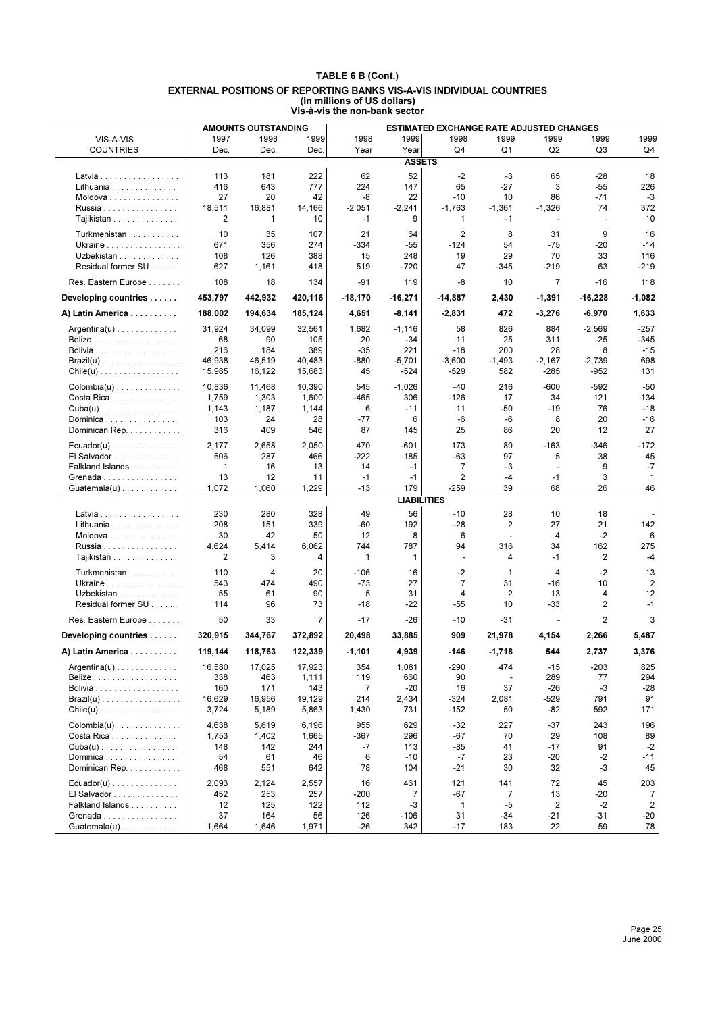|                                            |              | <b>AMOUNTS OUTSTANDING</b> |              |                |                    | ESTIMATED EXCHANGE RATE ADJUSTED CHANGES |                |                          |           |                |
|--------------------------------------------|--------------|----------------------------|--------------|----------------|--------------------|------------------------------------------|----------------|--------------------------|-----------|----------------|
| VIS-A-VIS                                  | 1997         | 1998                       | 1999         | 1998           | 1999               | 1998                                     | 1999           | 1999                     | 1999      | 1999           |
| <b>COUNTRIES</b>                           | Dec.         | Dec.                       | Dec.         | Year           | Year               | Q4                                       | Q1             | Q <sub>2</sub>           | Q3        | Q4             |
|                                            |              |                            |              |                | <b>ASSETS</b>      |                                          |                |                          |           |                |
| Latvia                                     | 113          | 181                        | 222          | 62             | 52                 | $-2$                                     | $-3$           | 65                       | -28       | 18             |
| Lithuania                                  | 416          | 643                        | 777          | 224            | 147                | 65                                       | $-27$          | 3                        | $-55$     | 226            |
| Moldova                                    | 27           | 20                         | 42           | -8             | 22                 | $-10$                                    | 10             | 86                       | $-71$     | $-3$           |
| Russia                                     | 18,511       | 16,881                     | 14,166       | $-2,051$       | $-2,241$           | $-1,763$                                 | $-1,361$       | $-1,326$                 | 74        | 372            |
| Tajikistan                                 | 2            | 1                          | 10           | $-1$           | 9                  | 1                                        | $-1$           | $\overline{\phantom{a}}$ | ÷,        | 10             |
|                                            |              |                            |              |                |                    |                                          |                |                          |           |                |
| Turkmenistan                               | 10           | 35                         | 107          | 21             | 64                 | $\overline{2}$                           | 8              | 31                       | 9         | 16             |
| Ukraine                                    | 671          | 356                        | 274          | $-334$         | $-55$              | $-124$                                   | 54             | $-75$                    | -20       | -14            |
| Uzbekistan<br>Residual former SU           | 108          | 126                        | 388          | 15<br>519      | 248                | 19<br>47                                 | 29             | 70                       | 33<br>63  | 116<br>$-219$  |
|                                            | 627          | 1,161                      | 418          |                | -720               |                                          | $-345$         | $-219$                   |           |                |
| Res. Eastern Europe                        | 108          | 18                         | 134          | $-91$          | 119                | -8                                       | 10             | $\overline{7}$           | $-16$     | 118            |
| Developing countries                       | 453,797      | 442,932                    | 420,116      | -18,170        | -16,271            | $-14,887$                                | 2,430          | -1,391                   | -16,228   | $-1,082$       |
| A) Latin America                           | 188,002      | 194,634                    | 185,124      | 4,651          | -8,141             | $-2,831$                                 | 472            | $-3,276$                 | -6,970    | 1,633          |
| $Argentina(u) \ldots \ldots \ldots \ldots$ | 31,924       | 34,099                     | 32,561       | 1,682          | $-1,116$           | 58                                       | 826            | 884                      | $-2,569$  | $-257$         |
|                                            | 68           | 90                         | 105          | 20             | $-34$              | 11                                       | 25             | 311                      | $-25$     | -345           |
| Bolivia                                    | 216          | 184                        | 389          | $-35$          | 221                | $-18$                                    | 200            | 28                       | 8         | $-15$          |
| $\textsf{Brazil}(u)$                       | 46,938       | 46,519                     | 40,483       | -880           | $-5,701$           | $-3,600$                                 | $-1,493$       | $-2,167$                 | $-2,739$  | 698            |
| $Chile(u)$                                 | 15,985       | 16,122                     | 15,683       | 45             | $-524$             | $-529$                                   | 582            | -285                     | $-952$    | 131            |
|                                            | 10,836       | 11,468                     | 10,390       | 545            | $-1,026$           | $-40$                                    | 216            | $-600$                   | $-592$    | $-50$          |
| Costa Rica                                 | 1,759        | 1,303                      | 1,600        | -465           | 306                | $-126$                                   | 17             | 34                       | 121       | 134            |
| $Cuba(u)$                                  | 1,143        | 1,187                      | 1,144        | 6              | $-11$              | 11                                       | $-50$          | $-19$                    | 76        | $-18$          |
| Dominica                                   | 103          | 24                         | 28           | $-77$          | 6                  | -6                                       | -6             | 8                        | 20        | $-16$          |
| Dominican Rep.                             | 316          | 409                        | 546          | 87             | 145                | 25                                       | 86             | 20                       | 12        | 27             |
| $Ecuador(u) \ldots \ldots \ldots \ldots$   | 2,177        | 2,658                      | 2,050        | 470            | $-601$             | 173                                      | 80             | $-163$                   | -346      | $-172$         |
| El Salvador                                | 506          | 287                        | 466          | -222           | 185                | $-63$                                    | 97             | 5                        | 38        | 45             |
| Falkland Islands                           | 1            | 16                         | 13           | 14             | $-1$               | $\overline{7}$                           | -3             | $\overline{\phantom{a}}$ | 9         | $-7$           |
| Grenada                                    | 13           | 12                         | 11           | $-1$           | $-1$               | 2                                        | $-4$           | $-1$                     | 3         | 1              |
| $Guatemala(u) \ldots \ldots \ldots \ldots$ | 1,072        | 1,060                      | 1,229        | $-13$          | 179                | $-259$                                   | 39             | 68                       | 26        | 46             |
|                                            |              |                            |              |                | <b>LIABILITIES</b> |                                          |                |                          |           |                |
| Latvia                                     | 230          | 280                        | 328          | 49             | 56                 | $-10$                                    | 28             | 10                       | 18        |                |
| Lithuania                                  | 208          | 151                        | 339          | -60            | 192                | $-28$                                    | 2              | 27                       | 21        | 142            |
| Moldova                                    | 30           | 42                         | 50           | 12             | 8                  | 6                                        | $\mathbf{r}$   | 4                        | -2        | 6              |
| Russia                                     | 4,624        | 5,414                      | 6,062        | 744            | 787                | 94                                       | 316            | 34                       | 162       | 275            |
| Tajikistan                                 | 2            | 3                          | 4            | $\mathbf 1$    | 1                  | $\overline{a}$                           | 4              | $-1$                     | 2         | $-4$           |
| Turkmenistan                               | 110          | 4                          | 20           | $-106$         | 16                 | $-2$                                     | $\mathbf{1}$   | 4                        | $-2$      | 13             |
| Ukraine                                    | 543          | 474                        | 490          | $-73$          | 27                 | $\overline{7}$                           | 31             | $-16$                    | 10        | 2              |
| Uzbekistan                                 | 55           | 61                         | 90           | 5              | 31                 | 4                                        | $\overline{2}$ | 13                       | 4         | 12             |
| Residual former SU                         | 114          | 96                         | 73           | $-18$          | $-22$              | $-55$                                    | 10             | $-33$                    | 2         | $-1$           |
| Res. Eastern Europe                        | 50           | 33                         | 7            | $-17$          | $-26$              | $-10$                                    | $-31$          |                          | 2         | 3              |
| Developing countries                       | 320,915      | 344,767                    | 372,892      | 20,498         | 33,885             | 909                                      | 21,978         | 4,154                    | 2,266     | 5,487          |
| A) Latin America                           | 119,144      | 118,763                    | 122,339      | $-1,101$       | 4,939              | $-146$                                   | $-1,718$       | 544                      | 2,737     | 3,376          |
| $Argentina(u) \ldots \ldots \ldots \ldots$ | 16,580       | 17,025                     | 17,923       | 354            | 1,081              | $-290$                                   | 474            | $-15$                    | $-203$    | 825            |
| <b>Belize</b>                              | 338          | 463                        | 1,111        | 119            | 660                | 90                                       | ÷,             | 289                      | 77        | 294            |
|                                            | 160          | 171                        | 143          | $\overline{7}$ | $-20$              | 16                                       | 37             | $-26$                    | $-3$      | -28            |
| $\textsf{Brazil}(u)$                       | 16,629       | 16,956                     | 19,129       | 214            | 2,434              | $-324$                                   | 2,081          | $-529$                   | 791       | 91             |
| $Chile(u)$                                 | 3,724        | 5,189                      | 5,863        | 1,430          | 731                | $-152$                                   | 50             | $-82$                    | 592       | 171            |
| $Colombia(u)$                              | 4,638        | 5,619                      | 6,196        | 955            | 629                | $-32$                                    | 227            | $-37$                    | 243       | 196            |
|                                            |              |                            |              |                |                    |                                          |                |                          |           |                |
| Costa Rica<br>$Cuba(u)$                    | 1,753<br>148 | 1,402<br>142               | 1,665<br>244 | $-367$<br>-7   | 296<br>113         | $-67$<br>-85                             | 70<br>41       | 29<br>$-17$              | 108<br>91 | 89<br>$-2$     |
| Dominica                                   | 54           | 61                         | 46           | 6              | -10                | $-7$                                     | 23             | $-20$                    | $-2$      | $-11$          |
| Dominican Rep.                             | 468          | 551                        | 642          | 78             | 104                | -21                                      | 30             | 32                       | -3        | 45             |
| $Ecuador(u) \ldots \ldots \ldots \ldots$   | 2,093        | 2,124                      | 2,557        | 16             | 461                | 121                                      | 141            | 72                       | 45        | 203            |
| El Salvador                                | 452          | 253                        | 257          | $-200$         | $\overline{7}$     | $-67$                                    | $\overline{7}$ | 13                       | -20       | 7              |
| Falkland Islands                           | 12           | 125                        | 122          | 112            | $-3$               | $\mathbf{1}$                             | $-5$           | 2                        | $-2$      | $\overline{2}$ |
| Grenada                                    | 37           | 164                        | 56           | 126            | $-106$             | 31                                       | -34            | $-21$                    | -31       | -20            |
| $Guatemala(u)$                             | 1,664        | 1,646                      | 1,971        | $-26$          | 342                | $-17$                                    | 183            | 22                       | 59        | 78             |
|                                            |              |                            |              |                |                    |                                          |                |                          |           |                |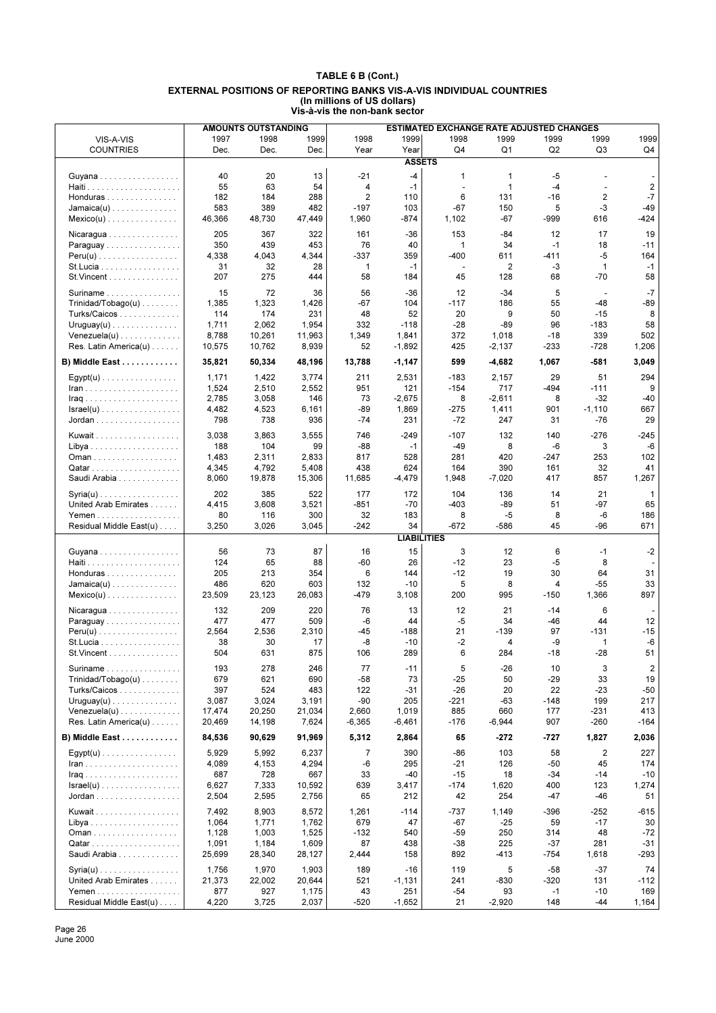|                                                            |              | <b>AMOUNTS OUTSTANDING</b> |              |                |                    | <b>ESTIMATED EXCHANGE RATE ADJUSTED CHANGES</b> |                |          |                |                |
|------------------------------------------------------------|--------------|----------------------------|--------------|----------------|--------------------|-------------------------------------------------|----------------|----------|----------------|----------------|
| VIS-A-VIS                                                  | 1997         | 1998                       | 1999         | 1998           | 1999               | 1998                                            | 1999           | 1999     | 1999           | 1999           |
| <b>COUNTRIES</b>                                           | Dec.         | Dec.                       | Dec.         | Year           | Year               | Q4                                              | Q <sub>1</sub> | Q2       | Q <sub>3</sub> | Q4             |
|                                                            |              |                            |              |                | <b>ASSETS</b>      |                                                 |                |          |                |                |
| Guyana                                                     | 40           | 20                         | 13           | $-21$          | $-4$               | $\mathbf{1}$                                    | 1              | $-5$     |                |                |
|                                                            | 55           | 63                         | 54           | 4              | $-1$               | ÷,                                              | $\mathbf{1}$   | $-4$     | $\overline{a}$ | $\overline{2}$ |
| Honduras                                                   | 182          | 184                        | 288          | 2              | 110                | 6                                               | 131            | $-16$    | 2              | $-7$           |
| $Jamaica(u)$                                               | 583          | 389                        | 482          | $-197$         | 103                | -67                                             | 150            | 5        | -3             | $-49$          |
| $Mexico(u)$                                                | 46,366       | 48,730                     | 47,449       | 1,960          | -874               | 1,102                                           | -67            | -999     | 616            | $-424$         |
|                                                            | 205          | 367                        | 322          | 161            |                    | 153                                             | -84            | 12       | 17             | 19             |
| Nicaragua<br>Paraguay                                      | 350          | 439                        | 453          | 76             | $-36$<br>40        | 1                                               | 34             | $-1$     | 18             | $-11$          |
| $Peru(u)$                                                  | 4,338        | 4,043                      | 4,344        | $-337$         | 359                | $-400$                                          | 611            | $-411$   | $-5$           | 164            |
| St.Lucia                                                   | 31           | 32                         | 28           | 1              | $-1$               | $\overline{\phantom{a}}$                        | 2              | -3       | 1              | $-1$           |
| St. Vincent                                                | 207          | 275                        | 444          | 58             | 184                | 45                                              | 128            | 68       | -70            | 58             |
|                                                            |              |                            |              |                |                    |                                                 |                |          |                |                |
| Suriname                                                   | 15           | 72                         | 36           | 56             | $-36$              | 12                                              | $-34$          | 5        |                | $-7$           |
| $Trivialad/Tobago(u) \ldots \ldots$                        | 1,385<br>114 | 1,323<br>174               | 1,426<br>231 | $-67$<br>48    | 104<br>52          | $-117$<br>20                                    | 186<br>9       | 55<br>50 | $-48$<br>$-15$ | $-89$<br>8     |
| Turks/Caicos                                               | 1,711        | 2,062                      | 1,954        | 332            | $-118$             | $-28$                                           | $-89$          | 96       | $-183$         | 58             |
| $Uruguay(u) \ldots \ldots \ldots \ldots$<br>$Venezuela(u)$ | 8,788        | 10,261                     | 11,963       | 1,349          | 1,841              | 372                                             | 1,018          | $-18$    | 339            | 502            |
| Res. Latin America(u)                                      | 10,575       | 10,762                     | 8,939        | 52             | $-1,892$           | 425                                             | $-2,137$       | -233     | $-728$         | 1,206          |
|                                                            |              |                            |              |                |                    |                                                 |                |          |                |                |
| B) Middle East                                             | 35,821       | 50,334                     | 48,196       | 13,788         | $-1,147$           | 599                                             | $-4,682$       | 1,067    | -581           | 3,049          |
| $Esypt(u)$                                                 | 1,171        | 1,422                      | 3,774        | 211            | 2,531              | $-183$                                          | 2,157          | 29       | 51             | 294            |
|                                                            | 1,524        | 2,510                      | 2,552        | 951            | 121                | $-154$                                          | 717            | $-494$   | $-111$         | 9              |
|                                                            | 2,785        | 3,058                      | 146          | 73             | $-2,675$           | 8                                               | $-2,611$       | 8        | $-32$          | $-40$          |
| $Israel(u)$                                                | 4,482        | 4,523                      | 6,161        | $-89$          | 1,869              | $-275$                                          | 1,411          | 901      | $-1,110$       | 667            |
| Jordan                                                     | 798          | 738                        | 936          | $-74$          | 231                | $-72$                                           | 247            | 31       | $-76$          | 29             |
| Kuwait                                                     | 3,038        | 3,863                      | 3,555        | 746            | -249               | $-107$                                          | 132            | 140      | $-276$         | -245           |
|                                                            | 188          | 104                        | 99           | $-88$          | $-1$               | $-49$                                           | 8              | -6       | 3              | -6             |
| Oman                                                       | 1,483        | 2,311                      | 2,833        | 817            | 528                | 281                                             | 420            | $-247$   | 253            | 102            |
|                                                            | 4,345        | 4,792                      | 5,408        | 438            | 624                | 164                                             | 390            | 161      | 32             | 41             |
| Saudi Arabia                                               | 8,060        | 19,878                     | 15,306       | 11,685         | $-4,479$           | 1,948                                           | $-7,020$       | 417      | 857            | 1,267          |
| $Syria(u)$                                                 | 202          | 385                        | 522          | 177            | 172                | 104                                             | 136            | 14       | 21             | $\mathbf{1}$   |
| United Arab Emirates                                       | 4,415        | 3,608                      | 3,521        | $-851$         | $-70$              | $-403$                                          | $-89$          | 51       | $-97$          | 65             |
| Yemen                                                      | 80           | 116                        | 300          | 32             | 183                | 8                                               | -5             | 8        | -6             | 186            |
| Residual Middle East(u)                                    | 3,250        | 3,026                      | 3,045        | $-242$         | 34                 | $-672$                                          | -586           | 45       | -96            | 671            |
|                                                            |              |                            |              |                | <b>LIABILITIES</b> |                                                 |                |          |                |                |
| Guyana                                                     | 56           | 73                         | 87           | 16             | 15                 | 3                                               | 12             | 6        | $-1$           | $-2$           |
|                                                            | 124          | 65                         | 88           | $-60$          | 26                 | $-12$                                           | 23             | $-5$     | 8              |                |
| Honduras                                                   | 205          | 213                        | 354          | 6              | 144                | $-12$                                           | 19             | 30       | 64             | 31             |
| $Jamaica(u) \ldots \ldots \ldots \ldots$                   | 486          | 620                        | 603          | 132            | $-10$              | 5                                               | 8              | 4        | $-55$          | 33             |
| $Mexico(u)$                                                | 23,509       | 23,123                     | 26,083       | $-479$         | 3,108              | 200                                             | 995            | $-150$   | 1,366          | 897            |
| Nicaragua                                                  | 132          | 209                        | 220          | 76             | 13                 | 12                                              | 21             | $-14$    | 6              |                |
| Paraguay                                                   | 477          | 477                        | 509          | $-6$           | 44                 | -5                                              | 34             | $-46$    | 44             | 12             |
| $Peru(u)$                                                  | 2,564        | 2,536                      | 2,310        | $-45$          | $-188$             | 21                                              | $-139$         | 97       | $-131$         | $-15$          |
| St. Lucia                                                  | 38           | 30                         | 17           | -8             | $-10$              | $-2$                                            | 4              | -9       | 1              | -6             |
| St. Vincent                                                | 504          | 631                        | 875          | 106            | 289                | 6                                               | 284            | $-18$    | $-28$          | 51             |
| Suriname                                                   | 193          | 278                        | 246          | 77             | $-11$              | 5                                               | $-26$          | 10       | 3              | 2              |
| $Trivialad/Tobago(u) \ldots \ldots$                        | 679          | 621                        | 690          | $-58$          | 73                 | -25                                             | 50             | $-29$    | 33             | 19             |
| Turks/Caicos                                               | 397          | 524                        | 483          | 122            | -31                | $-26$                                           | 20             | 22       | -23            | $-50$          |
| $Uruguay(u) \ldots \ldots \ldots \ldots$                   | 3,087        | 3,024                      | 3,191        | -90            | 205                | -221                                            | -63            | $-148$   | 199            | 217            |
| $Venezuela(u)$                                             | 17,474       | 20,250                     | 21,034       | 2,660          | 1,019              | 885                                             | 660            | 177      | -231           | 413            |
| Res. Latin America(u)                                      | 20,469       | 14,198                     | 7,624        | $-6,365$       | $-6,461$           | $-176$                                          | $-6,944$       | 907      | $-260$         | $-164$         |
| B) Middle East                                             | 84,536       | 90,629                     | 91,969       | 5,312          | 2,864              | 65                                              | -272           | -727     | 1,827          | 2,036          |
|                                                            |              |                            |              |                |                    |                                                 |                |          |                |                |
| $Egypt(u)$                                                 | 5,929        | 5,992                      | 6,237        | $\overline{7}$ | 390                | -86                                             | 103            | 58       | 2              | 227            |
| $lran$                                                     | 4,089        | 4,153                      | 4,294        | -6             | 295                | -21                                             | 126            | -50      | 45             | 174            |
|                                                            | 687          | 728                        | 667          | 33             | -40                | $-15$                                           | 18             | -34      | -14            | $-10$          |
| $Israel(u)$                                                | 6,627        | 7,333                      | 10,592       | 639            | 3,417              | $-174$                                          | 1,620          | 400      | 123            | 1,274          |
|                                                            | 2,504        | 2,595                      | 2,756        | 65             | 212                | 42                                              | 254            | -47      | -46            | 51             |
| Kuwait                                                     | 7,492        | 8,903                      | 8,572        | 1,261          | $-114$             | -737                                            | 1,149          | $-396$   | $-252$         | $-615$         |
|                                                            | 1,064        | 1,771                      | 1,762        | 679            | 47                 | $-67$                                           | -25            | 59       | $-17$          | 30             |
|                                                            | 1,128        | 1,003                      | 1,525        | $-132$         | 540                | $-59$                                           | 250            | 314      | 48             | $-72$          |
| Qatar                                                      | 1,091        | 1,184                      | 1,609        | 87             | 438                | $-38$                                           | 225            | $-37$    | 281            | -31            |
| Saudi Arabia                                               | 25,699       | 28,340                     | 28,127       | 2,444          | 158                | 892                                             | -413           | $-754$   | 1,618          | -293           |
| $Syria(u)$                                                 | 1,756        | 1,970                      | 1,903        | 189            | $-16$              | 119                                             | 5              | $-58$    | $-37$          | 74             |
| United Arab Emirates                                       | 21,373       | 22,002                     | 20,644       | 521            | $-1,131$           | 241                                             | -830           | $-320$   | 131            | $-112$         |
| Yemen                                                      | 877          | 927                        | 1,175        | 43             | 251                | $-54$                                           | 93             | $-1$     | $-10$          | 169            |
| Residual Middle East(u)                                    | 4,220        | 3,725                      | 2,037        | $-520$         | $-1,652$           | 21                                              | $-2,920$       | 148      | -44            | 1,164          |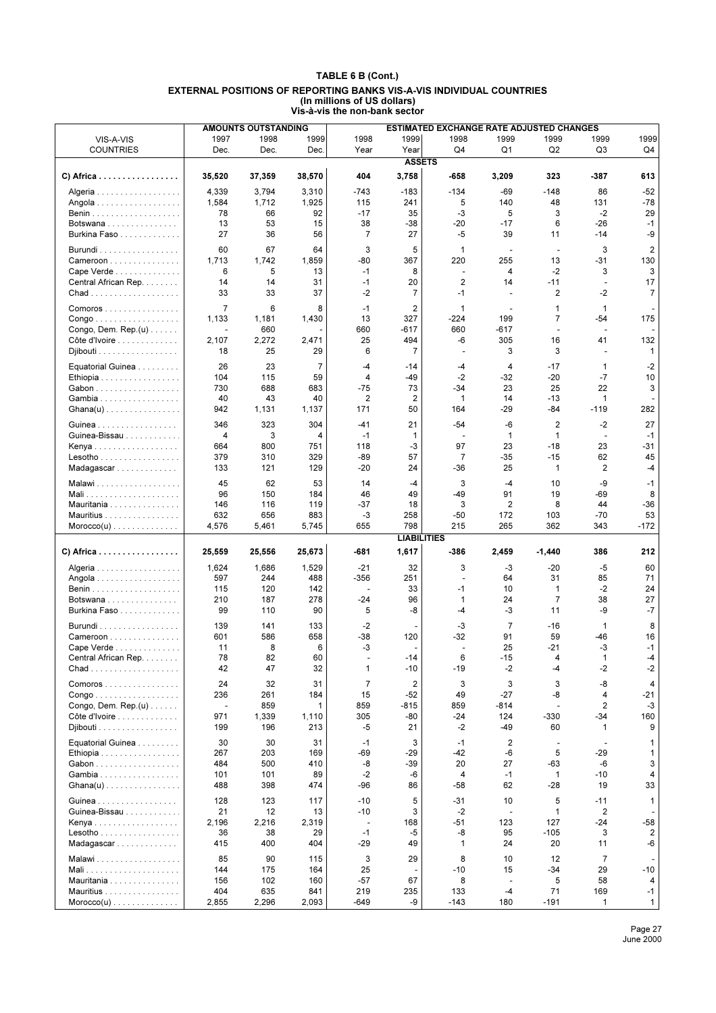|                                                     |                          | <b>AMOUNTS OUTSTANDING</b> |             |                                  |                    | <b>ESTIMATED EXCHANGE RATE ADJUSTED CHANGES</b> |                          |                |                                |                |
|-----------------------------------------------------|--------------------------|----------------------------|-------------|----------------------------------|--------------------|-------------------------------------------------|--------------------------|----------------|--------------------------------|----------------|
| VIS-A-VIS                                           | 1997                     | 1998                       | 1999        | 1998                             | 1999               | 1998                                            | 1999                     | 1999           | 1999                           | 1999           |
| <b>COUNTRIES</b>                                    | Dec.                     | Dec.                       | Dec.        | Year                             | Year               | Q4                                              | Q <sub>1</sub>           | Q2             | Q <sub>3</sub>                 | Q4             |
|                                                     |                          |                            |             |                                  | <b>ASSETS</b>      |                                                 |                          |                |                                |                |
| C) Africa                                           | 35,520                   | 37,359                     | 38,570      | 404                              | 3,758              | -658                                            | 3,209                    | 323            | -387                           | 613            |
| Algeria                                             | 4,339                    | 3,794                      | 3,310       | $-743$                           | $-183$             | $-134$                                          | -69                      | $-148$         | 86                             | $-52$          |
| Angola                                              | 1,584                    | 1,712                      | 1,925       | 115                              | 241                | 5                                               | 140                      | 48             | 131                            | $-78$          |
|                                                     | 78                       | 66                         | 92          | $-17$                            | 35                 | -3                                              | 5                        | 3              | $-2$                           | 29             |
| Botswana                                            | 13                       | 53                         | 15          | 38                               | $-38$              | $-20$                                           | $-17$                    | 6              | $-26$                          | $-1$           |
| Burkina Faso                                        | 27                       | 36                         | 56          | $\overline{7}$                   | 27                 | -5                                              | 39                       | 11             | -14                            | -9             |
| Burundi                                             | 60                       | 67                         | 64          | 3                                | 5                  | 1                                               | $\blacksquare$           | $\blacksquare$ | 3                              | 2              |
| Cameroon                                            | 1,713                    | 1,742                      | 1,859       | -80                              | 367                | 220                                             | 255                      | 13             | $-31$                          | 130            |
| Cape Verde                                          | 6                        | 5                          | 13          | $-1$                             | 8                  | ٠                                               | 4                        | $-2$           | 3                              | 3              |
| Central African Rep.                                | 14                       | 14                         | 31          | $-1$                             | 20                 | $\overline{2}$                                  | 14                       | $-11$          | $\overline{\phantom{a}}$       | 17             |
|                                                     | 33                       | 33                         | 37          | $-2$                             | $\overline{7}$     | $-1$                                            | $\blacksquare$           | 2              | $-2$                           | $\overline{7}$ |
|                                                     |                          |                            |             |                                  |                    |                                                 |                          |                |                                |                |
| Comoros                                             | $\overline{7}$           | 6                          | 8           | $-1$                             | 2                  | $\mathbf{1}$                                    | ÷                        | 1              | 1                              |                |
| $\mathsf{Congo}\dots\dots\dots\dots\dots\dots\dots$ | 1,133                    | 1,181                      | 1,430       | 13                               | 327                | $-224$                                          | 199                      | $\overline{7}$ | $-54$                          | 175            |
| Congo, Dem. Rep. $(u)$                              |                          | 660                        |             | 660                              | $-617$             | 660                                             | -617                     | ÷              | $\overline{a}$                 |                |
| Côte d'Ivoire                                       | 2,107<br>18              | 2,272<br>25                | 2,471       | 25<br>6                          | 494<br>7           | -6<br>٠                                         | 305<br>3                 | 16<br>3        | 41<br>$\overline{\phantom{a}}$ | 132            |
| Djibouti                                            |                          |                            | 29          |                                  |                    |                                                 |                          |                |                                | 1              |
| Equatorial Guinea                                   | 26                       | 23                         | 7           | $-4$                             | -14                | -4                                              | 4                        | $-17$          | 1                              | $-2$           |
| Ethiopia                                            | 104                      | 115                        | 59          | 4                                | $-49$              | $-2$                                            | $-32$                    | $-20$          | $-7$                           | 10             |
| Gabon                                               | 730                      | 688                        | 683         | $-75$                            | 73                 | -34                                             | 23                       | 25             | 22                             | 3              |
| Gambia                                              | 40                       | 43                         | 40          | 2                                | $\overline{2}$     | $\mathbf{1}$                                    | 14                       | $-13$          | $\mathbf{1}$                   |                |
| Ghana(u)                                            | 942                      | 1,131                      | 1,137       | 171                              | 50                 | 164                                             | $-29$                    | $-84$          | $-119$                         | 282            |
| Guinea                                              | 346                      | 323                        | 304         | $-41$                            | 21                 | $-54$                                           | -6                       | 2              | $-2$                           | 27             |
| Guinea-Bissau                                       | 4                        | 3                          | 4           | $-1$                             | 1                  | ÷,                                              | 1                        | $\mathbf{1}$   | $\overline{\phantom{a}}$       | $-1$           |
| Kenya                                               | 664                      | 800                        | 751         | 118                              | $-3$               | 97                                              | 23                       | $-18$          | 23                             | -31            |
| $Lesotho \ldots \ldots \ldots \ldots$               | 379                      | 310                        | 329         | -89                              | 57                 | $\overline{7}$                                  | $-35$                    | $-15$          | 62                             | 45             |
| Madagascar                                          | 133                      | 121                        | 129         | $-20$                            | 24                 | -36                                             | 25                       | $\mathbf{1}$   | $\overline{2}$                 | -4             |
| Malawi                                              | 45                       | 62                         | 53          | 14                               | $-4$               | 3                                               | $-4$                     | 10             | -9                             | $-1$           |
| Mali                                                | 96                       | 150                        | 184         | 46                               | 49                 | $-49$                                           | 91                       | 19             | $-69$                          | 8              |
| Mauritania                                          | 146                      | 116                        | 119         | $-37$                            | 18                 | 3                                               | 2                        | 8              | 44                             | $-36$          |
| Mauritius                                           | 632                      | 656                        | 883         | -3                               | 258                | $-50$                                           | 172                      | 103            | $-70$                          | 53             |
| $Moreover(u) \dots \dots \dots \dots \dots$         | 4,576                    | 5,461                      | 5,745       | 655                              | 798                | 215                                             | 265                      | 362            | 343                            | $-172$         |
|                                                     |                          |                            |             |                                  | <b>LIABILITIES</b> |                                                 |                          |                |                                |                |
| C) Africa                                           | 25,559                   | 25,556                     | 25,673      | -681                             | 1,617              | -386                                            | 2,459                    | -1,440         | 386                            | 212            |
| Algeria                                             | 1,624                    | 1,686                      | 1,529       | $-21$                            | 32                 | 3                                               | -3                       | $-20$          | $-5$                           | 60             |
| Angola                                              | 597                      | 244                        | 488         | $-356$                           | 251                | ÷,                                              | 64                       | 31             | 85                             | 71             |
|                                                     | 115                      | 120                        | 142         | $\blacksquare$                   | 33                 | -1                                              | 10                       | 1              | $-2$                           | 24             |
| Botswana                                            | 210                      | 187                        | 278         | $-24$                            | 96                 | $\mathbf{1}$                                    | 24                       | 7              | 38                             | 27             |
| Burkina Faso                                        | 99                       | 110                        | 90          | 5                                | -8                 | -4                                              | $-3$                     | 11             | -9                             | $-7$           |
| $Burundi$                                           | 139                      | 141                        | 133         | $-2$                             |                    | -3                                              | $\overline{7}$           | $-16$          | $\mathbf{1}$                   | 8              |
| Cameroon                                            | 601                      | 586                        | 658         | $-38$                            | 120                | $-32$                                           | 91                       | 59             | -46                            | 16             |
| Cape Verde                                          | 11                       | 8                          | 6           | -3                               |                    | $\blacksquare$                                  | 25                       | -21            | -3                             | $-1$           |
| Central African Rep.                                | 78                       | 82                         | 60          |                                  | $-14$              | 6                                               | $-15$                    | 4              | 1                              | $-4$           |
|                                                     | 42                       | 47                         | 32          | 1                                | -10                | $-19$                                           | -2                       | -4             | -2                             | -2             |
|                                                     |                          |                            |             |                                  |                    |                                                 |                          |                |                                |                |
| Comoros                                             | 24                       | 32                         | 31          | $\overline{7}$                   | 2                  | 3                                               | 3                        | 3              | -8                             | 4              |
| $Congo \ldots \ldots \ldots \ldots \ldots$          | 236                      | 261                        | 184         | 15                               | $-52$              | 49                                              | $-27$                    | -8             | 4                              | -21            |
| Congo, Dem. Rep. $(u)$                              | $\overline{\phantom{a}}$ | 859                        | 1           | 859                              | -815               | 859                                             | -814                     | $\sim$         | $\overline{2}$                 | $-3$           |
| Côte d'Ivoire                                       | 971                      | 1,339                      | 1,110       | 305                              | $-80$              | $-24$                                           | 124                      | $-330$         | $-34$                          | 160            |
| Djibouti                                            | 199                      | 196                        | 213         | $-5$                             | 21                 | -2                                              | -49                      | 60             | 1                              | 9              |
| Equatorial Guinea                                   | 30                       | 30                         | 31          | $-1$                             | 3                  | $-1$                                            | $\overline{2}$           | $\blacksquare$ | $\overline{\phantom{a}}$       | $\mathbf{1}$   |
| Ethiopia                                            | 267                      | 203                        | 169         | -69                              | -29                | -42                                             | -6                       | 5              | -29                            | 1              |
| Gabon                                               | 484                      | 500                        | 410         | -8                               | -39                | 20                                              | 27                       | -63            | -6                             | 3              |
| Gambia                                              | 101                      | 101                        | 89          | $-2$                             | -6                 | 4                                               | $-1$                     | $\mathbf{1}$   | $-10$                          | 4              |
| $Ghana(u)$                                          | 488                      | 398                        | 474         | -96                              | 86                 | -58                                             | 62                       | $-28$          | 19                             | 33             |
| Guinea                                              | 128                      | 123                        | 117         | $-10$                            | 5                  | -31                                             | 10                       | 5              | -11                            | $\mathbf{1}$   |
| Guinea-Bissau                                       | 21                       | 12                         | 13          | $-10$                            | 3                  | $-2$<br>$-51$                                   | $\blacksquare$<br>123    | 1              | 2<br>$-24$                     | $-58$          |
| Kenya                                               | 2,196<br>36              | 2,216<br>38                | 2,319<br>29 | $\overline{\phantom{a}}$<br>$-1$ | 168<br>$-5$        | -8                                              | 95                       | 127<br>$-105$  | 3                              | 2              |
| Lesotho<br>Madagascar                               | 415                      | 400                        | 404         | $-29$                            | 49                 | $\mathbf{1}$                                    | 24                       | 20             | 11                             | -6             |
|                                                     |                          |                            |             |                                  |                    |                                                 |                          |                |                                |                |
| Malawi                                              | 85                       | 90                         | 115         | 3                                | 29                 | 8                                               | 10                       | 12             | $\overline{7}$                 |                |
|                                                     | 144                      | 175                        | 164         | 25                               |                    | $-10$                                           | 15                       | $-34$          | 29                             | $-10$          |
| Mauritania                                          | 156                      | 102                        | 160         | $-57$                            | 67                 | 8                                               | $\overline{\phantom{a}}$ | 5              | 58                             |                |
| Mauritius                                           | 404                      | 635                        | 841         | 219                              | 235                | 133                                             | $-4$                     | 71             | 169                            | -1             |
| $Moreover(u) \ldots \ldots \ldots \ldots$           | 2,855                    | 2,296                      | 2,093       | -649                             | -9                 | $-143$                                          | 180                      | -191           | $\mathbf{1}$                   | $\mathbf{1}$   |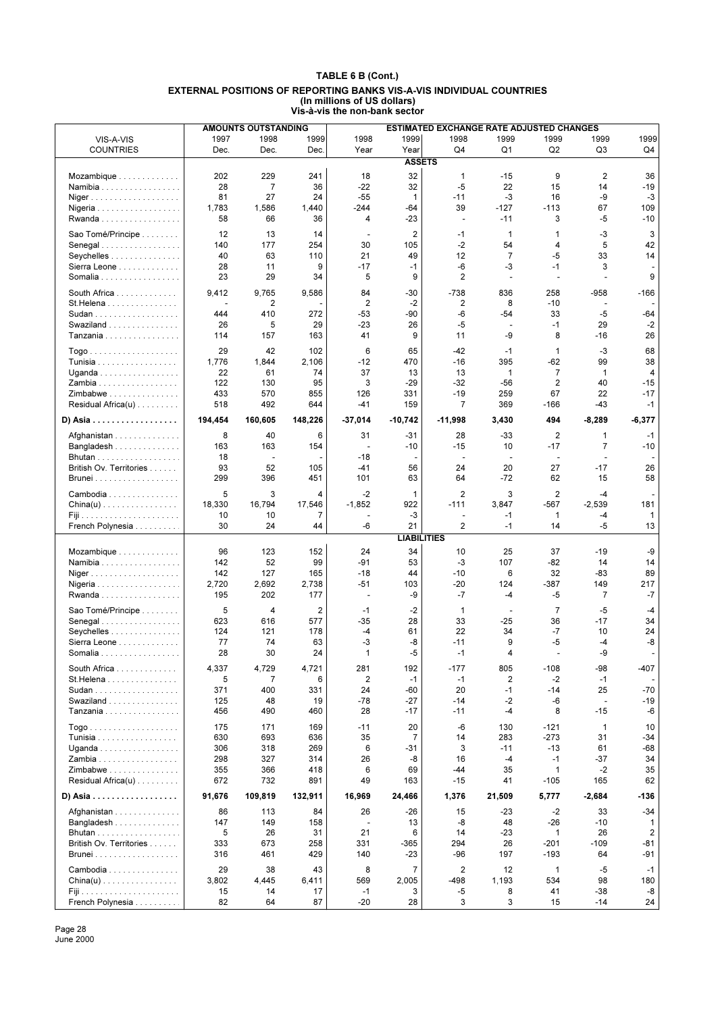|                                               |         | <b>AMOUNTS OUTSTANDING</b> |         |                          |                    | <b>ESTIMATED EXCHANGE RATE ADJUSTED CHANGES</b> |                          |                          |                          |                |
|-----------------------------------------------|---------|----------------------------|---------|--------------------------|--------------------|-------------------------------------------------|--------------------------|--------------------------|--------------------------|----------------|
| VIS-A-VIS                                     | 1997    | 1998                       | 1999    | 1998                     | 1999               | 1998                                            | 1999                     | 1999                     | 1999                     | 1999           |
| <b>COUNTRIES</b>                              | Dec.    | Dec.                       | Dec.    | Year                     | Year               | Q4                                              | Q1                       | Q <sub>2</sub>           | Q <sub>3</sub>           | Q4             |
|                                               |         |                            |         |                          | <b>ASSETS</b>      |                                                 |                          |                          |                          |                |
|                                               | 202     | 229                        | 241     | 18                       | 32                 | $\mathbf{1}$                                    | $-15$                    | 9                        | $\overline{2}$           | 36             |
| Mozambique                                    | 28      | 7                          | 36      | $-22$                    | 32                 | $-5$                                            | 22                       | 15                       | 14                       | $-19$          |
| Namibia                                       |         |                            |         |                          |                    |                                                 |                          |                          |                          |                |
| Niger                                         | 81      | 27                         | 24      | $-55$                    | $\mathbf{1}$       | $-11$                                           | $-3$                     | 16                       | -9                       | $-3$           |
|                                               | 1,783   | 1,586                      | 1,440   | $-244$                   | $-64$              | 39                                              | $-127$                   | $-113$                   | 67                       | 109            |
| Rwanda                                        | 58      | 66                         | 36      | $\overline{4}$           | $-23$              | $\overline{\phantom{a}}$                        | $-11$                    | 3                        | $-5$                     | $-10$          |
| Sao Tomé/Principe                             | 12      | 13                         | 14      | $\overline{\phantom{a}}$ | $\overline{2}$     | -1                                              | $\mathbf{1}$             | 1                        | -3                       | 3              |
| Senegal                                       | 140     | 177                        | 254     | 30                       | 105                | -2                                              | 54                       | 4                        | 5                        | 42             |
| Seychelles                                    | 40      | 63                         | 110     | 21                       | 49                 | 12                                              | $\overline{7}$           | $-5$                     | 33                       | 14             |
| Sierra Leone                                  | 28      | 11                         | 9       | $-17$                    | $-1$               | -6                                              | -3                       | $-1$                     | 3                        |                |
| Somalia                                       | 23      | 29                         | 34      | 5                        | 9                  | $\overline{2}$                                  | ÷,                       | ÷,                       | $\overline{\phantom{a}}$ | 9              |
|                                               | 9,412   | 9,765                      | 9,586   | 84                       | $-30$              | $-738$                                          | 836                      | 258                      | $-958$                   | $-166$         |
| South Africa                                  |         |                            |         | $\overline{2}$           |                    | 2                                               | 8                        | $-10$                    |                          |                |
| St.Helena<br>Sudan                            | 444     | 2<br>410                   | 272     | -53                      | $-2$<br>-90        | -6                                              | $-54$                    | 33                       | $-5$                     | -64            |
|                                               |         | 5                          |         | $-23$                    | 26                 | -5                                              |                          | $-1$                     | 29                       |                |
| Swaziland                                     | 26      |                            | 29      |                          |                    |                                                 | $\overline{\phantom{a}}$ |                          |                          | $-2$           |
| Tanzania                                      | 114     | 157                        | 163     | 41                       | 9                  | 11                                              | -9                       | 8                        | -16                      | 26             |
|                                               | 29      | 42                         | 102     | 6                        | 65                 | $-42$                                           | $-1$                     | $\mathbf{1}$             | -3                       | 68             |
| Tunisia                                       | 1,776   | 1,844                      | 2,106   | $-12$                    | 470                | $-16$                                           | 395                      | $-62$                    | 99                       | 38             |
| Uganda                                        | 22      | 61                         | 74      | 37                       | 13                 | 13                                              | 1                        | $\overline{7}$           | $\mathbf{1}$             | $\overline{4}$ |
| Zambia                                        | 122     | 130                        | 95      | 3                        | $-29$              | $-32$                                           | $-56$                    | 2                        | 40                       | $-15$          |
| $Zim$ babwe                                   | 433     | 570                        | 855     | 126                      | 331                | $-19$                                           | 259                      | 67                       | 22                       | $-17$          |
| Residual Africa(u)                            | 518     | 492                        | 644     | -41                      | 159                | $\overline{7}$                                  | 369                      | $-166$                   | -43                      | $-1$           |
| D) Asia                                       | 194,454 | 160,605                    | 148,226 | $-37,014$                | $-10,742$          | $-11,998$                                       | 3,430                    | 494                      | $-8,289$                 | $-6,377$       |
|                                               |         |                            |         |                          |                    |                                                 |                          |                          |                          |                |
| Afghanistan                                   | 8       | 40                         | 6       | 31                       | -31                | 28                                              | $-33$                    | $\overline{2}$           | 1                        | $-1$           |
| Bangladesh                                    | 163     | 163                        | 154     | $\sim$                   | $-10$              | $-15$                                           | 10                       | $-17$                    | $\overline{7}$           | $-10$          |
|                                               | 18      | $\overline{a}$             |         | $-18$                    |                    | $\overline{\phantom{a}}$                        | $\overline{\phantom{a}}$ | $\overline{\phantom{a}}$ | $\overline{a}$           |                |
| British Ov. Territories                       | 93      | 52                         | 105     | $-41$                    | 56                 | 24                                              | 20                       | 27                       | $-17$                    | 26             |
| <b>Brunei</b>                                 | 299     | 396                        | 451     | 101                      | 63                 | 64                                              | $-72$                    | 62                       | 15                       | 58             |
| Cambodia                                      | 5       | 3                          | 4       | $-2$                     | $\mathbf 1$        | 2                                               | 3                        | 2                        | $-4$                     |                |
| $China(u)$                                    | 18,330  | 16,794                     | 17,546  | $-1,852$                 | 922                | $-111$                                          | 3,847                    | -567                     | $-2,539$                 | 181            |
|                                               | 10      | 10                         | 7       |                          | -3                 | $\overline{\phantom{a}}$                        | $-1$                     | $\mathbf{1}$             | -4                       | 1              |
| French Polynesia                              | 30      | 24                         | 44      | -6                       | 21                 | 2                                               | $-1$                     | 14                       | $-5$                     | 13             |
|                                               |         |                            |         |                          | <b>LIABILITIES</b> |                                                 |                          |                          |                          |                |
|                                               |         |                            |         |                          |                    |                                                 |                          |                          |                          |                |
| Mozambique                                    | 96      | 123                        | 152     | 24                       | 34                 | 10                                              | 25                       | 37                       | -19                      | -9             |
| Namibia                                       | 142     | 52                         | 99      | -91                      | 53                 | -3                                              | 107                      | -82                      | 14                       | 14             |
| Niger                                         | 142     | 127                        | 165     | $-18$                    | 44                 | $-10$                                           | 6                        | 32                       | $-83$                    | 89             |
|                                               | 2,720   | 2,692                      | 2,738   | $-51$                    | 103                | $-20$                                           | 124                      | -387                     | 149                      | 217            |
| Rwanda                                        | 195     | 202                        | 177     | $\blacksquare$           | -9                 | $-7$                                            | -4                       | -5                       | $\overline{7}$           | $-7$           |
| Sao Tomé/Principe                             | 5       | 4                          | 2       | $-1$                     | $-2$               | $\mathbf{1}$                                    |                          | $\overline{7}$           | $-5$                     | $-4$           |
| Senegal                                       | 623     | 616                        | 577     | $-35$                    | 28                 | 33                                              | $-25$                    | 36                       | $-17$                    | 34             |
| Seychelles                                    | 124     | 121                        | 178     | -4                       | 61                 | 22                                              | 34                       | $-7$                     | 10                       | 24             |
| Sierra Leone                                  | 77      | 74                         | 63      | -3                       | -8                 | -11                                             | 9                        | -5                       | $-4$                     | -8             |
| Somalia                                       | 28      | 30                         | 24      | $\mathbf{1}$             | $-5$               | $-1$                                            | 4                        | ÷,                       | -9                       | $\overline{a}$ |
| South Africa                                  | 4,337   | 4,729                      | 4,721   | 281                      | 192                | $-177$                                          | 805                      | $-108$                   | -98                      | $-407$         |
| St. Helena                                    | 5       | 7                          | 6       | $\overline{2}$           | $-1$               | $-1$                                            | 2                        | $-2$                     | $-1$                     |                |
| Sudan                                         | 371     | 400                        | 331     | 24                       | -60                | 20                                              | $-1$                     | -14                      | 25                       | $-70$          |
| Swaziland                                     | 125     | 48                         | 19      | -78                      | $-27$              | -14                                             | $-2$                     | -6                       | $\blacksquare$           | $-19$          |
| Tanzania                                      | 456     | 490                        | 460     | 28                       | -17                | $-11$                                           | -4                       | 8                        | -15                      | -6             |
|                                               |         |                            |         |                          |                    |                                                 |                          |                          |                          |                |
|                                               | 175     | 171                        | 169     | $-11$                    | 20                 | -6                                              | 130                      | -121                     | $\mathbf{1}$             | 10             |
| <b>Tunisia</b>                                | 630     | 693                        | 636     | 35                       | 7                  | 14                                              | 283                      | $-273$                   | 31                       | -34            |
| Uganda                                        | 306     | 318                        | 269     | 6                        | -31                | 3                                               | $-11$                    | $-13$                    | 61                       | -68            |
| Zambia                                        | 298     | 327                        | 314     | 26                       | -8                 | 16                                              | $-4$                     | $-1$                     | -37                      | 34             |
| Zimbabwe                                      | 355     | 366                        | 418     | 6                        | 69                 | -44                                             | 35                       | 1                        | $-2$                     | 35             |
| Residual Africa(u)                            | 672     | 732                        | 891     | 49                       | 163                | $-15$                                           | 41                       | $-105$                   | 165                      | 62             |
| D) Asia                                       | 91,676  | 109,819                    | 132,911 | 16,969                   | 24,466             | 1,376                                           | 21,509                   | 5,777                    | $-2,684$                 | $-136$         |
|                                               |         |                            |         |                          |                    |                                                 |                          |                          |                          |                |
| Afghanistan                                   | 86      | 113                        | 84      | 26                       | $-26$              | 15                                              | $-23$                    | $-2$                     | 33                       | $-34$          |
| Bangladesh                                    | 147     | 149                        | 158     |                          | 13                 | -8                                              | 48                       | $-26$                    | $-10$                    | 1              |
| Bhutan                                        | 5       | 26                         | 31      | 21                       | 6                  | 14                                              | $-23$                    | $\mathbf{1}$             | 26                       | 2              |
| British Ov. Territories                       | 333     | 673                        | 258     | 331                      | -365               | 294                                             | 26                       | -201                     | $-109$                   | -81            |
| Brunei                                        | 316     | 461                        | 429     | 140                      | -23                | -96                                             | 197                      | $-193$                   | 64                       | -91            |
| Cambodia                                      | 29      | 38                         | 43      | 8                        | $\overline{7}$     | 2                                               | 12                       | $\mathbf{1}$             | $-5$                     | $-1$           |
| $China(u) \ldots \ldots \ldots \ldots \ldots$ | 3,802   | 4,445                      | 6,411   | 569                      | 2,005              | -498                                            | 1,193                    | 534                      | 98                       | 180            |
| Fiji da da da da da da da da da da da         | 15      | 14                         | 17      | $-1$                     | 3                  | -5                                              | 8                        | 41                       | -38                      | -8             |
| French Polynesia                              | 82      | 64                         | 87      | $-20$                    | 28                 | 3                                               | 3                        | 15                       | $-14$                    | 24             |

Page 28 June 2000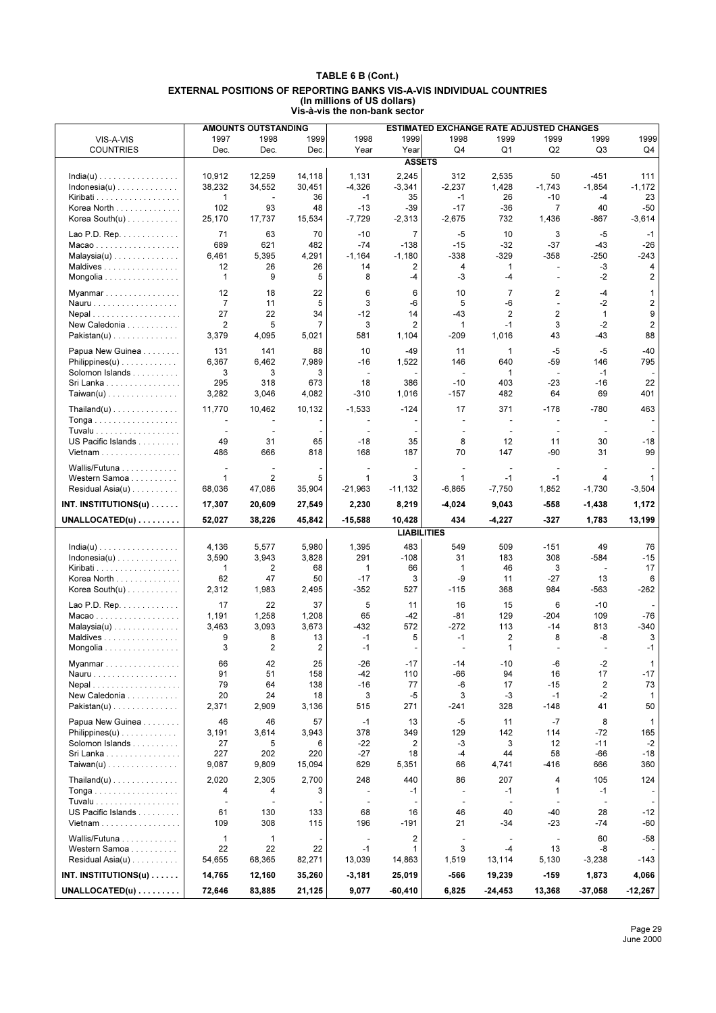|                                                                   |                  | <b>AMOUNTS OUTSTANDING</b> |                  |                          |                              | ESTIMATED EXCHANGE RATE ADJUSTED CHANGES |                          |                          |                          |                    |
|-------------------------------------------------------------------|------------------|----------------------------|------------------|--------------------------|------------------------------|------------------------------------------|--------------------------|--------------------------|--------------------------|--------------------|
| VIS-A-VIS                                                         | 1997             | 1998                       | 1999             | 1998                     | 1999                         | 1998                                     | 1999                     | 1999                     | 1999                     | 1999               |
| <b>COUNTRIES</b>                                                  | Dec.             | Dec.                       | Dec.             | Year                     | Year                         | Q4                                       | Q <sub>1</sub>           | Q2                       | Q <sub>3</sub>           | Q4                 |
|                                                                   |                  |                            |                  |                          | <b>ASSETS</b>                |                                          |                          |                          |                          |                    |
| $India(u) \ldots \ldots \ldots \ldots \ldots$                     | 10,912           | 12,259                     | 14,118           | 1,131                    | 2,245                        | 312                                      | 2,535                    | 50                       | $-451$                   | 111                |
| $Indonesia(u)$                                                    | 38.232           | 34.552                     | 30,451           | $-4,326$                 | $-3,341$                     | $-2,237$                                 | 1,428                    | $-1,743$                 | $-1,854$                 | $-1,172$           |
|                                                                   | $\mathbf{1}$     | $\sim$                     | 36               | $-1$                     | 35                           | $-1$                                     | 26                       | $-10$                    | $-4$                     | 23                 |
| Korea North                                                       | 102              | 93                         | 48               | $-13$                    | $-39$                        | $-17$                                    | $-36$                    | $\overline{7}$           | 40                       | $-50$              |
| Korea South $(u)$                                                 | 25,170           | 17,737                     | 15,534           | $-7,729$                 | $-2,313$                     | $-2,675$                                 | 732                      | 1,436                    | -867                     | $-3,614$           |
| Lao P.D. Rep. $\dots \dots \dots$                                 | 71               | 63                         | 70               | $-10$                    | $\overline{7}$               | $-5$                                     | 10                       | 3                        | $-5$                     | $-1$               |
| Macao                                                             | 689              | 621                        | 482              | $-74$                    | $-138$                       | $-15$                                    | $-32$                    | $-37$                    | $-43$                    | $-26$              |
| $Malaysia(u) \ldots \ldots \ldots \ldots$                         | 6,461            | 5,395                      | 4,291            | $-1,164$                 | $-1,180$                     | $-338$                                   | $-329$                   | $-358$                   | $-250$                   | $-243$             |
| Maldives                                                          | 12               | 26                         | 26               | 14                       | 2                            | 4                                        | 1                        | $\overline{\phantom{a}}$ | -3                       | 4                  |
| Mongolia                                                          | $\mathbf{1}$     | 9                          | 5                | 8                        | -4                           | -3                                       | $-4$                     | ÷.                       | $-2$                     | 2                  |
| Myanmar                                                           | 12               | 18                         | 22               | 6                        | 6                            | 10                                       | $\overline{7}$           | 2                        | $-4$                     | 1                  |
| Nauru                                                             | $\overline{7}$   | 11                         | 5                | 3                        | -6                           | 5                                        | -6                       | $\blacksquare$           | $-2$                     | $\overline{2}$     |
| Nepal                                                             | 27               | 22                         | 34               | $-12$                    | 14                           | $-43$                                    | $\overline{2}$           | $\overline{2}$           | $\mathbf{1}$             | 9                  |
| New Caledonia                                                     | $\overline{2}$   | 5                          | 7                | 3                        | 2                            | 1                                        | $-1$                     | 3                        | $-2$                     | $\overline{2}$     |
| Pakistan(u)                                                       | 3,379            | 4,095                      | 5,021            | 581                      | 1,104                        | -209                                     | 1,016                    | 43                       | $-43$                    | 88                 |
| Papua New Guinea                                                  | 131              | 141                        | 88               | 10                       | $-49$                        | 11                                       | 1                        | $-5$                     | $-5$                     | $-40$              |
| $Philippines(u) \ldots \ldots \ldots \ldots$                      | 6,367            | 6,462                      | 7,989            | $-16$                    | 1,522                        | 146                                      | 640                      | $-59$                    | 146                      | 795                |
| Solomon Islands                                                   | 3                | 3                          | 3                | $\overline{\phantom{a}}$ |                              | $\overline{\phantom{a}}$                 | 1                        | $\sim$                   | $-1$                     |                    |
| Sri Lanka                                                         | 295              | 318                        | 673              | 18                       | 386                          | $-10$                                    | 403                      | $-23$                    | $-16$                    | 22                 |
| $Taiwan(u)$                                                       | 3,282            | 3,046                      | 4,082            | $-310$                   | 1,016                        | $-157$                                   | 482                      | 64                       | 69                       | 401                |
| $\mathsf{Thailand}(u) \dots \dots \dots \dots \dots$              | 11,770           | 10,462                     | 10,132           | $-1,533$                 | $-124$                       | 17                                       | 371                      | $-178$                   | $-780$                   | 463                |
| Tonga                                                             | $\blacksquare$   | $\overline{\phantom{a}}$   |                  |                          |                              | ÷,                                       | $\sim$                   | $\blacksquare$           | $\overline{\phantom{a}}$ |                    |
|                                                                   | $\blacksquare$   | $\overline{\phantom{a}}$   |                  |                          |                              | $\overline{\phantom{a}}$                 | $\overline{\phantom{a}}$ | $\blacksquare$           | $\overline{\phantom{a}}$ |                    |
| US Pacific Islands                                                | 49               | 31                         | 65               | $-18$                    | 35                           | 8                                        | 12                       | 11                       | 30                       | $-18$              |
| Vietnam $\ldots \ldots \ldots \ldots \ldots$                      | 486              | 666                        | 818              | 168                      | 187                          | 70                                       | 147                      | -90                      | 31                       | 99                 |
| Wallis/Futuna                                                     | $\sim$           | $\overline{a}$             |                  | $\blacksquare$           |                              | $\overline{\phantom{a}}$                 | $\sim$                   | $\overline{\phantom{a}}$ | $\overline{\phantom{a}}$ |                    |
| Western Samoa                                                     | $\mathbf{1}$     | $\overline{c}$             | 5                | $\mathbf{1}$             | 3                            | $\mathbf 1$                              | $-1$                     | $-1$                     | 4                        | 1                  |
| Residual Asia(u)                                                  | 68,036           | 47,086                     | 35,904           | $-21,963$                | $-11,132$                    | $-6,865$                                 | $-7,750$                 | 1,852                    | $-1,730$                 | $-3,504$           |
| INT. INSTITUTIONS(u) $\dots$                                      | 17,307           | 20,609                     | 27,549           | 2,230                    | 8,219                        | $-4,024$                                 | 9,043                    | $-558$                   | $-1,438$                 | 1,172              |
|                                                                   |                  |                            |                  |                          |                              |                                          |                          |                          |                          |                    |
|                                                                   |                  |                            |                  |                          |                              |                                          |                          |                          |                          |                    |
| $UNALLOCATED(u) \ldots \ldots$                                    | 52,027           | 38,226                     | 45,842           | $-15,588$                | 10,428                       | 434                                      | $-4,227$                 | $-327$                   | 1,783                    | 13,199             |
|                                                                   |                  |                            |                  |                          | <b>LIABILITIES</b>           |                                          |                          |                          |                          |                    |
| $India(u) \ldots \ldots \ldots \ldots \ldots$                     | 4,136            | 5,577                      | 5,980            | 1,395                    | 483                          | 549                                      | 509                      | $-151$                   | 49                       | 76                 |
| $Indonesia(u)$                                                    | 3,590            | 3,943                      | 3,828            | 291                      | $-108$                       | 31                                       | 183                      | 308                      | $-584$                   | $-15$              |
|                                                                   | $\mathbf{1}$     | $\overline{2}$             | 68               | $\mathbf{1}$             | 66                           | $\mathbf{1}$                             | 46                       | 3                        | $\overline{\phantom{a}}$ | 17                 |
| Korea North                                                       | 62<br>2,312      | 47<br>1,983                | 50<br>2,495      | $-17$<br>$-352$          | 3<br>527                     | -9<br>$-115$                             | 11<br>368                | $-27$<br>984             | 13<br>$-563$             | 6<br>$-262$        |
| Korea South(u)                                                    |                  |                            |                  |                          |                              |                                          |                          |                          |                          |                    |
| Lao P.D. Rep.                                                     | 17               | 22                         | 37               | 5                        | 11                           | 16                                       | 15                       | 6                        | $-10$                    |                    |
| Macao                                                             | 1,191            | 1,258                      | 1,208            | 65                       | -42                          | -81                                      | 129                      | $-204$                   | 109                      | $-76$              |
| $Malaysia(u) \dots \dots \dots \dots \dots$                       | 3,463            | 3,093                      | 3,673            | $-432$                   | 572                          | $-272$                                   | 113                      | $-14$                    | 813                      | $-340$             |
| Maldives<br>Mongolia                                              | 9<br>3           | 8<br>$\overline{2}$        | 13<br>2          | $-1$<br>$-1$             | 5                            | $-1$                                     | 2<br>1                   | 8                        | -8                       | 3<br>$-1$          |
|                                                                   |                  |                            |                  |                          |                              |                                          |                          |                          |                          |                    |
| Myanmar                                                           | 66               | 42                         | 25               | $-26$                    | $-17$                        | $-14$                                    | $-10$                    | -6                       | $-2$                     | 1                  |
| Nauru                                                             | 91<br>79         | 51<br>64                   | 158<br>138       | $-42$<br>$-16$           | 110<br>77                    | -66<br>-6                                | 94<br>17                 | 16<br>$-15$              | 17<br>2                  | $-17$<br>73        |
| Nepal<br>New Caledonia                                            | 20               | 24                         | 18               | 3                        | -5                           | 3                                        | -3                       | $-1$                     | $-2$                     | $\mathbf{1}$       |
| Pakistan(u)                                                       | 2,371            | 2,909                      | 3,136            | 515                      | 271                          | $-241$                                   | 328                      | $-148$                   | 41                       | 50                 |
|                                                                   |                  |                            |                  |                          |                              |                                          |                          |                          |                          |                    |
| Papua New Guinea                                                  | 46               | 46                         | 57               | $-1$                     | 13                           | $-5$                                     | 11                       | $-7$                     | 8                        | 1                  |
| $Philippines(u) \ldots \ldots \ldots \ldots$<br>Solomon Islands   | 3,191<br>27      | 3,614<br>5                 | 3,943<br>6       | 378<br>-22               | 349<br>2                     | 129<br>-3                                | 142<br>3                 | 114<br>12                | $-72$<br>$-11$           | 165<br>$-2$        |
| Sri Lanka                                                         | 227              | 202                        | 220              | $-27$                    | 18                           | -4                                       | 44                       | 58                       | -66                      | $-18$              |
| $Taiwan(u)$                                                       | 9,087            | 9,809                      | 15,094           | 629                      | 5,351                        | 66                                       | 4,741                    | $-416$                   | 666                      | 360                |
|                                                                   |                  |                            |                  |                          |                              |                                          |                          | 4                        |                          |                    |
| $\text{Thailand}(u) \ldots \ldots \ldots \ldots \ldots$           | 2,020<br>4       | 2,305<br>4                 | 2,700<br>3       | 248<br>٠                 | 440<br>$-1$                  | 86<br>$\overline{\phantom{a}}$           | 207<br>$-1$              | $\mathbf{1}$             | 105<br>$-1$              | 124                |
|                                                                   | $\blacksquare$   | $\overline{\phantom{a}}$   |                  | $\blacksquare$           |                              | $\blacksquare$                           | $\overline{\phantom{a}}$ | $\blacksquare$           | $\overline{\phantom{a}}$ |                    |
| US Pacific Islands                                                | 61               | 130                        | 133              | 68                       | 16                           | 46                                       | 40                       | $-40$                    | 28                       | $-12$              |
| Vietnam                                                           | 109              | 308                        | 115              | 196                      | -191                         | 21                                       | $-34$                    | $-23$                    | -74                      | -60                |
|                                                                   | $\mathbf{1}$     | $\mathbf{1}$               |                  | $\overline{a}$           |                              | $\overline{\phantom{a}}$                 | $\sim$                   | $\blacksquare$           | 60                       | $-58$              |
| Wallis/Futuna<br>Western Samoa                                    | 22               | 22                         | 22               | $-1$                     | $\overline{\mathbf{c}}$<br>1 | 3                                        | $-4$                     | 13                       | -8                       |                    |
| Residual Asia $(u)$                                               | 54,655           | 68,365                     | 82,271           | 13,039                   | 14,863                       | 1,519                                    | 13,114                   | 5,130                    | $-3,238$                 | -143               |
|                                                                   |                  |                            |                  |                          |                              |                                          |                          |                          |                          |                    |
| INT. INSTITUTIONS(u) $\ldots$ .<br>$UNALLOCATED(u) \ldots \ldots$ | 14,765<br>72,646 | 12,160<br>83,885           | 35,260<br>21,125 | $-3,181$<br>9,077        | 25,019<br>$-60,410$          | -566<br>6,825                            | 19,239<br>$-24,453$      | $-159$<br>13,368         | 1,873<br>-37,058         | 4,066<br>$-12,267$ |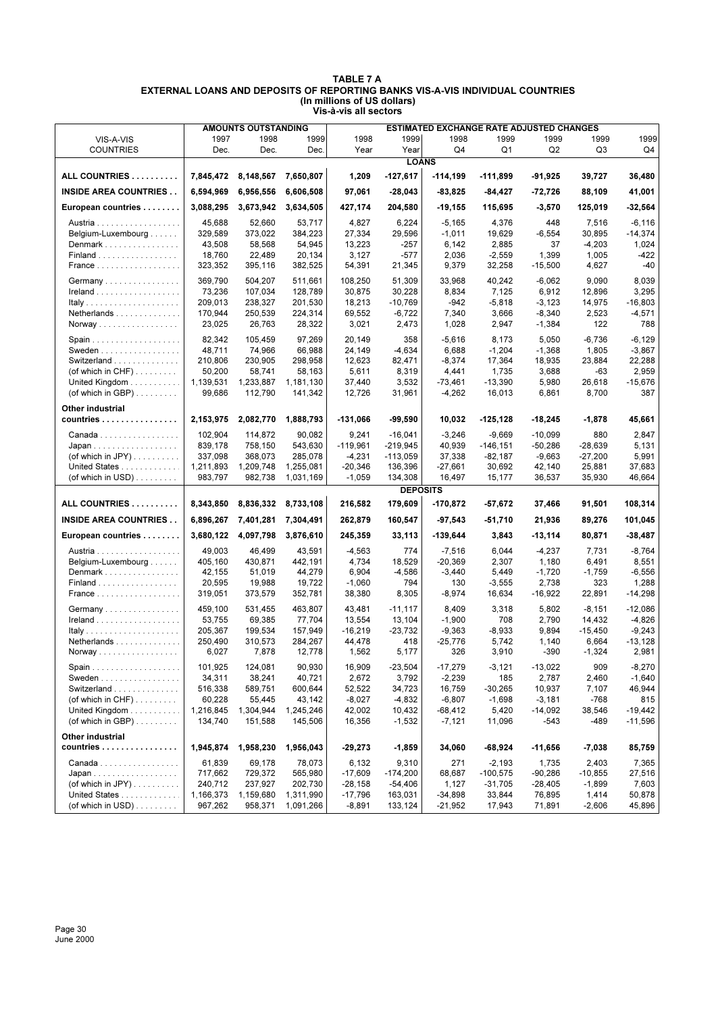|                                                            |                      | AMOUNTS OUTSTANDING |                      |                     |                         | <b>ESTIMATED EXCHANGE RATE ADJUSTED CHANGES</b> |                         |                        |                    |                        |
|------------------------------------------------------------|----------------------|---------------------|----------------------|---------------------|-------------------------|-------------------------------------------------|-------------------------|------------------------|--------------------|------------------------|
| VIS-A-VIS                                                  | 1997                 | 1998                | 1999                 | 1998                | 1999                    | 1998                                            | 1999                    | 1999                   | 1999               | 1999                   |
| <b>COUNTRIES</b>                                           | Dec.                 | Dec.                | Dec.                 | Year                | Year                    | Q <sub>4</sub>                                  | Q <sub>1</sub>          | Q2                     | Q3                 | Q4                     |
|                                                            |                      |                     |                      |                     | <b>LOANS</b>            |                                                 |                         |                        |                    |                        |
| ALL COUNTRIES                                              | 7,845,472            | 8,148,567           | 7,650,807            | 1,209               | $-127,617$              | $-114,199$                                      | $-111,899$              | $-91,925$              | 39,727             | 36,480                 |
| <b>INSIDE AREA COUNTRIES</b>                               | 6,594,969            | 6,956,556           | 6,606,508            | 97,061              | $-28,043$               | $-83,825$                                       | -84,427                 | $-72,726$              | 88,109             | 41,001                 |
| European countries                                         | 3,088,295            | 3,673,942           | 3,634,505            | 427,174             | 204,580                 | $-19,155$                                       | 115,695                 | $-3,570$               | 125,019            | -32,564                |
| Austria                                                    | 45,688               | 52,660              | 53,717               | 4,827               | 6,224                   | $-5,165$                                        | 4,376                   | 448                    | 7,516              | $-6, 116$              |
| Belgium-Luxembourg                                         | 329,589              | 373,022             | 384,223              | 27,334              | 29,596                  | $-1,011$                                        | 19,629                  | $-6,554$               | 30,895             | $-14,374$              |
| Denmark                                                    | 43,508               | 58,568              | 54,945               | 13,223              | -257                    | 6,142                                           | 2,885                   | 37                     | $-4,203$           | 1,024                  |
| Finland                                                    | 18,760               | 22,489              | 20,134               | 3,127               | -577                    | 2,036                                           | $-2,559$                | 1,399                  | 1,005              | -422                   |
| <b>France</b>                                              | 323,352              | 395,116             | 382,525              | 54,391              | 21,345                  | 9,379                                           | 32,258                  | $-15,500$              | 4,627              | -40                    |
| Germany                                                    | 369,790              | 504,207             | 511,661              | 108,250             | 51,309                  | 33,968                                          | 40,242                  | $-6,062$               | 9,090              | 8,039                  |
| Ireland                                                    | 73.236               | 107,034             | 128,789              | 30,875              | 30,228                  | 8,834                                           | 7,125                   | 6,912                  | 12,896             | 3,295                  |
|                                                            | 209,013              | 238,327             | 201,530              | 18,213              | $-10,769$               | $-942$                                          | $-5,818$                | $-3,123$               | 14,975             | $-16,803$              |
| Netherlands                                                | 170,944<br>23,025    | 250,539<br>26,763   | 224,314<br>28,322    | 69,552<br>3,021     | $-6,722$<br>2,473       | 7,340<br>1,028                                  | 3,666<br>2,947          | $-8,340$<br>$-1,384$   | 2,523<br>122       | $-4,571$<br>788        |
| Norway                                                     |                      |                     |                      |                     |                         |                                                 |                         |                        |                    |                        |
|                                                            | 82,342               | 105,459             | 97,269               | 20,149              | 358                     | $-5,616$                                        | 8,173                   | 5,050                  | $-6,736$           | $-6, 129$              |
| Sweden $\ldots \ldots \ldots \ldots \ldots$<br>Switzerland | 48,711               | 74,966              | 66,988               | 24,149              | $-4,634$                | 6,688                                           | $-1,204$                | $-1,368$               | 1,805              | $-3,867$               |
| (of which in $CHF$ )                                       | 210,806<br>50,200    | 230,905<br>58,741   | 298,958<br>58,163    | 12,623<br>5,611     | 82,471<br>8,319         | $-8,374$<br>4,441                               | 17,364<br>1,735         | 18,935<br>3,688        | 23,884<br>-63      | 22,288<br>2,959        |
| United Kingdom                                             | 1,139,531            | 1,233,887           | 1,181,130            | 37,440              | 3,532                   | $-73,461$                                       | $-13,390$               | 5,980                  | 26,618             | $-15,676$              |
| (of which in GBP) $\ldots \ldots$                          | 99,686               | 112,790             | 141,342              | 12,726              | 31,961                  | $-4,262$                                        | 16,013                  | 6,861                  | 8,700              | 387                    |
|                                                            |                      |                     |                      |                     |                         |                                                 |                         |                        |                    |                        |
| Other industrial<br>countries                              | 2,153,975            | 2,082,770           | 1,888,793            | -131,066            | -99,590                 | 10,032                                          | $-125, 128$             | $-18,245$              | $-1,878$           | 45,661                 |
|                                                            |                      |                     |                      |                     |                         |                                                 |                         |                        |                    |                        |
| Canada<br>Japan                                            | 102,904<br>839.178   | 114,872<br>758,150  | 90,082<br>543,630    | 9,241<br>$-119,961$ | $-16,041$<br>$-219.945$ | $-3,246$<br>40,939                              | $-9,669$<br>$-146, 151$ | $-10,099$<br>$-50,286$ | 880<br>$-28,639$   | 2,847<br>5,131         |
| (of which in JPY) $\dots \dots$                            | 337,098              | 368,073             | 285,078              | $-4,231$            | $-113,059$              | 37,338                                          | $-82,187$               | $-9,663$               | $-27,200$          | 5,991                  |
| United States                                              | 1,211,893            | 1,209,748           | 1,255,081            | $-20,346$           | 136,396                 | $-27,661$                                       | 30,692                  | 42,140                 | 25,881             | 37,683                 |
| (of which in USD) $\ldots \ldots$                          | 983,797              | 982,738             | 1,031,169            | $-1,059$            | 134,308                 | 16,497                                          | 15,177                  | 36,537                 | 35,930             | 46,664                 |
|                                                            |                      |                     |                      |                     | <b>DEPOSITS</b>         |                                                 |                         |                        |                    |                        |
| ALL COUNTRIES                                              | 8,343,850            | 8,836,332           | 8,733,108            | 216,582             | 179,609                 | -170,872                                        | -57,672                 | 37,466                 | 91,501             | 108,314                |
| <b>INSIDE AREA COUNTRIES</b>                               | 6,896,267            | 7,401,281           | 7,304,491            | 262,879             | 160,547                 | $-97,543$                                       | -51,710                 | 21,936                 | 89,276             | 101,045                |
| European countries                                         | 3,680,122            | 4,097,798           | 3,876,610            | 245,359             | 33,113                  | -139,644                                        | 3,843                   | $-13,114$              | 80,871             | $-38,487$              |
| Austria                                                    | 49,003               | 46,499              | 43,591               | $-4,563$            | 774                     | $-7,516$                                        | 6,044                   | $-4,237$               | 7,731              | $-8,764$               |
| Belgium-Luxembourg                                         | 405,160              | 430,871             | 442,191              | 4,734               | 18,529                  | $-20,369$                                       | 2,307                   | 1,180                  | 6,491              | 8,551                  |
| Denmark                                                    | 42,155               | 51,019              | 44,279               | 6,904               | $-4,586$                | $-3,440$                                        | 5,449                   | $-1,720$               | $-1,759$           | $-6,556$               |
| Finland                                                    | 20,595               | 19,988              | 19,722               | $-1,060$            | 794                     | 130                                             | $-3,555$                | 2,738                  | 323                | 1,288                  |
| France                                                     | 319,051              | 373,579             | 352,781              | 38,380              | 8,305                   | $-8,974$                                        | 16,634                  | $-16,922$              | 22,891             | $-14,298$              |
| Germany                                                    | 459,100              | 531,455             | 463.807              | 43,481              | $-11.117$               | 8,409                                           | 3,318                   | 5,802                  | $-8,151$           | $-12.086$              |
| Ireland                                                    | 53,755               | 69,385              | 77,704               | 13,554              | 13,104                  | $-1,900$                                        | 708                     | 2,790                  | 14,432             | $-4,826$               |
| Italy                                                      | 205,367              | 199,534             | 157,949              | $-16,219$           | $-23,732$               | $-9,363$                                        | $-8,933$                | 9,894                  | $-15,450$          | -9,243                 |
| Netherlands                                                | 250,490              | 310,573             | 284,267              | 44,478              | 418                     | $-25,776$                                       | 5,742                   | 1,140                  | 6,664              | $-13,128$              |
| Norway                                                     | 6,027                | 7,878               | 12,778               | 1,562               | 5,177                   | 326                                             | 3,910                   | $-390$                 | $-1,324$           | 2,981                  |
|                                                            | 101,925              | 124,081             | 90,930               | 16,909              | $-23,504$               | $-17,279$                                       | $-3,121$                | $-13,022$              | 909                | $-8,270$               |
| Sweden                                                     | 34,311               | 38,241              | 40,721               | 2,672               | 3,792                   | $-2,239$                                        | 185                     | 2,787                  | 2,460              | $-1,640$               |
| Switzerland                                                | 516,338              | 589,751             | 600,644              | 52,522              | 34,723                  | 16,759                                          | $-30,265$               | 10,937                 | 7,107              | 46,944                 |
| (of which in $CHF$ )<br>United Kingdom                     | 60,228               | 55,445<br>1,304,944 | 43,142               | $-8,027$            | $-4,832$                | $-6,807$                                        | $-1,698$                | $-3,181$               | $-768$             | 815                    |
| (of which in GBP) $\ldots \ldots$                          | 1,216,845<br>134,740 | 151,588             | 1,245,246<br>145,506 | 42,002<br>16,356    | 10,432<br>$-1,532$      | $-68,412$<br>$-7,121$                           | 5,420<br>11,096         | $-14,092$<br>$-543$    | 38,546<br>-489     | $-19,442$<br>$-11,596$ |
|                                                            |                      |                     |                      |                     |                         |                                                 |                         |                        |                    |                        |
| <b>Other industrial</b><br>countries                       | 1,945,874            | 1,958,230           | 1,956,043            | $-29,273$           | $-1,859$                | 34,060                                          | -68,924                 | $-11,656$              | -7,038             | 85,759                 |
|                                                            |                      |                     |                      |                     |                         |                                                 |                         |                        |                    |                        |
| Canada                                                     | 61,839<br>717,662    | 69,178<br>729,372   | 78,073<br>565,980    | 6,132<br>$-17,609$  | 9,310<br>$-174,200$     | 271<br>68,687                                   | $-2,193$<br>$-100,575$  | 1,735<br>$-90,286$     | 2,403<br>$-10,855$ | 7,365<br>27,516        |
| Japan<br>(of which in JPY)                                 | 240,712              | 237,927             | 202,730              | $-28,158$           | $-54,406$               | 1,127                                           | $-31,705$               | $-28,405$              | $-1,899$           | 7,603                  |
| United States                                              | 1,166,373            | 1,159,680           | 1,311,990            | $-17,796$           | 163,031                 | $-34,898$                                       | 33,844                  | 76,895                 | 1,414              | 50,878                 |
| (of which in USD) $\ldots$                                 | 967,262              | 958,371             | 1,091,266            | $-8,891$            | 133,124                 | $-21,952$                                       | 17,943                  | 71,891                 | $-2,606$           | 45,896                 |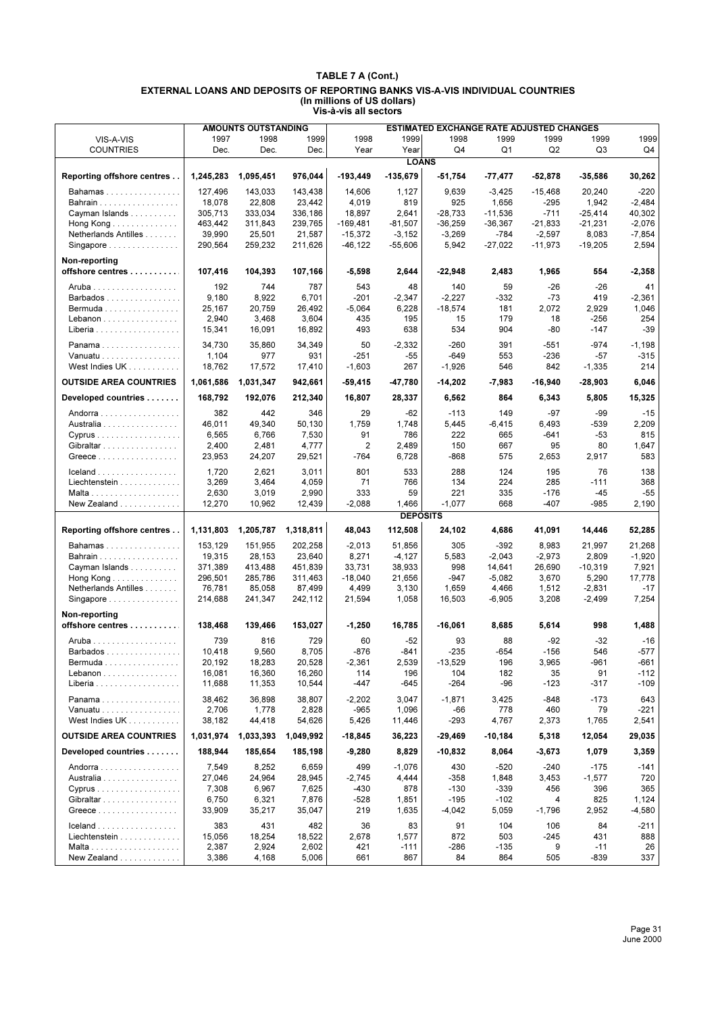| 1999<br>1997<br>1998<br>1999<br>1998<br>1999<br>1998<br>1999<br>1999<br>1999<br>VIS-A-VIS<br>Q <sub>1</sub><br>Q2<br>Dec.<br>Dec.<br>Dec.<br>Year<br>Year<br>Q4<br>Q3<br>Q4<br><b>COUNTRIES</b><br><b>LOANS</b><br>976,044<br>$-193,449$<br>$-135,679$<br>Reporting offshore centres<br>1,245,283<br>1,095,451<br>$-51,754$<br>$-52,878$<br>$-35,586$<br>30,262<br>-77,477<br>127,496<br>143,033<br>143,438<br>14,606<br>1,127<br>9,639<br>$-3,425$<br>$-15,468$<br>20,240<br>$-220$<br>Bahamas<br>$-2,484$<br>Bahrain<br>18,078<br>22,808<br>23.442<br>4,019<br>819<br>925<br>1,656<br>$-295$<br>1,942<br>$-711$<br>40,302<br>Cayman Islands<br>305,713<br>333,034<br>336,186<br>18,897<br>2,641<br>$-28,733$<br>$-11,536$<br>$-25,414$<br>463,442<br>311,843<br>239,765<br>$-169,481$<br>$-81,507$<br>$-36,259$<br>$-36,367$<br>$-21,833$<br>$-21,231$<br>$-2,076$<br>Hong Kong $\ldots \ldots \ldots \ldots$<br>$-784$<br>$-7,854$<br>Netherlands Antilles<br>39,990<br>25,501<br>21,587<br>$-15,372$<br>$-3,152$<br>$-3,269$<br>$-2,597$<br>8,083<br>$-27,022$<br>2,594<br>290,564<br>259,232<br>211,626<br>$-46, 122$<br>$-55,606$<br>5,942<br>$-11,973$<br>$-19,205$<br>Singapore<br>Non-reporting<br>offshore centres<br>107,416<br>104,393<br>107,166<br>$-5,598$<br>2,644<br>$-22,948$<br>2,483<br>1,965<br>554<br>-2,358<br>192<br>787<br>$-26$<br>744<br>543<br>48<br>140<br>59<br>$-26$<br>41<br>8,922<br>$-2,227$<br>$-73$<br>419<br>$-2,361$<br>9,180<br>6,701<br>$-201$<br>$-2,347$<br>-332<br>Barbados<br>20,759<br>$-18,574$<br>1,046<br>25,167<br>26,492<br>$-5,064$<br>6,228<br>181<br>2,072<br>2,929<br>$Bernuda$<br>435<br>$-256$<br>254<br>2,940<br>3,468<br>3,604<br>195<br>15<br>179<br>18<br>Lebanon<br>493<br>638<br>534<br>904<br>$-39$<br>15,341<br>16,091<br>16,892<br>-80<br>$-147$<br>Liberia<br>$-974$<br>34,730<br>50<br>$-260$<br>$-1,198$<br>35,860<br>34,349<br>$-2,332$<br>391<br>$-551$<br>Panama<br>977<br>$-649$<br>$-236$<br>$-57$<br>$-315$<br>Vanuatu<br>1,104<br>931<br>$-251$<br>$-55$<br>553<br>214<br>West Indies UK<br>18,762<br>17,572<br>$-1,603$<br>267<br>$-1,926$<br>546<br>842<br>$-1,335$<br>17,410<br><b>OUTSIDE AREA COUNTRIES</b><br>6,046<br>1,061,586<br>1,031,347<br>942,661<br>$-59,415$<br>-47,780<br>-14,202<br>$-7,983$<br>-16,940<br>$-28,903$<br>Developed countries<br>168,792<br>192,076<br>212,340<br>16,807<br>28,337<br>6,562<br>864<br>6,343<br>5,805<br>15,325<br>382<br>29<br>$-97$<br>-99<br>$-15$<br>442<br>346<br>$-62$<br>$-113$<br>149<br>Andorra<br>46,011<br>49,340<br>50,130<br>1,759<br>1,748<br>5,445<br>$-6,415$<br>6,493<br>-539<br>2,209<br>Australia<br>6,766<br>7,530<br>91<br>$-53$<br>815<br>6,565<br>786<br>222<br>665<br>-641<br>Cyprus<br>$\overline{2}$<br>80<br>1,647<br>2,400<br>2,481<br>4,777<br>2,489<br>150<br>667<br>95<br>Gibraltar<br>583<br>23,953<br>24,207<br>$-764$<br>6,728<br>-868<br>575<br>2,653<br>2,917<br>Greece<br>29,521<br>2,621<br>3,011<br>801<br>533<br>288<br>124<br>195<br>76<br>138<br>1,720<br>Liechtenstein<br>3,269<br>3,464<br>4,059<br>71<br>766<br>134<br>224<br>285<br>$-111$<br>368<br>$-55$<br>2,630<br>3,019<br>2,990<br>333<br>59<br>221<br>335<br>$-176$<br>$-45$<br>New Zealand<br>12,270<br>10,962<br>$-2,088$<br>1,466<br>$-1,077$<br>668<br>$-407$<br>-985<br>2,190<br>12,439<br><b>DEPOSITS</b><br>1,318,811<br>112,508<br>Reporting offshore centres<br>1,131,803<br>1,205,787<br>48,043<br>24,102<br>52,285<br>4,686<br>41,091<br>14,446<br>202,258<br>$-2,013$<br>$-392$<br>153,129<br>151,955<br>51,856<br>305<br>8,983<br>21,997<br>21,268<br>Bahamas<br>19,315<br>28,153<br>23,640<br>8,271<br>$-4,127$<br>5,583<br>$-2,043$<br>$-2,973$<br>2,809<br>$-1,920$<br>Bahrain<br>Cayman Islands<br>371,389<br>413,488<br>451,839<br>33,731<br>38,933<br>998<br>14,641<br>26,690<br>$-10,319$<br>7,921<br>296,501<br>285,786<br>311,463<br>$-18,040$<br>21,656<br>$-947$<br>$-5,082$<br>3,670<br>5,290<br>17,778<br>Hong Kong $\ldots \ldots \ldots \ldots$<br>76,781<br>85,058<br>4,499<br>3,130<br>1,659<br>4,466<br>1,512<br>$-17$<br>Netherlands Antilles<br>87,499<br>$-2,831$<br>1,058<br>16,503<br>$-6,905$<br>3,208<br>7,254<br>Singapore<br>214,688<br>241,347<br>242,112<br>21,594<br>$-2,499$<br>Non-reporting<br>offshore centres<br>138,468<br>139,466<br>153,027<br>$-1,250$<br>16,785<br>-16,061<br>8,685<br>5,614<br>998<br>1,488<br>816<br>$-92$<br>$-16$<br>739<br>729<br>60<br>$-52$<br>93<br>88<br>-32<br>$-577$<br>10,418<br>9,560<br>8,705<br>$-876$<br>-841<br>$-235$<br>-654<br>$-156$<br>546<br>Barbados<br>Bermuda<br>20,192<br>18,283<br>20,528<br>-2,361<br>2,539<br>-13,529<br>196<br>3,965<br>-961<br>-661<br>$-112$<br>16,081<br>16,360<br>16,260<br>114<br>196<br>91<br>Lebanon<br>104<br>182<br>35<br>11,688<br>11,353<br>10,544<br>-447<br>-645<br>-264<br>-96<br>$-123$<br>$-109$<br>Liberia<br>-317<br>38,462<br>38,807<br>3,047<br>$-848$<br>$-173$<br>643<br>Panama<br>36,898<br>$-2,202$<br>$-1,871$<br>3,425<br>$-965$<br>460<br>$-221$<br>Vanuatu<br>2,706<br>1,778<br>2,828<br>1,096<br>-66<br>778<br>79<br>West Indies UK<br>38,182<br>44,418<br>54,626<br>5,426<br>11,446<br>-293<br>4,767<br>2,373<br>1,765<br>2,541<br><b>OUTSIDE AREA COUNTRIES</b><br>1,031,974<br>1,033,393<br>1,049,992<br>$-18,845$<br>36,223<br>-29,469<br>$-10,184$<br>5,318<br>12,054<br>29,035<br>188,944<br>Developed countries<br>185,654<br>185,198<br>$-9,280$<br>8,829<br>$-10,832$<br>8,064<br>$-3,673$<br>1,079<br>3,359<br>7,549<br>8,252<br>6,659<br>499<br>$-1,076$<br>430<br>$-520$<br>$-240$<br>$-175$<br>-141<br>Andorra<br>27,046<br>24,964<br>28,945<br>$-2,745$<br>4,444<br>$-358$<br>1,848<br>3,453<br>$-1,577$<br>720<br>Australia<br>7,308<br>6,967<br>7,625<br>-430<br>878<br>$-130$<br>$-339$<br>456<br>396<br>365<br>Cyprus<br>6,750<br>7,876<br>$-528$<br>1,851<br>$-195$<br>$-102$<br>825<br>1,124<br>Gibraltar<br>6,321<br>4<br>Greece<br>219<br>1,635<br>$-4,580$<br>33,909<br>35,217<br>35,047<br>$-4,042$<br>5,059<br>$-1,796$<br>2,952<br>383<br>431<br>36<br>91<br>104<br>84<br>$-211$<br>482<br>83<br>106<br>Liechtenstein<br>15,056<br>18,254<br>18,522<br>2,678<br>1,577<br>872<br>503<br>$-245$<br>431<br>888<br>2,387<br>2,924<br>2,602<br>421<br>$-111$<br>$-286$<br>$-135$<br>9<br>$-11$<br>26<br>867<br>New Zealand<br>3,386<br>4,168<br>5,006<br>661<br>84<br>864<br>505<br>$-839$<br>337 |  | <b>AMOUNTS OUTSTANDING</b> |  | <b>ESTIMATED EXCHANGE RATE ADJUSTED CHANGES</b> |  |  |
|-------------------------------------------------------------------------------------------------------------------------------------------------------------------------------------------------------------------------------------------------------------------------------------------------------------------------------------------------------------------------------------------------------------------------------------------------------------------------------------------------------------------------------------------------------------------------------------------------------------------------------------------------------------------------------------------------------------------------------------------------------------------------------------------------------------------------------------------------------------------------------------------------------------------------------------------------------------------------------------------------------------------------------------------------------------------------------------------------------------------------------------------------------------------------------------------------------------------------------------------------------------------------------------------------------------------------------------------------------------------------------------------------------------------------------------------------------------------------------------------------------------------------------------------------------------------------------------------------------------------------------------------------------------------------------------------------------------------------------------------------------------------------------------------------------------------------------------------------------------------------------------------------------------------------------------------------------------------------------------------------------------------------------------------------------------------------------------------------------------------------------------------------------------------------------------------------------------------------------------------------------------------------------------------------------------------------------------------------------------------------------------------------------------------------------------------------------------------------------------------------------------------------------------------------------------------------------------------------------------------------------------------------------------------------------------------------------------------------------------------------------------------------------------------------------------------------------------------------------------------------------------------------------------------------------------------------------------------------------------------------------------------------------------------------------------------------------------------------------------------------------------------------------------------------------------------------------------------------------------------------------------------------------------------------------------------------------------------------------------------------------------------------------------------------------------------------------------------------------------------------------------------------------------------------------------------------------------------------------------------------------------------------------------------------------------------------------------------------------------------------------------------------------------------------------------------------------------------------------------------------------------------------------------------------------------------------------------------------------------------------------------------------------------------------------------------------------------------------------------------------------------------------------------------------------------------------------------------------------------------------------------------------------------------------------------------------------------------------------------------------------------------------------------------------------------------------------------------------------------------------------------------------------------------------------------------------------------------------------------------------------------------------------------------------------------------------------------------------------------------------------------------------------------------------------------------------------------------------------------------------------------------------------------------------------------------------------------------------------------------------------------------------------------------------------------------------------------------------------------------------------------------------------------------------------------------------------------------------------------------------------------------------------------------------------------------------------------------------------------------------------------------------------------------------------------------------------------------------------------------------------------------------------------------------------------------------------------------------------------------------------------------------------------------------------------------------------------------------------------------------------------------------------------------------------------------------------------------------------------------------------------------------------------------------------------------------------------------------------------------------------------------------------------------------------------------------------------------------------------------------------------------------------------------------------------------------------------------------------------------------------------------------------------------------------------------------------------------------------------------------------------------------------|--|----------------------------|--|-------------------------------------------------|--|--|
|                                                                                                                                                                                                                                                                                                                                                                                                                                                                                                                                                                                                                                                                                                                                                                                                                                                                                                                                                                                                                                                                                                                                                                                                                                                                                                                                                                                                                                                                                                                                                                                                                                                                                                                                                                                                                                                                                                                                                                                                                                                                                                                                                                                                                                                                                                                                                                                                                                                                                                                                                                                                                                                                                                                                                                                                                                                                                                                                                                                                                                                                                                                                                                                                                                                                                                                                                                                                                                                                                                                                                                                                                                                                                                                                                                                                                                                                                                                                                                                                                                                                                                                                                                                                                                                                                                                                                                                                                                                                                                                                                                                                                                                                                                                                                                                                                                                                                                                                                                                                                                                                                                                                                                                                                                                                                                                                                                                                                                                                                                                                                                                                                                                                                                                                                                                                                                                                                                                                                                                                                                                                                                                                                                                                                                                                                                                                                                                                       |  |                            |  |                                                 |  |  |
|                                                                                                                                                                                                                                                                                                                                                                                                                                                                                                                                                                                                                                                                                                                                                                                                                                                                                                                                                                                                                                                                                                                                                                                                                                                                                                                                                                                                                                                                                                                                                                                                                                                                                                                                                                                                                                                                                                                                                                                                                                                                                                                                                                                                                                                                                                                                                                                                                                                                                                                                                                                                                                                                                                                                                                                                                                                                                                                                                                                                                                                                                                                                                                                                                                                                                                                                                                                                                                                                                                                                                                                                                                                                                                                                                                                                                                                                                                                                                                                                                                                                                                                                                                                                                                                                                                                                                                                                                                                                                                                                                                                                                                                                                                                                                                                                                                                                                                                                                                                                                                                                                                                                                                                                                                                                                                                                                                                                                                                                                                                                                                                                                                                                                                                                                                                                                                                                                                                                                                                                                                                                                                                                                                                                                                                                                                                                                                                                       |  |                            |  |                                                 |  |  |
|                                                                                                                                                                                                                                                                                                                                                                                                                                                                                                                                                                                                                                                                                                                                                                                                                                                                                                                                                                                                                                                                                                                                                                                                                                                                                                                                                                                                                                                                                                                                                                                                                                                                                                                                                                                                                                                                                                                                                                                                                                                                                                                                                                                                                                                                                                                                                                                                                                                                                                                                                                                                                                                                                                                                                                                                                                                                                                                                                                                                                                                                                                                                                                                                                                                                                                                                                                                                                                                                                                                                                                                                                                                                                                                                                                                                                                                                                                                                                                                                                                                                                                                                                                                                                                                                                                                                                                                                                                                                                                                                                                                                                                                                                                                                                                                                                                                                                                                                                                                                                                                                                                                                                                                                                                                                                                                                                                                                                                                                                                                                                                                                                                                                                                                                                                                                                                                                                                                                                                                                                                                                                                                                                                                                                                                                                                                                                                                                       |  |                            |  |                                                 |  |  |
|                                                                                                                                                                                                                                                                                                                                                                                                                                                                                                                                                                                                                                                                                                                                                                                                                                                                                                                                                                                                                                                                                                                                                                                                                                                                                                                                                                                                                                                                                                                                                                                                                                                                                                                                                                                                                                                                                                                                                                                                                                                                                                                                                                                                                                                                                                                                                                                                                                                                                                                                                                                                                                                                                                                                                                                                                                                                                                                                                                                                                                                                                                                                                                                                                                                                                                                                                                                                                                                                                                                                                                                                                                                                                                                                                                                                                                                                                                                                                                                                                                                                                                                                                                                                                                                                                                                                                                                                                                                                                                                                                                                                                                                                                                                                                                                                                                                                                                                                                                                                                                                                                                                                                                                                                                                                                                                                                                                                                                                                                                                                                                                                                                                                                                                                                                                                                                                                                                                                                                                                                                                                                                                                                                                                                                                                                                                                                                                                       |  |                            |  |                                                 |  |  |
|                                                                                                                                                                                                                                                                                                                                                                                                                                                                                                                                                                                                                                                                                                                                                                                                                                                                                                                                                                                                                                                                                                                                                                                                                                                                                                                                                                                                                                                                                                                                                                                                                                                                                                                                                                                                                                                                                                                                                                                                                                                                                                                                                                                                                                                                                                                                                                                                                                                                                                                                                                                                                                                                                                                                                                                                                                                                                                                                                                                                                                                                                                                                                                                                                                                                                                                                                                                                                                                                                                                                                                                                                                                                                                                                                                                                                                                                                                                                                                                                                                                                                                                                                                                                                                                                                                                                                                                                                                                                                                                                                                                                                                                                                                                                                                                                                                                                                                                                                                                                                                                                                                                                                                                                                                                                                                                                                                                                                                                                                                                                                                                                                                                                                                                                                                                                                                                                                                                                                                                                                                                                                                                                                                                                                                                                                                                                                                                                       |  |                            |  |                                                 |  |  |
|                                                                                                                                                                                                                                                                                                                                                                                                                                                                                                                                                                                                                                                                                                                                                                                                                                                                                                                                                                                                                                                                                                                                                                                                                                                                                                                                                                                                                                                                                                                                                                                                                                                                                                                                                                                                                                                                                                                                                                                                                                                                                                                                                                                                                                                                                                                                                                                                                                                                                                                                                                                                                                                                                                                                                                                                                                                                                                                                                                                                                                                                                                                                                                                                                                                                                                                                                                                                                                                                                                                                                                                                                                                                                                                                                                                                                                                                                                                                                                                                                                                                                                                                                                                                                                                                                                                                                                                                                                                                                                                                                                                                                                                                                                                                                                                                                                                                                                                                                                                                                                                                                                                                                                                                                                                                                                                                                                                                                                                                                                                                                                                                                                                                                                                                                                                                                                                                                                                                                                                                                                                                                                                                                                                                                                                                                                                                                                                                       |  |                            |  |                                                 |  |  |
|                                                                                                                                                                                                                                                                                                                                                                                                                                                                                                                                                                                                                                                                                                                                                                                                                                                                                                                                                                                                                                                                                                                                                                                                                                                                                                                                                                                                                                                                                                                                                                                                                                                                                                                                                                                                                                                                                                                                                                                                                                                                                                                                                                                                                                                                                                                                                                                                                                                                                                                                                                                                                                                                                                                                                                                                                                                                                                                                                                                                                                                                                                                                                                                                                                                                                                                                                                                                                                                                                                                                                                                                                                                                                                                                                                                                                                                                                                                                                                                                                                                                                                                                                                                                                                                                                                                                                                                                                                                                                                                                                                                                                                                                                                                                                                                                                                                                                                                                                                                                                                                                                                                                                                                                                                                                                                                                                                                                                                                                                                                                                                                                                                                                                                                                                                                                                                                                                                                                                                                                                                                                                                                                                                                                                                                                                                                                                                                                       |  |                            |  |                                                 |  |  |
|                                                                                                                                                                                                                                                                                                                                                                                                                                                                                                                                                                                                                                                                                                                                                                                                                                                                                                                                                                                                                                                                                                                                                                                                                                                                                                                                                                                                                                                                                                                                                                                                                                                                                                                                                                                                                                                                                                                                                                                                                                                                                                                                                                                                                                                                                                                                                                                                                                                                                                                                                                                                                                                                                                                                                                                                                                                                                                                                                                                                                                                                                                                                                                                                                                                                                                                                                                                                                                                                                                                                                                                                                                                                                                                                                                                                                                                                                                                                                                                                                                                                                                                                                                                                                                                                                                                                                                                                                                                                                                                                                                                                                                                                                                                                                                                                                                                                                                                                                                                                                                                                                                                                                                                                                                                                                                                                                                                                                                                                                                                                                                                                                                                                                                                                                                                                                                                                                                                                                                                                                                                                                                                                                                                                                                                                                                                                                                                                       |  |                            |  |                                                 |  |  |
|                                                                                                                                                                                                                                                                                                                                                                                                                                                                                                                                                                                                                                                                                                                                                                                                                                                                                                                                                                                                                                                                                                                                                                                                                                                                                                                                                                                                                                                                                                                                                                                                                                                                                                                                                                                                                                                                                                                                                                                                                                                                                                                                                                                                                                                                                                                                                                                                                                                                                                                                                                                                                                                                                                                                                                                                                                                                                                                                                                                                                                                                                                                                                                                                                                                                                                                                                                                                                                                                                                                                                                                                                                                                                                                                                                                                                                                                                                                                                                                                                                                                                                                                                                                                                                                                                                                                                                                                                                                                                                                                                                                                                                                                                                                                                                                                                                                                                                                                                                                                                                                                                                                                                                                                                                                                                                                                                                                                                                                                                                                                                                                                                                                                                                                                                                                                                                                                                                                                                                                                                                                                                                                                                                                                                                                                                                                                                                                                       |  |                            |  |                                                 |  |  |
|                                                                                                                                                                                                                                                                                                                                                                                                                                                                                                                                                                                                                                                                                                                                                                                                                                                                                                                                                                                                                                                                                                                                                                                                                                                                                                                                                                                                                                                                                                                                                                                                                                                                                                                                                                                                                                                                                                                                                                                                                                                                                                                                                                                                                                                                                                                                                                                                                                                                                                                                                                                                                                                                                                                                                                                                                                                                                                                                                                                                                                                                                                                                                                                                                                                                                                                                                                                                                                                                                                                                                                                                                                                                                                                                                                                                                                                                                                                                                                                                                                                                                                                                                                                                                                                                                                                                                                                                                                                                                                                                                                                                                                                                                                                                                                                                                                                                                                                                                                                                                                                                                                                                                                                                                                                                                                                                                                                                                                                                                                                                                                                                                                                                                                                                                                                                                                                                                                                                                                                                                                                                                                                                                                                                                                                                                                                                                                                                       |  |                            |  |                                                 |  |  |
|                                                                                                                                                                                                                                                                                                                                                                                                                                                                                                                                                                                                                                                                                                                                                                                                                                                                                                                                                                                                                                                                                                                                                                                                                                                                                                                                                                                                                                                                                                                                                                                                                                                                                                                                                                                                                                                                                                                                                                                                                                                                                                                                                                                                                                                                                                                                                                                                                                                                                                                                                                                                                                                                                                                                                                                                                                                                                                                                                                                                                                                                                                                                                                                                                                                                                                                                                                                                                                                                                                                                                                                                                                                                                                                                                                                                                                                                                                                                                                                                                                                                                                                                                                                                                                                                                                                                                                                                                                                                                                                                                                                                                                                                                                                                                                                                                                                                                                                                                                                                                                                                                                                                                                                                                                                                                                                                                                                                                                                                                                                                                                                                                                                                                                                                                                                                                                                                                                                                                                                                                                                                                                                                                                                                                                                                                                                                                                                                       |  |                            |  |                                                 |  |  |
|                                                                                                                                                                                                                                                                                                                                                                                                                                                                                                                                                                                                                                                                                                                                                                                                                                                                                                                                                                                                                                                                                                                                                                                                                                                                                                                                                                                                                                                                                                                                                                                                                                                                                                                                                                                                                                                                                                                                                                                                                                                                                                                                                                                                                                                                                                                                                                                                                                                                                                                                                                                                                                                                                                                                                                                                                                                                                                                                                                                                                                                                                                                                                                                                                                                                                                                                                                                                                                                                                                                                                                                                                                                                                                                                                                                                                                                                                                                                                                                                                                                                                                                                                                                                                                                                                                                                                                                                                                                                                                                                                                                                                                                                                                                                                                                                                                                                                                                                                                                                                                                                                                                                                                                                                                                                                                                                                                                                                                                                                                                                                                                                                                                                                                                                                                                                                                                                                                                                                                                                                                                                                                                                                                                                                                                                                                                                                                                                       |  |                            |  |                                                 |  |  |
|                                                                                                                                                                                                                                                                                                                                                                                                                                                                                                                                                                                                                                                                                                                                                                                                                                                                                                                                                                                                                                                                                                                                                                                                                                                                                                                                                                                                                                                                                                                                                                                                                                                                                                                                                                                                                                                                                                                                                                                                                                                                                                                                                                                                                                                                                                                                                                                                                                                                                                                                                                                                                                                                                                                                                                                                                                                                                                                                                                                                                                                                                                                                                                                                                                                                                                                                                                                                                                                                                                                                                                                                                                                                                                                                                                                                                                                                                                                                                                                                                                                                                                                                                                                                                                                                                                                                                                                                                                                                                                                                                                                                                                                                                                                                                                                                                                                                                                                                                                                                                                                                                                                                                                                                                                                                                                                                                                                                                                                                                                                                                                                                                                                                                                                                                                                                                                                                                                                                                                                                                                                                                                                                                                                                                                                                                                                                                                                                       |  |                            |  |                                                 |  |  |
|                                                                                                                                                                                                                                                                                                                                                                                                                                                                                                                                                                                                                                                                                                                                                                                                                                                                                                                                                                                                                                                                                                                                                                                                                                                                                                                                                                                                                                                                                                                                                                                                                                                                                                                                                                                                                                                                                                                                                                                                                                                                                                                                                                                                                                                                                                                                                                                                                                                                                                                                                                                                                                                                                                                                                                                                                                                                                                                                                                                                                                                                                                                                                                                                                                                                                                                                                                                                                                                                                                                                                                                                                                                                                                                                                                                                                                                                                                                                                                                                                                                                                                                                                                                                                                                                                                                                                                                                                                                                                                                                                                                                                                                                                                                                                                                                                                                                                                                                                                                                                                                                                                                                                                                                                                                                                                                                                                                                                                                                                                                                                                                                                                                                                                                                                                                                                                                                                                                                                                                                                                                                                                                                                                                                                                                                                                                                                                                                       |  |                            |  |                                                 |  |  |
|                                                                                                                                                                                                                                                                                                                                                                                                                                                                                                                                                                                                                                                                                                                                                                                                                                                                                                                                                                                                                                                                                                                                                                                                                                                                                                                                                                                                                                                                                                                                                                                                                                                                                                                                                                                                                                                                                                                                                                                                                                                                                                                                                                                                                                                                                                                                                                                                                                                                                                                                                                                                                                                                                                                                                                                                                                                                                                                                                                                                                                                                                                                                                                                                                                                                                                                                                                                                                                                                                                                                                                                                                                                                                                                                                                                                                                                                                                                                                                                                                                                                                                                                                                                                                                                                                                                                                                                                                                                                                                                                                                                                                                                                                                                                                                                                                                                                                                                                                                                                                                                                                                                                                                                                                                                                                                                                                                                                                                                                                                                                                                                                                                                                                                                                                                                                                                                                                                                                                                                                                                                                                                                                                                                                                                                                                                                                                                                                       |  |                            |  |                                                 |  |  |
|                                                                                                                                                                                                                                                                                                                                                                                                                                                                                                                                                                                                                                                                                                                                                                                                                                                                                                                                                                                                                                                                                                                                                                                                                                                                                                                                                                                                                                                                                                                                                                                                                                                                                                                                                                                                                                                                                                                                                                                                                                                                                                                                                                                                                                                                                                                                                                                                                                                                                                                                                                                                                                                                                                                                                                                                                                                                                                                                                                                                                                                                                                                                                                                                                                                                                                                                                                                                                                                                                                                                                                                                                                                                                                                                                                                                                                                                                                                                                                                                                                                                                                                                                                                                                                                                                                                                                                                                                                                                                                                                                                                                                                                                                                                                                                                                                                                                                                                                                                                                                                                                                                                                                                                                                                                                                                                                                                                                                                                                                                                                                                                                                                                                                                                                                                                                                                                                                                                                                                                                                                                                                                                                                                                                                                                                                                                                                                                                       |  |                            |  |                                                 |  |  |
|                                                                                                                                                                                                                                                                                                                                                                                                                                                                                                                                                                                                                                                                                                                                                                                                                                                                                                                                                                                                                                                                                                                                                                                                                                                                                                                                                                                                                                                                                                                                                                                                                                                                                                                                                                                                                                                                                                                                                                                                                                                                                                                                                                                                                                                                                                                                                                                                                                                                                                                                                                                                                                                                                                                                                                                                                                                                                                                                                                                                                                                                                                                                                                                                                                                                                                                                                                                                                                                                                                                                                                                                                                                                                                                                                                                                                                                                                                                                                                                                                                                                                                                                                                                                                                                                                                                                                                                                                                                                                                                                                                                                                                                                                                                                                                                                                                                                                                                                                                                                                                                                                                                                                                                                                                                                                                                                                                                                                                                                                                                                                                                                                                                                                                                                                                                                                                                                                                                                                                                                                                                                                                                                                                                                                                                                                                                                                                                                       |  |                            |  |                                                 |  |  |
|                                                                                                                                                                                                                                                                                                                                                                                                                                                                                                                                                                                                                                                                                                                                                                                                                                                                                                                                                                                                                                                                                                                                                                                                                                                                                                                                                                                                                                                                                                                                                                                                                                                                                                                                                                                                                                                                                                                                                                                                                                                                                                                                                                                                                                                                                                                                                                                                                                                                                                                                                                                                                                                                                                                                                                                                                                                                                                                                                                                                                                                                                                                                                                                                                                                                                                                                                                                                                                                                                                                                                                                                                                                                                                                                                                                                                                                                                                                                                                                                                                                                                                                                                                                                                                                                                                                                                                                                                                                                                                                                                                                                                                                                                                                                                                                                                                                                                                                                                                                                                                                                                                                                                                                                                                                                                                                                                                                                                                                                                                                                                                                                                                                                                                                                                                                                                                                                                                                                                                                                                                                                                                                                                                                                                                                                                                                                                                                                       |  |                            |  |                                                 |  |  |
|                                                                                                                                                                                                                                                                                                                                                                                                                                                                                                                                                                                                                                                                                                                                                                                                                                                                                                                                                                                                                                                                                                                                                                                                                                                                                                                                                                                                                                                                                                                                                                                                                                                                                                                                                                                                                                                                                                                                                                                                                                                                                                                                                                                                                                                                                                                                                                                                                                                                                                                                                                                                                                                                                                                                                                                                                                                                                                                                                                                                                                                                                                                                                                                                                                                                                                                                                                                                                                                                                                                                                                                                                                                                                                                                                                                                                                                                                                                                                                                                                                                                                                                                                                                                                                                                                                                                                                                                                                                                                                                                                                                                                                                                                                                                                                                                                                                                                                                                                                                                                                                                                                                                                                                                                                                                                                                                                                                                                                                                                                                                                                                                                                                                                                                                                                                                                                                                                                                                                                                                                                                                                                                                                                                                                                                                                                                                                                                                       |  |                            |  |                                                 |  |  |
|                                                                                                                                                                                                                                                                                                                                                                                                                                                                                                                                                                                                                                                                                                                                                                                                                                                                                                                                                                                                                                                                                                                                                                                                                                                                                                                                                                                                                                                                                                                                                                                                                                                                                                                                                                                                                                                                                                                                                                                                                                                                                                                                                                                                                                                                                                                                                                                                                                                                                                                                                                                                                                                                                                                                                                                                                                                                                                                                                                                                                                                                                                                                                                                                                                                                                                                                                                                                                                                                                                                                                                                                                                                                                                                                                                                                                                                                                                                                                                                                                                                                                                                                                                                                                                                                                                                                                                                                                                                                                                                                                                                                                                                                                                                                                                                                                                                                                                                                                                                                                                                                                                                                                                                                                                                                                                                                                                                                                                                                                                                                                                                                                                                                                                                                                                                                                                                                                                                                                                                                                                                                                                                                                                                                                                                                                                                                                                                                       |  |                            |  |                                                 |  |  |
|                                                                                                                                                                                                                                                                                                                                                                                                                                                                                                                                                                                                                                                                                                                                                                                                                                                                                                                                                                                                                                                                                                                                                                                                                                                                                                                                                                                                                                                                                                                                                                                                                                                                                                                                                                                                                                                                                                                                                                                                                                                                                                                                                                                                                                                                                                                                                                                                                                                                                                                                                                                                                                                                                                                                                                                                                                                                                                                                                                                                                                                                                                                                                                                                                                                                                                                                                                                                                                                                                                                                                                                                                                                                                                                                                                                                                                                                                                                                                                                                                                                                                                                                                                                                                                                                                                                                                                                                                                                                                                                                                                                                                                                                                                                                                                                                                                                                                                                                                                                                                                                                                                                                                                                                                                                                                                                                                                                                                                                                                                                                                                                                                                                                                                                                                                                                                                                                                                                                                                                                                                                                                                                                                                                                                                                                                                                                                                                                       |  |                            |  |                                                 |  |  |
|                                                                                                                                                                                                                                                                                                                                                                                                                                                                                                                                                                                                                                                                                                                                                                                                                                                                                                                                                                                                                                                                                                                                                                                                                                                                                                                                                                                                                                                                                                                                                                                                                                                                                                                                                                                                                                                                                                                                                                                                                                                                                                                                                                                                                                                                                                                                                                                                                                                                                                                                                                                                                                                                                                                                                                                                                                                                                                                                                                                                                                                                                                                                                                                                                                                                                                                                                                                                                                                                                                                                                                                                                                                                                                                                                                                                                                                                                                                                                                                                                                                                                                                                                                                                                                                                                                                                                                                                                                                                                                                                                                                                                                                                                                                                                                                                                                                                                                                                                                                                                                                                                                                                                                                                                                                                                                                                                                                                                                                                                                                                                                                                                                                                                                                                                                                                                                                                                                                                                                                                                                                                                                                                                                                                                                                                                                                                                                                                       |  |                            |  |                                                 |  |  |
|                                                                                                                                                                                                                                                                                                                                                                                                                                                                                                                                                                                                                                                                                                                                                                                                                                                                                                                                                                                                                                                                                                                                                                                                                                                                                                                                                                                                                                                                                                                                                                                                                                                                                                                                                                                                                                                                                                                                                                                                                                                                                                                                                                                                                                                                                                                                                                                                                                                                                                                                                                                                                                                                                                                                                                                                                                                                                                                                                                                                                                                                                                                                                                                                                                                                                                                                                                                                                                                                                                                                                                                                                                                                                                                                                                                                                                                                                                                                                                                                                                                                                                                                                                                                                                                                                                                                                                                                                                                                                                                                                                                                                                                                                                                                                                                                                                                                                                                                                                                                                                                                                                                                                                                                                                                                                                                                                                                                                                                                                                                                                                                                                                                                                                                                                                                                                                                                                                                                                                                                                                                                                                                                                                                                                                                                                                                                                                                                       |  |                            |  |                                                 |  |  |
|                                                                                                                                                                                                                                                                                                                                                                                                                                                                                                                                                                                                                                                                                                                                                                                                                                                                                                                                                                                                                                                                                                                                                                                                                                                                                                                                                                                                                                                                                                                                                                                                                                                                                                                                                                                                                                                                                                                                                                                                                                                                                                                                                                                                                                                                                                                                                                                                                                                                                                                                                                                                                                                                                                                                                                                                                                                                                                                                                                                                                                                                                                                                                                                                                                                                                                                                                                                                                                                                                                                                                                                                                                                                                                                                                                                                                                                                                                                                                                                                                                                                                                                                                                                                                                                                                                                                                                                                                                                                                                                                                                                                                                                                                                                                                                                                                                                                                                                                                                                                                                                                                                                                                                                                                                                                                                                                                                                                                                                                                                                                                                                                                                                                                                                                                                                                                                                                                                                                                                                                                                                                                                                                                                                                                                                                                                                                                                                                       |  |                            |  |                                                 |  |  |
|                                                                                                                                                                                                                                                                                                                                                                                                                                                                                                                                                                                                                                                                                                                                                                                                                                                                                                                                                                                                                                                                                                                                                                                                                                                                                                                                                                                                                                                                                                                                                                                                                                                                                                                                                                                                                                                                                                                                                                                                                                                                                                                                                                                                                                                                                                                                                                                                                                                                                                                                                                                                                                                                                                                                                                                                                                                                                                                                                                                                                                                                                                                                                                                                                                                                                                                                                                                                                                                                                                                                                                                                                                                                                                                                                                                                                                                                                                                                                                                                                                                                                                                                                                                                                                                                                                                                                                                                                                                                                                                                                                                                                                                                                                                                                                                                                                                                                                                                                                                                                                                                                                                                                                                                                                                                                                                                                                                                                                                                                                                                                                                                                                                                                                                                                                                                                                                                                                                                                                                                                                                                                                                                                                                                                                                                                                                                                                                                       |  |                            |  |                                                 |  |  |
|                                                                                                                                                                                                                                                                                                                                                                                                                                                                                                                                                                                                                                                                                                                                                                                                                                                                                                                                                                                                                                                                                                                                                                                                                                                                                                                                                                                                                                                                                                                                                                                                                                                                                                                                                                                                                                                                                                                                                                                                                                                                                                                                                                                                                                                                                                                                                                                                                                                                                                                                                                                                                                                                                                                                                                                                                                                                                                                                                                                                                                                                                                                                                                                                                                                                                                                                                                                                                                                                                                                                                                                                                                                                                                                                                                                                                                                                                                                                                                                                                                                                                                                                                                                                                                                                                                                                                                                                                                                                                                                                                                                                                                                                                                                                                                                                                                                                                                                                                                                                                                                                                                                                                                                                                                                                                                                                                                                                                                                                                                                                                                                                                                                                                                                                                                                                                                                                                                                                                                                                                                                                                                                                                                                                                                                                                                                                                                                                       |  |                            |  |                                                 |  |  |
|                                                                                                                                                                                                                                                                                                                                                                                                                                                                                                                                                                                                                                                                                                                                                                                                                                                                                                                                                                                                                                                                                                                                                                                                                                                                                                                                                                                                                                                                                                                                                                                                                                                                                                                                                                                                                                                                                                                                                                                                                                                                                                                                                                                                                                                                                                                                                                                                                                                                                                                                                                                                                                                                                                                                                                                                                                                                                                                                                                                                                                                                                                                                                                                                                                                                                                                                                                                                                                                                                                                                                                                                                                                                                                                                                                                                                                                                                                                                                                                                                                                                                                                                                                                                                                                                                                                                                                                                                                                                                                                                                                                                                                                                                                                                                                                                                                                                                                                                                                                                                                                                                                                                                                                                                                                                                                                                                                                                                                                                                                                                                                                                                                                                                                                                                                                                                                                                                                                                                                                                                                                                                                                                                                                                                                                                                                                                                                                                       |  |                            |  |                                                 |  |  |
|                                                                                                                                                                                                                                                                                                                                                                                                                                                                                                                                                                                                                                                                                                                                                                                                                                                                                                                                                                                                                                                                                                                                                                                                                                                                                                                                                                                                                                                                                                                                                                                                                                                                                                                                                                                                                                                                                                                                                                                                                                                                                                                                                                                                                                                                                                                                                                                                                                                                                                                                                                                                                                                                                                                                                                                                                                                                                                                                                                                                                                                                                                                                                                                                                                                                                                                                                                                                                                                                                                                                                                                                                                                                                                                                                                                                                                                                                                                                                                                                                                                                                                                                                                                                                                                                                                                                                                                                                                                                                                                                                                                                                                                                                                                                                                                                                                                                                                                                                                                                                                                                                                                                                                                                                                                                                                                                                                                                                                                                                                                                                                                                                                                                                                                                                                                                                                                                                                                                                                                                                                                                                                                                                                                                                                                                                                                                                                                                       |  |                            |  |                                                 |  |  |
|                                                                                                                                                                                                                                                                                                                                                                                                                                                                                                                                                                                                                                                                                                                                                                                                                                                                                                                                                                                                                                                                                                                                                                                                                                                                                                                                                                                                                                                                                                                                                                                                                                                                                                                                                                                                                                                                                                                                                                                                                                                                                                                                                                                                                                                                                                                                                                                                                                                                                                                                                                                                                                                                                                                                                                                                                                                                                                                                                                                                                                                                                                                                                                                                                                                                                                                                                                                                                                                                                                                                                                                                                                                                                                                                                                                                                                                                                                                                                                                                                                                                                                                                                                                                                                                                                                                                                                                                                                                                                                                                                                                                                                                                                                                                                                                                                                                                                                                                                                                                                                                                                                                                                                                                                                                                                                                                                                                                                                                                                                                                                                                                                                                                                                                                                                                                                                                                                                                                                                                                                                                                                                                                                                                                                                                                                                                                                                                                       |  |                            |  |                                                 |  |  |
|                                                                                                                                                                                                                                                                                                                                                                                                                                                                                                                                                                                                                                                                                                                                                                                                                                                                                                                                                                                                                                                                                                                                                                                                                                                                                                                                                                                                                                                                                                                                                                                                                                                                                                                                                                                                                                                                                                                                                                                                                                                                                                                                                                                                                                                                                                                                                                                                                                                                                                                                                                                                                                                                                                                                                                                                                                                                                                                                                                                                                                                                                                                                                                                                                                                                                                                                                                                                                                                                                                                                                                                                                                                                                                                                                                                                                                                                                                                                                                                                                                                                                                                                                                                                                                                                                                                                                                                                                                                                                                                                                                                                                                                                                                                                                                                                                                                                                                                                                                                                                                                                                                                                                                                                                                                                                                                                                                                                                                                                                                                                                                                                                                                                                                                                                                                                                                                                                                                                                                                                                                                                                                                                                                                                                                                                                                                                                                                                       |  |                            |  |                                                 |  |  |
|                                                                                                                                                                                                                                                                                                                                                                                                                                                                                                                                                                                                                                                                                                                                                                                                                                                                                                                                                                                                                                                                                                                                                                                                                                                                                                                                                                                                                                                                                                                                                                                                                                                                                                                                                                                                                                                                                                                                                                                                                                                                                                                                                                                                                                                                                                                                                                                                                                                                                                                                                                                                                                                                                                                                                                                                                                                                                                                                                                                                                                                                                                                                                                                                                                                                                                                                                                                                                                                                                                                                                                                                                                                                                                                                                                                                                                                                                                                                                                                                                                                                                                                                                                                                                                                                                                                                                                                                                                                                                                                                                                                                                                                                                                                                                                                                                                                                                                                                                                                                                                                                                                                                                                                                                                                                                                                                                                                                                                                                                                                                                                                                                                                                                                                                                                                                                                                                                                                                                                                                                                                                                                                                                                                                                                                                                                                                                                                                       |  |                            |  |                                                 |  |  |
|                                                                                                                                                                                                                                                                                                                                                                                                                                                                                                                                                                                                                                                                                                                                                                                                                                                                                                                                                                                                                                                                                                                                                                                                                                                                                                                                                                                                                                                                                                                                                                                                                                                                                                                                                                                                                                                                                                                                                                                                                                                                                                                                                                                                                                                                                                                                                                                                                                                                                                                                                                                                                                                                                                                                                                                                                                                                                                                                                                                                                                                                                                                                                                                                                                                                                                                                                                                                                                                                                                                                                                                                                                                                                                                                                                                                                                                                                                                                                                                                                                                                                                                                                                                                                                                                                                                                                                                                                                                                                                                                                                                                                                                                                                                                                                                                                                                                                                                                                                                                                                                                                                                                                                                                                                                                                                                                                                                                                                                                                                                                                                                                                                                                                                                                                                                                                                                                                                                                                                                                                                                                                                                                                                                                                                                                                                                                                                                                       |  |                            |  |                                                 |  |  |
|                                                                                                                                                                                                                                                                                                                                                                                                                                                                                                                                                                                                                                                                                                                                                                                                                                                                                                                                                                                                                                                                                                                                                                                                                                                                                                                                                                                                                                                                                                                                                                                                                                                                                                                                                                                                                                                                                                                                                                                                                                                                                                                                                                                                                                                                                                                                                                                                                                                                                                                                                                                                                                                                                                                                                                                                                                                                                                                                                                                                                                                                                                                                                                                                                                                                                                                                                                                                                                                                                                                                                                                                                                                                                                                                                                                                                                                                                                                                                                                                                                                                                                                                                                                                                                                                                                                                                                                                                                                                                                                                                                                                                                                                                                                                                                                                                                                                                                                                                                                                                                                                                                                                                                                                                                                                                                                                                                                                                                                                                                                                                                                                                                                                                                                                                                                                                                                                                                                                                                                                                                                                                                                                                                                                                                                                                                                                                                                                       |  |                            |  |                                                 |  |  |
|                                                                                                                                                                                                                                                                                                                                                                                                                                                                                                                                                                                                                                                                                                                                                                                                                                                                                                                                                                                                                                                                                                                                                                                                                                                                                                                                                                                                                                                                                                                                                                                                                                                                                                                                                                                                                                                                                                                                                                                                                                                                                                                                                                                                                                                                                                                                                                                                                                                                                                                                                                                                                                                                                                                                                                                                                                                                                                                                                                                                                                                                                                                                                                                                                                                                                                                                                                                                                                                                                                                                                                                                                                                                                                                                                                                                                                                                                                                                                                                                                                                                                                                                                                                                                                                                                                                                                                                                                                                                                                                                                                                                                                                                                                                                                                                                                                                                                                                                                                                                                                                                                                                                                                                                                                                                                                                                                                                                                                                                                                                                                                                                                                                                                                                                                                                                                                                                                                                                                                                                                                                                                                                                                                                                                                                                                                                                                                                                       |  |                            |  |                                                 |  |  |
|                                                                                                                                                                                                                                                                                                                                                                                                                                                                                                                                                                                                                                                                                                                                                                                                                                                                                                                                                                                                                                                                                                                                                                                                                                                                                                                                                                                                                                                                                                                                                                                                                                                                                                                                                                                                                                                                                                                                                                                                                                                                                                                                                                                                                                                                                                                                                                                                                                                                                                                                                                                                                                                                                                                                                                                                                                                                                                                                                                                                                                                                                                                                                                                                                                                                                                                                                                                                                                                                                                                                                                                                                                                                                                                                                                                                                                                                                                                                                                                                                                                                                                                                                                                                                                                                                                                                                                                                                                                                                                                                                                                                                                                                                                                                                                                                                                                                                                                                                                                                                                                                                                                                                                                                                                                                                                                                                                                                                                                                                                                                                                                                                                                                                                                                                                                                                                                                                                                                                                                                                                                                                                                                                                                                                                                                                                                                                                                                       |  |                            |  |                                                 |  |  |
|                                                                                                                                                                                                                                                                                                                                                                                                                                                                                                                                                                                                                                                                                                                                                                                                                                                                                                                                                                                                                                                                                                                                                                                                                                                                                                                                                                                                                                                                                                                                                                                                                                                                                                                                                                                                                                                                                                                                                                                                                                                                                                                                                                                                                                                                                                                                                                                                                                                                                                                                                                                                                                                                                                                                                                                                                                                                                                                                                                                                                                                                                                                                                                                                                                                                                                                                                                                                                                                                                                                                                                                                                                                                                                                                                                                                                                                                                                                                                                                                                                                                                                                                                                                                                                                                                                                                                                                                                                                                                                                                                                                                                                                                                                                                                                                                                                                                                                                                                                                                                                                                                                                                                                                                                                                                                                                                                                                                                                                                                                                                                                                                                                                                                                                                                                                                                                                                                                                                                                                                                                                                                                                                                                                                                                                                                                                                                                                                       |  |                            |  |                                                 |  |  |
|                                                                                                                                                                                                                                                                                                                                                                                                                                                                                                                                                                                                                                                                                                                                                                                                                                                                                                                                                                                                                                                                                                                                                                                                                                                                                                                                                                                                                                                                                                                                                                                                                                                                                                                                                                                                                                                                                                                                                                                                                                                                                                                                                                                                                                                                                                                                                                                                                                                                                                                                                                                                                                                                                                                                                                                                                                                                                                                                                                                                                                                                                                                                                                                                                                                                                                                                                                                                                                                                                                                                                                                                                                                                                                                                                                                                                                                                                                                                                                                                                                                                                                                                                                                                                                                                                                                                                                                                                                                                                                                                                                                                                                                                                                                                                                                                                                                                                                                                                                                                                                                                                                                                                                                                                                                                                                                                                                                                                                                                                                                                                                                                                                                                                                                                                                                                                                                                                                                                                                                                                                                                                                                                                                                                                                                                                                                                                                                                       |  |                            |  |                                                 |  |  |
|                                                                                                                                                                                                                                                                                                                                                                                                                                                                                                                                                                                                                                                                                                                                                                                                                                                                                                                                                                                                                                                                                                                                                                                                                                                                                                                                                                                                                                                                                                                                                                                                                                                                                                                                                                                                                                                                                                                                                                                                                                                                                                                                                                                                                                                                                                                                                                                                                                                                                                                                                                                                                                                                                                                                                                                                                                                                                                                                                                                                                                                                                                                                                                                                                                                                                                                                                                                                                                                                                                                                                                                                                                                                                                                                                                                                                                                                                                                                                                                                                                                                                                                                                                                                                                                                                                                                                                                                                                                                                                                                                                                                                                                                                                                                                                                                                                                                                                                                                                                                                                                                                                                                                                                                                                                                                                                                                                                                                                                                                                                                                                                                                                                                                                                                                                                                                                                                                                                                                                                                                                                                                                                                                                                                                                                                                                                                                                                                       |  |                            |  |                                                 |  |  |
|                                                                                                                                                                                                                                                                                                                                                                                                                                                                                                                                                                                                                                                                                                                                                                                                                                                                                                                                                                                                                                                                                                                                                                                                                                                                                                                                                                                                                                                                                                                                                                                                                                                                                                                                                                                                                                                                                                                                                                                                                                                                                                                                                                                                                                                                                                                                                                                                                                                                                                                                                                                                                                                                                                                                                                                                                                                                                                                                                                                                                                                                                                                                                                                                                                                                                                                                                                                                                                                                                                                                                                                                                                                                                                                                                                                                                                                                                                                                                                                                                                                                                                                                                                                                                                                                                                                                                                                                                                                                                                                                                                                                                                                                                                                                                                                                                                                                                                                                                                                                                                                                                                                                                                                                                                                                                                                                                                                                                                                                                                                                                                                                                                                                                                                                                                                                                                                                                                                                                                                                                                                                                                                                                                                                                                                                                                                                                                                                       |  |                            |  |                                                 |  |  |
|                                                                                                                                                                                                                                                                                                                                                                                                                                                                                                                                                                                                                                                                                                                                                                                                                                                                                                                                                                                                                                                                                                                                                                                                                                                                                                                                                                                                                                                                                                                                                                                                                                                                                                                                                                                                                                                                                                                                                                                                                                                                                                                                                                                                                                                                                                                                                                                                                                                                                                                                                                                                                                                                                                                                                                                                                                                                                                                                                                                                                                                                                                                                                                                                                                                                                                                                                                                                                                                                                                                                                                                                                                                                                                                                                                                                                                                                                                                                                                                                                                                                                                                                                                                                                                                                                                                                                                                                                                                                                                                                                                                                                                                                                                                                                                                                                                                                                                                                                                                                                                                                                                                                                                                                                                                                                                                                                                                                                                                                                                                                                                                                                                                                                                                                                                                                                                                                                                                                                                                                                                                                                                                                                                                                                                                                                                                                                                                                       |  |                            |  |                                                 |  |  |
|                                                                                                                                                                                                                                                                                                                                                                                                                                                                                                                                                                                                                                                                                                                                                                                                                                                                                                                                                                                                                                                                                                                                                                                                                                                                                                                                                                                                                                                                                                                                                                                                                                                                                                                                                                                                                                                                                                                                                                                                                                                                                                                                                                                                                                                                                                                                                                                                                                                                                                                                                                                                                                                                                                                                                                                                                                                                                                                                                                                                                                                                                                                                                                                                                                                                                                                                                                                                                                                                                                                                                                                                                                                                                                                                                                                                                                                                                                                                                                                                                                                                                                                                                                                                                                                                                                                                                                                                                                                                                                                                                                                                                                                                                                                                                                                                                                                                                                                                                                                                                                                                                                                                                                                                                                                                                                                                                                                                                                                                                                                                                                                                                                                                                                                                                                                                                                                                                                                                                                                                                                                                                                                                                                                                                                                                                                                                                                                                       |  |                            |  |                                                 |  |  |
|                                                                                                                                                                                                                                                                                                                                                                                                                                                                                                                                                                                                                                                                                                                                                                                                                                                                                                                                                                                                                                                                                                                                                                                                                                                                                                                                                                                                                                                                                                                                                                                                                                                                                                                                                                                                                                                                                                                                                                                                                                                                                                                                                                                                                                                                                                                                                                                                                                                                                                                                                                                                                                                                                                                                                                                                                                                                                                                                                                                                                                                                                                                                                                                                                                                                                                                                                                                                                                                                                                                                                                                                                                                                                                                                                                                                                                                                                                                                                                                                                                                                                                                                                                                                                                                                                                                                                                                                                                                                                                                                                                                                                                                                                                                                                                                                                                                                                                                                                                                                                                                                                                                                                                                                                                                                                                                                                                                                                                                                                                                                                                                                                                                                                                                                                                                                                                                                                                                                                                                                                                                                                                                                                                                                                                                                                                                                                                                                       |  |                            |  |                                                 |  |  |
|                                                                                                                                                                                                                                                                                                                                                                                                                                                                                                                                                                                                                                                                                                                                                                                                                                                                                                                                                                                                                                                                                                                                                                                                                                                                                                                                                                                                                                                                                                                                                                                                                                                                                                                                                                                                                                                                                                                                                                                                                                                                                                                                                                                                                                                                                                                                                                                                                                                                                                                                                                                                                                                                                                                                                                                                                                                                                                                                                                                                                                                                                                                                                                                                                                                                                                                                                                                                                                                                                                                                                                                                                                                                                                                                                                                                                                                                                                                                                                                                                                                                                                                                                                                                                                                                                                                                                                                                                                                                                                                                                                                                                                                                                                                                                                                                                                                                                                                                                                                                                                                                                                                                                                                                                                                                                                                                                                                                                                                                                                                                                                                                                                                                                                                                                                                                                                                                                                                                                                                                                                                                                                                                                                                                                                                                                                                                                                                                       |  |                            |  |                                                 |  |  |
|                                                                                                                                                                                                                                                                                                                                                                                                                                                                                                                                                                                                                                                                                                                                                                                                                                                                                                                                                                                                                                                                                                                                                                                                                                                                                                                                                                                                                                                                                                                                                                                                                                                                                                                                                                                                                                                                                                                                                                                                                                                                                                                                                                                                                                                                                                                                                                                                                                                                                                                                                                                                                                                                                                                                                                                                                                                                                                                                                                                                                                                                                                                                                                                                                                                                                                                                                                                                                                                                                                                                                                                                                                                                                                                                                                                                                                                                                                                                                                                                                                                                                                                                                                                                                                                                                                                                                                                                                                                                                                                                                                                                                                                                                                                                                                                                                                                                                                                                                                                                                                                                                                                                                                                                                                                                                                                                                                                                                                                                                                                                                                                                                                                                                                                                                                                                                                                                                                                                                                                                                                                                                                                                                                                                                                                                                                                                                                                                       |  |                            |  |                                                 |  |  |
|                                                                                                                                                                                                                                                                                                                                                                                                                                                                                                                                                                                                                                                                                                                                                                                                                                                                                                                                                                                                                                                                                                                                                                                                                                                                                                                                                                                                                                                                                                                                                                                                                                                                                                                                                                                                                                                                                                                                                                                                                                                                                                                                                                                                                                                                                                                                                                                                                                                                                                                                                                                                                                                                                                                                                                                                                                                                                                                                                                                                                                                                                                                                                                                                                                                                                                                                                                                                                                                                                                                                                                                                                                                                                                                                                                                                                                                                                                                                                                                                                                                                                                                                                                                                                                                                                                                                                                                                                                                                                                                                                                                                                                                                                                                                                                                                                                                                                                                                                                                                                                                                                                                                                                                                                                                                                                                                                                                                                                                                                                                                                                                                                                                                                                                                                                                                                                                                                                                                                                                                                                                                                                                                                                                                                                                                                                                                                                                                       |  |                            |  |                                                 |  |  |
|                                                                                                                                                                                                                                                                                                                                                                                                                                                                                                                                                                                                                                                                                                                                                                                                                                                                                                                                                                                                                                                                                                                                                                                                                                                                                                                                                                                                                                                                                                                                                                                                                                                                                                                                                                                                                                                                                                                                                                                                                                                                                                                                                                                                                                                                                                                                                                                                                                                                                                                                                                                                                                                                                                                                                                                                                                                                                                                                                                                                                                                                                                                                                                                                                                                                                                                                                                                                                                                                                                                                                                                                                                                                                                                                                                                                                                                                                                                                                                                                                                                                                                                                                                                                                                                                                                                                                                                                                                                                                                                                                                                                                                                                                                                                                                                                                                                                                                                                                                                                                                                                                                                                                                                                                                                                                                                                                                                                                                                                                                                                                                                                                                                                                                                                                                                                                                                                                                                                                                                                                                                                                                                                                                                                                                                                                                                                                                                                       |  |                            |  |                                                 |  |  |
|                                                                                                                                                                                                                                                                                                                                                                                                                                                                                                                                                                                                                                                                                                                                                                                                                                                                                                                                                                                                                                                                                                                                                                                                                                                                                                                                                                                                                                                                                                                                                                                                                                                                                                                                                                                                                                                                                                                                                                                                                                                                                                                                                                                                                                                                                                                                                                                                                                                                                                                                                                                                                                                                                                                                                                                                                                                                                                                                                                                                                                                                                                                                                                                                                                                                                                                                                                                                                                                                                                                                                                                                                                                                                                                                                                                                                                                                                                                                                                                                                                                                                                                                                                                                                                                                                                                                                                                                                                                                                                                                                                                                                                                                                                                                                                                                                                                                                                                                                                                                                                                                                                                                                                                                                                                                                                                                                                                                                                                                                                                                                                                                                                                                                                                                                                                                                                                                                                                                                                                                                                                                                                                                                                                                                                                                                                                                                                                                       |  |                            |  |                                                 |  |  |
|                                                                                                                                                                                                                                                                                                                                                                                                                                                                                                                                                                                                                                                                                                                                                                                                                                                                                                                                                                                                                                                                                                                                                                                                                                                                                                                                                                                                                                                                                                                                                                                                                                                                                                                                                                                                                                                                                                                                                                                                                                                                                                                                                                                                                                                                                                                                                                                                                                                                                                                                                                                                                                                                                                                                                                                                                                                                                                                                                                                                                                                                                                                                                                                                                                                                                                                                                                                                                                                                                                                                                                                                                                                                                                                                                                                                                                                                                                                                                                                                                                                                                                                                                                                                                                                                                                                                                                                                                                                                                                                                                                                                                                                                                                                                                                                                                                                                                                                                                                                                                                                                                                                                                                                                                                                                                                                                                                                                                                                                                                                                                                                                                                                                                                                                                                                                                                                                                                                                                                                                                                                                                                                                                                                                                                                                                                                                                                                                       |  |                            |  |                                                 |  |  |
|                                                                                                                                                                                                                                                                                                                                                                                                                                                                                                                                                                                                                                                                                                                                                                                                                                                                                                                                                                                                                                                                                                                                                                                                                                                                                                                                                                                                                                                                                                                                                                                                                                                                                                                                                                                                                                                                                                                                                                                                                                                                                                                                                                                                                                                                                                                                                                                                                                                                                                                                                                                                                                                                                                                                                                                                                                                                                                                                                                                                                                                                                                                                                                                                                                                                                                                                                                                                                                                                                                                                                                                                                                                                                                                                                                                                                                                                                                                                                                                                                                                                                                                                                                                                                                                                                                                                                                                                                                                                                                                                                                                                                                                                                                                                                                                                                                                                                                                                                                                                                                                                                                                                                                                                                                                                                                                                                                                                                                                                                                                                                                                                                                                                                                                                                                                                                                                                                                                                                                                                                                                                                                                                                                                                                                                                                                                                                                                                       |  |                            |  |                                                 |  |  |
|                                                                                                                                                                                                                                                                                                                                                                                                                                                                                                                                                                                                                                                                                                                                                                                                                                                                                                                                                                                                                                                                                                                                                                                                                                                                                                                                                                                                                                                                                                                                                                                                                                                                                                                                                                                                                                                                                                                                                                                                                                                                                                                                                                                                                                                                                                                                                                                                                                                                                                                                                                                                                                                                                                                                                                                                                                                                                                                                                                                                                                                                                                                                                                                                                                                                                                                                                                                                                                                                                                                                                                                                                                                                                                                                                                                                                                                                                                                                                                                                                                                                                                                                                                                                                                                                                                                                                                                                                                                                                                                                                                                                                                                                                                                                                                                                                                                                                                                                                                                                                                                                                                                                                                                                                                                                                                                                                                                                                                                                                                                                                                                                                                                                                                                                                                                                                                                                                                                                                                                                                                                                                                                                                                                                                                                                                                                                                                                                       |  |                            |  |                                                 |  |  |
|                                                                                                                                                                                                                                                                                                                                                                                                                                                                                                                                                                                                                                                                                                                                                                                                                                                                                                                                                                                                                                                                                                                                                                                                                                                                                                                                                                                                                                                                                                                                                                                                                                                                                                                                                                                                                                                                                                                                                                                                                                                                                                                                                                                                                                                                                                                                                                                                                                                                                                                                                                                                                                                                                                                                                                                                                                                                                                                                                                                                                                                                                                                                                                                                                                                                                                                                                                                                                                                                                                                                                                                                                                                                                                                                                                                                                                                                                                                                                                                                                                                                                                                                                                                                                                                                                                                                                                                                                                                                                                                                                                                                                                                                                                                                                                                                                                                                                                                                                                                                                                                                                                                                                                                                                                                                                                                                                                                                                                                                                                                                                                                                                                                                                                                                                                                                                                                                                                                                                                                                                                                                                                                                                                                                                                                                                                                                                                                                       |  |                            |  |                                                 |  |  |
|                                                                                                                                                                                                                                                                                                                                                                                                                                                                                                                                                                                                                                                                                                                                                                                                                                                                                                                                                                                                                                                                                                                                                                                                                                                                                                                                                                                                                                                                                                                                                                                                                                                                                                                                                                                                                                                                                                                                                                                                                                                                                                                                                                                                                                                                                                                                                                                                                                                                                                                                                                                                                                                                                                                                                                                                                                                                                                                                                                                                                                                                                                                                                                                                                                                                                                                                                                                                                                                                                                                                                                                                                                                                                                                                                                                                                                                                                                                                                                                                                                                                                                                                                                                                                                                                                                                                                                                                                                                                                                                                                                                                                                                                                                                                                                                                                                                                                                                                                                                                                                                                                                                                                                                                                                                                                                                                                                                                                                                                                                                                                                                                                                                                                                                                                                                                                                                                                                                                                                                                                                                                                                                                                                                                                                                                                                                                                                                                       |  |                            |  |                                                 |  |  |
|                                                                                                                                                                                                                                                                                                                                                                                                                                                                                                                                                                                                                                                                                                                                                                                                                                                                                                                                                                                                                                                                                                                                                                                                                                                                                                                                                                                                                                                                                                                                                                                                                                                                                                                                                                                                                                                                                                                                                                                                                                                                                                                                                                                                                                                                                                                                                                                                                                                                                                                                                                                                                                                                                                                                                                                                                                                                                                                                                                                                                                                                                                                                                                                                                                                                                                                                                                                                                                                                                                                                                                                                                                                                                                                                                                                                                                                                                                                                                                                                                                                                                                                                                                                                                                                                                                                                                                                                                                                                                                                                                                                                                                                                                                                                                                                                                                                                                                                                                                                                                                                                                                                                                                                                                                                                                                                                                                                                                                                                                                                                                                                                                                                                                                                                                                                                                                                                                                                                                                                                                                                                                                                                                                                                                                                                                                                                                                                                       |  |                            |  |                                                 |  |  |
|                                                                                                                                                                                                                                                                                                                                                                                                                                                                                                                                                                                                                                                                                                                                                                                                                                                                                                                                                                                                                                                                                                                                                                                                                                                                                                                                                                                                                                                                                                                                                                                                                                                                                                                                                                                                                                                                                                                                                                                                                                                                                                                                                                                                                                                                                                                                                                                                                                                                                                                                                                                                                                                                                                                                                                                                                                                                                                                                                                                                                                                                                                                                                                                                                                                                                                                                                                                                                                                                                                                                                                                                                                                                                                                                                                                                                                                                                                                                                                                                                                                                                                                                                                                                                                                                                                                                                                                                                                                                                                                                                                                                                                                                                                                                                                                                                                                                                                                                                                                                                                                                                                                                                                                                                                                                                                                                                                                                                                                                                                                                                                                                                                                                                                                                                                                                                                                                                                                                                                                                                                                                                                                                                                                                                                                                                                                                                                                                       |  |                            |  |                                                 |  |  |
|                                                                                                                                                                                                                                                                                                                                                                                                                                                                                                                                                                                                                                                                                                                                                                                                                                                                                                                                                                                                                                                                                                                                                                                                                                                                                                                                                                                                                                                                                                                                                                                                                                                                                                                                                                                                                                                                                                                                                                                                                                                                                                                                                                                                                                                                                                                                                                                                                                                                                                                                                                                                                                                                                                                                                                                                                                                                                                                                                                                                                                                                                                                                                                                                                                                                                                                                                                                                                                                                                                                                                                                                                                                                                                                                                                                                                                                                                                                                                                                                                                                                                                                                                                                                                                                                                                                                                                                                                                                                                                                                                                                                                                                                                                                                                                                                                                                                                                                                                                                                                                                                                                                                                                                                                                                                                                                                                                                                                                                                                                                                                                                                                                                                                                                                                                                                                                                                                                                                                                                                                                                                                                                                                                                                                                                                                                                                                                                                       |  |                            |  |                                                 |  |  |
|                                                                                                                                                                                                                                                                                                                                                                                                                                                                                                                                                                                                                                                                                                                                                                                                                                                                                                                                                                                                                                                                                                                                                                                                                                                                                                                                                                                                                                                                                                                                                                                                                                                                                                                                                                                                                                                                                                                                                                                                                                                                                                                                                                                                                                                                                                                                                                                                                                                                                                                                                                                                                                                                                                                                                                                                                                                                                                                                                                                                                                                                                                                                                                                                                                                                                                                                                                                                                                                                                                                                                                                                                                                                                                                                                                                                                                                                                                                                                                                                                                                                                                                                                                                                                                                                                                                                                                                                                                                                                                                                                                                                                                                                                                                                                                                                                                                                                                                                                                                                                                                                                                                                                                                                                                                                                                                                                                                                                                                                                                                                                                                                                                                                                                                                                                                                                                                                                                                                                                                                                                                                                                                                                                                                                                                                                                                                                                                                       |  |                            |  |                                                 |  |  |
|                                                                                                                                                                                                                                                                                                                                                                                                                                                                                                                                                                                                                                                                                                                                                                                                                                                                                                                                                                                                                                                                                                                                                                                                                                                                                                                                                                                                                                                                                                                                                                                                                                                                                                                                                                                                                                                                                                                                                                                                                                                                                                                                                                                                                                                                                                                                                                                                                                                                                                                                                                                                                                                                                                                                                                                                                                                                                                                                                                                                                                                                                                                                                                                                                                                                                                                                                                                                                                                                                                                                                                                                                                                                                                                                                                                                                                                                                                                                                                                                                                                                                                                                                                                                                                                                                                                                                                                                                                                                                                                                                                                                                                                                                                                                                                                                                                                                                                                                                                                                                                                                                                                                                                                                                                                                                                                                                                                                                                                                                                                                                                                                                                                                                                                                                                                                                                                                                                                                                                                                                                                                                                                                                                                                                                                                                                                                                                                                       |  |                            |  |                                                 |  |  |
|                                                                                                                                                                                                                                                                                                                                                                                                                                                                                                                                                                                                                                                                                                                                                                                                                                                                                                                                                                                                                                                                                                                                                                                                                                                                                                                                                                                                                                                                                                                                                                                                                                                                                                                                                                                                                                                                                                                                                                                                                                                                                                                                                                                                                                                                                                                                                                                                                                                                                                                                                                                                                                                                                                                                                                                                                                                                                                                                                                                                                                                                                                                                                                                                                                                                                                                                                                                                                                                                                                                                                                                                                                                                                                                                                                                                                                                                                                                                                                                                                                                                                                                                                                                                                                                                                                                                                                                                                                                                                                                                                                                                                                                                                                                                                                                                                                                                                                                                                                                                                                                                                                                                                                                                                                                                                                                                                                                                                                                                                                                                                                                                                                                                                                                                                                                                                                                                                                                                                                                                                                                                                                                                                                                                                                                                                                                                                                                                       |  |                            |  |                                                 |  |  |
|                                                                                                                                                                                                                                                                                                                                                                                                                                                                                                                                                                                                                                                                                                                                                                                                                                                                                                                                                                                                                                                                                                                                                                                                                                                                                                                                                                                                                                                                                                                                                                                                                                                                                                                                                                                                                                                                                                                                                                                                                                                                                                                                                                                                                                                                                                                                                                                                                                                                                                                                                                                                                                                                                                                                                                                                                                                                                                                                                                                                                                                                                                                                                                                                                                                                                                                                                                                                                                                                                                                                                                                                                                                                                                                                                                                                                                                                                                                                                                                                                                                                                                                                                                                                                                                                                                                                                                                                                                                                                                                                                                                                                                                                                                                                                                                                                                                                                                                                                                                                                                                                                                                                                                                                                                                                                                                                                                                                                                                                                                                                                                                                                                                                                                                                                                                                                                                                                                                                                                                                                                                                                                                                                                                                                                                                                                                                                                                                       |  |                            |  |                                                 |  |  |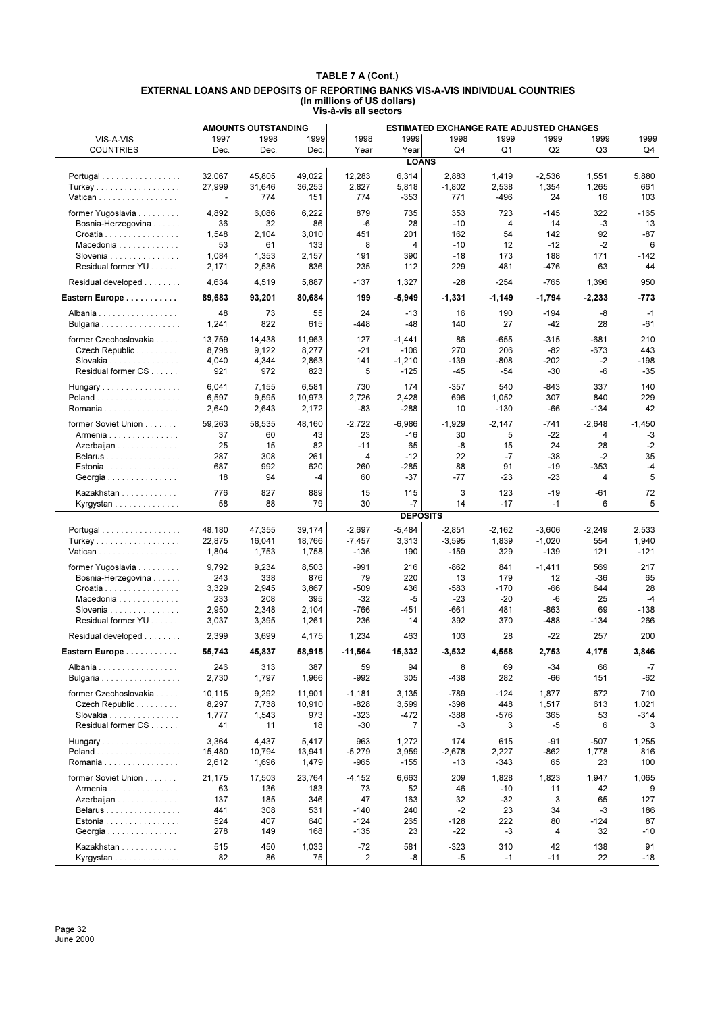|                                           |                  | <b>AMOUNTS OUTSTANDING</b> |                  |                 |                 | <b>ESTIMATED EXCHANGE RATE ADJUSTED CHANGES</b> |                |                |                |              |
|-------------------------------------------|------------------|----------------------------|------------------|-----------------|-----------------|-------------------------------------------------|----------------|----------------|----------------|--------------|
| VIS-A-VIS                                 | 1997             | 1998                       | 1999             | 1998            | 1999            | 1998                                            | 1999           | 1999           | 1999           | 1999         |
| <b>COUNTRIES</b>                          | Dec.             | Dec.                       | Dec.             | Year            | Year            | Q4                                              | Q1             | Q <sub>2</sub> | Q <sub>3</sub> | Q4           |
|                                           |                  |                            |                  |                 | <b>LOANS</b>    |                                                 |                |                |                |              |
|                                           |                  |                            |                  |                 |                 |                                                 |                |                |                |              |
| Portugal                                  | 32,067<br>27,999 | 45,805<br>31,646           | 49,022<br>36,253 | 12,283<br>2,827 | 6,314<br>5,818  | 2,883<br>$-1,802$                               | 1,419<br>2,538 | $-2,536$       | 1,551<br>1,265 | 5,880<br>661 |
| Turkey<br>Vatican                         | ÷,               | 774                        | 151              | 774             | $-353$          | 771                                             | $-496$         | 1,354<br>24    | 16             | 103          |
|                                           |                  |                            |                  |                 |                 |                                                 |                |                |                |              |
| former Yugoslavia                         | 4,892            | 6,086                      | 6,222            | 879             | 735             | 353                                             | 723            | $-145$         | 322            | $-165$       |
| Bosnia-Herzegovina                        | 36               | 32                         | 86               | -6              | 28              | $-10$                                           | 4              | 14             | -3             | 13           |
| Croatia                                   | 1,548            | 2,104                      | 3,010            | 451             | 201             | 162                                             | 54             | 142            | 92             | $-87$        |
| Macedonia                                 | 53               | 61                         | 133              | 8               | 4               | $-10$                                           | 12             | $-12$          | $-2$           | 6            |
| Slovenia<br>Residual former YU            | 1,084            | 1,353                      | 2,157            | 191             | 390             | $-18$                                           | 173            | 188            | 171            | -142         |
| Residual developed                        | 2,171<br>4,634   | 2,536<br>4,519             | 836<br>5,887     | 235<br>$-137$   | 112<br>1,327    | 229<br>$-28$                                    | 481<br>$-254$  | -476<br>$-765$ | 63<br>1,396    | 44<br>950    |
| Eastern Europe                            | 89,683           | 93,201                     | 80,684           | 199             | $-5,949$        | $-1,331$                                        | $-1,149$       | $-1,794$       | $-2,233$       | $-773$       |
|                                           |                  |                            |                  |                 |                 |                                                 |                |                |                |              |
| Albania                                   | 48               | 73                         | 55               | 24              | $-13$           | 16                                              | 190            | $-194$         | -8             | $-1$         |
| Bulgaria                                  | 1,241            | 822                        | 615              | -448            | -48             | 140                                             | 27             | $-42$          | 28             | -61          |
| former Czechoslovakia                     | 13,759           | 14,438                     | 11,963           | 127             | $-1,441$        | 86                                              | $-655$         | $-315$         | $-681$         | 210          |
| Czech Republic                            | 8,798            | 9,122                      | 8,277            | $-21$           | $-106$          | 270                                             | 206            | $-82$          | -673           | 443          |
| Slovakia                                  | 4,040            | 4,344                      | 2,863            | 141             | $-1,210$        | $-139$                                          | $-808$         | $-202$         | $-2$           | $-198$       |
| Residual former CS                        | 921              | 972                        | 823              | 5               | $-125$          | $-45$                                           | -54            | $-30$          | -6             | $-35$        |
| Hungary                                   | 6,041            | 7,155                      | 6,581            | 730             | 174             | $-357$                                          | 540            | $-843$         | 337            | 140          |
| Poland                                    | 6,597            | 9,595                      | 10,973           | 2,726           | 2,428           | 696                                             | 1,052          | 307            | 840            | 229          |
| Romania                                   | 2,640            | 2,643                      | 2,172            | -83             | $-288$          | 10                                              | $-130$         | -66            | $-134$         | 42           |
| former Soviet Union                       | 59,263           | 58.535                     | 48,160           | $-2,722$        | $-6,986$        | $-1,929$                                        | $-2.147$       | $-741$         | $-2,648$       | $-1,450$     |
| Armenia                                   | 37               | 60                         | 43               | 23              | $-16$           | 30                                              | 5              | $-22$          | 4              | -3           |
| Azerbaijan                                | 25               | 15                         | 82               | $-11$           | 65              | -8                                              | 15             | 24             | 28             | $-2$         |
| Belarus                                   | 287              | 308                        | 261              | 4               | $-12$           | 22                                              | $-7$           | $-38$          | $-2$           | 35           |
| Estonia                                   | 687              | 992                        | 620              | 260             | -285            | 88                                              | 91             | $-19$          | $-353$         | $-4$         |
| Georgia                                   | 18               | 94                         | $-4$             | 60              | $-37$           | $-77$                                           | $-23$          | $-23$          | 4              | 5            |
|                                           |                  |                            |                  |                 |                 |                                                 |                |                |                |              |
| Kazakhstan                                | 776              | 827                        | 889              | 15              | 115             | 3                                               | 123            | $-19$          | $-61$          | 72           |
| Kyrgystan                                 | 58               | 88                         | 79               | 30              | $-7$            | 14                                              | $-17$          | $-1$           | 6              | 5            |
|                                           |                  |                            |                  |                 | <b>DEPOSITS</b> |                                                 |                |                |                |              |
| Portugal                                  | 48,180           | 47,355                     | 39,174           | $-2,697$        | $-5,484$        | $-2,851$                                        | $-2,162$       | $-3,606$       | $-2,249$       | 2,533        |
| Turkey                                    | 22,875           | 16,041                     | 18,766           | $-7,457$        | 3,313           | $-3,595$                                        | 1,839          | $-1,020$       | 554            | 1,940        |
| Vatican                                   | 1,804            | 1,753                      | 1,758            | $-136$          | 190             | $-159$                                          | 329            | $-139$         | 121            | $-121$       |
| former Yugoslavia                         | 9,792            | 9,234                      | 8,503            | $-991$          | 216             | $-862$                                          | 841            | $-1,411$       | 569            | 217          |
| Bosnia-Herzegovina                        | 243              | 338                        | 876              | 79              | 220             | 13                                              | 179            | 12             | $-36$          | 65           |
| Croatia                                   | 3,329            | 2,945                      | 3,867            | $-509$          | 436             | $-583$                                          | $-170$         | -66            | 644            | 28           |
| Macedonia                                 | 233              | 208                        | 395              | $-32$           | $-5$            | $-23$                                           | $-20$          | -6             | 25             | $-4$         |
| Slovenia $\ldots$ , $\ldots$ , $\ldots$ , | 2,950            | 2,348                      | 2,104            | $-766$          | -451            | -661                                            | 481            | -863           | 69             | $-138$       |
| Residual former YU                        | 3,037            | 3,395                      | 1,261            | 236             | 14              | 392                                             | 370            | -488           | $-134$         | 266          |
| Residual developed                        | 2,399            | 3,699                      | 4,175            | 1,234           | 463             | 103                                             | 28             | $-22$          | 257            | 200          |
| Eastern Europe                            | 55.743           | 45,837                     | 58,915           | $-11,564$       | 15,332          | $-3,532$                                        | 4.558          | 2.753          | 4.175          | 3,846        |
| Albania                                   | 246              | 313                        | 387              | 59              | 94              | 8                                               | 69             | $-34$          | 66             | $-7$         |
| Bulgaria                                  | 2,730            | 1,797                      | 1,966            | $-992$          | 305             | -438                                            | 282            | -66            | 151            | -62          |
| former Czechoslovakia                     | 10,115           | 9,292                      | 11,901           | $-1,181$        | 3,135           | $-789$                                          | $-124$         | 1,877          | 672            | 710          |
| Czech Republic                            | 8,297            | 7,738                      | 10,910           | $-828$          | 3,599           | $-398$                                          | 448            | 1,517          | 613            | 1,021        |
| Slovakia                                  | 1,777            | 1,543                      | 973              | $-323$          | $-472$          | $-388$                                          | $-576$         | 365            | 53             | $-314$       |
| Residual former CS                        | 41               | 11                         | 18               | $-30$           | 7               | -3                                              | 3              | -5             | 6              | 3            |
| Hungary                                   | 3,364            | 4,437                      | 5,417            | 963             | 1,272           | 174                                             | 615            | -91            | -507           | 1,255        |
| Poland                                    | 15,480           | 10,794                     | 13,941           | $-5,279$        | 3,959           | $-2,678$                                        | 2,227          | $-862$         | 1,778          | 816          |
| Romania                                   | 2,612            | 1,696                      | 1,479            | -965            | $-155$          | -13                                             | -343           | 65             | 23             | 100          |
| former Soviet Union                       |                  |                            |                  |                 |                 |                                                 |                |                |                |              |
|                                           | 21,175<br>63     | 17,503<br>136              | 23,764<br>183    | $-4,152$<br>73  | 6,663           | 209<br>46                                       | 1,828<br>-10   | 1,823<br>11    | 1,947<br>42    | 1,065<br>9   |
| Armenia<br>Azerbaijan                     | 137              | 185                        | 346              | 47              | 52<br>163       | 32                                              | $-32$          | 3              | 65             | 127          |
| Belarus                                   | 441              | 308                        | 531              | $-140$          | 240             | $-2$                                            | 23             | 34             | -3             | 186          |
| Estonia                                   | 524              | 407                        | 640              | $-124$          | 265             | $-128$                                          | 222            | 80             | $-124$         | 87           |
| Georgia                                   | 278              | 149                        | 168              | $-135$          | 23              | -22                                             | $-3$           | 4              | 32             | $-10$        |
|                                           |                  |                            |                  |                 |                 |                                                 |                |                |                |              |
| Kazakhstan                                | 515              | 450                        | 1,033            | $-72$           | 581             | $-323$                                          | 310            | 42             | 138            | 91           |
| Kyrgystan                                 | 82               | 86                         | 75               | $\overline{c}$  | -8              | -5                                              | $-1$           | $-11$          | 22             | $-18$        |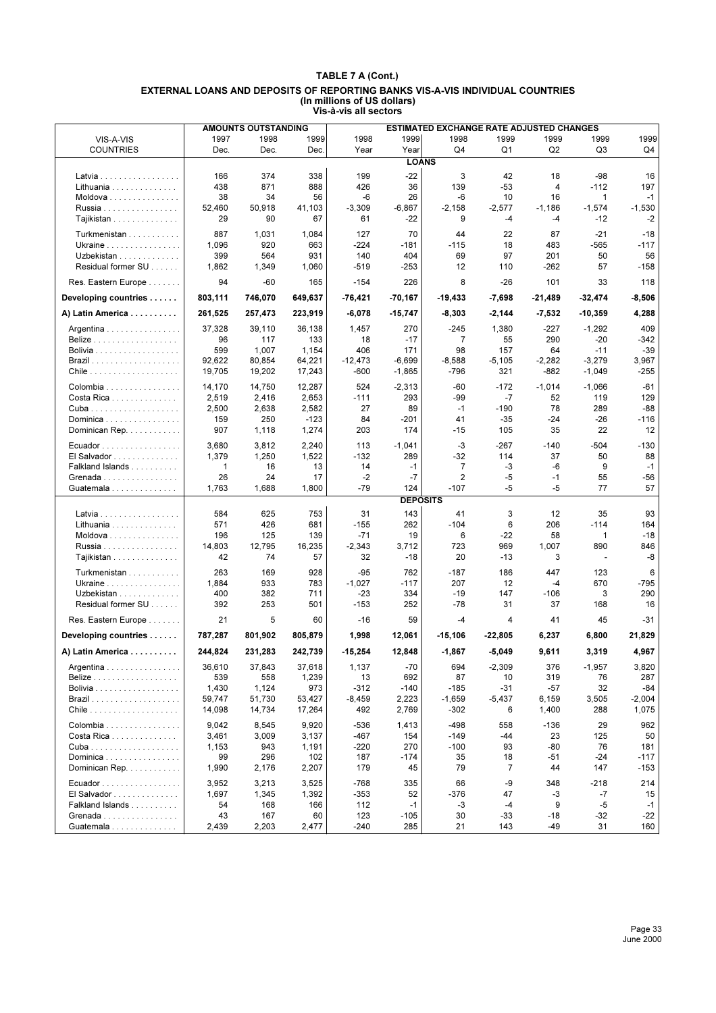|                                             |                | <b>AMOUNTS OUTSTANDING</b> |                | <b>ESTIMATED EXCHANGE RATE ADJUSTED CHANGES</b> |                 |             |                |            |                          |           |
|---------------------------------------------|----------------|----------------------------|----------------|-------------------------------------------------|-----------------|-------------|----------------|------------|--------------------------|-----------|
| VIS-A-VIS                                   | 1997           | 1998                       | 1999           | 1998                                            | 1999            | 1998        | 1999           | 1999       | 1999                     | 1999      |
| <b>COUNTRIES</b>                            | Dec.           | Dec.                       | Dec.           | Year                                            | Year            | Q4          | Q1             | Q2         | Q3                       | Q4        |
|                                             |                |                            |                |                                                 | <b>LOANS</b>    |             |                |            |                          |           |
|                                             |                |                            |                |                                                 |                 |             |                |            |                          |           |
| Latvia                                      | 166            | 374                        | 338            | 199                                             | $-22$           | 3           | 42             | 18         | -98                      | 16        |
| Lithuania                                   | 438            | 871                        | 888            | 426                                             | 36              | 139         | $-53$          | 4          | $-112$                   | 197       |
| Moldova                                     | 38             | 34                         | 56             | $-6$                                            | 26              | -6          | 10             | 16         | $\mathbf{1}$             | $-1$      |
| Russia                                      | 52,460         | 50,918                     | 41,103         | $-3,309$                                        | $-6,867$        | $-2.158$    | $-2,577$       | $-1,186$   | $-1,574$                 | $-1,530$  |
| Tajikistan                                  | 29             | 90                         | 67             | 61                                              | $-22$           | 9           | $-4$           | -4         | $-12$                    | $-2$      |
| Turkmenistan                                | 887            | 1,031                      | 1,084          | 127                                             | 70              | 44          | 22             | 87         | -21                      | -18       |
| Ukraine                                     | 1,096          | 920                        | 663            | $-224$                                          | -181            | $-115$      | 18             | 483        | -565                     | $-117$    |
| Uzbekistan                                  | 399            | 564                        | 931            | 140                                             | 404             | 69          | 97             | 201        | 50                       | 56        |
| Residual former SU                          | 1,862          | 1,349                      | 1,060          | $-519$                                          | -253            | 12          | 110            | -262       | 57                       | $-158$    |
|                                             |                |                            |                |                                                 |                 |             |                |            |                          |           |
| Res. Eastern Europe                         | 94             | -60                        | 165            | $-154$                                          | 226             | 8           | $-26$          | 101        | 33                       | 118       |
| Developing countries                        | 803,111        | 746,070                    | 649,637        | -76,421                                         | $-70,167$       | $-19,433$   | $-7,698$       | $-21,489$  | -32,474                  | -8,506    |
| A) Latin America                            | 261,525        | 257,473                    | 223,919        | $-6,078$                                        | $-15,747$       | $-8,303$    | $-2,144$       | $-7,532$   | $-10,359$                | 4,288     |
|                                             |                |                            |                |                                                 |                 |             |                |            |                          |           |
| Argentina                                   | 37,328         | 39,110                     | 36,138         | 1,457                                           | 270             | -245        | 1,380          | $-227$     | $-1,292$                 | 409       |
| Belize                                      | 96             | 117                        | 133            | 18                                              | $-17$           | 7           | 55             | 290        | -20                      | $-342$    |
| <b>Bolivia</b>                              | 599            | 1,007                      | 1,154          | 406                                             | 171             | 98          | 157            | 64         | $-11$                    | $-39$     |
|                                             | 92,622         | 80,854                     | 64,221         | $-12,473$                                       | $-6,699$        | $-8,588$    | $-5,105$       | $-2,282$   | $-3,279$                 | 3,967     |
|                                             | 19,705         | 19,202                     | 17,243         | $-600$                                          | $-1,865$        | $-796$      | 321            | -882       | $-1,049$                 | $-255$    |
| Colombia                                    | 14,170         | 14,750                     | 12,287         | 524                                             | $-2,313$        | $-60$       | $-172$         | $-1,014$   | $-1,066$                 | $-61$     |
| Costa Rica                                  | 2,519          | 2,416                      | 2,653          | $-111$                                          | 293             | $-99$       | $-7$           | 52         | 119                      | 129       |
|                                             | 2,500          | 2,638                      | 2,582          | 27                                              | 89              | $-1$        | $-190$         | 78         | 289                      | $-88$     |
| Dominica                                    | 159            | 250                        | $-123$         | 84                                              | $-201$          | 41          | $-35$          | $-24$      | $-26$                    | $-116$    |
| Dominican Rep.                              | 907            | 1,118                      | 1,274          | 203                                             | 174             | $-15$       | 105            | 35         | 22                       | 12        |
|                                             |                | 3,812                      |                | 113                                             | $-1,041$        | $-3$        | -267           | $-140$     | $-504$                   | -130      |
| Ecuador                                     | 3,680<br>1,379 | 1,250                      | 2,240<br>1,522 | $-132$                                          | 289             | -32         | 114            | 37         | 50                       | 88        |
| El Salvador                                 |                |                            |                | 14                                              | $-1$            | 7           | -3             | $-6$       | 9                        | $-1$      |
| Falkland Islands                            | 1              | 16                         | 13             |                                                 |                 |             |                |            |                          |           |
| Grenada                                     | 26<br>1,763    | 24<br>1,688                | 17<br>1,800    | $-2$<br>$-79$                                   | $-7$<br>124     | 2<br>$-107$ | $-5$<br>$-5$   | $-1$<br>-5 | 55<br>77                 | -56<br>57 |
| Guatemala                                   |                |                            |                |                                                 |                 |             |                |            |                          |           |
|                                             |                |                            |                |                                                 | <b>DEPOSITS</b> |             |                |            |                          |           |
| Latvia                                      | 584            | 625                        | 753            | 31                                              | 143             | 41          | 3              | 12         | 35                       | 93        |
| Lithuania                                   | 571            | 426                        | 681            | $-155$                                          | 262             | $-104$      | 6              | 206        | $-114$                   | 164       |
| Moldova                                     | 196            | 125                        | 139            | $-71$                                           | 19              | 6           | -22            | 58         | $\mathbf{1}$             | $-18$     |
| Russia                                      | 14,803         | 12,795                     | 16,235         | $-2,343$                                        | 3,712           | 723         | 969            | 1,007      | 890                      | 846       |
| Tajikistan                                  | 42             | 74                         | 57             | 32                                              | $-18$           | 20          | $-13$          | 3          | $\overline{\phantom{a}}$ | -8        |
| Turkmenistan                                | 263            | 169                        | 928            | $-95$                                           | 762             | $-187$      | 186            | 447        | 123                      | 6         |
| Ukraine                                     | 1,884          | 933                        | 783            | $-1,027$                                        | $-117$          | 207         | 12             | $-4$       | 670                      | -795      |
| Uzbekistan                                  | 400            | 382                        | 711            | $-23$                                           | 334             | $-19$       | 147            | $-106$     | 3                        | 290       |
| Residual former SU                          | 392            | 253                        | 501            | $-153$                                          | 252             | -78         | 31             | 37         | 168                      | 16        |
|                                             |                |                            |                |                                                 |                 |             |                |            |                          |           |
| Res. Eastern Europe                         | 21             | 5                          | 60             | $-16$                                           | 59              | -4          | 4              | 41         | 45                       | $-31$     |
| Developing countries                        | 787,287        | 801,902                    | 805,879        | 1,998                                           | 12,061          | $-15,106$   | $-22,805$      | 6,237      | 6,800                    | 21,829    |
| A) Latin America                            | 244,824        | 231,283                    | 242,739        | $-15,254$                                       | 12,848          | $-1,867$    | $-5,049$       | 9,611      | 3,319                    | 4,967     |
| Argentina                                   | 36,610         | 37,843                     | 37,618         | 1,137                                           | $-70$           | 694         | $-2,309$       | 376        | $-1,957$                 | 3,820     |
| <b>Belize</b>                               | 539            | 558                        | 1,239          | 13                                              | 692             | 87          | 10             | 319        | 76                       | 287       |
| Bolivia                                     | 1,430          | 1,124                      | 973            | $-312$                                          | $-140$          | $-185$      | $-31$          | $-57$      | 32                       | -84       |
|                                             | 59,747         | 51,730                     | 53,427         | $-8,459$                                        | 2,223           | $-1,659$    | $-5,437$       | 6,159      | 3,505                    | $-2,004$  |
|                                             | 14,098         | 14,734                     | 17,264         | 492                                             | 2,769           | $-302$      | 6              | 1,400      | 288                      | 1,075     |
|                                             |                |                            |                |                                                 |                 |             |                |            |                          |           |
| Colombia                                    | 9,042          | 8,545                      | 9,920          | $-536$                                          | 1,413           | -498        | 558            | $-136$     | 29                       | 962       |
| Costa Rica                                  | 3,461          | 3,009                      | 3,137          | -467                                            | 154             | $-149$      | -44            | 23         | 125                      | 50        |
|                                             | 1,153          | 943                        | 1,191          | $-220$                                          | 270             | $-100$      | 93             | -80        | 76                       | 181       |
| Dominica                                    | 99             | 296                        | 102            | 187                                             | -174            | 35          | 18             | $-51$      | $-24$                    | $-117$    |
| Dominican Rep.                              | 1,990          | 2,176                      | 2,207          | 179                                             | 45              | 79          | $\overline{7}$ | 44         | 147                      | $-153$    |
| Ecuador                                     | 3,952          | 3,213                      | 3,525          | $-768$                                          | 335             | 66          | -9             | 348        | $-218$                   | 214       |
| $El$ Salvador $\ldots \ldots \ldots \ldots$ | 1,697          | 1,345                      | 1,392          | $-353$                                          | 52              | $-376$      | 47             | -3         | -7                       | 15        |
| Falkland Islands                            | 54             | 168                        | 166            | 112                                             | $-1$            | -3          | -4             | 9          | -5                       | $-1$      |
| Grenada                                     | 43             | 167                        | 60             | 123                                             | $-105$          | 30          | -33            | -18        | -32                      | -22       |
| Guatemala                                   | 2,439          | 2,203                      | 2,477          | $-240$                                          | 285             | 21          | 143            | -49        | 31                       | 160       |
|                                             |                |                            |                |                                                 |                 |             |                |            |                          |           |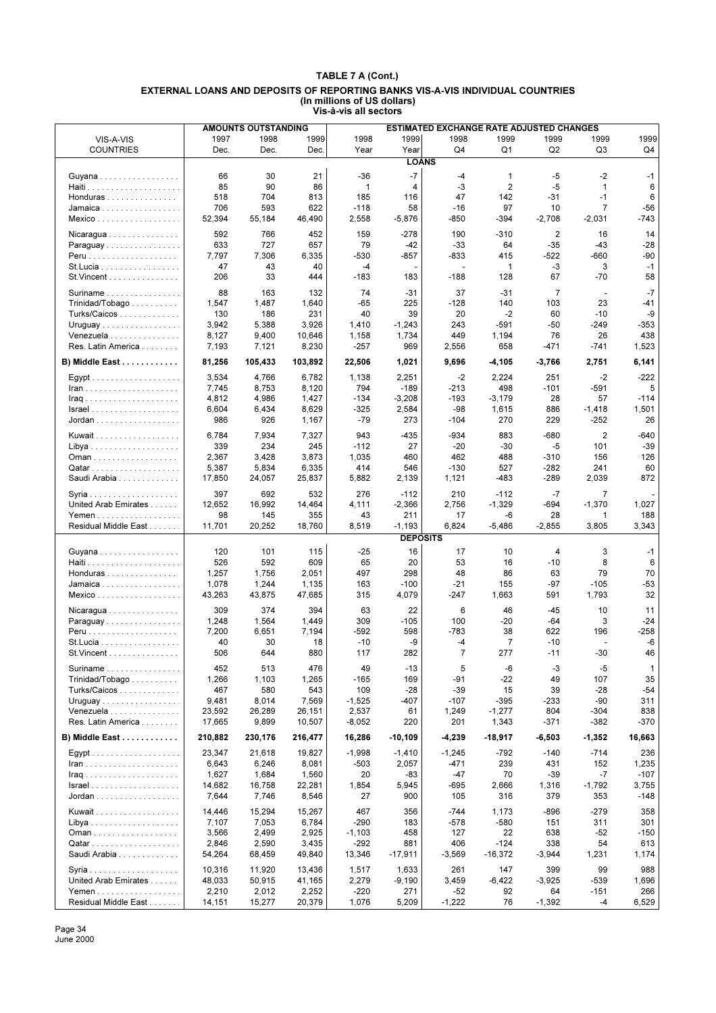| 1997<br>1998<br>1999<br>1998<br>1999<br>1998<br>1999<br>1999<br>1999<br>1999<br>VIS-A-VIS<br>Dec.<br>Dec.<br>Year<br>Year<br>Q4<br>Q1<br>Q2<br>Q3<br>Q4<br><b>COUNTRIES</b><br>Dec.<br><b>LOANS</b><br>21<br>$-7$<br>$-5$<br>$-2$<br>66<br>30<br>-36<br>-4<br>$\mathbf 1$<br>$-1$<br>Guyana<br>85<br>90<br>$\mathbf{1}$<br>-3<br>$\overline{2}$<br>$-5$<br>$\mathbf{1}$<br>6<br>86<br>4<br>704<br>813<br>185<br>47<br>142<br>$-1$<br>6<br>518<br>116<br>$-31$<br>Honduras<br>593<br>622<br>$\overline{7}$<br>$-56$<br>706<br>$-118$<br>58<br>$-16$<br>97<br>10<br>Jamaica<br>$-743$<br>52,394<br>55,184<br>46,490<br>2,558<br>$-5,876$<br>-850<br>$-394$<br>$-2,708$<br>$-2,031$<br>Mexico<br>592<br>766<br>452<br>159<br>-278<br>190<br>$-310$<br>2<br>16<br>14<br>Nicaragua<br>633<br>727<br>657<br>79<br>$-35$<br>$-42$<br>$-33$<br>64<br>$-43$<br>$-28$<br>Paraguay<br>6,335<br>$-530$<br>$-660$<br>-90<br>7,797<br>7,306<br>-857<br>$-833$<br>415<br>$-522$<br>3<br>47<br>43<br>40<br>$-4$<br>1<br>-3<br>$-1$<br>St. Lucia<br>$\overline{\phantom{a}}$<br>$-183$<br>67<br>$-70$<br>58<br>St. Vincent<br>206<br>33<br>444<br>183<br>$-188$<br>128<br>$-7$<br>88<br>74<br>37<br>$\overline{7}$<br>163<br>132<br>-31<br>$-31$<br>Suriname<br>$\overline{\phantom{a}}$<br>$-65$<br>23<br>1,547<br>1,487<br>1,640<br>225<br>$-128$<br>140<br>103<br>-41<br>$Trivialad/Tobago \ldots $<br>40<br>130<br>186<br>231<br>39<br>20<br>$-2$<br>60<br>$-10$<br>-9<br>Turks/Caicos<br>$-353$<br>3,942<br>5,388<br>3,926<br>1,410<br>$-1,243$<br>243<br>-591<br>$-50$<br>$-249$<br>Uruguay<br>438<br>Venezuela<br>8,127<br>9,400<br>10,646<br>1,158<br>1,734<br>449<br>1,194<br>76<br>26<br>Res. Latin America<br>7,193<br>8,230<br>$-257$<br>969<br>658<br>1,523<br>7,121<br>2,556<br>-471<br>-741<br>81,256<br>6,141<br>B) Middle East<br>105,433<br>103,892<br>22,506<br>1,021<br>9,696<br>-4,105<br>$-3,766$<br>2,751<br>6,782<br>3,534<br>4,766<br>1,138<br>2,251<br>$-2$<br>2,224<br>251<br>$-2$<br>$-222$<br>794<br>5<br>7,745<br>8,753<br>8,120<br>$-189$<br>$-213$<br>498<br>$-101$<br>$-591$<br>$lran$<br>4,812<br>4,986<br>1,427<br>$-134$<br>$-3,208$<br>$-193$<br>$-3,179$<br>28<br>57<br>$-114$<br>6,604<br>6,434<br>8,629<br>-325<br>2,584<br>-98<br>1,615<br>886<br>$-1,418$<br>1,501<br>$Israel \ldots \ldots \ldots \ldots \ldots \ldots$<br>270<br>986<br>926<br>1,167<br>$-79$<br>273<br>229<br>-252<br>26<br>Jordan<br>-104<br>6,784<br>7,934<br>943<br>$-934$<br>883<br>$\overline{2}$<br>$-640$<br>7,327<br>-435<br>$-680$<br>Kuwait<br>339<br>234<br>245<br>$-112$<br>27<br>$-20$<br>$-30$<br>-5<br>101<br>$-39$<br>3,428<br>462<br>126<br>2,367<br>3,873<br>1,035<br>460<br>488<br>$-310$<br>156<br>414<br>60<br>5,387<br>5,834<br>6,335<br>546<br>$-130$<br>527<br>$-282$<br>241<br>Qatar<br>872<br>Saudi Arabia<br>17,850<br>24,057<br>25,837<br>5,882<br>2,139<br>1,121<br>$-483$<br>$-289$<br>2,039<br>276<br>397<br>692<br>532<br>$-112$<br>210<br>$-112$<br>$-7$<br>7<br>2,756<br>12,652<br>16,992<br>14,464<br>4,111<br>$-2,366$<br>$-1,329$<br>$-1,370$<br>1,027<br>United Arab Emirates<br>-694<br>98<br>43<br>Yemen<br>145<br>355<br>211<br>17<br>-6<br>28<br>188<br>1<br>11,701<br>6,824<br>Residual Middle East<br>20,252<br>18,760<br>8,519<br>$-1,193$<br>$-5,486$<br>$-2,855$<br>3,805<br>3,343<br><b>DEPOSITS</b><br>16<br>120<br>101<br>115<br>$-25$<br>17<br>10<br>4<br>3<br>$-1$<br>Guyana<br>526<br>592<br>609<br>65<br>20<br>53<br>8<br>6<br>16<br>$-10$<br>1,257<br>1,756<br>2,051<br>497<br>48<br>79<br>70<br>298<br>86<br>63<br>Honduras<br>$-53$<br>1,078<br>1,244<br>1,135<br>163<br>$-100$<br>-21<br>155<br>-97<br>$-105$<br>Jamaica<br>43,875<br>32<br>43,263<br>47,685<br>315<br>4,079<br>-247<br>1,663<br>591<br>1,793<br>Mexico<br>309<br>374<br>394<br>22<br>6<br>11<br>63<br>46<br>$-45$<br>10<br>Nicaragua<br>$-20$<br>1,564<br>1,449<br>309<br>$-105$<br>100<br>-64<br>3<br>$-24$<br>Paraguay<br>1,248<br>7,200<br>6,651<br>7,194<br>-592<br>598<br>$-783$<br>38<br>622<br>196<br>-258<br>-6<br>40<br>30<br>18<br>$-10$<br>-9<br>-4<br>7<br>$-10$<br>St. Lucia<br>÷,<br>$\overline{7}$<br>46<br>506<br>644<br>880<br>117<br>282<br>277<br>$-11$<br>$-30$<br>$St.Vincent$<br>49<br>5<br>-6<br>$-5$<br>Suriname<br>452<br>513<br>476<br>-13<br>-3<br>$\mathbf{1}$<br>169<br>$-91$<br>$-22$<br>107<br>35<br>Trinidad/Tobago<br>1,266<br>1,103<br>1,265<br>$-165$<br>49<br>109<br>$-28$<br>$-39$<br>Turks/Caicos<br>467<br>580<br>543<br>15<br>39<br>-28<br>$-54$<br>9,481<br>8,014<br>7,569<br>$-1,525$<br>-407<br>$-107$<br>-395<br>$-233$<br>$-90$<br>311<br>Uruguay<br>Venezuela<br>26,289<br>26,151<br>2,537<br>61<br>1,249<br>$-1,277$<br>804<br>-304<br>838<br>23,592<br>Res. Latin America<br>9,899<br>10,507<br>$-8,052$<br>220<br>201<br>1,343<br>$-371$<br>-382<br>-370<br>17,665<br>B) Middle East<br>210,882<br>16,286<br>$-10,109$<br>$-4,239$<br>$-18,917$<br>$-1,352$<br>16,663<br>230,176<br>216,477<br>-6,503<br>23,347<br>21,618<br>19,827<br>$-1,998$<br>$-792$<br>$-140$<br>$-714$<br>236<br>$-1,410$<br>$-1,245$<br>6,643<br>6,246<br>8,081<br>$-503$<br>2,057<br>$-471$<br>239<br>431<br>152<br>1,235<br>1,627<br>1,684<br>1,560<br>20<br>$-47$<br>70<br>$-39$<br>$-7$<br>$-107$<br>-83<br>14,682<br>16,758<br>22,281<br>1,854<br>5,945<br>-695<br>2,666<br>1,316<br>$-1,792$<br>3,755<br>7,746<br>8,546<br>27<br>900<br>316<br>379<br>353<br>$-148$<br>7,644<br>105<br>$-279$<br>358<br>14,446<br>15,294<br>15,267<br>467<br>356<br>$-744$<br>1,173<br>$-896$<br>Kuwait<br>7,107<br>6,784<br>-290<br>183<br>$-578$<br>$-580$<br>311<br>301<br>7,053<br>151<br>3,566<br>2,925<br>458<br>22<br>638<br>$-52$<br>$-150$<br>2,499<br>$-1,103$<br>127<br>2,590<br>3,435<br>$-292$<br>881<br>406<br>$-124$<br>338<br>54<br>613<br>2,846<br>1,174<br>Saudi Arabia<br>49,840<br>13,346<br>$-17,911$<br>$-16,372$<br>1,231<br>54,264<br>68,459<br>$-3,569$<br>$-3,944$<br>99<br>10,316<br>11,920<br>13,436<br>1,517<br>1,633<br>261<br>147<br>399<br>988<br>United Arab Emirates<br>$-6,422$<br>-539<br>1,696<br>48,033<br>50,915<br>41,165<br>2,279<br>$-9,190$<br>3,459<br>$-3,925$<br>2,252<br>$-220$<br>271<br>$-52$<br>$-151$<br>266<br>Yemen<br>2,210<br>2,012<br>92<br>64<br>Residual Middle East<br>20,379<br>1,076<br>5,209<br>$-1,222$<br>76<br>$-1,392$<br>$-4$<br>6,529<br>14,151 | <b>AMOUNTS OUTSTANDING</b> |        |  | ESTIMATED EXCHANGE RATE ADJUSTED CHANGES |  |  |  |  |  |  |  |
|-----------------------------------------------------------------------------------------------------------------------------------------------------------------------------------------------------------------------------------------------------------------------------------------------------------------------------------------------------------------------------------------------------------------------------------------------------------------------------------------------------------------------------------------------------------------------------------------------------------------------------------------------------------------------------------------------------------------------------------------------------------------------------------------------------------------------------------------------------------------------------------------------------------------------------------------------------------------------------------------------------------------------------------------------------------------------------------------------------------------------------------------------------------------------------------------------------------------------------------------------------------------------------------------------------------------------------------------------------------------------------------------------------------------------------------------------------------------------------------------------------------------------------------------------------------------------------------------------------------------------------------------------------------------------------------------------------------------------------------------------------------------------------------------------------------------------------------------------------------------------------------------------------------------------------------------------------------------------------------------------------------------------------------------------------------------------------------------------------------------------------------------------------------------------------------------------------------------------------------------------------------------------------------------------------------------------------------------------------------------------------------------------------------------------------------------------------------------------------------------------------------------------------------------------------------------------------------------------------------------------------------------------------------------------------------------------------------------------------------------------------------------------------------------------------------------------------------------------------------------------------------------------------------------------------------------------------------------------------------------------------------------------------------------------------------------------------------------------------------------------------------------------------------------------------------------------------------------------------------------------------------------------------------------------------------------------------------------------------------------------------------------------------------------------------------------------------------------------------------------------------------------------------------------------------------------------------------------------------------------------------------------------------------------------------------------------------------------------------------------------------------------------------------------------------------------------------------------------------------------------------------------------------------------------------------------------------------------------------------------------------------------------------------------------------------------------------------------------------------------------------------------------------------------------------------------------------------------------------------------------------------------------------------------------------------------------------------------------------------------------------------------------------------------------------------------------------------------------------------------------------------------------------------------------------------------------------------------------------------------------------------------------------------------------------------------------------------------------------------------------------------------------------------------------------------------------------------------------------------------------------------------------------------------------------------------------------------------------------------------------------------------------------------------------------------------------------------------------------------------------------------------------------------------------------------------------------------------------------------------------------------------------------------------------------------------------------------------------------------------------------------------------------------------------------------------------------------------------------------------------------------------------------------------------------------------------------------------------------------------------------------------------------------------------------------------------------------------------------------------------------------------------------------------------------------------------------------------------------------------------------------------------------------------------------------------------------------------------------------------------------------------------------------------------------------------------------------------------------------------------------------------------------------------------------------------------------------------------------------------------------------------------------------------------------------------------------------------------------------|----------------------------|--------|--|------------------------------------------|--|--|--|--|--|--|--|
|                                                                                                                                                                                                                                                                                                                                                                                                                                                                                                                                                                                                                                                                                                                                                                                                                                                                                                                                                                                                                                                                                                                                                                                                                                                                                                                                                                                                                                                                                                                                                                                                                                                                                                                                                                                                                                                                                                                                                                                                                                                                                                                                                                                                                                                                                                                                                                                                                                                                                                                                                                                                                                                                                                                                                                                                                                                                                                                                                                                                                                                                                                                                                                                                                                                                                                                                                                                                                                                                                                                                                                                                                                                                                                                                                                                                                                                                                                                                                                                                                                                                                                                                                                                                                                                                                                                                                                                                                                                                                                                                                                                                                                                                                                                                                                                                                                                                                                                                                                                                                                                                                                                                                                                                                                                                                                                                                                                                                                                                                                                                                                                                                                                                                                                                                                                                                                                                                                                                                                                                                                                                                                                                                                                                                                                                                                                                                           |                            |        |  |                                          |  |  |  |  |  |  |  |
|                                                                                                                                                                                                                                                                                                                                                                                                                                                                                                                                                                                                                                                                                                                                                                                                                                                                                                                                                                                                                                                                                                                                                                                                                                                                                                                                                                                                                                                                                                                                                                                                                                                                                                                                                                                                                                                                                                                                                                                                                                                                                                                                                                                                                                                                                                                                                                                                                                                                                                                                                                                                                                                                                                                                                                                                                                                                                                                                                                                                                                                                                                                                                                                                                                                                                                                                                                                                                                                                                                                                                                                                                                                                                                                                                                                                                                                                                                                                                                                                                                                                                                                                                                                                                                                                                                                                                                                                                                                                                                                                                                                                                                                                                                                                                                                                                                                                                                                                                                                                                                                                                                                                                                                                                                                                                                                                                                                                                                                                                                                                                                                                                                                                                                                                                                                                                                                                                                                                                                                                                                                                                                                                                                                                                                                                                                                                                           |                            |        |  |                                          |  |  |  |  |  |  |  |
|                                                                                                                                                                                                                                                                                                                                                                                                                                                                                                                                                                                                                                                                                                                                                                                                                                                                                                                                                                                                                                                                                                                                                                                                                                                                                                                                                                                                                                                                                                                                                                                                                                                                                                                                                                                                                                                                                                                                                                                                                                                                                                                                                                                                                                                                                                                                                                                                                                                                                                                                                                                                                                                                                                                                                                                                                                                                                                                                                                                                                                                                                                                                                                                                                                                                                                                                                                                                                                                                                                                                                                                                                                                                                                                                                                                                                                                                                                                                                                                                                                                                                                                                                                                                                                                                                                                                                                                                                                                                                                                                                                                                                                                                                                                                                                                                                                                                                                                                                                                                                                                                                                                                                                                                                                                                                                                                                                                                                                                                                                                                                                                                                                                                                                                                                                                                                                                                                                                                                                                                                                                                                                                                                                                                                                                                                                                                                           |                            |        |  |                                          |  |  |  |  |  |  |  |
|                                                                                                                                                                                                                                                                                                                                                                                                                                                                                                                                                                                                                                                                                                                                                                                                                                                                                                                                                                                                                                                                                                                                                                                                                                                                                                                                                                                                                                                                                                                                                                                                                                                                                                                                                                                                                                                                                                                                                                                                                                                                                                                                                                                                                                                                                                                                                                                                                                                                                                                                                                                                                                                                                                                                                                                                                                                                                                                                                                                                                                                                                                                                                                                                                                                                                                                                                                                                                                                                                                                                                                                                                                                                                                                                                                                                                                                                                                                                                                                                                                                                                                                                                                                                                                                                                                                                                                                                                                                                                                                                                                                                                                                                                                                                                                                                                                                                                                                                                                                                                                                                                                                                                                                                                                                                                                                                                                                                                                                                                                                                                                                                                                                                                                                                                                                                                                                                                                                                                                                                                                                                                                                                                                                                                                                                                                                                                           |                            |        |  |                                          |  |  |  |  |  |  |  |
|                                                                                                                                                                                                                                                                                                                                                                                                                                                                                                                                                                                                                                                                                                                                                                                                                                                                                                                                                                                                                                                                                                                                                                                                                                                                                                                                                                                                                                                                                                                                                                                                                                                                                                                                                                                                                                                                                                                                                                                                                                                                                                                                                                                                                                                                                                                                                                                                                                                                                                                                                                                                                                                                                                                                                                                                                                                                                                                                                                                                                                                                                                                                                                                                                                                                                                                                                                                                                                                                                                                                                                                                                                                                                                                                                                                                                                                                                                                                                                                                                                                                                                                                                                                                                                                                                                                                                                                                                                                                                                                                                                                                                                                                                                                                                                                                                                                                                                                                                                                                                                                                                                                                                                                                                                                                                                                                                                                                                                                                                                                                                                                                                                                                                                                                                                                                                                                                                                                                                                                                                                                                                                                                                                                                                                                                                                                                                           |                            |        |  |                                          |  |  |  |  |  |  |  |
|                                                                                                                                                                                                                                                                                                                                                                                                                                                                                                                                                                                                                                                                                                                                                                                                                                                                                                                                                                                                                                                                                                                                                                                                                                                                                                                                                                                                                                                                                                                                                                                                                                                                                                                                                                                                                                                                                                                                                                                                                                                                                                                                                                                                                                                                                                                                                                                                                                                                                                                                                                                                                                                                                                                                                                                                                                                                                                                                                                                                                                                                                                                                                                                                                                                                                                                                                                                                                                                                                                                                                                                                                                                                                                                                                                                                                                                                                                                                                                                                                                                                                                                                                                                                                                                                                                                                                                                                                                                                                                                                                                                                                                                                                                                                                                                                                                                                                                                                                                                                                                                                                                                                                                                                                                                                                                                                                                                                                                                                                                                                                                                                                                                                                                                                                                                                                                                                                                                                                                                                                                                                                                                                                                                                                                                                                                                                                           |                            |        |  |                                          |  |  |  |  |  |  |  |
|                                                                                                                                                                                                                                                                                                                                                                                                                                                                                                                                                                                                                                                                                                                                                                                                                                                                                                                                                                                                                                                                                                                                                                                                                                                                                                                                                                                                                                                                                                                                                                                                                                                                                                                                                                                                                                                                                                                                                                                                                                                                                                                                                                                                                                                                                                                                                                                                                                                                                                                                                                                                                                                                                                                                                                                                                                                                                                                                                                                                                                                                                                                                                                                                                                                                                                                                                                                                                                                                                                                                                                                                                                                                                                                                                                                                                                                                                                                                                                                                                                                                                                                                                                                                                                                                                                                                                                                                                                                                                                                                                                                                                                                                                                                                                                                                                                                                                                                                                                                                                                                                                                                                                                                                                                                                                                                                                                                                                                                                                                                                                                                                                                                                                                                                                                                                                                                                                                                                                                                                                                                                                                                                                                                                                                                                                                                                                           |                            |        |  |                                          |  |  |  |  |  |  |  |
|                                                                                                                                                                                                                                                                                                                                                                                                                                                                                                                                                                                                                                                                                                                                                                                                                                                                                                                                                                                                                                                                                                                                                                                                                                                                                                                                                                                                                                                                                                                                                                                                                                                                                                                                                                                                                                                                                                                                                                                                                                                                                                                                                                                                                                                                                                                                                                                                                                                                                                                                                                                                                                                                                                                                                                                                                                                                                                                                                                                                                                                                                                                                                                                                                                                                                                                                                                                                                                                                                                                                                                                                                                                                                                                                                                                                                                                                                                                                                                                                                                                                                                                                                                                                                                                                                                                                                                                                                                                                                                                                                                                                                                                                                                                                                                                                                                                                                                                                                                                                                                                                                                                                                                                                                                                                                                                                                                                                                                                                                                                                                                                                                                                                                                                                                                                                                                                                                                                                                                                                                                                                                                                                                                                                                                                                                                                                                           |                            |        |  |                                          |  |  |  |  |  |  |  |
|                                                                                                                                                                                                                                                                                                                                                                                                                                                                                                                                                                                                                                                                                                                                                                                                                                                                                                                                                                                                                                                                                                                                                                                                                                                                                                                                                                                                                                                                                                                                                                                                                                                                                                                                                                                                                                                                                                                                                                                                                                                                                                                                                                                                                                                                                                                                                                                                                                                                                                                                                                                                                                                                                                                                                                                                                                                                                                                                                                                                                                                                                                                                                                                                                                                                                                                                                                                                                                                                                                                                                                                                                                                                                                                                                                                                                                                                                                                                                                                                                                                                                                                                                                                                                                                                                                                                                                                                                                                                                                                                                                                                                                                                                                                                                                                                                                                                                                                                                                                                                                                                                                                                                                                                                                                                                                                                                                                                                                                                                                                                                                                                                                                                                                                                                                                                                                                                                                                                                                                                                                                                                                                                                                                                                                                                                                                                                           |                            |        |  |                                          |  |  |  |  |  |  |  |
|                                                                                                                                                                                                                                                                                                                                                                                                                                                                                                                                                                                                                                                                                                                                                                                                                                                                                                                                                                                                                                                                                                                                                                                                                                                                                                                                                                                                                                                                                                                                                                                                                                                                                                                                                                                                                                                                                                                                                                                                                                                                                                                                                                                                                                                                                                                                                                                                                                                                                                                                                                                                                                                                                                                                                                                                                                                                                                                                                                                                                                                                                                                                                                                                                                                                                                                                                                                                                                                                                                                                                                                                                                                                                                                                                                                                                                                                                                                                                                                                                                                                                                                                                                                                                                                                                                                                                                                                                                                                                                                                                                                                                                                                                                                                                                                                                                                                                                                                                                                                                                                                                                                                                                                                                                                                                                                                                                                                                                                                                                                                                                                                                                                                                                                                                                                                                                                                                                                                                                                                                                                                                                                                                                                                                                                                                                                                                           |                            |        |  |                                          |  |  |  |  |  |  |  |
|                                                                                                                                                                                                                                                                                                                                                                                                                                                                                                                                                                                                                                                                                                                                                                                                                                                                                                                                                                                                                                                                                                                                                                                                                                                                                                                                                                                                                                                                                                                                                                                                                                                                                                                                                                                                                                                                                                                                                                                                                                                                                                                                                                                                                                                                                                                                                                                                                                                                                                                                                                                                                                                                                                                                                                                                                                                                                                                                                                                                                                                                                                                                                                                                                                                                                                                                                                                                                                                                                                                                                                                                                                                                                                                                                                                                                                                                                                                                                                                                                                                                                                                                                                                                                                                                                                                                                                                                                                                                                                                                                                                                                                                                                                                                                                                                                                                                                                                                                                                                                                                                                                                                                                                                                                                                                                                                                                                                                                                                                                                                                                                                                                                                                                                                                                                                                                                                                                                                                                                                                                                                                                                                                                                                                                                                                                                                                           |                            |        |  |                                          |  |  |  |  |  |  |  |
|                                                                                                                                                                                                                                                                                                                                                                                                                                                                                                                                                                                                                                                                                                                                                                                                                                                                                                                                                                                                                                                                                                                                                                                                                                                                                                                                                                                                                                                                                                                                                                                                                                                                                                                                                                                                                                                                                                                                                                                                                                                                                                                                                                                                                                                                                                                                                                                                                                                                                                                                                                                                                                                                                                                                                                                                                                                                                                                                                                                                                                                                                                                                                                                                                                                                                                                                                                                                                                                                                                                                                                                                                                                                                                                                                                                                                                                                                                                                                                                                                                                                                                                                                                                                                                                                                                                                                                                                                                                                                                                                                                                                                                                                                                                                                                                                                                                                                                                                                                                                                                                                                                                                                                                                                                                                                                                                                                                                                                                                                                                                                                                                                                                                                                                                                                                                                                                                                                                                                                                                                                                                                                                                                                                                                                                                                                                                                           |                            |        |  |                                          |  |  |  |  |  |  |  |
|                                                                                                                                                                                                                                                                                                                                                                                                                                                                                                                                                                                                                                                                                                                                                                                                                                                                                                                                                                                                                                                                                                                                                                                                                                                                                                                                                                                                                                                                                                                                                                                                                                                                                                                                                                                                                                                                                                                                                                                                                                                                                                                                                                                                                                                                                                                                                                                                                                                                                                                                                                                                                                                                                                                                                                                                                                                                                                                                                                                                                                                                                                                                                                                                                                                                                                                                                                                                                                                                                                                                                                                                                                                                                                                                                                                                                                                                                                                                                                                                                                                                                                                                                                                                                                                                                                                                                                                                                                                                                                                                                                                                                                                                                                                                                                                                                                                                                                                                                                                                                                                                                                                                                                                                                                                                                                                                                                                                                                                                                                                                                                                                                                                                                                                                                                                                                                                                                                                                                                                                                                                                                                                                                                                                                                                                                                                                                           |                            |        |  |                                          |  |  |  |  |  |  |  |
|                                                                                                                                                                                                                                                                                                                                                                                                                                                                                                                                                                                                                                                                                                                                                                                                                                                                                                                                                                                                                                                                                                                                                                                                                                                                                                                                                                                                                                                                                                                                                                                                                                                                                                                                                                                                                                                                                                                                                                                                                                                                                                                                                                                                                                                                                                                                                                                                                                                                                                                                                                                                                                                                                                                                                                                                                                                                                                                                                                                                                                                                                                                                                                                                                                                                                                                                                                                                                                                                                                                                                                                                                                                                                                                                                                                                                                                                                                                                                                                                                                                                                                                                                                                                                                                                                                                                                                                                                                                                                                                                                                                                                                                                                                                                                                                                                                                                                                                                                                                                                                                                                                                                                                                                                                                                                                                                                                                                                                                                                                                                                                                                                                                                                                                                                                                                                                                                                                                                                                                                                                                                                                                                                                                                                                                                                                                                                           |                            |        |  |                                          |  |  |  |  |  |  |  |
|                                                                                                                                                                                                                                                                                                                                                                                                                                                                                                                                                                                                                                                                                                                                                                                                                                                                                                                                                                                                                                                                                                                                                                                                                                                                                                                                                                                                                                                                                                                                                                                                                                                                                                                                                                                                                                                                                                                                                                                                                                                                                                                                                                                                                                                                                                                                                                                                                                                                                                                                                                                                                                                                                                                                                                                                                                                                                                                                                                                                                                                                                                                                                                                                                                                                                                                                                                                                                                                                                                                                                                                                                                                                                                                                                                                                                                                                                                                                                                                                                                                                                                                                                                                                                                                                                                                                                                                                                                                                                                                                                                                                                                                                                                                                                                                                                                                                                                                                                                                                                                                                                                                                                                                                                                                                                                                                                                                                                                                                                                                                                                                                                                                                                                                                                                                                                                                                                                                                                                                                                                                                                                                                                                                                                                                                                                                                                           |                            |        |  |                                          |  |  |  |  |  |  |  |
|                                                                                                                                                                                                                                                                                                                                                                                                                                                                                                                                                                                                                                                                                                                                                                                                                                                                                                                                                                                                                                                                                                                                                                                                                                                                                                                                                                                                                                                                                                                                                                                                                                                                                                                                                                                                                                                                                                                                                                                                                                                                                                                                                                                                                                                                                                                                                                                                                                                                                                                                                                                                                                                                                                                                                                                                                                                                                                                                                                                                                                                                                                                                                                                                                                                                                                                                                                                                                                                                                                                                                                                                                                                                                                                                                                                                                                                                                                                                                                                                                                                                                                                                                                                                                                                                                                                                                                                                                                                                                                                                                                                                                                                                                                                                                                                                                                                                                                                                                                                                                                                                                                                                                                                                                                                                                                                                                                                                                                                                                                                                                                                                                                                                                                                                                                                                                                                                                                                                                                                                                                                                                                                                                                                                                                                                                                                                                           |                            |        |  |                                          |  |  |  |  |  |  |  |
|                                                                                                                                                                                                                                                                                                                                                                                                                                                                                                                                                                                                                                                                                                                                                                                                                                                                                                                                                                                                                                                                                                                                                                                                                                                                                                                                                                                                                                                                                                                                                                                                                                                                                                                                                                                                                                                                                                                                                                                                                                                                                                                                                                                                                                                                                                                                                                                                                                                                                                                                                                                                                                                                                                                                                                                                                                                                                                                                                                                                                                                                                                                                                                                                                                                                                                                                                                                                                                                                                                                                                                                                                                                                                                                                                                                                                                                                                                                                                                                                                                                                                                                                                                                                                                                                                                                                                                                                                                                                                                                                                                                                                                                                                                                                                                                                                                                                                                                                                                                                                                                                                                                                                                                                                                                                                                                                                                                                                                                                                                                                                                                                                                                                                                                                                                                                                                                                                                                                                                                                                                                                                                                                                                                                                                                                                                                                                           |                            |        |  |                                          |  |  |  |  |  |  |  |
|                                                                                                                                                                                                                                                                                                                                                                                                                                                                                                                                                                                                                                                                                                                                                                                                                                                                                                                                                                                                                                                                                                                                                                                                                                                                                                                                                                                                                                                                                                                                                                                                                                                                                                                                                                                                                                                                                                                                                                                                                                                                                                                                                                                                                                                                                                                                                                                                                                                                                                                                                                                                                                                                                                                                                                                                                                                                                                                                                                                                                                                                                                                                                                                                                                                                                                                                                                                                                                                                                                                                                                                                                                                                                                                                                                                                                                                                                                                                                                                                                                                                                                                                                                                                                                                                                                                                                                                                                                                                                                                                                                                                                                                                                                                                                                                                                                                                                                                                                                                                                                                                                                                                                                                                                                                                                                                                                                                                                                                                                                                                                                                                                                                                                                                                                                                                                                                                                                                                                                                                                                                                                                                                                                                                                                                                                                                                                           |                            |        |  |                                          |  |  |  |  |  |  |  |
|                                                                                                                                                                                                                                                                                                                                                                                                                                                                                                                                                                                                                                                                                                                                                                                                                                                                                                                                                                                                                                                                                                                                                                                                                                                                                                                                                                                                                                                                                                                                                                                                                                                                                                                                                                                                                                                                                                                                                                                                                                                                                                                                                                                                                                                                                                                                                                                                                                                                                                                                                                                                                                                                                                                                                                                                                                                                                                                                                                                                                                                                                                                                                                                                                                                                                                                                                                                                                                                                                                                                                                                                                                                                                                                                                                                                                                                                                                                                                                                                                                                                                                                                                                                                                                                                                                                                                                                                                                                                                                                                                                                                                                                                                                                                                                                                                                                                                                                                                                                                                                                                                                                                                                                                                                                                                                                                                                                                                                                                                                                                                                                                                                                                                                                                                                                                                                                                                                                                                                                                                                                                                                                                                                                                                                                                                                                                                           |                            |        |  |                                          |  |  |  |  |  |  |  |
|                                                                                                                                                                                                                                                                                                                                                                                                                                                                                                                                                                                                                                                                                                                                                                                                                                                                                                                                                                                                                                                                                                                                                                                                                                                                                                                                                                                                                                                                                                                                                                                                                                                                                                                                                                                                                                                                                                                                                                                                                                                                                                                                                                                                                                                                                                                                                                                                                                                                                                                                                                                                                                                                                                                                                                                                                                                                                                                                                                                                                                                                                                                                                                                                                                                                                                                                                                                                                                                                                                                                                                                                                                                                                                                                                                                                                                                                                                                                                                                                                                                                                                                                                                                                                                                                                                                                                                                                                                                                                                                                                                                                                                                                                                                                                                                                                                                                                                                                                                                                                                                                                                                                                                                                                                                                                                                                                                                                                                                                                                                                                                                                                                                                                                                                                                                                                                                                                                                                                                                                                                                                                                                                                                                                                                                                                                                                                           |                            |        |  |                                          |  |  |  |  |  |  |  |
|                                                                                                                                                                                                                                                                                                                                                                                                                                                                                                                                                                                                                                                                                                                                                                                                                                                                                                                                                                                                                                                                                                                                                                                                                                                                                                                                                                                                                                                                                                                                                                                                                                                                                                                                                                                                                                                                                                                                                                                                                                                                                                                                                                                                                                                                                                                                                                                                                                                                                                                                                                                                                                                                                                                                                                                                                                                                                                                                                                                                                                                                                                                                                                                                                                                                                                                                                                                                                                                                                                                                                                                                                                                                                                                                                                                                                                                                                                                                                                                                                                                                                                                                                                                                                                                                                                                                                                                                                                                                                                                                                                                                                                                                                                                                                                                                                                                                                                                                                                                                                                                                                                                                                                                                                                                                                                                                                                                                                                                                                                                                                                                                                                                                                                                                                                                                                                                                                                                                                                                                                                                                                                                                                                                                                                                                                                                                                           |                            |        |  |                                          |  |  |  |  |  |  |  |
|                                                                                                                                                                                                                                                                                                                                                                                                                                                                                                                                                                                                                                                                                                                                                                                                                                                                                                                                                                                                                                                                                                                                                                                                                                                                                                                                                                                                                                                                                                                                                                                                                                                                                                                                                                                                                                                                                                                                                                                                                                                                                                                                                                                                                                                                                                                                                                                                                                                                                                                                                                                                                                                                                                                                                                                                                                                                                                                                                                                                                                                                                                                                                                                                                                                                                                                                                                                                                                                                                                                                                                                                                                                                                                                                                                                                                                                                                                                                                                                                                                                                                                                                                                                                                                                                                                                                                                                                                                                                                                                                                                                                                                                                                                                                                                                                                                                                                                                                                                                                                                                                                                                                                                                                                                                                                                                                                                                                                                                                                                                                                                                                                                                                                                                                                                                                                                                                                                                                                                                                                                                                                                                                                                                                                                                                                                                                                           |                            |        |  |                                          |  |  |  |  |  |  |  |
|                                                                                                                                                                                                                                                                                                                                                                                                                                                                                                                                                                                                                                                                                                                                                                                                                                                                                                                                                                                                                                                                                                                                                                                                                                                                                                                                                                                                                                                                                                                                                                                                                                                                                                                                                                                                                                                                                                                                                                                                                                                                                                                                                                                                                                                                                                                                                                                                                                                                                                                                                                                                                                                                                                                                                                                                                                                                                                                                                                                                                                                                                                                                                                                                                                                                                                                                                                                                                                                                                                                                                                                                                                                                                                                                                                                                                                                                                                                                                                                                                                                                                                                                                                                                                                                                                                                                                                                                                                                                                                                                                                                                                                                                                                                                                                                                                                                                                                                                                                                                                                                                                                                                                                                                                                                                                                                                                                                                                                                                                                                                                                                                                                                                                                                                                                                                                                                                                                                                                                                                                                                                                                                                                                                                                                                                                                                                                           |                            |        |  |                                          |  |  |  |  |  |  |  |
|                                                                                                                                                                                                                                                                                                                                                                                                                                                                                                                                                                                                                                                                                                                                                                                                                                                                                                                                                                                                                                                                                                                                                                                                                                                                                                                                                                                                                                                                                                                                                                                                                                                                                                                                                                                                                                                                                                                                                                                                                                                                                                                                                                                                                                                                                                                                                                                                                                                                                                                                                                                                                                                                                                                                                                                                                                                                                                                                                                                                                                                                                                                                                                                                                                                                                                                                                                                                                                                                                                                                                                                                                                                                                                                                                                                                                                                                                                                                                                                                                                                                                                                                                                                                                                                                                                                                                                                                                                                                                                                                                                                                                                                                                                                                                                                                                                                                                                                                                                                                                                                                                                                                                                                                                                                                                                                                                                                                                                                                                                                                                                                                                                                                                                                                                                                                                                                                                                                                                                                                                                                                                                                                                                                                                                                                                                                                                           |                            |        |  |                                          |  |  |  |  |  |  |  |
|                                                                                                                                                                                                                                                                                                                                                                                                                                                                                                                                                                                                                                                                                                                                                                                                                                                                                                                                                                                                                                                                                                                                                                                                                                                                                                                                                                                                                                                                                                                                                                                                                                                                                                                                                                                                                                                                                                                                                                                                                                                                                                                                                                                                                                                                                                                                                                                                                                                                                                                                                                                                                                                                                                                                                                                                                                                                                                                                                                                                                                                                                                                                                                                                                                                                                                                                                                                                                                                                                                                                                                                                                                                                                                                                                                                                                                                                                                                                                                                                                                                                                                                                                                                                                                                                                                                                                                                                                                                                                                                                                                                                                                                                                                                                                                                                                                                                                                                                                                                                                                                                                                                                                                                                                                                                                                                                                                                                                                                                                                                                                                                                                                                                                                                                                                                                                                                                                                                                                                                                                                                                                                                                                                                                                                                                                                                                                           |                            |        |  |                                          |  |  |  |  |  |  |  |
|                                                                                                                                                                                                                                                                                                                                                                                                                                                                                                                                                                                                                                                                                                                                                                                                                                                                                                                                                                                                                                                                                                                                                                                                                                                                                                                                                                                                                                                                                                                                                                                                                                                                                                                                                                                                                                                                                                                                                                                                                                                                                                                                                                                                                                                                                                                                                                                                                                                                                                                                                                                                                                                                                                                                                                                                                                                                                                                                                                                                                                                                                                                                                                                                                                                                                                                                                                                                                                                                                                                                                                                                                                                                                                                                                                                                                                                                                                                                                                                                                                                                                                                                                                                                                                                                                                                                                                                                                                                                                                                                                                                                                                                                                                                                                                                                                                                                                                                                                                                                                                                                                                                                                                                                                                                                                                                                                                                                                                                                                                                                                                                                                                                                                                                                                                                                                                                                                                                                                                                                                                                                                                                                                                                                                                                                                                                                                           |                            |        |  |                                          |  |  |  |  |  |  |  |
|                                                                                                                                                                                                                                                                                                                                                                                                                                                                                                                                                                                                                                                                                                                                                                                                                                                                                                                                                                                                                                                                                                                                                                                                                                                                                                                                                                                                                                                                                                                                                                                                                                                                                                                                                                                                                                                                                                                                                                                                                                                                                                                                                                                                                                                                                                                                                                                                                                                                                                                                                                                                                                                                                                                                                                                                                                                                                                                                                                                                                                                                                                                                                                                                                                                                                                                                                                                                                                                                                                                                                                                                                                                                                                                                                                                                                                                                                                                                                                                                                                                                                                                                                                                                                                                                                                                                                                                                                                                                                                                                                                                                                                                                                                                                                                                                                                                                                                                                                                                                                                                                                                                                                                                                                                                                                                                                                                                                                                                                                                                                                                                                                                                                                                                                                                                                                                                                                                                                                                                                                                                                                                                                                                                                                                                                                                                                                           |                            |        |  |                                          |  |  |  |  |  |  |  |
|                                                                                                                                                                                                                                                                                                                                                                                                                                                                                                                                                                                                                                                                                                                                                                                                                                                                                                                                                                                                                                                                                                                                                                                                                                                                                                                                                                                                                                                                                                                                                                                                                                                                                                                                                                                                                                                                                                                                                                                                                                                                                                                                                                                                                                                                                                                                                                                                                                                                                                                                                                                                                                                                                                                                                                                                                                                                                                                                                                                                                                                                                                                                                                                                                                                                                                                                                                                                                                                                                                                                                                                                                                                                                                                                                                                                                                                                                                                                                                                                                                                                                                                                                                                                                                                                                                                                                                                                                                                                                                                                                                                                                                                                                                                                                                                                                                                                                                                                                                                                                                                                                                                                                                                                                                                                                                                                                                                                                                                                                                                                                                                                                                                                                                                                                                                                                                                                                                                                                                                                                                                                                                                                                                                                                                                                                                                                                           |                            |        |  |                                          |  |  |  |  |  |  |  |
|                                                                                                                                                                                                                                                                                                                                                                                                                                                                                                                                                                                                                                                                                                                                                                                                                                                                                                                                                                                                                                                                                                                                                                                                                                                                                                                                                                                                                                                                                                                                                                                                                                                                                                                                                                                                                                                                                                                                                                                                                                                                                                                                                                                                                                                                                                                                                                                                                                                                                                                                                                                                                                                                                                                                                                                                                                                                                                                                                                                                                                                                                                                                                                                                                                                                                                                                                                                                                                                                                                                                                                                                                                                                                                                                                                                                                                                                                                                                                                                                                                                                                                                                                                                                                                                                                                                                                                                                                                                                                                                                                                                                                                                                                                                                                                                                                                                                                                                                                                                                                                                                                                                                                                                                                                                                                                                                                                                                                                                                                                                                                                                                                                                                                                                                                                                                                                                                                                                                                                                                                                                                                                                                                                                                                                                                                                                                                           |                            |        |  |                                          |  |  |  |  |  |  |  |
|                                                                                                                                                                                                                                                                                                                                                                                                                                                                                                                                                                                                                                                                                                                                                                                                                                                                                                                                                                                                                                                                                                                                                                                                                                                                                                                                                                                                                                                                                                                                                                                                                                                                                                                                                                                                                                                                                                                                                                                                                                                                                                                                                                                                                                                                                                                                                                                                                                                                                                                                                                                                                                                                                                                                                                                                                                                                                                                                                                                                                                                                                                                                                                                                                                                                                                                                                                                                                                                                                                                                                                                                                                                                                                                                                                                                                                                                                                                                                                                                                                                                                                                                                                                                                                                                                                                                                                                                                                                                                                                                                                                                                                                                                                                                                                                                                                                                                                                                                                                                                                                                                                                                                                                                                                                                                                                                                                                                                                                                                                                                                                                                                                                                                                                                                                                                                                                                                                                                                                                                                                                                                                                                                                                                                                                                                                                                                           |                            |        |  |                                          |  |  |  |  |  |  |  |
|                                                                                                                                                                                                                                                                                                                                                                                                                                                                                                                                                                                                                                                                                                                                                                                                                                                                                                                                                                                                                                                                                                                                                                                                                                                                                                                                                                                                                                                                                                                                                                                                                                                                                                                                                                                                                                                                                                                                                                                                                                                                                                                                                                                                                                                                                                                                                                                                                                                                                                                                                                                                                                                                                                                                                                                                                                                                                                                                                                                                                                                                                                                                                                                                                                                                                                                                                                                                                                                                                                                                                                                                                                                                                                                                                                                                                                                                                                                                                                                                                                                                                                                                                                                                                                                                                                                                                                                                                                                                                                                                                                                                                                                                                                                                                                                                                                                                                                                                                                                                                                                                                                                                                                                                                                                                                                                                                                                                                                                                                                                                                                                                                                                                                                                                                                                                                                                                                                                                                                                                                                                                                                                                                                                                                                                                                                                                                           |                            |        |  |                                          |  |  |  |  |  |  |  |
|                                                                                                                                                                                                                                                                                                                                                                                                                                                                                                                                                                                                                                                                                                                                                                                                                                                                                                                                                                                                                                                                                                                                                                                                                                                                                                                                                                                                                                                                                                                                                                                                                                                                                                                                                                                                                                                                                                                                                                                                                                                                                                                                                                                                                                                                                                                                                                                                                                                                                                                                                                                                                                                                                                                                                                                                                                                                                                                                                                                                                                                                                                                                                                                                                                                                                                                                                                                                                                                                                                                                                                                                                                                                                                                                                                                                                                                                                                                                                                                                                                                                                                                                                                                                                                                                                                                                                                                                                                                                                                                                                                                                                                                                                                                                                                                                                                                                                                                                                                                                                                                                                                                                                                                                                                                                                                                                                                                                                                                                                                                                                                                                                                                                                                                                                                                                                                                                                                                                                                                                                                                                                                                                                                                                                                                                                                                                                           |                            |        |  |                                          |  |  |  |  |  |  |  |
|                                                                                                                                                                                                                                                                                                                                                                                                                                                                                                                                                                                                                                                                                                                                                                                                                                                                                                                                                                                                                                                                                                                                                                                                                                                                                                                                                                                                                                                                                                                                                                                                                                                                                                                                                                                                                                                                                                                                                                                                                                                                                                                                                                                                                                                                                                                                                                                                                                                                                                                                                                                                                                                                                                                                                                                                                                                                                                                                                                                                                                                                                                                                                                                                                                                                                                                                                                                                                                                                                                                                                                                                                                                                                                                                                                                                                                                                                                                                                                                                                                                                                                                                                                                                                                                                                                                                                                                                                                                                                                                                                                                                                                                                                                                                                                                                                                                                                                                                                                                                                                                                                                                                                                                                                                                                                                                                                                                                                                                                                                                                                                                                                                                                                                                                                                                                                                                                                                                                                                                                                                                                                                                                                                                                                                                                                                                                                           |                            |        |  |                                          |  |  |  |  |  |  |  |
|                                                                                                                                                                                                                                                                                                                                                                                                                                                                                                                                                                                                                                                                                                                                                                                                                                                                                                                                                                                                                                                                                                                                                                                                                                                                                                                                                                                                                                                                                                                                                                                                                                                                                                                                                                                                                                                                                                                                                                                                                                                                                                                                                                                                                                                                                                                                                                                                                                                                                                                                                                                                                                                                                                                                                                                                                                                                                                                                                                                                                                                                                                                                                                                                                                                                                                                                                                                                                                                                                                                                                                                                                                                                                                                                                                                                                                                                                                                                                                                                                                                                                                                                                                                                                                                                                                                                                                                                                                                                                                                                                                                                                                                                                                                                                                                                                                                                                                                                                                                                                                                                                                                                                                                                                                                                                                                                                                                                                                                                                                                                                                                                                                                                                                                                                                                                                                                                                                                                                                                                                                                                                                                                                                                                                                                                                                                                                           |                            |        |  |                                          |  |  |  |  |  |  |  |
|                                                                                                                                                                                                                                                                                                                                                                                                                                                                                                                                                                                                                                                                                                                                                                                                                                                                                                                                                                                                                                                                                                                                                                                                                                                                                                                                                                                                                                                                                                                                                                                                                                                                                                                                                                                                                                                                                                                                                                                                                                                                                                                                                                                                                                                                                                                                                                                                                                                                                                                                                                                                                                                                                                                                                                                                                                                                                                                                                                                                                                                                                                                                                                                                                                                                                                                                                                                                                                                                                                                                                                                                                                                                                                                                                                                                                                                                                                                                                                                                                                                                                                                                                                                                                                                                                                                                                                                                                                                                                                                                                                                                                                                                                                                                                                                                                                                                                                                                                                                                                                                                                                                                                                                                                                                                                                                                                                                                                                                                                                                                                                                                                                                                                                                                                                                                                                                                                                                                                                                                                                                                                                                                                                                                                                                                                                                                                           |                            |        |  |                                          |  |  |  |  |  |  |  |
|                                                                                                                                                                                                                                                                                                                                                                                                                                                                                                                                                                                                                                                                                                                                                                                                                                                                                                                                                                                                                                                                                                                                                                                                                                                                                                                                                                                                                                                                                                                                                                                                                                                                                                                                                                                                                                                                                                                                                                                                                                                                                                                                                                                                                                                                                                                                                                                                                                                                                                                                                                                                                                                                                                                                                                                                                                                                                                                                                                                                                                                                                                                                                                                                                                                                                                                                                                                                                                                                                                                                                                                                                                                                                                                                                                                                                                                                                                                                                                                                                                                                                                                                                                                                                                                                                                                                                                                                                                                                                                                                                                                                                                                                                                                                                                                                                                                                                                                                                                                                                                                                                                                                                                                                                                                                                                                                                                                                                                                                                                                                                                                                                                                                                                                                                                                                                                                                                                                                                                                                                                                                                                                                                                                                                                                                                                                                                           |                            |        |  |                                          |  |  |  |  |  |  |  |
|                                                                                                                                                                                                                                                                                                                                                                                                                                                                                                                                                                                                                                                                                                                                                                                                                                                                                                                                                                                                                                                                                                                                                                                                                                                                                                                                                                                                                                                                                                                                                                                                                                                                                                                                                                                                                                                                                                                                                                                                                                                                                                                                                                                                                                                                                                                                                                                                                                                                                                                                                                                                                                                                                                                                                                                                                                                                                                                                                                                                                                                                                                                                                                                                                                                                                                                                                                                                                                                                                                                                                                                                                                                                                                                                                                                                                                                                                                                                                                                                                                                                                                                                                                                                                                                                                                                                                                                                                                                                                                                                                                                                                                                                                                                                                                                                                                                                                                                                                                                                                                                                                                                                                                                                                                                                                                                                                                                                                                                                                                                                                                                                                                                                                                                                                                                                                                                                                                                                                                                                                                                                                                                                                                                                                                                                                                                                                           |                            |        |  |                                          |  |  |  |  |  |  |  |
|                                                                                                                                                                                                                                                                                                                                                                                                                                                                                                                                                                                                                                                                                                                                                                                                                                                                                                                                                                                                                                                                                                                                                                                                                                                                                                                                                                                                                                                                                                                                                                                                                                                                                                                                                                                                                                                                                                                                                                                                                                                                                                                                                                                                                                                                                                                                                                                                                                                                                                                                                                                                                                                                                                                                                                                                                                                                                                                                                                                                                                                                                                                                                                                                                                                                                                                                                                                                                                                                                                                                                                                                                                                                                                                                                                                                                                                                                                                                                                                                                                                                                                                                                                                                                                                                                                                                                                                                                                                                                                                                                                                                                                                                                                                                                                                                                                                                                                                                                                                                                                                                                                                                                                                                                                                                                                                                                                                                                                                                                                                                                                                                                                                                                                                                                                                                                                                                                                                                                                                                                                                                                                                                                                                                                                                                                                                                                           |                            |        |  |                                          |  |  |  |  |  |  |  |
|                                                                                                                                                                                                                                                                                                                                                                                                                                                                                                                                                                                                                                                                                                                                                                                                                                                                                                                                                                                                                                                                                                                                                                                                                                                                                                                                                                                                                                                                                                                                                                                                                                                                                                                                                                                                                                                                                                                                                                                                                                                                                                                                                                                                                                                                                                                                                                                                                                                                                                                                                                                                                                                                                                                                                                                                                                                                                                                                                                                                                                                                                                                                                                                                                                                                                                                                                                                                                                                                                                                                                                                                                                                                                                                                                                                                                                                                                                                                                                                                                                                                                                                                                                                                                                                                                                                                                                                                                                                                                                                                                                                                                                                                                                                                                                                                                                                                                                                                                                                                                                                                                                                                                                                                                                                                                                                                                                                                                                                                                                                                                                                                                                                                                                                                                                                                                                                                                                                                                                                                                                                                                                                                                                                                                                                                                                                                                           |                            |        |  |                                          |  |  |  |  |  |  |  |
|                                                                                                                                                                                                                                                                                                                                                                                                                                                                                                                                                                                                                                                                                                                                                                                                                                                                                                                                                                                                                                                                                                                                                                                                                                                                                                                                                                                                                                                                                                                                                                                                                                                                                                                                                                                                                                                                                                                                                                                                                                                                                                                                                                                                                                                                                                                                                                                                                                                                                                                                                                                                                                                                                                                                                                                                                                                                                                                                                                                                                                                                                                                                                                                                                                                                                                                                                                                                                                                                                                                                                                                                                                                                                                                                                                                                                                                                                                                                                                                                                                                                                                                                                                                                                                                                                                                                                                                                                                                                                                                                                                                                                                                                                                                                                                                                                                                                                                                                                                                                                                                                                                                                                                                                                                                                                                                                                                                                                                                                                                                                                                                                                                                                                                                                                                                                                                                                                                                                                                                                                                                                                                                                                                                                                                                                                                                                                           |                            |        |  |                                          |  |  |  |  |  |  |  |
|                                                                                                                                                                                                                                                                                                                                                                                                                                                                                                                                                                                                                                                                                                                                                                                                                                                                                                                                                                                                                                                                                                                                                                                                                                                                                                                                                                                                                                                                                                                                                                                                                                                                                                                                                                                                                                                                                                                                                                                                                                                                                                                                                                                                                                                                                                                                                                                                                                                                                                                                                                                                                                                                                                                                                                                                                                                                                                                                                                                                                                                                                                                                                                                                                                                                                                                                                                                                                                                                                                                                                                                                                                                                                                                                                                                                                                                                                                                                                                                                                                                                                                                                                                                                                                                                                                                                                                                                                                                                                                                                                                                                                                                                                                                                                                                                                                                                                                                                                                                                                                                                                                                                                                                                                                                                                                                                                                                                                                                                                                                                                                                                                                                                                                                                                                                                                                                                                                                                                                                                                                                                                                                                                                                                                                                                                                                                                           |                            |        |  |                                          |  |  |  |  |  |  |  |
|                                                                                                                                                                                                                                                                                                                                                                                                                                                                                                                                                                                                                                                                                                                                                                                                                                                                                                                                                                                                                                                                                                                                                                                                                                                                                                                                                                                                                                                                                                                                                                                                                                                                                                                                                                                                                                                                                                                                                                                                                                                                                                                                                                                                                                                                                                                                                                                                                                                                                                                                                                                                                                                                                                                                                                                                                                                                                                                                                                                                                                                                                                                                                                                                                                                                                                                                                                                                                                                                                                                                                                                                                                                                                                                                                                                                                                                                                                                                                                                                                                                                                                                                                                                                                                                                                                                                                                                                                                                                                                                                                                                                                                                                                                                                                                                                                                                                                                                                                                                                                                                                                                                                                                                                                                                                                                                                                                                                                                                                                                                                                                                                                                                                                                                                                                                                                                                                                                                                                                                                                                                                                                                                                                                                                                                                                                                                                           |                            |        |  |                                          |  |  |  |  |  |  |  |
|                                                                                                                                                                                                                                                                                                                                                                                                                                                                                                                                                                                                                                                                                                                                                                                                                                                                                                                                                                                                                                                                                                                                                                                                                                                                                                                                                                                                                                                                                                                                                                                                                                                                                                                                                                                                                                                                                                                                                                                                                                                                                                                                                                                                                                                                                                                                                                                                                                                                                                                                                                                                                                                                                                                                                                                                                                                                                                                                                                                                                                                                                                                                                                                                                                                                                                                                                                                                                                                                                                                                                                                                                                                                                                                                                                                                                                                                                                                                                                                                                                                                                                                                                                                                                                                                                                                                                                                                                                                                                                                                                                                                                                                                                                                                                                                                                                                                                                                                                                                                                                                                                                                                                                                                                                                                                                                                                                                                                                                                                                                                                                                                                                                                                                                                                                                                                                                                                                                                                                                                                                                                                                                                                                                                                                                                                                                                                           |                            |        |  |                                          |  |  |  |  |  |  |  |
|                                                                                                                                                                                                                                                                                                                                                                                                                                                                                                                                                                                                                                                                                                                                                                                                                                                                                                                                                                                                                                                                                                                                                                                                                                                                                                                                                                                                                                                                                                                                                                                                                                                                                                                                                                                                                                                                                                                                                                                                                                                                                                                                                                                                                                                                                                                                                                                                                                                                                                                                                                                                                                                                                                                                                                                                                                                                                                                                                                                                                                                                                                                                                                                                                                                                                                                                                                                                                                                                                                                                                                                                                                                                                                                                                                                                                                                                                                                                                                                                                                                                                                                                                                                                                                                                                                                                                                                                                                                                                                                                                                                                                                                                                                                                                                                                                                                                                                                                                                                                                                                                                                                                                                                                                                                                                                                                                                                                                                                                                                                                                                                                                                                                                                                                                                                                                                                                                                                                                                                                                                                                                                                                                                                                                                                                                                                                                           |                            |        |  |                                          |  |  |  |  |  |  |  |
|                                                                                                                                                                                                                                                                                                                                                                                                                                                                                                                                                                                                                                                                                                                                                                                                                                                                                                                                                                                                                                                                                                                                                                                                                                                                                                                                                                                                                                                                                                                                                                                                                                                                                                                                                                                                                                                                                                                                                                                                                                                                                                                                                                                                                                                                                                                                                                                                                                                                                                                                                                                                                                                                                                                                                                                                                                                                                                                                                                                                                                                                                                                                                                                                                                                                                                                                                                                                                                                                                                                                                                                                                                                                                                                                                                                                                                                                                                                                                                                                                                                                                                                                                                                                                                                                                                                                                                                                                                                                                                                                                                                                                                                                                                                                                                                                                                                                                                                                                                                                                                                                                                                                                                                                                                                                                                                                                                                                                                                                                                                                                                                                                                                                                                                                                                                                                                                                                                                                                                                                                                                                                                                                                                                                                                                                                                                                                           |                            |        |  |                                          |  |  |  |  |  |  |  |
|                                                                                                                                                                                                                                                                                                                                                                                                                                                                                                                                                                                                                                                                                                                                                                                                                                                                                                                                                                                                                                                                                                                                                                                                                                                                                                                                                                                                                                                                                                                                                                                                                                                                                                                                                                                                                                                                                                                                                                                                                                                                                                                                                                                                                                                                                                                                                                                                                                                                                                                                                                                                                                                                                                                                                                                                                                                                                                                                                                                                                                                                                                                                                                                                                                                                                                                                                                                                                                                                                                                                                                                                                                                                                                                                                                                                                                                                                                                                                                                                                                                                                                                                                                                                                                                                                                                                                                                                                                                                                                                                                                                                                                                                                                                                                                                                                                                                                                                                                                                                                                                                                                                                                                                                                                                                                                                                                                                                                                                                                                                                                                                                                                                                                                                                                                                                                                                                                                                                                                                                                                                                                                                                                                                                                                                                                                                                                           |                            |        |  |                                          |  |  |  |  |  |  |  |
|                                                                                                                                                                                                                                                                                                                                                                                                                                                                                                                                                                                                                                                                                                                                                                                                                                                                                                                                                                                                                                                                                                                                                                                                                                                                                                                                                                                                                                                                                                                                                                                                                                                                                                                                                                                                                                                                                                                                                                                                                                                                                                                                                                                                                                                                                                                                                                                                                                                                                                                                                                                                                                                                                                                                                                                                                                                                                                                                                                                                                                                                                                                                                                                                                                                                                                                                                                                                                                                                                                                                                                                                                                                                                                                                                                                                                                                                                                                                                                                                                                                                                                                                                                                                                                                                                                                                                                                                                                                                                                                                                                                                                                                                                                                                                                                                                                                                                                                                                                                                                                                                                                                                                                                                                                                                                                                                                                                                                                                                                                                                                                                                                                                                                                                                                                                                                                                                                                                                                                                                                                                                                                                                                                                                                                                                                                                                                           |                            |        |  |                                          |  |  |  |  |  |  |  |
|                                                                                                                                                                                                                                                                                                                                                                                                                                                                                                                                                                                                                                                                                                                                                                                                                                                                                                                                                                                                                                                                                                                                                                                                                                                                                                                                                                                                                                                                                                                                                                                                                                                                                                                                                                                                                                                                                                                                                                                                                                                                                                                                                                                                                                                                                                                                                                                                                                                                                                                                                                                                                                                                                                                                                                                                                                                                                                                                                                                                                                                                                                                                                                                                                                                                                                                                                                                                                                                                                                                                                                                                                                                                                                                                                                                                                                                                                                                                                                                                                                                                                                                                                                                                                                                                                                                                                                                                                                                                                                                                                                                                                                                                                                                                                                                                                                                                                                                                                                                                                                                                                                                                                                                                                                                                                                                                                                                                                                                                                                                                                                                                                                                                                                                                                                                                                                                                                                                                                                                                                                                                                                                                                                                                                                                                                                                                                           |                            |        |  |                                          |  |  |  |  |  |  |  |
|                                                                                                                                                                                                                                                                                                                                                                                                                                                                                                                                                                                                                                                                                                                                                                                                                                                                                                                                                                                                                                                                                                                                                                                                                                                                                                                                                                                                                                                                                                                                                                                                                                                                                                                                                                                                                                                                                                                                                                                                                                                                                                                                                                                                                                                                                                                                                                                                                                                                                                                                                                                                                                                                                                                                                                                                                                                                                                                                                                                                                                                                                                                                                                                                                                                                                                                                                                                                                                                                                                                                                                                                                                                                                                                                                                                                                                                                                                                                                                                                                                                                                                                                                                                                                                                                                                                                                                                                                                                                                                                                                                                                                                                                                                                                                                                                                                                                                                                                                                                                                                                                                                                                                                                                                                                                                                                                                                                                                                                                                                                                                                                                                                                                                                                                                                                                                                                                                                                                                                                                                                                                                                                                                                                                                                                                                                                                                           |                            |        |  |                                          |  |  |  |  |  |  |  |
|                                                                                                                                                                                                                                                                                                                                                                                                                                                                                                                                                                                                                                                                                                                                                                                                                                                                                                                                                                                                                                                                                                                                                                                                                                                                                                                                                                                                                                                                                                                                                                                                                                                                                                                                                                                                                                                                                                                                                                                                                                                                                                                                                                                                                                                                                                                                                                                                                                                                                                                                                                                                                                                                                                                                                                                                                                                                                                                                                                                                                                                                                                                                                                                                                                                                                                                                                                                                                                                                                                                                                                                                                                                                                                                                                                                                                                                                                                                                                                                                                                                                                                                                                                                                                                                                                                                                                                                                                                                                                                                                                                                                                                                                                                                                                                                                                                                                                                                                                                                                                                                                                                                                                                                                                                                                                                                                                                                                                                                                                                                                                                                                                                                                                                                                                                                                                                                                                                                                                                                                                                                                                                                                                                                                                                                                                                                                                           |                            |        |  |                                          |  |  |  |  |  |  |  |
|                                                                                                                                                                                                                                                                                                                                                                                                                                                                                                                                                                                                                                                                                                                                                                                                                                                                                                                                                                                                                                                                                                                                                                                                                                                                                                                                                                                                                                                                                                                                                                                                                                                                                                                                                                                                                                                                                                                                                                                                                                                                                                                                                                                                                                                                                                                                                                                                                                                                                                                                                                                                                                                                                                                                                                                                                                                                                                                                                                                                                                                                                                                                                                                                                                                                                                                                                                                                                                                                                                                                                                                                                                                                                                                                                                                                                                                                                                                                                                                                                                                                                                                                                                                                                                                                                                                                                                                                                                                                                                                                                                                                                                                                                                                                                                                                                                                                                                                                                                                                                                                                                                                                                                                                                                                                                                                                                                                                                                                                                                                                                                                                                                                                                                                                                                                                                                                                                                                                                                                                                                                                                                                                                                                                                                                                                                                                                           |                            |        |  |                                          |  |  |  |  |  |  |  |
|                                                                                                                                                                                                                                                                                                                                                                                                                                                                                                                                                                                                                                                                                                                                                                                                                                                                                                                                                                                                                                                                                                                                                                                                                                                                                                                                                                                                                                                                                                                                                                                                                                                                                                                                                                                                                                                                                                                                                                                                                                                                                                                                                                                                                                                                                                                                                                                                                                                                                                                                                                                                                                                                                                                                                                                                                                                                                                                                                                                                                                                                                                                                                                                                                                                                                                                                                                                                                                                                                                                                                                                                                                                                                                                                                                                                                                                                                                                                                                                                                                                                                                                                                                                                                                                                                                                                                                                                                                                                                                                                                                                                                                                                                                                                                                                                                                                                                                                                                                                                                                                                                                                                                                                                                                                                                                                                                                                                                                                                                                                                                                                                                                                                                                                                                                                                                                                                                                                                                                                                                                                                                                                                                                                                                                                                                                                                                           |                            |        |  |                                          |  |  |  |  |  |  |  |
|                                                                                                                                                                                                                                                                                                                                                                                                                                                                                                                                                                                                                                                                                                                                                                                                                                                                                                                                                                                                                                                                                                                                                                                                                                                                                                                                                                                                                                                                                                                                                                                                                                                                                                                                                                                                                                                                                                                                                                                                                                                                                                                                                                                                                                                                                                                                                                                                                                                                                                                                                                                                                                                                                                                                                                                                                                                                                                                                                                                                                                                                                                                                                                                                                                                                                                                                                                                                                                                                                                                                                                                                                                                                                                                                                                                                                                                                                                                                                                                                                                                                                                                                                                                                                                                                                                                                                                                                                                                                                                                                                                                                                                                                                                                                                                                                                                                                                                                                                                                                                                                                                                                                                                                                                                                                                                                                                                                                                                                                                                                                                                                                                                                                                                                                                                                                                                                                                                                                                                                                                                                                                                                                                                                                                                                                                                                                                           |                            |        |  |                                          |  |  |  |  |  |  |  |
|                                                                                                                                                                                                                                                                                                                                                                                                                                                                                                                                                                                                                                                                                                                                                                                                                                                                                                                                                                                                                                                                                                                                                                                                                                                                                                                                                                                                                                                                                                                                                                                                                                                                                                                                                                                                                                                                                                                                                                                                                                                                                                                                                                                                                                                                                                                                                                                                                                                                                                                                                                                                                                                                                                                                                                                                                                                                                                                                                                                                                                                                                                                                                                                                                                                                                                                                                                                                                                                                                                                                                                                                                                                                                                                                                                                                                                                                                                                                                                                                                                                                                                                                                                                                                                                                                                                                                                                                                                                                                                                                                                                                                                                                                                                                                                                                                                                                                                                                                                                                                                                                                                                                                                                                                                                                                                                                                                                                                                                                                                                                                                                                                                                                                                                                                                                                                                                                                                                                                                                                                                                                                                                                                                                                                                                                                                                                                           |                            |        |  |                                          |  |  |  |  |  |  |  |
|                                                                                                                                                                                                                                                                                                                                                                                                                                                                                                                                                                                                                                                                                                                                                                                                                                                                                                                                                                                                                                                                                                                                                                                                                                                                                                                                                                                                                                                                                                                                                                                                                                                                                                                                                                                                                                                                                                                                                                                                                                                                                                                                                                                                                                                                                                                                                                                                                                                                                                                                                                                                                                                                                                                                                                                                                                                                                                                                                                                                                                                                                                                                                                                                                                                                                                                                                                                                                                                                                                                                                                                                                                                                                                                                                                                                                                                                                                                                                                                                                                                                                                                                                                                                                                                                                                                                                                                                                                                                                                                                                                                                                                                                                                                                                                                                                                                                                                                                                                                                                                                                                                                                                                                                                                                                                                                                                                                                                                                                                                                                                                                                                                                                                                                                                                                                                                                                                                                                                                                                                                                                                                                                                                                                                                                                                                                                                           |                            |        |  |                                          |  |  |  |  |  |  |  |
|                                                                                                                                                                                                                                                                                                                                                                                                                                                                                                                                                                                                                                                                                                                                                                                                                                                                                                                                                                                                                                                                                                                                                                                                                                                                                                                                                                                                                                                                                                                                                                                                                                                                                                                                                                                                                                                                                                                                                                                                                                                                                                                                                                                                                                                                                                                                                                                                                                                                                                                                                                                                                                                                                                                                                                                                                                                                                                                                                                                                                                                                                                                                                                                                                                                                                                                                                                                                                                                                                                                                                                                                                                                                                                                                                                                                                                                                                                                                                                                                                                                                                                                                                                                                                                                                                                                                                                                                                                                                                                                                                                                                                                                                                                                                                                                                                                                                                                                                                                                                                                                                                                                                                                                                                                                                                                                                                                                                                                                                                                                                                                                                                                                                                                                                                                                                                                                                                                                                                                                                                                                                                                                                                                                                                                                                                                                                                           |                            |        |  |                                          |  |  |  |  |  |  |  |
|                                                                                                                                                                                                                                                                                                                                                                                                                                                                                                                                                                                                                                                                                                                                                                                                                                                                                                                                                                                                                                                                                                                                                                                                                                                                                                                                                                                                                                                                                                                                                                                                                                                                                                                                                                                                                                                                                                                                                                                                                                                                                                                                                                                                                                                                                                                                                                                                                                                                                                                                                                                                                                                                                                                                                                                                                                                                                                                                                                                                                                                                                                                                                                                                                                                                                                                                                                                                                                                                                                                                                                                                                                                                                                                                                                                                                                                                                                                                                                                                                                                                                                                                                                                                                                                                                                                                                                                                                                                                                                                                                                                                                                                                                                                                                                                                                                                                                                                                                                                                                                                                                                                                                                                                                                                                                                                                                                                                                                                                                                                                                                                                                                                                                                                                                                                                                                                                                                                                                                                                                                                                                                                                                                                                                                                                                                                                                           |                            |        |  |                                          |  |  |  |  |  |  |  |
|                                                                                                                                                                                                                                                                                                                                                                                                                                                                                                                                                                                                                                                                                                                                                                                                                                                                                                                                                                                                                                                                                                                                                                                                                                                                                                                                                                                                                                                                                                                                                                                                                                                                                                                                                                                                                                                                                                                                                                                                                                                                                                                                                                                                                                                                                                                                                                                                                                                                                                                                                                                                                                                                                                                                                                                                                                                                                                                                                                                                                                                                                                                                                                                                                                                                                                                                                                                                                                                                                                                                                                                                                                                                                                                                                                                                                                                                                                                                                                                                                                                                                                                                                                                                                                                                                                                                                                                                                                                                                                                                                                                                                                                                                                                                                                                                                                                                                                                                                                                                                                                                                                                                                                                                                                                                                                                                                                                                                                                                                                                                                                                                                                                                                                                                                                                                                                                                                                                                                                                                                                                                                                                                                                                                                                                                                                                                                           |                            |        |  |                                          |  |  |  |  |  |  |  |
|                                                                                                                                                                                                                                                                                                                                                                                                                                                                                                                                                                                                                                                                                                                                                                                                                                                                                                                                                                                                                                                                                                                                                                                                                                                                                                                                                                                                                                                                                                                                                                                                                                                                                                                                                                                                                                                                                                                                                                                                                                                                                                                                                                                                                                                                                                                                                                                                                                                                                                                                                                                                                                                                                                                                                                                                                                                                                                                                                                                                                                                                                                                                                                                                                                                                                                                                                                                                                                                                                                                                                                                                                                                                                                                                                                                                                                                                                                                                                                                                                                                                                                                                                                                                                                                                                                                                                                                                                                                                                                                                                                                                                                                                                                                                                                                                                                                                                                                                                                                                                                                                                                                                                                                                                                                                                                                                                                                                                                                                                                                                                                                                                                                                                                                                                                                                                                                                                                                                                                                                                                                                                                                                                                                                                                                                                                                                                           |                            |        |  |                                          |  |  |  |  |  |  |  |
|                                                                                                                                                                                                                                                                                                                                                                                                                                                                                                                                                                                                                                                                                                                                                                                                                                                                                                                                                                                                                                                                                                                                                                                                                                                                                                                                                                                                                                                                                                                                                                                                                                                                                                                                                                                                                                                                                                                                                                                                                                                                                                                                                                                                                                                                                                                                                                                                                                                                                                                                                                                                                                                                                                                                                                                                                                                                                                                                                                                                                                                                                                                                                                                                                                                                                                                                                                                                                                                                                                                                                                                                                                                                                                                                                                                                                                                                                                                                                                                                                                                                                                                                                                                                                                                                                                                                                                                                                                                                                                                                                                                                                                                                                                                                                                                                                                                                                                                                                                                                                                                                                                                                                                                                                                                                                                                                                                                                                                                                                                                                                                                                                                                                                                                                                                                                                                                                                                                                                                                                                                                                                                                                                                                                                                                                                                                                                           |                            |        |  |                                          |  |  |  |  |  |  |  |
|                                                                                                                                                                                                                                                                                                                                                                                                                                                                                                                                                                                                                                                                                                                                                                                                                                                                                                                                                                                                                                                                                                                                                                                                                                                                                                                                                                                                                                                                                                                                                                                                                                                                                                                                                                                                                                                                                                                                                                                                                                                                                                                                                                                                                                                                                                                                                                                                                                                                                                                                                                                                                                                                                                                                                                                                                                                                                                                                                                                                                                                                                                                                                                                                                                                                                                                                                                                                                                                                                                                                                                                                                                                                                                                                                                                                                                                                                                                                                                                                                                                                                                                                                                                                                                                                                                                                                                                                                                                                                                                                                                                                                                                                                                                                                                                                                                                                                                                                                                                                                                                                                                                                                                                                                                                                                                                                                                                                                                                                                                                                                                                                                                                                                                                                                                                                                                                                                                                                                                                                                                                                                                                                                                                                                                                                                                                                                           |                            |        |  |                                          |  |  |  |  |  |  |  |
|                                                                                                                                                                                                                                                                                                                                                                                                                                                                                                                                                                                                                                                                                                                                                                                                                                                                                                                                                                                                                                                                                                                                                                                                                                                                                                                                                                                                                                                                                                                                                                                                                                                                                                                                                                                                                                                                                                                                                                                                                                                                                                                                                                                                                                                                                                                                                                                                                                                                                                                                                                                                                                                                                                                                                                                                                                                                                                                                                                                                                                                                                                                                                                                                                                                                                                                                                                                                                                                                                                                                                                                                                                                                                                                                                                                                                                                                                                                                                                                                                                                                                                                                                                                                                                                                                                                                                                                                                                                                                                                                                                                                                                                                                                                                                                                                                                                                                                                                                                                                                                                                                                                                                                                                                                                                                                                                                                                                                                                                                                                                                                                                                                                                                                                                                                                                                                                                                                                                                                                                                                                                                                                                                                                                                                                                                                                                                           |                            |        |  |                                          |  |  |  |  |  |  |  |
|                                                                                                                                                                                                                                                                                                                                                                                                                                                                                                                                                                                                                                                                                                                                                                                                                                                                                                                                                                                                                                                                                                                                                                                                                                                                                                                                                                                                                                                                                                                                                                                                                                                                                                                                                                                                                                                                                                                                                                                                                                                                                                                                                                                                                                                                                                                                                                                                                                                                                                                                                                                                                                                                                                                                                                                                                                                                                                                                                                                                                                                                                                                                                                                                                                                                                                                                                                                                                                                                                                                                                                                                                                                                                                                                                                                                                                                                                                                                                                                                                                                                                                                                                                                                                                                                                                                                                                                                                                                                                                                                                                                                                                                                                                                                                                                                                                                                                                                                                                                                                                                                                                                                                                                                                                                                                                                                                                                                                                                                                                                                                                                                                                                                                                                                                                                                                                                                                                                                                                                                                                                                                                                                                                                                                                                                                                                                                           |                            |        |  |                                          |  |  |  |  |  |  |  |
|                                                                                                                                                                                                                                                                                                                                                                                                                                                                                                                                                                                                                                                                                                                                                                                                                                                                                                                                                                                                                                                                                                                                                                                                                                                                                                                                                                                                                                                                                                                                                                                                                                                                                                                                                                                                                                                                                                                                                                                                                                                                                                                                                                                                                                                                                                                                                                                                                                                                                                                                                                                                                                                                                                                                                                                                                                                                                                                                                                                                                                                                                                                                                                                                                                                                                                                                                                                                                                                                                                                                                                                                                                                                                                                                                                                                                                                                                                                                                                                                                                                                                                                                                                                                                                                                                                                                                                                                                                                                                                                                                                                                                                                                                                                                                                                                                                                                                                                                                                                                                                                                                                                                                                                                                                                                                                                                                                                                                                                                                                                                                                                                                                                                                                                                                                                                                                                                                                                                                                                                                                                                                                                                                                                                                                                                                                                                                           |                            |        |  |                                          |  |  |  |  |  |  |  |
|                                                                                                                                                                                                                                                                                                                                                                                                                                                                                                                                                                                                                                                                                                                                                                                                                                                                                                                                                                                                                                                                                                                                                                                                                                                                                                                                                                                                                                                                                                                                                                                                                                                                                                                                                                                                                                                                                                                                                                                                                                                                                                                                                                                                                                                                                                                                                                                                                                                                                                                                                                                                                                                                                                                                                                                                                                                                                                                                                                                                                                                                                                                                                                                                                                                                                                                                                                                                                                                                                                                                                                                                                                                                                                                                                                                                                                                                                                                                                                                                                                                                                                                                                                                                                                                                                                                                                                                                                                                                                                                                                                                                                                                                                                                                                                                                                                                                                                                                                                                                                                                                                                                                                                                                                                                                                                                                                                                                                                                                                                                                                                                                                                                                                                                                                                                                                                                                                                                                                                                                                                                                                                                                                                                                                                                                                                                                                           |                            |        |  |                                          |  |  |  |  |  |  |  |
|                                                                                                                                                                                                                                                                                                                                                                                                                                                                                                                                                                                                                                                                                                                                                                                                                                                                                                                                                                                                                                                                                                                                                                                                                                                                                                                                                                                                                                                                                                                                                                                                                                                                                                                                                                                                                                                                                                                                                                                                                                                                                                                                                                                                                                                                                                                                                                                                                                                                                                                                                                                                                                                                                                                                                                                                                                                                                                                                                                                                                                                                                                                                                                                                                                                                                                                                                                                                                                                                                                                                                                                                                                                                                                                                                                                                                                                                                                                                                                                                                                                                                                                                                                                                                                                                                                                                                                                                                                                                                                                                                                                                                                                                                                                                                                                                                                                                                                                                                                                                                                                                                                                                                                                                                                                                                                                                                                                                                                                                                                                                                                                                                                                                                                                                                                                                                                                                                                                                                                                                                                                                                                                                                                                                                                                                                                                                                           |                            |        |  |                                          |  |  |  |  |  |  |  |
|                                                                                                                                                                                                                                                                                                                                                                                                                                                                                                                                                                                                                                                                                                                                                                                                                                                                                                                                                                                                                                                                                                                                                                                                                                                                                                                                                                                                                                                                                                                                                                                                                                                                                                                                                                                                                                                                                                                                                                                                                                                                                                                                                                                                                                                                                                                                                                                                                                                                                                                                                                                                                                                                                                                                                                                                                                                                                                                                                                                                                                                                                                                                                                                                                                                                                                                                                                                                                                                                                                                                                                                                                                                                                                                                                                                                                                                                                                                                                                                                                                                                                                                                                                                                                                                                                                                                                                                                                                                                                                                                                                                                                                                                                                                                                                                                                                                                                                                                                                                                                                                                                                                                                                                                                                                                                                                                                                                                                                                                                                                                                                                                                                                                                                                                                                                                                                                                                                                                                                                                                                                                                                                                                                                                                                                                                                                                                           |                            |        |  |                                          |  |  |  |  |  |  |  |
|                                                                                                                                                                                                                                                                                                                                                                                                                                                                                                                                                                                                                                                                                                                                                                                                                                                                                                                                                                                                                                                                                                                                                                                                                                                                                                                                                                                                                                                                                                                                                                                                                                                                                                                                                                                                                                                                                                                                                                                                                                                                                                                                                                                                                                                                                                                                                                                                                                                                                                                                                                                                                                                                                                                                                                                                                                                                                                                                                                                                                                                                                                                                                                                                                                                                                                                                                                                                                                                                                                                                                                                                                                                                                                                                                                                                                                                                                                                                                                                                                                                                                                                                                                                                                                                                                                                                                                                                                                                                                                                                                                                                                                                                                                                                                                                                                                                                                                                                                                                                                                                                                                                                                                                                                                                                                                                                                                                                                                                                                                                                                                                                                                                                                                                                                                                                                                                                                                                                                                                                                                                                                                                                                                                                                                                                                                                                                           |                            | 15,277 |  |                                          |  |  |  |  |  |  |  |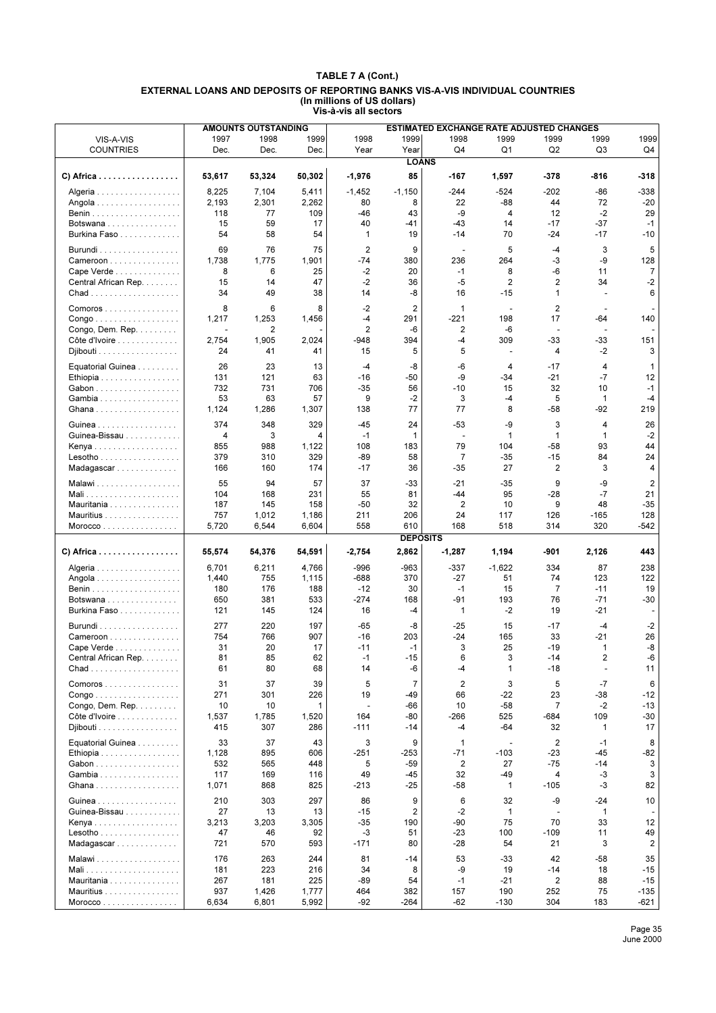|                                                                                  |           | <b>AMOUNTS OUTSTANDING</b> |          |                |                 | <b>ESTIMATED EXCHANGE RATE ADJUSTED CHANGES</b> |                          |                |                          |                |
|----------------------------------------------------------------------------------|-----------|----------------------------|----------|----------------|-----------------|-------------------------------------------------|--------------------------|----------------|--------------------------|----------------|
| VIS-A-VIS                                                                        | 1997      | 1998                       | 1999     | 1998           | 1999            | 1998                                            | 1999                     | 1999           | 1999                     | 1999           |
| <b>COUNTRIES</b>                                                                 | Dec.      | Dec.                       | Dec.     | Year           | Year            | Q4                                              | Q1                       | Q <sub>2</sub> | Q3                       | Q4             |
|                                                                                  |           |                            |          |                | <b>LOANS</b>    |                                                 |                          |                |                          |                |
|                                                                                  |           |                            |          |                |                 |                                                 |                          |                |                          |                |
| C) Africa                                                                        | 53,617    | 53,324                     | 50,302   | -1,976         | 85              | -167                                            | 1,597                    | $-378$         | -816                     | -318           |
| Algeria                                                                          | 8,225     | 7,104                      | 5,411    | $-1,452$       | $-1,150$        | $-244$                                          | $-524$                   | -202           | -86                      | -338           |
| Angola                                                                           | 2,193     | 2,301                      | 2,262    | 80             | 8               | 22                                              | -88                      | 44             | 72                       | -20            |
|                                                                                  | 118       | 77                         | 109      | -46            | 43              | -9                                              | 4                        | 12             | $-2$                     | 29             |
| Botswana                                                                         | 15        | 59                         | 17       | 40             | -41             | $-43$                                           | 14                       | $-17$          | $-37$                    | $-1$           |
| Burkina Faso                                                                     | 54        | 58                         | 54       | 1              | 19              | $-14$                                           | 70                       | -24            | $-17$                    | $-10$          |
|                                                                                  |           |                            |          |                |                 |                                                 |                          |                |                          |                |
| $Burundi$                                                                        | 69        | 76                         | 75       | $\overline{2}$ | 9               | $\sim$                                          | 5                        | $-4$           | 3                        | 5              |
| Cameroon                                                                         | 1,738     | 1,775                      | 1,901    | $-74$          | 380             | 236                                             | 264                      | -3             | -9                       | 128            |
| Cape Verde                                                                       | 8         | 6                          | 25       | $-2$           | 20              | $-1$                                            | 8                        | -6             | 11                       | $\overline{7}$ |
| Central African Rep.                                                             | 15        | 14                         | 47       | $-2$           | 36              | -5                                              | $\overline{2}$           | $\overline{c}$ | 34                       | $-2$           |
|                                                                                  | 34        | 49                         | 38       | 14             | -8              | 16                                              | $-15$                    | 1              | ٠                        | 6              |
| Comoros                                                                          | 8         | 6                          | 8        | $-2$           | $\overline{2}$  | $\mathbf{1}$                                    | ÷,                       | $\overline{2}$ |                          |                |
| Congo                                                                            | 1,217     | 1,253                      | 1,456    | $-4$           | 291             | $-221$                                          | 198                      | 17             | -64                      | 140            |
| Congo, Dem. Rep.                                                                 |           | 2                          |          | $\overline{2}$ | -6              | 2                                               | -6                       | $\sim$         | $\overline{a}$           |                |
| Côte d'Ivoire                                                                    | 2,754     | 1,905                      | 2,024    | $-948$         | 394             | $-4$                                            | 309                      | $-33$          | $-33$                    | 151            |
| Djibouti                                                                         | 24        | 41                         | 41       | 15             | 5               | 5                                               | $\overline{a}$           | 4              | -2                       | 3              |
|                                                                                  |           |                            |          |                |                 |                                                 |                          |                |                          |                |
| Equatorial Guinea                                                                | 26        | 23                         | 13       | $-4$           | -8              | -6                                              | 4                        | $-17$          | 4                        | $\mathbf{1}$   |
| Ethiopia                                                                         | 131       | 121                        | 63       | $-16$          | -50             | -9                                              | -34                      | $-21$          | -7                       | 12             |
| Gabon                                                                            | 732       | 731                        | 706      | $-35$          | 56              | $-10$                                           | 15                       | 32             | 10                       | $-1$           |
| Gambia                                                                           | 53        | 63                         | 57       | 9              | $-2$            | 3                                               | -4                       | 5              | $\mathbf{1}$             | -4             |
| Ghana                                                                            | 1,124     | 1,286                      | 1,307    | 138            | 77              | 77                                              | 8                        | $-58$          | -92                      | 219            |
| Guinea                                                                           | 374       | 348                        | 329      | $-45$          | 24              | $-53$                                           | -9                       | 3              | 4                        | 26             |
| Guinea-Bissau                                                                    | 4         | 3                          | 4        | $-1$           | 1               | $\overline{\phantom{a}}$                        | $\mathbf{1}$             | $\mathbf{1}$   | $\mathbf{1}$             | $-2$           |
| Kenya                                                                            | 855       | 988                        | 1,122    | 108            | 183             | 79                                              | 104                      | $-58$          | 93                       | 44             |
| Lesotho                                                                          | 379       | 310                        | 329      | -89            | 58              | 7                                               | $-35$                    | $-15$          | 84                       | 24             |
| Madagascar                                                                       | 166       | 160                        | 174      | $-17$          | 36              | $-35$                                           | 27                       | 2              | 3                        | 4              |
|                                                                                  |           |                            |          |                |                 |                                                 |                          |                |                          |                |
| Malawi                                                                           | 55        | 94                         | 57       | 37             | $-33$           | $-21$                                           | $-35$                    | 9              | -9                       | $\overline{2}$ |
|                                                                                  | 104       | 168                        | 231      | 55             | 81              | $-44$                                           | 95                       | $-28$          | $-7$                     | 21             |
| Mauritania                                                                       | 187       | 145                        | 158      | $-50$          | 32              | 2                                               | 10                       | 9              | 48                       | $-35$          |
| Mauritius                                                                        | 757       | 1,012                      | 1,186    | 211            | 206             | 24                                              | 117                      | 126            | $-165$                   | 128            |
| Moreover                                                                         | 5,720     | 6,544                      | 6,604    | 558            | 610             | 168                                             | 518                      | 314            | 320                      | -542           |
|                                                                                  |           |                            |          |                | <b>DEPOSITS</b> |                                                 |                          |                |                          |                |
| C) Africa                                                                        | 55,574    | 54,376                     | 54,591   | $-2,754$       | 2,862           | $-1,287$                                        | 1,194                    | -901           | 2,126                    | 443            |
|                                                                                  |           |                            |          |                |                 |                                                 |                          |                |                          |                |
| Algeria                                                                          | 6,701     | 6,211                      | 4,766    | $-996$         | $-963$          | $-337$                                          | $-1,622$                 | 334            | 87                       | 238            |
| Angola                                                                           | 1,440     | 755                        | 1,115    | $-688$         | 370             | $-27$                                           | 51                       | 74             | 123                      | 122            |
|                                                                                  | 180       | 176                        | 188      | $-12$          | 30              | $-1$                                            | 15                       | $\overline{7}$ | $-11$                    | 19             |
| Botswana                                                                         | 650       | 381                        | 533      | $-274$         | 168             | -91                                             | 193                      | 76             | $-71$                    | -30            |
| Burkina Faso                                                                     | 121       | 145                        | 124      | 16             | -4              | 1                                               | -2                       | 19             | -21                      |                |
| Burundi                                                                          | 277       | 220                        | 197      | $-65$          | -8              | $-25$                                           | 15                       | $-17$          | $-4$                     | $-2$           |
| Cameroon                                                                         | 754       | 766                        | 907      | $-16$          | 203             | $-24$                                           | 165                      | 33             | -21                      | 26             |
| Cape Verde                                                                       | 31        | 20                         | 17       | $-11$          | -1              | 3                                               | 25                       | $-19$          | $\mathbf{1}$             | -8             |
| Central African Rep.                                                             | 81        | 85                         | 62       | $-1$           | $-15$           | 6                                               | 3                        | $-14$          | $\overline{2}$           | $-6$           |
|                                                                                  | 61        | 80                         | 68       | 14             | -6              | -4                                              | 1                        | $-18$          | $\overline{\phantom{a}}$ | 11             |
|                                                                                  |           |                            |          |                |                 |                                                 |                          |                |                          |                |
| Comoros                                                                          | 31        | 37                         | 39       | 5              | $\overline{7}$  | 2                                               | 3                        | 5              | $-7$                     | 6              |
| $\mathsf{Congo}\dots\dots\dots\dots\dots\dots\dots$<br>Congo, Dem. Rep. $\ldots$ | 271<br>10 | 301                        | 226<br>1 | 19<br>÷,       | -49<br>-66      | 66<br>10                                        | -22<br>$-58$             | 23<br>7        | -38<br>-2                | -12<br>-13     |
|                                                                                  |           | 10                         |          |                |                 |                                                 |                          |                |                          | -30            |
| Côte d'Ivoire                                                                    | 1,537     | 1,785                      | 1,520    | 164            | -80             | -266                                            | 525                      | -684           | 109                      |                |
| Djibouti                                                                         | 415       | 307                        | 286      | $-111$         | $-14$           | -4                                              | $-64$                    | 32             | 1                        | 17             |
| Equatorial Guinea                                                                | 33        | 37                         | 43       | 3              | 9               | 1                                               | $\overline{\phantom{a}}$ | 2              | $-1$                     | 8              |
| Ethiopia                                                                         | 1,128     | 895                        | 606      | $-251$         | -253            | $-71$                                           | $-103$                   | -23            | -45                      | -82            |
| Gabon                                                                            | 532       | 565                        | 448      | 5              | $-59$           | 2                                               | 27                       | $-75$          | $-14$                    | 3              |
| Gambia                                                                           | 117       | 169                        | 116      | 49             | -45             | 32                                              | -49                      | 4              | -3                       | 3              |
| Ghana                                                                            | 1,071     | 868                        | 825      | $-213$         | -25             | $-58$                                           | 1                        | $-105$         | -3                       | 82             |
| Guinea                                                                           | 210       | 303                        | 297      | 86             | 9               | 6                                               | 32                       | -9             | -24                      | 10             |
| Guinea-Bissau                                                                    | 27        | 13                         | 13       | $-15$          | $\overline{2}$  | $-2$                                            | $\mathbf{1}$             |                | $\mathbf{1}$             |                |
| Kenya                                                                            | 3,213     | 3,203                      | 3,305    | $-35$          | 190             | -90                                             | 75                       | 70             | 33                       | 12             |
| $Lesotho \ldots \ldots \ldots \ldots$                                            | 47        | 46                         | 92       | $-3$           | 51              | $-23$                                           | 100                      | $-109$         | 11                       | 49             |
| Madagascar                                                                       | 721       | 570                        | 593      | $-171$         | 80              | $-28$                                           | 54                       | 21             | 3                        | 2              |
|                                                                                  |           |                            |          |                |                 |                                                 |                          |                |                          |                |
| Malawi                                                                           | 176       | 263                        | 244      | 81             | -14             | 53                                              | -33                      | 42             | -58                      | 35             |
| Mali                                                                             | 181       | 223                        | 216      | 34             | 8               | -9                                              | 19                       | -14            | 18                       | $-15$          |
| Mauritania                                                                       | 267       | 181                        | 225      | -89            | 54              | $-1$                                            | -21                      | $\overline{2}$ | 88                       | $-15$          |
| Mauritius                                                                        | 937       | 1,426                      | 1,777    | 464            | 382             | 157                                             | 190                      | 252            | 75                       | $-135$         |
| Morocco                                                                          | 6,634     | 6,801                      | 5,992    | $-92$          | $-264$          | $-62$                                           | $-130$                   | 304            | 183                      | -621           |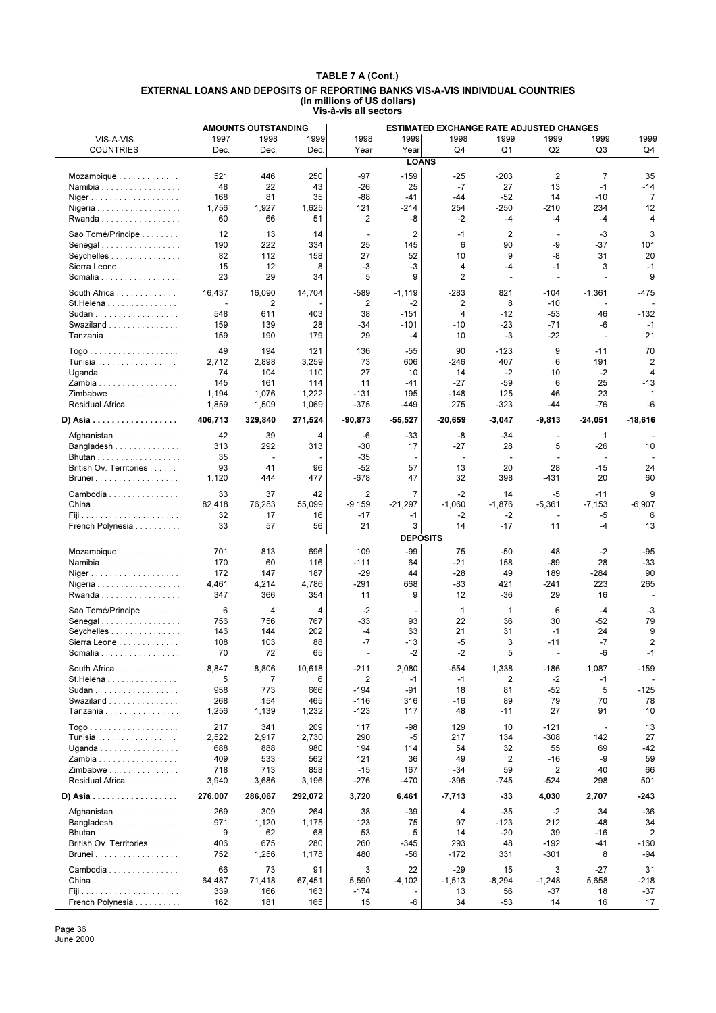|                                       |            | <b>AMOUNTS OUTSTANDING</b> |           |             |                 | ESTIMATED EXCHANGE RATE ADJUSTED CHANGES |                |                          |                          |                         |
|---------------------------------------|------------|----------------------------|-----------|-------------|-----------------|------------------------------------------|----------------|--------------------------|--------------------------|-------------------------|
| VIS-A-VIS                             | 1997       | 1998                       | 1999      | 1998        | 1999            | 1998                                     | 1999           | 1999                     | 1999                     | 1999                    |
| <b>COUNTRIES</b>                      | Dec.       | Dec.                       | Dec.      | Year        | Year            | Q <sub>4</sub>                           | Q <sub>1</sub> | Q <sub>2</sub>           | Q <sub>3</sub>           | Q4                      |
|                                       |            |                            |           |             | <b>LOANS</b>    |                                          |                |                          |                          |                         |
| Mozambique                            | 521        | 446                        | 250       | -97         | $-159$          | $-25$                                    | $-203$         | 2                        | $\overline{7}$           | 35                      |
| Namibia                               | 48         | 22                         | 43        | $-26$       | 25              | $-7$                                     | 27             | 13                       | $-1$                     | -14                     |
| Niger                                 | 168        | 81                         | 35        | -88         | $-41$           | -44                                      | $-52$          | 14                       | $-10$                    | 7                       |
| Nigeria                               | 1,756      | 1,927                      | 1,625     | 121         | $-214$          | 254                                      | $-250$         | $-210$                   | 234                      | 12                      |
| Rwanda                                | 60         | 66                         | 51        | 2           | -8              | $-2$                                     | $-4$           | -4                       | $-4$                     | 4                       |
| Sao Tomé/Principe                     | 12         | 13                         | 14        |             | $\overline{2}$  | $-1$                                     | $\overline{2}$ |                          | -3                       | 3                       |
| Senegal                               | 190        | 222                        | 334       | 25          | 145             | 6                                        | 90             | -9                       | -37                      | 101                     |
| Seychelles                            | 82         | 112                        | 158       | 27          | 52              | 10                                       | 9              | -8                       | 31                       | 20                      |
| Sierra Leone                          | 15         | 12                         | 8         | -3          | $-3$            | 4                                        | -4             | $-1$                     | 3                        | $-1$                    |
| Somalia                               | 23         | 29                         | 34        | 5           | 9               | 2                                        |                | ÷.                       | ÷.                       | 9                       |
|                                       |            |                            |           |             |                 |                                          |                |                          |                          |                         |
| South Africa                          | 16,437     | 16,090                     | 14,704    | -589        | -1,119          | $-283$                                   | 821            | $-104$                   | $-1,361$                 | $-475$                  |
| St.Helena                             | 548        | $\overline{c}$<br>611      |           | 2<br>38     | $-2$<br>$-151$  | 2                                        | 8              | $-10$<br>$-53$           | 46                       |                         |
| Sudan                                 |            | 139                        | 403<br>28 | $-34$       | $-101$          | 4<br>$-10$                               | $-12$<br>$-23$ | $-71$                    | $-6$                     | -132<br>$-1$            |
| Swaziland<br>Tanzania                 | 159<br>159 | 190                        | 179       | 29          | $-4$            | 10                                       | -3             | $-22$                    | ÷,                       | 21                      |
|                                       |            |                            |           |             |                 |                                          |                |                          |                          |                         |
|                                       | 49         | 194                        | 121       | 136         | $-55$           | 90                                       | $-123$         | 9                        | $-11$                    | 70                      |
| Tunisia                               | 2,712      | 2,898                      | 3,259     | 73          | 606             | $-246$                                   | 407            | 6                        | 191                      | 2                       |
| Uganda                                | 74         | 104                        | 110       | 27          | 10              | 14                                       | $-2$           | 10                       | $-2$                     | 4                       |
| Zambia                                | 145        | 161                        | 114       | 11          | -41             | $-27$                                    | $-59$          | 6                        | 25                       | $-13$                   |
| Zimbabwe                              | 1,194      | 1,076                      | 1,222     | $-131$      | 195             | $-148$                                   | 125            | 46                       | 23                       | 1                       |
| Residual Africa                       | 1,859      | 1,509                      | 1,069     | $-375$      | -449            | 275                                      | $-323$         | -44                      | -76                      | $-6$                    |
| D) Asia                               | 406,713    | 329,840                    | 271,524   | $-90,873$   | $-55,527$       | $-20.659$                                | $-3,047$       | -9,813                   | -24,051                  | $-18,616$               |
| Afghanistan                           | 42         | 39                         | 4         | -6          | -33             | -8                                       | $-34$          | $\blacksquare$           | $\mathbf{1}$             |                         |
| Bangladesh                            | 313        | 292                        | 313       | $-30$       | 17              | $-27$                                    | 28             | 5                        | -26                      | 10                      |
|                                       | 35         | ÷,                         |           | $-35$       |                 | $\blacksquare$                           | ÷,             |                          | ÷,                       |                         |
| British Ov. Territories               | 93         | 41                         | 96        | $-52$       | 57              | 13                                       | 20             | 28                       | $-15$                    | 24                      |
| Brunei                                | 1,120      | 444                        | 477       | $-678$      | 47              | 32                                       | 398            | $-431$                   | 20                       | 60                      |
|                                       |            |                            |           |             |                 |                                          |                |                          |                          |                         |
| Cambodia                              | 33         | 37                         | 42        | 2           | $\overline{7}$  | $-2$                                     | 14             | $-5$                     | $-11$                    | 9                       |
|                                       | 82,418     | 76,283                     | 55,099    | $-9,159$    | $-21,297$       | $-1,060$                                 | $-1,876$       | $-5,361$                 | $-7,153$                 | $-6,907$                |
| French Polynesia                      | 32<br>33   | 17<br>57                   | 16<br>56  | $-17$<br>21 | $-1$<br>3       | -2<br>14                                 | -2<br>$-17$    | 11                       | -5<br>$-4$               | 6<br>13                 |
|                                       |            |                            |           |             | <b>DEPOSITS</b> |                                          |                |                          |                          |                         |
|                                       |            |                            |           |             |                 |                                          |                |                          |                          |                         |
| Mozambique                            | 701        | 813                        | 696       | 109         | -99             | 75                                       | $-50$          | 48                       | $-2$                     | $-95$                   |
| Namibia                               | 170        | 60                         | 116       | $-111$      | 64              | $-21$                                    | 158            | -89                      | 28                       | -33                     |
| Niger                                 | 172        | 147                        | 187       | $-29$       | 44              | $-28$                                    | 49             | 189                      | $-284$                   | 90                      |
| Nigeria                               | 4,461      | 4,214                      | 4,786     | $-291$      | 668<br>9        | $-83$                                    | 421            | $-241$                   | 223                      | 265                     |
| Rwanda                                | 347        | 366                        | 354       | 11          |                 | 12                                       | -36            | 29                       | 16                       |                         |
| Sao Tomé/Principe                     | 6          | 4                          | 4         | $-2$        |                 | 1                                        | 1              | 6                        | $-4$                     | $-3$                    |
| Senegal                               | 756        | 756                        | 767       | $-33$       | 93              | 22                                       | 36             | 30                       | $-52$                    | 79                      |
| Seychelles                            | 146        | 144                        | 202       | $-4$        | 63              | 21                                       | 31             | $-1$                     | 24                       | 9                       |
| Sierra Leone                          | 108        | 103                        | 88        | $-7$        | $-13$           | -5                                       | 3              | $-11$                    | $-7$                     | $\overline{\mathbf{c}}$ |
| Somalia                               | 70         | 72                         | 65        |             | $-2$            | $-2$                                     | 5              | $\overline{\phantom{a}}$ | -6                       | $-1$                    |
| South Africa                          | 8,847      | 8,806                      | 10,618    | $-211$      | 2,080           | -554                                     | 1,338          | $-186$                   | 1,087                    | $-159$                  |
| St. Helena                            | 5          | 7                          | 6         | 2           | $-1$            | $-1$                                     | 2              | $-2$                     | -1                       |                         |
| Sudan                                 | 958        | 773                        | 666       | -194        | -91             | 18                                       | 81             | $-52$                    | 5                        | -125                    |
| Swaziland                             | 268        | 154                        | 465       | $-116$      | 316             | $-16$                                    | 89             | 79                       | 70                       | 78                      |
| Tanzania                              | 1,256      | 1,139                      | 1,232     | $-123$      | 117             | 48                                       | $-11$          | 27                       | 91                       | 10                      |
|                                       | 217        | 341                        | 209       | 117         | $-98$           | 129                                      | 10             | $-121$                   | $\overline{\phantom{a}}$ | 13                      |
| <b>Tunisia</b>                        | 2,522      | 2,917                      | 2,730     | 290         | -5              | 217                                      | 134            | $-308$                   | 142                      | 27                      |
| Uganda                                | 688        | 888                        | 980       | 194         | 114             | 54                                       | 32             | 55                       | 69                       | -42                     |
| Zambia                                | 409        | 533                        | 562       | 121         | 36              | 49                                       | $\overline{2}$ | $-16$                    | -9                       | 59                      |
| Zimbabwe                              | 718        | 713                        | 858       | $-15$       | 167             | $-34$                                    | 59             | 2                        | 40                       | 66                      |
| Residual Africa                       | 3,940      | 3,686                      | 3,196     | $-276$      | -470            | $-396$                                   | $-745$         | $-524$                   | 298                      | 501                     |
| D) Asia                               | 276,007    | 286,067                    | 292,072   | 3,720       | 6,461           | $-7,713$                                 | -33            | 4,030                    | 2,707                    | -243                    |
|                                       |            |                            |           |             |                 |                                          |                |                          |                          |                         |
| Afghanistan                           | 269        | 309                        | 264       | 38          | -39             | 4                                        | $-35$          | $-2$                     | 34                       | -36                     |
| Bangladesh                            | 971        | 1,120                      | 1,175     | 123         | 75              | 97                                       | $-123$         | 212                      | -48                      | 34                      |
| Bhutan                                | 9          | 62                         | 68        | 53          | 5               | 14                                       | $-20$          | 39                       | $-16$                    | $\overline{2}$          |
| British Ov. Territories               | 406        | 675                        | 280       | 260         | -345            | 293                                      | 48             | $-192$                   | -41                      | $-160$                  |
| <b>Brunei</b>                         | 752        | 1,256                      | 1,178     | 480         | -56             | $-172$                                   | 331            | -301                     | 8                        | -94                     |
| Cambodia                              | 66         | 73                         | 91        | 3           | 22              | $-29$                                    | 15             | 3                        | -27                      | 31                      |
|                                       | 64,487     | 71,418                     | 67,451    | 5,590       | $-4,102$        | $-1,513$                                 | $-8,294$       | $-1,248$                 | 5,658                    | -218                    |
| Fiji da da da da da da da da da da da | 339        | 166                        | 163       | $-174$      |                 | 13                                       | 56             | $-37$                    | 18                       | -37                     |
| French Polynesia                      | 162        | 181                        | 165       | 15          | -6              | 34                                       | $-53$          | 14                       | 16                       | 17                      |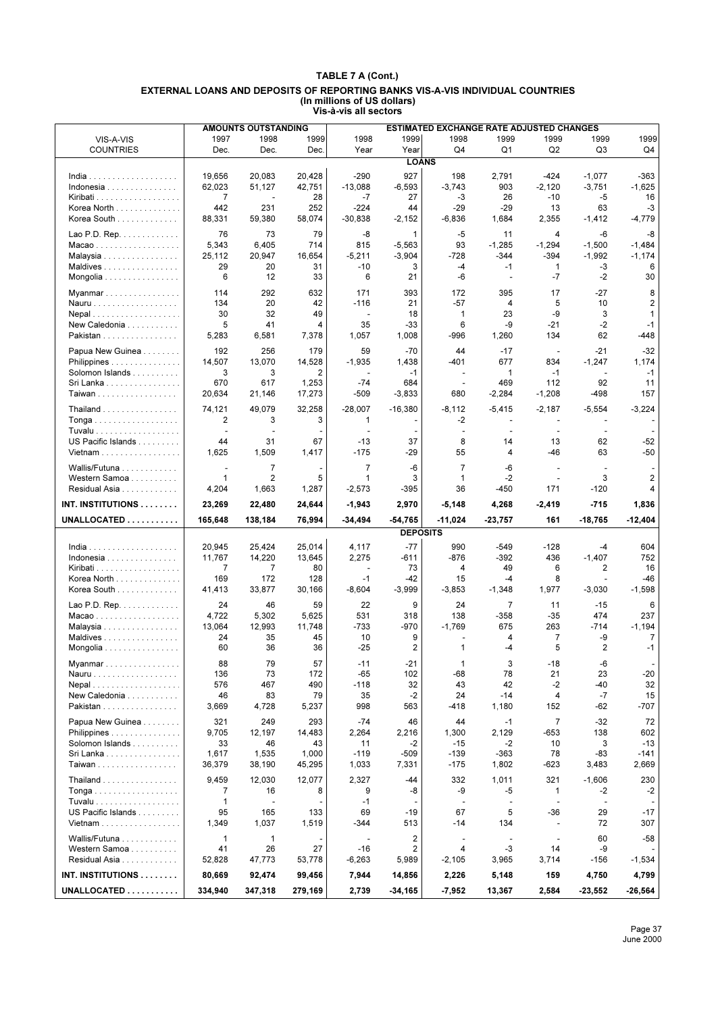| 1999<br>1997<br>1998<br>1999<br>1998<br>1999<br>1998<br>1999<br>1999<br>1999<br>VIS-A-VIS<br>Dec.<br>Dec.<br>Dec.<br>Year<br>Year<br>Q4<br>Q1<br>Q2<br>Q3<br>Q4<br><b>COUNTRIES</b><br><b>LOANS</b><br>20,428<br>$-290$<br>927<br>$-363$<br>19,656<br>20,083<br>198<br>2,791<br>$-424$<br>$-1,077$<br>62,023<br>51,127<br>42,751<br>$-13,088$<br>$-6,593$<br>903<br>$-1,625$<br>$-3,743$<br>$-2,120$<br>$-3,751$<br>Indonesia<br>$\overline{7}$<br>28<br>$-7$<br>$-10$<br>$-5$<br>16<br>27<br>$-3$<br>26<br>$\overline{\phantom{a}}$<br>231<br>252<br>$-224$<br>$-29$<br>$-29$<br>63<br>Korea North<br>442<br>44<br>13<br>-3<br>Korea South<br>$-4,779$<br>88,331<br>59,380<br>58,074<br>$-30,838$<br>$-2,152$<br>$-6,836$<br>1,684<br>2,355<br>$-1,412$<br>76<br>73<br>-8<br>$-5$<br>Lao P.D. Rep. $\ldots$<br>79<br>$\mathbf{1}$<br>11<br>4<br>-6<br>-8<br>6,405<br>$-1,484$<br>5,343<br>714<br>815<br>$-5,563$<br>93<br>$-1,285$<br>$-1,294$<br>$-1,500$<br>Macao<br>$-344$<br>$-394$<br>$-1,174$<br>25,112<br>20,947<br>16,654<br>$-5,211$<br>$-3,904$<br>$-728$<br>$-1,992$<br>Malaysia<br>Maldives<br>29<br>3<br>-4<br>$-1$<br>-3<br>6<br>20<br>31<br>$-10$<br>1<br>6<br>12<br>6<br>21<br>-6<br>$-7$<br>$-2$<br>30<br>33<br>Mongolia<br>$\blacksquare$<br>292<br>171<br>8<br>114<br>632<br>393<br>172<br>395<br>17<br>-27<br>Myanmar<br>$-116$<br>5<br>10<br>2<br>134<br>20<br>42<br>21<br>$-57$<br>4<br>Nauru<br>-9<br>3<br>30<br>32<br>49<br>18<br>$\mathbf{1}$<br>23<br>$\mathbf{1}$<br>Nepal<br>$\overline{\phantom{a}}$<br>5<br>$-2$<br>$-1$<br>New Caledonia<br>41<br>4<br>35<br>$-33$<br>6<br>-9<br>$-21$<br>Pakistan<br>5,283<br>6,581<br>7,378<br>1,057<br>1,008<br>-996<br>1,260<br>134<br>62<br>-448<br>$-32$<br>192<br>256<br>179<br>59<br>$-70$<br>44<br>$-17$<br>$-21$<br>Papua New Guinea<br>$\blacksquare$<br>14,507<br>13,070<br>14,528<br>$-1,935$<br>1,438<br>$-401$<br>677<br>834<br>1,174<br>$-1,247$<br>Philippines<br>3<br>3<br>2<br>$\mathbf{1}$<br>$-1$<br>$-1$<br>Solomon Islands<br>$-1$<br>$\overline{\phantom{a}}$<br>92<br>Sri Lanka<br>670<br>617<br>1,253<br>$-74$<br>684<br>469<br>112<br>11<br>÷<br>Taiwan<br>20,634<br>17,273<br>$-509$<br>$-3,833$<br>680<br>$-2,284$<br>$-1,208$<br>-498<br>157<br>21,146<br>$-3,224$<br>74,121<br>49,079<br>32,258<br>$-28,007$<br>$-16,380$<br>$-8,112$<br>$-5,415$<br>$-2,187$<br>$-5,554$<br>Thailand $\ldots \ldots \ldots \ldots$<br>2<br>3<br>3<br>-2<br>1<br>Tuvalu<br>$\blacksquare$<br>$\overline{\phantom{a}}$<br>$\overline{\phantom{a}}$<br>$\overline{\phantom{a}}$<br>$\overline{\phantom{a}}$<br>US Pacific Islands<br>44<br>8<br>62<br>$-52$<br>31<br>67<br>$-13$<br>37<br>14<br>13<br>1,625<br>$-175$<br>$-29$<br>55<br>$-46$<br>63<br>$-50$<br>Vietnam<br>1,509<br>1,417<br>4<br>$\overline{7}$<br>$-6$<br>Wallis/Futuna<br>$\overline{7}$<br>$\overline{7}$<br>-6<br>$\sim$<br>$\sim$<br>÷.<br>$\overline{2}$<br>5<br>3<br>$-2$<br>3<br>$\overline{2}$<br>Western Samoa<br>$\mathbf{1}$<br>1<br>$\mathbf 1$<br>$\overline{\phantom{a}}$<br>Residual Asia<br>4,204<br>1,663<br>1,287<br>$-2,573$<br>$-395$<br>36<br>$-450$<br>171<br>$-120$<br>INT. INSTITUTIONS<br>24,644<br>$-1,943$<br>2,970<br>4,268<br>$-715$<br>1,836<br>23,269<br>22,480<br>$-5,148$<br>-2,419<br>UNALLOCATED<br>76,994<br>$-54,765$<br>$-12,404$<br>165,648<br>138,184<br>$-34,494$<br>$-11,024$<br>$-23,757$<br>161<br>$-18,765$<br><b>DEPOSITS</b><br>$-77$<br>25,014<br>20,945<br>25,424<br>4,117<br>990<br>$-549$<br>$-128$<br>604<br>$India$<br>-4<br>$-876$<br>$-1,407$<br>752<br>Indonesia<br>11,767<br>14,220<br>13,645<br>2,275<br>-611<br>-392<br>436<br>2<br>16<br>Kiribati<br>$\overline{7}$<br>7<br>80<br>73<br>4<br>49<br>6<br>$\blacksquare$<br>172<br>$-1$<br>8<br>Korea North<br>169<br>128<br>-42<br>15<br>$-4$<br>$-46$<br>$-1.598$<br>Korea South<br>41,413<br>33,877<br>30,166<br>$-8,604$<br>$-3,999$<br>$-3,853$<br>$-1,348$<br>1,977<br>$-3,030$<br>24<br>46<br>59<br>22<br>9<br>24<br>Lao P.D. Rep.<br>$\overline{7}$<br>11<br>$-15$<br>6<br>531<br>474<br>237<br>Macao<br>4,722<br>5,302<br>5,625<br>318<br>138<br>-358<br>$-35$<br>$-733$<br>$-1,769$<br>675<br>263<br>$-1,194$<br>13,064<br>12,993<br>11,748<br>-970<br>-714<br>Malaysia<br>10<br>-9<br>Maldives<br>24<br>35<br>45<br>9<br>4<br>$\overline{7}$<br>7<br>5<br>60<br>36<br>36<br>$-25$<br>2<br>1<br>$-4$<br>2<br>$-1$<br>Mongolia<br>Myanmar<br>88<br>79<br>57<br>-11<br>-21<br>1<br>3<br>-18<br>-6 |
|--------------------------------------------------------------------------------------------------------------------------------------------------------------------------------------------------------------------------------------------------------------------------------------------------------------------------------------------------------------------------------------------------------------------------------------------------------------------------------------------------------------------------------------------------------------------------------------------------------------------------------------------------------------------------------------------------------------------------------------------------------------------------------------------------------------------------------------------------------------------------------------------------------------------------------------------------------------------------------------------------------------------------------------------------------------------------------------------------------------------------------------------------------------------------------------------------------------------------------------------------------------------------------------------------------------------------------------------------------------------------------------------------------------------------------------------------------------------------------------------------------------------------------------------------------------------------------------------------------------------------------------------------------------------------------------------------------------------------------------------------------------------------------------------------------------------------------------------------------------------------------------------------------------------------------------------------------------------------------------------------------------------------------------------------------------------------------------------------------------------------------------------------------------------------------------------------------------------------------------------------------------------------------------------------------------------------------------------------------------------------------------------------------------------------------------------------------------------------------------------------------------------------------------------------------------------------------------------------------------------------------------------------------------------------------------------------------------------------------------------------------------------------------------------------------------------------------------------------------------------------------------------------------------------------------------------------------------------------------------------------------------------------------------------------------------------------------------------------------------------------------------------------------------------------------------------------------------------------------------------------------------------------------------------------------------------------------------------------------------------------------------------------------------------------------------------------------------------------------------------------------------------------------------------------------------------------------------------------------------------------------------------------------------------------------------------------------------------------------------------------------------------------------------------------------------------------------------------------------------------------------------------------------------------------------------------------------------------------------------------------------------------------------------------------------------------------------------------------------------------------------------------------------------------------------------------------------------------------------------------------------------------------------------------------------------------------------------------------------------------------------------------------------------------------------------------------------------------|
|                                                                                                                                                                                                                                                                                                                                                                                                                                                                                                                                                                                                                                                                                                                                                                                                                                                                                                                                                                                                                                                                                                                                                                                                                                                                                                                                                                                                                                                                                                                                                                                                                                                                                                                                                                                                                                                                                                                                                                                                                                                                                                                                                                                                                                                                                                                                                                                                                                                                                                                                                                                                                                                                                                                                                                                                                                                                                                                                                                                                                                                                                                                                                                                                                                                                                                                                                                                                                                                                                                                                                                                                                                                                                                                                                                                                                                                                                                                                                                                                                                                                                                                                                                                                                                                                                                                                                                                                                                                                    |
|                                                                                                                                                                                                                                                                                                                                                                                                                                                                                                                                                                                                                                                                                                                                                                                                                                                                                                                                                                                                                                                                                                                                                                                                                                                                                                                                                                                                                                                                                                                                                                                                                                                                                                                                                                                                                                                                                                                                                                                                                                                                                                                                                                                                                                                                                                                                                                                                                                                                                                                                                                                                                                                                                                                                                                                                                                                                                                                                                                                                                                                                                                                                                                                                                                                                                                                                                                                                                                                                                                                                                                                                                                                                                                                                                                                                                                                                                                                                                                                                                                                                                                                                                                                                                                                                                                                                                                                                                                                                    |
|                                                                                                                                                                                                                                                                                                                                                                                                                                                                                                                                                                                                                                                                                                                                                                                                                                                                                                                                                                                                                                                                                                                                                                                                                                                                                                                                                                                                                                                                                                                                                                                                                                                                                                                                                                                                                                                                                                                                                                                                                                                                                                                                                                                                                                                                                                                                                                                                                                                                                                                                                                                                                                                                                                                                                                                                                                                                                                                                                                                                                                                                                                                                                                                                                                                                                                                                                                                                                                                                                                                                                                                                                                                                                                                                                                                                                                                                                                                                                                                                                                                                                                                                                                                                                                                                                                                                                                                                                                                                    |
|                                                                                                                                                                                                                                                                                                                                                                                                                                                                                                                                                                                                                                                                                                                                                                                                                                                                                                                                                                                                                                                                                                                                                                                                                                                                                                                                                                                                                                                                                                                                                                                                                                                                                                                                                                                                                                                                                                                                                                                                                                                                                                                                                                                                                                                                                                                                                                                                                                                                                                                                                                                                                                                                                                                                                                                                                                                                                                                                                                                                                                                                                                                                                                                                                                                                                                                                                                                                                                                                                                                                                                                                                                                                                                                                                                                                                                                                                                                                                                                                                                                                                                                                                                                                                                                                                                                                                                                                                                                                    |
|                                                                                                                                                                                                                                                                                                                                                                                                                                                                                                                                                                                                                                                                                                                                                                                                                                                                                                                                                                                                                                                                                                                                                                                                                                                                                                                                                                                                                                                                                                                                                                                                                                                                                                                                                                                                                                                                                                                                                                                                                                                                                                                                                                                                                                                                                                                                                                                                                                                                                                                                                                                                                                                                                                                                                                                                                                                                                                                                                                                                                                                                                                                                                                                                                                                                                                                                                                                                                                                                                                                                                                                                                                                                                                                                                                                                                                                                                                                                                                                                                                                                                                                                                                                                                                                                                                                                                                                                                                                                    |
|                                                                                                                                                                                                                                                                                                                                                                                                                                                                                                                                                                                                                                                                                                                                                                                                                                                                                                                                                                                                                                                                                                                                                                                                                                                                                                                                                                                                                                                                                                                                                                                                                                                                                                                                                                                                                                                                                                                                                                                                                                                                                                                                                                                                                                                                                                                                                                                                                                                                                                                                                                                                                                                                                                                                                                                                                                                                                                                                                                                                                                                                                                                                                                                                                                                                                                                                                                                                                                                                                                                                                                                                                                                                                                                                                                                                                                                                                                                                                                                                                                                                                                                                                                                                                                                                                                                                                                                                                                                                    |
|                                                                                                                                                                                                                                                                                                                                                                                                                                                                                                                                                                                                                                                                                                                                                                                                                                                                                                                                                                                                                                                                                                                                                                                                                                                                                                                                                                                                                                                                                                                                                                                                                                                                                                                                                                                                                                                                                                                                                                                                                                                                                                                                                                                                                                                                                                                                                                                                                                                                                                                                                                                                                                                                                                                                                                                                                                                                                                                                                                                                                                                                                                                                                                                                                                                                                                                                                                                                                                                                                                                                                                                                                                                                                                                                                                                                                                                                                                                                                                                                                                                                                                                                                                                                                                                                                                                                                                                                                                                                    |
|                                                                                                                                                                                                                                                                                                                                                                                                                                                                                                                                                                                                                                                                                                                                                                                                                                                                                                                                                                                                                                                                                                                                                                                                                                                                                                                                                                                                                                                                                                                                                                                                                                                                                                                                                                                                                                                                                                                                                                                                                                                                                                                                                                                                                                                                                                                                                                                                                                                                                                                                                                                                                                                                                                                                                                                                                                                                                                                                                                                                                                                                                                                                                                                                                                                                                                                                                                                                                                                                                                                                                                                                                                                                                                                                                                                                                                                                                                                                                                                                                                                                                                                                                                                                                                                                                                                                                                                                                                                                    |
|                                                                                                                                                                                                                                                                                                                                                                                                                                                                                                                                                                                                                                                                                                                                                                                                                                                                                                                                                                                                                                                                                                                                                                                                                                                                                                                                                                                                                                                                                                                                                                                                                                                                                                                                                                                                                                                                                                                                                                                                                                                                                                                                                                                                                                                                                                                                                                                                                                                                                                                                                                                                                                                                                                                                                                                                                                                                                                                                                                                                                                                                                                                                                                                                                                                                                                                                                                                                                                                                                                                                                                                                                                                                                                                                                                                                                                                                                                                                                                                                                                                                                                                                                                                                                                                                                                                                                                                                                                                                    |
|                                                                                                                                                                                                                                                                                                                                                                                                                                                                                                                                                                                                                                                                                                                                                                                                                                                                                                                                                                                                                                                                                                                                                                                                                                                                                                                                                                                                                                                                                                                                                                                                                                                                                                                                                                                                                                                                                                                                                                                                                                                                                                                                                                                                                                                                                                                                                                                                                                                                                                                                                                                                                                                                                                                                                                                                                                                                                                                                                                                                                                                                                                                                                                                                                                                                                                                                                                                                                                                                                                                                                                                                                                                                                                                                                                                                                                                                                                                                                                                                                                                                                                                                                                                                                                                                                                                                                                                                                                                                    |
|                                                                                                                                                                                                                                                                                                                                                                                                                                                                                                                                                                                                                                                                                                                                                                                                                                                                                                                                                                                                                                                                                                                                                                                                                                                                                                                                                                                                                                                                                                                                                                                                                                                                                                                                                                                                                                                                                                                                                                                                                                                                                                                                                                                                                                                                                                                                                                                                                                                                                                                                                                                                                                                                                                                                                                                                                                                                                                                                                                                                                                                                                                                                                                                                                                                                                                                                                                                                                                                                                                                                                                                                                                                                                                                                                                                                                                                                                                                                                                                                                                                                                                                                                                                                                                                                                                                                                                                                                                                                    |
|                                                                                                                                                                                                                                                                                                                                                                                                                                                                                                                                                                                                                                                                                                                                                                                                                                                                                                                                                                                                                                                                                                                                                                                                                                                                                                                                                                                                                                                                                                                                                                                                                                                                                                                                                                                                                                                                                                                                                                                                                                                                                                                                                                                                                                                                                                                                                                                                                                                                                                                                                                                                                                                                                                                                                                                                                                                                                                                                                                                                                                                                                                                                                                                                                                                                                                                                                                                                                                                                                                                                                                                                                                                                                                                                                                                                                                                                                                                                                                                                                                                                                                                                                                                                                                                                                                                                                                                                                                                                    |
|                                                                                                                                                                                                                                                                                                                                                                                                                                                                                                                                                                                                                                                                                                                                                                                                                                                                                                                                                                                                                                                                                                                                                                                                                                                                                                                                                                                                                                                                                                                                                                                                                                                                                                                                                                                                                                                                                                                                                                                                                                                                                                                                                                                                                                                                                                                                                                                                                                                                                                                                                                                                                                                                                                                                                                                                                                                                                                                                                                                                                                                                                                                                                                                                                                                                                                                                                                                                                                                                                                                                                                                                                                                                                                                                                                                                                                                                                                                                                                                                                                                                                                                                                                                                                                                                                                                                                                                                                                                                    |
|                                                                                                                                                                                                                                                                                                                                                                                                                                                                                                                                                                                                                                                                                                                                                                                                                                                                                                                                                                                                                                                                                                                                                                                                                                                                                                                                                                                                                                                                                                                                                                                                                                                                                                                                                                                                                                                                                                                                                                                                                                                                                                                                                                                                                                                                                                                                                                                                                                                                                                                                                                                                                                                                                                                                                                                                                                                                                                                                                                                                                                                                                                                                                                                                                                                                                                                                                                                                                                                                                                                                                                                                                                                                                                                                                                                                                                                                                                                                                                                                                                                                                                                                                                                                                                                                                                                                                                                                                                                                    |
|                                                                                                                                                                                                                                                                                                                                                                                                                                                                                                                                                                                                                                                                                                                                                                                                                                                                                                                                                                                                                                                                                                                                                                                                                                                                                                                                                                                                                                                                                                                                                                                                                                                                                                                                                                                                                                                                                                                                                                                                                                                                                                                                                                                                                                                                                                                                                                                                                                                                                                                                                                                                                                                                                                                                                                                                                                                                                                                                                                                                                                                                                                                                                                                                                                                                                                                                                                                                                                                                                                                                                                                                                                                                                                                                                                                                                                                                                                                                                                                                                                                                                                                                                                                                                                                                                                                                                                                                                                                                    |
|                                                                                                                                                                                                                                                                                                                                                                                                                                                                                                                                                                                                                                                                                                                                                                                                                                                                                                                                                                                                                                                                                                                                                                                                                                                                                                                                                                                                                                                                                                                                                                                                                                                                                                                                                                                                                                                                                                                                                                                                                                                                                                                                                                                                                                                                                                                                                                                                                                                                                                                                                                                                                                                                                                                                                                                                                                                                                                                                                                                                                                                                                                                                                                                                                                                                                                                                                                                                                                                                                                                                                                                                                                                                                                                                                                                                                                                                                                                                                                                                                                                                                                                                                                                                                                                                                                                                                                                                                                                                    |
|                                                                                                                                                                                                                                                                                                                                                                                                                                                                                                                                                                                                                                                                                                                                                                                                                                                                                                                                                                                                                                                                                                                                                                                                                                                                                                                                                                                                                                                                                                                                                                                                                                                                                                                                                                                                                                                                                                                                                                                                                                                                                                                                                                                                                                                                                                                                                                                                                                                                                                                                                                                                                                                                                                                                                                                                                                                                                                                                                                                                                                                                                                                                                                                                                                                                                                                                                                                                                                                                                                                                                                                                                                                                                                                                                                                                                                                                                                                                                                                                                                                                                                                                                                                                                                                                                                                                                                                                                                                                    |
|                                                                                                                                                                                                                                                                                                                                                                                                                                                                                                                                                                                                                                                                                                                                                                                                                                                                                                                                                                                                                                                                                                                                                                                                                                                                                                                                                                                                                                                                                                                                                                                                                                                                                                                                                                                                                                                                                                                                                                                                                                                                                                                                                                                                                                                                                                                                                                                                                                                                                                                                                                                                                                                                                                                                                                                                                                                                                                                                                                                                                                                                                                                                                                                                                                                                                                                                                                                                                                                                                                                                                                                                                                                                                                                                                                                                                                                                                                                                                                                                                                                                                                                                                                                                                                                                                                                                                                                                                                                                    |
|                                                                                                                                                                                                                                                                                                                                                                                                                                                                                                                                                                                                                                                                                                                                                                                                                                                                                                                                                                                                                                                                                                                                                                                                                                                                                                                                                                                                                                                                                                                                                                                                                                                                                                                                                                                                                                                                                                                                                                                                                                                                                                                                                                                                                                                                                                                                                                                                                                                                                                                                                                                                                                                                                                                                                                                                                                                                                                                                                                                                                                                                                                                                                                                                                                                                                                                                                                                                                                                                                                                                                                                                                                                                                                                                                                                                                                                                                                                                                                                                                                                                                                                                                                                                                                                                                                                                                                                                                                                                    |
|                                                                                                                                                                                                                                                                                                                                                                                                                                                                                                                                                                                                                                                                                                                                                                                                                                                                                                                                                                                                                                                                                                                                                                                                                                                                                                                                                                                                                                                                                                                                                                                                                                                                                                                                                                                                                                                                                                                                                                                                                                                                                                                                                                                                                                                                                                                                                                                                                                                                                                                                                                                                                                                                                                                                                                                                                                                                                                                                                                                                                                                                                                                                                                                                                                                                                                                                                                                                                                                                                                                                                                                                                                                                                                                                                                                                                                                                                                                                                                                                                                                                                                                                                                                                                                                                                                                                                                                                                                                                    |
|                                                                                                                                                                                                                                                                                                                                                                                                                                                                                                                                                                                                                                                                                                                                                                                                                                                                                                                                                                                                                                                                                                                                                                                                                                                                                                                                                                                                                                                                                                                                                                                                                                                                                                                                                                                                                                                                                                                                                                                                                                                                                                                                                                                                                                                                                                                                                                                                                                                                                                                                                                                                                                                                                                                                                                                                                                                                                                                                                                                                                                                                                                                                                                                                                                                                                                                                                                                                                                                                                                                                                                                                                                                                                                                                                                                                                                                                                                                                                                                                                                                                                                                                                                                                                                                                                                                                                                                                                                                                    |
|                                                                                                                                                                                                                                                                                                                                                                                                                                                                                                                                                                                                                                                                                                                                                                                                                                                                                                                                                                                                                                                                                                                                                                                                                                                                                                                                                                                                                                                                                                                                                                                                                                                                                                                                                                                                                                                                                                                                                                                                                                                                                                                                                                                                                                                                                                                                                                                                                                                                                                                                                                                                                                                                                                                                                                                                                                                                                                                                                                                                                                                                                                                                                                                                                                                                                                                                                                                                                                                                                                                                                                                                                                                                                                                                                                                                                                                                                                                                                                                                                                                                                                                                                                                                                                                                                                                                                                                                                                                                    |
|                                                                                                                                                                                                                                                                                                                                                                                                                                                                                                                                                                                                                                                                                                                                                                                                                                                                                                                                                                                                                                                                                                                                                                                                                                                                                                                                                                                                                                                                                                                                                                                                                                                                                                                                                                                                                                                                                                                                                                                                                                                                                                                                                                                                                                                                                                                                                                                                                                                                                                                                                                                                                                                                                                                                                                                                                                                                                                                                                                                                                                                                                                                                                                                                                                                                                                                                                                                                                                                                                                                                                                                                                                                                                                                                                                                                                                                                                                                                                                                                                                                                                                                                                                                                                                                                                                                                                                                                                                                                    |
|                                                                                                                                                                                                                                                                                                                                                                                                                                                                                                                                                                                                                                                                                                                                                                                                                                                                                                                                                                                                                                                                                                                                                                                                                                                                                                                                                                                                                                                                                                                                                                                                                                                                                                                                                                                                                                                                                                                                                                                                                                                                                                                                                                                                                                                                                                                                                                                                                                                                                                                                                                                                                                                                                                                                                                                                                                                                                                                                                                                                                                                                                                                                                                                                                                                                                                                                                                                                                                                                                                                                                                                                                                                                                                                                                                                                                                                                                                                                                                                                                                                                                                                                                                                                                                                                                                                                                                                                                                                                    |
|                                                                                                                                                                                                                                                                                                                                                                                                                                                                                                                                                                                                                                                                                                                                                                                                                                                                                                                                                                                                                                                                                                                                                                                                                                                                                                                                                                                                                                                                                                                                                                                                                                                                                                                                                                                                                                                                                                                                                                                                                                                                                                                                                                                                                                                                                                                                                                                                                                                                                                                                                                                                                                                                                                                                                                                                                                                                                                                                                                                                                                                                                                                                                                                                                                                                                                                                                                                                                                                                                                                                                                                                                                                                                                                                                                                                                                                                                                                                                                                                                                                                                                                                                                                                                                                                                                                                                                                                                                                                    |
|                                                                                                                                                                                                                                                                                                                                                                                                                                                                                                                                                                                                                                                                                                                                                                                                                                                                                                                                                                                                                                                                                                                                                                                                                                                                                                                                                                                                                                                                                                                                                                                                                                                                                                                                                                                                                                                                                                                                                                                                                                                                                                                                                                                                                                                                                                                                                                                                                                                                                                                                                                                                                                                                                                                                                                                                                                                                                                                                                                                                                                                                                                                                                                                                                                                                                                                                                                                                                                                                                                                                                                                                                                                                                                                                                                                                                                                                                                                                                                                                                                                                                                                                                                                                                                                                                                                                                                                                                                                                    |
|                                                                                                                                                                                                                                                                                                                                                                                                                                                                                                                                                                                                                                                                                                                                                                                                                                                                                                                                                                                                                                                                                                                                                                                                                                                                                                                                                                                                                                                                                                                                                                                                                                                                                                                                                                                                                                                                                                                                                                                                                                                                                                                                                                                                                                                                                                                                                                                                                                                                                                                                                                                                                                                                                                                                                                                                                                                                                                                                                                                                                                                                                                                                                                                                                                                                                                                                                                                                                                                                                                                                                                                                                                                                                                                                                                                                                                                                                                                                                                                                                                                                                                                                                                                                                                                                                                                                                                                                                                                                    |
|                                                                                                                                                                                                                                                                                                                                                                                                                                                                                                                                                                                                                                                                                                                                                                                                                                                                                                                                                                                                                                                                                                                                                                                                                                                                                                                                                                                                                                                                                                                                                                                                                                                                                                                                                                                                                                                                                                                                                                                                                                                                                                                                                                                                                                                                                                                                                                                                                                                                                                                                                                                                                                                                                                                                                                                                                                                                                                                                                                                                                                                                                                                                                                                                                                                                                                                                                                                                                                                                                                                                                                                                                                                                                                                                                                                                                                                                                                                                                                                                                                                                                                                                                                                                                                                                                                                                                                                                                                                                    |
|                                                                                                                                                                                                                                                                                                                                                                                                                                                                                                                                                                                                                                                                                                                                                                                                                                                                                                                                                                                                                                                                                                                                                                                                                                                                                                                                                                                                                                                                                                                                                                                                                                                                                                                                                                                                                                                                                                                                                                                                                                                                                                                                                                                                                                                                                                                                                                                                                                                                                                                                                                                                                                                                                                                                                                                                                                                                                                                                                                                                                                                                                                                                                                                                                                                                                                                                                                                                                                                                                                                                                                                                                                                                                                                                                                                                                                                                                                                                                                                                                                                                                                                                                                                                                                                                                                                                                                                                                                                                    |
|                                                                                                                                                                                                                                                                                                                                                                                                                                                                                                                                                                                                                                                                                                                                                                                                                                                                                                                                                                                                                                                                                                                                                                                                                                                                                                                                                                                                                                                                                                                                                                                                                                                                                                                                                                                                                                                                                                                                                                                                                                                                                                                                                                                                                                                                                                                                                                                                                                                                                                                                                                                                                                                                                                                                                                                                                                                                                                                                                                                                                                                                                                                                                                                                                                                                                                                                                                                                                                                                                                                                                                                                                                                                                                                                                                                                                                                                                                                                                                                                                                                                                                                                                                                                                                                                                                                                                                                                                                                                    |
|                                                                                                                                                                                                                                                                                                                                                                                                                                                                                                                                                                                                                                                                                                                                                                                                                                                                                                                                                                                                                                                                                                                                                                                                                                                                                                                                                                                                                                                                                                                                                                                                                                                                                                                                                                                                                                                                                                                                                                                                                                                                                                                                                                                                                                                                                                                                                                                                                                                                                                                                                                                                                                                                                                                                                                                                                                                                                                                                                                                                                                                                                                                                                                                                                                                                                                                                                                                                                                                                                                                                                                                                                                                                                                                                                                                                                                                                                                                                                                                                                                                                                                                                                                                                                                                                                                                                                                                                                                                                    |
|                                                                                                                                                                                                                                                                                                                                                                                                                                                                                                                                                                                                                                                                                                                                                                                                                                                                                                                                                                                                                                                                                                                                                                                                                                                                                                                                                                                                                                                                                                                                                                                                                                                                                                                                                                                                                                                                                                                                                                                                                                                                                                                                                                                                                                                                                                                                                                                                                                                                                                                                                                                                                                                                                                                                                                                                                                                                                                                                                                                                                                                                                                                                                                                                                                                                                                                                                                                                                                                                                                                                                                                                                                                                                                                                                                                                                                                                                                                                                                                                                                                                                                                                                                                                                                                                                                                                                                                                                                                                    |
|                                                                                                                                                                                                                                                                                                                                                                                                                                                                                                                                                                                                                                                                                                                                                                                                                                                                                                                                                                                                                                                                                                                                                                                                                                                                                                                                                                                                                                                                                                                                                                                                                                                                                                                                                                                                                                                                                                                                                                                                                                                                                                                                                                                                                                                                                                                                                                                                                                                                                                                                                                                                                                                                                                                                                                                                                                                                                                                                                                                                                                                                                                                                                                                                                                                                                                                                                                                                                                                                                                                                                                                                                                                                                                                                                                                                                                                                                                                                                                                                                                                                                                                                                                                                                                                                                                                                                                                                                                                                    |
|                                                                                                                                                                                                                                                                                                                                                                                                                                                                                                                                                                                                                                                                                                                                                                                                                                                                                                                                                                                                                                                                                                                                                                                                                                                                                                                                                                                                                                                                                                                                                                                                                                                                                                                                                                                                                                                                                                                                                                                                                                                                                                                                                                                                                                                                                                                                                                                                                                                                                                                                                                                                                                                                                                                                                                                                                                                                                                                                                                                                                                                                                                                                                                                                                                                                                                                                                                                                                                                                                                                                                                                                                                                                                                                                                                                                                                                                                                                                                                                                                                                                                                                                                                                                                                                                                                                                                                                                                                                                    |
|                                                                                                                                                                                                                                                                                                                                                                                                                                                                                                                                                                                                                                                                                                                                                                                                                                                                                                                                                                                                                                                                                                                                                                                                                                                                                                                                                                                                                                                                                                                                                                                                                                                                                                                                                                                                                                                                                                                                                                                                                                                                                                                                                                                                                                                                                                                                                                                                                                                                                                                                                                                                                                                                                                                                                                                                                                                                                                                                                                                                                                                                                                                                                                                                                                                                                                                                                                                                                                                                                                                                                                                                                                                                                                                                                                                                                                                                                                                                                                                                                                                                                                                                                                                                                                                                                                                                                                                                                                                                    |
|                                                                                                                                                                                                                                                                                                                                                                                                                                                                                                                                                                                                                                                                                                                                                                                                                                                                                                                                                                                                                                                                                                                                                                                                                                                                                                                                                                                                                                                                                                                                                                                                                                                                                                                                                                                                                                                                                                                                                                                                                                                                                                                                                                                                                                                                                                                                                                                                                                                                                                                                                                                                                                                                                                                                                                                                                                                                                                                                                                                                                                                                                                                                                                                                                                                                                                                                                                                                                                                                                                                                                                                                                                                                                                                                                                                                                                                                                                                                                                                                                                                                                                                                                                                                                                                                                                                                                                                                                                                                    |
|                                                                                                                                                                                                                                                                                                                                                                                                                                                                                                                                                                                                                                                                                                                                                                                                                                                                                                                                                                                                                                                                                                                                                                                                                                                                                                                                                                                                                                                                                                                                                                                                                                                                                                                                                                                                                                                                                                                                                                                                                                                                                                                                                                                                                                                                                                                                                                                                                                                                                                                                                                                                                                                                                                                                                                                                                                                                                                                                                                                                                                                                                                                                                                                                                                                                                                                                                                                                                                                                                                                                                                                                                                                                                                                                                                                                                                                                                                                                                                                                                                                                                                                                                                                                                                                                                                                                                                                                                                                                    |
|                                                                                                                                                                                                                                                                                                                                                                                                                                                                                                                                                                                                                                                                                                                                                                                                                                                                                                                                                                                                                                                                                                                                                                                                                                                                                                                                                                                                                                                                                                                                                                                                                                                                                                                                                                                                                                                                                                                                                                                                                                                                                                                                                                                                                                                                                                                                                                                                                                                                                                                                                                                                                                                                                                                                                                                                                                                                                                                                                                                                                                                                                                                                                                                                                                                                                                                                                                                                                                                                                                                                                                                                                                                                                                                                                                                                                                                                                                                                                                                                                                                                                                                                                                                                                                                                                                                                                                                                                                                                    |
|                                                                                                                                                                                                                                                                                                                                                                                                                                                                                                                                                                                                                                                                                                                                                                                                                                                                                                                                                                                                                                                                                                                                                                                                                                                                                                                                                                                                                                                                                                                                                                                                                                                                                                                                                                                                                                                                                                                                                                                                                                                                                                                                                                                                                                                                                                                                                                                                                                                                                                                                                                                                                                                                                                                                                                                                                                                                                                                                                                                                                                                                                                                                                                                                                                                                                                                                                                                                                                                                                                                                                                                                                                                                                                                                                                                                                                                                                                                                                                                                                                                                                                                                                                                                                                                                                                                                                                                                                                                                    |
|                                                                                                                                                                                                                                                                                                                                                                                                                                                                                                                                                                                                                                                                                                                                                                                                                                                                                                                                                                                                                                                                                                                                                                                                                                                                                                                                                                                                                                                                                                                                                                                                                                                                                                                                                                                                                                                                                                                                                                                                                                                                                                                                                                                                                                                                                                                                                                                                                                                                                                                                                                                                                                                                                                                                                                                                                                                                                                                                                                                                                                                                                                                                                                                                                                                                                                                                                                                                                                                                                                                                                                                                                                                                                                                                                                                                                                                                                                                                                                                                                                                                                                                                                                                                                                                                                                                                                                                                                                                                    |
|                                                                                                                                                                                                                                                                                                                                                                                                                                                                                                                                                                                                                                                                                                                                                                                                                                                                                                                                                                                                                                                                                                                                                                                                                                                                                                                                                                                                                                                                                                                                                                                                                                                                                                                                                                                                                                                                                                                                                                                                                                                                                                                                                                                                                                                                                                                                                                                                                                                                                                                                                                                                                                                                                                                                                                                                                                                                                                                                                                                                                                                                                                                                                                                                                                                                                                                                                                                                                                                                                                                                                                                                                                                                                                                                                                                                                                                                                                                                                                                                                                                                                                                                                                                                                                                                                                                                                                                                                                                                    |
|                                                                                                                                                                                                                                                                                                                                                                                                                                                                                                                                                                                                                                                                                                                                                                                                                                                                                                                                                                                                                                                                                                                                                                                                                                                                                                                                                                                                                                                                                                                                                                                                                                                                                                                                                                                                                                                                                                                                                                                                                                                                                                                                                                                                                                                                                                                                                                                                                                                                                                                                                                                                                                                                                                                                                                                                                                                                                                                                                                                                                                                                                                                                                                                                                                                                                                                                                                                                                                                                                                                                                                                                                                                                                                                                                                                                                                                                                                                                                                                                                                                                                                                                                                                                                                                                                                                                                                                                                                                                    |
|                                                                                                                                                                                                                                                                                                                                                                                                                                                                                                                                                                                                                                                                                                                                                                                                                                                                                                                                                                                                                                                                                                                                                                                                                                                                                                                                                                                                                                                                                                                                                                                                                                                                                                                                                                                                                                                                                                                                                                                                                                                                                                                                                                                                                                                                                                                                                                                                                                                                                                                                                                                                                                                                                                                                                                                                                                                                                                                                                                                                                                                                                                                                                                                                                                                                                                                                                                                                                                                                                                                                                                                                                                                                                                                                                                                                                                                                                                                                                                                                                                                                                                                                                                                                                                                                                                                                                                                                                                                                    |
|                                                                                                                                                                                                                                                                                                                                                                                                                                                                                                                                                                                                                                                                                                                                                                                                                                                                                                                                                                                                                                                                                                                                                                                                                                                                                                                                                                                                                                                                                                                                                                                                                                                                                                                                                                                                                                                                                                                                                                                                                                                                                                                                                                                                                                                                                                                                                                                                                                                                                                                                                                                                                                                                                                                                                                                                                                                                                                                                                                                                                                                                                                                                                                                                                                                                                                                                                                                                                                                                                                                                                                                                                                                                                                                                                                                                                                                                                                                                                                                                                                                                                                                                                                                                                                                                                                                                                                                                                                                                    |
|                                                                                                                                                                                                                                                                                                                                                                                                                                                                                                                                                                                                                                                                                                                                                                                                                                                                                                                                                                                                                                                                                                                                                                                                                                                                                                                                                                                                                                                                                                                                                                                                                                                                                                                                                                                                                                                                                                                                                                                                                                                                                                                                                                                                                                                                                                                                                                                                                                                                                                                                                                                                                                                                                                                                                                                                                                                                                                                                                                                                                                                                                                                                                                                                                                                                                                                                                                                                                                                                                                                                                                                                                                                                                                                                                                                                                                                                                                                                                                                                                                                                                                                                                                                                                                                                                                                                                                                                                                                                    |
|                                                                                                                                                                                                                                                                                                                                                                                                                                                                                                                                                                                                                                                                                                                                                                                                                                                                                                                                                                                                                                                                                                                                                                                                                                                                                                                                                                                                                                                                                                                                                                                                                                                                                                                                                                                                                                                                                                                                                                                                                                                                                                                                                                                                                                                                                                                                                                                                                                                                                                                                                                                                                                                                                                                                                                                                                                                                                                                                                                                                                                                                                                                                                                                                                                                                                                                                                                                                                                                                                                                                                                                                                                                                                                                                                                                                                                                                                                                                                                                                                                                                                                                                                                                                                                                                                                                                                                                                                                                                    |
|                                                                                                                                                                                                                                                                                                                                                                                                                                                                                                                                                                                                                                                                                                                                                                                                                                                                                                                                                                                                                                                                                                                                                                                                                                                                                                                                                                                                                                                                                                                                                                                                                                                                                                                                                                                                                                                                                                                                                                                                                                                                                                                                                                                                                                                                                                                                                                                                                                                                                                                                                                                                                                                                                                                                                                                                                                                                                                                                                                                                                                                                                                                                                                                                                                                                                                                                                                                                                                                                                                                                                                                                                                                                                                                                                                                                                                                                                                                                                                                                                                                                                                                                                                                                                                                                                                                                                                                                                                                                    |
|                                                                                                                                                                                                                                                                                                                                                                                                                                                                                                                                                                                                                                                                                                                                                                                                                                                                                                                                                                                                                                                                                                                                                                                                                                                                                                                                                                                                                                                                                                                                                                                                                                                                                                                                                                                                                                                                                                                                                                                                                                                                                                                                                                                                                                                                                                                                                                                                                                                                                                                                                                                                                                                                                                                                                                                                                                                                                                                                                                                                                                                                                                                                                                                                                                                                                                                                                                                                                                                                                                                                                                                                                                                                                                                                                                                                                                                                                                                                                                                                                                                                                                                                                                                                                                                                                                                                                                                                                                                                    |
| 136<br>73<br>172<br>$-65$<br>102<br>-68<br>78<br>21<br>23<br>-20<br>Nauru                                                                                                                                                                                                                                                                                                                                                                                                                                                                                                                                                                                                                                                                                                                                                                                                                                                                                                                                                                                                                                                                                                                                                                                                                                                                                                                                                                                                                                                                                                                                                                                                                                                                                                                                                                                                                                                                                                                                                                                                                                                                                                                                                                                                                                                                                                                                                                                                                                                                                                                                                                                                                                                                                                                                                                                                                                                                                                                                                                                                                                                                                                                                                                                                                                                                                                                                                                                                                                                                                                                                                                                                                                                                                                                                                                                                                                                                                                                                                                                                                                                                                                                                                                                                                                                                                                                                                                                          |
| 467<br>32<br>42<br>$-2$<br>576<br>490<br>$-118$<br>43<br>-40<br>32<br>Nepal                                                                                                                                                                                                                                                                                                                                                                                                                                                                                                                                                                                                                                                                                                                                                                                                                                                                                                                                                                                                                                                                                                                                                                                                                                                                                                                                                                                                                                                                                                                                                                                                                                                                                                                                                                                                                                                                                                                                                                                                                                                                                                                                                                                                                                                                                                                                                                                                                                                                                                                                                                                                                                                                                                                                                                                                                                                                                                                                                                                                                                                                                                                                                                                                                                                                                                                                                                                                                                                                                                                                                                                                                                                                                                                                                                                                                                                                                                                                                                                                                                                                                                                                                                                                                                                                                                                                                                                        |
| 79<br>35<br>$-2$<br>$\overline{4}$<br>$-7$<br>15<br>New Caledonia<br>46<br>83<br>24<br>-14                                                                                                                                                                                                                                                                                                                                                                                                                                                                                                                                                                                                                                                                                                                                                                                                                                                                                                                                                                                                                                                                                                                                                                                                                                                                                                                                                                                                                                                                                                                                                                                                                                                                                                                                                                                                                                                                                                                                                                                                                                                                                                                                                                                                                                                                                                                                                                                                                                                                                                                                                                                                                                                                                                                                                                                                                                                                                                                                                                                                                                                                                                                                                                                                                                                                                                                                                                                                                                                                                                                                                                                                                                                                                                                                                                                                                                                                                                                                                                                                                                                                                                                                                                                                                                                                                                                                                                         |
| $-707$<br>4,728<br>5,237<br>998<br>$-418$<br>1,180<br>152<br>$-62$<br>Pakistan<br>3,669<br>563                                                                                                                                                                                                                                                                                                                                                                                                                                                                                                                                                                                                                                                                                                                                                                                                                                                                                                                                                                                                                                                                                                                                                                                                                                                                                                                                                                                                                                                                                                                                                                                                                                                                                                                                                                                                                                                                                                                                                                                                                                                                                                                                                                                                                                                                                                                                                                                                                                                                                                                                                                                                                                                                                                                                                                                                                                                                                                                                                                                                                                                                                                                                                                                                                                                                                                                                                                                                                                                                                                                                                                                                                                                                                                                                                                                                                                                                                                                                                                                                                                                                                                                                                                                                                                                                                                                                                                     |
| $\overline{7}$<br>72<br>321<br>249<br>293<br>$-74$<br>46<br>44<br>-32                                                                                                                                                                                                                                                                                                                                                                                                                                                                                                                                                                                                                                                                                                                                                                                                                                                                                                                                                                                                                                                                                                                                                                                                                                                                                                                                                                                                                                                                                                                                                                                                                                                                                                                                                                                                                                                                                                                                                                                                                                                                                                                                                                                                                                                                                                                                                                                                                                                                                                                                                                                                                                                                                                                                                                                                                                                                                                                                                                                                                                                                                                                                                                                                                                                                                                                                                                                                                                                                                                                                                                                                                                                                                                                                                                                                                                                                                                                                                                                                                                                                                                                                                                                                                                                                                                                                                                                              |
| Papua New Guinea<br>-1<br>9,705<br>12,197<br>14,483<br>2,264<br>2,216<br>1,300<br>2,129<br>-653<br>138<br>602                                                                                                                                                                                                                                                                                                                                                                                                                                                                                                                                                                                                                                                                                                                                                                                                                                                                                                                                                                                                                                                                                                                                                                                                                                                                                                                                                                                                                                                                                                                                                                                                                                                                                                                                                                                                                                                                                                                                                                                                                                                                                                                                                                                                                                                                                                                                                                                                                                                                                                                                                                                                                                                                                                                                                                                                                                                                                                                                                                                                                                                                                                                                                                                                                                                                                                                                                                                                                                                                                                                                                                                                                                                                                                                                                                                                                                                                                                                                                                                                                                                                                                                                                                                                                                                                                                                                                      |
| Philippines<br>Solomon Islands<br>$-13$<br>33<br>46<br>43<br>11<br>$-2$<br>$-15$<br>$-2$<br>10<br>3                                                                                                                                                                                                                                                                                                                                                                                                                                                                                                                                                                                                                                                                                                                                                                                                                                                                                                                                                                                                                                                                                                                                                                                                                                                                                                                                                                                                                                                                                                                                                                                                                                                                                                                                                                                                                                                                                                                                                                                                                                                                                                                                                                                                                                                                                                                                                                                                                                                                                                                                                                                                                                                                                                                                                                                                                                                                                                                                                                                                                                                                                                                                                                                                                                                                                                                                                                                                                                                                                                                                                                                                                                                                                                                                                                                                                                                                                                                                                                                                                                                                                                                                                                                                                                                                                                                                                                |
| 1,617<br>1,535<br>1,000<br>$-119$<br>$-509$<br>78<br>-83<br>-141<br>Sri Lanka<br>-139<br>-363                                                                                                                                                                                                                                                                                                                                                                                                                                                                                                                                                                                                                                                                                                                                                                                                                                                                                                                                                                                                                                                                                                                                                                                                                                                                                                                                                                                                                                                                                                                                                                                                                                                                                                                                                                                                                                                                                                                                                                                                                                                                                                                                                                                                                                                                                                                                                                                                                                                                                                                                                                                                                                                                                                                                                                                                                                                                                                                                                                                                                                                                                                                                                                                                                                                                                                                                                                                                                                                                                                                                                                                                                                                                                                                                                                                                                                                                                                                                                                                                                                                                                                                                                                                                                                                                                                                                                                      |
| 45,295<br>1,802<br>2,669<br>Taiwan<br>36,379<br>38,190<br>1,033<br>7,331<br>$-175$<br>-623<br>3,483                                                                                                                                                                                                                                                                                                                                                                                                                                                                                                                                                                                                                                                                                                                                                                                                                                                                                                                                                                                                                                                                                                                                                                                                                                                                                                                                                                                                                                                                                                                                                                                                                                                                                                                                                                                                                                                                                                                                                                                                                                                                                                                                                                                                                                                                                                                                                                                                                                                                                                                                                                                                                                                                                                                                                                                                                                                                                                                                                                                                                                                                                                                                                                                                                                                                                                                                                                                                                                                                                                                                                                                                                                                                                                                                                                                                                                                                                                                                                                                                                                                                                                                                                                                                                                                                                                                                                                |
|                                                                                                                                                                                                                                                                                                                                                                                                                                                                                                                                                                                                                                                                                                                                                                                                                                                                                                                                                                                                                                                                                                                                                                                                                                                                                                                                                                                                                                                                                                                                                                                                                                                                                                                                                                                                                                                                                                                                                                                                                                                                                                                                                                                                                                                                                                                                                                                                                                                                                                                                                                                                                                                                                                                                                                                                                                                                                                                                                                                                                                                                                                                                                                                                                                                                                                                                                                                                                                                                                                                                                                                                                                                                                                                                                                                                                                                                                                                                                                                                                                                                                                                                                                                                                                                                                                                                                                                                                                                                    |
| 2,327<br>1,011<br>321<br>230<br>9,459<br>12,030<br>12,077<br>-44<br>332<br>$-1,606$<br>Thailand                                                                                                                                                                                                                                                                                                                                                                                                                                                                                                                                                                                                                                                                                                                                                                                                                                                                                                                                                                                                                                                                                                                                                                                                                                                                                                                                                                                                                                                                                                                                                                                                                                                                                                                                                                                                                                                                                                                                                                                                                                                                                                                                                                                                                                                                                                                                                                                                                                                                                                                                                                                                                                                                                                                                                                                                                                                                                                                                                                                                                                                                                                                                                                                                                                                                                                                                                                                                                                                                                                                                                                                                                                                                                                                                                                                                                                                                                                                                                                                                                                                                                                                                                                                                                                                                                                                                                                    |
| 7<br>16<br>8<br>9<br>-8<br>-9<br>-5<br>$\mathbf{1}$<br>-2<br>$-2$                                                                                                                                                                                                                                                                                                                                                                                                                                                                                                                                                                                                                                                                                                                                                                                                                                                                                                                                                                                                                                                                                                                                                                                                                                                                                                                                                                                                                                                                                                                                                                                                                                                                                                                                                                                                                                                                                                                                                                                                                                                                                                                                                                                                                                                                                                                                                                                                                                                                                                                                                                                                                                                                                                                                                                                                                                                                                                                                                                                                                                                                                                                                                                                                                                                                                                                                                                                                                                                                                                                                                                                                                                                                                                                                                                                                                                                                                                                                                                                                                                                                                                                                                                                                                                                                                                                                                                                                  |
| Tuvalu<br>1<br>$-1$<br>$\overline{\phantom{a}}$<br>$\overline{\phantom{a}}$<br>$\overline{\phantom{a}}$<br>$\blacksquare$<br>$\overline{\phantom{a}}$                                                                                                                                                                                                                                                                                                                                                                                                                                                                                                                                                                                                                                                                                                                                                                                                                                                                                                                                                                                                                                                                                                                                                                                                                                                                                                                                                                                                                                                                                                                                                                                                                                                                                                                                                                                                                                                                                                                                                                                                                                                                                                                                                                                                                                                                                                                                                                                                                                                                                                                                                                                                                                                                                                                                                                                                                                                                                                                                                                                                                                                                                                                                                                                                                                                                                                                                                                                                                                                                                                                                                                                                                                                                                                                                                                                                                                                                                                                                                                                                                                                                                                                                                                                                                                                                                                              |
| 5<br>29<br>US Pacific Islands<br>95<br>165<br>133<br>69<br>-19<br>67<br>-36<br>$-17$<br>$\overline{\phantom{a}}$                                                                                                                                                                                                                                                                                                                                                                                                                                                                                                                                                                                                                                                                                                                                                                                                                                                                                                                                                                                                                                                                                                                                                                                                                                                                                                                                                                                                                                                                                                                                                                                                                                                                                                                                                                                                                                                                                                                                                                                                                                                                                                                                                                                                                                                                                                                                                                                                                                                                                                                                                                                                                                                                                                                                                                                                                                                                                                                                                                                                                                                                                                                                                                                                                                                                                                                                                                                                                                                                                                                                                                                                                                                                                                                                                                                                                                                                                                                                                                                                                                                                                                                                                                                                                                                                                                                                                   |
| 1,037<br>1,519<br>513<br>-14<br>134<br>72<br>307<br>Vietnam<br>1,349<br>-344                                                                                                                                                                                                                                                                                                                                                                                                                                                                                                                                                                                                                                                                                                                                                                                                                                                                                                                                                                                                                                                                                                                                                                                                                                                                                                                                                                                                                                                                                                                                                                                                                                                                                                                                                                                                                                                                                                                                                                                                                                                                                                                                                                                                                                                                                                                                                                                                                                                                                                                                                                                                                                                                                                                                                                                                                                                                                                                                                                                                                                                                                                                                                                                                                                                                                                                                                                                                                                                                                                                                                                                                                                                                                                                                                                                                                                                                                                                                                                                                                                                                                                                                                                                                                                                                                                                                                                                       |
| 2<br>Wallis/Futuna<br>60<br>$-58$<br>1<br>1<br>$\overline{\phantom{a}}$<br>$\overline{\phantom{a}}$<br>$\overline{a}$<br>$\overline{\phantom{a}}$                                                                                                                                                                                                                                                                                                                                                                                                                                                                                                                                                                                                                                                                                                                                                                                                                                                                                                                                                                                                                                                                                                                                                                                                                                                                                                                                                                                                                                                                                                                                                                                                                                                                                                                                                                                                                                                                                                                                                                                                                                                                                                                                                                                                                                                                                                                                                                                                                                                                                                                                                                                                                                                                                                                                                                                                                                                                                                                                                                                                                                                                                                                                                                                                                                                                                                                                                                                                                                                                                                                                                                                                                                                                                                                                                                                                                                                                                                                                                                                                                                                                                                                                                                                                                                                                                                                  |
| $\overline{\mathbf{c}}$<br>26<br>27<br>$-3$<br>14<br>-9<br>Western Samoa<br>41<br>$-16$<br>4                                                                                                                                                                                                                                                                                                                                                                                                                                                                                                                                                                                                                                                                                                                                                                                                                                                                                                                                                                                                                                                                                                                                                                                                                                                                                                                                                                                                                                                                                                                                                                                                                                                                                                                                                                                                                                                                                                                                                                                                                                                                                                                                                                                                                                                                                                                                                                                                                                                                                                                                                                                                                                                                                                                                                                                                                                                                                                                                                                                                                                                                                                                                                                                                                                                                                                                                                                                                                                                                                                                                                                                                                                                                                                                                                                                                                                                                                                                                                                                                                                                                                                                                                                                                                                                                                                                                                                       |
| Residual Asia<br>52,828<br>$-6,263$<br>5,989<br>3,965<br>3,714<br>$-1,534$<br>47,773<br>53,778<br>$-2,105$<br>-156                                                                                                                                                                                                                                                                                                                                                                                                                                                                                                                                                                                                                                                                                                                                                                                                                                                                                                                                                                                                                                                                                                                                                                                                                                                                                                                                                                                                                                                                                                                                                                                                                                                                                                                                                                                                                                                                                                                                                                                                                                                                                                                                                                                                                                                                                                                                                                                                                                                                                                                                                                                                                                                                                                                                                                                                                                                                                                                                                                                                                                                                                                                                                                                                                                                                                                                                                                                                                                                                                                                                                                                                                                                                                                                                                                                                                                                                                                                                                                                                                                                                                                                                                                                                                                                                                                                                                 |
| INT. INSTITUTIONS<br>80,669<br>92,474<br>99,456<br>7,944<br>14,856<br>2,226<br>5,148<br>159<br>4,750<br>4,799                                                                                                                                                                                                                                                                                                                                                                                                                                                                                                                                                                                                                                                                                                                                                                                                                                                                                                                                                                                                                                                                                                                                                                                                                                                                                                                                                                                                                                                                                                                                                                                                                                                                                                                                                                                                                                                                                                                                                                                                                                                                                                                                                                                                                                                                                                                                                                                                                                                                                                                                                                                                                                                                                                                                                                                                                                                                                                                                                                                                                                                                                                                                                                                                                                                                                                                                                                                                                                                                                                                                                                                                                                                                                                                                                                                                                                                                                                                                                                                                                                                                                                                                                                                                                                                                                                                                                      |
| 334,940<br>279,169<br>2,739<br>$-7,952$<br>$-26,564$<br>UNALLOCATED<br>347,318<br>$-34,165$<br>13,367<br>2,584<br>$-23,552$                                                                                                                                                                                                                                                                                                                                                                                                                                                                                                                                                                                                                                                                                                                                                                                                                                                                                                                                                                                                                                                                                                                                                                                                                                                                                                                                                                                                                                                                                                                                                                                                                                                                                                                                                                                                                                                                                                                                                                                                                                                                                                                                                                                                                                                                                                                                                                                                                                                                                                                                                                                                                                                                                                                                                                                                                                                                                                                                                                                                                                                                                                                                                                                                                                                                                                                                                                                                                                                                                                                                                                                                                                                                                                                                                                                                                                                                                                                                                                                                                                                                                                                                                                                                                                                                                                                                        |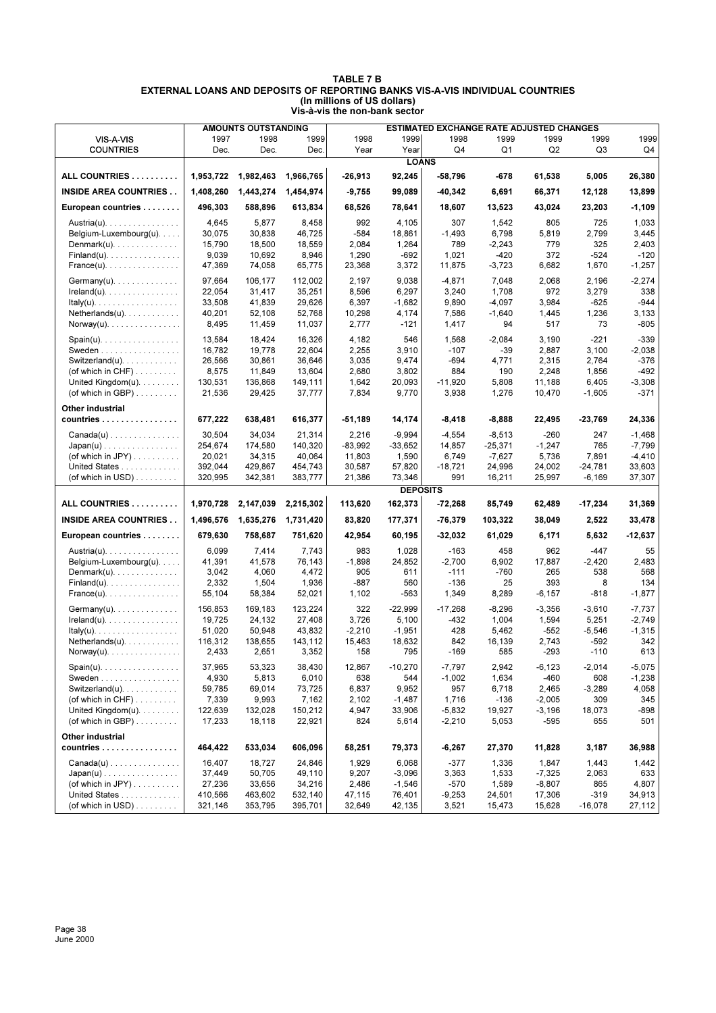|                                                |           | <b>AMOUNTS OUTSTANDING</b> |           |           |                 | <b>ESTIMATED EXCHANGE RATE ADJUSTED CHANGES</b> |           |                |           |           |
|------------------------------------------------|-----------|----------------------------|-----------|-----------|-----------------|-------------------------------------------------|-----------|----------------|-----------|-----------|
| VIS-A-VIS                                      | 1997      | 1998                       | 1999      | 1998      | 1999            | 1998                                            | 1999      | 1999           | 1999      | 1999      |
| <b>COUNTRIES</b>                               | Dec.      | Dec.                       | Dec.      | Year      | Year            | Q4                                              | Q1        | Q <sub>2</sub> | Q3        | Q4        |
|                                                |           |                            |           |           | <b>LOANS</b>    |                                                 |           |                |           |           |
| ALL COUNTRIES                                  | 1,953,722 | 1,982,463                  | 1,966,765 | $-26,913$ | 92,245          | $-58,796$                                       | -678      | 61,538         | 5,005     | 26,380    |
| <b>INSIDE AREA COUNTRIES</b>                   | 1,408,260 | 1,443,274                  | 1,454,974 | $-9,755$  | 99,089          | $-40,342$                                       | 6,691     | 66,371         | 12,128    | 13,899    |
| European countries                             | 496,303   | 588,896                    | 613,834   | 68,526    | 78,641          | 18,607                                          | 13,523    | 43,024         | 23,203    | -1,109    |
| Austria(u).                                    | 4,645     | 5,877                      | 8,458     | 992       | 4,105           | 307                                             | 1,542     | 805            | 725       | 1,033     |
| Belgium-Luxembourg $(u)$                       | 30,075    | 30,838                     | 46,725    | $-584$    | 18,861          | $-1,493$                                        | 6,798     | 5,819          | 2,799     | 3,445     |
| Denmark $(u)$ .                                | 15,790    | 18,500                     | 18,559    | 2,084     | 1,264           | 789                                             | $-2,243$  | 779            | 325       | 2,403     |
| $Finland(u)$ .                                 | 9,039     | 10,692                     | 8,946     | 1,290     | $-692$          | 1,021                                           | $-420$    | 372            | $-524$    | $-120$    |
| $France(u)$ .                                  | 47,369    | 74,058                     | 65,775    | 23,368    | 3,372           | 11,875                                          | $-3,723$  | 6,682          | 1,670     | $-1,257$  |
| $Germany(u)$ .                                 | 97,664    | 106,177                    | 112,002   | 2,197     | 9,038           | $-4,871$                                        | 7,048     | 2,068          | 2,196     | $-2,274$  |
| $Ireland(u)$ .                                 | 22,054    | 31,417                     | 35,251    | 8,596     | 6,297           | 3,240                                           | 1,708     | 972            | 3,279     | 338       |
| $ltaky(u)$ .                                   | 33,508    | 41,839                     | 29,626    | 6,397     | $-1,682$        | 9,890                                           | $-4,097$  | 3,984          | $-625$    | $-944$    |
| $Netherlands(u)$ .                             | 40,201    | 52,108                     | 52,768    | 10,298    | 4,174           | 7,586                                           | $-1,640$  | 1,445          | 1,236     | 3,133     |
| Norway(u).                                     | 8,495     | 11,459                     | 11,037    | 2,777     | $-121$          | 1,417                                           | 94        | 517            | 73        | $-805$    |
| $Span(u)$ .                                    | 13,584    | 18,424                     | 16,326    | 4,182     | 546             | 1,568                                           | $-2,084$  | 3,190          | $-221$    | $-339$    |
| Sweden                                         | 16,782    | 19,778                     | 22,604    | 2,255     | 3,910           | $-107$                                          | -39       | 2,887          | 3,100     | $-2,038$  |
| Switzerland(u). $\ldots$ .                     | 26.566    | 30,861                     | 36.646    | 3,035     | 9,474           | $-694$                                          | 4,771     | 2,315          | 2,764     | $-376$    |
| (of which in $CHF$ )                           | 8,575     | 11,849                     | 13,604    | 2,680     | 3,802           | 884                                             | 190       | 2,248          | 1,856     | $-492$    |
| United Kingdom $(u)$ .                         | 130,531   | 136,868                    | 149,111   | 1,642     | 20,093          | $-11,920$                                       | 5,808     | 11,188         | 6,405     | $-3,308$  |
| (of which in GBP) $\ldots \ldots$              | 21,536    | 29,425                     | 37,777    | 7,834     | 9,770           | 3,938                                           | 1,276     | 10,470         | $-1,605$  | $-371$    |
| Other industrial                               |           |                            |           |           |                 |                                                 |           |                |           |           |
| countries                                      | 677,222   | 638,481                    | 616,377   | $-51,189$ | 14,174          | -8,418                                          | $-8,888$  | 22,495         | -23,769   | 24,336    |
| $Canada(u) \ldots \ldots \ldots \ldots \ldots$ | 30,504    | 34,034                     | 21,314    | 2,216     | $-9,994$        | $-4,554$                                        | $-8,513$  | $-260$         | 247       | $-1,468$  |
| $Japan(u) \ldots \ldots \ldots \ldots \ldots$  | 254,674   | 174,580                    | 140.320   | $-83,992$ | $-33,652$       | 14,857                                          | $-25,371$ | $-1,247$       | 765       | $-7,799$  |
| (of which in JPY) $\dots \dots$                | 20,021    | 34,315                     | 40,064    | 11,803    | 1,590           | 6,749                                           | $-7,627$  | 5,736          | 7,891     | $-4,410$  |
| United States                                  | 392,044   | 429,867                    | 454,743   | 30,587    | 57,820          | $-18,721$                                       | 24,996    | 24,002         | $-24,781$ | 33,603    |
| (of which in USD) $\ldots$                     | 320,995   | 342,381                    | 383,777   | 21,386    | 73,346          | 991                                             | 16,211    | 25,997         | $-6,169$  | 37,307    |
|                                                |           |                            |           |           | <b>DEPOSITS</b> |                                                 |           |                |           |           |
| ALL COUNTRIES                                  | 1,970,728 | 2,147,039                  | 2,215,302 | 113,620   | 162,373         | $-72,268$                                       | 85,749    | 62,489         | -17,234   | 31,369    |
| <b>INSIDE AREA COUNTRIES</b>                   | 1,496,576 | 1,635,276                  | 1,731,420 | 83,820    | 177,371         | $-76,379$                                       | 103,322   | 38,049         | 2,522     | 33,478    |
| European countries                             | 679,630   | 758,687                    | 751,620   | 42,954    | 60,195          | $-32,032$                                       | 61,029    | 6,171          | 5,632     | $-12,637$ |
| Austria(u).                                    | 6,099     | 7,414                      | 7,743     | 983       | 1,028           | $-163$                                          | 458       | 962            | $-447$    | 55        |
| Belgium-Luxembourg $(u)$                       | 41,391    | 41,578                     | 76,143    | $-1,898$  | 24,852          | $-2,700$                                        | 6,902     | 17,887         | $-2,420$  | 2,483     |
| Denmark $(u)$ .                                | 3,042     | 4,060                      | 4,472     | 905       | 611             | $-111$                                          | $-760$    | 265            | 538       | 568       |
| $Findand(u), \ldots, \ldots, \ldots, \ldots$   | 2,332     | 1,504                      | 1,936     | $-887$    | 560             | $-136$                                          | 25        | 393            | 8         | 134       |
| $France(u)$ .                                  | 55,104    | 58,384                     | 52,021    | 1,102     | $-563$          | 1,349                                           | 8,289     | $-6, 157$      | -818      | $-1,877$  |
| $Germany(u)$ .                                 | 156,853   | 169,183                    | 123,224   | 322       | -22,999         | $-17,268$                                       | $-8,296$  | $-3,356$       | $-3,610$  | -7,737    |
| $Ireland(u)$ .                                 | 19,725    | 24,132                     | 27,408    | 3,726     | 5,100           | $-432$                                          | 1,004     | 1,594          | 5,251     | $-2.749$  |
| $ltaky(u)$ .                                   | 51,020    | 50,948                     | 43,832    | $-2,210$  | $-1,951$        | 428                                             | 5,462     | $-552$         | $-5,546$  | $-1,315$  |
| $Netherlands(u)$ .                             | 116,312   | 138,655                    | 143,112   | 15,463    | 18,632          | 842                                             | 16,139    | 2,743          | $-592$    | 342       |
| $Norway(u)$ .                                  | 2,433     | 2,651                      | 3,352     | 158       | 795             | $-169$                                          | 585       | $-293$         | $-110$    | 613       |
| $Span(u)$ .                                    | 37,965    | 53,323                     | 38,430    | 12,867    | $-10,270$       | $-7,797$                                        | 2,942     | $-6, 123$      | $-2,014$  | -5,075    |
| Sweden                                         | 4,930     | 5,813                      | 6,010     | 638       | 544             | $-1,002$                                        | 1,634     | $-460$         | 608       | $-1,238$  |
| Switzerland(u). $\ldots$ .                     | 59,785    | 69,014                     | 73,725    | 6,837     | 9,952           | 957                                             | 6,718     | 2,465          | $-3,289$  | 4,058     |
| (of which in $CHF$ )                           | 7,339     | 9,993                      | 7,162     | 2,102     | $-1,487$        | 1,716                                           | $-136$    | $-2,005$       | 309       | 345       |
| United Kingdom $(u)$ .                         | 122,639   | 132,028                    | 150,212   | 4,947     | 33,906          | $-5,832$                                        | 19,927    | $-3,196$       | 18,073    | $-898$    |
| (of which in GBP) $\ldots$                     | 17,233    | 18,118                     | 22,921    | 824       | 5,614           | $-2,210$                                        | 5,053     | $-595$         | 655       | 501       |
| Other industrial                               |           |                            |           |           |                 |                                                 |           |                |           |           |
| countries                                      | 464,422   | 533,034                    | 606,096   | 58,251    | 79,373          | -6,267                                          | 27,370    | 11,828         | 3,187     | 36,988    |
| $Canada(u) \ldots \ldots \ldots \ldots \ldots$ | 16,407    | 18,727                     | 24,846    | 1,929     | 6,068           | $-377$                                          | 1,336     | 1,847          | 1,443     | 1,442     |
| $Japan(u) \dots \dots \dots \dots \dots \dots$ | 37,449    | 50,705                     | 49,110    | 9,207     | $-3,096$        | 3,363                                           | 1,533     | $-7,325$       | 2,063     | 633       |
|                                                |           |                            |           |           |                 |                                                 |           |                | 865       | 4,807     |
| (of which in JPY) $\dots$                      | 27,236    | 33,656                     | 34,216    | 2,486     | $-1,546$        | $-570$                                          | 1,589     | $-8,807$       |           |           |
| United States<br>(of which in USD)             | 410,566   | 463,602                    | 532,140   | 47,115    | 76,401          | $-9,253$                                        | 24,501    | 17,306         | -319      | 34,913    |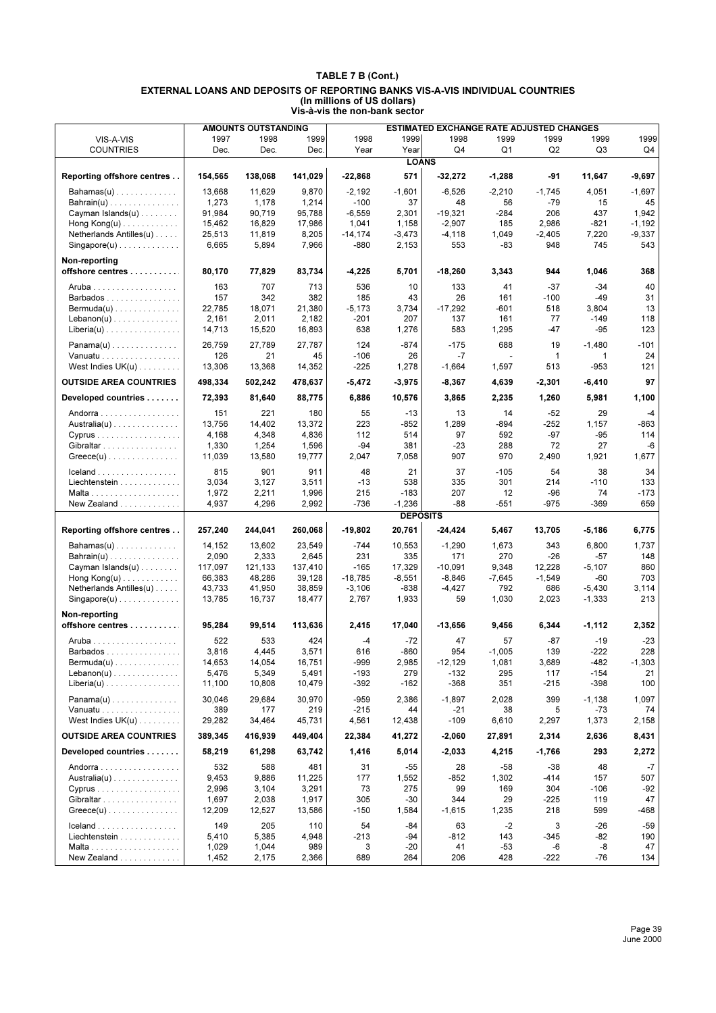|                                            |                  | <b>AMOUNTS OUTSTANDING</b> |                  |                   |                    | <b>ESTIMATED EXCHANGE RATE ADJUSTED CHANGES</b> |                 |                 |                      |              |
|--------------------------------------------|------------------|----------------------------|------------------|-------------------|--------------------|-------------------------------------------------|-----------------|-----------------|----------------------|--------------|
| VIS-A-VIS                                  | 1997             | 1998                       | 1999             | 1998              | 1999               | 1998                                            | 1999            | 1999            | 1999                 | 1999         |
| <b>COUNTRIES</b>                           | Dec.             | Dec.                       | Dec.             | Year              | Year               | Q4                                              | Q1              | Q <sub>2</sub>  | Q3                   | Q4           |
|                                            |                  |                            |                  |                   | <b>LOANS</b>       |                                                 |                 |                 |                      |              |
| Reporting offshore centres                 | 154,565          | 138,068                    | 141,029          | $-22,868$         | 571                | $-32,272$                                       | $-1,288$        | -91             | 11,647               | -9,697       |
| $Bahamas(u)$                               | 13,668           | 11,629                     | 9,870            | $-2,192$          | $-1,601$           | $-6,526$                                        | $-2,210$        | $-1,745$        | 4,051                | -1,697       |
| $Bahrain(u)$                               | 1,273            | 1,178                      | 1,214            | $-100$            | 37                 | 48                                              | 56              | $-79$           | 15                   | 45           |
| Cayman Islands(u)                          | 91,984           | 90,719                     | 95,788           | $-6,559$          | 2,301              | $-19,321$                                       | -284            | 206             | 437                  | 1,942        |
| Hong $Kong(u)$                             | 15,462           | 16,829                     | 17,986           | 1,041             | 1,158              | $-2,907$                                        | 185             | 2,986           | $-821$               | $-1,192$     |
| Netherlands Antilles(u)                    | 25,513           | 11,819                     | 8,205            | $-14,174$         | $-3,473$           | $-4,118$                                        | 1,049           | $-2,405$        | 7,220                | $-9,337$     |
| $Singapore(u)$                             | 6,665            | 5,894                      | 7,966            | $-880$            | 2,153              | 553                                             | -83             | 948             | 745                  | 543          |
| Non-reporting<br>offshore centres          | 80,170           | 77,829                     | 83,734           | $-4,225$          | 5,701              | $-18,260$                                       | 3,343           | 944             | 1,046                | 368          |
|                                            |                  |                            |                  |                   |                    |                                                 |                 |                 |                      |              |
| Aruba                                      | 163              | 707                        | 713              | 536               | 10                 | 133                                             | 41              | $-37$           | $-34$                | 40           |
| Barbados                                   | 157              | 342                        | 382              | 185               | 43                 | 26                                              | 161             | $-100$          | $-49$                | 31           |
| $Bernuda(u) \dots \dots \dots \dots \dots$ | 22,785           | 18,071                     | 21,380           | $-5,173$          | 3,734              | $-17,292$                                       | -601            | 518             | 3,804                | 13           |
| $Lebanon(u)$                               | 2,161            | 2,011                      | 2,182            | $-201$            | 207                | 137                                             | 161             | 77              | $-149$               | 118          |
| $Liberia(u)$                               | 14,713           | 15,520                     | 16,893           | 638               | 1,276              | 583                                             | 1,295           | -47             | $-95$                | 123          |
| $Panama(u)$                                | 26,759           | 27,789                     | 27,787           | 124               | $-874$             | $-175$                                          | 688             | 19              | $-1,480$             | $-101$       |
| Vanuatu                                    | 126              | 21                         | 45               | $-106$            | 26                 | $-7$                                            |                 | $\mathbf{1}$    | 1                    | 24           |
| West Indies $UK(u)$                        | 13,306           | 13,368                     | 14,352           | $-225$            | 1,278              | $-1,664$                                        | 1,597           | 513             | $-953$               | 121          |
| <b>OUTSIDE AREA COUNTRIES</b>              | 498,334          | 502,242                    | 478,637          | $-5,472$          | $-3,975$           | $-8,367$                                        | 4,639           | $-2,301$        | $-6,410$             | 97           |
| Developed countries                        | 72,393           | 81,640                     | 88,775           | 6,886             | 10,576             | 3,865                                           | 2,235           | 1,260           | 5,981                | 1,100        |
| Andorra                                    | 151              | 221                        | 180              | 55                | $-13$              | 13                                              | 14              | $-52$           | 29                   | $-4$         |
| $A$ ustralia $(u)$                         | 13,756           | 14,402                     | 13,372           | 223               | $-852$             | 1,289                                           | -894            | $-252$          | 1,157                | $-863$       |
| Cyprus                                     | 4,168            | 4,348                      | 4,836            | 112               | 514                | 97                                              | 592             | $-97$           | $-95$                | 114          |
| Gibraltar                                  | 1,330            | 1,254                      | 1,596            | $-94$             | 381                | $-23$                                           | 288             | 72              | 27                   | $-6$         |
| $Greeze(u)$                                | 11,039           | 13,580                     | 19,777           | 2,047             | 7,058              | 907                                             | 970             | 2,490           | 1,921                | 1,677        |
|                                            | 815              | 901                        | 911              | 48                | 21                 | 37                                              | $-105$          | 54              | 38                   | 34           |
| Liechtenstein                              | 3,034            | 3,127                      | 3,511            | $-13$             | 538                | 335                                             | 301             | 214             | $-110$               | 133          |
|                                            | 1,972            | 2,211                      | 1,996            | 215               | $-183$             | 207                                             | 12              | -96             | 74                   | $-173$       |
| New Zealand                                | 4,937            | 4,296                      | 2,992            | $-736$            | $-1,236$           | -88                                             | $-551$          | $-975$          | $-369$               | 659          |
|                                            |                  |                            |                  |                   | <b>DEPOSITS</b>    |                                                 |                 |                 |                      |              |
| Reporting offshore centres                 | 257,240          | 244,041                    | 260,068          | $-19,802$         | 20,761             | -24,424                                         | 5,467           | 13,705          | $-5,186$             | 6,775        |
| $Bahamas(u) \ldots \ldots \ldots \ldots$   | 14,152           | 13,602                     | 23,549           | $-744$            | 10,553             | $-1,290$                                        | 1,673           | 343             | 6,800                | 1,737        |
| $Bahrain(u)$                               | 2,090            | 2,333                      | 2,645            | 231               | 335                | 171                                             | 270             | $-26$           | $-57$                | 148          |
| Cayman Islands(u)                          | 117,097          | 121,133                    | 137,410          | $-165$            | 17,329             | $-10,091$                                       | 9,348           | 12,228          | $-5,107$             | 860          |
| Hong $Kong(u)$                             | 66,383           | 48,286                     | 39,128           | $-18,785$         | $-8,551$<br>$-838$ | $-8,846$                                        | $-7,645$<br>792 | $-1,549$<br>686 | $-60$                | 703          |
| Netherlands Antilles(u)<br>$Singapore(u)$  | 43,733<br>13,785 | 41,950<br>16,737           | 38,859<br>18,477 | $-3,106$<br>2,767 | 1,933              | $-4,427$<br>59                                  | 1,030           | 2,023           | $-5,430$<br>$-1,333$ | 3,114<br>213 |
|                                            |                  |                            |                  |                   |                    |                                                 |                 |                 |                      |              |
| Non-reporting<br>offshore centres          | 95,284           | 99,514                     | 113,636          | 2,415             | 17,040             | $-13,656$                                       | 9,456           | 6,344           | $-1,112$             | 2,352        |
| Aruba                                      | 522              | 533                        | 424              | $-4$              | $-72$              | 47                                              | 57              | $-87$           | $-19$                | $-23$        |
| Barbados                                   | 3,816            | 4,445                      | 3,571            | 616               | -860               | 954                                             | $-1,005$        | 139             | $-222$               | 228          |
| $Bernuda(u) \dots \dots \dots \dots \dots$ | 14,653           | 14,054                     | 16,751           | -999              | 2,985              | $-12,129$                                       | 1,081           | 3,689           | -482                 | $-1,303$     |
| $Lebanon(u)$                               | 5,476            | 5,349                      | 5,491            | $-193$            | 279                | $-132$                                          | 295             | 117             | $-154$               | 21           |
| $Liberia(u)$                               | 11,100           | 10,808                     | 10,479           | $-392$            | $-162$             | $-368$                                          | 351             | $-215$          | $-398$               | 100          |
| $Panama(u)$                                | 30,046           | 29,684                     | 30,970           | $-959$            | 2,386              | $-1,897$                                        | 2,028           | 399             | $-1,138$             | 1,097        |
| Vanuatu                                    | 389              | 177                        | 219              | $-215$            | 44                 | $-21$                                           | 38              | 5               | -73                  | 74           |
| West Indies $UK(u)$                        | 29,282           | 34,464                     | 45,731           | 4,561             | 12,438             | $-109$                                          | 6,610           | 2,297           | 1,373                | 2,158        |
| <b>OUTSIDE AREA COUNTRIES</b>              | 389,345          | 416,939                    | 449,404          | 22,384            | 41,272             | -2,060                                          | 27,891          | 2,314           | 2,636                | 8,431        |
| Developed countries                        | 58,219           | 61,298                     | 63,742           | 1,416             | 5,014              | -2,033                                          | 4,215           | $-1,766$        | 293                  | 2,272        |
| Andorra                                    | 532              | 588                        | 481              | 31                | $-55$              | 28                                              | $-58$           | $-38$           | 48                   | $-7$         |
| $A$ ustralia $(u)$                         | 9,453            | 9,886                      | 11,225           | 177               | 1,552              | $-852$                                          | 1,302           | $-414$          | 157                  | 507          |
| $Cyprus$                                   | 2,996            | 3,104                      | 3,291            | 73                | 275                | 99                                              | 169             | 304             | $-106$               | $-92$        |
| Gibraltar                                  | 1,697            | 2,038                      | 1,917            | 305               | -30                | 344                                             | 29              | $-225$          | 119                  | 47           |
| $Greeze(u)$                                | 12,209           | 12,527                     | 13,586           | $-150$            | 1,584              | $-1,615$                                        | 1,235           | 218             | 599                  | -468         |
| Iceland                                    | 149              | 205                        | 110              | 54                | -84                | 63                                              | $-2$            | 3               | $-26$                | $-59$        |
| Liechtenstein                              | 5,410            | 5,385                      | 4,948            | $-213$            | -94                | $-812$                                          | 143             | $-345$          | -82                  | 190          |
|                                            | 1,029            | 1,044                      | 989              | 3                 | $-20$              | 41                                              | $-53$           | -6              | -8                   | 47           |
| New Zealand                                | 1,452            | 2,175                      | 2,366            | 689               | 264                | 206                                             | 428             | $-222$          | -76                  | 134          |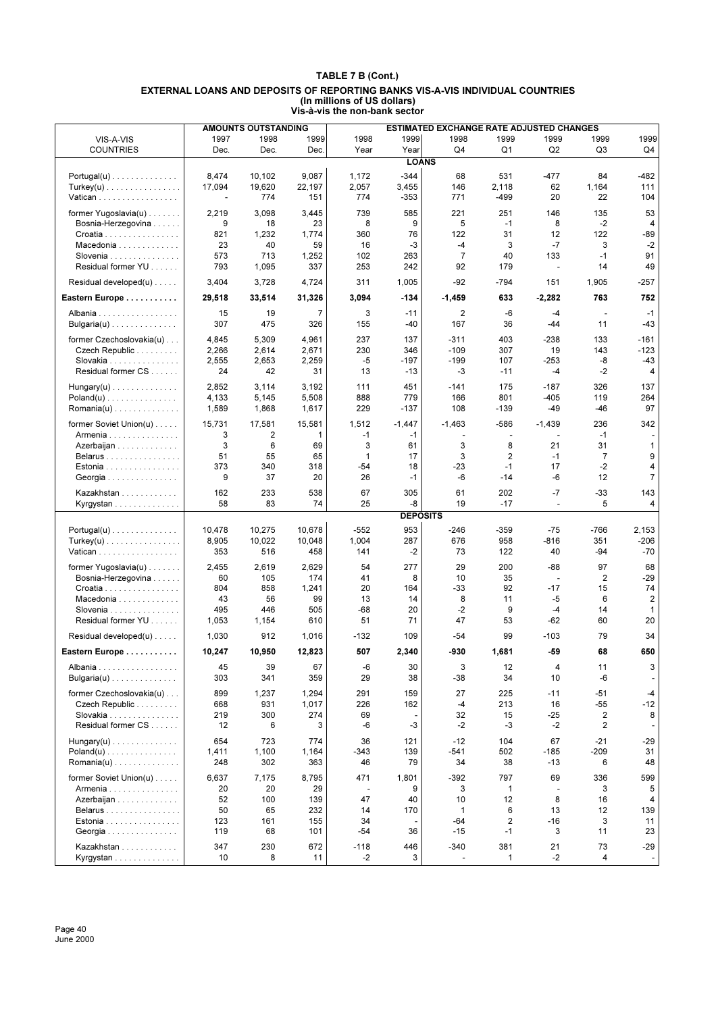| 1997<br>1998<br>1999<br>1998<br>1998<br>1999<br>1999<br>1999<br>1999<br>1999<br>VIS-A-VIS<br>Q <sub>1</sub><br>Q <sub>2</sub><br><b>COUNTRIES</b><br>Dec.<br>Dec.<br>Dec.<br>Year<br>Year<br>Q4<br>Q3<br>Q4<br><b>LOANS</b><br>9,087<br>-482<br>8,474<br>10,102<br>1,172<br>$-344$<br>68<br>531<br>-477<br>84<br>$Portugal(u) \ldots \ldots \ldots \ldots$<br>2,057<br>3,455<br>2,118<br>17,094<br>19,620<br>22,197<br>146<br>62<br>1,164<br>111<br>$Turkey(u)$<br>774<br>774<br>$-353$<br>771<br>20<br>22<br>104<br>Vatican<br>151<br>-499<br>$\blacksquare$<br>739<br>585<br>221<br>251<br>146<br>135<br>53<br>former Yugoslavia $(u)$<br>2,219<br>3,098<br>3,445<br>9<br>8<br>9<br>5<br>8<br>$-2$<br>Bosnia-Herzegovina<br>18<br>23<br>$-1$<br>4<br>821<br>1,232<br>360<br>122<br>31<br>12<br>122<br>-89<br>1,774<br>76<br>Croatia<br>3<br>$-7$<br>3<br>$-2$<br>Macedonia<br>23<br>40<br>59<br>16<br>-3<br>$-4$<br>$\overline{7}$<br>91<br>713<br>40<br>133<br>Slovenia<br>573<br>1,252<br>102<br>263<br>$-1$<br>Residual former YU<br>253<br>92<br>49<br>793<br>1,095<br>337<br>242<br>179<br>14<br>$\blacksquare$<br>Residual developed(u)<br>3,404<br>3,728<br>311<br>1,005<br>$-92$<br>$-794$<br>1,905<br>$-257$<br>4,724<br>151<br>3,094<br>763<br>752<br>Eastern Europe<br>29,518<br>33,514<br>31,326<br>$-134$<br>$-1,459$<br>633<br>$-2,282$<br>$\overline{7}$<br>3<br>$\mathbf 2$<br>15<br>19<br>-6<br>$-1$<br>$-11$<br>$-4$<br>Albania<br>307<br>475<br>326<br>155<br>167<br>11<br>$-43$<br>Bulgaria(u)<br>-40<br>36<br>$-44$<br>4,845<br>5,309<br>4,961<br>237<br>$-311$<br>403<br>$-238$<br>133<br>$-161$<br>former Czechoslovakia(u)<br>137<br>230<br>$-109$<br>$-123$<br>Czech Republic<br>2,266<br>2,614<br>2,671<br>346<br>307<br>19<br>143<br>2,555<br>2,259<br>$-5$<br>$-199$<br>$-43$<br>Slovakia<br>2,653<br>-197<br>107<br>-253<br>-8<br>24<br>42<br>-3<br>$-2$<br>Residual former CS<br>31<br>13<br>$-13$<br>$-11$<br>-4<br>4<br>2,852<br>3,114<br>3,192<br>451<br>$-141$<br>175<br>$-187$<br>326<br>137<br>111<br>$Hungary(u)$<br>4,133<br>888<br>$-405$<br>264<br>$Poland(u)$<br>5,145<br>5,508<br>779<br>166<br>801<br>119<br>229<br>$-46$<br>97<br>Romania(u)<br>1,589<br>1,868<br>1,617<br>$-137$<br>108<br>$-139$<br>-49<br>former Soviet Union(u)<br>15,731<br>15,581<br>1,512<br>$-586$<br>$-1,439$<br>236<br>342<br>17,581<br>$-1,447$<br>$-1,463$<br>3<br>2<br>1<br>$-1$<br>$-1$<br>$-1$<br>Armenia<br>÷<br>$\sim$<br>÷<br>3<br>6<br>3<br>3<br>8<br>21<br>31<br>$\mathbf{1}$<br>69<br>61<br>Azerbaijan<br>3<br>2<br>$\overline{7}$<br>9<br>51<br>55<br>65<br>$\mathbf{1}$<br>17<br>$-1$<br>Belarus<br>$-2$<br>$-23$<br>17<br>4<br>373<br>340<br>318<br>$-54$<br>18<br>$-1$<br>Estonia<br>$\overline{7}$<br>9<br>$-1$<br>-6<br>12<br>37<br>20<br>26<br>$-14$<br>-6<br>Georgia<br>162<br>233<br>538<br>67<br>305<br>61<br>202<br>$-7$<br>$-33$<br>143<br>Kazakhstan<br>83<br>25<br>-8<br>19<br>5<br>58<br>74<br>$-17$<br>4<br>Kyrgystan<br>$\overline{\phantom{a}}$<br><b>DEPOSITS</b><br>953<br>10,678<br>$-552$<br>10,478<br>10,275<br>$-246$<br>-359<br>$-75$<br>-766<br>2,153<br>$Portugal(u) \dots \dots \dots \dots \dots$<br>10,048<br>1,004<br>676<br>$-206$<br>$Turkey(u)$<br>8,905<br>10,022<br>287<br>958<br>-816<br>351<br>516<br>$-2$<br>$-70$<br>353<br>458<br>141<br>73<br>122<br>40<br>-94<br>Vatican<br>2,629<br>277<br>29<br>200<br>$-88$<br>97<br>68<br>former Yugoslavia(u)<br>2,455<br>2,619<br>54<br>60<br>105<br>174<br>41<br>8<br>10<br>35<br>$\overline{2}$<br>$-29$<br>Bosnia-Herzegovina<br>$\overline{\phantom{a}}$<br>804<br>858<br>$-33$<br>92<br>$-17$<br>15<br>74<br>1,241<br>20<br>164<br>Croatia<br>56<br>99<br>13<br>8<br>$-5$<br>$\overline{2}$<br>Macedonia<br>43<br>14<br>11<br>6<br>495<br>446<br>505<br>$-68$<br>20<br>$-2$<br>9<br>$-4$<br>14<br>Slovenia<br>$\mathbf{1}$<br>Residual former YU<br>20<br>1,053<br>1,154<br>610<br>51<br>71<br>47<br>53<br>$-62$<br>60<br>79<br>34<br>Residual developed(u)<br>1,030<br>912<br>1,016<br>$-132$<br>109<br>-54<br>99<br>$-103$<br>10,950<br>12,823<br>507<br>2,340<br>-930<br>$-59$<br>68<br>650<br>Eastern Europe<br>10,247<br>1,681<br>67<br>45<br>39<br>-6<br>3<br>12<br>11<br>3<br>30<br>4<br>Albania<br>359<br>29<br>38<br>34<br>-6<br>Bulgaria(u)<br>303<br>341<br>-38<br>10<br>former Czechoslovakia(u)<br>899<br>1,237<br>1,294<br>291<br>159<br>27<br>225<br>$-11$<br>$-51$<br>$-4$<br>931<br>1,017<br>226<br>162<br>$-4$<br>213<br>$-55$<br>$-12$<br>Czech Republic<br>668<br>16<br>219<br>300<br>274<br>69<br>32<br>15<br>$-25$<br>2<br>8<br>Slovakia<br>Residual former CS<br>12<br>6<br>-6<br>-3<br>$-2$<br>$-3$<br>2<br>3<br>$-2$<br>654<br>723<br>774<br>$-12$<br>104<br>67<br>$-21$<br>$Hungary(u)$<br>36<br>121<br>-29<br>$-541$<br>31<br>$Poland(u) \dots \dots \dots \dots \dots$<br>1,411<br>1,100<br>1,164<br>-343<br>139<br>502<br>$-185$<br>$-209$<br>79<br>34<br>38<br>$-13$<br>6<br>48<br>248<br>302<br>363<br>46<br>former Soviet Union(u)<br>6,637<br>7,175<br>8,795<br>471<br>1,801<br>$-392$<br>797<br>69<br>336<br>599<br>20<br>20<br>29<br>9<br>3<br>$\mathbf{1}$<br>5<br>Armenia<br>3<br>$\overline{\phantom{a}}$<br>$\overline{\phantom{a}}$<br>52<br>47<br>12<br>8<br>Azerbaijan<br>100<br>139<br>40<br>10<br>16<br>4<br>14<br>6<br>13<br>12<br>Belarus<br>50<br>65<br>232<br>170<br>$\mathbf{1}$<br>139<br>$-64$<br>2<br>$-16$<br>Estonia<br>123<br>161<br>155<br>34<br>3<br>11<br>119<br>68<br>101<br>-54<br>36<br>$-15$<br>$-1$<br>3<br>11<br>23<br>Georgia<br>347<br>230<br>381<br>73<br>-29<br>Kazakhstan<br>672<br>$-118$<br>446<br>$-340$<br>21 |           |    | <b>AMOUNTS OUTSTANDING</b> |    | <b>ESTIMATED EXCHANGE RATE ADJUSTED CHANGES</b> |   |                |              |      |   |  |  |
|-----------------------------------------------------------------------------------------------------------------------------------------------------------------------------------------------------------------------------------------------------------------------------------------------------------------------------------------------------------------------------------------------------------------------------------------------------------------------------------------------------------------------------------------------------------------------------------------------------------------------------------------------------------------------------------------------------------------------------------------------------------------------------------------------------------------------------------------------------------------------------------------------------------------------------------------------------------------------------------------------------------------------------------------------------------------------------------------------------------------------------------------------------------------------------------------------------------------------------------------------------------------------------------------------------------------------------------------------------------------------------------------------------------------------------------------------------------------------------------------------------------------------------------------------------------------------------------------------------------------------------------------------------------------------------------------------------------------------------------------------------------------------------------------------------------------------------------------------------------------------------------------------------------------------------------------------------------------------------------------------------------------------------------------------------------------------------------------------------------------------------------------------------------------------------------------------------------------------------------------------------------------------------------------------------------------------------------------------------------------------------------------------------------------------------------------------------------------------------------------------------------------------------------------------------------------------------------------------------------------------------------------------------------------------------------------------------------------------------------------------------------------------------------------------------------------------------------------------------------------------------------------------------------------------------------------------------------------------------------------------------------------------------------------------------------------------------------------------------------------------------------------------------------------------------------------------------------------------------------------------------------------------------------------------------------------------------------------------------------------------------------------------------------------------------------------------------------------------------------------------------------------------------------------------------------------------------------------------------------------------------------------------------------------------------------------------------------------------------------------------------------------------------------------------------------------------------------------------------------------------------------------------------------------------------------------------------------------------------------------------------------------------------------------------------------------------------------------------------------------------------------------------------------------------------------------------------------------------------------------------------------------------------------------------------------------------------------------------------------------------------------------------------------------------------------------------------------------------------------------------------------------------------------------------------------------------------------------------------------------------------------------------------------------------------------------------------------------------------------------------------------------------------------------------------------------------------------------------------------------------------------------------------------------------------------------------------------------------------------------------------------------------------------------------------------------------------------------------------------------------------------------------------------------------------------------------------------------------------------------------------------------------------------------------------------------------------------------------------------------------------------------------------------------------------------------------------------------------------------------------------------------------------------------------------------------------------------------------------------------|-----------|----|----------------------------|----|-------------------------------------------------|---|----------------|--------------|------|---|--|--|
|                                                                                                                                                                                                                                                                                                                                                                                                                                                                                                                                                                                                                                                                                                                                                                                                                                                                                                                                                                                                                                                                                                                                                                                                                                                                                                                                                                                                                                                                                                                                                                                                                                                                                                                                                                                                                                                                                                                                                                                                                                                                                                                                                                                                                                                                                                                                                                                                                                                                                                                                                                                                                                                                                                                                                                                                                                                                                                                                                                                                                                                                                                                                                                                                                                                                                                                                                                                                                                                                                                                                                                                                                                                                                                                                                                                                                                                                                                                                                                                                                                                                                                                                                                                                                                                                                                                                                                                                                                                                                                                                                                                                                                                                                                                                                                                                                                                                                                                                                                                                                                                                                                                                                                                                                                                                                                                                                                                                                                                                                                                                                                                                                 |           |    |                            |    |                                                 |   |                |              |      |   |  |  |
|                                                                                                                                                                                                                                                                                                                                                                                                                                                                                                                                                                                                                                                                                                                                                                                                                                                                                                                                                                                                                                                                                                                                                                                                                                                                                                                                                                                                                                                                                                                                                                                                                                                                                                                                                                                                                                                                                                                                                                                                                                                                                                                                                                                                                                                                                                                                                                                                                                                                                                                                                                                                                                                                                                                                                                                                                                                                                                                                                                                                                                                                                                                                                                                                                                                                                                                                                                                                                                                                                                                                                                                                                                                                                                                                                                                                                                                                                                                                                                                                                                                                                                                                                                                                                                                                                                                                                                                                                                                                                                                                                                                                                                                                                                                                                                                                                                                                                                                                                                                                                                                                                                                                                                                                                                                                                                                                                                                                                                                                                                                                                                                                                 |           |    |                            |    |                                                 |   |                |              |      |   |  |  |
|                                                                                                                                                                                                                                                                                                                                                                                                                                                                                                                                                                                                                                                                                                                                                                                                                                                                                                                                                                                                                                                                                                                                                                                                                                                                                                                                                                                                                                                                                                                                                                                                                                                                                                                                                                                                                                                                                                                                                                                                                                                                                                                                                                                                                                                                                                                                                                                                                                                                                                                                                                                                                                                                                                                                                                                                                                                                                                                                                                                                                                                                                                                                                                                                                                                                                                                                                                                                                                                                                                                                                                                                                                                                                                                                                                                                                                                                                                                                                                                                                                                                                                                                                                                                                                                                                                                                                                                                                                                                                                                                                                                                                                                                                                                                                                                                                                                                                                                                                                                                                                                                                                                                                                                                                                                                                                                                                                                                                                                                                                                                                                                                                 |           |    |                            |    |                                                 |   |                |              |      |   |  |  |
|                                                                                                                                                                                                                                                                                                                                                                                                                                                                                                                                                                                                                                                                                                                                                                                                                                                                                                                                                                                                                                                                                                                                                                                                                                                                                                                                                                                                                                                                                                                                                                                                                                                                                                                                                                                                                                                                                                                                                                                                                                                                                                                                                                                                                                                                                                                                                                                                                                                                                                                                                                                                                                                                                                                                                                                                                                                                                                                                                                                                                                                                                                                                                                                                                                                                                                                                                                                                                                                                                                                                                                                                                                                                                                                                                                                                                                                                                                                                                                                                                                                                                                                                                                                                                                                                                                                                                                                                                                                                                                                                                                                                                                                                                                                                                                                                                                                                                                                                                                                                                                                                                                                                                                                                                                                                                                                                                                                                                                                                                                                                                                                                                 |           |    |                            |    |                                                 |   |                |              |      |   |  |  |
|                                                                                                                                                                                                                                                                                                                                                                                                                                                                                                                                                                                                                                                                                                                                                                                                                                                                                                                                                                                                                                                                                                                                                                                                                                                                                                                                                                                                                                                                                                                                                                                                                                                                                                                                                                                                                                                                                                                                                                                                                                                                                                                                                                                                                                                                                                                                                                                                                                                                                                                                                                                                                                                                                                                                                                                                                                                                                                                                                                                                                                                                                                                                                                                                                                                                                                                                                                                                                                                                                                                                                                                                                                                                                                                                                                                                                                                                                                                                                                                                                                                                                                                                                                                                                                                                                                                                                                                                                                                                                                                                                                                                                                                                                                                                                                                                                                                                                                                                                                                                                                                                                                                                                                                                                                                                                                                                                                                                                                                                                                                                                                                                                 |           |    |                            |    |                                                 |   |                |              |      |   |  |  |
|                                                                                                                                                                                                                                                                                                                                                                                                                                                                                                                                                                                                                                                                                                                                                                                                                                                                                                                                                                                                                                                                                                                                                                                                                                                                                                                                                                                                                                                                                                                                                                                                                                                                                                                                                                                                                                                                                                                                                                                                                                                                                                                                                                                                                                                                                                                                                                                                                                                                                                                                                                                                                                                                                                                                                                                                                                                                                                                                                                                                                                                                                                                                                                                                                                                                                                                                                                                                                                                                                                                                                                                                                                                                                                                                                                                                                                                                                                                                                                                                                                                                                                                                                                                                                                                                                                                                                                                                                                                                                                                                                                                                                                                                                                                                                                                                                                                                                                                                                                                                                                                                                                                                                                                                                                                                                                                                                                                                                                                                                                                                                                                                                 |           |    |                            |    |                                                 |   |                |              |      |   |  |  |
|                                                                                                                                                                                                                                                                                                                                                                                                                                                                                                                                                                                                                                                                                                                                                                                                                                                                                                                                                                                                                                                                                                                                                                                                                                                                                                                                                                                                                                                                                                                                                                                                                                                                                                                                                                                                                                                                                                                                                                                                                                                                                                                                                                                                                                                                                                                                                                                                                                                                                                                                                                                                                                                                                                                                                                                                                                                                                                                                                                                                                                                                                                                                                                                                                                                                                                                                                                                                                                                                                                                                                                                                                                                                                                                                                                                                                                                                                                                                                                                                                                                                                                                                                                                                                                                                                                                                                                                                                                                                                                                                                                                                                                                                                                                                                                                                                                                                                                                                                                                                                                                                                                                                                                                                                                                                                                                                                                                                                                                                                                                                                                                                                 |           |    |                            |    |                                                 |   |                |              |      |   |  |  |
|                                                                                                                                                                                                                                                                                                                                                                                                                                                                                                                                                                                                                                                                                                                                                                                                                                                                                                                                                                                                                                                                                                                                                                                                                                                                                                                                                                                                                                                                                                                                                                                                                                                                                                                                                                                                                                                                                                                                                                                                                                                                                                                                                                                                                                                                                                                                                                                                                                                                                                                                                                                                                                                                                                                                                                                                                                                                                                                                                                                                                                                                                                                                                                                                                                                                                                                                                                                                                                                                                                                                                                                                                                                                                                                                                                                                                                                                                                                                                                                                                                                                                                                                                                                                                                                                                                                                                                                                                                                                                                                                                                                                                                                                                                                                                                                                                                                                                                                                                                                                                                                                                                                                                                                                                                                                                                                                                                                                                                                                                                                                                                                                                 |           |    |                            |    |                                                 |   |                |              |      |   |  |  |
|                                                                                                                                                                                                                                                                                                                                                                                                                                                                                                                                                                                                                                                                                                                                                                                                                                                                                                                                                                                                                                                                                                                                                                                                                                                                                                                                                                                                                                                                                                                                                                                                                                                                                                                                                                                                                                                                                                                                                                                                                                                                                                                                                                                                                                                                                                                                                                                                                                                                                                                                                                                                                                                                                                                                                                                                                                                                                                                                                                                                                                                                                                                                                                                                                                                                                                                                                                                                                                                                                                                                                                                                                                                                                                                                                                                                                                                                                                                                                                                                                                                                                                                                                                                                                                                                                                                                                                                                                                                                                                                                                                                                                                                                                                                                                                                                                                                                                                                                                                                                                                                                                                                                                                                                                                                                                                                                                                                                                                                                                                                                                                                                                 |           |    |                            |    |                                                 |   |                |              |      |   |  |  |
|                                                                                                                                                                                                                                                                                                                                                                                                                                                                                                                                                                                                                                                                                                                                                                                                                                                                                                                                                                                                                                                                                                                                                                                                                                                                                                                                                                                                                                                                                                                                                                                                                                                                                                                                                                                                                                                                                                                                                                                                                                                                                                                                                                                                                                                                                                                                                                                                                                                                                                                                                                                                                                                                                                                                                                                                                                                                                                                                                                                                                                                                                                                                                                                                                                                                                                                                                                                                                                                                                                                                                                                                                                                                                                                                                                                                                                                                                                                                                                                                                                                                                                                                                                                                                                                                                                                                                                                                                                                                                                                                                                                                                                                                                                                                                                                                                                                                                                                                                                                                                                                                                                                                                                                                                                                                                                                                                                                                                                                                                                                                                                                                                 |           |    |                            |    |                                                 |   |                |              |      |   |  |  |
|                                                                                                                                                                                                                                                                                                                                                                                                                                                                                                                                                                                                                                                                                                                                                                                                                                                                                                                                                                                                                                                                                                                                                                                                                                                                                                                                                                                                                                                                                                                                                                                                                                                                                                                                                                                                                                                                                                                                                                                                                                                                                                                                                                                                                                                                                                                                                                                                                                                                                                                                                                                                                                                                                                                                                                                                                                                                                                                                                                                                                                                                                                                                                                                                                                                                                                                                                                                                                                                                                                                                                                                                                                                                                                                                                                                                                                                                                                                                                                                                                                                                                                                                                                                                                                                                                                                                                                                                                                                                                                                                                                                                                                                                                                                                                                                                                                                                                                                                                                                                                                                                                                                                                                                                                                                                                                                                                                                                                                                                                                                                                                                                                 |           |    |                            |    |                                                 |   |                |              |      |   |  |  |
|                                                                                                                                                                                                                                                                                                                                                                                                                                                                                                                                                                                                                                                                                                                                                                                                                                                                                                                                                                                                                                                                                                                                                                                                                                                                                                                                                                                                                                                                                                                                                                                                                                                                                                                                                                                                                                                                                                                                                                                                                                                                                                                                                                                                                                                                                                                                                                                                                                                                                                                                                                                                                                                                                                                                                                                                                                                                                                                                                                                                                                                                                                                                                                                                                                                                                                                                                                                                                                                                                                                                                                                                                                                                                                                                                                                                                                                                                                                                                                                                                                                                                                                                                                                                                                                                                                                                                                                                                                                                                                                                                                                                                                                                                                                                                                                                                                                                                                                                                                                                                                                                                                                                                                                                                                                                                                                                                                                                                                                                                                                                                                                                                 |           |    |                            |    |                                                 |   |                |              |      |   |  |  |
|                                                                                                                                                                                                                                                                                                                                                                                                                                                                                                                                                                                                                                                                                                                                                                                                                                                                                                                                                                                                                                                                                                                                                                                                                                                                                                                                                                                                                                                                                                                                                                                                                                                                                                                                                                                                                                                                                                                                                                                                                                                                                                                                                                                                                                                                                                                                                                                                                                                                                                                                                                                                                                                                                                                                                                                                                                                                                                                                                                                                                                                                                                                                                                                                                                                                                                                                                                                                                                                                                                                                                                                                                                                                                                                                                                                                                                                                                                                                                                                                                                                                                                                                                                                                                                                                                                                                                                                                                                                                                                                                                                                                                                                                                                                                                                                                                                                                                                                                                                                                                                                                                                                                                                                                                                                                                                                                                                                                                                                                                                                                                                                                                 |           |    |                            |    |                                                 |   |                |              |      |   |  |  |
|                                                                                                                                                                                                                                                                                                                                                                                                                                                                                                                                                                                                                                                                                                                                                                                                                                                                                                                                                                                                                                                                                                                                                                                                                                                                                                                                                                                                                                                                                                                                                                                                                                                                                                                                                                                                                                                                                                                                                                                                                                                                                                                                                                                                                                                                                                                                                                                                                                                                                                                                                                                                                                                                                                                                                                                                                                                                                                                                                                                                                                                                                                                                                                                                                                                                                                                                                                                                                                                                                                                                                                                                                                                                                                                                                                                                                                                                                                                                                                                                                                                                                                                                                                                                                                                                                                                                                                                                                                                                                                                                                                                                                                                                                                                                                                                                                                                                                                                                                                                                                                                                                                                                                                                                                                                                                                                                                                                                                                                                                                                                                                                                                 |           |    |                            |    |                                                 |   |                |              |      |   |  |  |
|                                                                                                                                                                                                                                                                                                                                                                                                                                                                                                                                                                                                                                                                                                                                                                                                                                                                                                                                                                                                                                                                                                                                                                                                                                                                                                                                                                                                                                                                                                                                                                                                                                                                                                                                                                                                                                                                                                                                                                                                                                                                                                                                                                                                                                                                                                                                                                                                                                                                                                                                                                                                                                                                                                                                                                                                                                                                                                                                                                                                                                                                                                                                                                                                                                                                                                                                                                                                                                                                                                                                                                                                                                                                                                                                                                                                                                                                                                                                                                                                                                                                                                                                                                                                                                                                                                                                                                                                                                                                                                                                                                                                                                                                                                                                                                                                                                                                                                                                                                                                                                                                                                                                                                                                                                                                                                                                                                                                                                                                                                                                                                                                                 |           |    |                            |    |                                                 |   |                |              |      |   |  |  |
|                                                                                                                                                                                                                                                                                                                                                                                                                                                                                                                                                                                                                                                                                                                                                                                                                                                                                                                                                                                                                                                                                                                                                                                                                                                                                                                                                                                                                                                                                                                                                                                                                                                                                                                                                                                                                                                                                                                                                                                                                                                                                                                                                                                                                                                                                                                                                                                                                                                                                                                                                                                                                                                                                                                                                                                                                                                                                                                                                                                                                                                                                                                                                                                                                                                                                                                                                                                                                                                                                                                                                                                                                                                                                                                                                                                                                                                                                                                                                                                                                                                                                                                                                                                                                                                                                                                                                                                                                                                                                                                                                                                                                                                                                                                                                                                                                                                                                                                                                                                                                                                                                                                                                                                                                                                                                                                                                                                                                                                                                                                                                                                                                 |           |    |                            |    |                                                 |   |                |              |      |   |  |  |
|                                                                                                                                                                                                                                                                                                                                                                                                                                                                                                                                                                                                                                                                                                                                                                                                                                                                                                                                                                                                                                                                                                                                                                                                                                                                                                                                                                                                                                                                                                                                                                                                                                                                                                                                                                                                                                                                                                                                                                                                                                                                                                                                                                                                                                                                                                                                                                                                                                                                                                                                                                                                                                                                                                                                                                                                                                                                                                                                                                                                                                                                                                                                                                                                                                                                                                                                                                                                                                                                                                                                                                                                                                                                                                                                                                                                                                                                                                                                                                                                                                                                                                                                                                                                                                                                                                                                                                                                                                                                                                                                                                                                                                                                                                                                                                                                                                                                                                                                                                                                                                                                                                                                                                                                                                                                                                                                                                                                                                                                                                                                                                                                                 |           |    |                            |    |                                                 |   |                |              |      |   |  |  |
|                                                                                                                                                                                                                                                                                                                                                                                                                                                                                                                                                                                                                                                                                                                                                                                                                                                                                                                                                                                                                                                                                                                                                                                                                                                                                                                                                                                                                                                                                                                                                                                                                                                                                                                                                                                                                                                                                                                                                                                                                                                                                                                                                                                                                                                                                                                                                                                                                                                                                                                                                                                                                                                                                                                                                                                                                                                                                                                                                                                                                                                                                                                                                                                                                                                                                                                                                                                                                                                                                                                                                                                                                                                                                                                                                                                                                                                                                                                                                                                                                                                                                                                                                                                                                                                                                                                                                                                                                                                                                                                                                                                                                                                                                                                                                                                                                                                                                                                                                                                                                                                                                                                                                                                                                                                                                                                                                                                                                                                                                                                                                                                                                 |           |    |                            |    |                                                 |   |                |              |      |   |  |  |
|                                                                                                                                                                                                                                                                                                                                                                                                                                                                                                                                                                                                                                                                                                                                                                                                                                                                                                                                                                                                                                                                                                                                                                                                                                                                                                                                                                                                                                                                                                                                                                                                                                                                                                                                                                                                                                                                                                                                                                                                                                                                                                                                                                                                                                                                                                                                                                                                                                                                                                                                                                                                                                                                                                                                                                                                                                                                                                                                                                                                                                                                                                                                                                                                                                                                                                                                                                                                                                                                                                                                                                                                                                                                                                                                                                                                                                                                                                                                                                                                                                                                                                                                                                                                                                                                                                                                                                                                                                                                                                                                                                                                                                                                                                                                                                                                                                                                                                                                                                                                                                                                                                                                                                                                                                                                                                                                                                                                                                                                                                                                                                                                                 |           |    |                            |    |                                                 |   |                |              |      |   |  |  |
|                                                                                                                                                                                                                                                                                                                                                                                                                                                                                                                                                                                                                                                                                                                                                                                                                                                                                                                                                                                                                                                                                                                                                                                                                                                                                                                                                                                                                                                                                                                                                                                                                                                                                                                                                                                                                                                                                                                                                                                                                                                                                                                                                                                                                                                                                                                                                                                                                                                                                                                                                                                                                                                                                                                                                                                                                                                                                                                                                                                                                                                                                                                                                                                                                                                                                                                                                                                                                                                                                                                                                                                                                                                                                                                                                                                                                                                                                                                                                                                                                                                                                                                                                                                                                                                                                                                                                                                                                                                                                                                                                                                                                                                                                                                                                                                                                                                                                                                                                                                                                                                                                                                                                                                                                                                                                                                                                                                                                                                                                                                                                                                                                 |           |    |                            |    |                                                 |   |                |              |      |   |  |  |
|                                                                                                                                                                                                                                                                                                                                                                                                                                                                                                                                                                                                                                                                                                                                                                                                                                                                                                                                                                                                                                                                                                                                                                                                                                                                                                                                                                                                                                                                                                                                                                                                                                                                                                                                                                                                                                                                                                                                                                                                                                                                                                                                                                                                                                                                                                                                                                                                                                                                                                                                                                                                                                                                                                                                                                                                                                                                                                                                                                                                                                                                                                                                                                                                                                                                                                                                                                                                                                                                                                                                                                                                                                                                                                                                                                                                                                                                                                                                                                                                                                                                                                                                                                                                                                                                                                                                                                                                                                                                                                                                                                                                                                                                                                                                                                                                                                                                                                                                                                                                                                                                                                                                                                                                                                                                                                                                                                                                                                                                                                                                                                                                                 |           |    |                            |    |                                                 |   |                |              |      |   |  |  |
|                                                                                                                                                                                                                                                                                                                                                                                                                                                                                                                                                                                                                                                                                                                                                                                                                                                                                                                                                                                                                                                                                                                                                                                                                                                                                                                                                                                                                                                                                                                                                                                                                                                                                                                                                                                                                                                                                                                                                                                                                                                                                                                                                                                                                                                                                                                                                                                                                                                                                                                                                                                                                                                                                                                                                                                                                                                                                                                                                                                                                                                                                                                                                                                                                                                                                                                                                                                                                                                                                                                                                                                                                                                                                                                                                                                                                                                                                                                                                                                                                                                                                                                                                                                                                                                                                                                                                                                                                                                                                                                                                                                                                                                                                                                                                                                                                                                                                                                                                                                                                                                                                                                                                                                                                                                                                                                                                                                                                                                                                                                                                                                                                 |           |    |                            |    |                                                 |   |                |              |      |   |  |  |
|                                                                                                                                                                                                                                                                                                                                                                                                                                                                                                                                                                                                                                                                                                                                                                                                                                                                                                                                                                                                                                                                                                                                                                                                                                                                                                                                                                                                                                                                                                                                                                                                                                                                                                                                                                                                                                                                                                                                                                                                                                                                                                                                                                                                                                                                                                                                                                                                                                                                                                                                                                                                                                                                                                                                                                                                                                                                                                                                                                                                                                                                                                                                                                                                                                                                                                                                                                                                                                                                                                                                                                                                                                                                                                                                                                                                                                                                                                                                                                                                                                                                                                                                                                                                                                                                                                                                                                                                                                                                                                                                                                                                                                                                                                                                                                                                                                                                                                                                                                                                                                                                                                                                                                                                                                                                                                                                                                                                                                                                                                                                                                                                                 |           |    |                            |    |                                                 |   |                |              |      |   |  |  |
|                                                                                                                                                                                                                                                                                                                                                                                                                                                                                                                                                                                                                                                                                                                                                                                                                                                                                                                                                                                                                                                                                                                                                                                                                                                                                                                                                                                                                                                                                                                                                                                                                                                                                                                                                                                                                                                                                                                                                                                                                                                                                                                                                                                                                                                                                                                                                                                                                                                                                                                                                                                                                                                                                                                                                                                                                                                                                                                                                                                                                                                                                                                                                                                                                                                                                                                                                                                                                                                                                                                                                                                                                                                                                                                                                                                                                                                                                                                                                                                                                                                                                                                                                                                                                                                                                                                                                                                                                                                                                                                                                                                                                                                                                                                                                                                                                                                                                                                                                                                                                                                                                                                                                                                                                                                                                                                                                                                                                                                                                                                                                                                                                 |           |    |                            |    |                                                 |   |                |              |      |   |  |  |
|                                                                                                                                                                                                                                                                                                                                                                                                                                                                                                                                                                                                                                                                                                                                                                                                                                                                                                                                                                                                                                                                                                                                                                                                                                                                                                                                                                                                                                                                                                                                                                                                                                                                                                                                                                                                                                                                                                                                                                                                                                                                                                                                                                                                                                                                                                                                                                                                                                                                                                                                                                                                                                                                                                                                                                                                                                                                                                                                                                                                                                                                                                                                                                                                                                                                                                                                                                                                                                                                                                                                                                                                                                                                                                                                                                                                                                                                                                                                                                                                                                                                                                                                                                                                                                                                                                                                                                                                                                                                                                                                                                                                                                                                                                                                                                                                                                                                                                                                                                                                                                                                                                                                                                                                                                                                                                                                                                                                                                                                                                                                                                                                                 |           |    |                            |    |                                                 |   |                |              |      |   |  |  |
|                                                                                                                                                                                                                                                                                                                                                                                                                                                                                                                                                                                                                                                                                                                                                                                                                                                                                                                                                                                                                                                                                                                                                                                                                                                                                                                                                                                                                                                                                                                                                                                                                                                                                                                                                                                                                                                                                                                                                                                                                                                                                                                                                                                                                                                                                                                                                                                                                                                                                                                                                                                                                                                                                                                                                                                                                                                                                                                                                                                                                                                                                                                                                                                                                                                                                                                                                                                                                                                                                                                                                                                                                                                                                                                                                                                                                                                                                                                                                                                                                                                                                                                                                                                                                                                                                                                                                                                                                                                                                                                                                                                                                                                                                                                                                                                                                                                                                                                                                                                                                                                                                                                                                                                                                                                                                                                                                                                                                                                                                                                                                                                                                 |           |    |                            |    |                                                 |   |                |              |      |   |  |  |
|                                                                                                                                                                                                                                                                                                                                                                                                                                                                                                                                                                                                                                                                                                                                                                                                                                                                                                                                                                                                                                                                                                                                                                                                                                                                                                                                                                                                                                                                                                                                                                                                                                                                                                                                                                                                                                                                                                                                                                                                                                                                                                                                                                                                                                                                                                                                                                                                                                                                                                                                                                                                                                                                                                                                                                                                                                                                                                                                                                                                                                                                                                                                                                                                                                                                                                                                                                                                                                                                                                                                                                                                                                                                                                                                                                                                                                                                                                                                                                                                                                                                                                                                                                                                                                                                                                                                                                                                                                                                                                                                                                                                                                                                                                                                                                                                                                                                                                                                                                                                                                                                                                                                                                                                                                                                                                                                                                                                                                                                                                                                                                                                                 |           |    |                            |    |                                                 |   |                |              |      |   |  |  |
|                                                                                                                                                                                                                                                                                                                                                                                                                                                                                                                                                                                                                                                                                                                                                                                                                                                                                                                                                                                                                                                                                                                                                                                                                                                                                                                                                                                                                                                                                                                                                                                                                                                                                                                                                                                                                                                                                                                                                                                                                                                                                                                                                                                                                                                                                                                                                                                                                                                                                                                                                                                                                                                                                                                                                                                                                                                                                                                                                                                                                                                                                                                                                                                                                                                                                                                                                                                                                                                                                                                                                                                                                                                                                                                                                                                                                                                                                                                                                                                                                                                                                                                                                                                                                                                                                                                                                                                                                                                                                                                                                                                                                                                                                                                                                                                                                                                                                                                                                                                                                                                                                                                                                                                                                                                                                                                                                                                                                                                                                                                                                                                                                 |           |    |                            |    |                                                 |   |                |              |      |   |  |  |
|                                                                                                                                                                                                                                                                                                                                                                                                                                                                                                                                                                                                                                                                                                                                                                                                                                                                                                                                                                                                                                                                                                                                                                                                                                                                                                                                                                                                                                                                                                                                                                                                                                                                                                                                                                                                                                                                                                                                                                                                                                                                                                                                                                                                                                                                                                                                                                                                                                                                                                                                                                                                                                                                                                                                                                                                                                                                                                                                                                                                                                                                                                                                                                                                                                                                                                                                                                                                                                                                                                                                                                                                                                                                                                                                                                                                                                                                                                                                                                                                                                                                                                                                                                                                                                                                                                                                                                                                                                                                                                                                                                                                                                                                                                                                                                                                                                                                                                                                                                                                                                                                                                                                                                                                                                                                                                                                                                                                                                                                                                                                                                                                                 |           |    |                            |    |                                                 |   |                |              |      |   |  |  |
|                                                                                                                                                                                                                                                                                                                                                                                                                                                                                                                                                                                                                                                                                                                                                                                                                                                                                                                                                                                                                                                                                                                                                                                                                                                                                                                                                                                                                                                                                                                                                                                                                                                                                                                                                                                                                                                                                                                                                                                                                                                                                                                                                                                                                                                                                                                                                                                                                                                                                                                                                                                                                                                                                                                                                                                                                                                                                                                                                                                                                                                                                                                                                                                                                                                                                                                                                                                                                                                                                                                                                                                                                                                                                                                                                                                                                                                                                                                                                                                                                                                                                                                                                                                                                                                                                                                                                                                                                                                                                                                                                                                                                                                                                                                                                                                                                                                                                                                                                                                                                                                                                                                                                                                                                                                                                                                                                                                                                                                                                                                                                                                                                 |           |    |                            |    |                                                 |   |                |              |      |   |  |  |
|                                                                                                                                                                                                                                                                                                                                                                                                                                                                                                                                                                                                                                                                                                                                                                                                                                                                                                                                                                                                                                                                                                                                                                                                                                                                                                                                                                                                                                                                                                                                                                                                                                                                                                                                                                                                                                                                                                                                                                                                                                                                                                                                                                                                                                                                                                                                                                                                                                                                                                                                                                                                                                                                                                                                                                                                                                                                                                                                                                                                                                                                                                                                                                                                                                                                                                                                                                                                                                                                                                                                                                                                                                                                                                                                                                                                                                                                                                                                                                                                                                                                                                                                                                                                                                                                                                                                                                                                                                                                                                                                                                                                                                                                                                                                                                                                                                                                                                                                                                                                                                                                                                                                                                                                                                                                                                                                                                                                                                                                                                                                                                                                                 |           |    |                            |    |                                                 |   |                |              |      |   |  |  |
|                                                                                                                                                                                                                                                                                                                                                                                                                                                                                                                                                                                                                                                                                                                                                                                                                                                                                                                                                                                                                                                                                                                                                                                                                                                                                                                                                                                                                                                                                                                                                                                                                                                                                                                                                                                                                                                                                                                                                                                                                                                                                                                                                                                                                                                                                                                                                                                                                                                                                                                                                                                                                                                                                                                                                                                                                                                                                                                                                                                                                                                                                                                                                                                                                                                                                                                                                                                                                                                                                                                                                                                                                                                                                                                                                                                                                                                                                                                                                                                                                                                                                                                                                                                                                                                                                                                                                                                                                                                                                                                                                                                                                                                                                                                                                                                                                                                                                                                                                                                                                                                                                                                                                                                                                                                                                                                                                                                                                                                                                                                                                                                                                 |           |    |                            |    |                                                 |   |                |              |      |   |  |  |
|                                                                                                                                                                                                                                                                                                                                                                                                                                                                                                                                                                                                                                                                                                                                                                                                                                                                                                                                                                                                                                                                                                                                                                                                                                                                                                                                                                                                                                                                                                                                                                                                                                                                                                                                                                                                                                                                                                                                                                                                                                                                                                                                                                                                                                                                                                                                                                                                                                                                                                                                                                                                                                                                                                                                                                                                                                                                                                                                                                                                                                                                                                                                                                                                                                                                                                                                                                                                                                                                                                                                                                                                                                                                                                                                                                                                                                                                                                                                                                                                                                                                                                                                                                                                                                                                                                                                                                                                                                                                                                                                                                                                                                                                                                                                                                                                                                                                                                                                                                                                                                                                                                                                                                                                                                                                                                                                                                                                                                                                                                                                                                                                                 |           |    |                            |    |                                                 |   |                |              |      |   |  |  |
|                                                                                                                                                                                                                                                                                                                                                                                                                                                                                                                                                                                                                                                                                                                                                                                                                                                                                                                                                                                                                                                                                                                                                                                                                                                                                                                                                                                                                                                                                                                                                                                                                                                                                                                                                                                                                                                                                                                                                                                                                                                                                                                                                                                                                                                                                                                                                                                                                                                                                                                                                                                                                                                                                                                                                                                                                                                                                                                                                                                                                                                                                                                                                                                                                                                                                                                                                                                                                                                                                                                                                                                                                                                                                                                                                                                                                                                                                                                                                                                                                                                                                                                                                                                                                                                                                                                                                                                                                                                                                                                                                                                                                                                                                                                                                                                                                                                                                                                                                                                                                                                                                                                                                                                                                                                                                                                                                                                                                                                                                                                                                                                                                 |           |    |                            |    |                                                 |   |                |              |      |   |  |  |
|                                                                                                                                                                                                                                                                                                                                                                                                                                                                                                                                                                                                                                                                                                                                                                                                                                                                                                                                                                                                                                                                                                                                                                                                                                                                                                                                                                                                                                                                                                                                                                                                                                                                                                                                                                                                                                                                                                                                                                                                                                                                                                                                                                                                                                                                                                                                                                                                                                                                                                                                                                                                                                                                                                                                                                                                                                                                                                                                                                                                                                                                                                                                                                                                                                                                                                                                                                                                                                                                                                                                                                                                                                                                                                                                                                                                                                                                                                                                                                                                                                                                                                                                                                                                                                                                                                                                                                                                                                                                                                                                                                                                                                                                                                                                                                                                                                                                                                                                                                                                                                                                                                                                                                                                                                                                                                                                                                                                                                                                                                                                                                                                                 |           |    |                            |    |                                                 |   |                |              |      |   |  |  |
|                                                                                                                                                                                                                                                                                                                                                                                                                                                                                                                                                                                                                                                                                                                                                                                                                                                                                                                                                                                                                                                                                                                                                                                                                                                                                                                                                                                                                                                                                                                                                                                                                                                                                                                                                                                                                                                                                                                                                                                                                                                                                                                                                                                                                                                                                                                                                                                                                                                                                                                                                                                                                                                                                                                                                                                                                                                                                                                                                                                                                                                                                                                                                                                                                                                                                                                                                                                                                                                                                                                                                                                                                                                                                                                                                                                                                                                                                                                                                                                                                                                                                                                                                                                                                                                                                                                                                                                                                                                                                                                                                                                                                                                                                                                                                                                                                                                                                                                                                                                                                                                                                                                                                                                                                                                                                                                                                                                                                                                                                                                                                                                                                 |           |    |                            |    |                                                 |   |                |              |      |   |  |  |
|                                                                                                                                                                                                                                                                                                                                                                                                                                                                                                                                                                                                                                                                                                                                                                                                                                                                                                                                                                                                                                                                                                                                                                                                                                                                                                                                                                                                                                                                                                                                                                                                                                                                                                                                                                                                                                                                                                                                                                                                                                                                                                                                                                                                                                                                                                                                                                                                                                                                                                                                                                                                                                                                                                                                                                                                                                                                                                                                                                                                                                                                                                                                                                                                                                                                                                                                                                                                                                                                                                                                                                                                                                                                                                                                                                                                                                                                                                                                                                                                                                                                                                                                                                                                                                                                                                                                                                                                                                                                                                                                                                                                                                                                                                                                                                                                                                                                                                                                                                                                                                                                                                                                                                                                                                                                                                                                                                                                                                                                                                                                                                                                                 |           |    |                            |    |                                                 |   |                |              |      |   |  |  |
|                                                                                                                                                                                                                                                                                                                                                                                                                                                                                                                                                                                                                                                                                                                                                                                                                                                                                                                                                                                                                                                                                                                                                                                                                                                                                                                                                                                                                                                                                                                                                                                                                                                                                                                                                                                                                                                                                                                                                                                                                                                                                                                                                                                                                                                                                                                                                                                                                                                                                                                                                                                                                                                                                                                                                                                                                                                                                                                                                                                                                                                                                                                                                                                                                                                                                                                                                                                                                                                                                                                                                                                                                                                                                                                                                                                                                                                                                                                                                                                                                                                                                                                                                                                                                                                                                                                                                                                                                                                                                                                                                                                                                                                                                                                                                                                                                                                                                                                                                                                                                                                                                                                                                                                                                                                                                                                                                                                                                                                                                                                                                                                                                 |           |    |                            |    |                                                 |   |                |              |      |   |  |  |
|                                                                                                                                                                                                                                                                                                                                                                                                                                                                                                                                                                                                                                                                                                                                                                                                                                                                                                                                                                                                                                                                                                                                                                                                                                                                                                                                                                                                                                                                                                                                                                                                                                                                                                                                                                                                                                                                                                                                                                                                                                                                                                                                                                                                                                                                                                                                                                                                                                                                                                                                                                                                                                                                                                                                                                                                                                                                                                                                                                                                                                                                                                                                                                                                                                                                                                                                                                                                                                                                                                                                                                                                                                                                                                                                                                                                                                                                                                                                                                                                                                                                                                                                                                                                                                                                                                                                                                                                                                                                                                                                                                                                                                                                                                                                                                                                                                                                                                                                                                                                                                                                                                                                                                                                                                                                                                                                                                                                                                                                                                                                                                                                                 |           |    |                            |    |                                                 |   |                |              |      |   |  |  |
|                                                                                                                                                                                                                                                                                                                                                                                                                                                                                                                                                                                                                                                                                                                                                                                                                                                                                                                                                                                                                                                                                                                                                                                                                                                                                                                                                                                                                                                                                                                                                                                                                                                                                                                                                                                                                                                                                                                                                                                                                                                                                                                                                                                                                                                                                                                                                                                                                                                                                                                                                                                                                                                                                                                                                                                                                                                                                                                                                                                                                                                                                                                                                                                                                                                                                                                                                                                                                                                                                                                                                                                                                                                                                                                                                                                                                                                                                                                                                                                                                                                                                                                                                                                                                                                                                                                                                                                                                                                                                                                                                                                                                                                                                                                                                                                                                                                                                                                                                                                                                                                                                                                                                                                                                                                                                                                                                                                                                                                                                                                                                                                                                 |           |    |                            |    |                                                 |   |                |              |      |   |  |  |
|                                                                                                                                                                                                                                                                                                                                                                                                                                                                                                                                                                                                                                                                                                                                                                                                                                                                                                                                                                                                                                                                                                                                                                                                                                                                                                                                                                                                                                                                                                                                                                                                                                                                                                                                                                                                                                                                                                                                                                                                                                                                                                                                                                                                                                                                                                                                                                                                                                                                                                                                                                                                                                                                                                                                                                                                                                                                                                                                                                                                                                                                                                                                                                                                                                                                                                                                                                                                                                                                                                                                                                                                                                                                                                                                                                                                                                                                                                                                                                                                                                                                                                                                                                                                                                                                                                                                                                                                                                                                                                                                                                                                                                                                                                                                                                                                                                                                                                                                                                                                                                                                                                                                                                                                                                                                                                                                                                                                                                                                                                                                                                                                                 |           |    |                            |    |                                                 |   |                |              |      |   |  |  |
|                                                                                                                                                                                                                                                                                                                                                                                                                                                                                                                                                                                                                                                                                                                                                                                                                                                                                                                                                                                                                                                                                                                                                                                                                                                                                                                                                                                                                                                                                                                                                                                                                                                                                                                                                                                                                                                                                                                                                                                                                                                                                                                                                                                                                                                                                                                                                                                                                                                                                                                                                                                                                                                                                                                                                                                                                                                                                                                                                                                                                                                                                                                                                                                                                                                                                                                                                                                                                                                                                                                                                                                                                                                                                                                                                                                                                                                                                                                                                                                                                                                                                                                                                                                                                                                                                                                                                                                                                                                                                                                                                                                                                                                                                                                                                                                                                                                                                                                                                                                                                                                                                                                                                                                                                                                                                                                                                                                                                                                                                                                                                                                                                 |           |    |                            |    |                                                 |   |                |              |      |   |  |  |
|                                                                                                                                                                                                                                                                                                                                                                                                                                                                                                                                                                                                                                                                                                                                                                                                                                                                                                                                                                                                                                                                                                                                                                                                                                                                                                                                                                                                                                                                                                                                                                                                                                                                                                                                                                                                                                                                                                                                                                                                                                                                                                                                                                                                                                                                                                                                                                                                                                                                                                                                                                                                                                                                                                                                                                                                                                                                                                                                                                                                                                                                                                                                                                                                                                                                                                                                                                                                                                                                                                                                                                                                                                                                                                                                                                                                                                                                                                                                                                                                                                                                                                                                                                                                                                                                                                                                                                                                                                                                                                                                                                                                                                                                                                                                                                                                                                                                                                                                                                                                                                                                                                                                                                                                                                                                                                                                                                                                                                                                                                                                                                                                                 |           |    |                            |    |                                                 |   |                |              |      |   |  |  |
|                                                                                                                                                                                                                                                                                                                                                                                                                                                                                                                                                                                                                                                                                                                                                                                                                                                                                                                                                                                                                                                                                                                                                                                                                                                                                                                                                                                                                                                                                                                                                                                                                                                                                                                                                                                                                                                                                                                                                                                                                                                                                                                                                                                                                                                                                                                                                                                                                                                                                                                                                                                                                                                                                                                                                                                                                                                                                                                                                                                                                                                                                                                                                                                                                                                                                                                                                                                                                                                                                                                                                                                                                                                                                                                                                                                                                                                                                                                                                                                                                                                                                                                                                                                                                                                                                                                                                                                                                                                                                                                                                                                                                                                                                                                                                                                                                                                                                                                                                                                                                                                                                                                                                                                                                                                                                                                                                                                                                                                                                                                                                                                                                 |           |    |                            |    |                                                 |   |                |              |      |   |  |  |
|                                                                                                                                                                                                                                                                                                                                                                                                                                                                                                                                                                                                                                                                                                                                                                                                                                                                                                                                                                                                                                                                                                                                                                                                                                                                                                                                                                                                                                                                                                                                                                                                                                                                                                                                                                                                                                                                                                                                                                                                                                                                                                                                                                                                                                                                                                                                                                                                                                                                                                                                                                                                                                                                                                                                                                                                                                                                                                                                                                                                                                                                                                                                                                                                                                                                                                                                                                                                                                                                                                                                                                                                                                                                                                                                                                                                                                                                                                                                                                                                                                                                                                                                                                                                                                                                                                                                                                                                                                                                                                                                                                                                                                                                                                                                                                                                                                                                                                                                                                                                                                                                                                                                                                                                                                                                                                                                                                                                                                                                                                                                                                                                                 |           |    |                            |    |                                                 |   |                |              |      |   |  |  |
|                                                                                                                                                                                                                                                                                                                                                                                                                                                                                                                                                                                                                                                                                                                                                                                                                                                                                                                                                                                                                                                                                                                                                                                                                                                                                                                                                                                                                                                                                                                                                                                                                                                                                                                                                                                                                                                                                                                                                                                                                                                                                                                                                                                                                                                                                                                                                                                                                                                                                                                                                                                                                                                                                                                                                                                                                                                                                                                                                                                                                                                                                                                                                                                                                                                                                                                                                                                                                                                                                                                                                                                                                                                                                                                                                                                                                                                                                                                                                                                                                                                                                                                                                                                                                                                                                                                                                                                                                                                                                                                                                                                                                                                                                                                                                                                                                                                                                                                                                                                                                                                                                                                                                                                                                                                                                                                                                                                                                                                                                                                                                                                                                 |           |    |                            |    |                                                 |   |                |              |      |   |  |  |
|                                                                                                                                                                                                                                                                                                                                                                                                                                                                                                                                                                                                                                                                                                                                                                                                                                                                                                                                                                                                                                                                                                                                                                                                                                                                                                                                                                                                                                                                                                                                                                                                                                                                                                                                                                                                                                                                                                                                                                                                                                                                                                                                                                                                                                                                                                                                                                                                                                                                                                                                                                                                                                                                                                                                                                                                                                                                                                                                                                                                                                                                                                                                                                                                                                                                                                                                                                                                                                                                                                                                                                                                                                                                                                                                                                                                                                                                                                                                                                                                                                                                                                                                                                                                                                                                                                                                                                                                                                                                                                                                                                                                                                                                                                                                                                                                                                                                                                                                                                                                                                                                                                                                                                                                                                                                                                                                                                                                                                                                                                                                                                                                                 |           |    |                            |    |                                                 |   |                |              |      |   |  |  |
|                                                                                                                                                                                                                                                                                                                                                                                                                                                                                                                                                                                                                                                                                                                                                                                                                                                                                                                                                                                                                                                                                                                                                                                                                                                                                                                                                                                                                                                                                                                                                                                                                                                                                                                                                                                                                                                                                                                                                                                                                                                                                                                                                                                                                                                                                                                                                                                                                                                                                                                                                                                                                                                                                                                                                                                                                                                                                                                                                                                                                                                                                                                                                                                                                                                                                                                                                                                                                                                                                                                                                                                                                                                                                                                                                                                                                                                                                                                                                                                                                                                                                                                                                                                                                                                                                                                                                                                                                                                                                                                                                                                                                                                                                                                                                                                                                                                                                                                                                                                                                                                                                                                                                                                                                                                                                                                                                                                                                                                                                                                                                                                                                 |           |    |                            |    |                                                 |   |                |              |      |   |  |  |
|                                                                                                                                                                                                                                                                                                                                                                                                                                                                                                                                                                                                                                                                                                                                                                                                                                                                                                                                                                                                                                                                                                                                                                                                                                                                                                                                                                                                                                                                                                                                                                                                                                                                                                                                                                                                                                                                                                                                                                                                                                                                                                                                                                                                                                                                                                                                                                                                                                                                                                                                                                                                                                                                                                                                                                                                                                                                                                                                                                                                                                                                                                                                                                                                                                                                                                                                                                                                                                                                                                                                                                                                                                                                                                                                                                                                                                                                                                                                                                                                                                                                                                                                                                                                                                                                                                                                                                                                                                                                                                                                                                                                                                                                                                                                                                                                                                                                                                                                                                                                                                                                                                                                                                                                                                                                                                                                                                                                                                                                                                                                                                                                                 |           |    |                            |    |                                                 |   |                |              |      |   |  |  |
|                                                                                                                                                                                                                                                                                                                                                                                                                                                                                                                                                                                                                                                                                                                                                                                                                                                                                                                                                                                                                                                                                                                                                                                                                                                                                                                                                                                                                                                                                                                                                                                                                                                                                                                                                                                                                                                                                                                                                                                                                                                                                                                                                                                                                                                                                                                                                                                                                                                                                                                                                                                                                                                                                                                                                                                                                                                                                                                                                                                                                                                                                                                                                                                                                                                                                                                                                                                                                                                                                                                                                                                                                                                                                                                                                                                                                                                                                                                                                                                                                                                                                                                                                                                                                                                                                                                                                                                                                                                                                                                                                                                                                                                                                                                                                                                                                                                                                                                                                                                                                                                                                                                                                                                                                                                                                                                                                                                                                                                                                                                                                                                                                 |           |    |                            |    |                                                 |   |                |              |      |   |  |  |
|                                                                                                                                                                                                                                                                                                                                                                                                                                                                                                                                                                                                                                                                                                                                                                                                                                                                                                                                                                                                                                                                                                                                                                                                                                                                                                                                                                                                                                                                                                                                                                                                                                                                                                                                                                                                                                                                                                                                                                                                                                                                                                                                                                                                                                                                                                                                                                                                                                                                                                                                                                                                                                                                                                                                                                                                                                                                                                                                                                                                                                                                                                                                                                                                                                                                                                                                                                                                                                                                                                                                                                                                                                                                                                                                                                                                                                                                                                                                                                                                                                                                                                                                                                                                                                                                                                                                                                                                                                                                                                                                                                                                                                                                                                                                                                                                                                                                                                                                                                                                                                                                                                                                                                                                                                                                                                                                                                                                                                                                                                                                                                                                                 |           |    |                            |    |                                                 |   |                |              |      |   |  |  |
|                                                                                                                                                                                                                                                                                                                                                                                                                                                                                                                                                                                                                                                                                                                                                                                                                                                                                                                                                                                                                                                                                                                                                                                                                                                                                                                                                                                                                                                                                                                                                                                                                                                                                                                                                                                                                                                                                                                                                                                                                                                                                                                                                                                                                                                                                                                                                                                                                                                                                                                                                                                                                                                                                                                                                                                                                                                                                                                                                                                                                                                                                                                                                                                                                                                                                                                                                                                                                                                                                                                                                                                                                                                                                                                                                                                                                                                                                                                                                                                                                                                                                                                                                                                                                                                                                                                                                                                                                                                                                                                                                                                                                                                                                                                                                                                                                                                                                                                                                                                                                                                                                                                                                                                                                                                                                                                                                                                                                                                                                                                                                                                                                 |           |    |                            |    |                                                 |   |                |              |      |   |  |  |
|                                                                                                                                                                                                                                                                                                                                                                                                                                                                                                                                                                                                                                                                                                                                                                                                                                                                                                                                                                                                                                                                                                                                                                                                                                                                                                                                                                                                                                                                                                                                                                                                                                                                                                                                                                                                                                                                                                                                                                                                                                                                                                                                                                                                                                                                                                                                                                                                                                                                                                                                                                                                                                                                                                                                                                                                                                                                                                                                                                                                                                                                                                                                                                                                                                                                                                                                                                                                                                                                                                                                                                                                                                                                                                                                                                                                                                                                                                                                                                                                                                                                                                                                                                                                                                                                                                                                                                                                                                                                                                                                                                                                                                                                                                                                                                                                                                                                                                                                                                                                                                                                                                                                                                                                                                                                                                                                                                                                                                                                                                                                                                                                                 |           |    |                            |    |                                                 |   |                |              |      |   |  |  |
|                                                                                                                                                                                                                                                                                                                                                                                                                                                                                                                                                                                                                                                                                                                                                                                                                                                                                                                                                                                                                                                                                                                                                                                                                                                                                                                                                                                                                                                                                                                                                                                                                                                                                                                                                                                                                                                                                                                                                                                                                                                                                                                                                                                                                                                                                                                                                                                                                                                                                                                                                                                                                                                                                                                                                                                                                                                                                                                                                                                                                                                                                                                                                                                                                                                                                                                                                                                                                                                                                                                                                                                                                                                                                                                                                                                                                                                                                                                                                                                                                                                                                                                                                                                                                                                                                                                                                                                                                                                                                                                                                                                                                                                                                                                                                                                                                                                                                                                                                                                                                                                                                                                                                                                                                                                                                                                                                                                                                                                                                                                                                                                                                 |           |    |                            |    |                                                 |   |                |              |      |   |  |  |
|                                                                                                                                                                                                                                                                                                                                                                                                                                                                                                                                                                                                                                                                                                                                                                                                                                                                                                                                                                                                                                                                                                                                                                                                                                                                                                                                                                                                                                                                                                                                                                                                                                                                                                                                                                                                                                                                                                                                                                                                                                                                                                                                                                                                                                                                                                                                                                                                                                                                                                                                                                                                                                                                                                                                                                                                                                                                                                                                                                                                                                                                                                                                                                                                                                                                                                                                                                                                                                                                                                                                                                                                                                                                                                                                                                                                                                                                                                                                                                                                                                                                                                                                                                                                                                                                                                                                                                                                                                                                                                                                                                                                                                                                                                                                                                                                                                                                                                                                                                                                                                                                                                                                                                                                                                                                                                                                                                                                                                                                                                                                                                                                                 |           |    |                            |    |                                                 |   |                |              |      |   |  |  |
|                                                                                                                                                                                                                                                                                                                                                                                                                                                                                                                                                                                                                                                                                                                                                                                                                                                                                                                                                                                                                                                                                                                                                                                                                                                                                                                                                                                                                                                                                                                                                                                                                                                                                                                                                                                                                                                                                                                                                                                                                                                                                                                                                                                                                                                                                                                                                                                                                                                                                                                                                                                                                                                                                                                                                                                                                                                                                                                                                                                                                                                                                                                                                                                                                                                                                                                                                                                                                                                                                                                                                                                                                                                                                                                                                                                                                                                                                                                                                                                                                                                                                                                                                                                                                                                                                                                                                                                                                                                                                                                                                                                                                                                                                                                                                                                                                                                                                                                                                                                                                                                                                                                                                                                                                                                                                                                                                                                                                                                                                                                                                                                                                 |           |    |                            |    |                                                 |   |                |              |      |   |  |  |
|                                                                                                                                                                                                                                                                                                                                                                                                                                                                                                                                                                                                                                                                                                                                                                                                                                                                                                                                                                                                                                                                                                                                                                                                                                                                                                                                                                                                                                                                                                                                                                                                                                                                                                                                                                                                                                                                                                                                                                                                                                                                                                                                                                                                                                                                                                                                                                                                                                                                                                                                                                                                                                                                                                                                                                                                                                                                                                                                                                                                                                                                                                                                                                                                                                                                                                                                                                                                                                                                                                                                                                                                                                                                                                                                                                                                                                                                                                                                                                                                                                                                                                                                                                                                                                                                                                                                                                                                                                                                                                                                                                                                                                                                                                                                                                                                                                                                                                                                                                                                                                                                                                                                                                                                                                                                                                                                                                                                                                                                                                                                                                                                                 |           |    |                            |    |                                                 |   |                |              |      |   |  |  |
|                                                                                                                                                                                                                                                                                                                                                                                                                                                                                                                                                                                                                                                                                                                                                                                                                                                                                                                                                                                                                                                                                                                                                                                                                                                                                                                                                                                                                                                                                                                                                                                                                                                                                                                                                                                                                                                                                                                                                                                                                                                                                                                                                                                                                                                                                                                                                                                                                                                                                                                                                                                                                                                                                                                                                                                                                                                                                                                                                                                                                                                                                                                                                                                                                                                                                                                                                                                                                                                                                                                                                                                                                                                                                                                                                                                                                                                                                                                                                                                                                                                                                                                                                                                                                                                                                                                                                                                                                                                                                                                                                                                                                                                                                                                                                                                                                                                                                                                                                                                                                                                                                                                                                                                                                                                                                                                                                                                                                                                                                                                                                                                                                 |           |    |                            |    |                                                 |   |                |              |      |   |  |  |
|                                                                                                                                                                                                                                                                                                                                                                                                                                                                                                                                                                                                                                                                                                                                                                                                                                                                                                                                                                                                                                                                                                                                                                                                                                                                                                                                                                                                                                                                                                                                                                                                                                                                                                                                                                                                                                                                                                                                                                                                                                                                                                                                                                                                                                                                                                                                                                                                                                                                                                                                                                                                                                                                                                                                                                                                                                                                                                                                                                                                                                                                                                                                                                                                                                                                                                                                                                                                                                                                                                                                                                                                                                                                                                                                                                                                                                                                                                                                                                                                                                                                                                                                                                                                                                                                                                                                                                                                                                                                                                                                                                                                                                                                                                                                                                                                                                                                                                                                                                                                                                                                                                                                                                                                                                                                                                                                                                                                                                                                                                                                                                                                                 |           |    |                            |    |                                                 |   |                |              |      |   |  |  |
|                                                                                                                                                                                                                                                                                                                                                                                                                                                                                                                                                                                                                                                                                                                                                                                                                                                                                                                                                                                                                                                                                                                                                                                                                                                                                                                                                                                                                                                                                                                                                                                                                                                                                                                                                                                                                                                                                                                                                                                                                                                                                                                                                                                                                                                                                                                                                                                                                                                                                                                                                                                                                                                                                                                                                                                                                                                                                                                                                                                                                                                                                                                                                                                                                                                                                                                                                                                                                                                                                                                                                                                                                                                                                                                                                                                                                                                                                                                                                                                                                                                                                                                                                                                                                                                                                                                                                                                                                                                                                                                                                                                                                                                                                                                                                                                                                                                                                                                                                                                                                                                                                                                                                                                                                                                                                                                                                                                                                                                                                                                                                                                                                 |           |    |                            |    |                                                 |   |                |              |      |   |  |  |
|                                                                                                                                                                                                                                                                                                                                                                                                                                                                                                                                                                                                                                                                                                                                                                                                                                                                                                                                                                                                                                                                                                                                                                                                                                                                                                                                                                                                                                                                                                                                                                                                                                                                                                                                                                                                                                                                                                                                                                                                                                                                                                                                                                                                                                                                                                                                                                                                                                                                                                                                                                                                                                                                                                                                                                                                                                                                                                                                                                                                                                                                                                                                                                                                                                                                                                                                                                                                                                                                                                                                                                                                                                                                                                                                                                                                                                                                                                                                                                                                                                                                                                                                                                                                                                                                                                                                                                                                                                                                                                                                                                                                                                                                                                                                                                                                                                                                                                                                                                                                                                                                                                                                                                                                                                                                                                                                                                                                                                                                                                                                                                                                                 |           |    |                            |    |                                                 |   |                |              |      |   |  |  |
|                                                                                                                                                                                                                                                                                                                                                                                                                                                                                                                                                                                                                                                                                                                                                                                                                                                                                                                                                                                                                                                                                                                                                                                                                                                                                                                                                                                                                                                                                                                                                                                                                                                                                                                                                                                                                                                                                                                                                                                                                                                                                                                                                                                                                                                                                                                                                                                                                                                                                                                                                                                                                                                                                                                                                                                                                                                                                                                                                                                                                                                                                                                                                                                                                                                                                                                                                                                                                                                                                                                                                                                                                                                                                                                                                                                                                                                                                                                                                                                                                                                                                                                                                                                                                                                                                                                                                                                                                                                                                                                                                                                                                                                                                                                                                                                                                                                                                                                                                                                                                                                                                                                                                                                                                                                                                                                                                                                                                                                                                                                                                                                                                 |           |    |                            |    |                                                 |   |                |              |      |   |  |  |
|                                                                                                                                                                                                                                                                                                                                                                                                                                                                                                                                                                                                                                                                                                                                                                                                                                                                                                                                                                                                                                                                                                                                                                                                                                                                                                                                                                                                                                                                                                                                                                                                                                                                                                                                                                                                                                                                                                                                                                                                                                                                                                                                                                                                                                                                                                                                                                                                                                                                                                                                                                                                                                                                                                                                                                                                                                                                                                                                                                                                                                                                                                                                                                                                                                                                                                                                                                                                                                                                                                                                                                                                                                                                                                                                                                                                                                                                                                                                                                                                                                                                                                                                                                                                                                                                                                                                                                                                                                                                                                                                                                                                                                                                                                                                                                                                                                                                                                                                                                                                                                                                                                                                                                                                                                                                                                                                                                                                                                                                                                                                                                                                                 |           |    |                            |    |                                                 |   |                |              |      |   |  |  |
|                                                                                                                                                                                                                                                                                                                                                                                                                                                                                                                                                                                                                                                                                                                                                                                                                                                                                                                                                                                                                                                                                                                                                                                                                                                                                                                                                                                                                                                                                                                                                                                                                                                                                                                                                                                                                                                                                                                                                                                                                                                                                                                                                                                                                                                                                                                                                                                                                                                                                                                                                                                                                                                                                                                                                                                                                                                                                                                                                                                                                                                                                                                                                                                                                                                                                                                                                                                                                                                                                                                                                                                                                                                                                                                                                                                                                                                                                                                                                                                                                                                                                                                                                                                                                                                                                                                                                                                                                                                                                                                                                                                                                                                                                                                                                                                                                                                                                                                                                                                                                                                                                                                                                                                                                                                                                                                                                                                                                                                                                                                                                                                                                 | Kyrgystan | 10 | 8                          | 11 | $-2$                                            | 3 | $\overline{a}$ | $\mathbf{1}$ | $-2$ | 4 |  |  |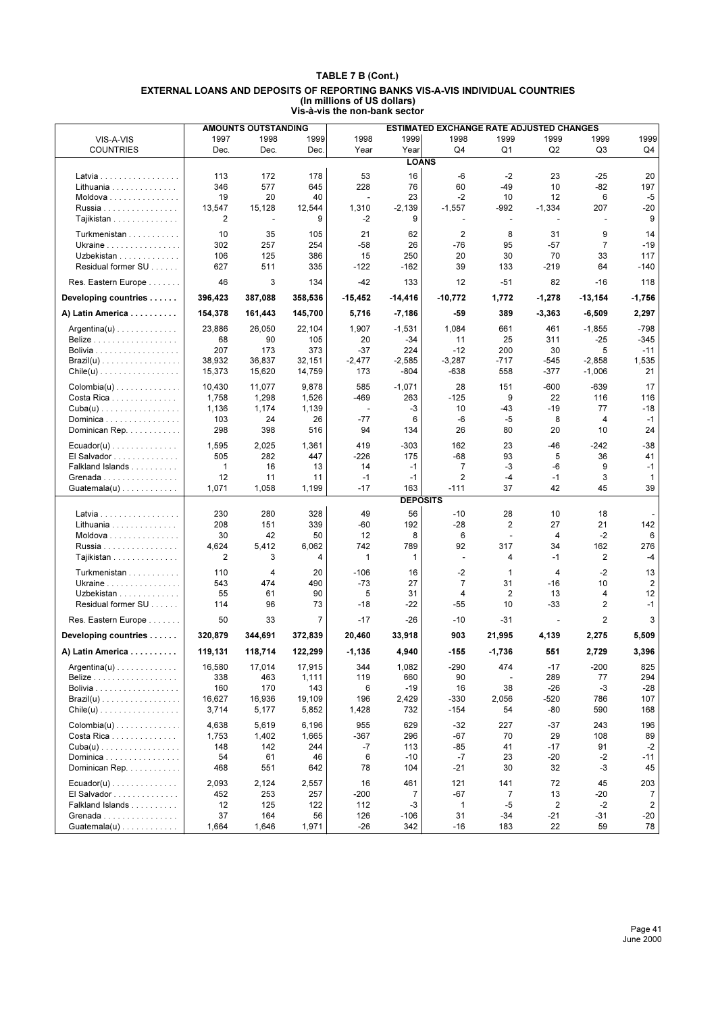|                                                  | <b>AMOUNTS OUTSTANDING</b><br>ESTIMATED EXCHANGE RATE ADJUSTED CHANGES |            |           |                          |                 |                          |                          |                |                         |                       |
|--------------------------------------------------|------------------------------------------------------------------------|------------|-----------|--------------------------|-----------------|--------------------------|--------------------------|----------------|-------------------------|-----------------------|
| VIS-A-VIS                                        | 1997                                                                   | 1998       | 1999      | 1998                     | 1999            | 1998                     | 1999                     | 1999           | 1999                    | 1999                  |
| <b>COUNTRIES</b>                                 | Dec.                                                                   | Dec.       | Dec.      | Year                     | Year            | Q4                       | Q1                       | Q <sub>2</sub> | Q3                      | Q4                    |
|                                                  |                                                                        |            |           |                          | <b>LOANS</b>    |                          |                          |                |                         |                       |
| Latvia                                           | 113                                                                    | 172        | 178       | 53                       | 16              | -6                       | $-2$                     | 23             | $-25$                   | 20                    |
| Lithuania                                        | 346                                                                    | 577        | 645       | 228                      | 76              | 60                       | $-49$                    | 10             | $-82$                   | 197                   |
| Moldova                                          | 19                                                                     | 20         | 40        |                          | 23              | $-2$                     | 10                       | 12             | 6                       | $-5$                  |
| Russia                                           | 13,547                                                                 | 15,128     | 12,544    | 1,310                    | $-2,139$        | $-1,557$                 | -992                     | $-1,334$       | 207                     | $-20$                 |
| Tajikistan                                       | 2                                                                      | ÷,         | 9         | -2                       | 9               | $\overline{\phantom{a}}$ | $\blacksquare$           | $\sim$         | $\overline{a}$          | 9                     |
|                                                  |                                                                        |            |           |                          |                 |                          |                          |                |                         |                       |
| Turkmenistan                                     | 10                                                                     | 35         | 105       | 21                       | 62              | $\overline{2}$           | 8                        | 31             | 9                       | 14                    |
| Ukraine                                          | 302                                                                    | 257        | 254       | $-58$                    | 26              | -76                      | 95                       | $-57$          | $\overline{7}$          | $-19$                 |
| Uzbekistan                                       | 106                                                                    | 125        | 386       | 15                       | 250             | 20                       | 30                       | 70             | 33                      | 117                   |
| Residual former SU                               | 627                                                                    | 511        | 335       | $-122$                   | $-162$          | 39                       | 133                      | $-219$         | 64                      | $-140$                |
| Res. Eastern Europe                              | 46                                                                     | 3          | 134       | $-42$                    | 133             | 12                       | $-51$                    | 82             | $-16$                   | 118                   |
| Developing countries                             | 396,423                                                                | 387,088    | 358,536   | -15,452                  | $-14,416$       | $-10,772$                | 1,772                    | $-1,278$       | $-13,154$               | -1,756                |
| A) Latin America                                 | 154,378                                                                | 161,443    | 145,700   | 5,716                    | $-7,186$        | $-59$                    | 389                      | $-3,363$       | $-6,509$                | 2,297                 |
| Argentina(u)                                     | 23,886                                                                 | 26,050     | 22,104    | 1,907                    | $-1,531$        | 1,084                    | 661                      | 461            | $-1,855$                | $-798$                |
|                                                  | 68                                                                     | 90         | 105       | 20                       | $-34$           | 11                       | 25                       | 311            | $-25$                   | $-345$                |
| <b>Bolivia</b>                                   | 207                                                                    | 173        | 373       | $-37$                    | 224             | $-12$                    | 200                      | 30             | 5                       | $-11$                 |
| $\textsf{Brazil}(u)$                             | 38,932                                                                 | 36,837     | 32,151    | $-2,477$                 | $-2,585$        | $-3,287$                 | -717                     | -545           | $-2,858$                | 1,535                 |
| $Chile(u)$                                       | 15,373                                                                 | 15,620     | 14,759    | 173                      | $-804$          | -638                     | 558                      | $-377$         | $-1,006$                | 21                    |
| $\text{Colombia}(u) \ldots \ldots \ldots \ldots$ | 10,430                                                                 | 11,077     | 9,878     | 585                      | $-1,071$        | 28                       | 151                      | $-600$         | $-639$                  | 17                    |
| Costa Rica                                       | 1,758                                                                  | 1,298      | 1,526     | $-469$                   | 263             | $-125$                   | 9                        | 22             | 116                     | 116                   |
| $Cuba(u)$                                        | 1,136                                                                  | 1,174      | 1,139     | $\overline{\phantom{a}}$ | -3              | 10                       | $-43$                    | $-19$          | 77                      | $-18$                 |
| Dominica                                         | 103                                                                    | 24         | 26        | $-77$                    | 6               | -6                       | -5                       | 8              | 4                       | $-1$                  |
| Dominican Rep.                                   | 298                                                                    | 398        | 516       | 94                       | 134             | 26                       | 80                       | 20             | 10                      | 24                    |
|                                                  |                                                                        |            |           |                          |                 |                          |                          |                |                         |                       |
| $Ecuador(u) \ldots \ldots \ldots \ldots$         | 1,595                                                                  | 2,025      | 1,361     | 419                      | $-303$          | 162                      | 23                       | -46            | -242                    | $-38$                 |
| El Salvador                                      | 505                                                                    | 282        | 447       | $-226$                   | 175             | $-68$                    | 93                       | 5              | 36                      | 41                    |
| Falkland Islands                                 | 1                                                                      | 16         | 13        | 14                       | $-1$            | $\overline{7}$           | -3                       | -6             | 9                       | $-1$                  |
| Grenada                                          | 12                                                                     | 11         | 11        | $-1$                     | $-1$            | $\overline{2}$           | $-4$<br>37               | $-1$<br>42     | 3<br>45                 | 1<br>39               |
| $Guatemala(u) \ldots \ldots \ldots \ldots$       | 1,071                                                                  | 1,058      | 1,199     | $-17$                    | 163             | $-111$                   |                          |                |                         |                       |
|                                                  |                                                                        |            |           |                          | <b>DEPOSITS</b> |                          |                          |                |                         |                       |
| Latvia                                           | 230                                                                    | 280        | 328       | 49                       | 56              | $-10$                    | 28                       | 10             | 18                      |                       |
| Lithuania                                        | 208                                                                    | 151        | 339       | -60                      | 192             | -28                      | $\overline{\mathbf{c}}$  | 27             | 21                      | 142                   |
| Moldova                                          | 30                                                                     | 42         | 50        | 12                       | 8               | 6                        | $\overline{\phantom{a}}$ | 4              | $-2$                    | 6                     |
| Russia                                           | 4,624                                                                  | 5,412      | 6,062     | 742                      | 789             | 92                       | 317                      | 34             | 162                     | 276                   |
| Tajikistan                                       | 2                                                                      | 3          | 4         | $\mathbf{1}$             | 1               | ÷,                       | 4                        | $-1$           | $\overline{\mathbf{c}}$ | $-4$                  |
| Turkmenistan                                     | 110                                                                    | 4          | 20        | $-106$                   | 16              | $-2$                     | 1                        | 4              | $-2$                    | 13                    |
| Ukraine                                          | 543                                                                    | 474        | 490       | $-73$                    | 27              | $\overline{7}$           | 31                       | $-16$          | 10                      | 2                     |
| Uzbekistan                                       | 55                                                                     | 61         | 90        | 5                        | 31              | 4                        | 2                        | 13             | 4                       | 12                    |
| Residual former SU                               | 114                                                                    | 96         | 73        | $-18$                    | $-22$           | $-55$                    | 10                       | $-33$          | 2                       | $-1$                  |
| Res. Eastern Europe                              | 50                                                                     | 33         | 7         | $-17$                    | -26             | $-10$                    | $-31$                    |                | 2                       | 3                     |
| Developing countries                             | 320.879                                                                | 344,691    | 372,839   | 20,460                   | 33,918          | 903                      | 21,995                   | 4,139          | 2,275                   | 5,509                 |
| A) Latin America                                 | 119,131                                                                | 118,714    | 122,299   | $-1,135$                 | 4,940           | $-155$                   | $-1,736$                 | 551            | 2,729                   | 3,396                 |
| $Argentina(u) \ldots \ldots \ldots \ldots$       | 16,580                                                                 | 17,014     | 17,915    | 344                      | 1,082           | -290                     | 474                      | $-17$          | $-200$                  | 825                   |
|                                                  | 338                                                                    | 463        | 1,111     | 119                      | 660             | 90                       | $\overline{\phantom{a}}$ | 289            | 77                      | 294                   |
|                                                  | 160                                                                    | 170        | 143       | 6                        | $-19$           | 16                       | 38                       | $-26$          | -3                      | $-28$                 |
| $\textsf{Brazil}(u)$                             | 16,627                                                                 | 16,936     | 19,109    | 196                      | 2,429           | -330                     | 2,056                    | $-520$         | 786                     | 107                   |
| $Chile(u)$                                       | 3,714                                                                  | 5,177      | 5,852     | 1,428                    | 732             | $-154$                   | 54                       | -80            | 590                     | 168                   |
| Colombia(u)                                      | 4,638                                                                  | 5,619      | 6,196     | 955                      | 629             | $-32$                    | 227                      | $-37$          | 243                     | 196                   |
| Costa Rica                                       | 1,753                                                                  | 1,402      | 1,665     | $-367$                   | 296             | $-67$                    | 70                       | 29             | 108                     | 89                    |
| $Cuba(u) \ldots \ldots \ldots \ldots \ldots$     | 148                                                                    | 142        | 244       | -7                       | 113             | $-85$                    | 41                       | $-17$          | 91                      | $-2$                  |
| Dominica                                         | 54                                                                     | 61         | 46        | 6                        | $-10$           | $-7$                     | 23                       | $-20$          | $-2$                    | $-11$                 |
| Dominican Rep.                                   | 468                                                                    | 551        | 642       | 78                       | 104             | $-21$                    | 30                       | 32             | $-3$                    | 45                    |
|                                                  |                                                                        |            |           |                          |                 |                          |                          |                |                         |                       |
| $Ecuador(u) \ldots \ldots \ldots \ldots$         | 2,093                                                                  | 2,124      | 2,557     | 16                       | 461             | 121                      | 141                      | 72             | 45                      | 203                   |
| El Salvador                                      | 452                                                                    | 253        | 257       | $-200$                   | $\overline{7}$  | -67                      | $\overline{7}$           | 13             | -20                     | 7                     |
| Falkland Islands<br>Grenada                      | 12<br>37                                                               | 125<br>164 | 122<br>56 | 112<br>126               | -3<br>-106      | 1<br>31                  | $-5$<br>-34              | 2<br>-21       | -2<br>-31               | $\overline{2}$<br>-20 |
|                                                  |                                                                        |            |           | $-26$                    | 342             | $-16$                    | 183                      | 22             | 59                      | 78                    |
| Guatemala(u)                                     | 1,664                                                                  | 1,646      | 1,971     |                          |                 |                          |                          |                |                         |                       |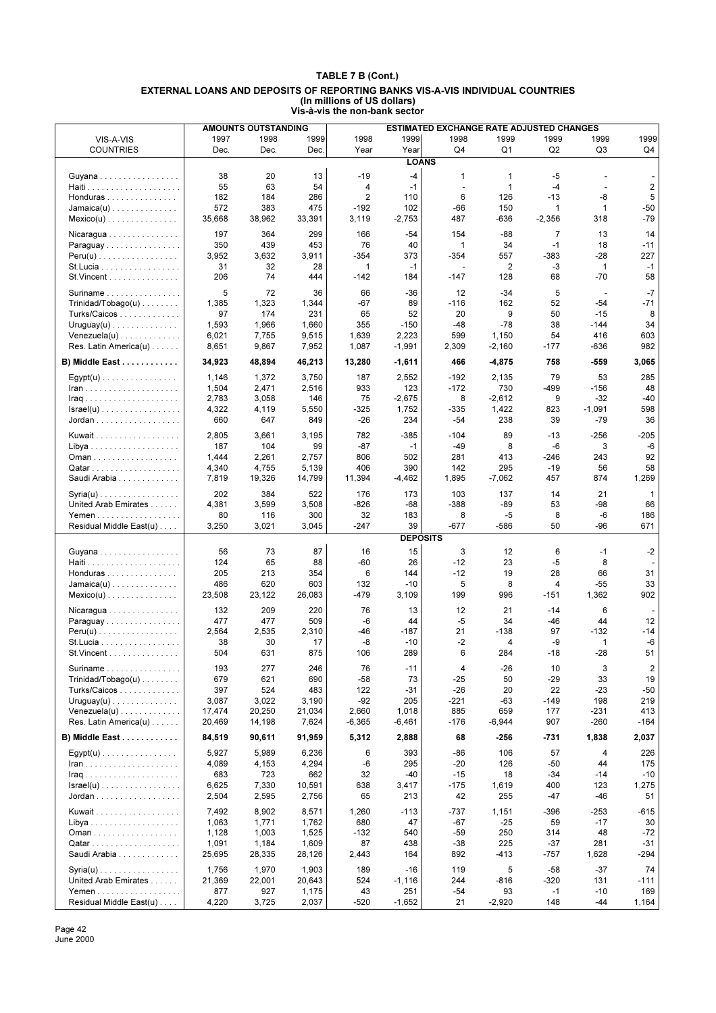|                                            |             | <b>AMOUNTS OUTSTANDING</b> |                |              |                       | ESTIMATED EXCHANGE RATE ADJUSTED CHANGES |                |                |                       |                          |
|--------------------------------------------|-------------|----------------------------|----------------|--------------|-----------------------|------------------------------------------|----------------|----------------|-----------------------|--------------------------|
| VIS-A-VIS                                  | 1997        | 1998                       | 1999           | 1998         | 1999                  | 1998                                     | 1999           | 1999           | 1999                  | 1999                     |
| <b>COUNTRIES</b>                           | Dec.        | Dec.                       | Dec.           | Year         | Year                  | Q4                                       | Q <sub>1</sub> | Q <sub>2</sub> | Q3                    | Q4                       |
|                                            |             |                            |                |              | <b>LOANS</b>          |                                          |                |                |                       |                          |
| Guyana                                     | 38          | 20                         | 13             | $-19$        | $-4$                  | 1                                        | 1              | $-5$           |                       |                          |
|                                            | 55          | 63                         | 54             | 4            | $-1$                  | $\overline{a}$                           | 1              | $-4$           | $\overline{a}$        | $\overline{2}$           |
| Honduras                                   | 182         | 184                        | 286            | 2            | 110                   | 6                                        | 126            | $-13$          | -8                    | 5                        |
| $Jamaica(u)$                               | 572         | 383                        | 475            | $-192$       | 102                   | -66                                      | 150            | 1              | 1                     | $-50$                    |
| $Mexico(u)$                                | 35,668      | 38,962                     | 33,391         | 3,119        | $-2,753$              | 487                                      | -636           | $-2,356$       | 318                   | $-79$                    |
| Nicaragua                                  | 197         | 364                        | 299            | 166          | $-54$                 | 154                                      | -88            | $\overline{7}$ | 13                    | 14                       |
| Paraguay                                   | 350         | 439                        | 453            | 76           | 40                    | $\mathbf{1}$                             | 34             | $-1$           | 18                    | $-11$                    |
| $Peru(u)$                                  | 3,952       | 3,632                      | 3,911          | $-354$       | 373                   | $-354$                                   | 557            | $-383$         | $-28$                 | 227                      |
| St. Lucia                                  | 31          | 32                         | 28             | $\mathbf{1}$ | $-1$                  | $\blacksquare$                           | 2              | $-3$           | $\mathbf{1}$          | $-1$                     |
| St. Vincent                                | 206         | 74                         | 444            | $-142$       | 184                   | $-147$                                   | 128            | 68             | $-70$                 | 58                       |
| Suriname                                   | 5           | 72                         | 36             | 66           | -36                   | 12                                       | $-34$          | 5              | $\overline{a}$        | $-7$                     |
| $Trivialad/Tobago(u) \ldots \ldots$        | 1,385       | 1,323                      | 1,344          | $-67$        | 89                    | $-116$                                   | 162            | 52             | $-54$                 | $-71$                    |
| Turks/Caicos                               | 97          | 174                        | 231            | 65           | 52                    | 20                                       | 9              | 50             | $-15$                 | 8                        |
| $Uruguay(u)$                               | 1,593       | 1,966                      | 1,660          | 355          | $-150$                | $-48$                                    | $-78$          | 38             | $-144$                | 34                       |
| $Venezuela(u)$                             | 6,021       | 7,755                      | 9,515          | 1,639        | 2,223                 | 599                                      | 1,150          | 54             | 416                   | 603                      |
| Res. Latin America(u)                      | 8,651       | 9,867                      | 7,952          | 1,087        | $-1,991$              | 2,309                                    | $-2,160$       | $-177$         | -636                  | 982                      |
| B) Middle East                             | 34,923      | 48,894                     | 46,213         | 13,280       | $-1,611$              | 466                                      | $-4,875$       | 758            | $-559$                | 3,065                    |
| $Egypt(u)$                                 | 1,146       | 1,372                      | 3,750          | 187          | 2,552                 | $-192$                                   | 2,135          | 79             | 53                    | 285                      |
| $lran$                                     | 1,504       | 2,471                      | 2,516          | 933          | 123                   | $-172$                                   | 730            | -499           | $-156$                | 48                       |
| <b>Iraq</b>                                | 2,783       | 3,058                      | 146            | 75           | $-2,675$              | 8                                        | $-2,612$       | 9              | $-32$                 | $-40$                    |
| $Israel(u)$                                | 4,322       | 4,119                      | 5,550          | -325         | 1,752                 | $-335$                                   | 1,422          | 823            | $-1,091$              | 598                      |
| Jordan                                     | 660         | 647                        | 849            | $-26$        | 234                   | $-54$                                    | 238            | 39             | $-79$                 | 36                       |
| Kuwait                                     | 2,805       | 3,661                      | 3,195          | 782          | $-385$                | $-104$                                   | 89             | $-13$          | $-256$                | $-205$                   |
|                                            | 187         | 104                        | 99             | $-87$        | $-1$                  | $-49$                                    | 8              | -6             | 3                     | -6                       |
| Oman                                       | 1,444       | 2,261                      | 2,757          | 806          | 502                   | 281                                      | 413            | -246           | 243                   | 92                       |
|                                            | 4,340       | 4,755                      | 5,139          | 406          | 390                   | 142                                      | 295            | $-19$          | 56                    | 58                       |
| Saudi Arabia                               | 7,819       | 19,326                     | 14,799         | 11,394       | $-4,462$              | 1,895                                    | $-7,062$       | 457            | 874                   | 1,269                    |
| $Syria(u)$                                 | 202         | 384                        | 522            | 176          | 173                   | 103                                      | 137            | 14             | 21                    | $\mathbf{1}$             |
| United Arab Emirates                       | 4,381       | 3,599                      | 3,508          | $-826$       | $-68$                 | $-388$                                   | $-89$          | 53             | $-98$                 | 66                       |
|                                            | 80          | 116                        | 300            | 32           | 183                   | 8                                        | $-5$           | 8              | -6                    | 186                      |
| Residual Middle East(u)                    | 3,250       | 3,021                      | 3,045          | $-247$       | 39<br><b>DEPOSITS</b> | $-677$                                   | $-586$         | 50             | $-96$                 | 671                      |
|                                            |             |                            |                |              |                       |                                          |                |                |                       |                          |
| Guyana                                     | 56          | 73                         | 87             | 16           | 15                    | 3                                        | 12             | 6              | $-1$                  | $-2$                     |
|                                            | 124<br>205  | 65                         | 88             | $-60$<br>6   | 26                    | $-12$                                    | 23<br>19       | $-5$<br>28     | 8<br>66               | 31                       |
| Honduras                                   | 486         | 213<br>620                 | 354<br>603     | 132          | 144<br>$-10$          | $-12$<br>5                               | 8              | $\overline{4}$ | $-55$                 | 33                       |
| $Jamaica(u)$<br>$Mexico(u)$                | 23,508      | 23,122                     | 26,083         | $-479$       | 3,109                 | 199                                      | 996            | $-151$         | 1,362                 | 902                      |
|                                            |             |                            |                |              |                       |                                          |                |                |                       |                          |
| $Nicaragua \ldots \ldots \ldots \ldots$    | 132         | 209                        | 220            | 76           | 13                    | 12                                       | 21             | $-14$          | 6                     | $\overline{\phantom{a}}$ |
| Paraguay                                   | 477         | 477                        | 509            | $-6$         | 44                    | -5                                       | 34             | $-46$          | 44                    | 12                       |
| $Peru(u)$<br>St.Lucia                      | 2,564<br>38 | 2,535<br>30                | 2,310<br>17    | -46<br>-8    | $-187$<br>$-10$       | 21<br>-2                                 | -138<br>4      | 97<br>-9       | $-132$<br>$\mathbf 1$ | -14<br>$-6$              |
| St. Vincent                                | 504         | 631                        | 875            | 106          | 289                   | 6                                        | 284            | $-18$          | $-28$                 | 51                       |
|                                            |             |                            |                |              |                       |                                          |                |                |                       |                          |
| Suriname                                   | 193<br>679  | 277                        | 246<br>690     | 76<br>$-58$  | -11<br>73             | 4<br>$-25$                               | $-26$          | 10<br>$-29$    | 3                     | $\overline{c}$           |
| Trinidad/Tobago(u)<br>Turks/Caicos         | 397         | 621<br>524                 | 483            | 122          | -31                   | $-26$                                    | 50<br>20       | 22             | 33<br>$-23$           | 19<br>$-50$              |
| $Uruguay(u) \ldots \ldots \ldots \ldots$   | 3,087       | 3,022                      | 3,190          | $-92$        | 205                   | $-221$                                   | -63            | $-149$         | 198                   | 219                      |
| $Venezuela(u) \ldots \ldots \ldots \ldots$ | 17,474      | 20,250                     | 21,034         | 2,660        | 1,018                 | 885                                      | 659            | 177            | -231                  | 413                      |
| Res. Latin America(u)                      | 20,469      | 14,198                     | 7,624          | $-6,365$     | $-6,461$              | $-176$                                   | $-6,944$       | 907            | $-260$                | $-164$                   |
| B) Middle East                             | 84,519      | 90,611                     | 91,959         | 5,312        | 2,888                 | 68                                       | -256           | -731           | 1,838                 | 2,037                    |
|                                            | 5,927       | 5,989                      |                | 6            | 393                   | -86                                      | 106            | 57             | 4                     | 226                      |
| $Egypt(u)$                                 | 4,089       | 4,153                      | 6,236<br>4,294 | -6           | 295                   | $-20$                                    | 126            | -50            | 44                    | 175                      |
|                                            | 683         | 723                        | 662            | 32           | -40                   | $-15$                                    | 18             | $-34$          | $-14$                 | $-10$                    |
| $\textsf{Israel}(u)$                       | 6,625       | 7,330                      | 10,591         | 638          | 3,417                 | $-175$                                   | 1,619          | 400            | 123                   | 1,275                    |
| Jordan                                     | 2,504       | 2,595                      | 2,756          | 65           | 213                   | 42                                       | 255            | -47            | -46                   | 51                       |
| Kuwait                                     | 7,492       | 8,902                      | 8,571          | 1,260        | $-113$                | -737                                     | 1,151          | $-396$         | -253                  | $-615$                   |
|                                            | 1,063       | 1,771                      | 1,762          | 680          | 47                    | -67                                      | -25            | 59             | $-17$                 | 30                       |
| Oman                                       | 1,128       | 1,003                      | 1,525          | $-132$       | 540                   | -59                                      | 250            | 314            | 48                    | $-72$                    |
|                                            | 1,091       | 1,184                      | 1,609          | 87           | 438                   | $-38$                                    | 225            | $-37$          | 281                   | $-31$                    |
| Saudi Arabia                               | 25,695      | 28,335                     | 28,126         | 2,443        | 164                   | 892                                      | -413           | $-757$         | 1,628                 | $-294$                   |
| $Syria(u)$                                 | 1,756       | 1,970                      | 1,903          | 189          | $-16$                 | 119                                      | 5              | $-58$          | $-37$                 | 74                       |
| United Arab Emirates                       | 21,369      | 22,001                     | 20,643         | 524          | $-1,116$              | 244                                      | $-816$         | $-320$         | 131                   | $-111$                   |
| Yemen                                      | 877         | 927                        | 1,175          | 43           | 251                   | $-54$                                    | 93             | $-1$           | $-10$                 | 169                      |
| Residual Middle East(u)                    | 4,220       | 3,725                      | 2,037          | $-520$       | $-1,652$              | 21                                       | $-2,920$       | 148            | -44                   | 1,164                    |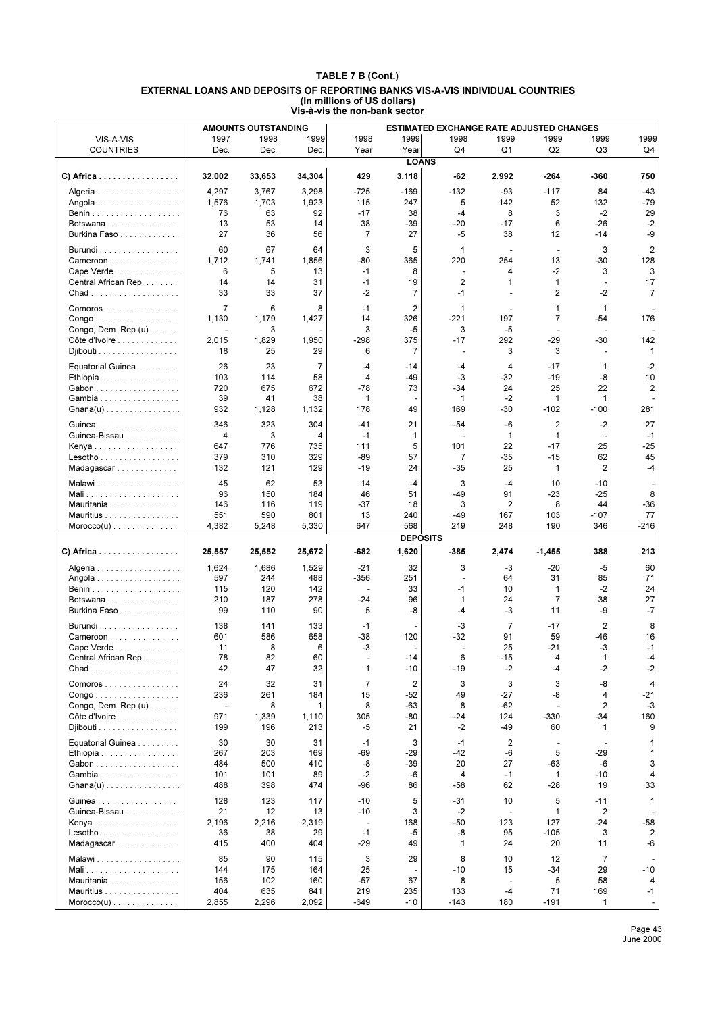|                                                     |                          | <b>AMOUNTS OUTSTANDING</b> |                |                         |                 | ESTIMATED EXCHANGE RATE ADJUSTED CHANGES |                          |                    |                          |                |
|-----------------------------------------------------|--------------------------|----------------------------|----------------|-------------------------|-----------------|------------------------------------------|--------------------------|--------------------|--------------------------|----------------|
| VIS-A-VIS                                           | 1997                     | 1998                       | 1999           | 1998                    | 1999            | 1998                                     | 1999                     | 1999               | 1999                     | 1999           |
| <b>COUNTRIES</b>                                    | Dec.                     | Dec.                       | Dec.           | Year                    | Year            | Q4                                       | Q1                       | Q <sub>2</sub>     | Q3                       | Q4             |
|                                                     |                          |                            |                |                         | <b>LOANS</b>    |                                          |                          |                    |                          |                |
| C) Africa $\ldots \ldots \ldots \ldots \ldots$      | 32,002                   | 33,653                     | 34,304         | 429                     | 3,118           | -62                                      | 2,992                    | $-264$             | -360                     | 750            |
| Algeria                                             | 4,297                    | 3,767                      | 3,298          | -725                    | $-169$          | $-132$                                   | -93                      | $-117$             | 84                       | -43            |
| Angola                                              | 1,576                    | 1,703                      | 1,923          | 115                     | 247             | 5                                        | 142                      | 52                 | 132                      | $-79$          |
|                                                     | 76                       | 63                         | 92             | $-17$                   | 38              | $-4$                                     | 8                        | 3                  | $-2$                     | 29             |
| Botswana                                            | 13                       | 53                         | 14             | 38                      | -39             | $-20$                                    | $-17$                    | 6                  | -26                      | $-2$           |
| Burkina Faso                                        | 27                       | 36                         | 56             | 7                       | 27              | $-5$                                     | 38                       | 12                 | -14                      | -9             |
| Burundi                                             | 60                       | 67                         | 64             | 3                       | 5               | $\mathbf{1}$                             |                          | $\blacksquare$     | 3                        | $\overline{2}$ |
| Cameroon                                            | 1,712                    | 1,741                      | 1,856          | $-80$                   | 365             | 220                                      | 254                      | 13                 | -30                      | 128            |
| Cape Verde                                          | 6                        | 5                          | 13             | $-1$                    | 8               | $\overline{a}$                           | 4                        | $-2$               | 3                        | 3              |
| Central African Rep.                                | 14                       | 14                         | 31             | $-1$                    | 19              | $\overline{2}$                           | 1                        | 1                  | $\overline{\phantom{a}}$ | 17             |
|                                                     | 33                       | 33                         | 37             | $-2$                    | 7               | $-1$                                     | ÷                        | $\overline{2}$     | $-2$                     | $\overline{7}$ |
| Comoros                                             | $\overline{7}$           | 6                          | 8              | $-1$                    | $\overline{2}$  | 1                                        | $\overline{\phantom{a}}$ | 1                  | 1                        |                |
| Congo                                               | 1,130                    | 1,179                      | 1,427          | 14                      | 326             | -221                                     | 197                      | $\overline{7}$     | -54                      | 176            |
| Congo, Dem. $Rep.(u) \ldots \ldots$                 |                          | 3                          |                | 3                       | -5              | 3                                        | $-5$                     |                    |                          |                |
| Côte d'Ivoire                                       | 2,015                    | 1,829                      | 1,950          | $-298$                  | 375             | $-17$                                    | 292                      | $-29$              | -30                      | 142            |
| Djibouti                                            | 18                       | 25                         | 29             | 6                       | $\overline{7}$  | $\overline{\phantom{a}}$                 | 3                        | 3                  | ÷,                       | $\mathbf{1}$   |
| Equatorial Guinea                                   | 26                       | 23                         | $\overline{7}$ | $-4$                    | $-14$           | $-4$                                     | 4                        | $-17$              | $\mathbf 1$              | $-2$           |
| Ethiopia                                            | 103                      | 114                        | 58             | 4                       | -49             | -3                                       | -32                      | $-19$              | -8                       | 10             |
| Gabon                                               | 720                      | 675                        | 672            | $-78$                   | 73              | $-34$                                    | 24                       | 25                 | 22                       | $\overline{2}$ |
| Gambia                                              | 39                       | 41                         | 38             | 1                       | ٠               | 1                                        | $-2$                     | 1                  | $\mathbf{1}$             |                |
| $Ghana(u)$                                          | 932                      | 1,128                      | 1,132          | 178                     | 49              | 169                                      | -30                      | $-102$             | $-100$                   | 281            |
| Guinea                                              | 346                      | 323                        | 304            | $-41$                   | 21              | $-54$                                    | -6                       | $\overline{2}$     | $-2$                     | 27             |
| Guinea-Bissau                                       | 4                        | 3                          | 4              | $-1$                    | 1               | ÷,                                       | $\mathbf{1}$             | $\mathbf{1}$       | $\overline{\phantom{a}}$ | $-1$           |
| Kenya                                               | 647                      | 776                        | 735            | 111                     | 5               | 101                                      | 22                       | $-17$              | 25                       | $-25$          |
| Lesotho                                             | 379                      | 310                        | 329            | $-89$                   | 57              | 7                                        | -35                      | $-15$              | 62                       | 45             |
| Madagascar                                          | 132                      | 121                        | 129            | $-19$                   | 24              | $-35$                                    | 25                       | 1                  | 2                        | $-4$           |
| Malawi                                              | 45                       | 62                         | 53             | 14                      | $-4$            | 3                                        | $-4$                     | 10                 | $-10$                    |                |
|                                                     | 96                       | 150                        | 184            | 46                      | 51              | $-49$                                    | 91                       | $-23$              | $-25$                    | 8              |
| Mauritania                                          | 146                      | 116                        | 119            | $-37$                   | 18              | 3                                        | $\overline{2}$           | 8                  | 44                       | $-36$          |
| Mauritius                                           | 551<br>4,382             | 590<br>5,248               | 801<br>5,330   | 13<br>647               | 240<br>568      | $-49$<br>219                             | 167<br>248               | 103<br>190         | $-107$<br>346            | 77<br>$-216$   |
| $Moreover(u) \dots \dots \dots \dots \dots$         |                          |                            |                |                         | <b>DEPOSITS</b> |                                          |                          |                    |                          |                |
| C) Africa                                           | 25,557                   | 25,552                     | 25,672         | -682                    | 1,620           | $-385$                                   | 2,474                    | $-1,455$           | 388                      | 213            |
| Algeria                                             | 1,624                    | 1,686                      | 1,529          | $-21$                   | 32              | 3                                        | -3                       | $-20$              | -5                       | 60             |
| Angola                                              | 597                      | 244                        | 488            | $-356$                  | 251             | $\blacksquare$                           | 64                       | 31                 | 85                       | 71             |
|                                                     | 115                      | 120                        | 142            |                         | 33              | $-1$                                     | 10                       | $\mathbf 1$        | $-2$                     | 24             |
| Botswana                                            | 210                      | 187                        | 278            | $-24$                   | 96              | $\mathbf{1}$                             | 24                       | $\overline{7}$     | 38                       | 27             |
| Burkina Faso                                        | 99                       | 110                        | 90             | 5                       | -8              | $-4$                                     | -3                       | 11                 | -9                       | $-7$           |
| Burundi                                             | 138                      | 141                        | 133            | $-1$                    |                 | -3                                       | $\overline{7}$           | $-17$              | 2                        | 8              |
| Cameroon                                            | 601                      | 586                        | 658            | -38                     | 120             | $-32$                                    | 91                       | 59                 | -46                      | 16             |
| Cape Verde                                          | 11                       | 8                          | 6              | -3                      |                 |                                          | 25                       | $-21$              | -3                       | $-1$           |
| Central African Rep.                                | 78                       | 82                         | 60             |                         | $-14$           | 6                                        | $-15$                    | 4                  | 1                        | -4             |
|                                                     | 42                       | 47                         | 32             | 1                       | $-10$           | $-19$                                    | $-2$                     | $-4$               | -2                       | $-2$           |
| Comoros                                             | 24                       | 32                         | 31             | 7                       | 2               | 3                                        | 3                        | 3                  | -8                       | 4              |
| $\mathsf{Congo}\dots\dots\dots\dots\dots\dots\dots$ | 236                      | 261                        | 184            | 15                      | $-52$           | 49                                       | $-27$                    | -8                 | 4                        | -21            |
| Congo, Dem. $Rep.(u) \ldots \ldots$                 | $\overline{\phantom{a}}$ | 8                          | 1              | 8                       | -63             | 8                                        | -62                      | ÷,                 | 2                        | $-3$           |
| Côte d'Ivoire                                       | 971                      | 1,339                      | 1,110          | 305                     | -80             | $-24$                                    | 124                      | -330               | -34                      | 160            |
| Djibouti                                            | 199                      | 196                        | 213            | -5                      | 21              | $-2$                                     | -49                      | 60                 | 1                        | 9              |
| Equatorial Guinea                                   | 30                       | 30                         | 31             | $-1$                    | 3               | $-1$                                     | 2                        |                    |                          | 1              |
| Ethiopia                                            | 267                      | 203                        | 169            | -69                     | $-29$           | $-42$                                    | -6                       | 5                  | $-29$                    | 1              |
| Gabon                                               | 484                      | 500                        | 410            | -8                      | $-39$           | 20                                       | 27                       | $-63$              | -6                       | 3              |
| Gambia                                              | 101                      | 101                        | 89             | $-2$                    | -6              | 4                                        | $-1$                     | 1                  | $-10$                    | 4              |
| Ghana(u)                                            | 488                      | 398                        | 474            | -96                     | 86              | -58                                      | 62                       | $-28$              | 19                       | 33             |
| Guinea                                              | 128                      | 123                        | 117            | $-10$                   | 5               | -31                                      | 10                       | 5                  | $-11$                    | $\mathbf{1}$   |
| Guinea-Bissau                                       | 21                       | 12                         | 13             | $-10$<br>$\blacksquare$ | 3<br>168        | $-2$<br>$-50$                            | $\overline{a}$<br>123    | $\mathbf 1$<br>127 | $\overline{2}$<br>-24    | -58            |
| Kenya<br>Lesotho                                    | 2,196<br>36              | 2,216<br>38                | 2,319<br>29    | $-1$                    | $-5$            | -8                                       | 95                       | $-105$             | 3                        | $\overline{2}$ |
| Madagascar                                          | 415                      | 400                        | 404            | $-29$                   | 49              | 1                                        | 24                       | 20                 | 11                       | -6             |
|                                                     |                          |                            |                |                         |                 |                                          |                          |                    |                          |                |
| Malawi                                              | 85                       | 90                         | 115            | 3<br>25                 | 29              | 8                                        | 10                       | 12                 | 7<br>29                  |                |
| Mauritania                                          | 144<br>156               | 175<br>102                 | 164<br>160     | $-57$                   | 67              | -10<br>8                                 | 15<br>$\sim$             | $-34$<br>5         | 58                       | -10<br>4       |
| Mauritius                                           | 404                      | 635                        | 841            | 219                     | 235             | 133                                      | $-4$                     | 71                 | 169                      | $-1$           |
| $Moreover(u) \ldots \ldots \ldots \ldots$           | 2,855                    | 2,296                      | 2,092          | $-649$                  | $-10$           | $-143$                                   | 180                      | $-191$             | $\mathbf{1}$             |                |
|                                                     |                          |                            |                |                         |                 |                                          |                          |                    |                          |                |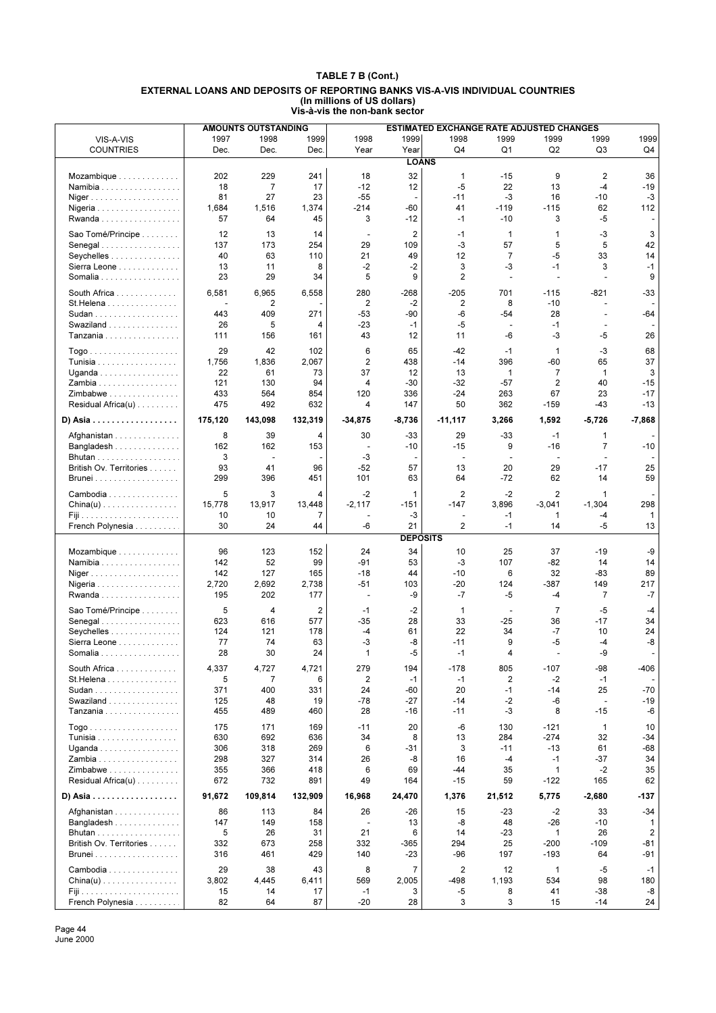|                                               |         | <b>AMOUNTS OUTSTANDING</b> |                |                          |                 | ESTIMATED EXCHANGE RATE ADJUSTED CHANGES |                          |                          |                          |              |
|-----------------------------------------------|---------|----------------------------|----------------|--------------------------|-----------------|------------------------------------------|--------------------------|--------------------------|--------------------------|--------------|
| VIS-A-VIS                                     | 1997    | 1998                       | 1999           | 1998                     | 1999            | 1998                                     | 1999                     | 1999                     | 1999                     | 1999         |
| <b>COUNTRIES</b>                              | Dec.    | Dec.                       | Dec.           | Year                     | Year            | Q4                                       | Q <sub>1</sub>           | Q2                       | Q <sub>3</sub>           | Q4           |
|                                               |         |                            |                |                          | <b>LOANS</b>    |                                          |                          |                          |                          |              |
|                                               |         |                            |                |                          |                 |                                          |                          |                          |                          |              |
| Mozambique                                    | 202     | 229                        | 241            | 18                       | 32              | $\mathbf{1}$                             | -15                      | 9                        | 2                        | 36           |
| Namibia                                       | 18      | 7                          | 17             | $-12$                    | 12              | -5                                       | 22                       | 13                       | $-4$                     | $-19$        |
| Niger                                         | 81      | 27                         | 23             | $-55$                    | $\overline{a}$  | $-11$                                    | -3                       | 16                       | $-10$                    | $-3$         |
| Nigeria                                       | 1,684   | 1,516                      | 1,374          | $-214$                   | -60             | 41                                       | $-119$                   | $-115$                   | 62                       | 112          |
| Rwanda                                        | 57      | 64                         | 45             | 3                        | $-12$           | $-1$                                     | $-10$                    | 3                        | $-5$                     |              |
| Sao Tomé/Principe                             | 12      | 13                         | 14             | $\overline{\phantom{a}}$ | $\overline{2}$  | $-1$                                     | $\mathbf 1$              | $\mathbf{1}$             | $-3$                     | 3            |
| Senegal                                       | 137     | 173                        | 254            | 29                       | 109             | -3                                       | 57                       | 5                        | 5                        | 42           |
| Seychelles                                    | 40      | 63                         | 110            | 21                       | 49              | 12                                       | $\overline{7}$           | $-5$                     | 33                       | 14           |
|                                               | 13      | 11                         | 8              | $-2$                     | $-2$            | 3                                        | -3                       | $-1$                     | 3                        | $-1$         |
| Sierra Leone                                  | 23      | 29                         |                | 5                        | 9               | $\overline{2}$                           | $\overline{\phantom{a}}$ | $\overline{\phantom{a}}$ | $\overline{\phantom{a}}$ | 9            |
| Somalia                                       |         |                            | 34             |                          |                 |                                          |                          |                          |                          |              |
| South Africa                                  | 6,581   | 6,965                      | 6,558          | 280                      | $-268$          | $-205$                                   | 701                      | $-115$                   | $-821$                   | $-33$        |
| St.Helena                                     |         | 2                          |                | 2                        | $-2$            | 2                                        | 8                        | $-10$                    | ÷.                       |              |
| Sudan                                         | 443     | 409                        | 271            | $-53$                    | -90             | -6                                       | $-54$                    | 28                       |                          | -64          |
| Swaziland                                     | 26      | 5                          | 4              | $-23$                    | $-1$            | -5                                       | $\overline{\phantom{a}}$ | $-1$                     | ÷,                       |              |
| Tanzania                                      | 111     | 156                        | 161            | 43                       | 12              | 11                                       | $-6$                     | -3                       | $-5$                     | 26           |
|                                               |         |                            |                |                          |                 |                                          |                          |                          |                          |              |
|                                               | 29      | 42                         | 102            | 6                        | 65              | $-42$                                    | $-1$                     | $\mathbf{1}$             | $-3$                     | 68           |
| Tunisia                                       | 1,756   | 1,836                      | 2,067          | $\overline{2}$           | 438             | $-14$                                    | 396                      | $-60$                    | 65                       | 37           |
| Uganda                                        | 22      | 61                         | 73             | 37                       | 12              | 13                                       | $\mathbf 1$              | $\overline{7}$           | 1                        | 3            |
| Zambia                                        | 121     | 130                        | 94             | 4                        | $-30$           | $-32$                                    | $-57$                    | 2                        | 40                       | $-15$        |
| Zimbabwe                                      | 433     | 564                        | 854            | 120                      | 336             | $-24$                                    | 263                      | 67                       | 23                       | $-17$        |
| Residual Africa(u)                            | 475     | 492                        | 632            | 4                        | 147             | 50                                       | 362                      | $-159$                   | -43                      | $-13$        |
|                                               |         |                            |                |                          |                 |                                          |                          |                          |                          |              |
| D) Asia $\ldots \ldots \ldots \ldots \ldots$  | 175,120 | 143,098                    | 132,319        | $-34,875$                | $-8,736$        | $-11,117$                                | 3,266                    | 1,592                    | $-5,726$                 | $-7,868$     |
| Afghanistan                                   | 8       | 39                         | 4              | 30                       | -33             | 29                                       | $-33$                    | $-1$                     | 1                        |              |
| Bangladesh                                    | 162     | 162                        | 153            | $\blacksquare$           | -10             | $-15$                                    | 9                        | $-16$                    | $\overline{7}$           | $-10$        |
|                                               | 3       | $\overline{a}$             |                | -3                       | $\overline{a}$  | $\sim$                                   |                          | $\overline{\phantom{a}}$ |                          |              |
| British Ov. Territories                       | 93      | 41                         | 96             | $-52$                    | 57              | 13                                       | 20                       | 29                       | $-17$                    | 25           |
| <b>Brunei</b>                                 | 299     | 396                        | 451            | 101                      | 63              | 64                                       | -72                      | 62                       | 14                       | 59           |
|                                               |         |                            |                |                          |                 |                                          |                          |                          |                          |              |
| Cambodia                                      | 5       | 3                          | 4              | $-2$                     | 1               | 2                                        | $-2$                     | $\overline{2}$           | 1                        |              |
| $China(u) \ldots \ldots \ldots \ldots \ldots$ | 15,778  | 13,917                     | 13,448         | $-2,117$                 | $-151$          | $-147$                                   | 3,896                    | $-3,041$                 | $-1,304$                 | 298          |
|                                               | 10      | 10                         | $\overline{7}$ |                          | -3              | $\overline{a}$                           | -1                       | 1                        | -4                       | $\mathbf{1}$ |
| French Polynesia                              | 30      | 24                         | 44             | -6                       | 21              | $\overline{2}$                           | $-1$                     | 14                       | $-5$                     | 13           |
|                                               |         |                            |                |                          | <b>DEPOSITS</b> |                                          |                          |                          |                          |              |
|                                               |         |                            |                |                          |                 |                                          |                          |                          |                          |              |
| Mozambique                                    | 96      | 123                        | 152            | 24                       | 34              | 10                                       | 25                       | 37                       | -19                      | -9           |
| Namibia                                       | 142     | 52                         | 99             | $-91$                    | 53              | -3                                       | 107                      | $-82$                    | 14                       | 14           |
| Niger                                         | 142     | 127                        | 165            | $-18$                    | 44              | $-10$                                    | 6                        | 32                       | $-83$                    | 89           |
| Nigeria                                       | 2,720   | 2,692                      | 2,738          | $-51$                    | 103             | $-20$                                    | 124                      | $-387$                   | 149                      | 217          |
| Rwanda                                        | 195     | 202                        | 177            | $\overline{\phantom{a}}$ | -9              | $-7$                                     | $-5$                     | -4                       | $\overline{7}$           | $-7$         |
| Sao Tomé/Principe                             | 5       | 4                          | $\overline{c}$ | $-1$                     | $-2$            | $\mathbf{1}$                             | $\blacksquare$           | $\overline{7}$           | $-5$                     | $-4$         |
| Senegal                                       | 623     | 616                        | 577            | $-35$                    | 28              | 33                                       | $-25$                    | 36                       | $-17$                    | 34           |
| Seychelles                                    | 124     | 121                        | 178            | $-4$                     | 61              | 22                                       | 34                       | $-7$                     | 10                       | 24           |
|                                               | 77      | 74                         | 63             | -3                       | -8              | $-11$                                    | 9                        | $-5$                     | $-4$                     | -8           |
| Sierra Leone                                  |         |                            |                |                          |                 |                                          |                          |                          |                          |              |
| Somalia                                       | 28      | 30                         | 24             | $\mathbf{1}$             | $-5$            | $-1$                                     | 4                        |                          | $-9$                     | ÷,           |
| South Africa                                  | 4,337   | 4,727                      | 4,721          | 279                      | 194             | $-178$                                   | 805                      | $-107$                   | -98                      | -406         |
| $St.Helena$                                   | 5       | 7                          | 6              | $\overline{2}$           | $-1$            | $-1$                                     | 2                        | $-2$                     | $-1$                     |              |
| Sudan                                         | 371     | 400                        | 331            | 24                       | -60             | 20                                       | $-1$                     | $-14$                    | 25                       | $-70$        |
| Swaziland                                     | 125     | 48                         | 19             | $-78$                    | -27             | $-14$                                    | -2                       | -6                       | $\overline{\phantom{a}}$ | -19          |
| Tanzania                                      | 455     | 489                        | 460            | 28                       | -16             | $-11$                                    | -3                       | 8                        | $-15$                    | -6           |
|                                               |         |                            |                |                          |                 |                                          |                          |                          |                          |              |
|                                               | 175     | 171                        | 169            | $-11$                    | 20              | -6                                       | 130                      | -121                     | 1                        | 10           |
| Tunisia                                       | 630     | 692                        | 636            | 34                       | 8               | 13                                       | 284                      | $-274$                   | 32                       | -34          |
| Uganda                                        | 306     | 318                        | 269            | 6                        | -31             | 3                                        | $-11$                    | $-13$                    | 61                       | $-68$        |
| Zambia                                        | 298     | 327                        | 314            | 26                       | -8              | 16                                       | $-4$                     | $-1$                     | $-37$                    | 34           |
| Zimbabwe                                      | 355     | 366                        | 418            | 6                        | 69              | -44                                      | 35                       | 1                        | $-2$                     | 35           |
| Residual Africa(u)                            | 672     | 732                        | 891            | 49                       | 164             | $-15$                                    | 59                       | $-122$                   | 165                      | 62           |
|                                               |         |                            |                |                          |                 |                                          |                          |                          |                          |              |
| D) Asia                                       | 91,672  | 109,814                    | 132,909        | 16,968                   | 24,470          | 1,376                                    | 21,512                   | 5,775                    | $-2,680$                 | -137         |
| Afghanistan                                   | 86      | 113                        | 84             | 26                       | -26             | 15                                       | -23                      | $-2$                     | 33                       | $-34$        |
| Bangladesh                                    | 147     | 149                        | 158            |                          | 13              | -8                                       | 48                       | $-26$                    | -10                      | 1            |
| Bhutan                                        | 5       | 26                         | 31             | 21                       | 6               | 14                                       | $-23$                    | $\mathbf{1}$             | 26                       | 2            |
| British Ov. Territories                       | 332     | 673                        | 258            | 332                      | -365            | 294                                      | 25                       | -200                     | $-109$                   | -81          |
|                                               | 316     | 461                        | 429            | 140                      | -23             | -96                                      | 197                      | $-193$                   | 64                       | -91          |
|                                               |         |                            |                |                          |                 |                                          |                          |                          |                          |              |
| Cambodia                                      | 29      | 38                         | 43             | 8                        | $\overline{7}$  | 2                                        | 12                       | $\mathbf{1}$             | -5                       | $-1$         |
| $China(u) \ldots \ldots \ldots \ldots \ldots$ | 3,802   | 4,445                      | 6,411          | 569                      | 2,005           | -498                                     | 1,193                    | 534                      | 98                       | 180          |
|                                               | 15      | 14                         | 17             | $-1$                     | 3               | -5                                       | 8                        | 41                       | -38                      | -8           |
| French Polynesia                              | 82      | 64                         | 87             | $-20$                    | 28              | 3                                        | 3                        | 15                       | $-14$                    | 24           |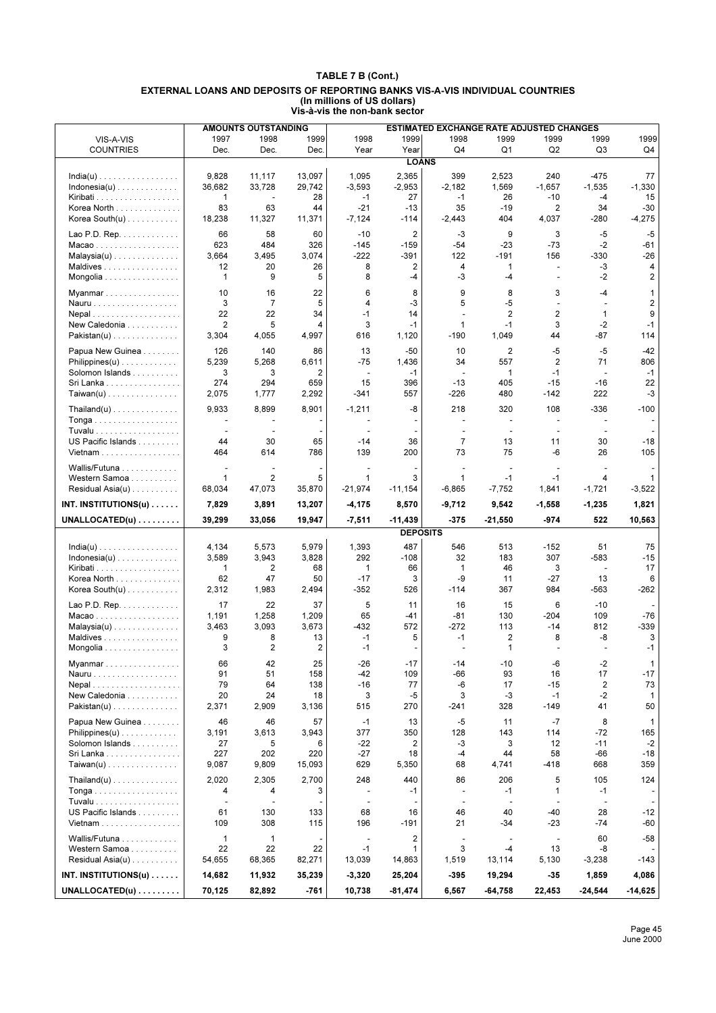|                                                                 |                          | <b>AMOUNTS OUTSTANDING</b> |             |                          |                 | <b>ESTIMATED EXCHANGE RATE ADJUSTED CHANGES</b> |                          |                          |                          |                |
|-----------------------------------------------------------------|--------------------------|----------------------------|-------------|--------------------------|-----------------|-------------------------------------------------|--------------------------|--------------------------|--------------------------|----------------|
| VIS-A-VIS                                                       | 1997                     | 1998                       | 1999        | 1998                     | 1999            | 1998                                            | 1999                     | 1999                     | 1999                     | 1999           |
| <b>COUNTRIES</b>                                                | Dec.                     | Dec.                       | Dec.        | Year                     | Year            | Q4                                              | Q <sub>1</sub>           | Q <sub>2</sub>           | Q3                       | Q4             |
|                                                                 |                          |                            |             |                          | <b>LOANS</b>    |                                                 |                          |                          |                          |                |
| $India(u) \ldots \ldots \ldots \ldots \ldots$                   | 9,828                    | 11,117                     | 13,097      | 1,095                    | 2,365           | 399                                             | 2,523                    | 240                      | $-475$                   | 77             |
| $Indonesia(u) \ldots \ldots \ldots \ldots$                      | 36,682                   | 33,728                     | 29,742      | $-3,593$                 | $-2,953$        | $-2,182$                                        | 1,569                    | $-1,657$                 | $-1,535$                 | $-1,330$       |
|                                                                 | $\mathbf{1}$             | $\overline{\phantom{a}}$   | 28          | $-1$                     | 27              | $-1$                                            | 26                       | $-10$                    | $-4$                     | 15             |
| Korea North                                                     | 83                       | 63                         | 44          | $-21$                    | $-13$           | 35                                              | $-19$                    | $\overline{2}$           | 34                       | $-30$          |
| Korea South $(u)$                                               | 18,238                   | 11,327                     | 11,371      | $-7,124$                 | -114            | $-2,443$                                        | 404                      | 4,037                    | -280                     | $-4,275$       |
| Lao P.D. Rep. $\dots \dots \dots$                               | 66                       | 58                         | 60          | $-10$                    | 2               | $-3$                                            | 9                        | 3                        | $-5$                     | $-5$           |
| $Macao$                                                         | 623                      | 484                        | 326         | $-145$                   | $-159$          | $-54$                                           | $-23$                    | $-73$                    | $-2$                     | -61            |
| $Malaysia(u) \ldots \ldots \ldots \ldots$                       | 3,664                    | 3,495                      | 3,074       | $-222$                   | -391            | 122                                             | $-191$                   | 156                      | -330                     | $-26$          |
| Maldives                                                        | 12                       | 20                         | 26          | 8                        | 2               | 4                                               | 1                        | $\sim$                   | -3                       | 4              |
| Mongolia                                                        | $\mathbf{1}$             | 9                          | 5           | 8                        | -4              | -3                                              | $-4$                     |                          | $-2$                     | 2              |
| Myanmar                                                         | 10                       | 16                         | 22          | 6                        | 8               | 9                                               | 8                        | 3                        | $-4$                     | 1              |
| Nauru                                                           | 3                        | $\overline{7}$             | 5           | 4                        | -3              | 5                                               | $-5$                     | $\overline{a}$           | $\overline{a}$           | $\overline{2}$ |
| $Nepal$                                                         | 22                       | 22                         | 34          | $-1$                     | 14              | ÷,                                              | 2                        | 2                        | 1                        | 9              |
| New Caledonia                                                   | $\overline{2}$           | 5                          | 4           | 3                        | $-1$            | 1                                               | $-1$                     | 3                        | $-2$                     | $-1$           |
| $Pakistan(u) \ldots \ldots \ldots \ldots$                       | 3,304                    | 4,055                      | 4,997       | 616                      | 1,120           | $-190$                                          | 1,049                    | 44                       | $-87$                    | 114            |
|                                                                 |                          |                            |             |                          |                 |                                                 |                          |                          |                          |                |
| Papua New Guinea                                                | 126<br>5,239             | 140<br>5,268               | 86<br>6,611 | 13<br>$-75$              | $-50$<br>1,436  | 10<br>34                                        | 2<br>557                 | $-5$<br>$\overline{2}$   | $-5$<br>71               | $-42$<br>806   |
| $Philippines(u) \ldots \ldots \ldots \ldots$<br>Solomon Islands | 3                        | 3                          | 2           | $\overline{\phantom{a}}$ | $-1$            | $\overline{\phantom{a}}$                        | 1                        | $-1$                     | $\overline{\phantom{a}}$ | $-1$           |
| Sri Lanka                                                       | 274                      | 294                        | 659         | 15                       | 396             | $-13$                                           | 405                      | $-15$                    | $-16$                    | 22             |
| $Taiwan(u)$                                                     | 2,075                    | 1,777                      | 2,292       | $-341$                   | 557             | $-226$                                          | 480                      | $-142$                   | 222                      | -3             |
|                                                                 |                          |                            |             |                          |                 |                                                 |                          |                          |                          |                |
| $\mathsf{Thailand}(u) \dots \dots \dots \dots \dots \dots$      | 9,933                    | 8,899                      | 8,901       | $-1,211$                 | -8              | 218                                             | 320                      | 108                      | -336                     | $-100$         |
| Tonga                                                           |                          |                            |             |                          |                 |                                                 | $\overline{\phantom{a}}$ | $\overline{\phantom{a}}$ |                          |                |
| Tuvalu                                                          | $\sim$                   | ÷,                         |             |                          |                 | ÷,                                              | $\mathbf{r}$             | $\overline{\phantom{a}}$ | ÷.                       |                |
| US Pacific Islands                                              | 44                       | 30                         | 65          | $-14$                    | 36              | $\overline{7}$                                  | 13                       | 11                       | 30                       | $-18$          |
| Vietnam                                                         | 464                      | 614                        | 786         | 139                      | 200             | 73                                              | 75                       | -6                       | 26                       | 105            |
| Wallis/Futuna                                                   | $\overline{a}$           | $\overline{a}$             |             |                          |                 |                                                 | $\overline{\phantom{a}}$ |                          |                          |                |
| Western Samoa                                                   | $\mathbf{1}$             | $\overline{2}$             | 5           | $\mathbf{1}$             | 3               | $\mathbf{1}$                                    | $-1$                     | $-1$                     | 4                        | 1              |
| Residual Asia $(u)$                                             | 68,034                   | 47,073                     | 35,870      | $-21,974$                | $-11,154$       | $-6,865$                                        | $-7,752$                 | 1,841                    | $-1,721$                 | $-3,522$       |
| INT. INSTITUTIONS(u) $\dots$                                    | 7,829                    | 3,891                      | 13,207      | $-4,175$                 | 8,570           | $-9,712$                                        | 9,542                    | $-1,558$                 | $-1,235$                 | 1,821          |
|                                                                 |                          |                            |             |                          |                 |                                                 |                          |                          |                          |                |
|                                                                 |                          |                            |             |                          |                 |                                                 |                          |                          |                          |                |
| $UNALLOCATED(u) \ldots \ldots$                                  | 39,299                   | 33,056                     | 19,947      | $-7,511$                 | $-11,439$       | $-375$                                          | $-21,550$                | $-974$                   | 522                      | 10,563         |
|                                                                 |                          |                            |             |                          | <b>DEPOSITS</b> |                                                 |                          |                          |                          |                |
| $India(u) \ldots \ldots \ldots \ldots \ldots$                   | 4,134                    | 5,573                      | 5,979       | 1,393                    | 487             | 546                                             | 513                      | $-152$                   | 51                       | 75             |
| $Indonesia(u)$                                                  | 3,589                    | 3,943                      | 3,828       | 292                      | $-108$          | 32                                              | 183                      | 307                      | $-583$                   | $-15$          |
| Kiribati                                                        | $\mathbf{1}$             | 2                          | 68          | $\mathbf{1}$             | 66              | 1                                               | 46                       | 3                        | $\overline{\phantom{a}}$ | 17             |
| Korea North                                                     | 62                       | 47                         | 50          | $-17$                    | 3               | -9                                              | 11                       | $-27$                    | 13                       | 6              |
| Korea South $(u)$                                               | 2,312                    | 1,983                      | 2,494       | $-352$                   | 526             | $-114$                                          | 367                      | 984                      | -563                     | -262           |
| Lao P.D. Rep.                                                   | 17                       | 22                         | 37          | 5                        | 11              | 16                                              | 15                       | 6                        | $-10$                    |                |
| Macao                                                           | 1,191                    | 1,258                      | 1,209       | 65                       | -41             | $-81$                                           | 130                      | $-204$                   | 109                      | $-76$          |
| $Malaysia(u) \ldots \ldots \ldots \ldots$                       | 3,463                    | 3,093                      | 3,673       | $-432$                   | 572             | $-272$                                          | 113                      | $-14$                    | 812                      | -339           |
| Maldives                                                        | 9                        | 8                          | 13          | $-1$                     | 5               | $-1$                                            | $\overline{2}$           | 8                        | -8                       | 3              |
| Mongolia                                                        | 3                        | $\overline{2}$             | 2           | $-1$                     |                 |                                                 | 1                        |                          |                          | $-1$           |
| Myanmar                                                         | 66                       | 42                         | 25          | $-26$                    | $-17$           | -14                                             | $-10$                    | -6                       | -2                       | 1              |
| Nauru                                                           | 91                       | 51                         | 158         | $-42$                    | 109             | -66                                             | 93                       | 16                       | 17                       | $-17$          |
| Nepal                                                           | 79                       | 64                         | 138         | $-16$                    | 77              | -6                                              | 17                       | $-15$                    | 2                        | 73             |
| New Caledonia                                                   | 20                       | 24                         | 18          | 3                        | $-5$            | 3                                               | $-3$                     | $-1$                     | $-2$                     | $\mathbf{1}$   |
| $Pakistan(u)$                                                   | 2,371                    | 2,909                      | 3,136       | 515                      | 270             | $-241$                                          | 328                      | $-149$                   | 41                       | 50             |
|                                                                 |                          |                            |             |                          |                 |                                                 |                          |                          |                          |                |
| Papua New Guinea                                                | 46                       | 46                         | 57          | $-1$                     | 13              | -5                                              | 11                       | $-7$                     | 8                        | $\mathbf{1}$   |
| $\mathsf{Philippines}(u) \dots \dots \dots \dots$               | 3,191                    | 3,613                      | 3,943       | 377                      | 350             | 128                                             | 143                      | 114                      | $-72$                    | 165            |
| Solomon Islands                                                 | 27<br>227                | 5<br>202                   | 6<br>220    | $-22$<br>$-27$           | 2<br>18         | -3<br>-4                                        | 3<br>44                  | 12<br>58                 | $-11$<br>-66             | $-2$<br>$-18$  |
| Sri Lanka<br>$Taiwan(u)$                                        | 9,087                    | 9,809                      | 15,093      | 629                      | 5,350           | 68                                              | 4,741                    | $-418$                   | 668                      | 359            |
|                                                                 |                          |                            |             |                          |                 |                                                 |                          |                          |                          |                |
| $\text{Thailand}(u) \ldots \ldots \ldots \ldots \ldots$         | 2,020                    | 2,305                      | 2,700       | 248                      | 440             | 86                                              | 206                      | 5                        | 105                      | 124            |
| Tonga                                                           | 4                        | 4                          | 3           |                          | $-1$            | ÷,                                              | $-1$                     | $\mathbf{1}$             | $-1$                     |                |
|                                                                 | $\overline{\phantom{a}}$ |                            |             |                          |                 | $\overline{\phantom{a}}$                        | $\overline{\phantom{a}}$ |                          | $\overline{\phantom{a}}$ |                |
| US Pacific Islands                                              | 61                       | 130                        | 133         | 68                       | 16              | 46                                              | 40                       | $-40$                    | 28                       | $-12$          |
| Vietnam                                                         | 109                      | 308                        | 115         | 196                      | -191            | 21                                              | $-34$                    | $-23$                    | -74                      | -60            |
| Wallis/Futuna                                                   | $\mathbf{1}$             | $\mathbf{1}$               |             | $\overline{\phantom{a}}$ | 2               | $\overline{\phantom{a}}$                        | ÷.                       | $\mathbf{r}$             | 60                       | $-58$          |
| Western Samoa                                                   | 22                       | 22                         | 22          | $-1$                     | 1               | 3                                               | $-4$                     | 13                       | -8                       |                |
| Residual Asia $(u)$                                             | 54,655                   | 68,365                     | 82,271      | 13,039                   | 14,863          | 1,519                                           | 13,114                   | 5,130                    | $-3,238$                 | -143           |
| INT. INSTITUTIONS $(u)$                                         | 14,682                   | 11,932                     | 35,239      | $-3,320$                 | 25,204          | $-395$                                          | 19,294                   | $-35$                    | 1,859                    | 4,086          |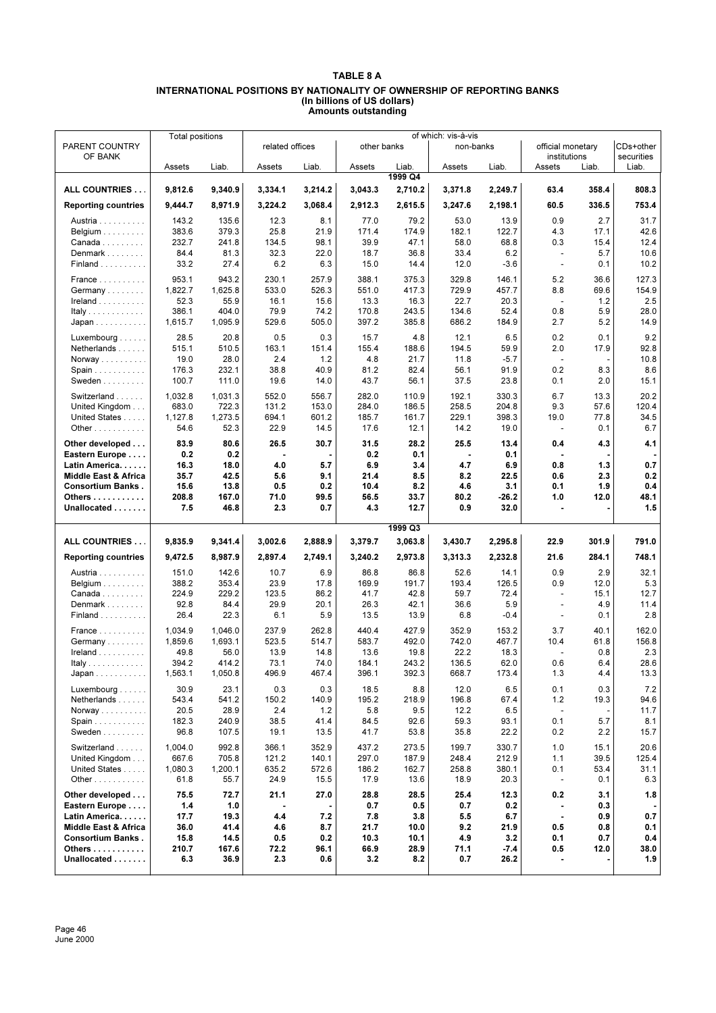## **TABLE 8 A INTERNATIONAL POSITIONS BY NATIONALITY OF OWNERSHIP OF REPORTING BANKS (In billions of US dollars) Amounts outstanding**

| PARENT COUNTRY                           | <b>Total positions</b> |                  | related offices |               | other banks    |                  | of which: vis-à-vis<br>non-banks |                | official monetary               |              | CDs+other    |
|------------------------------------------|------------------------|------------------|-----------------|---------------|----------------|------------------|----------------------------------|----------------|---------------------------------|--------------|--------------|
| OF BANK                                  |                        |                  |                 |               |                |                  |                                  |                | institutions                    |              | securities   |
|                                          | Assets                 | Liab.            | Assets          | Liab.         | Assets         | Liab.<br>1999 Q4 | Assets                           | Liab.          | Assets                          | Liab.        | Liab.        |
| ALL COUNTRIES                            | 9.812.6                | 9,340.9          | 3,334.1         | 3,214.2       | 3,043.3        | 2,710.2          | 3,371.8                          | 2,249.7        | 63.4                            | 358.4        | 808.3        |
| <b>Reporting countries</b>               | 9,444.7                | 8,971.9          | 3,224.2         | 3,068.4       | 2,912.3        | 2,615.5          | 3,247.6                          | 2,198.1        | 60.5                            | 336.5        | 753.4        |
| Austria                                  | 143.2                  | 135.6            | 12.3            | 8.1           | 77.0           | 79.2             | 53.0                             | 13.9           | 0.9                             | 2.7          | 31.7         |
| Belgium $\ldots \ldots \ldots$<br>Canada | 383.6<br>232.7         | 379.3            | 25.8            | 21.9<br>98.1  | 171.4<br>39.9  | 174.9            | 182.1<br>58.0                    | 122.7          | 4.3<br>0.3                      | 17.1<br>15.4 | 42.6         |
| Denmark                                  | 84.4                   | 241.8<br>81.3    | 134.5<br>32.3   | 22.0          | 18.7           | 47.1<br>36.8     | 33.4                             | 68.8<br>6.2    | $\overline{a}$                  | 5.7          | 12.4<br>10.6 |
| Finland                                  | 33.2                   | 27.4             | 6.2             | 6.3           | 15.0           | 14.4             | 12.0                             | $-3.6$         | $\overline{\phantom{a}}$        | 0.1          | 10.2         |
| France                                   | 953.1                  | 943.2            | 230.1           | 257.9         | 388.1          | 375.3            | 329.8                            | 146.1          | 5.2                             | 36.6         | 127.3        |
| Germany                                  | 1,822.7                | 1,625.8          | 533.0           | 526.3         | 551.0          | 417.3            | 729.9                            | 457.7          | 8.8                             | 69.6         | 154.9        |
| $I$ reland $\ldots \ldots \ldots$        | 52.3                   | 55.9             | 16.1            | 15.6          | 13.3           | 16.3             | 22.7                             | 20.3           | $\blacksquare$                  | 1.2          | 2.5          |
| Italy                                    | 386.1                  | 404.0            | 79.9            | 74.2          | 170.8          | 243.5            | 134.6                            | 52.4           | 0.8                             | 5.9          | 28.0         |
| Japan                                    | 1,615.7                | 1,095.9          | 529.6           | 505.0         | 397.2          | 385.8            | 686.2                            | 184.9          | 2.7                             | 5.2          | 14.9         |
| Luxembourg                               | 28.5                   | 20.8             | 0.5             | 0.3           | 15.7           | 4.8              | 12.1                             | 6.5            | 0.2                             | 0.1          | 9.2          |
| Netherlands                              | 515.1<br>19.0          | 510.5<br>28.0    | 163.1<br>2.4    | 151.4<br>1.2  | 155.4<br>4.8   | 188.6<br>21.7    | 194.5<br>11.8                    | 59.9<br>$-5.7$ | 2.0<br>$\overline{\phantom{a}}$ | 17.9         | 92.8<br>10.8 |
| Norway<br>Spain                          | 176.3                  | 232.1            | 38.8            | 40.9          | 81.2           | 82.4             | 56.1                             | 91.9           | 0.2                             | 8.3          | 8.6          |
| Sweden                                   | 100.7                  | 111.0            | 19.6            | 14.0          | 43.7           | 56.1             | 37.5                             | 23.8           | 0.1                             | 2.0          | 15.1         |
| Switzerland                              | 1,032.8                | 1,031.3          | 552.0           | 556.7         | 282.0          | 110.9            | 192.1                            | 330.3          | 6.7                             | 13.3         | 20.2         |
| United Kingdom                           | 683.0                  | 722.3            | 131.2           | 153.0         | 284.0          | 186.5            | 258.5                            | 204.8          | 9.3                             | 57.6         | 120.4        |
| United States                            | 1,127.8                | 1,273.5          | 694.1           | 601.2         | 185.7          | 161.7            | 229.1                            | 398.3          | 19.0                            | 77.8         | 34.5         |
| Other $\ldots$                           | 54.6                   | 52.3             | 22.9            | 14.5          | 17.6           | 12.1             | 14.2                             | 19.0           | $\overline{\phantom{a}}$        | 0.1          | 6.7          |
| Other developed                          | 83.9                   | 80.6             | 26.5            | 30.7          | 31.5           | 28.2             | 25.5                             | 13.4           | 0.4                             | 4.3          | 4.1          |
| Eastern Europe                           | 0.2                    | 0.2              |                 |               | 0.2            | 0.1              | $\blacksquare$                   | 0.1            | $\blacksquare$                  |              |              |
| Latin America.                           | 16.3                   | 18.0             | 4.0             | 5.7           | 6.9            | 3.4              | 4.7                              | 6.9            | 0.8                             | 1.3          | 0.7          |
| <b>Middle East &amp; Africa</b>          | 35.7                   | 42.5             | 5.6             | 9.1           | 21.4           | 8.5              | 8.2                              | 22.5           | 0.6                             | 2.3          | 0.2          |
| <b>Consortium Banks.</b><br>Others       | 15.6<br>208.8          | 13.8<br>167.0    | 0.5<br>71.0     | 0.2<br>99.5   | 10.4<br>56.5   | 8.2<br>33.7      | 4.6<br>80.2                      | 3.1<br>$-26.2$ | 0.1<br>1.0                      | 1.9<br>12.0  | 0.4<br>48.1  |
| Unallocated                              | 7.5                    | 46.8             | 2.3             | 0.7           | 4.3            | 12.7             | 0.9                              | 32.0           |                                 |              | 1.5          |
|                                          |                        |                  |                 |               |                | 1999 Q3          |                                  |                |                                 |              |              |
| ALL COUNTRIES                            | 9,835.9                | 9,341.4          | 3,002.6         | 2,888.9       | 3,379.7        | 3,063.8          | 3,430.7                          | 2,295.8        | 22.9                            | 301.9        | 791.0        |
| <b>Reporting countries</b>               | 9,472.5                | 8,987.9          | 2,897.4         | 2,749.1       | 3,240.2        | 2,973.8          | 3,313.3                          | 2,232.8        | 21.6                            | 284.1        | 748.1        |
| Austria                                  | 151.0                  | 142.6            | 10.7            | 6.9           | 86.8           | 86.8             | 52.6                             | 14.1           | 0.9                             | 2.9          | 32.1         |
| Belgium $\ldots \ldots \ldots$           | 388.2                  | 353.4            | 23.9            | 17.8          | 169.9          | 191.7            | 193.4                            | 126.5          | 0.9                             | 12.0         | 5.3          |
| Canada                                   | 224.9                  | 229.2            | 123.5           | 86.2          | 41.7           | 42.8             | 59.7                             | 72.4           | $\overline{\phantom{a}}$        | 15.1         | 12.7         |
| Denmark                                  | 92.8                   | 84.4             | 29.9            | 20.1          | 26.3           | 42.1             | 36.6                             | 5.9            | $\overline{\phantom{a}}$        | 4.9          | 11.4         |
| Finland                                  | 26.4                   | 22.3             | 6.1             | 5.9           | 13.5           | 13.9             | 6.8                              | $-0.4$         | $\overline{\phantom{a}}$        | 0.1          | 2.8          |
| France                                   | 1,034.9                | 1,046.0          | 237.9           | 262.8         | 440.4          | 427.9            | 352.9                            | 153.2          | 3.7                             | 40.1         | 162.0        |
| Germany                                  | 1,859.6                | 1,693.1          | 523.5           | 514.7         | 583.7          | 492.0            | 742.0                            | 467.7          | 10.4                            | 61.8         | 156.8        |
| $I$ reland $\ldots \ldots \ldots$        | 49.8                   | 56.0             | 13.9            | 14.8          | 13.6           | 19.8             | 22.2                             | 18.3           | ÷,                              | 0.8          | 2.3          |
| Italy<br>Japan                           | 394.2<br>1,563.1       | 414.2<br>1,050.8 | 73.1<br>496.9   | 74.0<br>467.4 | 184.1<br>396.1 | 243.2<br>392.3   | 136.5<br>668.7                   | 62.0<br>173.4  | 0.6<br>1.3                      | 6.4<br>4.4   | 28.6<br>13.3 |
| Luxembourg                               | 30.9                   | 23.1             | 0.3             | 0.3           | 18.5           | 8.8              | 12.0                             | 6.5            | 0.1                             | 0.3          | 7.2          |
| Netherlands                              | 543.4                  | 541.2            | 150.2           | 140.9         | 195.2          | 218.9            | 196.8                            | 67.4           | 1.2                             | 19.3         | 94.6         |
| Norway                                   | 20.5                   | 28.9             | 2.4             | 1.2           | 5.8            | 9.5              | 12.2                             | 6.5            | $\overline{\phantom{a}}$        |              | 11.7         |
| Spain                                    | 182.3                  | 240.9            | 38.5            | 41.4          | 84.5           | 92.6             | 59.3                             | 93.1           | 0.1                             | 5.7          | 8.1          |
| Sweden                                   | 96.8                   | 107.5            | 19.1            | 13.5          | 41.7           | 53.8             | 35.8                             | 22.2           | 0.2                             | 2.2          | 15.7         |
| Switzerland                              | 1,004.0                | 992.8            | 366.1           | 352.9         | 437.2          | 273.5            | 199.7                            | 330.7          | 1.0                             | 15.1         | 20.6         |
| United Kingdom                           | 667.6                  | 705.8            | 121.2           | 140.1         | 297.0          | 187.9            | 248.4                            | 212.9          | 1.1                             | 39.5         | 125.4        |
| United States<br>Other                   | 1,080.3<br>61.8        | 1,200.1<br>55.7  | 635.2<br>24.9   | 572.6<br>15.5 | 186.2<br>17.9  | 162.7<br>13.6    | 258.8<br>18.9                    | 380.1<br>20.3  | 0.1<br>$\overline{\phantom{a}}$ | 53.4<br>0.1  | 31.1<br>6.3  |
| Other developed                          | 75.5                   | 72.7             | 21.1            | 27.0          | 28.8           | 28.5             | 25.4                             | 12.3           | 0.2                             | 3.1          | 1.8          |
| Eastern Europe                           | 1.4                    | 1.0              |                 |               | 0.7            | 0.5              | 0.7                              | 0.2            | ٠                               | 0.3          |              |
| Latin America.                           | 17.7                   | 19.3             | 4.4             | 7.2           | 7.8            | 3.8              | 5.5                              | 6.7            | $\blacksquare$                  | 0.9          | 0.7          |
| Middle East & Africa                     | 36.0                   | 41.4             | 4.6             | 8.7           | 21.7           | 10.0             | 9.2                              | 21.9           | 0.5                             | 0.8          | 0.1          |
| <b>Consortium Banks.</b>                 | 15.8                   | 14.5             | 0.5             | 0.2<br>96.1   | 10.3           | 10.1<br>28.9     | 4.9<br>71.1                      | 3.2            | 0.1                             | 0.7          | 0.4<br>38.0  |
| Others<br>Unallocated                    | 210.7<br>6.3           | 167.6<br>36.9    | 72.2<br>2.3     | 0.6           | 66.9<br>3.2    | 8.2              | 0.7                              | -7.4<br>26.2   | 0.5                             | 12.0         | 1.9          |
|                                          |                        |                  |                 |               |                |                  |                                  |                |                                 |              |              |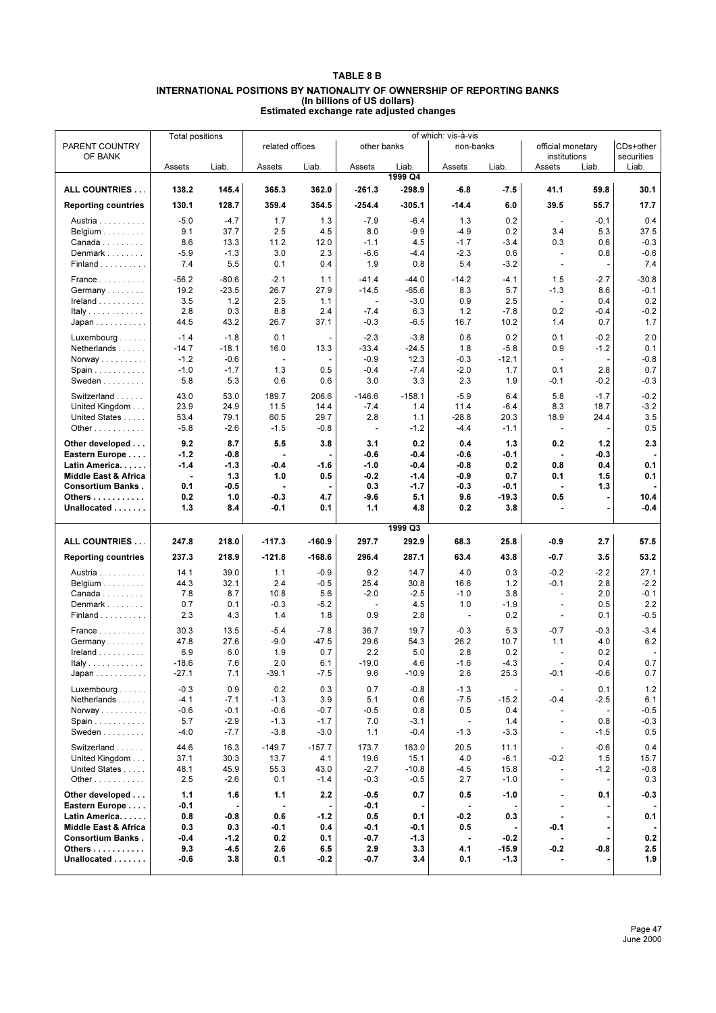## **TABLE 8 B INTERNATIONAL POSITIONS BY NATIONALITY OF OWNERSHIP OF REPORTING BANKS (In billions of US dollars) Estimated exchange rate adjusted changes**

|                                          | <b>Total positions</b> |                    | of which: vis-à-vis      |                |                          |                    |                       |                |                                                      |                          |                     |
|------------------------------------------|------------------------|--------------------|--------------------------|----------------|--------------------------|--------------------|-----------------------|----------------|------------------------------------------------------|--------------------------|---------------------|
| PARENT COUNTRY                           |                        |                    | related offices          |                | other banks              |                    | non-banks             |                | official monetary                                    |                          | CDs+other           |
| OF BANK                                  | Assets                 | Liab.              | Assets                   | Liab.          | Assets                   | Liab.              | Assets                | Liab.          | institutions<br>Assets                               | Liab.                    | securities<br>Liab. |
|                                          |                        |                    |                          |                |                          | 1999 Q4            |                       |                |                                                      |                          |                     |
| ALL COUNTRIES                            | 138.2                  | 145.4              | 365.3                    | 362.0          | $-261.3$                 | $-298.9$           | $-6.8$                | $-7.5$         | 41.1                                                 | 59.8                     | 30.1                |
| <b>Reporting countries</b>               | 130.1                  | 128.7              | 359.4                    | 354.5          | $-254.4$                 | $-305.1$           | $-14.4$               | 6.0            | 39.5                                                 | 55.7                     | 17.7                |
|                                          |                        |                    |                          |                |                          |                    |                       |                |                                                      |                          |                     |
| Austria                                  | $-5.0$                 | $-4.7$             | 1.7                      | 1.3            | $-7.9$                   | $-6.4$             | 1.3                   | 0.2            | $\blacksquare$                                       | $-0.1$                   | 0.4                 |
| Belgium $\ldots \ldots \ldots$<br>Canada | 9.1<br>8.6             | 37.7<br>13.3       | 2.5<br>11.2              | 4.5<br>12.0    | 8.0<br>$-1.1$            | $-9.9$<br>4.5      | $-4.9$<br>$-1.7$      | 0.2<br>$-3.4$  | 3.4<br>0.3                                           | 5.3<br>0.6               | 37.5<br>$-0.3$      |
| Denmark                                  | $-5.9$                 | $-1.3$             | 3.0                      | 2.3            | $-6.6$                   | $-4.4$             | $-2.3$                | 0.6            | $\blacksquare$                                       | 0.8                      | $-0.6$              |
| Finland                                  | 7.4                    | 5.5                | 0.1                      | 0.4            | 1.9                      | 0.8                | 5.4                   | $-3.2$         | $\overline{\phantom{a}}$                             |                          | 7.4                 |
|                                          |                        |                    |                          |                |                          |                    |                       |                |                                                      |                          |                     |
| France                                   | $-56.2$<br>19.2        | $-80.6$<br>$-23.5$ | $-2.1$<br>26.7           | 1.1<br>27.9    | $-41.4$<br>$-14.5$       | $-44.0$<br>$-65.6$ | $-14.2$<br>8.3        | $-4.1$<br>5.7  | 1.5<br>$-1.3$                                        | $-2.7$<br>8.6            | $-30.8$<br>$-0.1$   |
| Germany<br>Ireland                       | 3.5                    | 1.2                | 2.5                      | 1.1            | $\sim$                   | $-3.0$             | 0.9                   | 2.5            | $\sim$                                               | 0.4                      | 0.2                 |
| Italy                                    | 2.8                    | 0.3                | 8.8                      | 2.4            | $-7.4$                   | 6.3                | 1.2                   | $-7.8$         | 0.2                                                  | $-0.4$                   | $-0.2$              |
| Japan                                    | 44.5                   | 43.2               | 26.7                     | 37.1           | $-0.3$                   | $-6.5$             | 16.7                  | 10.2           | 1.4                                                  | 0.7                      | 1.7                 |
|                                          |                        |                    |                          |                |                          |                    |                       |                |                                                      |                          |                     |
| Luxembourg $\ldots$<br>Netherlands       | $-1.4$<br>$-14.7$      | $-1.8$<br>$-18.1$  | 0.1<br>16.0              | 13.3           | $-2.3$<br>-33.4          | $-3.8$<br>$-24.5$  | 0.6<br>1.8            | 0.2<br>$-5.8$  | 0.1<br>0.9                                           | $-0.2$<br>$-1.2$         | 2.0<br>0.1          |
| Norway                                   | $-1.2$                 | $-0.6$             | $\overline{\phantom{a}}$ |                | $-0.9$                   | 12.3               | $-0.3$                | $-12.1$        | $\overline{\phantom{a}}$                             | $\overline{\phantom{a}}$ | $-0.8$              |
| Spain                                    | $-1.0$                 | $-1.7$             | 1.3                      | 0.5            | $-0.4$                   | $-7.4$             | $-2.0$                | 1.7            | 0.1                                                  | 2.8                      | 0.7                 |
| Sweden                                   | 5.8                    | 5.3                | 0.6                      | 0.6            | 3.0                      | 3.3                | 2.3                   | 1.9            | $-0.1$                                               | $-0.2$                   | $-0.3$              |
| Switzerland                              | 43.0                   | 53.0               | 189.7                    | 206.6          | $-146.6$                 | $-158.1$           | $-5.9$                | 6.4            | 5.8                                                  | $-1.7$                   | $-0.2$              |
| United Kingdom                           | 23.9                   | 24.9               | 11.5                     | 14.4           | $-7.4$                   | 1.4                | 11.4                  | $-6.4$         | 8.3                                                  | 18.7                     | $-3.2$              |
| United States                            | 53.4                   | 79.1               | 60.5                     | 29.7           | 2.8                      | 1.1                | $-28.8$               | 20.3           | 18.9                                                 | 24.4                     | 3.5                 |
| Other $\ldots$                           | $-5.8$                 | $-2.6$             | $-1.5$                   | $-0.8$         | $\overline{\phantom{a}}$ | $-1.2$             | $-4.4$                | $-1.1$         | $\overline{\phantom{a}}$                             |                          | 0.5                 |
| Other developed                          | 9.2                    | 8.7                | 5.5                      | 3.8            | 3.1                      | 0.2                | 0.4                   | 1.3            | 0.2                                                  | 1.2                      | 2.3                 |
| Eastern Europe                           | $-1.2$                 | $-0.8$             |                          |                | $-0.6$                   | -0.4               | $-0.6$                | -0.1           | ä,                                                   | $-0.3$                   |                     |
| Latin America.                           | $-1.4$                 | $-1.3$             | -0.4                     | $-1.6$         | $-1.0$                   | -0.4               | $-0.8$                | 0.2            | 0.8                                                  | 0.4                      | 0.1                 |
| <b>Middle East &amp; Africa</b>          | ÷,                     | 1.3                | 1.0                      | 0.5            | $-0.2$                   | $-1.4$             | $-0.9$                | 0.7            | 0.1                                                  | 1.5                      | 0.1                 |
| <b>Consortium Banks.</b>                 | 0.1                    | $-0.5$             |                          |                | 0.3                      | -1.7               | -0.3                  | -0.1           | $\blacksquare$                                       | 1.3                      |                     |
| Others                                   | 0.2                    | 1.0                | $-0.3$                   | 4.7            | $-9.6$                   | 5.1                | 9.6                   | $-19.3$        | 0.5                                                  |                          | 10.4                |
| Unallocated                              | 1.3                    | 8.4                | $-0.1$                   | 0.1            | 1.1                      | 4.8                | 0.2                   | 3.8            |                                                      |                          | $-0.4$              |
|                                          |                        |                    |                          |                |                          | 1999 Q3            |                       |                |                                                      |                          |                     |
| ALL COUNTRIES                            | 247.8                  | 218.0              | $-117.3$                 | $-160.9$       | 297.7                    | 292.9              | 68.3                  | 25.8           |                                                      | 2.7                      |                     |
|                                          |                        |                    |                          |                |                          |                    |                       |                | -0.9                                                 |                          | 57.5                |
| <b>Reporting countries</b>               | 237.3                  | 218.9              | -121.8                   | $-168.6$       | 296.4                    | 287.1              | 63.4                  | 43.8           | -0.7                                                 | 3.5                      | 53.2                |
| Austria                                  | 14.1                   | 39.0               | 1.1                      | $-0.9$         | 9.2                      | 14.7               | 4.0                   | 0.3            | $-0.2$                                               | $-2.2$                   | 27.1                |
| Belgium $\ldots \ldots \ldots$           | 44.3                   | 32.1               | 2.4                      | $-0.5$         | 25.4                     | 30.8               | 16.6                  | 1.2            | $-0.1$                                               | 2.8                      | $-2.2$              |
| $Canada \ldots \ldots \ldots$            | 7.8                    | 8.7                | 10.8                     | 5.6            | $-2.0$                   | $-2.5$             | $-1.0$                | 3.8            | $\blacksquare$                                       | 2.0                      | $-0.1$              |
| Denmark<br>Finland                       | 0.7<br>2.3             | 0.1<br>4.3         | $-0.3$<br>1.4            | $-5.2$<br>1.8  | $\blacksquare$<br>0.9    | 4.5<br>2.8         | 1.0<br>$\blacksquare$ | $-1.9$<br>0.2  | $\overline{\phantom{a}}$<br>$\overline{\phantom{a}}$ | 0.5<br>0.1               | 2.2<br>$-0.5$       |
|                                          |                        |                    |                          |                |                          |                    |                       |                |                                                      |                          |                     |
| France                                   | 30.3                   | 13.5               | $-5.4$                   | $-7.8$         | 36.7                     | 19.7               | $-0.3$                | 5.3            | $-0.7$                                               | $-0.3$                   | $-3.4$              |
| Germany                                  | 47.8<br>6.9            | 27.6<br>6.0        | $-9.0$<br>1.9            | $-47.5$<br>0.7 | 29.6<br>2.2              | 54.3<br>5.0        | 26.2<br>2.8           | 10.7<br>0.2    | 1.1                                                  | 4.0<br>0.2               | $6.2\,$             |
| $I$ reland $\ldots \ldots \ldots$        | $-18.6$                | 7.6                | 2.0                      | 6.1            | $-19.0$                  | 4.6                | $-1.6$                | $-4.3$         |                                                      | 0.4                      | 0.7                 |
| Italy<br>Japan                           | $-27.1$                | 7.1                | $-39.1$                  | $-7.5$         | 9.6                      | $-10.9$            | 2.6                   | 25.3           | $-0.1$                                               | -0.6                     | 0.7                 |
|                                          |                        |                    |                          |                |                          |                    |                       |                |                                                      |                          |                     |
| Luxembourg $\ldots$                      | $-0.3$<br>$-4.1$       | 0.9<br>$-7.1$      | 0.2<br>$-1.3$            | 0.3<br>3.9     | 0.7<br>5.1               | $-0.8$<br>0.6      | $-1.3$                |                | $\sim$<br>$-0.4$                                     | 0.1<br>$-2.5$            | 1.2<br>6.1          |
| Netherlands<br>Norway                    | $-0.6$                 | $-0.1$             | $-0.6$                   | $-0.7$         | $-0.5$                   | 0.8                | $-7.5$<br>0.5         | $-15.2$<br>0.4 | $\overline{\phantom{a}}$                             |                          | $-0.5$              |
| Spain                                    | 5.7                    | $-2.9$             | $-1.3$                   | $-1.7$         | 7.0                      | $-3.1$             | $\blacksquare$        | 1.4            | $\blacksquare$                                       | 0.8                      | $-0.3$              |
| Sweden                                   | $-4.0$                 | $-7.7$             | $-3.8$                   | $-3.0$         | 1.1                      | $-0.4$             | $-1.3$                | $-3.3$         | $\overline{\phantom{a}}$                             | $-1.5$                   | 0.5                 |
| Switzerland                              | 44.6                   | 16.3               | $-149.7$                 | $-157.7$       | 173.7                    | 163.0              | 20.5                  | 11.1           |                                                      | $-0.6$                   | 0.4                 |
| United Kingdom                           | 37.1                   | 30.3               | 13.7                     | 4.1            | 19.6                     | 15.1               | 4.0                   | $-6.1$         | $\overline{\phantom{a}}$<br>$-0.2$                   | 1.5                      | 15.7                |
| United States                            | 48.1                   | 45.9               | 55.3                     | 43.0           | $-2.7$                   | $-10.8$            | $-4.5$                | 15.8           | $\overline{\phantom{a}}$                             | $-1.2$                   | $-0.8$              |
| Other $\ldots$                           | 2.5                    | $-2.6$             | 0.1                      | $-1.4$         | $-0.3$                   | $-0.5$             | 2.7                   | $-1.0$         | $\overline{\phantom{a}}$                             |                          | 0.3                 |
| Other developed                          | 1.1                    | 1.6                | 1.1                      | 2.2            | -0.5                     | 0.7                | 0.5                   | $-1.0$         | ٠                                                    | 0.1                      | $-0.3$              |
| Eastern Europe                           | -0.1                   |                    | ä,                       |                | -0.1                     |                    | $\blacksquare$        |                | ۰                                                    |                          |                     |
| Latin America.                           | 0.8                    | $-0.8$             | 0.6                      | $-1.2$         | 0.5                      | 0.1                | $-0.2$                | 0.3            | $\blacksquare$                                       |                          | 0.1                 |
| <b>Middle East &amp; Africa</b>          | 0.3                    | 0.3                | -0.1                     | 0.4            | $-0.1$                   | -0.1               | 0.5                   |                | -0.1                                                 |                          |                     |
| <b>Consortium Banks.</b>                 | $-0.4$                 | $-1.2$             | 0.2                      | 0.1            | $-0.7$                   | -1.3               | ä,                    | $-0.2$         |                                                      |                          | 0.2                 |
| Others                                   | 9.3                    | $-4.5$             | 2.6                      | 6.5            | 2.9                      | 3.3                | 4.1                   | $-15.9$        | $-0.2$                                               | -0.8                     | 2.5                 |
| Unallocated                              | -0.6                   | 3.8                | 0.1                      | $-0.2$         | $-0.7$                   | 3.4                | 0.1                   | $-1.3$         | ۰                                                    |                          | 1.9                 |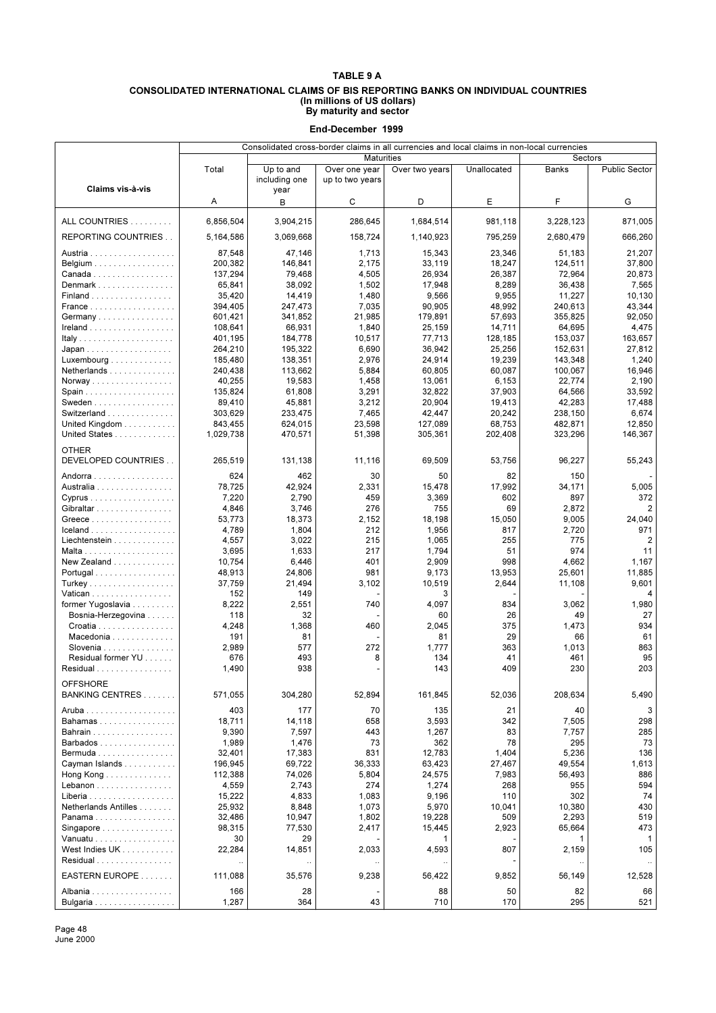#### **CONSOLIDATED INTERNATIONAL CLAIMS OF BIS REPORTING BANKS ON INDIVIDUAL COUNTRIES (In millions of US dollars) By maturity and sector**

**End-December 1999**

|                                          | Consolidated cross-border claims in all currencies and local claims in non-local currencies |                            |                                  |                |              |               |                      |
|------------------------------------------|---------------------------------------------------------------------------------------------|----------------------------|----------------------------------|----------------|--------------|---------------|----------------------|
|                                          |                                                                                             |                            | <b>Maturities</b>                |                |              | Sectors       |                      |
| Claims vis-à-vis                         | Total                                                                                       | Up to and<br>including one | Over one year<br>up to two years | Over two years | Unallocated  | Banks         | <b>Public Sector</b> |
|                                          | Α                                                                                           | year<br>В                  | С                                | D              | E            | F             | G                    |
| ALL COUNTRIES                            | 6.856.504                                                                                   | 3,904,215                  | 286,645                          | 1,684,514      | 981,118      | 3,228,123     | 871,005              |
| REPORTING COUNTRIES                      | 5,164,586                                                                                   | 3,069,668                  | 158,724                          | 1,140,923      | 795,259      | 2,680,479     | 666,260              |
| Austria                                  | 87,548                                                                                      | 47,146                     | 1,713                            | 15,343         | 23,346       | 51,183        | 21,207               |
| Belgium                                  | 200,382                                                                                     | 146,841                    | 2,175                            | 33,119         | 18,247       | 124,511       | 37,800               |
| Canada                                   | 137,294                                                                                     | 79,468                     | 4,505                            | 26,934         | 26,387       | 72,964        | 20,873               |
| Denmark                                  | 65,841                                                                                      | 38,092                     | 1,502                            | 17,948         | 8,289        | 36,438        | 7,565                |
| Finland                                  | 35,420                                                                                      | 14,419                     | 1,480                            | 9,566          | 9,955        | 11,227        | 10,130               |
|                                          |                                                                                             |                            | 7,035                            | 90,905         | 48,992       | 240,613       | 43,344               |
| France                                   | 394,405                                                                                     | 247,473                    |                                  |                |              |               |                      |
| Germany                                  | 601,421                                                                                     | 341,852                    | 21,985                           | 179,891        | 57,693       | 355,825       | 92,050               |
| Ireland                                  | 108,641                                                                                     | 66,931                     | 1,840                            | 25,159         | 14,711       | 64,695        | 4,475                |
|                                          | 401,195                                                                                     | 184,778                    | 10,517                           | 77,713         | 128,185      | 153,037       | 163,657              |
| Japan                                    | 264,210                                                                                     | 195,322                    | 6,690                            | 36,942         | 25,256       | 152,631       | 27,812               |
| Luxembourg $\ldots \ldots \ldots \ldots$ | 185,480                                                                                     | 138,351                    | 2,976                            | 24,914         | 19,239       | 143,348       | 1,240                |
| Netherlands                              | 240,438                                                                                     | 113,662                    | 5,884                            | 60,805         | 60,087       | 100,067       | 16,946               |
| Norway                                   | 40,255                                                                                      | 19.583                     | 1,458                            | 13,061         | 6,153        | 22,774        | 2,190                |
|                                          | 135,824                                                                                     | 61,808                     | 3,291                            | 32,822         | 37,903       | 64,566        | 33,592               |
| Sweden                                   | 89,410                                                                                      | 45,881                     | 3,212                            | 20,904         | 19,413       | 42,283        | 17,488               |
| Switzerland                              | 303,629                                                                                     | 233,475                    | 7,465                            | 42.447         | 20,242       | 238,150       | 6,674                |
| United Kingdom                           | 843,455                                                                                     | 624,015                    | 23,598                           | 127,089        | 68,753       | 482,871       | 12,850               |
| United States                            | 1.029.738                                                                                   | 470,571                    | 51,398                           | 305,361        | 202,408      | 323,296       | 146,367              |
| <b>OTHER</b><br>DEVELOPED COUNTRIES      |                                                                                             |                            |                                  |                |              |               |                      |
| Andorra                                  | 265,519<br>624                                                                              | 131,138<br>462             | 11,116<br>30                     | 69,509<br>50   | 53,756<br>82 | 96,227<br>150 | 55,243               |
| Australia                                | 78.725                                                                                      | 42,924                     | 2,331                            | 15.478         | 17,992       | 34,171        | 5,005                |
|                                          |                                                                                             | 2,790                      | 459                              |                | 602          | 897           | 372                  |
| Cyprus                                   | 7,220                                                                                       |                            |                                  | 3,369          |              |               |                      |
| Gibraltar                                | 4,846                                                                                       | 3,746                      | 276                              | 755            | 69           | 2,872         | $\overline{2}$       |
| Greece                                   | 53,773                                                                                      | 18,373                     | 2,152                            | 18,198         | 15,050       | 9,005         | 24,040               |
| Iceland                                  | 4,789                                                                                       | 1,804                      | 212                              | 1,956          | 817          | 2,720         | 971                  |
| Liechtenstein                            | 4,557                                                                                       | 3,022                      | 215                              | 1,065          | 255          | 775           | $\overline{2}$       |
|                                          | 3,695                                                                                       | 1,633                      | 217                              | 1,794          | 51           | 974           | 11                   |
| New Zealand                              | 10,754                                                                                      | 6,446                      | 401                              | 2,909          | 998          | 4,662         | 1,167                |
| Portugal                                 | 48,913                                                                                      | 24,806                     | 981                              | 9,173          | 13,953       | 25,601        | 11,885               |
| Turkey                                   | 37,759                                                                                      | 21,494                     | 3,102                            | 10,519         | 2,644        | 11,108        | 9,601                |
| Vatican                                  | 152                                                                                         | 149                        |                                  | 3              |              |               | 4                    |
| former Yugoslavia                        | 8,222                                                                                       | 2,551                      | 740                              | 4,097          | 834          | 3,062         | 1,980                |
| Bosnia-Herzegovina                       | 118                                                                                         | 32                         |                                  | 60             | 26           | 49            | 27                   |
| Croatia                                  | 4,248                                                                                       | 1,368                      | 460                              | 2,045          | 375          | 1,473         | 934                  |
| Macedonia                                | 191                                                                                         | 81                         |                                  | 81             | 29           | 66            | 61                   |
| Slovenia                                 | 2,989                                                                                       | 577                        | 272                              | 1,777          | 363          | 1,013         | 863                  |
| Residual former YU                       | 676                                                                                         | 493                        | 8                                | 134            | 41           | 461           | 95                   |
| Residual                                 | 1,490                                                                                       | 938                        |                                  | 143            | 409          | 230           | 203                  |
| <b>OFFSHORE</b>                          |                                                                                             |                            |                                  |                |              |               |                      |
| BANKING CENTRES                          | 571,055                                                                                     | 304,280                    | 52,894                           | 161,845        | 52,036       | 208,634       | 5,490                |
|                                          | 403                                                                                         | 177                        | 70                               | 135            | 21           | 40            | 3                    |
|                                          | 18,711                                                                                      | 14,118                     | 658                              | 3,593          | 342          | 7,505         | 298                  |
| Bahamas                                  |                                                                                             |                            |                                  |                |              |               |                      |
| Bahrain                                  | 9,390                                                                                       | 7,597                      | 443                              | 1,267          | 83           | 7,757         | 285                  |
| Barbados                                 | 1,989                                                                                       | 1,476                      | 73                               | 362            | 78           | 295           | 73                   |
| Bermuda                                  | 32,401                                                                                      | 17,383                     | 831                              | 12,783         | 1,404        | 5,236         | 136                  |
| Cayman Islands                           | 196,945                                                                                     | 69,722                     | 36,333                           | 63,423         | 27,467       | 49,554        | 1,613                |
| Hong Kong $\ldots \ldots \ldots \ldots$  | 112,388                                                                                     | 74,026                     | 5,804                            | 24,575         | 7,983        | 56,493        | 886                  |
| Lebanon                                  | 4,559                                                                                       | 2,743                      | 274                              | 1,274          | 268          | 955           | 594                  |
| Liberia                                  | 15,222                                                                                      | 4,833                      | 1,083                            | 9,196          | 110          | 302           | 74                   |
| Netherlands Antilles                     | 25,932                                                                                      | 8,848                      | 1,073                            | 5,970          | 10,041       | 10,380        | 430                  |
| Panama                                   | 32,486                                                                                      | 10,947                     | 1,802                            | 19,228         | 509          | 2,293         | 519                  |
| Singapore $\ldots \ldots \ldots \ldots$  | 98,315                                                                                      | 77,530                     | 2,417                            | 15,445         | 2,923        | 65,664        | 473                  |
| Vanuatu                                  | 30                                                                                          | 29                         |                                  | 1              |              | 1             | 1                    |
| West Indies UK                           | 22,284                                                                                      | 14,851                     | 2,033                            | 4,593          | 807          | 2,159         | 105                  |
| Residual                                 |                                                                                             |                            |                                  | $\ddotsc$      |              |               | $\ldots$             |
| EASTERN EUROPE                           | 111,088                                                                                     | 35,576                     | 9,238                            | 56,422         | 9,852        | 56,149        | 12,528               |
| Albania                                  | 166                                                                                         | 28                         |                                  | 88             | 50           | 82            | 66                   |
| Bulgaria                                 | 1,287                                                                                       | 364                        | 43                               | 710            | 170          | 295           | 521                  |

Page 48 June 2000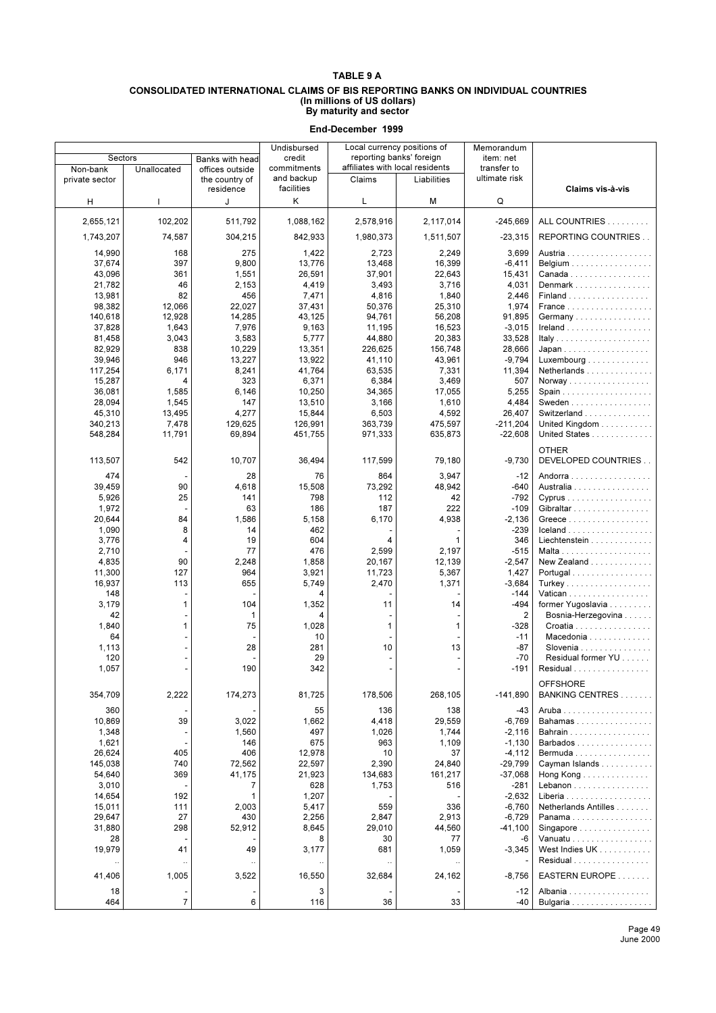#### **CONSOLIDATED INTERNATIONAL CLAIMS OF BIS REPORTING BANKS ON INDIVIDUAL COUNTRIES (In millions of US dollars) By maturity and sector**

|                |                |                 | Undisbursed |           | Local currency positions of     | Memorandum     |                                      |
|----------------|----------------|-----------------|-------------|-----------|---------------------------------|----------------|--------------------------------------|
| Sectors        |                | Banks with head | credit      |           | reporting banks' foreign        | item: net      |                                      |
| Non-bank       | Unallocated    | offices outside | commitments |           | affiliates with local residents | transfer to    |                                      |
| private sector |                | the country of  | and backup  | Claims    | Liabilities                     | ultimate risk  |                                      |
|                |                | residence       | facilities  |           |                                 |                | Claims vis-à-vis                     |
| н              |                | J               | Κ           | L         | М                               | Q              |                                      |
|                |                |                 |             |           |                                 |                |                                      |
| 2,655,121      | 102,202        | 511,792         | 1,088,162   | 2,578,916 | 2,117,014                       | $-245,669$     | ALL COUNTRIES                        |
| 1,743,207      | 74,587         | 304,215         | 842,933     | 1,980,373 | 1,511,507                       | $-23,315$      | REPORTING COUNTRIES                  |
|                |                |                 |             |           |                                 |                |                                      |
| 14,990         | 168            | 275             | 1,422       | 2,723     | 2,249                           | 3,699          | Austria                              |
| 37,674         | 397            | 9,800           | 13,776      | 13,468    | 16,399                          | $-6,411$       | Belgium                              |
| 43,096         | 361            | 1,551           | 26,591      | 37,901    | 22,643                          | 15,431         | Canada                               |
| 21.782         | 46             | 2,153           | 4,419       | 3,493     | 3,716                           | 4,031          | Denmark                              |
| 13,981         | 82             | 456             | 7,471       | 4,816     | 1,840                           | 2,446          | Finland                              |
| 98,382         | 12,066         | 22,027          | 37,431      | 50,376    | 25,310                          | 1,974          |                                      |
| 140,618        | 12,928         | 14,285          | 43,125      | 94,761    | 56,208                          | 91,895         | Germany                              |
| 37,828         | 1,643          | 7,976           | 9,163       | 11,195    | 16,523                          | $-3,015$       |                                      |
| 81,458         | 3,043          | 3,583           | 5,777       | 44,880    | 20,383                          | 33,528         |                                      |
| 82,929         | 838            | 10,229          | 13,351      | 226,625   | 156,748                         | 28,666         |                                      |
| 39,946         | 946            | 13,227          | 13,922      | 41,110    | 43,961                          | $-9,794$       | Luxembourg $\dots \dots \dots \dots$ |
|                | 6,171          |                 |             |           |                                 | 11,394         | Netherlands                          |
| 117,254        |                | 8,241           | 41,764      | 63,535    | 7,331                           |                |                                      |
| 15,287         | 4              | 323             | 6,371       | 6,384     | 3,469                           | 507            | Norway                               |
| 36.081         | 1,585          | 6,146           | 10,250      | 34,365    | 17,055                          | 5,255          |                                      |
| 28,094         | 1,545          | 147             | 13,510      | 3,166     | 1,610                           | 4,484          | Sweden                               |
| 45,310         | 13.495         | 4,277           | 15,844      | 6,503     | 4,592                           | 26,407         | Switzerland                          |
| 340,213        | 7,478          | 129,625         | 126,991     | 363,739   | 475,597                         | $-211,204$     | United Kingdom                       |
| 548,284        | 11,791         | 69,894          | 451,755     | 971,333   | 635,873                         | $-22,608$      | United States                        |
|                |                |                 |             |           |                                 |                |                                      |
|                |                |                 |             |           |                                 |                | <b>OTHER</b>                         |
| 113,507        | 542            | 10,707          | 36,494      | 117,599   | 79,180                          | $-9,730$       | DEVELOPED COUNTRIES                  |
| 474            |                | 28              | 76          | 864       | 3,947                           | $-12$          | Andorra                              |
| 39,459         | 90             | 4,618           | 15,508      | 73,292    | 48,942                          | $-640$         | Australia                            |
| 5,926          | 25             | 141             | 798         | 112       | 42                              | $-792$         | Cyprus                               |
|                |                | 63              | 186         | 187       | 222                             | $-109$         |                                      |
| 1,972          |                |                 |             |           |                                 |                | Gibraltar                            |
| 20,644         | 84             | 1,586           | 5,158       | 6,170     | 4,938                           | $-2,136$       |                                      |
| 1,090          | 8              | 14              | 462         |           |                                 | $-239$         | Iceland                              |
| 3,776          | 4              | 19              | 604         | 4         | 1                               | 346            | Liechtenstein                        |
| 2,710          |                | 77              | 476         | 2,599     | 2,197                           | $-515$         |                                      |
| 4,835          | 90             | 2,248           | 1,858       | 20,167    | 12,139                          | $-2,547$       | New Zealand                          |
| 11,300         | 127            | 964             | 3,921       | 11,723    | 5,367                           | 1,427          | Portugal                             |
| 16,937         | 113            | 655             | 5,749       | 2,470     | 1,371                           | $-3,684$       |                                      |
| 148            |                |                 | 4           |           |                                 | $-144$         | Vatican                              |
| 3,179          | 1              | 104             | 1,352       | 11        | 14                              | -494           | former Yugoslavia                    |
| 42             |                | 1               | 4           |           |                                 | $\overline{2}$ | Bosnia-Herzegovina                   |
| 1,840          | 1              | 75              | 1,028       | 1         | 1                               | $-328$         | Croatia                              |
| 64             |                |                 | 10          |           |                                 | $-11$          | Macedonia                            |
|                |                | 28              | 281         | 10        | 13                              | $-87$          | Slovenia                             |
| 1,113          |                |                 |             |           |                                 |                |                                      |
| 120            |                |                 | 29          |           |                                 | $-70$          | Residual former YU                   |
| 1,057          |                | 190             | 342         |           |                                 | $-191$         | Residual                             |
|                |                |                 |             |           |                                 |                | OFFSHORE                             |
| 354,709        | 2,222          | 174,273         | 81,725      | 178,506   | 268,105                         | $-141,890$     | BANKING CENTRES                      |
|                |                |                 |             |           |                                 |                |                                      |
| 360            |                |                 | 55          | 136       | 138                             | -43            |                                      |
| 10,869         | 39             | 3,022           | 1,662       | 4,418     | 29,559                          | $-6,769$       | Bahamas                              |
| 1,348          |                | 1,560           | 497         | 1,026     | 1,744                           | $-2,116$       | Bahrain                              |
| 1,621          |                | 146             | 675         | 963       | 1,109                           | $-1,130$       | Barbados                             |
| 26,624         | 405            | 406             | 12,978      | 10        | 37                              | $-4,112$       | Bermuda                              |
| 145,038        | 740            | 72,562          | 22,597      | 2,390     | 24,840                          | $-29,799$      | Cayman Islands                       |
| 54,640         | 369            | 41,175          | 21,923      | 134,683   | 161,217                         | $-37,068$      | Hong Kong                            |
| 3,010          |                | $\overline{7}$  | 628         | 1,753     | 516                             | $-281$         | Lebanon                              |
| 14,654         | 192            | 1               | 1,207       |           |                                 | $-2,632$       |                                      |
| 15,011         | 111            | 2,003           | 5,417       | 559       | 336                             | $-6,760$       | Netherlands Antilles                 |
| 29,647         | 27             | 430             | 2,256       | 2,847     | 2,913                           | $-6,729$       | Panama                               |
| 31,880         | 298            | 52,912          | 8,645       | 29,010    | 44,560                          | $-41,100$      | Singapore                            |
|                |                |                 |             |           |                                 |                |                                      |
| 28             |                |                 | 8           | 30        | 77                              | -6             | Vanuatu                              |
| 19,979         | 41             | 49              | 3,177       | 681       | 1,059                           | $-3,345$       | West Indies UK                       |
|                |                |                 |             |           |                                 |                | Residual                             |
| 41,406         | 1,005          | 3,522           | 16,550      | 32,684    | 24,162                          | $-8,756$       | EASTERN EUROPE<br>1.1.1.1            |
|                |                |                 |             |           |                                 |                |                                      |
| 18             |                |                 | 3           |           |                                 | $-12$          | Albania                              |
| 464            | $\overline{7}$ | 6               | 116         | 36        | 33                              | -40            | Bulgaria                             |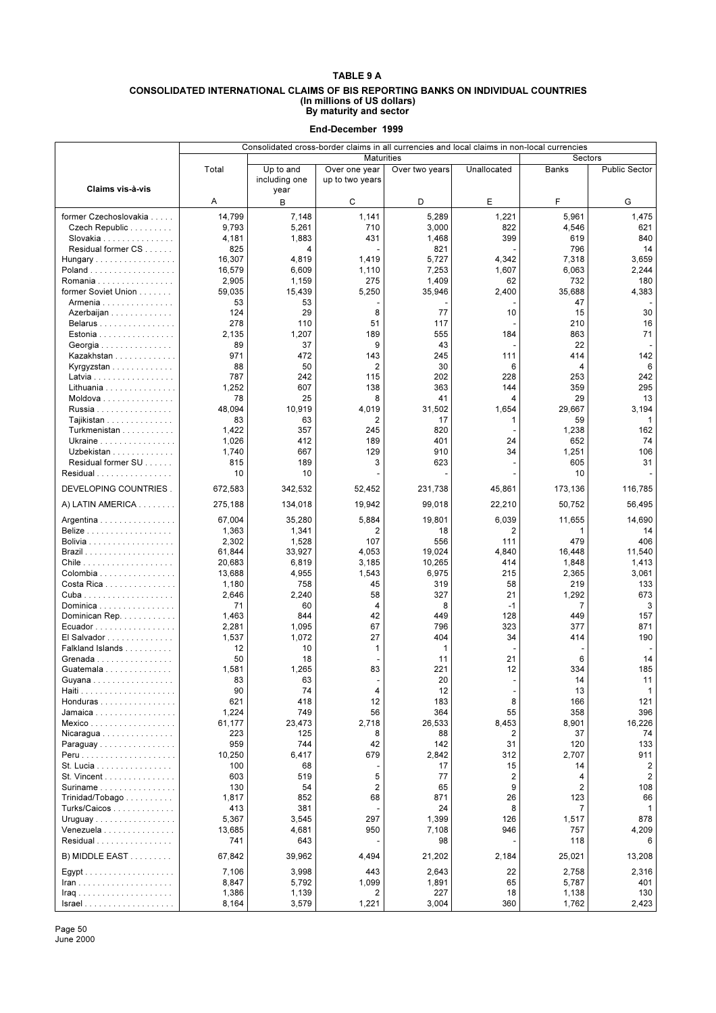#### **CONSOLIDATED INTERNATIONAL CLAIMS OF BIS REPORTING BANKS ON INDIVIDUAL COUNTRIES (In millions of US dollars) By maturity and sector**

**End-December 1999**

|                                                    | Consolidated cross-border claims in all currencies and local claims in non-local currencies |                            |                                  |                |                         |                |                         |
|----------------------------------------------------|---------------------------------------------------------------------------------------------|----------------------------|----------------------------------|----------------|-------------------------|----------------|-------------------------|
|                                                    |                                                                                             |                            | <b>Maturities</b>                |                |                         | Sectors        |                         |
|                                                    | Total                                                                                       | Up to and<br>including one | Over one year<br>up to two years | Over two years | Unallocated             | <b>Banks</b>   | <b>Public Sector</b>    |
| Claims vis-à-vis                                   |                                                                                             | year                       |                                  |                |                         |                |                         |
|                                                    | Α                                                                                           | B                          | С                                | D              | Е                       | F              | G                       |
| former Czechoslovakia                              | 14,799                                                                                      | 7,148                      | 1,141                            | 5,289          | 1,221                   | 5,961          | 1,475                   |
| Czech Republic                                     | 9,793                                                                                       | 5,261                      | 710                              | 3,000          | 822                     | 4,546          | 621                     |
| Slovakia                                           | 4,181                                                                                       | 1,883                      | 431                              | 1,468          | 399                     | 619            | 840                     |
| Residual former CS                                 | 825                                                                                         | 4                          |                                  | 821            |                         | 796            | 14                      |
| Hungary                                            | 16,307                                                                                      | 4,819                      | 1,419                            | 5,727          | 4,342                   | 7,318          | 3,659                   |
| Poland                                             | 16,579                                                                                      | 6,609                      | 1,110                            | 7,253          | 1,607                   | 6,063          | 2,244                   |
| Romania $\ldots \ldots \ldots \ldots \ldots$       | 2,905                                                                                       | 1,159                      | 275                              | 1,409          | 62                      | 732            | 180                     |
| former Soviet Union                                | 59,035                                                                                      | 15,439                     | 5,250                            | 35,946         | 2,400                   | 35,688         | 4,383                   |
| Armenia                                            | 53                                                                                          | 53                         |                                  |                |                         | 47             |                         |
| Azerbaijan                                         | 124                                                                                         | 29                         | 8                                | 77             | 10                      | 15             | 30                      |
| Belarus<br>Estonia                                 | 278<br>2,135                                                                                | 110<br>1,207               | 51<br>189                        | 117<br>555     | 184                     | 210<br>863     | 16<br>71                |
| Georgia                                            | 89                                                                                          | 37                         | 9                                | 43             |                         | 22             |                         |
| Kazakhstan                                         | 971                                                                                         | 472                        | 143                              | 245            | 111                     | 414            | 142                     |
| Kyrgyzstan                                         | 88                                                                                          | 50                         | 2                                | 30             | 6                       | 4              | 6                       |
| Latvia                                             | 787                                                                                         | 242                        | 115                              | 202            | 228                     | 253            | 242                     |
| Lithuania                                          | 1,252                                                                                       | 607                        | 138                              | 363            | 144                     | 359            | 295                     |
| Moldova                                            | 78                                                                                          | 25                         | 8                                | 41             | 4                       | 29             | 13                      |
| Russia                                             | 48,094                                                                                      | 10,919                     | 4,019                            | 31,502         | 1,654                   | 29,667         | 3,194                   |
| Tajikistan                                         | 83                                                                                          | 63                         | 2                                | 17             | 1                       | 59             | 1                       |
| Turkmenistan                                       | 1,422                                                                                       | 357                        | 245                              | 820            |                         | 1,238          | 162                     |
| Ukraine                                            | 1,026                                                                                       | 412                        | 189                              | 401            | 24                      | 652            | 74                      |
| Uzbekistan                                         | 1,740                                                                                       | 667                        | 129                              | 910            | 34                      | 1,251          | 106                     |
| Residual former SU                                 | 815                                                                                         | 189                        | 3                                | 623            |                         | 605            | 31                      |
| Residual                                           | 10                                                                                          | 10                         |                                  |                |                         | 10             |                         |
| DEVELOPING COUNTRIES.                              | 672,583                                                                                     | 342,532                    | 52,452                           | 231,738        | 45,861                  | 173,136        | 116,785                 |
| A) LATIN AMERICA                                   | 275,188                                                                                     | 134,018                    | 19,942                           | 99,018         | 22,210                  | 50,752         | 56,495                  |
| Argentina                                          | 67,004                                                                                      | 35,280                     | 5,884                            | 19,801         | 6,039                   | 11,655         | 14,690                  |
| <b>Belize</b>                                      | 1,363                                                                                       | 1,341                      | 2                                | 18             | 2                       | 1              | 14                      |
|                                                    | 2,302                                                                                       | 1,528                      | 107                              | 556            | 111                     | 479            | 406                     |
|                                                    | 61,844                                                                                      | 33,927                     | 4,053                            | 19,024         | 4,840                   | 16,448         | 11,540                  |
|                                                    | 20,683                                                                                      | 6,819                      | 3,185                            | 10,265         | 414                     | 1,848          | 1,413                   |
| Colombia<br>Costa Rica                             | 13,688<br>1,180                                                                             | 4,955<br>758               | 1,543<br>45                      | 6,975<br>319   | 215<br>58               | 2,365<br>219   | 3,061<br>133            |
|                                                    | 2,646                                                                                       | 2,240                      | 58                               | 327            | 21                      | 1,292          | 673                     |
| Dominica                                           | 71                                                                                          | 60                         | 4                                | 8              | $-1$                    | 7              | 3                       |
| Dominican Rep.                                     | 1,463                                                                                       | 844                        | 42                               | 449            | 128                     | 449            | 157                     |
| Ecuador                                            | 2,281                                                                                       | 1,095                      | 67                               | 796            | 323                     | 377            | 871                     |
| El Salvador                                        | 1,537                                                                                       | 1,072                      | 27                               | 404            | 34                      | 414            | 190                     |
| Falkland Islands                                   | 12                                                                                          | 10                         | 1                                | 1              |                         |                |                         |
| Grenada                                            | 50                                                                                          | 18                         |                                  | 11             | 21                      | 6              | 14                      |
| Guatemala                                          | 1,581                                                                                       | 1,265                      | 83                               | 221            | 12                      | 334            | 185                     |
| Guvana                                             | 83                                                                                          | 63                         |                                  | 20             |                         | 14             | 11                      |
|                                                    | 90                                                                                          | 74                         | 4                                | 12             |                         | 13             | $\mathbf{1}$            |
| Honduras                                           | 621                                                                                         | 418                        | 12                               | 183            | 8                       | 166            | 121                     |
| Jamaica                                            | 1,224                                                                                       | 749                        | 56                               | 364            | 55                      | 358            | 396                     |
| Mexico<br>Nicaragua                                | 61,177<br>223                                                                               | 23,473<br>125              | 2,718<br>8                       | 26,533<br>88   | 8,453<br>2              | 8,901<br>37    | 16,226<br>74            |
| Paraguay                                           | 959                                                                                         | 744                        | 42                               | 142            | 31                      | 120            | 133                     |
|                                                    | 10,250                                                                                      | 6,417                      | 679                              | 2,842          | 312                     | 2,707          | 911                     |
| St. Lucia                                          | 100                                                                                         | 68                         |                                  | 17             | 15                      | 14             | $\overline{\mathbf{c}}$ |
| St. Vincent                                        | 603                                                                                         | 519                        | 5                                | 77             | $\overline{\mathbf{c}}$ | 4              | $\overline{2}$          |
| Suriname                                           | 130                                                                                         | 54                         | $\overline{2}$                   | 65             | 9                       | $\overline{2}$ | 108                     |
| Trinidad/Tobago                                    | 1,817                                                                                       | 852                        | 68                               | 871            | 26                      | 123            | 66                      |
| Turks/Caicos                                       | 413                                                                                         | 381                        |                                  | 24             | 8                       | $\overline{7}$ | 1                       |
| Uruguay                                            | 5,367                                                                                       | 3,545                      | 297                              | 1,399          | 126                     | 1,517          | 878                     |
| Venezuela                                          | 13,685                                                                                      | 4,681                      | 950                              | 7,108          | 946                     | 757            | 4,209                   |
| Residual                                           | 741                                                                                         | 643                        |                                  | 98             |                         | 118            | 6                       |
| B) MIDDLE EAST                                     | 67,842                                                                                      | 39,962                     | 4,494                            | 21,202         | 2,184                   | 25,021         | 13,208                  |
|                                                    | 7,106                                                                                       | 3,998                      | 443                              | 2,643          | 22                      | 2,758          | 2,316                   |
|                                                    | 8,847                                                                                       | 5,792                      | 1,099                            | 1,891          | 65                      | 5,787          | 401                     |
| <b>Iraq</b>                                        | 1,386                                                                                       | 1,139                      | 2                                | 227            | 18                      | 1,138          | 130                     |
| $Israel \ldots \ldots \ldots \ldots \ldots \ldots$ | 8,164                                                                                       | 3,579                      | 1,221                            | 3,004          | 360                     | 1,762          | 2,423                   |

Page 50 June 2000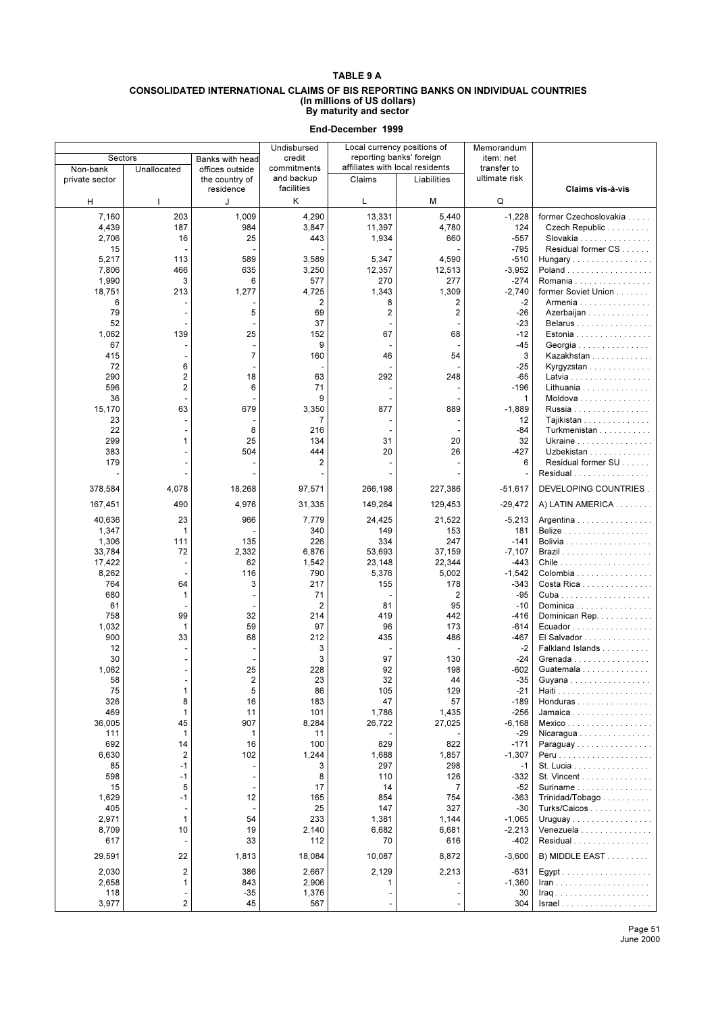#### **CONSOLIDATED INTERNATIONAL CLAIMS OF BIS REPORTING BANKS ON INDIVIDUAL COUNTRIES (In millions of US dollars) By maturity and sector**

|                            |                          |                                                | Undisbursed                             |                 | Local currency positions of                                 | Memorandum                   |                                                                  |
|----------------------------|--------------------------|------------------------------------------------|-----------------------------------------|-----------------|-------------------------------------------------------------|------------------------------|------------------------------------------------------------------|
| Sectors                    |                          | Banks with head                                | credit                                  |                 | reporting banks' foreign<br>affiliates with local residents | item: net                    |                                                                  |
| Non-bank<br>private sector | Unallocated              | offices outside<br>the country of<br>residence | commitments<br>and backup<br>facilities | Claims          | Liabilities                                                 | transfer to<br>ultimate risk | Claims vis-à-vis                                                 |
| н                          | I.                       | J                                              | Κ                                       | L               | M                                                           | Q                            |                                                                  |
| 7,160                      | 203                      | 1,009                                          | 4,290                                   | 13,331          | 5,440                                                       | $-1,228$                     | former Czechoslovakia                                            |
| 4,439                      | 187                      | 984                                            | 3,847                                   | 11,397          | 4,780                                                       | 124                          | Czech Republic                                                   |
| 2,706                      | 16                       | 25                                             | 443                                     | 1,934           | 660                                                         | -557                         | Slovakia                                                         |
| 15                         |                          |                                                |                                         |                 |                                                             | $-795$                       | Residual former CS                                               |
| 5,217                      | 113                      | 589                                            | 3,589                                   | 5,347           | 4,590                                                       | $-510$                       | Hungary                                                          |
| 7,806                      | 466                      | 635                                            | 3,250                                   | 12,357          | 12,513                                                      | $-3,952$                     |                                                                  |
| 1,990                      | 3                        | 6                                              | 577                                     | 270             | 277                                                         | $-274$                       | Romania                                                          |
| 18,751                     | 213                      | 1,277                                          | 4,725                                   | 1,343           | 1,309                                                       | $-2,740$                     | former Soviet Union                                              |
| 6                          |                          |                                                | 2                                       | 8               | $\overline{\mathbf{c}}$                                     | $-2$                         | Armenia                                                          |
| 79<br>52                   |                          | 5                                              | 69<br>37                                | 2               | $\overline{2}$                                              | $-26$<br>-23                 | Azerbaijan<br>Belarus                                            |
| 1,062                      | 139                      | 25                                             | 152                                     | 67              | 68                                                          | $-12$                        | Estonia                                                          |
| 67                         |                          |                                                | 9                                       |                 |                                                             | -45                          | Georgia                                                          |
| 415                        |                          | $\overline{7}$                                 | 160                                     | 46              | 54                                                          | 3                            | Kazakhstan                                                       |
| 72                         | 6                        |                                                |                                         |                 |                                                             | $-25$                        | Kyrgyzstan                                                       |
| 290                        | 2                        | 18                                             | 63                                      | 292             | 248                                                         | $-65$                        | Latvia                                                           |
| 596                        | $\overline{2}$           | 6                                              | 71                                      |                 |                                                             | $-196$                       | Lithuania $\ldots \ldots \ldots \ldots$                          |
| 36                         |                          |                                                | 9                                       |                 |                                                             | 1                            | Moldova                                                          |
| 15,170                     | 63                       | 679                                            | 3,350                                   | 877             | 889                                                         | $-1,889$                     | Russia                                                           |
| 23                         |                          |                                                | 7                                       |                 |                                                             | 12                           | Taiikistan                                                       |
| 22                         |                          | 8                                              | 216                                     |                 |                                                             | -84                          | Turkmenistan                                                     |
| 299                        | 1                        | 25                                             | 134                                     | 31              | 20<br>26                                                    | 32                           | Ukraine                                                          |
| 383<br>179                 |                          | 504                                            | 444<br>2                                | 20              |                                                             | $-427$<br>6                  | Uzbekistan<br>Residual former SU                                 |
|                            |                          |                                                |                                         |                 |                                                             |                              | Residual                                                         |
|                            |                          |                                                |                                         |                 |                                                             |                              |                                                                  |
| 378,584                    | 4,078                    | 18,268                                         | 97,571                                  | 266,198         | 227,386                                                     | $-51,617$                    | DEVELOPING COUNTRIES.                                            |
| 167,451                    | 490                      | 4,976                                          | 31,335                                  | 149,264         | 129,453                                                     | $-29,472$                    | A) LATIN AMERICA                                                 |
| 40,636                     | 23                       | 966                                            | 7,779                                   | 24,425          | 21,522                                                      | $-5,213$                     | Argentina                                                        |
| 1,347                      | 1                        |                                                | 340                                     | 149             | 153                                                         | 181                          |                                                                  |
| 1,306                      | 111                      | 135                                            | 226                                     | 334             | 247                                                         | $-141$                       |                                                                  |
| 33,784                     | 72<br>÷,                 | 2,332<br>62                                    | 6,876                                   | 53,693          | 37,159                                                      | $-7,107$<br>$-443$           |                                                                  |
| 17,422<br>8,262            |                          | 116                                            | 1,542<br>790                            | 23,148<br>5,376 | 22,344<br>5,002                                             | $-1,542$                     | Colombia                                                         |
| 764                        | 64                       | 3                                              | 217                                     | 155             | 178                                                         | $-343$                       | Costa Rica                                                       |
| 680                        | $\mathbf{1}$             |                                                | 71                                      |                 | $\overline{2}$                                              | $-95$                        |                                                                  |
| 61                         |                          |                                                | $\overline{2}$                          | 81              | 95                                                          | $-10$                        | Dominica                                                         |
| 758                        | 99                       | 32                                             | 214                                     | 419             | 442                                                         | $-416$                       | Dominican Rep.                                                   |
| 1,032                      | $\mathbf{1}$             | 59                                             | 97                                      | 96              | 173                                                         | $-614$                       | Ecuador                                                          |
| 900                        | 33                       | 68                                             | 212                                     | 435             | 486                                                         | $-467$                       | El Salvador                                                      |
| 12                         | $\blacksquare$           |                                                | 3                                       |                 |                                                             | $-2$                         | Falkland Islands                                                 |
| 30                         |                          |                                                | 3                                       | 97              | 130                                                         | $-24$                        | Grenada                                                          |
| 1,062<br>58                |                          | 25<br>$\overline{2}$                           | 228<br>23                               | 92<br>32        | 198<br>44                                                   | -602<br>$-35$                | Guatemala<br>Guyana                                              |
| 75                         | 1                        | 5                                              | 86                                      | 105             | 129                                                         | $-21$                        | .                                                                |
| 326                        | 8                        | 16                                             | 183                                     | 47              | 57                                                          | $-189$                       | Honduras                                                         |
| 469                        | $\mathbf{1}$             | 11                                             | 101                                     | 1,786           | 1,435                                                       | $-256$                       | Jamaica                                                          |
| 36,005                     | 45                       | 907                                            | 8,284                                   | 26,722          | 27,025                                                      | $-6,168$                     | Mexico                                                           |
| 111                        | $\mathbf{1}$             | 1                                              | 11                                      |                 |                                                             | $-29$                        | Nicaragua                                                        |
| 692                        | 14                       | 16                                             | 100                                     | 829             | 822                                                         | $-171$                       | Paraguay                                                         |
| 6,630                      | $\overline{2}$           | 102                                            | 1,244                                   | 1,688           | 1,857                                                       | $-1,307$                     |                                                                  |
| 85                         | $-1$                     |                                                | 3                                       | 297             | 298                                                         | -1                           | St. Lucia                                                        |
| 598                        | $-1$                     |                                                | 8                                       | 110             | 126                                                         | -332                         | St. Vincent                                                      |
| 15<br>1,629                | 5<br>$-1$                | 12                                             | 17<br>165                               | 14<br>854       | 7<br>754                                                    | $-52$<br>-363                | Suriname $\ldots \ldots \ldots \ldots \ldots$<br>Trinidad/Tobago |
| 405                        |                          |                                                | 25                                      | 147             | 327                                                         | -30                          | Turks/Caicos                                                     |
| 2,971                      | $\mathbf{1}$             | 54                                             | 233                                     | 1,381           | 1,144                                                       | $-1,065$                     | Uruguay                                                          |
| 8,709                      | 10                       | 19                                             | 2,140                                   | 6,682           | 6,681                                                       | $-2,213$                     | Venezuela                                                        |
| 617                        |                          | 33                                             | 112                                     | 70              | 616                                                         | -402                         | Residual                                                         |
| 29,591                     | 22                       | 1,813                                          | 18,084                                  | 10,087          | 8,872                                                       | $-3,600$                     | B) MIDDLE EAST                                                   |
| 2,030                      | $\overline{2}$           | 386                                            | 2,667                                   | 2,129           | 2,213                                                       | -631                         |                                                                  |
| 2,658                      | $\mathbf{1}$             | 843                                            | 2,906                                   | 1               |                                                             | $-1,360$                     |                                                                  |
| 118                        | $\overline{\phantom{a}}$ | -35                                            | 1,376                                   |                 |                                                             | 30                           | $\text{Iraq}$                                                    |
| 3,977                      | $\overline{c}$           | 45                                             | 567                                     |                 |                                                             | 304                          |                                                                  |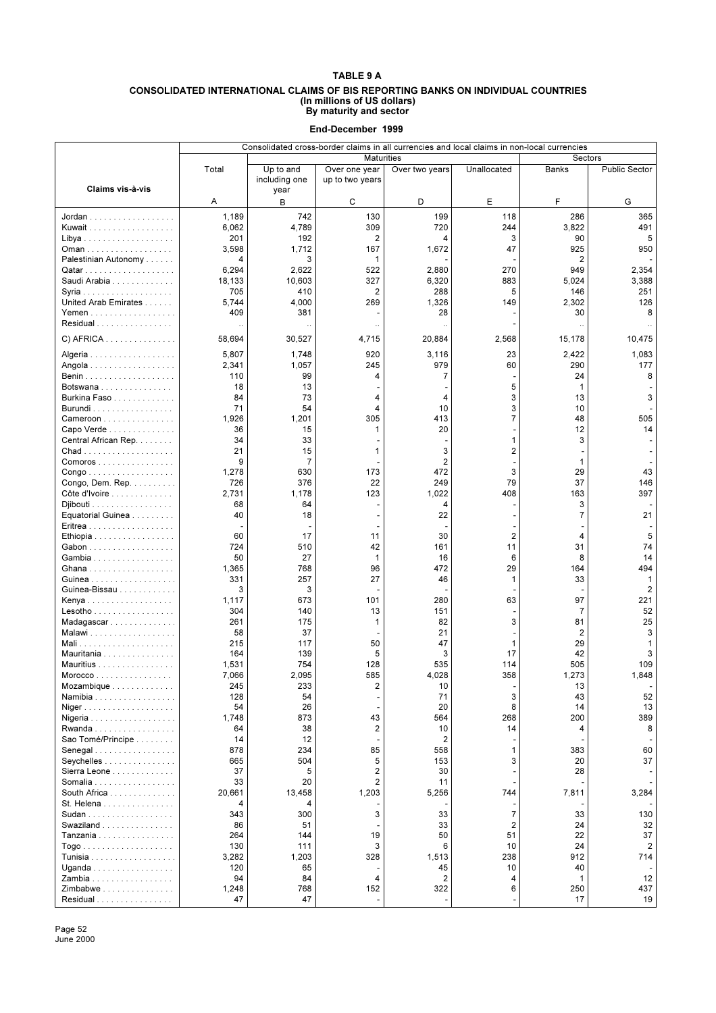#### **CONSOLIDATED INTERNATIONAL CLAIMS OF BIS REPORTING BANKS ON INDIVIDUAL COUNTRIES (In millions of US dollars) By maturity and sector**

**End-December 1999**

|                                                     | Consolidated cross-border claims in all currencies and local claims in non-local currencies |                            |                                  |                |                         |              |                |
|-----------------------------------------------------|---------------------------------------------------------------------------------------------|----------------------------|----------------------------------|----------------|-------------------------|--------------|----------------|
|                                                     |                                                                                             |                            | <b>Maturities</b>                |                |                         | Sectors      |                |
| Claims vis-à-vis                                    | Total                                                                                       | Up to and<br>including one | Over one year<br>up to two years | Over two years | Unallocated             | <b>Banks</b> | Public Sector  |
|                                                     | Α                                                                                           | year<br>B                  | С                                | D              | E                       | F            | G              |
| Jordan                                              | 1,189                                                                                       | 742                        | 130                              | 199            | 118                     | 286          | 365            |
| Kuwait                                              | 6,062                                                                                       | 4,789                      | 309                              | 720            | 244                     | 3,822        | 491            |
|                                                     | 201                                                                                         | 192                        | $\overline{2}$                   | 4              | 3                       | 90           | 5              |
| Oman                                                | 3,598                                                                                       | 1,712                      | 167                              | 1,672          | 47                      | 925          | 950            |
| Palestinian Autonomy                                | 4                                                                                           | 3                          | 1                                |                |                         | 2            |                |
|                                                     | 6,294                                                                                       | 2,622                      | 522                              | 2,880          | 270                     | 949          | 2,354          |
| Saudi Arabia                                        | 18,133                                                                                      | 10,603                     | 327                              | 6,320          | 883                     | 5,024        | 3,388          |
|                                                     | 705                                                                                         | 410                        | 2                                | 288            | 5                       | 146          | 251            |
| United Arab Emirates                                | 5,744                                                                                       | 4,000                      | 269                              | 1,326          | 149                     | 2,302        | 126            |
| Yemen                                               | 409                                                                                         | 381                        |                                  | 28             |                         | 30           | 8              |
| Residual                                            | $\ddot{\phantom{0}}$                                                                        |                            | $\ddot{\phantom{0}}$             |                |                         |              |                |
| $C)$ AFRICA                                         | 58,694                                                                                      | 30,527                     | 4,715                            | 20,884         | 2,568                   | 15,178       | 10,475         |
| Algeria                                             | 5,807                                                                                       | 1,748                      | 920                              | 3,116          | 23                      | 2,422        | 1,083          |
| Angola                                              | 2,341                                                                                       | 1,057                      | 245                              | 979            | 60                      | 290          | 177            |
|                                                     | 110                                                                                         | 99                         | 4                                | 7              |                         | 24           | 8              |
| Botswana                                            | 18                                                                                          | 13                         |                                  |                | 5                       | $\mathbf{1}$ |                |
| Burkina Faso                                        | 84                                                                                          | 73                         | 4                                | 4              | 3                       | 13           | 3              |
| Burundi                                             | 71                                                                                          | 54                         | 4                                | 10             | 3                       | 10           |                |
| Cameroon                                            | 1,926                                                                                       | 1,201                      | 305                              | 413            | $\overline{7}$          | 48           | 505            |
| Capo Verde<br>Central African Rep.                  | 36<br>34                                                                                    | 15<br>33                   | 1                                | 20             | 1                       | 12<br>3      | 14             |
|                                                     | 21                                                                                          | 15                         | 1                                | 3              | 2                       |              |                |
| $Comoros \ldots $                                   | 9                                                                                           | 7                          |                                  | 2              | $\overline{a}$          | 1            |                |
| $\mathsf{Congo}\dots\dots\dots\dots\dots\dots\dots$ | 1,278                                                                                       | 630                        | 173                              | 472            | 3                       | 29           | 43             |
| Congo, Dem. Rep.                                    | 726                                                                                         | 376                        | 22                               | 249            | 79                      | 37           | 146            |
| Côte d'Ivoire                                       | 2,731                                                                                       | 1,178                      | 123                              | 1,022          | 408                     | 163          | 397            |
| $Djibouti$                                          | 68                                                                                          | 64                         |                                  | 4              |                         | 3            |                |
| Equatorial Guinea                                   | 40                                                                                          | 18                         |                                  | 22             |                         | 7            | 21             |
| Eritrea                                             |                                                                                             |                            |                                  |                |                         |              |                |
| Ethiopia                                            | 60                                                                                          | 17                         | 11                               | 30             | $\overline{2}$          | 4            | 5              |
| Gabon                                               | 724<br>50                                                                                   | 510<br>27                  | 42<br>$\mathbf{1}$               | 161            | 11<br>6                 | 31<br>8      | 74             |
| Gambia<br>Ghana                                     | 1,365                                                                                       | 768                        | 96                               | 16<br>472      | 29                      | 164          | 14<br>494      |
|                                                     | 331                                                                                         | 257                        | 27                               | 46             | 1                       | 33           | $\mathbf{1}$   |
| Guinea-Bissau                                       | 3                                                                                           | 3                          |                                  |                |                         |              | $\overline{2}$ |
| Kenya                                               | 1,117                                                                                       | 673                        | 101                              | 280            | 63                      | 97           | 221            |
| Lesotho                                             | 304                                                                                         | 140                        | 13                               | 151            |                         | 7            | 52             |
| Madagascar                                          | 261                                                                                         | 175                        | 1                                | 82             | 3                       | 81           | 25             |
| Malawi                                              | 58                                                                                          | 37                         |                                  | 21             |                         | 2            | 3              |
| Mali                                                | 215                                                                                         | 117                        | 50                               | 47             | 1                       | 29           | 1              |
| Mauritania                                          | 164                                                                                         | 139<br>754                 | 5<br>128                         | 3              | 17                      | 42<br>505    | 3<br>109       |
| Mauritius<br>Morocco                                | 1,531<br>7,066                                                                              | 2,095                      | 585                              | 535<br>4,028   | 114<br>358              | 1,273        | 1,848          |
| Mozambique                                          | 245                                                                                         | 233                        | 2                                | 10             |                         | 13           |                |
| Namibia                                             | 128                                                                                         | 54                         | $\overline{\phantom{a}}$         | 71             | 3                       | 43           | 52             |
| Niger                                               | 54                                                                                          | 26                         |                                  | 20             | 8                       | 14           | 13             |
| Nigeria                                             | 1,748                                                                                       | 873                        | 43                               | 564            | 268                     | 200          | 389            |
| Rwanda                                              | 64                                                                                          | 38                         | $\overline{2}$                   | 10             | 14                      | 4            | 8              |
| Sao Tomé/Principe                                   | 14                                                                                          | 12                         |                                  | $\overline{2}$ |                         |              |                |
| Senegal                                             | 878                                                                                         | 234                        | 85                               | 558            | 1                       | 383          | 60             |
| Seychelles                                          | 665                                                                                         | 504                        | 5                                | 153            | 3                       | 20           | 37             |
| Sierra Leone                                        | 37                                                                                          | 5                          | 2                                | 30             |                         | 28           |                |
| Somalia                                             | 33                                                                                          | 20                         | $\overline{2}$                   | 11             |                         |              |                |
| South Africa<br>St. Helena                          | 20,661<br>4                                                                                 | 13,458<br>4                | 1,203                            | 5,256          | 744                     | 7,811        | 3,284          |
| Sudan                                               | 343                                                                                         | 300                        | 3                                | 33             | $\overline{7}$          | 33           | 130            |
| Swaziland                                           | 86                                                                                          | 51                         |                                  | 33             | $\overline{\mathbf{c}}$ | 24           | 32             |
| Tanzania                                            | 264                                                                                         | 144                        | 19                               | 50             | 51                      | 22           | 37             |
|                                                     | 130                                                                                         | 111                        | 3                                | 6              | 10                      | 24           | $\overline{c}$ |
|                                                     | 3,282                                                                                       | 1,203                      | 328                              | 1,513          | 238                     | 912          | 714            |
| Uganda $\ldots \ldots \ldots \ldots \ldots$         | 120                                                                                         | 65                         |                                  | 45             | 10                      | 40           |                |
| Zambia                                              | 94                                                                                          | 84                         | 4                                | 2              | 4                       | $\mathbf{1}$ | 12             |
| Zimbabwe                                            | 1,248                                                                                       | 768                        | 152                              | 322            | 6                       | 250          | 437            |
| Residual                                            | 47                                                                                          | 47                         | $\overline{\phantom{a}}$         |                |                         | 17           | 19             |

Page 52 June 2000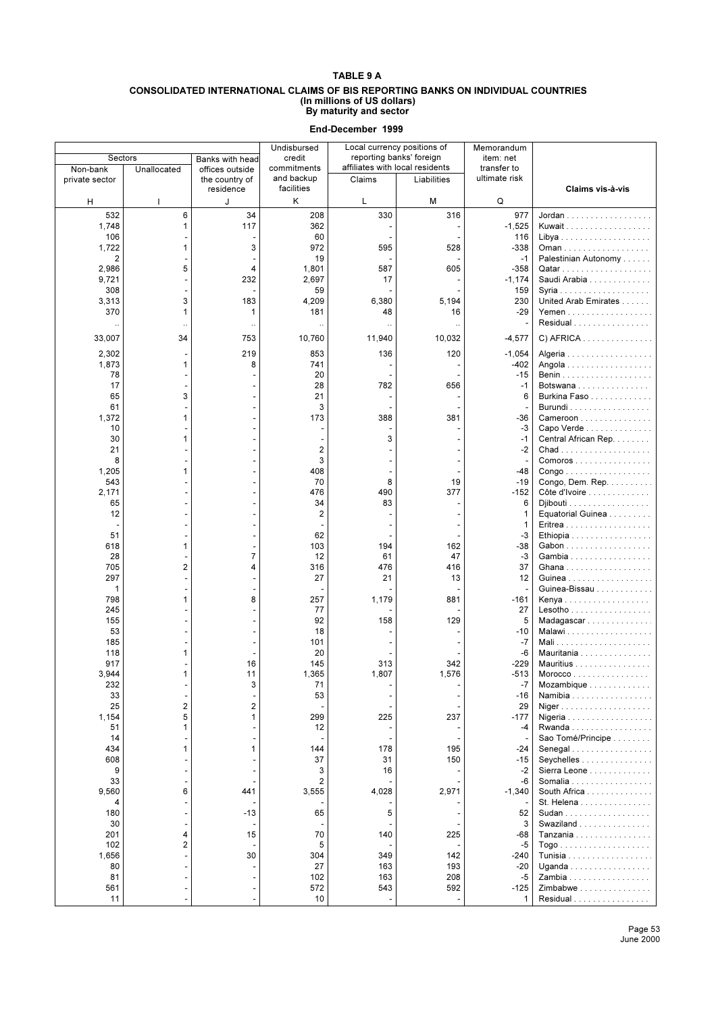#### **CONSOLIDATED INTERNATIONAL CLAIMS OF BIS REPORTING BANKS ON INDIVIDUAL COUNTRIES (In millions of US dollars) By maturity and sector**

|                |                         |                 | Undisbursed    |           | Local currency positions of     | Memorandum    |                                                     |
|----------------|-------------------------|-----------------|----------------|-----------|---------------------------------|---------------|-----------------------------------------------------|
| Sectors        |                         | Banks with head | credit         |           | reporting banks' foreign        | item: net     |                                                     |
| Non-bank       | Unallocated             | offices outside | commitments    |           | affiliates with local residents | transfer to   |                                                     |
| private sector |                         | the country of  | and backup     | Claims    | Liabilities                     | ultimate risk |                                                     |
|                |                         | residence       | facilities     |           |                                 |               | Claims vis-à-vis                                    |
| н              | т                       | J               | Κ              | L         | М                               | Q             |                                                     |
| 532            | 6                       | 34              | 208            | 330       | 316                             | 977           |                                                     |
| 1,748          | 1                       | 117             | 362            |           |                                 | $-1,525$      | Kuwait                                              |
| 106            |                         |                 | 60             |           |                                 | 116           |                                                     |
| 1,722          | 1                       | 3               | 972            | 595       | 528                             | $-338$        |                                                     |
| $\overline{c}$ |                         |                 | 19             |           |                                 | $-1$          | Palestinian Autonomy                                |
| 2,986          | 5                       | 4               | 1,801          | 587       | 605                             | $-358$        | Qatar                                               |
| 9,721          | ÷.                      | 232             | 2,697          | 17        |                                 | $-1,174$      | Saudi Arabia                                        |
| 308            |                         |                 | 59             |           |                                 | 159           |                                                     |
| 3,313          | 3                       | 183             | 4,209          | 6,380     | 5,194                           | 230           | United Arab Emirates                                |
| 370            | 1                       | 1               | 181            | 48        | 16                              | $-29$         | Yemen                                               |
|                | $\ddot{\phantom{0}}$    |                 |                |           |                                 |               | Residual                                            |
| 33,007         | 34                      | 753             | 10,760         | 11,940    | 10,032                          | $-4,577$      | C) AFRICA                                           |
| 2,302          | $\overline{a}$          | 219             | 853            | 136       | 120                             | $-1,054$      | Algeria                                             |
| 1,873          | 1                       | 8               | 741            |           |                                 | $-402$        | Angola                                              |
| 78             |                         |                 | 20             |           |                                 | $-15$         |                                                     |
| 17             |                         |                 | 28             | 782       | 656                             | $-1$          | Botswana                                            |
| 65             | 3                       |                 | 21             |           |                                 | 6             | Burkina Faso                                        |
| 61             |                         |                 | 3              |           |                                 |               | Burundi                                             |
| 1,372          | 1                       |                 | 173            | 388       | 381                             | -36           | Cameroon                                            |
| 10             |                         |                 |                |           |                                 | -3            | Capo Verde                                          |
| 30             | 1                       |                 |                | 3         |                                 | $-1$          | Central African Rep.                                |
| 21             |                         |                 | $\overline{2}$ |           |                                 | $-2$          |                                                     |
| 8              |                         |                 | 3              |           |                                 |               | Comoros                                             |
| 1,205          | 1                       |                 | 408            |           |                                 | -48           | $\mathsf{Congo}\dots\dots\dots\dots\dots\dots\dots$ |
| 543            |                         |                 | 70             | 8         | 19                              | $-19$         | Congo, Dem. Rep.                                    |
| 2,171          |                         |                 | 476            | 490       | 377                             | $-152$        | Côte d'Ivoire                                       |
| 65             |                         |                 | 34             | 83        |                                 | 6             | Djibouti                                            |
| 12             |                         |                 | $\overline{2}$ |           |                                 | 1             | Equatorial Guinea                                   |
|                |                         |                 |                |           |                                 | 1             |                                                     |
| 51             |                         |                 | 62             |           |                                 | -3            | Ethiopia                                            |
| 618            | 1                       |                 | 103            | 194       | 162                             | $-38$         |                                                     |
| 28             |                         | 7               | 12             | 61        | 47                              | $-3$          | Gambia                                              |
| 705<br>297     | $\overline{2}$          | 4               | 316<br>27      | 476<br>21 | 416<br>13                       | 37<br>12      | Ghana<br>Guinea                                     |
| 1              |                         |                 |                |           |                                 |               | Guinea-Bissau                                       |
| 798            | 1                       | 8               | 257            | 1,179     | 881                             | $-161$        |                                                     |
| 245            |                         |                 | 77             |           |                                 | 27            | Lesotho $\ldots \ldots \ldots \ldots \ldots$        |
| 155            |                         |                 | 92             | 158       | 129                             | 5             | Madagascar                                          |
| 53             |                         |                 | 18             |           |                                 | $-10$         | Malawi                                              |
| 185            |                         |                 | 101            |           |                                 | $-7$          | Mali                                                |
| 118            | 1                       |                 | 20             |           |                                 | -6            | Mauritania                                          |
| 917            |                         | 16              | 145            | 313       | 342                             | $-229$        | Mauritius                                           |
| 3,944          | 1                       | 11              | 1,365          | 1,807     | 1,576                           | $-513$        | Morocco                                             |
| 232            |                         | 3               | 71             |           |                                 | -7            | Mozambique                                          |
| 33             |                         |                 | 53             |           |                                 | -16           | Namibia                                             |
| 25             | $\overline{\mathbf{c}}$ | 2               |                |           |                                 | 29            | Niger                                               |
| 1,154          | 5                       | $\mathbf{1}$    | 299            | 225       | 237                             | $-177$        | Nigeria                                             |
| 51             | 1                       |                 | 12             |           |                                 | -4            | Rwanda                                              |
| 14             |                         |                 |                |           |                                 |               | Sao Tomé/Principe                                   |
| 434            | 1                       | 1               | 144            | 178       | 195                             | -24           | Senegal                                             |
| 608            |                         |                 | 37             | 31        | 150                             | -15           | Seychelles                                          |
| 9              |                         |                 | 3              | 16        | $\overline{\phantom{a}}$        | $-2$          | Sierra Leone                                        |
| 33             | 6                       | 441             | 2              |           |                                 | -6            | Somalia<br>South Africa                             |
| 9,560<br>4     |                         |                 | 3,555          | 4,028     | 2,971                           | $-1,340$      | St. Helena                                          |
| 180            |                         | $-13$           | 65             | 5         |                                 | 52            |                                                     |
| 30             |                         |                 |                |           |                                 | 3             | Swaziland                                           |
| 201            | 4                       | 15              | 70             | 140       | 225                             | -68           | Tanzania                                            |
| 102            | $\overline{2}$          |                 | 5              |           |                                 | -5            |                                                     |
| 1,656          |                         | 30              | 304            | 349       | 142                             | $-240$        | Tunisia                                             |
| 80             |                         |                 | 27             | 163       | 193                             | $-20$         | Uganda                                              |
| 81             |                         |                 | 102            | 163       | 208                             | $-5$          | Zambia                                              |
| 561            |                         |                 | 572            | 543       | 592                             | $-125$        | Zimbabwe                                            |
| 11             |                         |                 | 10             |           |                                 | $\mathbf{1}$  | Residual                                            |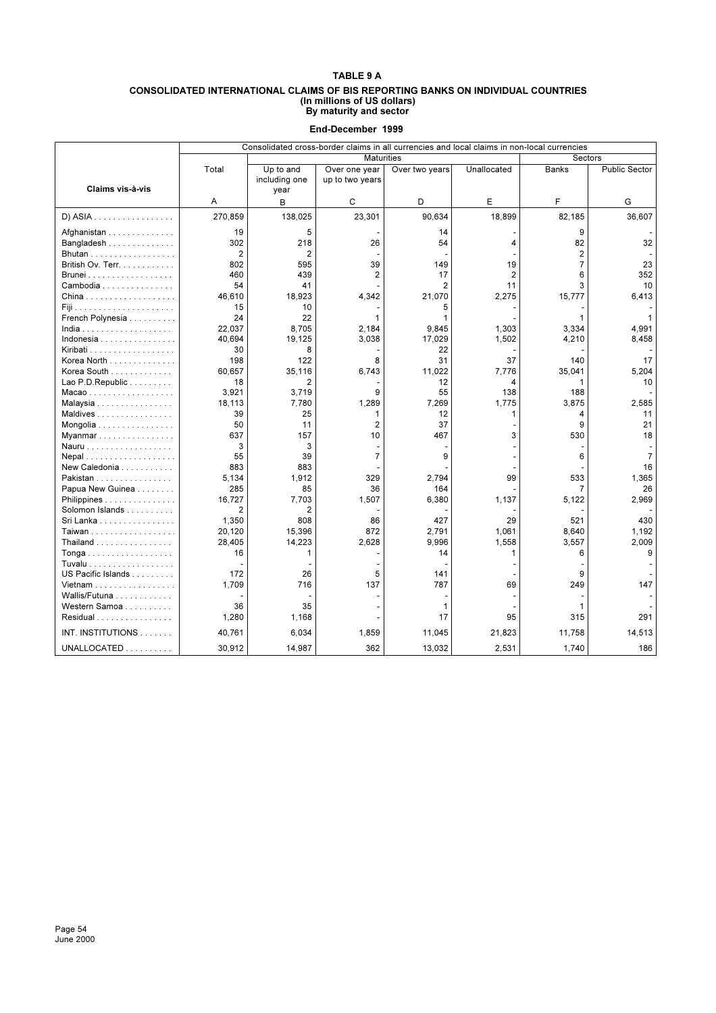#### **CONSOLIDATED INTERNATIONAL CLAIMS OF BIS REPORTING BANKS ON INDIVIDUAL COUNTRIES (In millions of US dollars) By maturity and sector**

|                                   | Consolidated cross-border claims in all currencies and local claims in non-local currencies |                |                   |                |                |                |                      |  |  |  |
|-----------------------------------|---------------------------------------------------------------------------------------------|----------------|-------------------|----------------|----------------|----------------|----------------------|--|--|--|
|                                   |                                                                                             |                | <b>Maturities</b> |                |                | Sectors        |                      |  |  |  |
|                                   | Total                                                                                       | Up to and      | Over one year     | Over two years | Unallocated    | Banks          | <b>Public Sector</b> |  |  |  |
|                                   |                                                                                             | including one  | up to two years   |                |                |                |                      |  |  |  |
| Claims vis-à-vis                  |                                                                                             | year           |                   |                |                |                |                      |  |  |  |
|                                   | Α                                                                                           | в              | C                 | D              | E              | F              | G                    |  |  |  |
| D) ASIA                           | 270,859                                                                                     | 138,025        | 23,301            | 90,634         | 18,899         | 82,185         | 36,607               |  |  |  |
| Afghanistan                       | 19                                                                                          | 5              |                   | 14             |                | 9              |                      |  |  |  |
| Bangladesh                        | 302                                                                                         | 218            | 26                | 54             | 4              | 82             | 32                   |  |  |  |
| Bhutan                            | $\overline{2}$                                                                              | $\overline{2}$ |                   |                |                | $\overline{2}$ |                      |  |  |  |
| British Ov. Terr.                 | 802                                                                                         | 595            | 39                | 149            | 19             | $\overline{7}$ | 23                   |  |  |  |
|                                   | 460                                                                                         | 439            | 2                 | 17             | $\overline{2}$ | 6              | 352                  |  |  |  |
| Cambodia                          | 54                                                                                          | 41             |                   | $\overline{2}$ | 11             | 3              | 10                   |  |  |  |
|                                   | 46,610                                                                                      | 18,923         | 4,342             | 21,070         | 2,275          | 15,777         | 6.413                |  |  |  |
|                                   | 15                                                                                          | 10             |                   | 5              |                |                |                      |  |  |  |
| French Polynesia                  | 24                                                                                          | 22             | 1                 | 1              |                | 1              |                      |  |  |  |
| $India$                           | 22,037                                                                                      | 8,705          | 2,184             | 9,845          | 1,303          | 3,334          | 4.991                |  |  |  |
| Indonesia                         | 40,694                                                                                      | 19,125         | 3,038             | 17,029         | 1,502          | 4,210          | 8,458                |  |  |  |
| Kiribati                          | 30                                                                                          | 8              |                   | 22             |                |                |                      |  |  |  |
| Korea North                       | 198                                                                                         | 122            | 8                 | 31             | 37             | 140            | 17                   |  |  |  |
| Korea South                       | 60,657                                                                                      | 35,116         | 6,743             | 11,022         | 7,776          | 35,041         | 5,204                |  |  |  |
| Lao P.D. Republic                 | 18                                                                                          | 2              |                   | 12             | 4              | 1              | 10                   |  |  |  |
| Macao                             | 3.921                                                                                       | 3.719          | 9                 | 55             | 138            | 188            |                      |  |  |  |
| Malaysia                          | 18,113                                                                                      | 7,780          | 1,289             | 7,269          | 1,775          | 3,875          | 2,585                |  |  |  |
| Maldives                          | 39                                                                                          | 25             | 1                 | 12             | 1              | 4              | 11                   |  |  |  |
| Mongolia                          | 50                                                                                          | 11             | $\overline{2}$    | 37             |                | 9              | 21                   |  |  |  |
| Myanmar                           | 637                                                                                         | 157            | 10                | 467            | 3              | 530            | 18                   |  |  |  |
| Nauru                             | 3                                                                                           | 3              |                   |                |                |                |                      |  |  |  |
| Nepal                             | 55                                                                                          | 39             | $\overline{7}$    | 9              |                | 6              | $\overline{7}$       |  |  |  |
| New Caledonia $\ldots$ , $\ldots$ | 883                                                                                         | 883            |                   |                |                |                | 16                   |  |  |  |
| Pakistan                          | 5,134                                                                                       | 1,912          | 329               | 2,794          | 99             | 533            | 1,365                |  |  |  |
| Papua New Guinea                  | 285                                                                                         | 85             | 36                | 164            |                | $\overline{7}$ | 26                   |  |  |  |
| Philippines                       | 16,727                                                                                      | 7,703          | 1,507             | 6,380          | 1,137          | 5,122          | 2,969                |  |  |  |
| Solomon Islands                   | 2                                                                                           | $\overline{2}$ |                   |                |                |                |                      |  |  |  |
| Sri Lanka                         | 1,350                                                                                       | 808            | 86                | 427            | 29             | 521            | 430                  |  |  |  |
| Taiwan                            | 20,120                                                                                      | 15,396         | 872               | 2,791          | 1,061          | 8,640          | 1,192                |  |  |  |
| Thailand                          | 28,405                                                                                      | 14,223         | 2,628             | 9.996          | 1,558          | 3,557          | 2,009                |  |  |  |
| Tonga                             | 16                                                                                          | 1              |                   | 14             | 1              | 6              | 9                    |  |  |  |
| Tuvalu                            |                                                                                             |                |                   |                |                |                |                      |  |  |  |
| US Pacific Islands                | 172                                                                                         | 26             | 5                 | 141            |                | 9              |                      |  |  |  |
| Vietnam                           | 1,709                                                                                       | 716            | 137               | 787            | 69             | 249            | 147                  |  |  |  |
| Wallis/Futuna                     |                                                                                             |                |                   | ٠              |                |                |                      |  |  |  |
| Western Samoa                     | 36                                                                                          | 35             |                   | 1              |                | 1              |                      |  |  |  |
| Residual                          | 1,280                                                                                       | 1,168          |                   | 17             | 95             | 315            | 291                  |  |  |  |
| INT. INSTITUTIONS                 | 40,761                                                                                      | 6,034          | 1,859             | 11,045         | 21,823         | 11,758         | 14,513               |  |  |  |
| UNALLOCATED                       | 30,912                                                                                      | 14,987         | 362               | 13,032         | 2,531          | 1,740          | 186                  |  |  |  |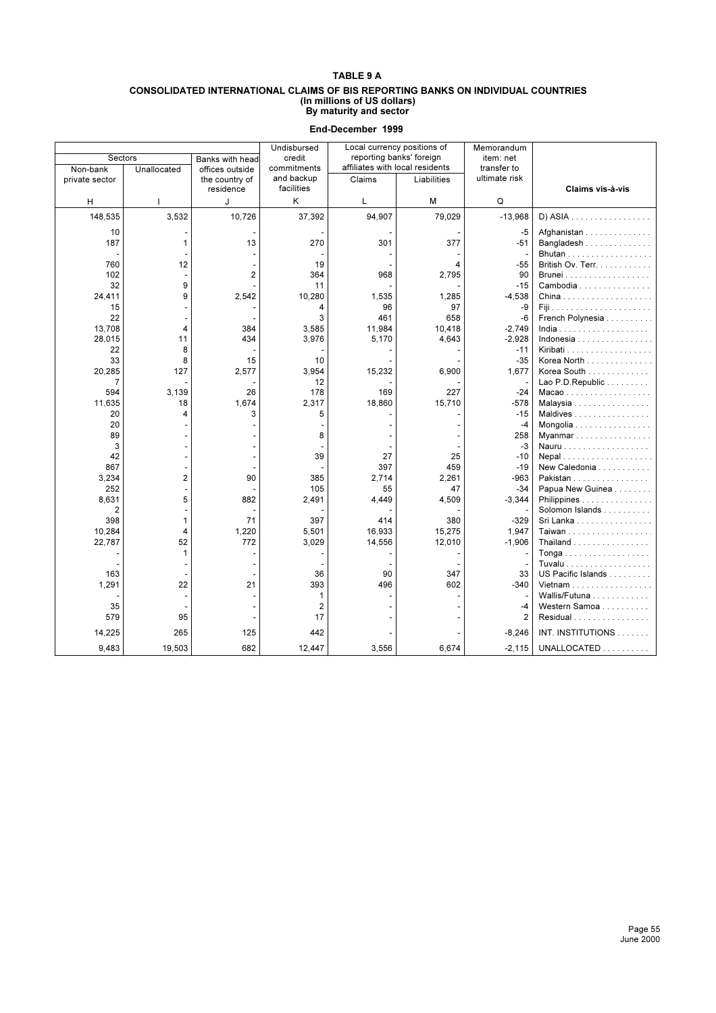#### **CONSOLIDATED INTERNATIONAL CLAIMS OF BIS REPORTING BANKS ON INDIVIDUAL COUNTRIES (In millions of US dollars) By maturity and sector**

| Sectors               |                | Banks with head | Undisbursed<br>credit    | Local currency positions of<br>reporting banks' foreign |             | Memorandum<br>item: net |                                        |
|-----------------------|----------------|-----------------|--------------------------|---------------------------------------------------------|-------------|-------------------------|----------------------------------------|
| Non-bank              | Unallocated    | offices outside | commitments              | affiliates with local residents                         |             | transfer to             |                                        |
| private sector        |                | the country of  | and backup<br>facilities | Claims                                                  | Liabilities | ultimate risk           |                                        |
|                       |                | residence<br>J  | K                        | L                                                       | М           | Q                       | Claims vis-à-vis                       |
| H                     |                |                 |                          |                                                         |             |                         |                                        |
| 148,535               | 3,532          | 10,726          | 37,392                   | 94.907                                                  | 79,029      | $-13,968$               | $D)$ ASIA                              |
| 10                    |                |                 |                          |                                                         |             | -5                      | Afghanistan                            |
| 187                   | 1              | 13              | 270                      | 301                                                     | 377         | $-51$                   | Bangladesh                             |
|                       |                |                 |                          |                                                         |             |                         | Bhutan                                 |
| 760                   | 12             |                 | 19                       |                                                         | 4           | $-55$                   | British Ov. Terr.                      |
| 102                   |                | $\overline{c}$  | 364                      | 968                                                     | 2,795       | 90                      |                                        |
| 32<br>24,411          | 9<br>9         | 2,542           | 11<br>10,280             | 1,535                                                   | 1,285       | $-15$<br>$-4.538$       | Cambodia                               |
| 15                    |                |                 | 4                        | 96                                                      | 97          | -9                      |                                        |
| 22                    |                |                 | 3                        | 461                                                     | 658         | $-6$                    | French Polynesia                       |
| 13,708                | 4              | 384             | 3,585                    | 11,984                                                  | 10,418      | $-2,749$                |                                        |
| 28,015                | 11             | 434             | 3,976                    | 5,170                                                   | 4,643       | $-2,928$                | Indonesia                              |
| 22                    | 8              |                 |                          |                                                         |             | $-11$                   |                                        |
| 33                    | 8              | 15              | 10                       |                                                         |             | $-35$                   | Korea North                            |
| 20,285                | 127            | 2,577           | 3,954                    | 15,232                                                  | 6,900       | 1,677                   | Korea South                            |
| $\overline{7}$<br>594 | 3.139          | 26              | 12<br>178                | 169                                                     | 227         | $-24$                   | Lao P.D. Republic                      |
| 11,635                | 18             | 1.674           | 2,317                    | 18.860                                                  | 15.710      | $-578$                  | Macao<br>Malaysia                      |
| 20                    | 4              | 3               | 5                        |                                                         |             | $-15$                   | Maldives                               |
| 20                    |                |                 |                          |                                                         |             | $-4$                    | Mongolia                               |
| 89                    |                |                 | 8                        |                                                         |             | 258                     | Myanmar                                |
| 3                     |                |                 |                          |                                                         |             | -3                      |                                        |
| 42                    |                |                 | 39                       | 27                                                      | 25          | $-10$                   | Nepal                                  |
| 867                   |                |                 |                          | 397                                                     | 459         | $-19$                   | New Caledonia                          |
| 3,234                 | $\overline{2}$ | 90              | 385                      | 2.714                                                   | 2,261       | $-963$                  | Pakistan                               |
| 252<br>8,631          | 5              | 882             | 105<br>2,491             | 55<br>4.449                                             | 47<br>4,509 | $-34$<br>$-3,344$       | Papua New Guinea<br>Philippines        |
| $\overline{2}$        |                |                 |                          |                                                         |             |                         | Solomon Islands                        |
| 398                   | 1              | 71              | 397                      | 414                                                     | 380         | $-329$                  | Sri Lanka                              |
| 10,284                | 4              | 1,220           | 5,501                    | 16,933                                                  | 15,275      | 1,947                   | Taiwan                                 |
| 22,787                | 52             | 772             | 3,029                    | 14,556                                                  | 12,010      | $-1,906$                | Thailand $\ldots \ldots \ldots \ldots$ |
|                       | 1              |                 |                          |                                                         |             |                         | Tonga                                  |
|                       |                |                 |                          |                                                         |             |                         | Tuvalu                                 |
| 163                   |                |                 | 36                       | 90                                                      | 347         | 33                      | US Pacific Islands                     |
| 1,291                 | 22             | 21              | 393<br>$\mathbf{1}$      | 496                                                     | 602         | $-340$                  | Vietnam<br>Wallis/Futuna               |
| 35                    |                |                 | $\overline{2}$           |                                                         |             | -4                      | Western Samoa                          |
| 579                   | 95             |                 | 17                       |                                                         |             | 2                       | Residual                               |
|                       |                |                 |                          |                                                         |             |                         |                                        |
| 14,225                | 265            | 125             | 442                      |                                                         |             | $-8,246$                | INT. INSTITUTIONS                      |
| 9,483                 | 19,503         | 682             | 12,447                   | 3,556                                                   | 6,674       | $-2,115$                | UNALLOCATED                            |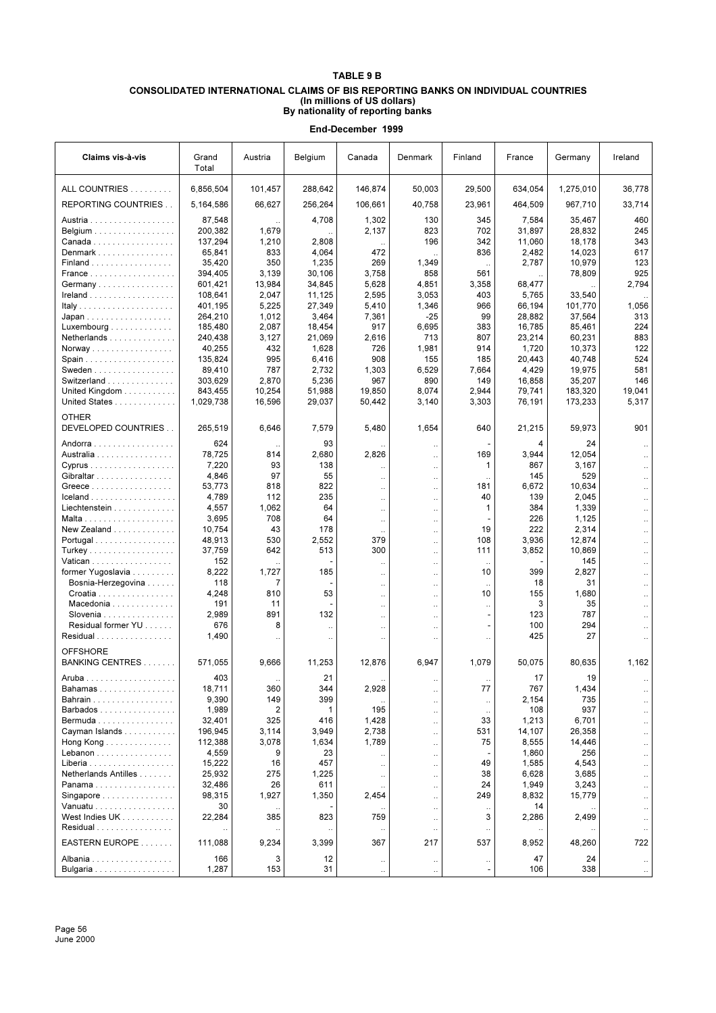## **TABLE 9 B CONSOLIDATED INTERNATIONAL CLAIMS OF BIS REPORTING BANKS ON INDIVIDUAL COUNTRIES (In millions of US dollars) By nationality of reporting banks**

| Claims vis-à-vis                         | Grand<br>Total     | Austria         | Belgium              | Canada               | Denmark                           | Finland                               | France          | Germany      | Ireland              |
|------------------------------------------|--------------------|-----------------|----------------------|----------------------|-----------------------------------|---------------------------------------|-----------------|--------------|----------------------|
| ALL COUNTRIES                            | 6,856,504          | 101,457         | 288,642              | 146,874              | 50,003                            | 29,500                                | 634,054         | 1,275,010    | 36,778               |
| <b>REPORTING COUNTRIES</b>               | 5,164,586          | 66,627          | 256,264              | 106,661              | 40.758                            | 23.961                                | 464,509         | 967,710      | 33,714               |
| Austria                                  | 87,548             |                 | 4,708                | 1,302                | 130                               | 345                                   | 7,584           | 35,467       | 460                  |
| Belgium                                  | 200,382            | 1,679           |                      | 2,137                | 823                               | 702                                   | 31,897          | 28,832       | 245                  |
| Canada                                   | 137,294            | 1,210           | 2,808                |                      | 196                               | 342                                   | 11,060          | 18,178       | 343                  |
| Denmark                                  | 65,841             | 833             | 4,064                | 472                  |                                   | 836                                   | 2,482           | 14,023       | 617                  |
| Finland                                  | 35,420             | 350             | 1,235                | 269                  | 1,349                             |                                       | 2,787           | 10,979       | 123                  |
| France                                   | 394,405            | 3,139<br>13,984 | 30,106<br>34,845     | 3,758<br>5,628       | 858<br>4,851                      | 561<br>3,358                          |                 | 78,809       | 925<br>2,794         |
| Germany                                  | 601,421<br>108,641 | 2,047           | 11,125               | 2,595                | 3,053                             | 403                                   | 68,477<br>5,765 | 33,540       |                      |
| $I$ reland                               | 401,195            | 5,225           | 27,349               | 5,410                | 1,346                             | 966                                   | 66,194          | 101,770      | 1,056                |
| Japan                                    | 264,210            | 1,012           | 3,464                | 7,361                | $-25$                             | 99                                    | 28,882          | 37,564       | 313                  |
| Luxembourg $\ldots \ldots \ldots \ldots$ | 185,480            | 2,087           | 18,454               | 917                  | 6,695                             | 383                                   | 16,785          | 85,461       | 224                  |
| Netherlands                              | 240,438            | 3,127           | 21,069               | 2,616                | 713                               | 807                                   | 23,214          | 60,231       | 883                  |
| Norway                                   | 40,255             | 432             | 1,628                | 726                  | 1,981                             | 914                                   | 1,720           | 10,373       | 122                  |
|                                          | 135,824            | 995             | 6,416                | 908                  | 155                               | 185                                   | 20,443          | 40,748       | 524                  |
| Sweden                                   | 89,410             | 787             | 2,732                | 1,303                | 6,529                             | 7,664                                 | 4,429           | 19,975       | 581                  |
| Switzerland                              | 303,629            | 2,870           | 5,236                | 967                  | 890                               | 149                                   | 16,858          | 35,207       | 146                  |
| United Kingdom                           | 843,455            | 10,254          | 51,988               | 19,850               | 8,074                             | 2,944                                 | 79,741          | 183,320      | 19,041               |
| United States                            | 1,029,738          | 16,596          | 29,037               | 50,442               | 3,140                             | 3,303                                 | 76,191          | 173,233      | 5,317                |
| <b>OTHER</b><br>DEVELOPED COUNTRIES      | 265,519            | 6,646           | 7,579                | 5,480                | 1,654                             | 640                                   | 21,215          | 59,973       | 901                  |
| Andorra                                  | 624                |                 | 93                   |                      | $\ddot{\phantom{0}}$              |                                       | 4               | 24           |                      |
| Australia                                | 78,725             | 814             | 2,680                | 2,826                |                                   | 169                                   | 3,944           | 12,054       |                      |
| Cyprus                                   | 7,220              | 93              | 138                  |                      | $\ddot{\phantom{0}}$              | 1                                     | 867             | 3,167        |                      |
| Gibraltar                                | 4,846              | 97              | 55                   | $\ddotsc$            | $\ddotsc$                         |                                       | 145             | 529          |                      |
| Greece                                   | 53,773             | 818             | 822                  | $\ddotsc$            | $\ddot{\phantom{0}}$              | 181                                   | 6,672           | 10,634       |                      |
| Iceland                                  | 4,789              | 112             | 235                  | $\ddotsc$            | $\ddot{\phantom{0}}$              | 40                                    | 139             | 2,045        |                      |
| Liechtenstein                            | 4,557              | 1,062           | 64                   |                      | $\ddot{\phantom{0}}$              | 1                                     | 384             | 1,339        |                      |
|                                          | 3,695              | 708             | 64                   | $\ddotsc$            | $\ddot{\phantom{0}}$              |                                       | 226             | 1,125        | $\ddotsc$            |
| New Zealand                              | 10,754             | 43              | 178                  |                      | $\ddot{\phantom{0}}$              | 19                                    | 222             | 2,314        | $\ddot{\phantom{a}}$ |
| Portugal                                 | 48,913             | 530             | 2,552                | 379                  | $\ddot{\phantom{a}}$              | 108                                   | 3,936           | 12,874       | $\ddot{\phantom{a}}$ |
| Turkey                                   | 37,759             | 642             | 513                  | 300                  | $\ddot{\phantom{a}}$              | 111                                   | 3,852           | 10,869       | $\ddot{\phantom{a}}$ |
| Vatican                                  | 152                |                 | 185                  | $\ddotsc$            | $\ddot{\phantom{a}}$              | $\ddot{\phantom{a}}$<br>10            | 399             | 145<br>2,827 | $\ddotsc$            |
| former Yugoslavia<br>Bosnia-Herzegovina  | 8,222<br>118       | 1,727<br>7      |                      | $\ddotsc$            | $\ddot{\phantom{0}}$              |                                       | 18              | 31           | $\ddotsc$            |
| Croatia                                  | 4,248              | 810             | 53                   | $\ddotsc$            | $\ddot{\phantom{a}}$              | $\ddotsc$<br>10                       | 155             | 1,680        | $\ddotsc$            |
| Macedonia                                | 191                | 11              |                      | $\ldots$<br>$\ldots$ | <br>$\ddot{\phantom{0}}$          | $\ddotsc$                             | 3               | 35           |                      |
| Slovenia                                 | 2,989              | 891             | 132                  | $\ldots$             | $\ddot{\phantom{0}}$              |                                       | 123             | 787          |                      |
| Residual former YU                       | 676                | 8               | $\ddotsc$            | $\cdot$ .            | $\ddot{\phantom{0}}$              |                                       | 100             | 294          |                      |
| Residual                                 | 1,490              |                 | $\ddot{\phantom{0}}$ | $\ddot{\phantom{0}}$ |                                   | $\ddot{\phantom{0}}$                  | 425             | 27           |                      |
| <b>OFFSHORE</b>                          |                    |                 |                      |                      |                                   |                                       |                 |              |                      |
| BANKING CENTRES                          | 571,055<br>403     | 9,666           | 11,253               | 12,876               | 6,947                             | 1,079                                 | 50,075          | 80,635       | 1,162                |
| Bahamas                                  | 18,711             | 360             | 21<br>344            | 2,928                |                                   | 77                                    | 17<br>767       | 19<br>1,434  |                      |
| Bahrain                                  | 9,390              | 149             | 399                  |                      |                                   |                                       | 2,154           | 735          |                      |
| Barbados                                 | 1,989              | 2               | 1                    | 195                  | .,                                | $\ddotsc$                             | 108             | 937          |                      |
| Bermuda                                  | 32,401             | 325             | 416                  | 1,428                | $\ddot{\phantom{0}}$<br>$\ddotsc$ | $\ddotsc$<br>33                       | 1,213           | 6,701        |                      |
| Cayman Islands                           | 196,945            | 3,114           | 3,949                | 2,738                | $\ddot{\phantom{a}}$              | 531                                   | 14,107          | 26,358       | $\ddot{\phantom{a}}$ |
| Hong Kong                                | 112,388            | 3,078           | 1,634                | 1,789                | $\ddot{\phantom{a}}$              | 75                                    | 8,555           | 14,446       | $\ddot{\phantom{a}}$ |
| Lebanon                                  | 4,559              | 9               | 23                   |                      | $\ddot{\phantom{a}}$              |                                       | 1,860           | 256          | $\ddot{\phantom{a}}$ |
| Liberia                                  | 15,222             | 16              | 457                  | $\ddotsc$            | $\ddotsc$                         | 49                                    | 1,585           | 4,543        | $\ddotsc$            |
| Netherlands Antilles                     | 25,932             | 275             | 1,225                | $\ddotsc$            | $\ddot{\phantom{0}}$              | 38                                    | 6,628           | 3,685        | $\ddotsc$            |
| Panama                                   | 32,486             | 26              | 611                  |                      | $\ddotsc$                         | 24                                    | 1,949           | 3,243        | $\ddotsc$            |
| Singapore                                | 98,315             | 1,927           | 1,350                | 2,454                | $\ddotsc$                         | 249                                   | 8,832           | 15,779       | $\ddotsc$            |
| Vanuatu                                  | 30                 |                 |                      |                      | $\ddot{\phantom{0}}$              | $\ddotsc$                             | 14              |              | $\ddotsc$            |
| West Indies UK                           | 22,284             | 385             | 823                  | 759                  | $\ddot{\phantom{0}}$              | 3                                     | 2,286           | 2,499        | $\ddotsc$            |
| Residual                                 | $\ddotsc$          | $\ddotsc$       | $\ldots$             | $\ldots$             | $\ddot{\phantom{0}}$              | $\ddotsc$                             | $\ddotsc$       | $\ldots$     |                      |
| EASTERN EUROPE                           | 111,088            | 9,234           | 3,399                | 367                  | 217                               | 537                                   | 8,952           | 48,260       | 722                  |
| Albania<br>Bulgaria                      | 166<br>1,287       | 3<br>153        | 12<br>31             | $\cdot\cdot$         | $\cdot$ .                         | $\cdot$ .<br>$\overline{\phantom{a}}$ | 47<br>106       | 24<br>338    | $\cdot$ .            |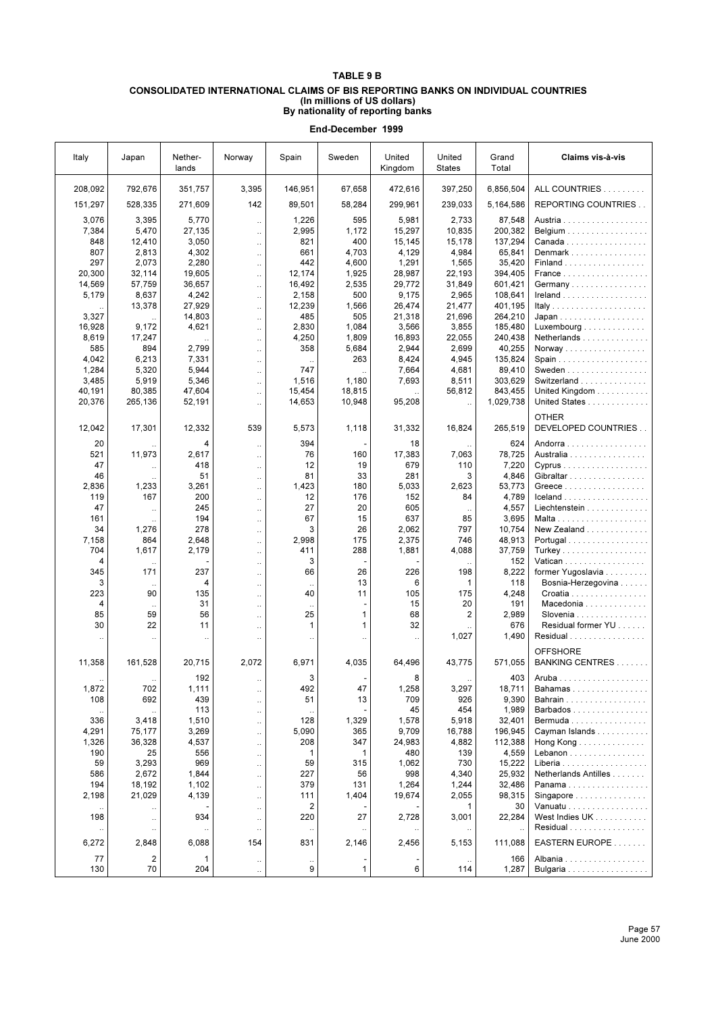## **TABLE 9 B**

#### **CONSOLIDATED INTERNATIONAL CLAIMS OF BIS REPORTING BANKS ON INDIVIDUAL COUNTRIES (In millions of US dollars) By nationality of reporting banks**

| Italy                | Japan                | Nether-<br>lands | Norway                 | Spain                     | Sweden         | United<br>Kingdom             | United<br><b>States</b> | Grand<br>Total     | Claims vis-à-vis                    |
|----------------------|----------------------|------------------|------------------------|---------------------------|----------------|-------------------------------|-------------------------|--------------------|-------------------------------------|
| 208,092              | 792,676              | 351,757          | 3,395                  | 146,951                   | 67,658         | 472,616                       | 397,250                 | 6,856,504          | ALL COUNTRIES                       |
| 151,297              | 528,335              | 271,609          | 142                    | 89,501                    | 58,284         | 299,961                       | 239,033                 | 5,164,586          | REPORTING COUNTRIES                 |
| 3,076                | 3,395                | 5,770            | $\ddotsc$              | 1,226                     | 595            | 5,981                         | 2,733                   | 87,548             | Austria                             |
| 7,384                | 5,470                | 27,135           | $\ddotsc$              | 2,995                     | 1,172          | 15,297                        | 10,835                  | 200,382            | Belgium                             |
| 848                  | 12,410               | 3,050            | $\ddotsc$              | 821                       | 400            | 15,145                        | 15,178                  | 137,294            | Canada                              |
| 807                  | 2,813                | 4,302            | $\ddotsc$              | 661                       | 4,703          | 4,129                         | 4,984                   | 65,841             | Denmark                             |
| 297                  | 2,073                | 2,280            | $\ddotsc$              | 442                       | 4,600          | 1,291                         | 1,565                   | 35,420             | Finland                             |
| 20,300               | 32,114               | 19,605           | $\ddotsc$              | 12,174                    | 1,925          | 28,987                        | 22,193                  | 394,405            | France                              |
| 14,569               | 57,759               | 36,657           | $\ddot{\phantom{0}}$   | 16,492                    | 2,535          | 29,772                        | 31,849                  | 601,421            | Germany                             |
| 5,179                | 8,637                | 4,242            | $\ddotsc$              | 2,158                     | 500            | 9.175                         | 2,965                   | 108,641            |                                     |
|                      | 13,378               | 27,929           | $\ddot{\phantom{a}}$   | 12,239                    | 1,566          | 26,474                        | 21,477                  | 401,195            |                                     |
| 3,327                |                      | 14,803           | $\ddotsc$              | 485                       | 505            | 21,318                        | 21,696                  | 264,210            | Japan                               |
| 16,928               | 9,172                | 4,621            | $\ddot{\phantom{a}}$   | 2,830<br>4,250            | 1,084<br>1,809 | 3,566<br>16,893               | 3,855                   | 185,480<br>240,438 | Luxembourg                          |
| 8,619<br>585         | 17,247<br>894        | 2,799            | $\ddotsc$              | 358                       | 5,684          | 2,944                         | 22,055<br>2,699         | 40,255             | Netherlands<br>Norway               |
| 4,042                | 6,213                | 7,331            | $\ddotsc$<br>$\ddotsc$ |                           | 263            | 8,424                         | 4,945                   | 135,824            |                                     |
| 1,284                | 5,320                | 5,944            | u.                     | 747                       |                | 7,664                         | 4,681                   | 89,410             | Sweden                              |
| 3,485                | 5,919                | 5,346            | $\ddotsc$              | 1,516                     | 1,180          | 7,693                         | 8,511                   | 303,629            | Switzerland                         |
| 40,191               | 80,385               | 47,604           | $\ddotsc$              | 15,454                    | 18,815         |                               | 56,812                  | 843,455            | United Kingdom                      |
| 20,376               | 265,136              | 52,191           | $\ddotsc$              | 14,653                    | 10,948         | 95,208                        | $\ddotsc$               | 1,029,738          | United States                       |
| 12,042               | 17,301               | 12,332           | 539                    | 5,573                     | 1,118          | 31,332                        | 16,824                  | 265,519            | <b>OTHER</b><br>DEVELOPED COUNTRIES |
| 20                   |                      | 4                | $\ddotsc$              | 394                       |                | 18                            |                         | 624                | Andorra                             |
| 521                  | 11,973               | 2,617            | $\ddotsc$              | 76                        | 160            | 17,383                        | 7,063                   | 78,725             | Australia                           |
| 47                   |                      | 418              | $\ddotsc$              | 12                        | 19             | 679                           | 110                     | 7,220              | Cyprus                              |
| 46                   |                      | 51               | $\ddotsc$              | 81                        | 33             | 281                           | 3                       | 4,846              | Gibraltar                           |
| 2,836                | 1,233                | 3,261            | $\ddot{\phantom{a}}$   | 1,423                     | 180            | 5,033                         | 2,623                   | 53,773             | Greece                              |
| 119                  | 167                  | 200              | $\ddotsc$              | 12                        | 176            | 152                           | 84                      | 4,789              | Iceland                             |
| 47                   |                      | 245              | $\ddot{\phantom{0}}$   | 27                        | 20             | 605                           |                         | 4,557              | Liechtenstein                       |
| 161                  |                      | 194              | $\ddotsc$              | 67                        | 15             | 637                           | 85                      | 3,695              |                                     |
| 34                   | 1,276                | 278              | $\ddotsc$              | 3                         | 26             | 2,062                         | 797                     | 10,754             | New Zealand                         |
| 7,158<br>704         | 864<br>1,617         | 2,648            | $\ddotsc$              | 2,998                     | 175<br>288     | 2,375                         | 746<br>4,088            | 48,913             | Portugal                            |
| 4                    |                      | 2,179            | $\ddot{\phantom{a}}$   | 411<br>3                  |                | 1,881                         |                         | 37,759<br>152      | Vatican                             |
| 345                  | $\cdot$ .<br>171     | 237              | $\ddotsc$<br>$\ddotsc$ | 66                        | 26             | 226                           | 198                     | 8,222              | former Yugoslavia                   |
| 3                    |                      | 4                | $\ddotsc$              | $\ddotsc$                 | 13             | 6                             | 1                       | 118                | Bosnia-Herzegovina                  |
| 223                  | 90                   | 135              |                        | 40                        | 11             | 105                           | 175                     | 4,248              | Croatia                             |
| 4                    | $\sim$               | 31               | $\ddotsc$              | $\ldots$                  |                | 15                            | 20                      | 191                | Macedonia                           |
| 85                   | 59                   | 56               | Ω.                     | 25                        | $\mathbf{1}$   | 68                            | $\overline{2}$          | 2,989              | Slovenia                            |
| 30                   | 22                   | 11               |                        | 1                         | 1              | 32                            |                         | 676                | Residual former YU                  |
|                      |                      | $\ddotsc$        |                        |                           |                | $\ddotsc$                     | 1,027                   | 1,490              | Residual                            |
| 11,358               | 161,528              | 20,715           | 2,072                  | 6,971                     | 4,035          | 64,496                        | 43,775                  | 571,055            | <b>OFFSHORE</b><br>BANKING CENTRES  |
|                      |                      | 192              |                        | 3                         |                | 8                             |                         | 403                |                                     |
| 1,872                | 702                  | 1,111            |                        | 492                       | 47             | 1,258                         | 3,297                   | 18,711             | Bahamas                             |
| 108                  | 692                  | 439              |                        | 51                        | 13             | 709                           | 926                     | 9,390              | Bahrain                             |
| $\ddot{\phantom{a}}$ | ÷.                   | 113              | u.                     | $\ddot{\phantom{a}}$      |                | 45                            | 454                     | 1,989              | Barbados                            |
| 336                  | 3,418                | 1,510            |                        | 128                       | 1,329          | 1,578                         | 5,918                   | 32,401             | Bermuda                             |
| 4,291                | 75,177               | 3,269            | $\ddotsc$              | 5,090                     | 365            | 9,709                         | 16,788                  | 196,945            | Cayman Islands                      |
| 1,326<br>190         | 36,328               | 4,537            | $\ddot{\phantom{a}}$   | 208                       | 347            | 24,983                        | 4,882                   | 112,388            | Hong Kong                           |
| 59                   | 25<br>3,293          | 556<br>969       | $\ldots$<br>$\ddotsc$  | 1<br>59                   | 1<br>315       | 480<br>1,062                  | 139<br>730              | 4,559<br>15,222    | Lebanon                             |
| 586                  | 2,672                | 1,844            | $\ddotsc$              | 227                       | 56             | 998                           | 4,340                   | 25,932             | Netherlands Antilles                |
| 194                  | 18,192               | 1,102            | $\ddotsc$              | 379                       | 131            | 1,264                         | 1,244                   | 32,486             | Panama                              |
| 2,198                | 21,029               | 4,139            | $\ldots$               | 111                       | 1,404          | 19,674                        | 2,055                   | 98,315             | Singapore                           |
|                      |                      |                  | $\ldots$               | 2                         |                |                               | 1                       | 30                 | Vanuatu                             |
| 198                  | $\ddot{\phantom{0}}$ | 934              | $\ldots$               | 220                       | 27             | 2,728                         | 3,001                   | 22,284             | West Indies UK                      |
| $\ddotsc$            | $\ldots$             | $\ldots$         | $\ddotsc$              | $\ldots$                  | $\ddotsc$      | $\ddotsc$                     | $\ddot{\phantom{0}}$    | $\ddotsc$          | Residual                            |
| 6,272                | 2,848                | 6,088            | 154                    | 831                       | 2,146          | 2,456                         | 5,153                   | 111,088            | EASTERN EUROPE                      |
| 77<br>130            | $\overline{2}$<br>70 | 1<br>204         | $\ldots$               | $\ddot{\phantom{0}}$<br>9 | $\mathbf{1}$   | $\overline{\phantom{a}}$<br>6 | $\cdot$ .<br>114        | 166<br>1,287       | Albania<br>Bulgaria                 |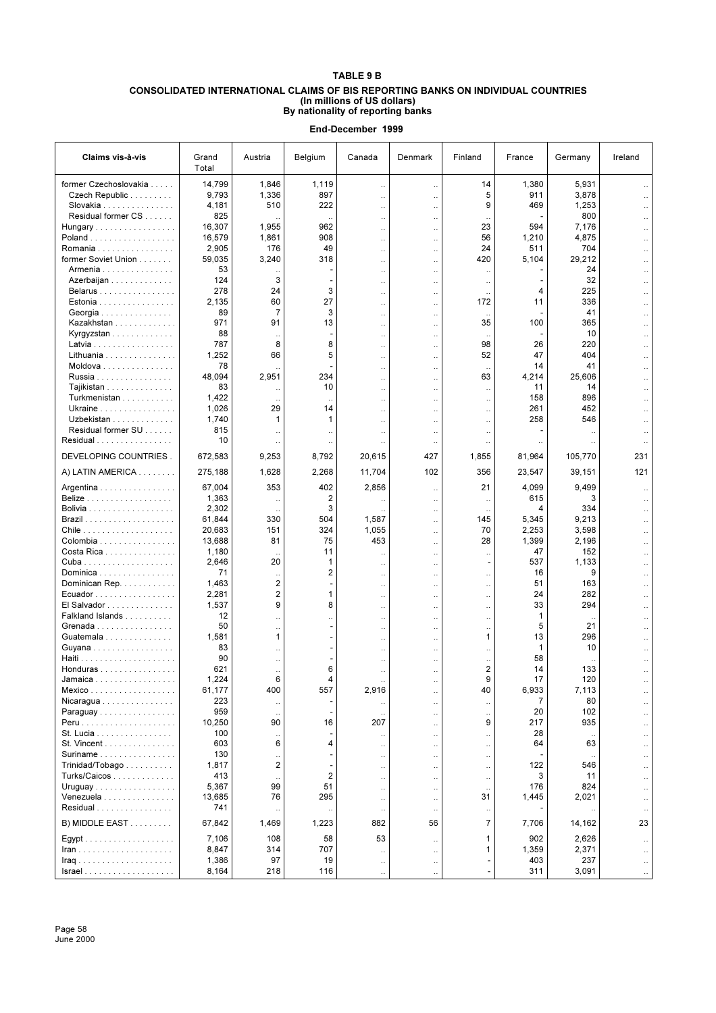## **TABLE 9 B CONSOLIDATED INTERNATIONAL CLAIMS OF BIS REPORTING BANKS ON INDIVIDUAL COUNTRIES (In millions of US dollars) By nationality of reporting banks**

| Claims vis-à-vis                  | Grand<br>Total  | Austria              | Belgium                 | Canada                                       | Denmark                                      | Finland                       | France         | Germany      | Ireland              |
|-----------------------------------|-----------------|----------------------|-------------------------|----------------------------------------------|----------------------------------------------|-------------------------------|----------------|--------------|----------------------|
| former Czechoslovakia             | 14,799          | 1,846                | 1,119                   | $\ldots$                                     | $\ddotsc$                                    | 14                            | 1,380          | 5,931        |                      |
| Czech Republic                    | 9,793           | 1,336                | 897                     | $\ldots$                                     | .,                                           | 5                             | 911            | 3,878        |                      |
| Slovakia                          | 4,181           | 510                  | 222                     | $\ddot{\phantom{0}}$                         | $\ddot{\phantom{a}}$                         | 9                             | 469            | 1,253        |                      |
| Residual former CS                | 825             |                      | $\ddotsc$               | $\ddotsc$                                    | $\ddot{\phantom{a}}$                         | $\ddot{\phantom{0}}$          |                | 800          |                      |
| Hungary                           | 16,307          | 1,955                | 962                     | $\ddot{\phantom{0}}$                         | $\ddot{\phantom{a}}$                         | 23                            | 594            | 7,176        |                      |
| Poland<br>Romania                 | 16,579<br>2,905 | 1,861<br>176         | 908<br>49               | $\ddotsc$                                    | $\ddotsc$                                    | 56<br>24                      | 1,210<br>511   | 4,875<br>704 |                      |
| former Soviet Union               | 59,035          | 3,240                | 318                     | <br>$\ddotsc$                                | $\ddot{\phantom{0}}$<br>.,                   | 420                           | 5,104          | 29,212       |                      |
| Armenia                           | 53              |                      |                         | $\ddotsc$                                    | $\ddot{\phantom{a}}$                         | $\ddotsc$                     |                | 24           |                      |
| Azerbaijan                        | 124             | 3                    |                         |                                              | $\ddot{\phantom{a}}$                         | $\ddotsc$                     |                | 32           |                      |
| Belarus                           | 278             | 24                   | 3                       | $\ddot{\phantom{0}}$                         | .,                                           |                               | 4              | 225          |                      |
| Estonia                           | 2,135           | 60                   | 27                      | $\ddotsc$                                    | .,                                           | 172                           | 11             | 336          |                      |
| Georgia                           | 89              | 7                    | 3                       | $\ddot{\phantom{a}}$                         | $\ddot{\phantom{a}}$                         | $\ddotsc$                     |                | 41           |                      |
| Kazakhstan                        | 971             | 91                   | 13                      | $\ddot{\phantom{0}}$                         | $\ddot{\phantom{a}}$                         | 35                            | 100            | 365          |                      |
| Kyrgyzstan<br>Latvia              | 88<br>787       | 8                    | 8                       | $\ddot{\phantom{0}}$                         | $\ddot{\phantom{0}}$                         | $\ddotsc$<br>98               | 26             | 10<br>220    |                      |
| Lithuania                         | 1,252           | 66                   | 5                       | $\ddot{\phantom{a}}$<br>$\ddotsc$            | $\ddot{\phantom{a}}$<br>$\ddotsc$            | 52                            | 47             | 404          |                      |
| Moldova                           | 78              |                      |                         | $\ddot{\phantom{0}}$                         | $\ddot{\phantom{a}}$                         | $\ddotsc$                     | 14             | 41           |                      |
| Russia                            | 48,094          | 2,951                | 234                     | $\ddot{\phantom{a}}$                         | $\ddot{\phantom{a}}$                         | 63                            | 4,214          | 25,606       |                      |
| Tajikistan                        | 83              |                      | 10                      | $\ddotsc$                                    | $\ddotsc$                                    | $\ddotsc$                     | 11             | 14           |                      |
| Turkmenistan                      | 1,422           |                      | $\ddotsc$               | $\ddot{\phantom{0}}$                         | $\ddot{\phantom{0}}$                         | $\ddot{\phantom{0}}$          | 158            | 896          |                      |
| Ukraine                           | 1,026           | 29                   | 14                      | $\ddotsc$                                    | $\ddot{\phantom{a}}$                         | $\ddotsc$                     | 261            | 452          |                      |
| Uzbekistan                        | 1,740           | 1                    | 1                       |                                              | .,                                           | $\ddotsc$                     | 258            | 546          |                      |
| Residual former SU                | 815<br>10       |                      | $\ddot{\phantom{0}}$    | $\ddotsc$                                    | $\ddot{\phantom{0}}$                         | $\ddotsc$                     |                | $\ddotsc$    |                      |
| Residual<br>DEVELOPING COUNTRIES. | 672,583         | 9,253                | $\ddotsc$<br>8,792      | 20,615                                       | $\ddot{\phantom{0}}$<br>427                  | $\ddot{\phantom{0}}$<br>1,855 | 81,964         | 105,770      | 231                  |
| A) LATIN AMERICA                  | 275,188         | 1,628                | 2,268                   | 11,704                                       | 102                                          | 356                           | 23,547         | 39,151       | 121                  |
|                                   |                 |                      |                         |                                              |                                              |                               |                |              |                      |
| Argentina<br><b>Belize</b>        | 67,004<br>1,363 | 353                  | 402<br>2                | 2,856                                        | $\ddot{\phantom{0}}$                         | 21                            | 4,099<br>615   | 9,499<br>3   |                      |
|                                   | 2,302           | $\ddotsc$            | 3                       | $\ddotsc$                                    | $\ddotsc$<br>$\ddot{\phantom{0}}$            | $\ddotsc$                     | 4              | 334          |                      |
|                                   | 61,844          | 330                  | 504                     | 1,587                                        | $\ddotsc$                                    | $\ddot{\phantom{0}}$<br>145   | 5,345          | 9,213        |                      |
|                                   | 20,683          | 151                  | 324                     | 1,055                                        | $\ddotsc$                                    | 70                            | 2,253          | 3,598        |                      |
| Colombia                          | 13,688          | 81                   | 75                      | 453                                          | $\ddot{\phantom{a}}$                         | 28                            | 1,399          | 2,196        |                      |
| Costa Rica                        | 1,180           |                      | 11                      | $\ddot{\phantom{0}}$                         | $\ddot{\phantom{0}}$                         | $\ddotsc$                     | 47             | 152          |                      |
|                                   | 2,646           | 20                   | 1                       | $\ddotsc$                                    | $\ddot{\phantom{a}}$                         | $\overline{\phantom{a}}$      | 537            | 1,133        |                      |
| Dominica                          | 71              |                      | $\overline{\mathbf{c}}$ | $\ddot{\phantom{0}}$                         | $\ddot{\phantom{0}}$                         | $\ddotsc$                     | 16             | 9            |                      |
| Dominican Rep.<br>Ecuador         | 1,463<br>2,281  | 2<br>$\overline{c}$  | 1                       | $\ddot{\phantom{0}}$                         | μ.                                           | $\ddot{\phantom{0}}$          | 51<br>24       | 163<br>282   |                      |
| El Salvador                       | 1,537           | 9                    | 8                       | $\ddot{\phantom{0}}$<br>$\ddot{\phantom{0}}$ | .,<br>.,                                     | $\ddotsc$<br>$\ddotsc$        | 33             | 294          |                      |
| Falkland Islands                  | 12              |                      |                         | $\ddot{\phantom{0}}$                         | $\ddot{\phantom{0}}$                         | $\ddotsc$                     | 1              |              |                      |
| Grenada                           | 50              | $\ddot{\phantom{a}}$ |                         | $\ddot{\phantom{a}}$                         | $\ddot{\phantom{a}}$                         | $\ddot{\phantom{a}}$          | 5              | 21           |                      |
| Guatemala                         | 1,581           | 1                    |                         | $\ddot{\phantom{0}}$                         | $\ddot{\phantom{0}}$                         | 1                             | 13             | 296          |                      |
| Guyana                            | 83              | $\ddotsc$            |                         | $\ddot{\phantom{0}}$                         | $\ddot{\phantom{a}}$                         | $\ddotsc$                     | 1              | 10           |                      |
|                                   | 90              | $\ddot{\phantom{0}}$ |                         | $\ddot{\phantom{0}}$                         | $\ddot{\phantom{0}}$                         | $\ddotsc$                     | 58             |              |                      |
| Honduras                          | 621             | $\ddotsc$<br>R.      | 6                       | $\ddot{\phantom{0}}$                         | μ.                                           | $\overline{2}$<br>g           | 14<br>17       | 133          |                      |
| Jamaica<br>Mexico                 | 1,224<br>61,177 | 400                  | 557                     | 2,916                                        |                                              | 40                            | 6,933          | 120<br>7,113 |                      |
| Nicaragua                         | 223             |                      |                         |                                              | $\ddotsc$<br>$\ddot{\phantom{a}}$            | $\ddot{\phantom{0}}$          | $\overline{7}$ | 80           |                      |
| Paraguay                          | 959             | $\ddotsc$            |                         |                                              | $\ddot{\phantom{0}}$                         | $\ddotsc$                     | 20             | 102          |                      |
|                                   | 10,250          | 90                   | 16                      | 207                                          | $\ddot{\phantom{0}}$                         | 9                             | 217            | 935          |                      |
| St. Lucia                         | 100             |                      |                         |                                              | $\ddotsc$                                    | $\ddotsc$                     | 28             |              |                      |
| St. Vincent                       | 603             | 6                    | 4                       | $\ddot{\phantom{0}}$                         | $\ddot{\phantom{0}}$                         | $\ddot{\phantom{0}}$          | 64             | 63           |                      |
| Suriname                          | 130             |                      |                         | $\ddot{\phantom{0}}$                         | $\ddot{\phantom{0}}$                         | $\ddotsc$                     |                |              |                      |
| Trinidad/Tobago                   | 1,817           | 2                    |                         | $\ddot{\phantom{0}}$                         | ä.                                           | $\ddot{\phantom{0}}$          | 122            | 546          |                      |
| Turks/Caicos<br>Uruguay           | 413<br>5,367    | 99                   | $\overline{2}$<br>51    | $\ldots$                                     | $\ddot{\phantom{0}}$                         | $\cdot$ .                     | 3<br>176       | 11<br>824    | $\ddotsc$            |
| Venezuela                         | 13,685          | 76                   | 295                     | $\ldots$<br>$\ddotsc$                        | $\ddot{\phantom{0}}$<br>$\ddot{\phantom{a}}$ | $\cdot$ .<br>31               | 1,445          | 2,021        |                      |
| Residual                          | 741             |                      |                         | $\ddotsc$                                    | $\ddotsc$                                    | $\ddotsc$                     |                |              |                      |
| B) MIDDLE EAST                    | 67,842          | 1,469                | 1,223                   | 882                                          | 56                                           | $\overline{7}$                | 7,706          | 14,162       | 23                   |
|                                   | 7,106           | 108                  | 58                      | 53                                           | $\ddot{\phantom{0}}$                         | 1                             | 902            | 2,626        |                      |
|                                   | 8,847           | 314                  | 707                     | $\ddot{\phantom{0}}$                         | $\ddot{\phantom{0}}$                         | 1                             | 1,359          | 2,371        | $\ddot{\phantom{a}}$ |
|                                   | 1,386           | 97                   | 19                      | $\cdot$ .                                    | $\ddotsc$                                    |                               | 403            | 237          | $\ddotsc$            |
|                                   | 8,164           | 218                  | 116                     | $\ddotsc$                                    | $\ddot{\phantom{a}}$                         | $\overline{a}$                | 311            | 3,091        | $\ldots$             |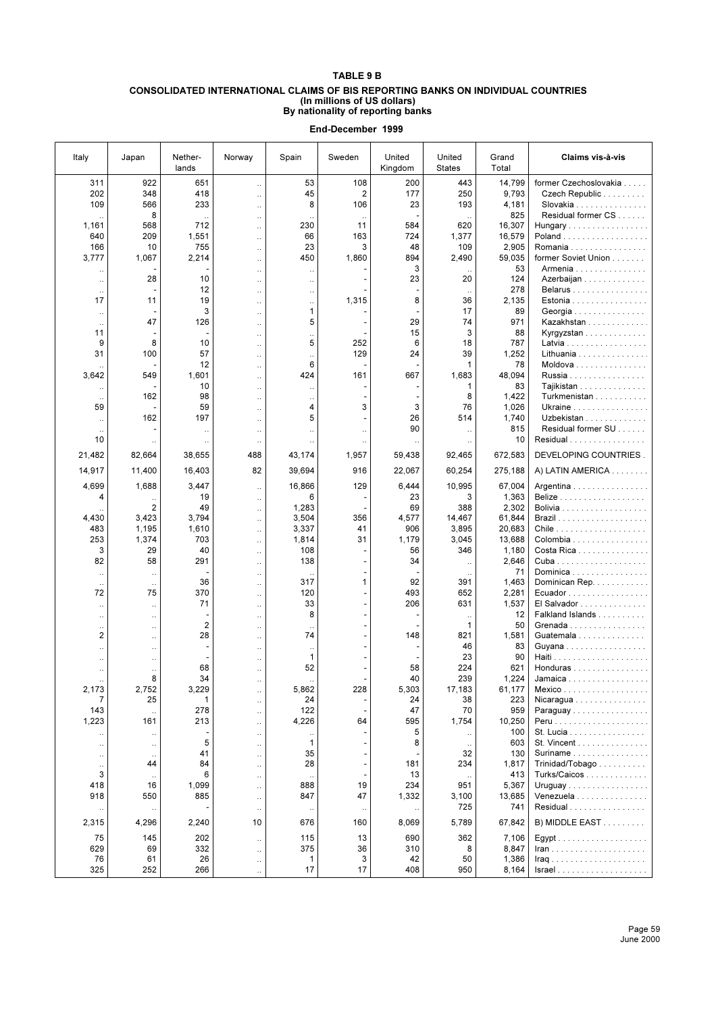## **TABLE 9 B**

#### **CONSOLIDATED INTERNATIONAL CLAIMS OF BIS REPORTING BANKS ON INDIVIDUAL COUNTRIES (In millions of US dollars) By nationality of reporting banks**

| Italy            | Japan                             | Nether-<br>lands | Norway                            | Spain                     | Sweden                   | United<br>Kingdom | United<br><b>States</b>              | Grand<br>Total     | Claims vis-à-vis                                   |
|------------------|-----------------------------------|------------------|-----------------------------------|---------------------------|--------------------------|-------------------|--------------------------------------|--------------------|----------------------------------------------------|
| 311              | 922                               | 651              | $\ddotsc$                         | 53                        | 108                      | 200               | 443                                  | 14,799             | former Czechoslovakia                              |
| 202              | 348                               | 418              | $\ddotsc$                         | 45                        | $\overline{2}$           | 177               | 250                                  | 9,793              | Czech Republic                                     |
| 109              | 566                               | 233              | ä.                                | 8                         | 106                      | 23                | 193                                  | 4,181              | Slovakia                                           |
|                  | 8<br>568                          | 712              | $\ddotsc$                         | 230                       | 11                       | 584               |                                      | 825                | Residual former CS                                 |
| 1,161<br>640     | 209                               | 1,551            | .,                                | 66                        | 163                      | 724               | 620<br>1,377                         | 16,307<br>16,579   | Hungary<br>Poland                                  |
| 166              | 10                                | 755              | $\ddotsc$<br>$\ddot{\phantom{a}}$ | 23                        | 3                        | 48                | 109                                  | 2,905              | Romania                                            |
| 3,777            | 1,067                             | 2,214            | ä.                                | 450                       | 1,860                    | 894               | 2,490                                | 59,035             | former Soviet Union                                |
|                  |                                   |                  | $\ddot{\phantom{0}}$              |                           |                          | 3                 |                                      | 53                 | Armenia                                            |
| $\ddotsc$        | 28                                | 10               | $\ddot{\phantom{a}}$              | $\ddot{\phantom{0}}$      |                          | 23                | 20                                   | 124                | Azerbaijan                                         |
| $\ddotsc$        |                                   | 12               | $\ddot{\phantom{a}}$              | $\ddot{\phantom{a}}$      |                          |                   | $\ddotsc$                            | 278                | Belarus                                            |
| 17               | 11                                | 19<br>3          | ä.                                | $\ddot{\phantom{0}}$<br>1 | 1,315                    | 8                 | 36                                   | 2,135              | Estonia                                            |
| $\ldots$         | 47                                | 126              | $\ddot{\phantom{a}}$              | 5                         |                          | 29                | 17<br>74                             | 89<br>971          | Georgia<br>Kazakhstan                              |
| $\ddotsc$<br>11  |                                   |                  | $\ddot{\phantom{a}}$<br>$\ddotsc$ | $\ddot{\phantom{a}}$      |                          | 15                | 3                                    | 88                 | Kyrgyzstan                                         |
| 9                | 8                                 | 10               | ä.                                | 5                         | 252                      | 6                 | 18                                   | 787                | Latvia                                             |
| 31               | 100                               | 57               | $\ddotsc$                         | $\ddot{\phantom{a}}$      | 129                      | 24                | 39                                   | 1,252              | Lithuania                                          |
|                  |                                   | 12               | $\ldots$                          | 6                         |                          |                   | 1                                    | 78                 | Moldova                                            |
| 3,642            | 549                               | 1,601            | $\ddotsc$                         | 424                       | 161                      | 667               | 1,683                                | 48,094             | Russia                                             |
| $\ddotsc$        |                                   | 10               |                                   | $\ddotsc$                 |                          |                   | 1                                    | 83                 | Tajikistan                                         |
| $\ddotsc$        | 162                               | 98               |                                   | $\ddotsc$                 |                          |                   | 8                                    | 1,422              | Turkmenistan                                       |
| 59               |                                   | 59               |                                   | 4                         | 3                        | 3                 | 76                                   | 1,026              | Ukraine                                            |
| $\ddotsc$        | 162                               | 197              | $\ddotsc$                         | 5                         | L,                       | 26<br>90          | 514                                  | 1,740<br>815       | Uzbekistan<br>Residual former SU                   |
| 10               |                                   | $\ddotsc$        | $\ddotsc$                         | $\ddot{\phantom{a}}$      | $\ddot{\phantom{a}}$     |                   | $\ldots$                             | 10                 | Residual                                           |
|                  | $\ddotsc$                         | $\ddotsc$        | $\ldots$                          | $\ddot{\phantom{a}}$      | $\ddotsc$                |                   | $\ddotsc$                            |                    |                                                    |
| 21,482<br>14,917 | 82,664<br>11,400                  | 38,655<br>16,403 | 488<br>82                         | 43,174<br>39,694          | 1,957<br>916             | 59,438<br>22,067  | 92,465<br>60,254                     | 672,583<br>275,188 | DEVELOPING COUNTRIES.<br>A) LATIN AMERICA          |
|                  |                                   |                  |                                   |                           |                          |                   |                                      |                    |                                                    |
| 4,699            | 1,688                             | 3,447            | $\ddotsc$                         | 16,866                    | 129                      | 6,444             | 10,995                               | 67,004             | Argentina                                          |
| 4                |                                   | 19               | $\ddotsc$                         | 6                         |                          | 23                | 3                                    | 1,363              |                                                    |
| 4,430            | 2<br>3,423                        | 49<br>3,794      | $\ddotsc$                         | 1,283<br>3,504            | 356                      | 69<br>4,577       | 388<br>14,467                        | 2,302<br>61,844    |                                                    |
| 483              | 1,195                             | 1,610            | $\ddotsc$<br>$\ddotsc$            | 3,337                     | 41                       | 906               | 3,895                                | 20,683             |                                                    |
| 253              | 1,374                             | 703              | $\ddotsc$                         | 1,814                     | 31                       | 1,179             | 3,045                                | 13,688             | Colombia                                           |
| 3                | 29                                | 40               | $\ddotsc$                         | 108                       |                          | 56                | 346                                  | 1,180              | Costa Rica                                         |
| 82               | 58                                | 291              | $\ddotsc$                         | 138                       |                          | 34                | $\ddotsc$                            | 2,646              |                                                    |
| $\ddotsc$        | $\ddotsc$                         |                  | $\ddotsc$                         |                           |                          |                   |                                      | 71                 | Dominica                                           |
| $\ddotsc$        |                                   | 36               | $\ddot{\phantom{0}}$              | 317                       | 1                        | 92                | 391                                  | 1,463              | Dominican Rep.                                     |
| 72               | 75                                | 370              | $\ddotsc$                         | 120                       | $\overline{\phantom{0}}$ | 493               | 652                                  | 2,281              | Ecuador                                            |
| $\ddotsc$        | $\ddot{\phantom{a}}$              | 71               | $\ddot{\phantom{a}}$              | 33<br>8                   | ä,<br>÷,                 | 206               | 631                                  | 1,537<br>12        | El Salvador<br>Falkland Islands                    |
| $\ddotsc$        | $\ddotsc$                         | $\overline{2}$   | $\ddotsc$                         |                           |                          |                   | $\ddot{\phantom{0}}$<br>$\mathbf{1}$ | 50                 | Grenada                                            |
| $\ddotsc$<br>2   | $\ddotsc$<br>$\ddot{\phantom{a}}$ | 28               | $\ddot{\phantom{a}}$<br>$\ddotsc$ | $\ddotsc$<br>74           | ä,                       | 148               | 821                                  | 1,581              | Guatemala                                          |
| $\ddotsc$        | $\ddotsc$                         | ٠                | $\ddotsc$                         | $\ddot{\phantom{a}}$      |                          |                   | 46                                   | 83                 | Guyana                                             |
| $\ddotsc$        | $\ddotsc$                         |                  | $\ddotsc$                         | 1                         |                          |                   | 23                                   | 90                 |                                                    |
| Ω.               | $\ddotsc$                         | 68               | $\ddotsc$                         | 52                        |                          | 58                | 224                                  | 621                | Honduras                                           |
|                  | 8                                 | 34               |                                   |                           |                          | 40                | 239                                  | 1,224              | Jamaica                                            |
| 2,173            | 2,752                             | 3,229            |                                   | 5,862                     | 228                      | 5,303             | 17,183                               | 61,177             | Mexico                                             |
| 7<br>143         | 25                                | 1<br>278         | $\ldots$                          | 24<br>122                 |                          | 24<br>47          | 38<br>70                             | 223<br>959         | Nicaragua                                          |
| 1,223            | 161                               | 213              | $\ldots$                          | 4,226                     | 64                       | 595               | 1,754                                | 10,250             | Paraguay                                           |
|                  |                                   |                  | $\ddotsc$                         |                           |                          | 5                 |                                      | 100                | St. Lucia                                          |
| <br>$\ddotsc$    | $\ddot{\phantom{0}}$<br>$\cdot$   | 5                | $\ddotsc$<br>$\ldots$             | $\ddot{\phantom{0}}$<br>1 |                          | 8                 | $\ldots$                             | 603                | St. Vincent                                        |
| $\ddotsc$        | $\ddot{\phantom{a}}$              | 41               | $\ldots$                          | 35                        | ÷                        |                   | 32                                   | 130                | Suriname $\ldots \ldots \ldots \ldots$             |
| $\cdot$ .        | 44                                | 84               | $\ddotsc$                         | 28                        | $\overline{\phantom{a}}$ | 181               | 234                                  | 1,817              | Trinidad/Tobago                                    |
| 3                | $\ldots$                          | 6                | $\ddotsc$                         | $\ddotsc$                 |                          | 13                | $\ddotsc$                            | 413                | Turks/Caicos                                       |
| 418              | 16                                | 1,099            | $\ddotsc$                         | 888                       | 19                       | 234               | 951                                  | 5,367              | Uruguay                                            |
| 918              | 550                               | 885              | $\ddotsc$                         | 847                       | 47                       | 1,332             | 3,100                                | 13,685             | Venezuela                                          |
|                  |                                   |                  | $\ldots$                          |                           | $\ddot{\phantom{0}}$     |                   | 725                                  | 741                | Residual                                           |
| 2,315            | 4,296                             | 2,240            | 10                                | 676                       | 160                      | 8,069             | 5,789                                | 67,842             | B) MIDDLE EAST                                     |
| 75<br>629        | 145<br>69                         | 202<br>332       | $\ddotsc$<br>$\ddotsc$            | 115<br>375                | 13<br>36                 | 690<br>310        | 362<br>8                             | 7,106<br>8,847     | $lran$                                             |
| 76               | 61                                | 26               | $\ldots$                          | 1                         | 3                        | 42                | 50                                   | 1,386              |                                                    |
| 325              | 252                               | 266              | $\ddotsc$                         | 17                        | 17                       | 408               | 950                                  | 8,164              | $Israel \ldots \ldots \ldots \ldots \ldots \ldots$ |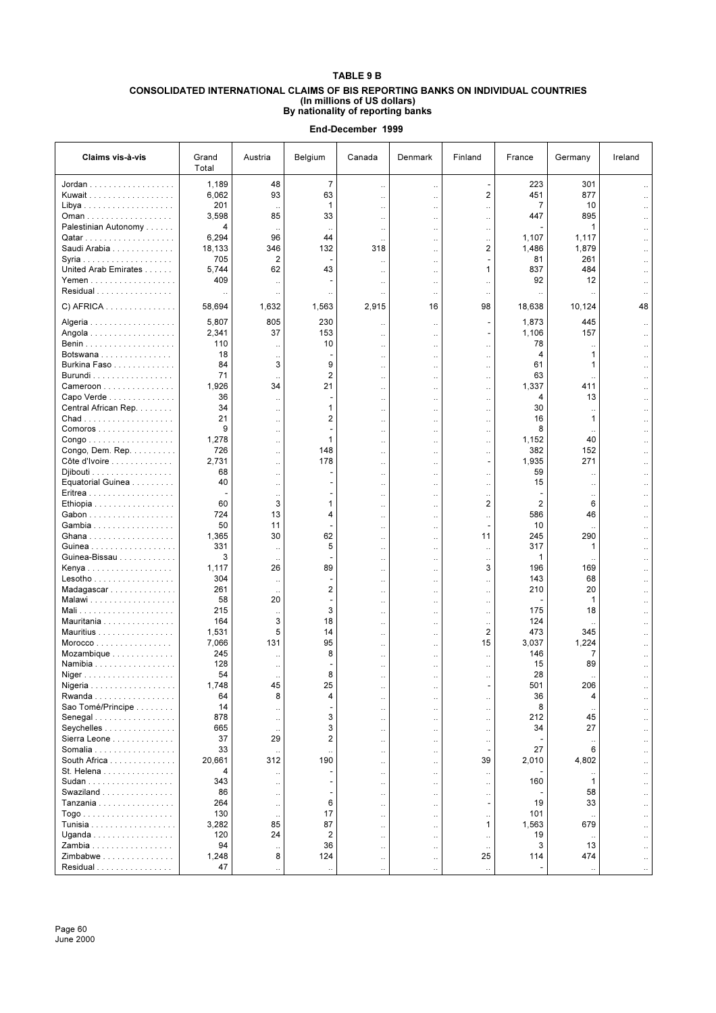## **TABLE 9 B CONSOLIDATED INTERNATIONAL CLAIMS OF BIS REPORTING BANKS ON INDIVIDUAL COUNTRIES (In millions of US dollars) By nationality of reporting banks**

| Claims vis-à-vis                             | Grand<br>Total | Austria                           | Belgium               | Canada                            | Denmark                                      | Finland                                          | France         | Germany      | Ireland                           |
|----------------------------------------------|----------------|-----------------------------------|-----------------------|-----------------------------------|----------------------------------------------|--------------------------------------------------|----------------|--------------|-----------------------------------|
| Jordan                                       | 1,189          | 48                                | $\overline{7}$        | $\ddotsc$                         | $\ddot{\phantom{0}}$                         | Ĭ.                                               | 223            | 301          |                                   |
| Kuwait                                       | 6,062          | 93                                | 63                    | $\ldots$                          | $\ddot{\phantom{0}}$                         | 2                                                | 451            | 877          |                                   |
|                                              | 201            |                                   | 1                     | $\ddot{\phantom{0}}$              | $\ddot{\phantom{a}}$                         | $\ddotsc$                                        | $\overline{7}$ | 10           |                                   |
| Oman                                         | 3,598          | 85                                | 33                    | $\ddotsc$                         | $\ddot{\phantom{a}}$                         | $\ddotsc$                                        | 447            | 895          |                                   |
| Palestinian Autonomy                         | 4              |                                   | $\ldots$              | $\ldots$                          | $\ddot{\phantom{a}}$                         | $\ddot{\phantom{0}}$                             |                | 1            |                                   |
|                                              | 6,294          | 96                                | 44                    | $\ddotsc$                         | $\ddot{\phantom{a}}$                         | $\ddotsc$                                        | 1,107          | 1,117        |                                   |
| Saudi Arabia                                 | 18,133<br>705  | 346<br>2                          | 132<br>$\overline{a}$ | 318                               | $\ddot{\phantom{a}}$                         | 2                                                | 1,486<br>81    | 1,879<br>261 |                                   |
| United Arab Emirates                         | 5,744          | 62                                | 43                    | $\ddotsc$                         | $\ddot{\phantom{a}}$                         | $\mathbf{1}$                                     | 837            | 484          |                                   |
| Yemen                                        | 409            |                                   |                       | $\ddotsc$<br>$\ddot{\phantom{0}}$ | $\ddot{\phantom{0}}$<br>$\ddot{\phantom{0}}$ | $\ddot{\phantom{a}}$                             | 92             | 12           |                                   |
| Residual                                     |                |                                   | $\ddot{\phantom{0}}$  |                                   | $\ddot{\phantom{0}}$                         | $\ddot{\phantom{0}}$                             |                |              |                                   |
| C) AFRICA                                    | 58,694         | 1,632                             | 1,563                 | 2,915                             | 16                                           | 98                                               | 18,638         | 10,124       | 48                                |
|                                              |                |                                   |                       |                                   |                                              |                                                  |                |              |                                   |
| Algeria                                      | 5,807          | 805                               | 230                   | $\ddot{\phantom{0}}$              | $\ddot{\phantom{0}}$                         |                                                  | 1,873          | 445          |                                   |
| Angola                                       | 2,341          | 37                                | 153                   | $\ddotsc$                         | $\ddot{\phantom{a}}$                         |                                                  | 1,106          | 157          |                                   |
| Botswana                                     | 110<br>18      |                                   | 10                    | $\ddotsc$                         | $\ddot{\phantom{0}}$                         | $\ddotsc$                                        | 78<br>4        | 1            |                                   |
| Burkina Faso                                 | 84             | $\ddotsc$<br>3                    | 9                     | $\ddot{\phantom{0}}$<br>$\ddotsc$ | $\ddot{\phantom{0}}$<br>$\ddot{\phantom{0}}$ | $\ddotsc$<br>$\ddot{\phantom{0}}$                | 61             | 1            |                                   |
| Burundi                                      | 71             |                                   | $\overline{2}$        | $\ddotsc$                         | $\ddot{\phantom{0}}$                         | $\ddotsc$                                        | 63             |              |                                   |
| $Cameron$                                    | 1,926          | 34                                | 21                    | $\ddotsc$                         | $\ddot{\phantom{0}}$                         | $\ldots$                                         | 1,337          | 411          |                                   |
| Capo Verde                                   | 36             | $\ddot{\phantom{a}}$              |                       | $\ddotsc$                         |                                              | $\ddotsc$                                        | 4              | 13           |                                   |
| Central African Rep.                         | 34             | $\ddotsc$                         | 1                     | $\ddot{\phantom{0}}$              | $\ddot{\phantom{0}}$                         | $\ddot{\phantom{0}}$                             | 30             |              |                                   |
|                                              | 21<br>9        | $\ddot{\phantom{a}}$              | $\overline{2}$        | $\ddotsc$                         | $\ddot{\phantom{a}}$                         | $\ddotsc$                                        | 16             | 1            |                                   |
| Comoros                                      | 1,278          | $\ddotsc$                         | ٠<br>1                | $\ddot{\phantom{0}}$              | $\ddot{\phantom{a}}$                         | $\ddot{\phantom{0}}$                             | 8<br>1,152     | 40           |                                   |
| Congo<br>Congo, Dem. Rep.                    | 726            | $\ddotsc$<br>Ω.                   | 148                   | $\ddotsc$                         | $\ddot{\phantom{a}}$                         | $\ddot{\phantom{a}}$                             | 382            | 152          |                                   |
| Côte d'Ivoire                                | 2,731          | $\ddotsc$                         | 178                   | $\ddotsc$<br>$\ddotsc$            | $\ddot{\phantom{0}}$<br>$\ddot{\phantom{a}}$ | $\ddot{\phantom{0}}$<br>$\overline{\phantom{a}}$ | 1,935          | 271          |                                   |
| Djibouti                                     | 68             | $\ddotsc$                         | ٠                     | $\ddotsc$                         | $\ddot{\phantom{a}}$                         | $\ddot{\phantom{0}}$                             | 59             |              |                                   |
| Equatorial Guinea                            | 40             |                                   |                       | $\ddotsc$                         | .,                                           | $\ddotsc$                                        | 15             |              |                                   |
|                                              |                |                                   |                       | $\ddot{\phantom{0}}$              | $\ddot{\phantom{0}}$                         | $\ddot{\phantom{0}}$                             |                |              |                                   |
| Ethiopia                                     | 60             | 3                                 | 1                     | $\ddot{\phantom{0}}$              | .,                                           | $\overline{2}$                                   | 2              | 6            |                                   |
| Gabon                                        | 724            | 13                                | 4                     | . .                               | $\ddot{\phantom{0}}$                         | $\ddot{\phantom{0}}$                             | 586            | 46           |                                   |
| Gambia                                       | 50             | 11                                | $\overline{a}$        | $\ddotsc$                         | $\ddot{\phantom{a}}$                         | ÷,                                               | 10             |              |                                   |
| Ghana<br>Guinea                              | 1,365<br>331   | 30                                | 62<br>5               | $\ddot{\phantom{0}}$              | $\ddot{\phantom{0}}$                         | 11                                               | 245<br>317     | 290<br>1     |                                   |
| Guinea-Bissau                                | 3              | $\ddot{\phantom{a}}$<br>$\ddotsc$ |                       | $\ddot{\phantom{a}}$<br>$\ddotsc$ | $\ddot{\phantom{a}}$<br>$\ddot{\phantom{a}}$ | $\ddot{\phantom{a}}$<br>$\ddot{\phantom{0}}$     | 1              |              |                                   |
| Kenya                                        | 1,117          | 26                                | 89                    | $\ddotsc$                         | $\ddot{\phantom{a}}$                         | 3                                                | 196            | 169          |                                   |
| $Lesotho \ldots \ldots \ldots \ldots \ldots$ | 304            | $\ddotsc$                         |                       | $\ddotsc$                         | $\ddot{\phantom{a}}$                         | $\ddot{\phantom{a}}$                             | 143            | 68           |                                   |
| Madagascar                                   | 261            | $\ddotsc$                         | $\overline{c}$        | $\ddotsc$                         | $\ddot{\phantom{a}}$                         | $\ddotsc$                                        | 210            | 20           |                                   |
| Malawi                                       | 58             | 20                                |                       | $\ddot{\phantom{0}}$              | $\ddot{\phantom{0}}$                         | $\ddotsc$                                        |                | 1            |                                   |
| Mali                                         | 215            | $\ddotsc$                         | 3                     | $\ddotsc$                         | $\ddot{\phantom{0}}$                         | $\ddotsc$                                        | 175            | 18           |                                   |
| Mauritania<br>Mauritius                      | 164<br>1,531   | 3<br>5                            | 18<br>14              |                                   | .,                                           | $\ddotsc$<br>$\overline{2}$                      | 124<br>473     | 345          |                                   |
| Morocco                                      | 7,066          | 131                               | 95                    | <br>$\ddot{\phantom{0}}$          | $\ddot{\phantom{0}}$<br>.,                   | 15                                               | 3,037          | 1,224        |                                   |
| Mozambique                                   | 245            | $\ddot{\phantom{a}}$              | 8                     | $\ddot{\phantom{0}}$              | $\ddot{\phantom{0}}$                         | $\ddotsc$                                        | 146            | 7            |                                   |
| Namibia                                      | 128            | $\ddotsc$                         |                       | Ω.                                | $\ddot{\phantom{a}}$                         | $\ddot{\phantom{a}}$                             | 15             | 89           |                                   |
| Niger                                        | 54             |                                   | 8                     | $\ddot{\phantom{a}}$              | $\ddot{\phantom{a}}$                         | $\ddot{\phantom{0}}$                             | 28             |              |                                   |
| <b>Nigeria</b>                               | 1,748          | 45                                | 25                    | $\ddot{\phantom{0}}$              | $\ddot{\phantom{0}}$                         | Ĭ.                                               | 501            | 206          |                                   |
| Rwanda                                       | 64             | 8                                 | 4                     | $\ddotsc$                         | $\ddot{\phantom{a}}$                         | $\ddotsc$                                        | 36             | 4            | $\ddotsc$                         |
| Sao Tomé/Principe                            | 14             |                                   | 3                     | $\ddotsc$                         | $\ddot{\phantom{a}}$                         | $\ddotsc$                                        | 8              |              | $\ddotsc$                         |
| Senegal<br>Seychelles                        | 878<br>665     | $\ddotsc$                         | 3                     | $\ddotsc$                         | $\ddot{\phantom{0}}$<br>$\ddot{\phantom{a}}$ | $\ddotsc$                                        | 212<br>34      | 45<br>27     | $\ddotsc$                         |
| Sierra Leone                                 | 37             | 29                                | $\overline{2}$        | $\ddotsc$<br>$\ddotsc$            | $\ddot{\phantom{0}}$                         | $\ddotsc$<br>$\cdot$ .                           |                |              |                                   |
| Somalia                                      | 33             |                                   | $\ldots$              | $\ddot{\phantom{0}}$              | $\ddot{\phantom{0}}$                         | $\overline{\phantom{a}}$                         | 27             | 6            |                                   |
| South Africa                                 | 20,661         | 312                               | 190                   | $\ddotsc$                         | $\ddot{\phantom{0}}$                         | 39                                               | 2,010          | 4,802        |                                   |
| St. Helena                                   | 4              |                                   |                       | $\ddotsc$                         | $\ddot{\phantom{0}}$                         | $\ddot{\phantom{0}}$                             |                |              |                                   |
| Sudan                                        | 343            |                                   |                       | $\ddotsc$                         | $\ddot{\phantom{0}}$                         | $\ddotsc$                                        | 160            | 1            |                                   |
| Swaziland                                    | 86             | $\ddotsc$                         | ÷,                    | $\ddot{\phantom{0}}$              | $\ddot{\phantom{0}}$                         | $\ddotsc$                                        |                | 58           | $\ddotsc$                         |
| Tanzania                                     | 264<br>130     | $\ddot{\phantom{a}}$              | 6<br>17               | $\ddot{\phantom{a}}$              | $\ddot{\phantom{0}}$                         |                                                  | 19<br>101      | 33           |                                   |
| Tunisia                                      | 3,282          | $\ddotsc$<br>85                   | 87                    | $\ddotsc$<br>$\ddotsc$            | $\ddot{\phantom{a}}$<br>$\ddot{\phantom{0}}$ | $\ddot{\phantom{a}}$<br>1                        | 1,563          | 679          | $\ddot{\phantom{a}}$<br>$\ddotsc$ |
| Uganda                                       | 120            | 24                                | 2                     | $\ldots$                          | $\ddotsc$                                    | $\ddotsc$                                        | 19             |              | $\ddotsc$                         |
| Zambia                                       | 94             | $\ddotsc$                         | 36                    | $\ddotsc$                         | $\ddotsc$                                    | $\ddotsc$                                        | 3              | 13           | $\ddotsc$                         |
| Zimbabwe                                     | 1,248          | 8                                 | 124                   | $\ldots$                          | $\ddotsc$                                    | 25                                               | 114            | 474          | $\ldots$                          |
| Residual                                     | 47             |                                   | $\ldots$              | $\ddotsc$                         |                                              |                                                  |                |              |                                   |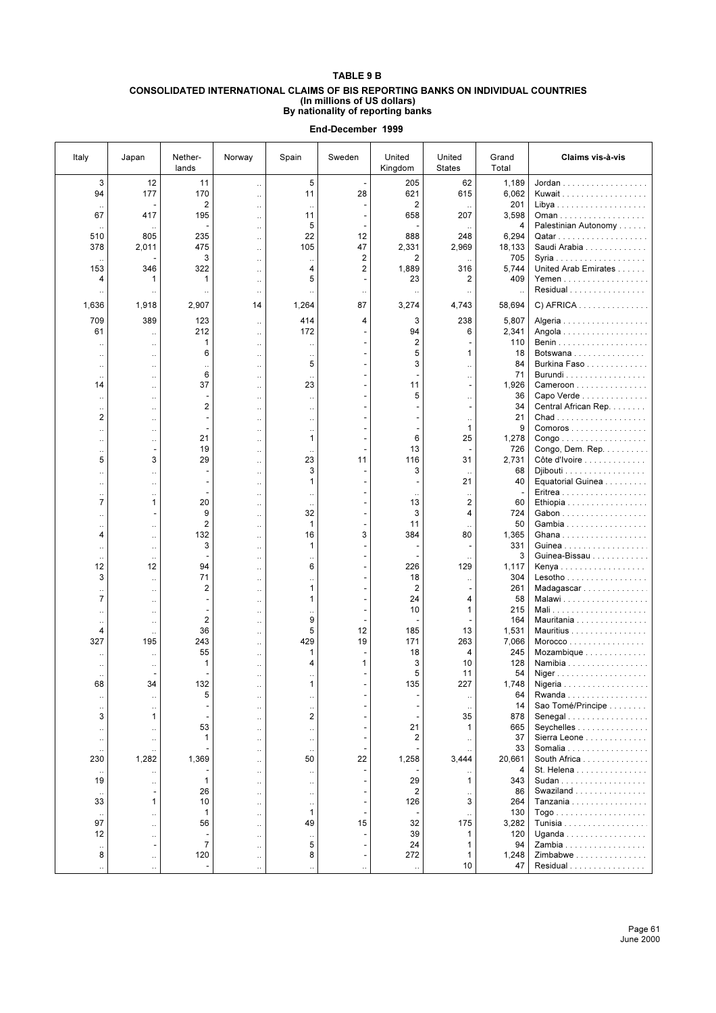## **TABLE 9 B**

#### **CONSOLIDATED INTERNATIONAL CLAIMS OF BIS REPORTING BANKS ON INDIVIDUAL COUNTRIES (In millions of US dollars) By nationality of reporting banks**

| Italy                                  | Japan                                        | Nether-<br>lands                           | Norway                                                    | Spain                                | Sweden                           | United<br>Kingdom          | United<br><b>States</b>                         | Grand<br>Total    | Claims vis-à-vis                                               |
|----------------------------------------|----------------------------------------------|--------------------------------------------|-----------------------------------------------------------|--------------------------------------|----------------------------------|----------------------------|-------------------------------------------------|-------------------|----------------------------------------------------------------|
| 3<br>94                                | 12<br>177                                    | 11<br>170                                  | $\ddot{\phantom{a}}$<br>$\ddot{\phantom{a}}$              | 5<br>11                              | 28                               | 205<br>621                 | 62<br>615                                       | 1,189<br>6,062    | $Jordan        $<br>Kuwait                                     |
| $\ddot{\phantom{0}}$<br>67             | 417                                          | 2<br>195                                   | $\ddot{\phantom{a}}$<br>$\ddot{\phantom{a}}$<br>$\ddotsc$ | $\ddotsc$<br>11<br>5                 |                                  | 2<br>658                   | $\ddot{\phantom{0}}$<br>207                     | 201<br>3,598<br>4 | Oman<br>Palestinian Autonomy                                   |
| 510<br>378                             | 805<br>2,011                                 | 235<br>475                                 | $\ddotsc$<br>$\ddotsc$                                    | 22<br>105                            | 12<br>47                         | 888<br>2,331               | 248<br>2,969                                    | 6,294<br>18,133   | Saudi Arabia                                                   |
| 153                                    | 346                                          | 3<br>322                                   | $\ddotsc$                                                 | $\ddot{\phantom{0}}$<br>4            | 2<br>2                           | 2<br>1,889                 | 316                                             | 705<br>5,744      | United Arab Emirates                                           |
| 4                                      | 1<br>$\ddotsc$                               | 1                                          | $\ddotsc$<br>$\ddot{\phantom{a}}$                         | 5                                    |                                  | 23<br>$\ddot{\phantom{0}}$ | $\overline{\mathbf{c}}$<br>$\ddot{\phantom{a}}$ | 409<br>$\ddotsc$  | Yemen<br>Residual                                              |
| 1,636                                  | 1,918                                        | 2,907                                      | 14                                                        | 1,264                                | 87                               | 3,274                      | 4,743                                           | 58,694            | $C)$ AFRICA                                                    |
| 709<br>61                              | 389<br>$\ddot{\phantom{a}}$                  | 123<br>212                                 | $\ddotsc$<br>$\ddotsc$                                    | 414<br>172                           | 4                                | 3<br>94                    | 238<br>6                                        | 5,807<br>2,341    | Algeria<br>Angola                                              |
| $\ddot{\phantom{0}}$<br>$\ddotsc$      | $\cdot$<br>$\ddot{\phantom{0}}$              | 1<br>6                                     | $\ddotsc$<br>$\ddot{\phantom{a}}$                         | $\ddotsc$<br>$\ddot{\phantom{0}}$    |                                  | 2<br>5                     | 1                                               | 110<br>18         | Botswana                                                       |
| $\ddot{\phantom{0}}$                   | $\ddot{\phantom{0}}$                         | $\ddot{\phantom{0}}$<br>6                  |                                                           | 5                                    |                                  | 3                          |                                                 | 84<br>71          | Burkina Faso<br>Burundi                                        |
| $\ddotsc$<br>14                        | $\ddot{\phantom{0}}$<br>$\ddot{\phantom{0}}$ | 37                                         | $\ddot{\phantom{0}}$                                      | $\ddotsc$<br>23                      |                                  | 11                         | $\ddotsc$                                       | 1,926             | Cameroon                                                       |
| $\cdot$<br>$\ddot{\phantom{0}}$        | $\ddot{\phantom{0}}$<br>$\ddot{\phantom{0}}$ | ÷.<br>$\overline{2}$                       | $\ddotsc$<br>$\ddot{\phantom{a}}$                         | $\ldots$<br>$\ddot{\phantom{0}}$     | ٠                                | 5                          | $\ddot{\phantom{0}}$<br>$\overline{a}$          | 36<br>34          | Capo Verde<br>Central African Rep.                             |
| $\overline{2}$                         | $\ddot{\phantom{0}}$                         | ÷                                          | $\ddotsc$                                                 | $\ldots$                             | ٠                                |                            | $\ddot{\phantom{0}}$<br>1                       | 21<br>9           | Chad                                                           |
| $\ddot{\phantom{0}}$<br>$\ddotsc$      | $\ddot{\phantom{0}}$<br>$\ddot{\phantom{0}}$ | 21                                         | $\ddot{\phantom{a}}$<br>$\ddotsc$                         | $\ddotsc$<br>1                       | ۰                                | 6                          | 25                                              | 1,278             | Comoros<br>$\mathsf{Congo}\dots\dots\dots\dots\dots\dots\dots$ |
| $\ddot{\phantom{0}}$<br>5              | $\overline{\phantom{a}}$<br>3                | 19<br>29                                   | $\ddotsc$<br>$\ddotsc$                                    | $\ddotsc$<br>23                      | ۰<br>11                          | 13<br>116                  | 31                                              | 726<br>2,731      | Congo, Dem. Rep.<br>Côte d'Ivoire                              |
| $\ddot{\phantom{a}}$                   | $\ddot{\phantom{0}}$                         |                                            | $\ddot{\phantom{a}}$                                      | 3                                    |                                  | 3                          |                                                 | 68                | Djibouti                                                       |
| <br>$\ddot{\phantom{a}}$               | $\ddotsc$<br>$\ddot{\phantom{0}}$            |                                            | $\ddot{\phantom{0}}$<br>$\ddot{\phantom{a}}$              | 1                                    |                                  |                            | 21                                              | 40                | Equatorial Guinea                                              |
| $\overline{7}$<br>$\ddot{\phantom{0}}$ | 1<br>$\overline{a}$                          | 20<br>9                                    |                                                           | 32                                   |                                  | 13<br>3                    | $\overline{\mathbf{c}}$<br>4                    | 60<br>724         | Ethiopia                                                       |
|                                        |                                              | $\overline{2}$                             |                                                           | $\mathbf{1}$                         |                                  | 11                         |                                                 | 50                | Gambia                                                         |
| 4<br>$\ddot{\phantom{a}}$              | $\ddot{\phantom{0}}$<br>$\ddot{\phantom{0}}$ | 132<br>3                                   | $\ddot{\phantom{a}}$<br>$\ddot{\phantom{a}}$              | 16<br>1                              | 3                                | 384                        | 80                                              | 1,365<br>331      | Ghana<br>Guinea                                                |
| $\ddot{\phantom{0}}$<br>12             | $\ddotsc$<br>12                              | 94                                         | $\ddot{\phantom{a}}$<br>$\ddotsc$                         | $\ddot{\phantom{0}}$<br>6            | ÷.                               | 226                        | 129                                             | 3<br>1,117        | Guinea-Bissau<br>Kenya                                         |
| 3                                      | $\ddot{\phantom{a}}$                         | 71                                         | $\ddotsc$                                                 | $\ddotsc$                            | ۰                                | 18                         | $\ddotsc$                                       | 304               | Lesotho                                                        |
| $\ddot{\phantom{0}}$<br>$\overline{7}$ | $\ddot{\phantom{0}}$<br>$\ddot{\phantom{0}}$ | $\overline{2}$                             | $\ddotsc$<br>$\ddotsc$                                    | 1<br>1                               | $\overline{a}$                   | 2<br>24                    | 4                                               | 261<br>58         | Madagascar<br>Malawi                                           |
| $\ddot{\phantom{a}}$                   | $\ddot{\phantom{0}}$                         | $\mathbf 2$                                | $\ddotsc$                                                 | 9                                    |                                  | 10                         | 1                                               | 215<br>164        | Mauritania                                                     |
| $\ddot{\phantom{0}}$<br>4              | $\ddot{\phantom{0}}$<br>$\ddot{\phantom{0}}$ | 36                                         | $\ddotsc$<br>$\ddotsc$                                    | 5                                    | 12                               | 185                        | 13                                              | 1,531             | Mauritius                                                      |
| 327                                    | 195                                          | 243<br>55                                  |                                                           | 429<br>1                             | 19                               | 171<br>18                  | 263<br>4                                        | 7,066<br>245      | Morocco<br>Mozambique                                          |
|                                        |                                              | 1                                          |                                                           | 4                                    | 1                                | 3<br>5                     | 10<br>11                                        | 128<br>54         | Namibia                                                        |
| $\ddot{\phantom{0}}$<br>68             | 34                                           | 132                                        | $\ddot{\phantom{0}}$<br>$\ddotsc$                         |                                      |                                  | 135                        | 227                                             | 1,748             | Niger<br>Nigeria                                               |
| $\ddot{\phantom{0}}$<br>$\ddotsc$      | $\ddot{\phantom{0}}$<br>$\ddot{\phantom{0}}$ | 5                                          | $\ddotsc$<br>$\ddotsc$                                    | $\ddot{\phantom{0}}$<br>$\ddotsc$    | $\qquad \qquad \blacksquare$     |                            | $\ddot{\phantom{0}}$<br>$\ddotsc$               | 64<br>14          | $Rwanda$<br>Sao Tomé/Principe                                  |
| 3                                      | 1                                            | ۰<br>53                                    | $\ddotsc$                                                 | $\overline{2}$                       | $\blacksquare$<br>$\blacksquare$ | 21                         | 35<br>1                                         | 878<br>665        | Senegal                                                        |
| $\ddot{\phantom{0}}$<br>$\ddotsc$      | $\ddot{\phantom{0}}$<br>$\ddot{\phantom{0}}$ | 1                                          | $\ddotsc$<br>$\ddotsc$                                    | $\ddotsc$<br>$\ddot{\phantom{a}}$    | $\overline{\phantom{a}}$         | 2                          |                                                 | 37                | Seychelles<br>Sierra Leone                                     |
| 230                                    | 1,282                                        | 1,369                                      | $\ddotsc$<br>$\ddotsc$                                    | $\ddotsc$<br>50                      | $\blacksquare$<br>22             | 1,258                      | 3,444                                           | 33<br>20,661      | Somalia<br>South Africa                                        |
| 19                                     |                                              |                                            | $\ddotsc$                                                 | $\ddotsc$                            |                                  |                            | 1                                               | 4<br>343          | St. Helena                                                     |
|                                        |                                              | $\mathbf{1}$<br>26                         |                                                           | $\ddot{\phantom{0}}$                 |                                  | 29<br>$\overline{2}$       |                                                 | 86                | Swaziland                                                      |
| 33<br>$\ddot{\phantom{0}}$             | 1<br>$\ddot{\phantom{0}}$                    | 10<br>$\mathbf{1}$                         | $\ddot{\phantom{a}}$                                      | $\ddot{\phantom{0}}$<br>$\mathbf{1}$ |                                  | 126                        | 3                                               | 264<br>130        | Tanzania                                                       |
| 97                                     | $\ddot{\phantom{a}}$                         | 56                                         | $\ddot{\phantom{a}}$                                      | 49                                   | 15                               | 32                         | 175                                             | 3,282             |                                                                |
| 12<br>$\ddotsc$                        | $\ddot{\phantom{0}}$                         | $\overline{\phantom{a}}$<br>$\overline{7}$ | $\ddot{\phantom{a}}$<br>$\ddotsc$                         | $\ddotsc$<br>5                       | $\qquad \qquad \blacksquare$     | 39<br>24                   | $\mathbf{1}$<br>$\mathbf{1}$                    | 120<br>94         | Uganda<br>Zambia                                               |
| 8                                      | $\ddotsc$<br>$\ddot{\phantom{0}}$            | 120                                        | $\ddotsc$<br>$\ldots$                                     | 8<br>$\ddotsc$                       | $\ddotsc$                        | 272                        | 1<br>10                                         | 1,248<br>47       | Zimbabwe<br>Residual                                           |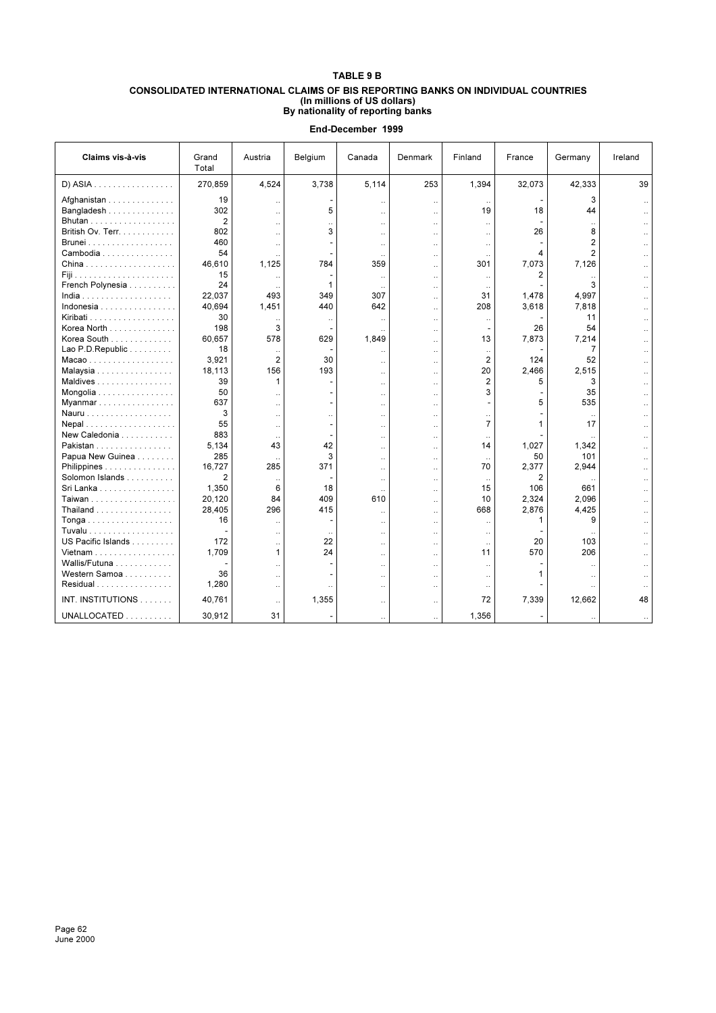## **TABLE 9 B CONSOLIDATED INTERNATIONAL CLAIMS OF BIS REPORTING BANKS ON INDIVIDUAL COUNTRIES (In millions of US dollars) By nationality of reporting banks**

| Claims vis-à-vis                     | Grand<br>Total | Austria              | Belgium              | Canada               | Denmark              | Finland              | France | Germany              | Ireland |
|--------------------------------------|----------------|----------------------|----------------------|----------------------|----------------------|----------------------|--------|----------------------|---------|
| D) ASIA                              | 270,859        | 4,524                | 3.738                | 5,114                | 253                  | 1,394                | 32,073 | 42,333               | 39      |
| Afghanistan                          | 19             |                      |                      | $\ddotsc$            | $\ddot{\phantom{0}}$ |                      |        | 3                    |         |
| Bangladesh                           | 302            | $\ddotsc$            | 5                    | $\ddot{\phantom{a}}$ | $\ddot{\phantom{a}}$ | 19                   | 18     | 44                   |         |
| Bhutan                               | $\overline{2}$ | $\ddot{\phantom{a}}$ | $\ddot{\phantom{a}}$ | $\ddotsc$            | $\ddot{\phantom{a}}$ | $\ddot{\phantom{a}}$ |        |                      |         |
| British Ov. Terr.                    | 802            | $\ddotsc$            | 3                    | $\ddotsc$            | $\ddotsc$            | $\ddotsc$            | 26     | 8                    |         |
|                                      | 460            | $\ddotsc$            |                      | $\ddotsc$            | $\ddot{\phantom{a}}$ | $\ddot{\phantom{a}}$ |        | $\overline{2}$       |         |
| Cambodia                             | 54             |                      |                      | $\ddotsc$            | $\ddot{\phantom{0}}$ | $\ddotsc$            | 4      | $\overline{2}$       |         |
|                                      | 46,610         | 1,125                | 784                  | 359                  | $\ddot{\phantom{a}}$ | 301                  | 7,073  | 7,126                |         |
|                                      | 15             |                      |                      |                      | $\ddot{\phantom{a}}$ |                      | 2      |                      |         |
| French Polynesia                     | 24             |                      | 1                    | $\cdot$              | $\ddot{\phantom{a}}$ | $\ddotsc$            |        | 3                    |         |
|                                      | 22,037         | 493                  | 349                  | 307                  | $\ddot{\phantom{a}}$ | 31                   | 1,478  | 4,997                |         |
| Indonesia                            | 40,694         | 1,451                | 440                  | 642                  | $\ddot{\phantom{a}}$ | 208                  | 3,618  | 7,818                |         |
| Kiribati                             | 30             |                      | $\ddotsc$            | $\ddotsc$            | $\ddot{\phantom{a}}$ | $\ddot{\phantom{a}}$ |        | 11                   |         |
| Korea North                          | 198            | 3                    |                      |                      | $\ddot{\phantom{a}}$ |                      | 26     | 54                   |         |
| Korea South                          | 60.657         | 578                  | 629                  | 1.849                | $\ddot{\phantom{a}}$ | 13                   | 7,873  | 7,214                |         |
| Lao P.D. Republic                    | 18             | $\ddotsc$            |                      | Ω.                   | $\ddot{\phantom{0}}$ | $\ddotsc$            |        | 7                    |         |
| Macao                                | 3,921          | $\overline{2}$       | 30                   | Ω.                   | $\ddotsc$            | $\overline{2}$       | 124    | 52                   |         |
| Malaysia                             | 18,113         | 156                  | 193                  | $\ddotsc$            | $\ddot{\phantom{0}}$ | 20                   | 2,466  | 2,515                |         |
| Maldives                             | 39             | 1                    |                      | $\ddotsc$            | $\ddot{\phantom{a}}$ | $\overline{2}$       | 5      | 3                    |         |
| Mongolia                             | 50             | $\ddot{\phantom{a}}$ | ٠                    | $\ddot{\phantom{a}}$ | $\ddot{\phantom{a}}$ | 3                    |        | 35                   |         |
| Myanmar                              | 637            | $\ddot{\phantom{a}}$ |                      | $\ddot{\phantom{a}}$ | $\ddot{\phantom{a}}$ |                      | 5      | 535                  |         |
| Nauru                                | 3              | $\ddotsc$            | $\ddotsc$            | $\ddotsc$            | $\ddot{\phantom{0}}$ | $\ddot{\phantom{0}}$ |        |                      |         |
| Nepal                                | 55             | $\ddot{\phantom{a}}$ | ٠                    | $\ddotsc$            | $\ddot{\phantom{a}}$ | $\overline{7}$       | 1      | 17                   |         |
| New Caledonia                        | 883            |                      | ٠                    | $\ddotsc$            | $\ddot{\phantom{a}}$ |                      |        |                      |         |
| Pakistan                             | 5,134          | 43                   | 42                   | $\ddotsc$            | $\ddotsc$            | 14                   | 1.027  | 1,342                |         |
| Papua New Guinea                     | 285            |                      | 3                    | $\ddot{\phantom{a}}$ | $\ddot{\phantom{a}}$ | $\ddot{\phantom{a}}$ | 50     | 101                  |         |
| Philippines                          | 16.727         | 285                  | 371                  | $\ddot{\phantom{a}}$ | $\ddot{\phantom{a}}$ | 70                   | 2,377  | 2,944                |         |
| Solomon Islands                      | $\overline{2}$ | $\ddotsc$            |                      | $\ddotsc$            | $\ddot{\phantom{0}}$ | $\ddot{\phantom{a}}$ | 2      |                      |         |
| Sri Lanka                            | 1,350          | 6                    | 18                   | $\ddotsc$            | $\ddot{\phantom{0}}$ | 15                   | 106    | 661                  |         |
| Taiwan                               | 20,120         | 84                   | 409                  | 610                  | $\ddot{\phantom{a}}$ | 10                   | 2,324  | 2,096                |         |
| Thailand                             | 28,405         | 296                  | 415                  | $\ddotsc$            | $\ddotsc$            | 668                  | 2,876  | 4,425                |         |
| Tonga                                | 16             |                      |                      | $\ddot{\phantom{a}}$ | $\ddot{\phantom{a}}$ | $\ddot{\phantom{a}}$ | 1      | 9                    |         |
| Tuvalu                               |                | $\ddot{\phantom{a}}$ | $\ddotsc$            | $\ddotsc$            | $\ddot{\phantom{a}}$ | $\ddotsc$            |        |                      |         |
| US Pacific Islands                   | 172            | $\ddotsc$            | 22                   | $\ddotsc$            | $\ddotsc$            | $\ldots$             | 20     | 103                  |         |
| Vietnam                              | 1.709          | 1                    | 24                   |                      | $\ddotsc$            | 11                   | 570    | 206                  |         |
| Wallis/Futuna $\ldots \ldots \ldots$ |                | $\sim$               |                      | $\ddot{\phantom{a}}$ | $\ddot{\phantom{a}}$ | $\ddot{\phantom{a}}$ |        |                      |         |
| Western Samoa                        | 36             | $\ddot{\phantom{a}}$ |                      | $\ddotsc$            | $\ddotsc$            | $\ddotsc$            | 1      | $\ddot{\phantom{a}}$ |         |
| Residual                             | 1,280          |                      | $\ddot{\phantom{a}}$ | Ω.                   | $\ddot{\phantom{a}}$ |                      |        |                      |         |
| INT. INSTITUTIONS                    | 40,761         | $\ddotsc$            | 1,355                | $\ddot{\phantom{a}}$ | $\ddot{\phantom{a}}$ | 72                   | 7,339  | 12,662               | 48      |
| UNALLOCATED                          | 30,912         | 31                   |                      |                      |                      | 1,356                |        |                      |         |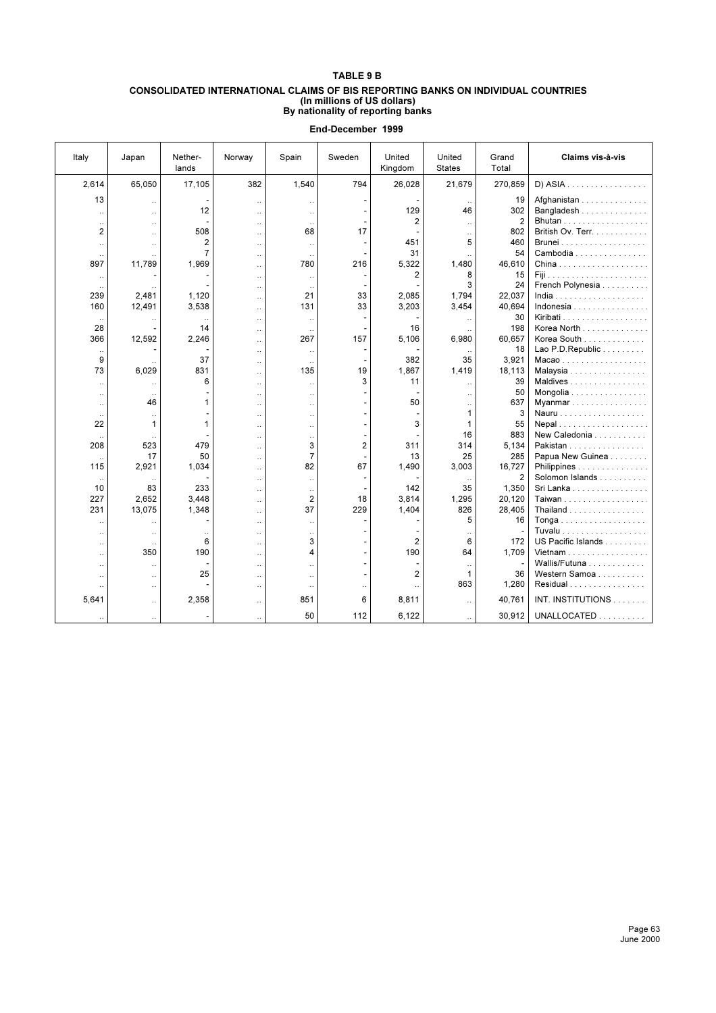## **TABLE 9 B**

#### **CONSOLIDATED INTERNATIONAL CLAIMS OF BIS REPORTING BANKS ON INDIVIDUAL COUNTRIES (In millions of US dollars) By nationality of reporting banks**

| Italy                | Japan                | Nether-<br>lands     | Norway               | Spain                | Sweden               | United<br>Kingdom    | United<br><b>States</b> | Grand<br>Total | Claims vis-à-vis   |
|----------------------|----------------------|----------------------|----------------------|----------------------|----------------------|----------------------|-------------------------|----------------|--------------------|
| 2,614                | 65,050               | 17,105               | 382                  | 1,540                | 794                  | 26,028               | 21,679                  | 270,859        | D) ASIA            |
| 13                   | $\ddot{\phantom{a}}$ |                      | $\ddot{\phantom{a}}$ | $\ddotsc$            |                      |                      |                         | 19             | Afghanistan        |
| Ω.                   | $\ddot{\phantom{a}}$ | 12                   | <b>A</b>             | $\ddot{\phantom{a}}$ | $\overline{a}$       | 129                  | 46                      | 302            | Bangladesh         |
| $\cdot$ .            | $\ddotsc$            |                      | $\ddot{\phantom{a}}$ | $\cdot$ .            |                      | $\overline{2}$       | $\ddotsc$               | $\overline{2}$ |                    |
| 2                    | $\ddot{\phantom{a}}$ | 508                  | $\ddot{\phantom{a}}$ | 68                   | 17                   |                      | $\ddot{\phantom{a}}$    | 802            | British Ov. Terr.  |
| $\ddotsc$            | $\ddot{\phantom{0}}$ | 2                    | $\ddot{\phantom{a}}$ | $\ddotsc$            |                      | 451                  | 5                       | 460            |                    |
| $\ddotsc$            | $\ddot{\phantom{0}}$ | $\overline{7}$       | $\ddotsc$            | $\ddotsc$            |                      | 31                   |                         | 54             | Cambodia           |
| 897                  | 11,789               | 1.969                | $\ddot{\phantom{a}}$ | 780                  | 216                  | 5,322                | 1.480                   | 46.610         |                    |
| $\ddot{\phantom{0}}$ |                      |                      | $\ddot{\phantom{a}}$ | $\ddot{\phantom{a}}$ |                      | 2                    | 8                       | 15             |                    |
|                      |                      |                      | $\ddot{\phantom{a}}$ | $\ddotsc$            |                      |                      | 3                       | 24             | French Polynesia   |
| 239                  | 2,481                | 1,120                | $\ddot{\phantom{a}}$ | 21                   | 33                   | 2,085                | 1.794                   | 22,037         |                    |
| 160                  | 12,491               | 3,538                | $\ddot{\phantom{a}}$ | 131                  | 33                   | 3,203                | 3,454                   | 40.694         | Indonesia          |
|                      |                      |                      | $\ddot{\phantom{a}}$ | $\ldots$             |                      |                      |                         | 30             |                    |
| 28                   |                      | 14                   | $\ddot{\phantom{a}}$ | $\ddot{\phantom{a}}$ |                      | 16                   |                         | 198            | Korea North        |
| 366                  | 12,592               | 2,246                | $\ddot{\phantom{a}}$ | 267                  | 157                  | 5.106                | 6,980                   | 60.657         | Korea South        |
| $\ddotsc$            |                      |                      | $\ddot{\phantom{a}}$ | $\ldots$             |                      |                      |                         | 18             | Lao P.D. Republic  |
| 9                    |                      | 37                   | $\ddot{\phantom{a}}$ | $\ddot{\phantom{a}}$ |                      | 382                  | 35                      | 3,921          | Macao              |
| 73                   | 6,029                | 831                  | $\ddot{\phantom{a}}$ | 135                  | 19                   | 1,867                | 1,419                   | 18,113         | Malaysia           |
| $\ddot{\phantom{a}}$ |                      | 6                    | $\ddot{\phantom{a}}$ | $\ddot{\phantom{a}}$ | 3                    | 11                   | $\ddot{\phantom{a}}$    | 39             | Maldives           |
| Ω.                   | $\ddot{\phantom{a}}$ |                      | $\ddot{\phantom{a}}$ | $\ddot{\phantom{a}}$ |                      |                      | $\ddot{\phantom{a}}$    | 50             | Mongolia           |
| $\ddot{\phantom{a}}$ | 46                   | 1                    | $\ddot{\phantom{a}}$ | $\ddot{\phantom{a}}$ |                      | 50                   |                         | 637            | Myanmar            |
| $\ddotsc$            | $\ddotsc$            |                      | $\ddot{\phantom{a}}$ | $\ddotsc$            |                      |                      | $\mathbf{1}$            | 3              |                    |
| 22                   | $\mathbf{1}$         | 1                    | $\ddot{\phantom{a}}$ | $\ddot{\phantom{a}}$ |                      | 3                    | 1                       | 55             |                    |
|                      |                      |                      | $\ddot{\phantom{a}}$ | $\ddot{\phantom{a}}$ | $\overline{a}$       |                      | 16                      | 883            | New Caledonia      |
| 208                  | 523                  | 479                  |                      | 3                    | $\overline{2}$       | 311                  | 314                     | 5.134          | Pakistan           |
| $\ddot{\phantom{a}}$ | 17                   | 50                   | $\ddot{\phantom{a}}$ | $\overline{7}$       |                      | 13                   | 25                      | 285            | Papua New Guinea   |
| 115                  | 2,921                | 1,034                | $\ddot{\phantom{a}}$ | 82                   | 67                   | 1,490                | 3,003                   | 16,727         | Philippines        |
| $\ddotsc$            | $\ddotsc$            |                      | $\ddot{\phantom{a}}$ | $\ldots$             |                      |                      |                         | $\overline{2}$ | Solomon Islands    |
| 10                   | 83                   | 233                  | $\ddot{\phantom{a}}$ | $\cdot$ .            |                      | 142                  | 35                      | 1,350          | Sri Lanka          |
| 227                  | 2,652                | 3,448                | $\ddot{\phantom{a}}$ | 2                    | 18                   | 3,814                | 1,295                   | 20,120         | Taiwan             |
| 231                  | 13,075               | 1,348                | $\ddot{\phantom{a}}$ | 37                   | 229                  | 1,404                | 826                     | 28,405         | Thailand           |
| $\ddotsc$            | ÷.                   |                      | $\ddot{\phantom{a}}$ | $\ddotsc$            |                      |                      | 5                       | 16             |                    |
| $\ddot{\phantom{a}}$ | $\ddot{\phantom{a}}$ | $\ddot{\phantom{a}}$ | $\ddotsc$            | $\ddotsc$            |                      |                      |                         |                |                    |
| $\ddotsc$            | $\ddot{\phantom{a}}$ | 6                    |                      | 3                    |                      | $\overline{2}$       | 6                       | 172            | US Pacific Islands |
| Ω.                   | 350                  | 190                  | $\ddot{\phantom{a}}$ | 4                    |                      | 190                  | 64                      | 1,709          | Vietnam            |
| Ω.                   | $\ddotsc$            |                      | $\ddotsc$            | Ω.                   |                      |                      | $\ddotsc$               |                | Wallis/Futuna      |
| $\ddot{\phantom{a}}$ | $\ddot{\phantom{a}}$ | 25                   | $\ddot{\phantom{a}}$ | $\ddotsc$            |                      | $\overline{2}$       | 1<br>863                | 36             | Western Samoa      |
| $\ddot{\phantom{0}}$ | $\ddotsc$            |                      | $\ddot{\phantom{a}}$ | $\cdot$ .            | $\ddot{\phantom{a}}$ | $\ddot{\phantom{a}}$ |                         | 1,280          | Residual           |
| 5,641                | $\ddot{\phantom{a}}$ | 2,358                | $\ddot{\phantom{a}}$ | 851                  | 6                    | 8,811                | $\ddot{\phantom{a}}$    | 40,761         | INT. INSTITUTIONS  |
|                      | $\ddot{\phantom{a}}$ |                      | $\ddot{\phantom{a}}$ | 50                   | 112                  | 6,122                |                         | 30,912         | UNALLOCATED        |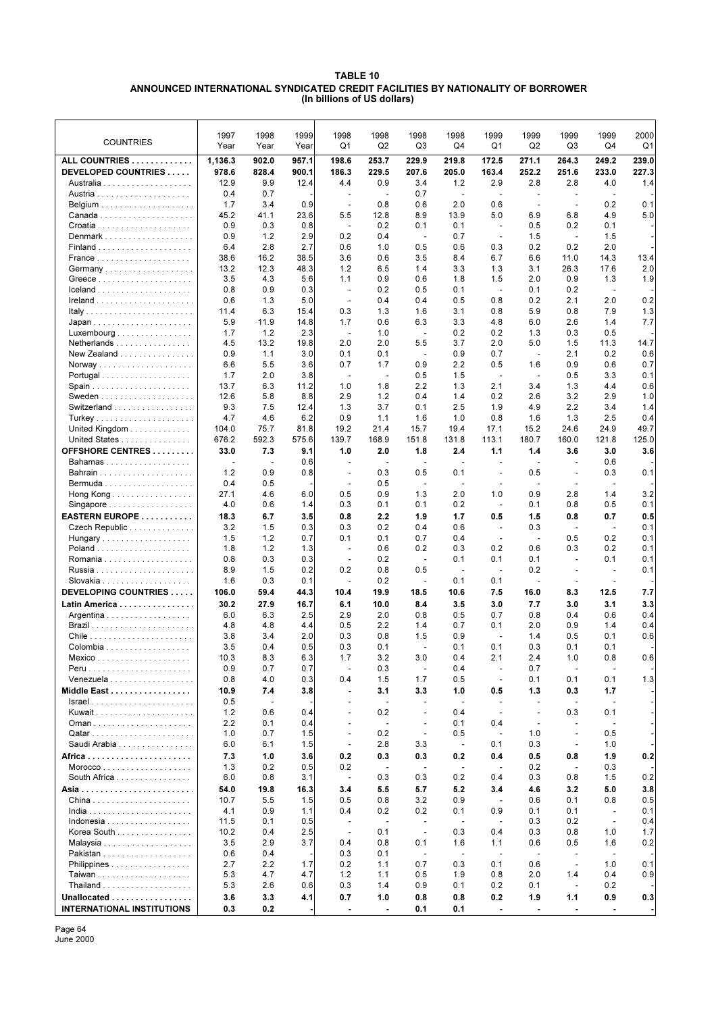## **TABLE 10 ANNOUNCED INTERNATIONAL SYNDICATED CREDIT FACILITIES BY NATIONALITY OF BORROWER (In billions of US dollars)**

| <b>COUNTRIES</b>                                         | 1997<br>Year     | 1998<br>Year             | 1999<br>Year   | 1998<br>Q1                      | 1998<br>Q2                      | 1998<br>Q3                      | 1998<br>Q4                      | 1999<br>Q1                       | 1999<br>Q2                      | 1999<br>Q3                                 | 1999<br>Q4                      | 2000<br>Q1     |
|----------------------------------------------------------|------------------|--------------------------|----------------|---------------------------------|---------------------------------|---------------------------------|---------------------------------|----------------------------------|---------------------------------|--------------------------------------------|---------------------------------|----------------|
| ALL COUNTRIES<br>DEVELOPED COUNTRIES                     | 1,136.3<br>978.6 | 902.0<br>828.4           | 957.1<br>900.1 | 198.6<br>186.3                  | 253.7<br>229.5                  | 229.9<br>207.6                  | 219.8<br>205.0                  | 172.5<br>163.4                   | 271.1<br>252.2                  | 264.3<br>251.6                             | 249.2<br>233.0                  | 239.0<br>227.3 |
|                                                          | 12.9<br>0.4      | 9.9<br>0.7               | 12.4           | 4.4                             | 0.9<br>$\sim$                   | 3.4<br>0.7                      | 1.2<br>L,                       | 2.9<br>÷,                        | 2.8                             | 2.8<br>ä,                                  | 4.0                             | 1.4            |
|                                                          | 1.7              | 3.4                      | 0.9            | $\sim$                          | 0.8                             | 0.6                             | 2.0                             | 0.6                              | $\sim$                          |                                            | 0.2                             | 0.1            |
|                                                          | 45.2             | 41.1                     | 23.6           | 5.5                             | 12.8                            | 8.9                             | 13.9                            | 5.0                              | 6.9                             | 6.8                                        | 4.9                             | 5.0            |
|                                                          | 0.9              | 0.3                      | 0.8            | $\overline{\phantom{a}}$        | 0.2                             | 0.1                             | 0.1                             | $\overline{\phantom{a}}$         | 0.5                             | 0.2                                        | 0.1                             |                |
| Denmark                                                  | 0.9              | 1.2                      | 2.9            | 0.2                             | 0.4                             | $\overline{\phantom{a}}$        | 0.7                             | $\blacksquare$                   | 1.5                             | $\blacksquare$                             | 1.5                             |                |
|                                                          | 6.4              | 2.8                      | 2.7            | 0.6                             | 1.0                             | 0.5                             | 0.6                             | 0.3                              | 0.2                             | 0.2                                        | 2.0                             |                |
|                                                          | 38.6             | 16.2                     | 38.5           | 3.6                             | 0.6                             | 3.5                             | 8.4                             | 6.7                              | 6.6                             | 11.0                                       | 14.3                            | 13.4           |
|                                                          | 13.2             | 12.3                     | 48.3           | 1.2                             | 6.5                             | 1.4                             | 3.3                             | 1.3                              | 3.1                             | 26.3                                       | 17.6                            | 2.0            |
| $lceland$                                                | 3.5<br>0.8       | 4.3<br>0.9               | 5.6<br>0.3     | 1.1<br>$\overline{\phantom{a}}$ | 0.9<br>0.2                      | 0.6<br>0.5                      | 1.8<br>0.1                      | 1.5<br>$\blacksquare$            | 2.0<br>0.1                      | 0.9<br>0.2                                 | 1.3                             | 1.9            |
|                                                          | 0.6              | 1.3                      | 5.0            | $\overline{\phantom{a}}$        | 0.4                             | 0.4                             | 0.5                             | 0.8                              | 0.2                             | 2.1                                        | 2.0                             | 0.2            |
|                                                          | 11.4             | 6.3                      | 15.4           | 0.3                             | 1.3                             | 1.6                             | 3.1                             | 0.8                              | 5.9                             | 0.8                                        | 7.9                             | 1.3            |
|                                                          | 5.9              | 11.9                     | 14.8           | 1.7                             | 0.6                             | 6.3                             | 3.3                             | 4.8                              | 6.0                             | 2.6                                        | 1.4                             | 7.7            |
| Luxembourg                                               | 1.7              | 1.2                      | 2.3            | $\sim$                          | 1.0                             | ÷,                              | 0.2                             | 0.2                              | 1.3                             | 0.3                                        | 0.5                             |                |
| Netherlands                                              | 4.5              | 13.2                     | 19.8           | 2.0                             | 2.0                             | 5.5                             | 3.7                             | 2.0                              | 5.0                             | 1.5                                        | 11.3                            | 14.7           |
| New Zealand                                              | 0.9              | 1.1                      | 3.0            | 0.1                             | 0.1                             | ÷,                              | 0.9                             | 0.7                              | $\overline{\phantom{a}}$        | 2.1                                        | 0.2                             | 0.6            |
|                                                          | 6.6<br>1.7       | 5.5<br>2.0               | 3.6<br>3.8     | 0.7<br>$\overline{\phantom{a}}$ | 1.7<br>$\overline{\phantom{a}}$ | 0.9<br>0.5                      | 2.2<br>1.5                      | 0.5<br>$\overline{\phantom{a}}$  | 1.6<br>$\overline{\phantom{a}}$ | 0.9<br>0.5                                 | 0.6<br>3.3                      | 0.7<br>0.1     |
| Portugal                                                 | 13.7             | 6.3                      | 11.2           | 1.0                             | 1.8                             | 2.2                             | 1.3                             | 2.1                              | 3.4                             | 1.3                                        | 4.4                             | 0.6            |
|                                                          | 12.6             | 5.8                      | 8.8            | 2.9                             | 1.2                             | 0.4                             | 1.4                             | 0.2                              | 2.6                             | 3.2                                        | 2.9                             | 1.0            |
| Switzerland                                              | 9.3              | 7.5                      | 12.4           | 1.3                             | 3.7                             | 0.1                             | 2.5                             | 1.9                              | 4.9                             | 2.2                                        | 3.4                             | 1.4            |
|                                                          | 4.7              | 4.6                      | 6.2            | 0.9                             | 1.1                             | 1.6                             | 1.0                             | 0.8                              | 1.6                             | 1.3                                        | 2.5                             | 0.4            |
| United Kingdom $\ldots \ldots \ldots \ldots$             | 104.0            | 75.7                     | 81.8           | 19.2                            | 21.4                            | 15.7                            | 19.4                            | 17.1                             | 15.2                            | 24.6                                       | 24.9                            | 49.7           |
| United States                                            | 676.2            | 592.3                    | 575.6          | 139.7                           | 168.9                           | 151.8                           | 131.8                           | 113.1                            | 180.7                           | 160.0                                      | 121.8                           | 125.0          |
| OFFSHORE CENTRES                                         | 33.0             | 7.3                      | 9.1            | 1.0                             | 2.0                             | 1.8                             | 2.4                             | 1.1                              | 1.4                             | 3.6                                        | 3.0                             | 3.6            |
| Bahamas                                                  | 1.2              | 0.9                      | 0.6<br>0.8     | $\overline{\phantom{a}}$        | 0.3                             | 0.5                             | 0.1                             | $\overline{\phantom{a}}$         | 0.5                             | $\overline{\phantom{a}}$                   | 0.6<br>0.3                      | 0.1            |
| Bermuda                                                  | 0.4              | 0.5                      |                | $\overline{\phantom{a}}$        | 0.5                             | $\overline{a}$                  | $\overline{a}$                  |                                  | $\overline{\phantom{a}}$        |                                            |                                 |                |
| Hong Kong $\ldots \ldots \ldots \ldots \ldots$           | 27.1             | 4.6                      | 6.0            | 0.5                             | 0.9                             | 1.3                             | 2.0                             | 1.0                              | 0.9                             | 2.8                                        | 1.4                             | 3.2            |
| Singapore                                                | 4.0              | 0.6                      | 1.4            | 0.3                             | 0.1                             | 0.1                             | 0.2                             | $\overline{\phantom{a}}$         | 0.1                             | 0.8                                        | 0.5                             | 0.1            |
| EASTERN EUROPE                                           | 18.3             | 6.7                      | 3.5            | 0.8                             | 2.2                             | 1.9                             | 1.7                             | 0.5                              | 1.5                             | 0.8                                        | 0.7                             | 0.5            |
| Czech Republic                                           | 3.2              | 1.5                      | 0.3            | 0.3                             | 0.2                             | 0.4                             | 0.6                             | $\blacksquare$                   | 0.3                             | ÷,                                         |                                 | 0.1            |
| Hungary                                                  | 1.5              | 1.2                      | 0.7            | 0.1                             | 0.1                             | 0.7                             | 0.4                             | $\blacksquare$                   | $\overline{\phantom{a}}$        | 0.5                                        | 0.2                             | 0.1            |
|                                                          | 1.8              | 1.2                      | 1.3            | $\overline{\phantom{a}}$        | 0.6                             | 0.2                             | 0.3                             | 0.2                              | 0.6                             | 0.3                                        | 0.2                             | 0.1            |
|                                                          | 0.8<br>8.9       | 0.3<br>1.5               | 0.3<br>0.2     | $\blacksquare$<br>0.2           | 0.2<br>0.8                      | $\overline{a}$<br>0.5           | 0.1<br>$\overline{\phantom{a}}$ | 0.1<br>$\overline{\phantom{a}}$  | 0.1<br>0.2                      | $\overline{\phantom{a}}$<br>$\overline{a}$ | 0.1                             | 0.1<br>0.1     |
|                                                          | 1.6              | 0.3                      | 0.1            | $\blacksquare$                  | 0.2                             | $\overline{\phantom{a}}$        | 0.1                             | 0.1                              | $\overline{\phantom{a}}$        | $\blacksquare$                             |                                 |                |
| DEVELOPING COUNTRIES                                     | 106.0            | 59.4                     | 44.3           | 10.4                            | 19.9                            | 18.5                            | 10.6                            | 7.5                              | 16.0                            | 8.3                                        | 12.5                            | 7.7            |
| Latin America                                            | 30.2             | 27.9                     | 16.7           | 6.1                             | 10.0                            | 8.4                             | 3.5                             | 3.0                              | 7.7                             | 3.0                                        | 3.1                             | 3.3            |
| Argentina                                                | 6.0              | 6.3                      | 2.5            | 2.9                             | 2.0                             | 0.8                             | 0.5                             | 0.7                              | 0.8                             | 0.4                                        | 0.6                             | 0.4            |
|                                                          | 4.8              | 4.8                      | 4.4            | 0.5                             | 2.2                             | 1.4                             | 0.7                             | 0.1                              | 2.0                             | 0.9                                        | 1.4                             | 0.4            |
| Chile $\ldots \ldots \ldots \ldots \ldots \ldots \ldots$ | 3.8              | 3.4                      | 2.0            | 0.3                             | 0.8                             | 1.5                             | 0.9                             | $\blacksquare$                   | 1.4                             | 0.5                                        | 0.1                             | 0.6            |
| Colombia                                                 | 3.5              | 0.4                      | 0.5            | 0.3                             | 0.1                             | $\overline{\phantom{a}}$        | 0.1                             | 0.1                              | 0.3                             | 0.1                                        | 0.1                             |                |
|                                                          | 10.3             | 8.3                      | 6.3            | 1.7                             | 3.2                             | 3.0                             | 0.4                             | 2.1                              | 2.4                             | 1.0                                        | 0.8                             | 0.6            |
| Venezuela                                                | 0.9<br>0.8       | 0.7<br>4.0               | 0.7<br>0.3     | $\blacksquare$<br>0.4           | 0.3<br>1.5                      | $\overline{\phantom{a}}$<br>1.7 | 0.4<br>0.5                      | $\blacksquare$<br>$\blacksquare$ | 0.7<br>0.1                      | $\blacksquare$<br>0.1                      | $\overline{\phantom{a}}$<br>0.1 | 1.3            |
| Middle East                                              | 10.9             | 7.4                      | 3.8            | $\blacksquare$                  | 3.1                             | 3.3                             | 1.0                             | 0.5                              | 1.3                             | 0.3                                        | 1.7                             |                |
|                                                          | 0.5              | $\overline{\phantom{a}}$ |                | $\overline{\phantom{a}}$        | $\overline{\phantom{a}}$        |                                 | $\overline{\phantom{a}}$        | $\overline{\phantom{a}}$         | $\blacksquare$                  | $\overline{\phantom{a}}$                   | $\overline{a}$                  |                |
|                                                          | 1.2              | 0.6                      | 0.4            | $\blacksquare$                  | 0.2                             | $\blacksquare$                  | 0.4                             | $\sim$                           | $\sim$                          | 0.3                                        | 0.1                             |                |
|                                                          | 2.2              | 0.1                      | 0.4            | $\overline{\phantom{a}}$        | $\blacksquare$                  | $\overline{a}$                  | 0.1                             | 0.4                              | $\blacksquare$                  |                                            | $\overline{\phantom{a}}$        |                |
|                                                          | 1.0              | 0.7                      | 1.5            | $\blacksquare$                  | 0.2                             | $\overline{\phantom{a}}$        | 0.5                             | $\blacksquare$                   | 1.0                             | $\overline{\phantom{a}}$                   | 0.5                             |                |
| Saudi Arabia                                             | 6.0              | 6.1                      | 1.5            | $\overline{\phantom{a}}$        | 2.8                             | 3.3                             | $\overline{\phantom{a}}$        | 0.1                              | 0.3                             | $\overline{\phantom{a}}$                   | 1.0                             |                |
|                                                          | 7.3<br>1.3       | 1.0<br>0.2               | 3.6<br>0.5     | 0.2<br>0.2                      | 0.3<br>$\overline{\phantom{a}}$ | 0.3                             | 0.2                             | 0.4                              | 0.5<br>0.2                      | 0.8                                        | 1.9<br>0.3                      | 0.2            |
| South Africa                                             | 6.0              | 0.8                      | 3.1            | $\blacksquare$                  | 0.3                             | 0.3                             | 0.2                             | $\overline{\phantom{a}}$<br>0.4  | 0.3                             | $\overline{\phantom{a}}$<br>0.8            | 1.5                             | 0.2            |
|                                                          | 54.0             | 19.8                     | 16.3           | 3.4                             | 5.5                             | 5.7                             | 5.2                             | 3.4                              | 4.6                             | 3.2                                        | 5.0                             | 3.8            |
|                                                          | 10.7             | 5.5                      | 1.5            | 0.5                             | 0.8                             | 3.2                             | 0.9                             | $\sim$                           | 0.6                             | 0.1                                        | 0.8                             | 0.5            |
|                                                          | 4.1              | 0.9                      | 1.1            | 0.4                             | 0.2                             | 0.2                             | 0.1                             | 0.9                              | 0.1                             | 0.1                                        | $\overline{a}$                  | 0.1            |
| Indonesia                                                | 11.5             | 0.1                      | 0.5            | $\sim$                          | $\overline{\phantom{a}}$        | $\overline{\phantom{a}}$        | $\sim$                          | $\blacksquare$                   | 0.3                             | 0.2                                        | $\overline{\phantom{a}}$        | 0.4            |
| Korea South                                              | 10.2             | 0.4                      | 2.5            | $\overline{\phantom{a}}$        | 0.1                             | $\overline{\phantom{a}}$        | 0.3                             | 0.4                              | 0.3                             | 0.8                                        | 1.0                             | 1.7            |
|                                                          | 3.5              | 2.9                      | 3.7            | 0.4                             | 0.8                             | 0.1                             | 1.6                             | 1.1                              | 0.6                             | 0.5                                        | 1.6                             | 0.2            |
| Philippines                                              | 0.6<br>2.7       | 0.4<br>2.2               | 1.7            | 0.3<br>0.2                      | 0.1<br>1.1                      | 0.7                             | $\overline{\phantom{a}}$<br>0.3 | 0.1                              | 0.6                             | $\overline{\phantom{a}}$                   | $\overline{\phantom{a}}$<br>1.0 | 0.1            |
|                                                          | 5.3              | 4.7                      | 4.7            | 1.2                             | 1.1                             | 0.5                             | 1.9                             | 0.8                              | 2.0                             | 1.4                                        | 0.4                             | 0.9            |
| Thailand                                                 | 5.3              | 2.6                      | 0.6            | 0.3                             | 1.4                             | 0.9                             | 0.1                             | 0.2                              | 0.1                             | $\overline{\phantom{a}}$                   | 0.2                             |                |
| Unallocated                                              | 3.6              | 3.3                      | 4.1            | 0.7                             | 1.0                             | 0.8                             | 0.8                             | 0.2                              | 1.9                             | 1.1                                        | 0.9                             | 0.3            |
| <b>INTERNATIONAL INSTITUTIONS</b>                        | 0.3              | 0.2                      |                | $\blacksquare$                  |                                 | 0.1                             | 0.1                             | ٠                                |                                 |                                            |                                 |                |

Page 64 June 2000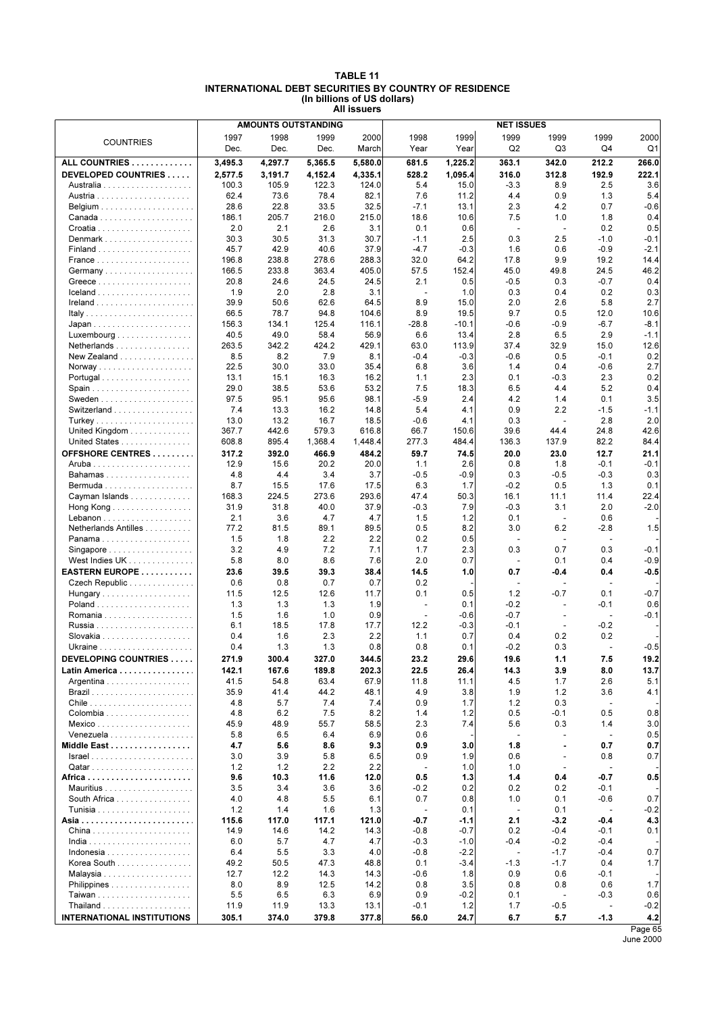| <b>TABLE 11</b>                                              |
|--------------------------------------------------------------|
| <b>INTERNATIONAL DEBT SECURITIES BY COUNTRY OF RESIDENCE</b> |
| (In billions of US dollars)                                  |
| All issuers                                                  |

|                                                |               |               | <b>AMOUNTS OUTSTANDING</b> |               |                          | <b>NET ISSUES</b> |                          |                                 |                                    |                |
|------------------------------------------------|---------------|---------------|----------------------------|---------------|--------------------------|-------------------|--------------------------|---------------------------------|------------------------------------|----------------|
|                                                | 1997          | 1998          | 1999                       | 2000          | 1998                     | 1999              | 1999                     | 1999                            | 1999                               | 2000           |
| <b>COUNTRIES</b>                               | Dec.          | Dec.          | Dec.                       | March         | Year                     | Year              | Q2                       | Q3                              | Q4                                 | Q1             |
| ALL COUNTRIES                                  | 3,495.3       | 4,297.7       | 5,365.5                    | 5,580.0       | 681.5                    | 1.225.2           | 363.1                    | 342.0                           | 212.2                              | 266.0          |
|                                                |               |               |                            |               |                          |                   |                          |                                 |                                    |                |
| DEVELOPED COUNTRIES                            | 2,577.5       | 3,191.7       | 4,152.4                    | 4,335.1       | 528.2                    | 1,095.4           | 316.0                    | 312.8                           | 192.9                              | 222.1          |
|                                                | 100.3<br>62.4 | 105.9<br>73.6 | 122.3<br>78.4              | 124.0<br>82.1 | 5.4<br>7.6               | 15.0<br>11.2      | $-3.3$<br>4.4            | 8.9<br>0.9                      | 2.5<br>1.3                         | 3.6<br>5.4     |
|                                                | 28.6          | 22.8          | 33.5                       | 32.5          | $-7.1$                   | 13.1              | 2.3                      | 4.2                             | 0.7                                | $-0.6$         |
|                                                | 186.1         | 205.7         |                            |               | 18.6                     |                   | 7.5                      |                                 |                                    | 0.4            |
|                                                | 2.0           | 2.1           | 216.0<br>2.6               | 215.0<br>3.1  | 0.1                      | 10.6<br>0.6       | $\blacksquare$           | 1.0<br>$\overline{\phantom{a}}$ | 1.8<br>0.2                         | 0.5            |
| Denmark                                        | 30.3          | 30.5          | 31.3                       | 30.7          | $-1.1$                   | 2.5               | 0.3                      | 2.5                             | $-1.0$                             | $-0.1$         |
|                                                | 45.7          | 42.9          | 40.6                       | 37.9          | $-4.7$                   | $-0.3$            | 1.6                      | 0.6                             | $-0.9$                             | $-2.1$         |
|                                                | 196.8         | 238.8         | 278.6                      | 288.3         | 32.0                     | 64.2              | 17.8                     | 9.9                             | 19.2                               | 14.4           |
| Germany                                        | 166.5         | 233.8         | 363.4                      | 405.0         | 57.5                     | 152.4             | 45.0                     | 49.8                            | 24.5                               | 46.2           |
|                                                | 20.8          | 24.6          | 24.5                       | 24.5          | 2.1                      | 0.5               | $-0.5$                   | 0.3                             | $-0.7$                             | 0.4            |
| $lceland$                                      | 1.9           | 2.0           | 2.8                        | 3.1           | $\overline{\phantom{a}}$ | 1.0               | 0.3                      | 0.4                             | 0.2                                | 0.3            |
|                                                | 39.9          | 50.6          | 62.6                       | 64.5          | 8.9                      | 15.0              | 2.0                      | 2.6                             | 5.8                                | 2.7            |
|                                                | 66.5          | 78.7          | 94.8                       | 104.6         | 8.9                      | 19.5              | 9.7                      | 0.5                             | 12.0                               | 10.6           |
|                                                | 156.3         | 134.1         | 125.4                      | 116.1         | $-28.8$                  | $-10.1$           | $-0.6$                   | -0.9                            | $-6.7$                             | $-8.1$         |
| Luxembourg                                     | 40.5          | 49.0          | 58.4                       | 56.9          | 6.6                      | 13.4              | 2.8                      | 6.5                             | 2.9                                | $-1.1$         |
| Netherlands                                    | 263.5         | 342.2         | 424.2                      | 429.1         | 63.0                     | 113.9             | 37.4                     | 32.9                            | 15.0                               | 12.6           |
| New Zealand                                    | 8.5           | 8.2           | 7.9                        | 8.1           | $-0.4$                   | $-0.3$            | $-0.6$                   | 0.5                             | $-0.1$                             | 0.2            |
|                                                | 22.5          | 30.0          | 33.0                       | 35.4          | 6.8                      | 3.6               | 1.4                      | 0.4                             | $-0.6$                             | 2.7            |
|                                                | 13.1          | 15.1          | 16.3                       | 16.2          | 1.1                      | 2.3               | 0.1                      | $-0.3$                          | 2.3                                | 0.2            |
|                                                | 29.0          | 38.5          | 53.6                       | 53.2          | 7.5                      | 18.3              | 6.5                      | 4.4                             | 5.2                                | 0.4            |
|                                                | 97.5          | 95.1          | 95.6                       | 98.1          | $-5.9$                   | 2.4               | 4.2                      | 1.4                             | 0.1                                | 3.5            |
| Switzerland                                    | 7.4           | 13.3          | 16.2                       | 14.8          | 5.4                      | 4.1               | 0.9                      | 2.2                             | $-1.5$                             | $-1.1$         |
|                                                | 13.0          | 13.2          | 16.7                       | 18.5          | $-0.6$                   | 4.1               | 0.3                      | ÷,                              | 2.8                                | 2.0            |
| United Kingdom $\ldots \ldots \ldots \ldots$   | 367.7         | 442.6         | 579.3                      | 616.8         | 66.7                     | 150.6             | 39.6                     | 44.4                            | 24.8                               | 42.6           |
| United States                                  | 608.8         | 895.4         | 1,368.4                    | 1,448.4       | 277.3                    | 484.4             | 136.3                    | 137.9                           | 82.2                               | 84.4           |
| OFFSHORE CENTRES                               | 317.2         | 392.0         | 466.9                      | 484.2         | 59.7                     | 74.5              | 20.0                     | 23.0                            | 12.7                               | 21.1           |
|                                                | 12.9          | 15.6          | 20.2                       | 20.0          | 1.1                      | 2.6               | 0.8                      | 1.8                             | $-0.1$                             | $-0.1$         |
| Bahamas                                        | 4.8           | 4.4           | 3.4                        | 3.7           | $-0.5$                   | $-0.9$            | 0.3                      | $-0.5$                          | $-0.3$                             | 0.3            |
|                                                | 8.7           | 15.5          | 17.6                       | 17.5          | 6.3                      | 1.7               | $-0.2$                   | 0.5                             | 1.3                                | 0.1            |
| Cayman Islands                                 | 168.3<br>31.9 | 224.5<br>31.8 | 273.6<br>40.0              | 293.6         | 47.4<br>$-0.3$           | 50.3<br>7.9       | 16.1<br>$-0.3$           | 11.1<br>3.1                     | 11.4<br>2.0                        | 22.4<br>$-2.0$ |
| Hong Kong $\ldots \ldots \ldots \ldots \ldots$ | 2.1           | 3.6           | 4.7                        | 37.9<br>4.7   | 1.5                      | 1.2               | 0.1                      | $\overline{\phantom{a}}$        | 0.6                                |                |
| Netherlands Antilles                           | 77.2          | 81.5          | 89.1                       | 89.5          | 0.5                      | 8.2               | 3.0                      | 6.2                             | $-2.8$                             | 1.5            |
|                                                | 1.5           | 1.8           | 2.2                        | 2.2           | 0.2                      | 0.5               | $\sim$                   | $\sim$                          | $\sim$                             |                |
| Singapore                                      | 3.2           | 4.9           | 7.2                        | 7.1           | 1.7                      | 2.3               | 0.3                      | 0.7                             | 0.3                                | $-0.1$         |
| West Indies UK                                 | 5.8           | 8.0           | 8.6                        | 7.6           | 2.0                      | 0.7               | $\overline{\phantom{a}}$ | 0.1                             | 0.4                                | $-0.9$         |
| EASTERN EUROPE                                 | 23.6          | 39.5          | 39.3                       | 38.4          | 14.5                     | 1.0               | 0.7                      | -0.4                            | 0.4                                | $-0.5$         |
| Czech Republic                                 | 0.6           | 0.8           | 0.7                        | 0.7           | 0.2                      |                   | $\overline{\phantom{a}}$ | $\overline{\phantom{a}}$        | $\overline{\phantom{a}}$           |                |
| Hungary                                        | 11.5          | 12.5          | 12.6                       | 11.7          | 0.1                      | 0.5               | 1.2                      | $-0.7$                          | 0.1                                | $-0.7$         |
|                                                | 1.3           | 1.3           | 1.3                        | 1.9           | ÷,                       | 0.1               | $-0.2$                   |                                 | $-0.1$                             | 0.6            |
|                                                | 1.5           | 1.6           | 1.0                        | 0.9           | $\overline{\phantom{a}}$ | $-0.6$            | $-0.7$                   |                                 | $\overline{\phantom{a}}$           | $-0.1$         |
|                                                | 6.1           | 18.5          | 17.8                       | 17.7          | 12.2                     | $-0.3$            | $-0.1$                   | $\sim$                          | $-0.2$                             |                |
|                                                | 0.4           | 1.6           | 2.3                        | 2.2           | 1.1                      | 0.7               | 0.4                      | 0.2                             | 0.2                                |                |
|                                                | 0.4           | 1.3           | 1.3                        | 0.8           | 0.8                      | 0.1               | $-0.2$                   | 0.3                             | $\overline{\phantom{a}}$           | $-0.5$         |
| DEVELOPING COUNTRIES                           | 271.9         | 300.4         | 327.0                      | 344.5         | 23.2                     | 29.6              | 19.6                     | $1.1$                           | 7.5                                | 19.2           |
| Latin America                                  | 142.1         | 167.6         | 189.8                      | 202.3         | 22.5                     | 26.4              | 14.3                     | 3.9                             | 8.0                                | 13.7           |
| Argentina                                      | 41.5          | 54.8          | 63.4                       | 67.9          | 11.8                     | 11.1              | 4.5                      | 1.7                             | 2.6                                | 5.1            |
|                                                | 35.9          | 41.4          | 44.2                       | 48.1          | 4.9                      | 3.8               | 1.9                      | 1.2                             | 3.6                                | 4.1            |
|                                                | 4.8           | 5.7           | 7.4                        | 7.4           | 0.9                      | 1.7               | 1.2                      | 0.3                             | $\blacksquare$                     |                |
| Colombia                                       | 4.8           | 6.2           | 7.5                        | 8.2           | 1.4                      | 1.2               | 0.5                      | -0.1                            | 0.5                                | 0.8            |
|                                                | 45.9          | 48.9          | 55.7                       | 58.5          | 2.3                      | 7.4               | 5.6                      | 0.3                             | 1.4                                | 3.0            |
| Venezuela                                      | 5.8           | 6.5           | 6.4                        | 6.9           | 0.6                      |                   | $\overline{a}$           |                                 | $\overline{\phantom{a}}$           | 0.5            |
| Middle East                                    | 4.7           | 5.6           | 8.6                        | 9.3           | 0.9                      | 3.0               | 1.8                      |                                 | 0.7                                | 0.7            |
|                                                | 3.0           | 3.9           | 5.8                        | 6.5           | 0.9                      | 1.9               | 0.6                      | ÷,                              | 0.8                                | 0.7            |
|                                                | 1.2           | 1.2<br>10.3   | 2.2                        | 2.2           | $\overline{a}$           | 1.0<br>1.3        | 1.0                      | ٠                               | $\overline{\phantom{a}}$<br>$-0.7$ |                |
|                                                | 9.6<br>3.5    | 3.4           | 11.6<br>3.6                | 12.0<br>3.6   | 0.5<br>$-0.2$            | 0.2               | 1.4<br>0.2               | 0.4<br>0.2                      | -0.1                               | 0.5            |
| South Africa                                   | 4.0           | 4.8           | 5.5                        | 6.1           | 0.7                      | 0.8               | 1.0                      | 0.1                             | $-0.6$                             | 0.7            |
|                                                | 1.2           | 1.4           | 1.6                        | 1.3           | $\sim$                   | 0.1               | $\blacksquare$           | 0.1                             | ÷,                                 | $-0.2$         |
|                                                | 115.6         | 117.0         | 117.1                      | 121.0         | $-0.7$                   | -1.1              | 2.1                      | -3.2                            | -0.4                               | 4.3            |
|                                                | 14.9          | 14.6          | 14.2                       | 14.3          | $-0.8$                   | $-0.7$            | 0.2                      | $-0.4$                          | $-0.1$                             | 0.1            |
|                                                | 6.0           | 5.7           | 4.7                        | 4.7           | $-0.3$                   | $-1.0$            | $-0.4$                   | $-0.2$                          | $-0.4$                             |                |
|                                                | 6.4           | 5.5           | 3.3                        | 4.0           | $-0.8$                   | $-2.2$            | $\overline{a}$           | $-1.7$                          | $-0.4$                             | 0.7            |
| Korea South                                    | 49.2          | 50.5          | 47.3                       | 48.8          | 0.1                      | $-3.4$            | $-1.3$                   | $-1.7$                          | 0.4                                | 1.7            |
|                                                | 12.7          | 12.2          | 14.3                       | 14.3          | $-0.6$                   | 1.8               | 0.9                      | 0.6                             | -0.1                               |                |
| Philippines                                    | 8.0           | 8.9           | 12.5                       | 14.2          | 0.8                      | 3.5               | 0.8                      | 0.8                             | 0.6                                | 1.7            |
|                                                | 5.5           | 6.5           | 6.3                        | 6.9           | 0.9                      | $-0.2$            | 0.1                      | ÷,                              | $-0.3$                             | 0.6            |
|                                                | 11.9          | 11.9          | 13.3                       | 13.1          | $-0.1$                   | 1.2               | 1.7                      | $-0.5$                          | $\blacksquare$                     | $-0.2$         |
| <b>INTERNATIONAL INSTITUTIONS</b>              | 305.1         | 374.0         | 379.8                      | 377.8         | 56.0                     | 24.7              | 6.7                      | 5.7                             | $-1.3$                             | 4.2            |
|                                                |               |               |                            |               |                          |                   |                          |                                 |                                    | Page 65        |

June 2000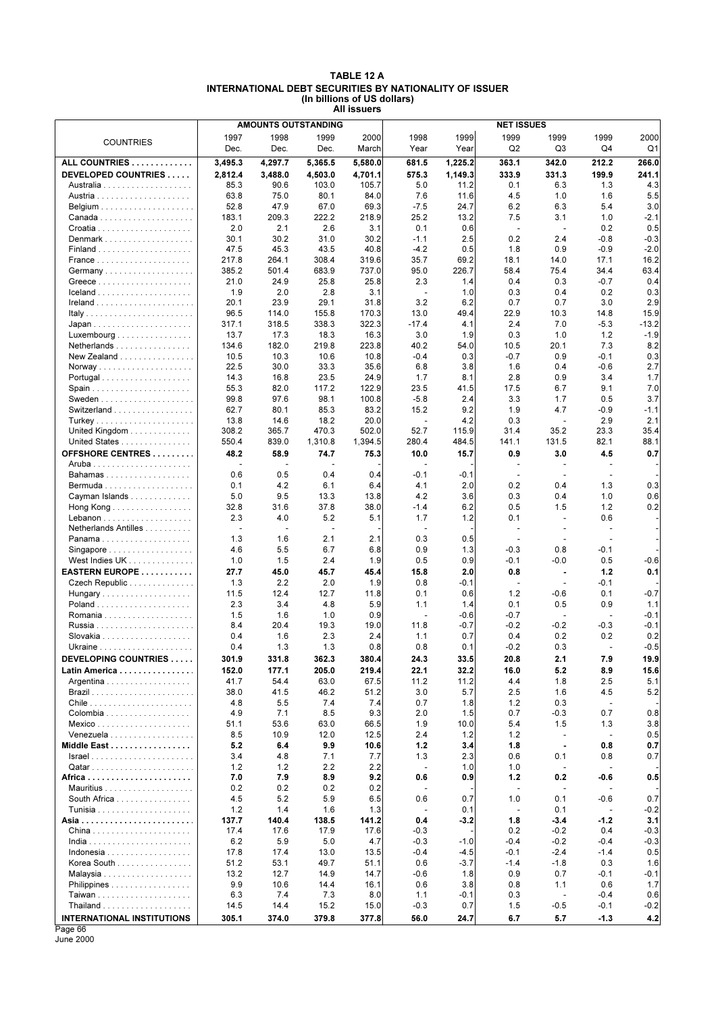### **TABLE 12 A INTERNATIONAL DEBT SECURITIES BY NATIONALITY OF ISSUER (In billions of US dollars) All issuers**

|                                   |                |                | <b>AMOUNTS OUTSTANDING</b> | <b>NET ISSUES</b> |                          |               |                          |                          |                          |              |  |
|-----------------------------------|----------------|----------------|----------------------------|-------------------|--------------------------|---------------|--------------------------|--------------------------|--------------------------|--------------|--|
|                                   | 1997           | 1998           | 1999                       | 2000              | 1998                     | 1999          | 1999                     | 1999                     | 1999                     | 2000         |  |
| <b>COUNTRIES</b>                  | Dec.           | Dec.           | Dec.                       | March             | Year                     | Year          | Q <sub>2</sub>           | Q3                       | Q4                       | Q1           |  |
| ALL COUNTRIES                     | 3,495.3        | 4,297.7        | 5,365.5                    | 5,580.0           | 681.5                    | 1,225.2       | 363.1                    | 342.0                    | 212.2                    | 266.0        |  |
| DEVELOPED COUNTRIES               | 2,812.4        | 3,488.0        | 4,503.0                    | 4,701.1           | 575.3                    | 1,149.3       | 333.9                    | 331.3                    | 199.9                    | 241.1        |  |
|                                   |                |                |                            |                   |                          |               |                          |                          |                          | 4.3          |  |
|                                   | 85.3           | 90.6           | 103.0                      | 105.7             | 5.0                      | 11.2          | 0.1                      | 6.3                      | 1.3                      |              |  |
|                                   | 63.8           | 75.0           | 80.1                       | 84.0              | 7.6                      | 11.6          | 4.5                      | 1.0                      | 1.6                      | 5.5          |  |
|                                   | 52.8           | 47.9           | 67.0                       | 69.3              | $-7.5$                   | 24.7          | 6.2                      | 6.3                      | 5.4                      | 3.0          |  |
|                                   | 183.1          | 209.3          | 222.2                      | 218.9             | 25.2                     | 13.2          | 7.5                      | 3.1                      | 1.0                      | $-2.1$       |  |
|                                   | 2.0            | 2.1            | 2.6                        | 3.1               | 0.1                      | 0.6           | ÷,                       | $\overline{\phantom{a}}$ | 0.2                      | 0.5          |  |
| Denmark                           | 30.1           | 30.2           | 31.0                       | 30.2              | $-1.1$<br>$-4.2$         | 2.5           | 0.2                      | 2.4                      | $-0.8$                   | $-0.3$       |  |
|                                   | 47.5           | 45.3           | 43.5                       | 40.8              |                          | 0.5           | 1.8                      | 0.9                      | $-0.9$                   | $-2.0$       |  |
|                                   | 217.8<br>385.2 | 264.1<br>501.4 | 308.4<br>683.9             | 319.6<br>737.0    | 35.7<br>95.0             | 69.2<br>226.7 | 18.1<br>58.4             | 14.0<br>75.4             | 17.1<br>34.4             | 16.2<br>63.4 |  |
|                                   | 21.0           | 24.9           | 25.8                       | 25.8              | 2.3                      | 1.4           | 0.4                      | 0.3                      | $-0.7$                   | 0.4          |  |
|                                   | 1.9            | 2.0            | 2.8                        | 3.1               | $\blacksquare$           | 1.0           | 0.3                      | 0.4                      | 0.2                      | 0.3          |  |
|                                   | 20.1           | 23.9           | 29.1                       | 31.8              | 3.2                      | 6.2           | 0.7                      | 0.7                      | 3.0                      | 2.9          |  |
|                                   | 96.5           | 114.0          | 155.8                      | 170.3             | 13.0                     | 49.4          | 22.9                     | 10.3                     | 14.8                     | 15.9         |  |
|                                   | 317.1          | 318.5          | 338.3                      | 322.3             | $-17.4$                  | 4.1           | 2.4                      | 7.0                      | $-5.3$                   | $-13.2$      |  |
| Luxembourg                        | 13.7           | 17.3           | 18.3                       | 16.3              | 3.0                      | 1.9           | 0.3                      | 1.0                      | 1.2                      | $-1.9$       |  |
| Netherlands                       | 134.6          | 182.0          | 219.8                      | 223.8             | 40.2                     | 54.0          | 10.5                     | 20.1                     | 7.3                      | 8.2          |  |
| New Zealand                       | 10.5           | 10.3           | 10.6                       | 10.8              | $-0.4$                   | 0.3           | $-0.7$                   | 0.9                      | $-0.1$                   | 0.3          |  |
|                                   | 22.5           | 30.0           | 33.3                       | 35.6              | 6.8                      | 3.8           | 1.6                      | 0.4                      | $-0.6$                   | 2.7          |  |
| Portugal                          | 14.3           | 16.8           | 23.5                       | 24.9              | 1.7                      | 8.1           | 2.8                      | 0.9                      | 3.4                      | 1.7          |  |
|                                   | 55.3           | 82.0           | 117.2                      | 122.9             | 23.5                     | 41.5          | 17.5                     | 6.7                      | 9.1                      | 7.0          |  |
|                                   | 99.8           | 97.6           | 98.1                       | 100.8             | $-5.8$                   | 2.4           | 3.3                      | 1.7                      | 0.5                      | 3.7          |  |
| Switzerland                       | 62.7           | 80.1           | 85.3                       | 83.2              | 15.2                     | 9.2           | 1.9                      | 4.7                      | $-0.9$                   | $-1.1$       |  |
|                                   | 13.8           | 14.6           | 18.2                       | 20.0              | $\ddot{\phantom{a}}$     | 4.2           | 0.3                      | ÷,                       | 2.9                      | 2.1          |  |
| United Kingdom                    | 308.2          | 365.7          | 470.3                      | 502.0             | 52.7                     | 115.9         | 31.4                     | 35.2                     | 23.3                     | 35.4         |  |
| United States                     | 550.4          | 839.0          | 1,310.8                    | 1,394.5           | 280.4                    | 484.5         | 141.1                    | 131.5                    | 82.1                     | 88.1         |  |
| OFFSHORE CENTRES                  | 48.2           | 58.9           | 74.7                       | 75.3              | 10.0                     | 15.7          | 0.9                      | 3.0                      | 4.5                      | 0.7          |  |
|                                   |                | $\overline{a}$ |                            |                   |                          |               | $\overline{\phantom{a}}$ | $\overline{\phantom{a}}$ | $\overline{\phantom{a}}$ |              |  |
| Bahamas                           | 0.6            | 0.5            | 0.4                        | 0.4               | $-0.1$                   | $-0.1$        | $\blacksquare$           | $\overline{\phantom{a}}$ | ÷,                       |              |  |
|                                   | 0.1            | 4.2            | 6.1                        | 6.4               | 4.1                      | 2.0           | 0.2                      | 0.4                      | 1.3                      | 0.3          |  |
| Cayman Islands                    | 5.0            | 9.5            | 13.3                       | 13.8              | 4.2                      | 3.6           | 0.3                      | 0.4                      | 1.0                      | 0.6          |  |
| Hong Kong                         | 32.8           | 31.6           | 37.8                       | 38.0              | $-1.4$                   | 6.2           | 0.5                      | 1.5                      | 1.2                      | 0.2          |  |
|                                   | 2.3            | 4.0            | 5.2                        | 5.1               | 1.7                      | 1.2           | 0.1                      |                          | 0.6                      |              |  |
| Netherlands Antilles              |                | $\overline{a}$ | $\blacksquare$             |                   | $\overline{\phantom{a}}$ |               | $\overline{\phantom{a}}$ |                          | ÷,                       |              |  |
| Panama                            | 1.3            | 1.6            | 2.1                        | 2.1               | 0.3                      | 0.5           | $\overline{\phantom{a}}$ | $\blacksquare$           | $\sim$                   |              |  |
| Singapore                         | 4.6            | 5.5            | 6.7                        | 6.8               | 0.9                      | 1.3           | $-0.3$                   | 0.8                      | $-0.1$                   |              |  |
| West Indies UK                    | 1.0            | 1.5            | 2.4                        | 1.9               | 0.5                      | 0.9           | $-0.1$                   | $-0.0$                   | 0.5                      | $-0.6$       |  |
| EASTERN EUROPE                    | 27.7           | 45.0           | 45.7                       | 45.4              | 15.8                     | 2.0           | 0.8                      | $\blacksquare$           | 1.2                      | 0.1          |  |
| Czech Republic                    | 1.3            | 2.2            | 2.0                        | 1.9               | 0.8                      | $-0.1$        | $\overline{a}$           | $\overline{\phantom{a}}$ | $-0.1$                   |              |  |
| Hungary                           | 11.5           | 12.4           | 12.7                       | 11.8              | 0.1                      | 0.6           | 1.2                      | -0.6                     | 0.1                      | $-0.7$       |  |
|                                   | 2.3            | 3.4            | 4.8                        | 5.9               | 1.1                      | 1.4           | 0.1                      | 0.5                      | 0.9                      | 1.1          |  |
|                                   | 1.5            | 1.6            | 1.0                        | 0.9               | $\overline{\phantom{a}}$ | $-0.6$        | $-0.7$                   | $\overline{a}$           | $\overline{a}$           | -0.1         |  |
|                                   | 8.4            | 20.4           | 19.3                       | 19.0              | 11.8                     | $-0.7$        | $-0.2$                   | $-0.2$                   | $-0.3$                   | $-0.1$       |  |
|                                   | 0.4            | 1.6            | 2.3                        | 2.4               | 1.1                      | 0.7           | 0.4                      | 0.2                      | 0.2                      | 0.2          |  |
|                                   | 0.4            | 1.3            | 1.3                        | 0.8               | 0.8                      | 0.1           | $-0.2$                   | 0.3                      | $\overline{\phantom{a}}$ | $-0.5$       |  |
| <b>DEVELOPING COUNTRIES</b>       | 301.9          | 331.8          | 362.3                      | 380.4             | 24.3                     | 33.5          | 20.8                     | 2.1                      | 7.9                      | 19.9         |  |
| Latin America                     | 152.0          | 177.1          | 205.0                      | 219.4             | 22.1                     | 32.2          | 16.0                     | 5.2                      | 8.9                      | 15.6         |  |
| Argentina                         | 41.7           | 54.4           | 63.0                       | 67.5              | 11.2                     | 11.2          | 4.4                      | 1.8                      | 2.5                      | 5.1          |  |
|                                   | 38.0           | 41.5           | 46.2                       | 51.2              | 3.0                      | 5.7           | 2.5                      | 1.6                      | 4.5                      | 5.2          |  |
|                                   | 4.8            | 5.5            | 7.4                        | 7.4               | 0.7                      | 1.8           | 1.2                      | 0.3                      | $\overline{a}$           |              |  |
|                                   | 4.9            | 7.1            | 8.5                        | 9.3               | 2.0                      | 1.5           | 0.7                      | $-0.3$                   | 0.7                      | 0.8          |  |
|                                   | 51.1           | 53.6           | 63.0                       | 66.5              | 1.9                      | 10.0          | 5.4                      | 1.5                      | 1.3                      | 3.8          |  |
| Venezuela                         | 8.5            | 10.9           | 12.0                       | 12.5              | 2.4                      | 1.2           | 1.2                      | $\overline{\phantom{a}}$ | $\blacksquare$           | 0.5          |  |
| Middle East                       | 5.2            | 6.4            | 9.9                        | 10.6              | 1.2                      | 3.4           | 1.8                      | $\blacksquare$           | 0.8                      | 0.7          |  |
|                                   | 3.4            | 4.8            | 7.1                        | 7.7               | 1.3                      | 2.3           | 0.6                      | 0.1                      | 0.8                      | 0.7          |  |
|                                   | 1.2            | 1.2            | 2.2                        | 2.2               | $\blacksquare$           | 1.0           | 1.0                      |                          | ÷,                       |              |  |
|                                   | 7.0            | 7.9            | 8.9                        | 9.2               | 0.6                      | 0.9           | 1.2                      | 0.2                      | $-0.6$                   | 0.5          |  |
|                                   | 0.2            | 0.2            | 0.2                        | 0.2               |                          |               | $\overline{\phantom{a}}$ | $\overline{\phantom{a}}$ |                          |              |  |
| South Africa                      | 4.5            | 5.2            | 5.9                        | 6.5               | 0.6                      | 0.7           | 1.0                      | 0.1                      | $-0.6$                   | 0.7          |  |
|                                   | 1.2            | 1.4            | 1.6                        | 1.3               |                          | 0.1           | $\overline{a}$           | 0.1                      | $\overline{\phantom{a}}$ | $-0.2$       |  |
|                                   | 137.7          | 140.4          | 138.5                      | 141.2             | 0.4                      | $-3.2$        | 1.8                      | $-3.4$                   | $-1.2$                   | 3.1          |  |
|                                   | 17.4           | 17.6           | 17.9                       | 17.6              | $-0.3$                   |               | 0.2                      | $-0.2$                   | 0.4                      | $-0.3$       |  |
|                                   | 6.2            | 5.9            | 5.0                        | 4.7               | $-0.3$                   | $-1.0$        | $-0.4$                   | $-0.2$                   | $-0.4$                   | $-0.3$       |  |
|                                   | 17.8           | 17.4           | 13.0                       | 13.5              | $-0.4$                   | -4.5          | $-0.1$                   | $-2.4$                   | $-1.4$                   | 0.5          |  |
| Korea South                       | 51.2           | 53.1           | 49.7                       | 51.1              | 0.6                      | $-3.7$        | $-1.4$                   | $-1.8$                   | 0.3                      | 1.6          |  |
|                                   | 13.2           | 12.7           | 14.9                       | 14.7              | $-0.6$                   | 1.8           | 0.9                      | 0.7                      | -0.1                     | $-0.1$       |  |
| Philippines                       | 9.9            | 10.6           | 14.4                       | 16.1              | 0.6                      | 3.8           | 0.8                      | 1.1                      | 0.6                      | 1.7          |  |
|                                   | 6.3            | 7.4            | 7.3                        | 8.0               | 1.1                      | -0.1          | 0.3                      | $\overline{a}$           | $-0.4$                   | 0.6          |  |
|                                   | 14.5           | 14.4           | 15.2                       | 15.0              | $-0.3$                   | 0.7           | 1.5                      | $-0.5$                   | $-0.1$                   | $-0.2$       |  |
| <b>INTERNATIONAL INSTITUTIONS</b> | 305.1          | 374.0          | 379.8                      | 377.8             | 56.0                     | 24.7          | 6.7                      | 5.7                      | $-1.3$                   | 4.2          |  |
| Page 66                           |                |                |                            |                   |                          |               |                          |                          |                          |              |  |

June 2000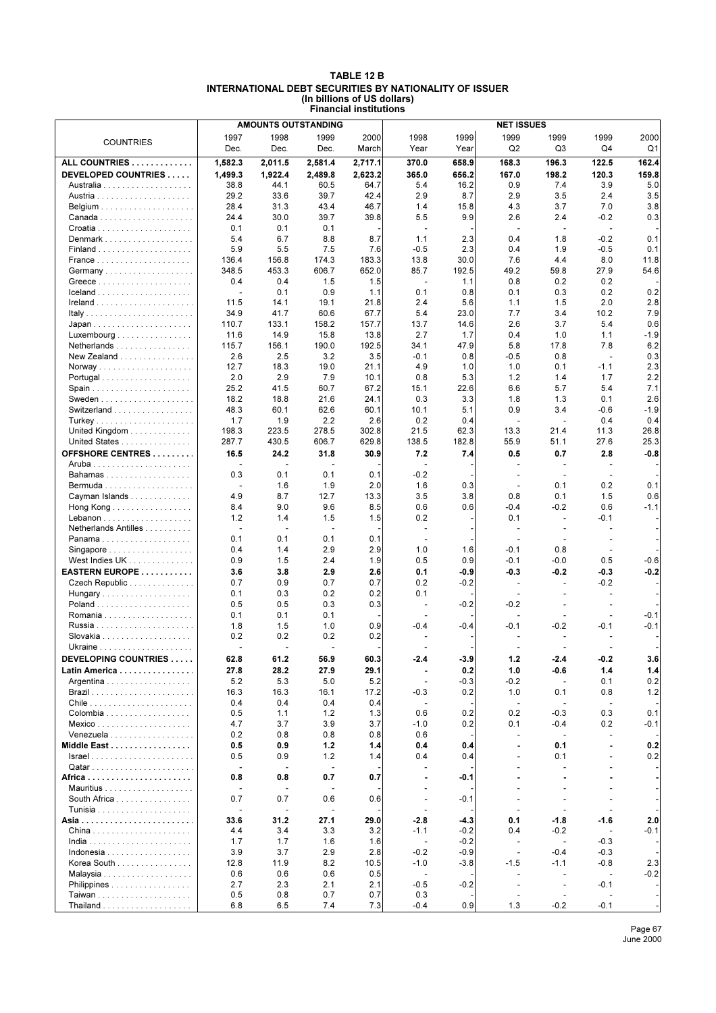### **TABLE 12 B INTERNATIONAL DEBT SECURITIES BY NATIONALITY OF ISSUER (In billions of US dollars) Financial institutions**

|                                                 | <b>AMOUNTS OUTSTANDING</b><br><b>NET ISSUES</b> |                |                          |             |                                                      |               |                          |                                  |                          |                  |
|-------------------------------------------------|-------------------------------------------------|----------------|--------------------------|-------------|------------------------------------------------------|---------------|--------------------------|----------------------------------|--------------------------|------------------|
| <b>COUNTRIES</b>                                | 1997                                            | 1998           | 1999                     | 2000        | 1998                                                 | 1999          | 1999                     | 1999                             | 1999                     | 2000             |
|                                                 | Dec.                                            | Dec.           | Dec.                     | March       | Year                                                 | Year          | Q2                       | Q3                               | Q4                       | Q1               |
| ALL COUNTRIES                                   | 1.582.3                                         | 2,011.5        | 2,581.4                  | 2,717.1     | 370.0                                                | 658.9         | 168.3                    | 196.3                            | 122.5                    | 162.4            |
| DEVELOPED COUNTRIES                             | 1,499.3                                         | 1,922.4        | 2,489.8                  | 2,623.2     | 365.0                                                | 656.2         | 167.0                    | 198.2                            | 120.3                    | 159.8            |
|                                                 | 38.8                                            | 44.1           | 60.5                     | 64.7        | 5.4                                                  | 16.2          | 0.9                      | 7.4                              | 3.9                      | 5.0              |
|                                                 | 29.2                                            | 33.6           | 39.7                     | 42.4        | 2.9                                                  | 8.7           | 2.9                      | 3.5                              | 2.4                      | 3.5              |
|                                                 | 28.4                                            | 31.3           | 43.4                     | 46.7        | 1.4                                                  | 15.8          | 4.3                      | 3.7                              | 7.0                      | 3.8              |
|                                                 | 24.4                                            | 30.0           | 39.7                     | 39.8        | 5.5                                                  | 9.9           | 2.6                      | 2.4                              | $-0.2$                   | 0.3              |
|                                                 | 0.1                                             | 0.1            | 0.1                      |             | $\overline{\phantom{a}}$                             |               | ÷,                       | $\overline{\phantom{a}}$         | ÷,                       |                  |
| Denmark                                         | 5.4                                             | 6.7            | 8.8                      | 8.7         | 1.1                                                  | 2.3           | 0.4                      | 1.8                              | $-0.2$                   | 0.1              |
|                                                 | 5.9                                             | 5.5            | 7.5                      | 7.6         | $-0.5$                                               | 2.3           | 0.4                      | 1.9                              | $-0.5$                   | 0.1              |
|                                                 | 136.4                                           | 156.8          | 174.3                    | 183.3       | 13.8                                                 | 30.0          | 7.6                      | 4.4                              | 8.0                      | 11.8             |
| Germany                                         | 348.5                                           | 453.3          | 606.7                    | 652.0       | 85.7                                                 | 192.5         | 49.2                     | 59.8                             | 27.9                     | 54.6             |
|                                                 | 0.4                                             | 0.4            | 1.5                      | 1.5         | $\overline{\phantom{a}}$                             | 1.1           | 0.8                      | 0.2                              | 0.2                      |                  |
| $lceland$                                       |                                                 | 0.1            | 0.9                      | 1.1         | 0.1                                                  | 0.8           | 0.1                      | 0.3                              | 0.2                      | 0.2              |
|                                                 | 11.5                                            | 14.1           | 19.1                     | 21.8        | 2.4                                                  | 5.6           | 1.1                      | 1.5                              | 2.0                      | 2.8              |
|                                                 | 34.9                                            | 41.7           | 60.6                     | 67.7        | 5.4                                                  | 23.0          | 7.7                      | 3.4                              | 10.2                     | 7.9              |
|                                                 | 110.7                                           | 133.1          | 158.2                    | 157.7       | 13.7                                                 | 14.6          | 2.6                      | 3.7                              | 5.4                      | 0.6              |
| Luxembourg $\ldots \ldots \ldots \ldots \ldots$ | 11.6                                            | 14.9           | 15.8                     | 13.8        | 2.7                                                  | 1.7           | 0.4                      | 1.0                              | 1.1                      | $-1.9$           |
| Netherlands                                     | 115.7                                           | 156.1          | 190.0                    | 192.5       | 34.1                                                 | 47.9          | 5.8                      | 17.8                             | 7.8                      | 6.2              |
| New Zealand $\ldots$ , $\ldots$ , $\ldots$      | 2.6<br>12.7                                     | 2.5<br>18.3    | 3.2<br>19.0              | 3.5<br>21.1 | $-0.1$<br>4.9                                        | 0.8<br>1.0    | $-0.5$<br>1.0            | 0.8<br>0.1                       | $\sim$<br>$-1.1$         | 0.3<br>2.3       |
|                                                 | 2.0                                             | 2.9            | 7.9                      | 10.1        | 0.8                                                  | 5.3           | 1.2                      | 1.4                              | 1.7                      | 2.2              |
| Portugal<br>Spain                               | 25.2                                            | 41.5           | 60.7                     | 67.2        | 15.1                                                 | 22.6          | 6.6                      | 5.7                              | 5.4                      | 7.1              |
|                                                 | 18.2                                            | 18.8           | 21.6                     | 24.1        | 0.3                                                  | 3.3           | 1.8                      | 1.3                              | 0.1                      | 2.6              |
| Switzerland                                     | 48.3                                            | 60.1           | 62.6                     | 60.1        | 10.1                                                 | 5.1           | 0.9                      | 3.4                              | $-0.6$                   | $-1.9$           |
|                                                 | 1.7                                             | 1.9            | 2.2                      | 2.6         | 0.2                                                  | 0.4           | L,                       | ÷,                               | 0.4                      | 0.4              |
| United Kingdom                                  | 198.3                                           | 223.5          | 278.5                    | 302.8       | 21.5                                                 | 62.3          | 13.3                     | 21.4                             | 11.3                     | 26.8             |
| United States                                   | 287.7                                           | 430.5          | 606.7                    | 629.8       | 138.5                                                | 182.8         | 55.9                     | 51.1                             | 27.6                     | 25.3             |
| OFFSHORE CENTRES                                | 16.5                                            | 24.2           | 31.8                     | 30.9        | 7.2                                                  | 7.4           | 0.5                      | 0.7                              | 2.8                      | $-0.8$           |
|                                                 |                                                 | ٠              |                          |             | $\blacksquare$                                       |               | $\blacksquare$           | $\blacksquare$                   | ٠                        |                  |
| Bahamas                                         | 0.3                                             | 0.1            | 0.1                      | 0.1         | $-0.2$                                               |               | $\overline{\phantom{a}}$ | $\overline{\phantom{a}}$         | $\overline{\phantom{a}}$ |                  |
|                                                 |                                                 | 1.6            | 1.9                      | 2.0         | 1.6                                                  | 0.3           | $\sim$                   | 0.1                              | 0.2                      | 0.1              |
| Cayman Islands                                  | 4.9                                             | 8.7            | 12.7                     | 13.3        | 3.5                                                  | 3.8           | 0.8                      | 0.1                              | 1.5                      | 0.6              |
| Hong Kong                                       | 8.4                                             | 9.0            | 9.6                      | 8.5         | 0.6                                                  | 0.6           | $-0.4$                   | $-0.2$                           | 0.6                      | $-1.1$           |
|                                                 | 1.2                                             | 1.4            | 1.5                      | 1.5         | 0.2                                                  |               | 0.1                      |                                  | $-0.1$                   |                  |
| Netherlands Antilles                            |                                                 | $\overline{a}$ | $\overline{\phantom{a}}$ |             |                                                      |               | $\overline{a}$           |                                  |                          |                  |
| Panama                                          | 0.1                                             | 0.1            | 0.1                      | 0.1         | $\overline{\phantom{a}}$                             |               | ÷,                       |                                  |                          |                  |
| Singapore                                       | 0.4                                             | 1.4            | 2.9                      | 2.9         | 1.0                                                  | 1.6           | $-0.1$                   | 0.8                              |                          |                  |
| West Indies UK                                  | 0.9                                             | 1.5            | 2.4                      | 1.9         | 0.5                                                  | 0.9           | $-0.1$                   | $-0.0$                           | 0.5                      | $-0.6$           |
| EASTERN EUROPE                                  | 3.6                                             | 3.8            | 2.9                      | 2.6         | 0.1                                                  | $-0.9$        | -0.3                     | $-0.2$                           | $-0.3$                   | $-0.2$           |
| Czech Republic                                  | 0.7                                             | 0.9            | 0.7                      | 0.7         | 0.2                                                  | $-0.2$        | $\sim$                   |                                  | $-0.2$                   |                  |
| Hungary                                         | 0.1                                             | 0.3            | 0.2                      | 0.2         | 0.1                                                  |               |                          |                                  | $\overline{\phantom{a}}$ |                  |
|                                                 | 0.5                                             | 0.5            | 0.3                      | 0.3         | L,                                                   | $-0.2$        | $-0.2$                   |                                  | ÷,                       |                  |
|                                                 | 0.1<br>1.8                                      | 0.1<br>1.5     | 0.1<br>1.0               | 0.9         | $-0.4$                                               | $-0.4$        | $-0.1$                   | $-0.2$                           | $-0.1$                   | $-0.1$<br>$-0.1$ |
|                                                 | 0.2                                             | 0.2            | 0.2                      | 0.2         |                                                      |               |                          |                                  |                          |                  |
|                                                 | $\blacksquare$                                  | ÷,             | $\overline{\phantom{a}}$ |             |                                                      |               |                          |                                  |                          |                  |
| DEVELOPING COUNTRIES                            | 62.8                                            | 61.2           | 56.9                     | 60.3        |                                                      |               | 1.2                      |                                  | $-0.2$                   | 3.6              |
|                                                 |                                                 |                |                          | 29.1        | -2.4                                                 | -3.9          |                          | -2.4                             |                          |                  |
| Latin America                                   | 27.8<br>5.2                                     | 28.2<br>5.3    | 27.9<br>5.0              | 5.2         | $\overline{\phantom{a}}$<br>$\overline{\phantom{a}}$ | 0.2<br>$-0.3$ | 1.0<br>$-0.2$            | -0.6<br>$\overline{\phantom{a}}$ | 1.4<br>0.1               | 1.4<br>0.2       |
| Argentina                                       | 16.3                                            | 16.3           | 16.1                     | 17.2        | $-0.3$                                               | 0.2           | 1.0                      | 0.1                              | 0.8                      | 1.2              |
|                                                 | 0.4                                             | 0.4            | 0.4                      | 0.4         | $\overline{\phantom{a}}$                             |               | $\overline{\phantom{a}}$ | $\overline{\phantom{a}}$         | $\overline{\phantom{a}}$ |                  |
|                                                 | 0.5                                             | 1.1            | 1.2                      | 1.3         | 0.6                                                  | 0.2           | 0.2                      | $-0.3$                           | 0.3                      | 0.1              |
|                                                 | 4.7                                             | 3.7            | 3.9                      | 3.7         | $-1.0$                                               | 0.2           | 0.1                      | $-0.4$                           | 0.2                      | $-0.1$           |
| Venezuela                                       | 0.2                                             | 0.8            | 0.8                      | 0.8         | 0.6                                                  |               | $\sim$                   | $\overline{\phantom{a}}$         | $\sim$                   |                  |
| Middle East                                     | 0.5                                             | 0.9            | 1.2                      | 1.4         | 0.4                                                  | 0.4           | $\overline{\phantom{a}}$ | 0.1                              | $\blacksquare$           | 0.2              |
|                                                 | 0.5                                             | 0.9            | 1.2                      | 1.4         | 0.4                                                  | 0.4           | $\overline{\phantom{a}}$ | 0.1                              | $\overline{\phantom{a}}$ | 0.2              |
|                                                 |                                                 | ÷,             | $\blacksquare$           |             |                                                      |               |                          |                                  |                          |                  |
|                                                 | 0.8                                             | 0.8            | 0.7                      | 0.7         |                                                      | -0.1          |                          |                                  |                          |                  |
|                                                 |                                                 | $\overline{a}$ |                          |             |                                                      |               |                          |                                  |                          |                  |
| South Africa                                    | 0.7                                             | 0.7            | 0.6                      | 0.6         | $\overline{\phantom{a}}$                             | $-0.1$        | ÷,                       |                                  | $\overline{a}$           |                  |
|                                                 |                                                 | $\overline{a}$ | $\overline{\phantom{a}}$ |             |                                                      |               |                          |                                  | $\overline{a}$           |                  |
|                                                 | 33.6                                            | 31.2           | 27.1                     | 29.0        | $-2.8$                                               | -4.3          | 0.1                      | $-1.8$                           | $-1.6$                   | 2.0              |
|                                                 | 4.4                                             | 3.4            | 3.3                      | 3.2         | $-1.1$                                               | $-0.2$        | 0.4                      | $-0.2$                           | $\overline{\phantom{a}}$ | $-0.1$           |
|                                                 | 1.7                                             | 1.7            | 1.6                      | 1.6         | $\overline{\phantom{a}}$                             | $-0.2$        |                          | $\overline{\phantom{a}}$         | $-0.3$                   |                  |
| Indonesia                                       | 3.9                                             | 3.7            | 2.9                      | 2.8         | $-0.2$                                               | $-0.9$        | ÷.                       | $-0.4$                           | $-0.3$                   |                  |
| Korea South                                     | 12.8                                            | 11.9           | 8.2                      | 10.5        | $-1.0$                                               | -3.8          | $-1.5$                   | $-1.1$                           | $-0.8$                   | 2.3              |
|                                                 | 0.6                                             | 0.6            | 0.6                      | 0.5         | $\overline{\phantom{a}}$                             |               | ÷.                       | ÷                                | ÷,                       | $-0.2$           |
| Philippines                                     | 2.7<br>0.5                                      | 2.3            | 2.1<br>0.7               | 2.1<br>0.7  | $-0.5$<br>0.3                                        | $-0.2$        |                          |                                  | $-0.1$                   |                  |
|                                                 | 6.8                                             | 0.8<br>6.5     | 7.4                      | 7.3         | $-0.4$                                               | 0.9           | 1.3                      | $-0.2$                           | $-0.1$                   |                  |
|                                                 |                                                 |                |                          |             |                                                      |               |                          |                                  |                          |                  |

Page 67 June 2000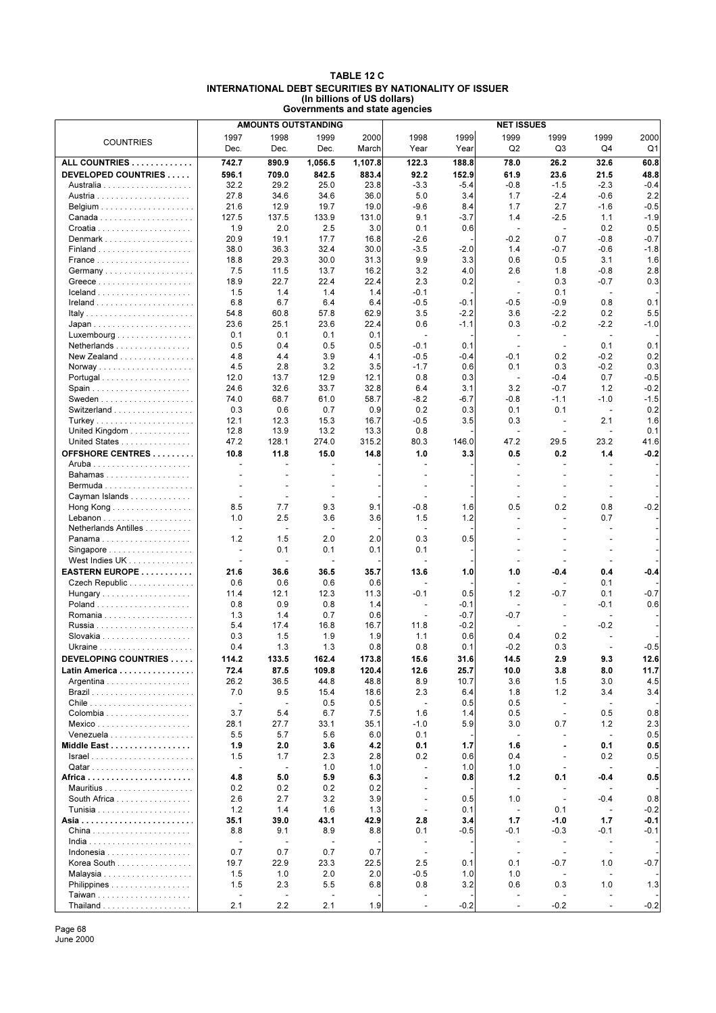### **TABLE 12 C INTERNATIONAL DEBT SECURITIES BY NATIONALITY OF ISSUER (In billions of US dollars) Governments and state agencies**

|                                              | <b>AMOUNTS OUTSTANDING</b> |                |                          |         | <b>NET ISSUES</b>        |        |                          |                          |                          |        |
|----------------------------------------------|----------------------------|----------------|--------------------------|---------|--------------------------|--------|--------------------------|--------------------------|--------------------------|--------|
|                                              | 1997                       | 1998           | 1999                     | 2000    | 1998                     | 1999   | 1999                     | 1999                     | 1999                     | 2000   |
| <b>COUNTRIES</b>                             | Dec.                       | Dec.           | Dec.                     | March   | Year                     | Year   | Q <sub>2</sub>           | Q3                       | Q4                       | Q1     |
| ALL COUNTRIES                                | 742.7                      | 890.9          | 1,056.5                  |         | 122.3                    | 188.8  | 78.0                     | 26.2                     | 32.6                     | 60.8   |
|                                              |                            |                |                          | 1,107.8 |                          |        |                          |                          |                          |        |
| DEVELOPED COUNTRIES                          | 596.1                      | 709.0          | 842.5                    | 883.4   | 92.2                     | 152.9  | 61.9                     | 23.6                     | 21.5                     | 48.8   |
|                                              | 32.2                       | 29.2           | 25.0                     | 23.8    | $-3.3$                   | $-5.4$ | $-0.8$                   | $-1.5$                   | $-2.3$                   | $-0.4$ |
|                                              | 27.8                       | 34.6           | 34.6                     | 36.0    | 5.0                      | 3.4    | 1.7                      | $-2.4$                   | $-0.6$                   | 2.2    |
|                                              | 21.6                       | 12.9           | 19.7                     | 19.0    | $-9.6$                   | 8.4    | 1.7                      | 2.7                      | $-1.6$                   | $-0.5$ |
|                                              | 127.5                      | 137.5          | 133.9                    | 131.0   | 9.1                      | $-3.7$ | 1.4                      | $-2.5$                   | 1.1                      | $-1.9$ |
|                                              | 1.9                        | 2.0            | 2.5                      | 3.0     | 0.1                      | 0.6    | $\overline{\phantom{a}}$ | $\overline{\phantom{a}}$ | 0.2                      | 0.5    |
| Denmark                                      | 20.9                       | 19.1           | 17.7                     | 16.8    | $-2.6$                   |        | $-0.2$                   | 0.7                      | $-0.8$                   | $-0.7$ |
|                                              | 38.0                       | 36.3           | 32.4                     | 30.0    | $-3.5$                   | $-2.0$ | 1.4                      | -0.7                     | $-0.6$                   | $-1.8$ |
|                                              | 18.8                       | 29.3           | 30.0                     | 31.3    | 9.9                      | 3.3    | 0.6                      | 0.5                      | 3.1                      | 1.6    |
| Germany                                      | 7.5                        | 11.5           | 13.7                     | 16.2    | 3.2                      | 4.0    | 2.6                      | 1.8                      | $-0.8$                   | 2.8    |
|                                              | 18.9                       | 22.7           | 22.4                     | 22.4    | 2.3                      | 0.2    | $\blacksquare$           | 0.3                      | $-0.7$                   | 0.3    |
|                                              | 1.5                        | 1.4            | 1.4                      | 1.4     | $-0.1$                   |        | $\sim$                   | 0.1                      | $\blacksquare$           |        |
|                                              | 6.8                        | 6.7            | 6.4                      | 6.4     | $-0.5$                   | $-0.1$ | $-0.5$                   | $-0.9$                   | 0.8                      | 0.1    |
|                                              | 54.8                       | 60.8           | 57.8                     | 62.9    | 3.5                      | $-2.2$ | 3.6                      | $-2.2$                   | 0.2                      | 5.5    |
|                                              | 23.6                       | 25.1           | 23.6                     | 22.4    | 0.6                      | $-1.1$ | 0.3                      | $-0.2$                   | $-2.2$                   | $-1.0$ |
| Luxembourg                                   | 0.1                        | 0.1            | 0.1                      | 0.1     | $\overline{\phantom{a}}$ |        | $\blacksquare$           | $\blacksquare$           | $\overline{\phantom{a}}$ |        |
| Netherlands                                  | 0.5                        | 0.4            | 0.5                      | 0.5     | $-0.1$                   | 0.1    | $\overline{\phantom{a}}$ | $\overline{\phantom{a}}$ | 0.1                      | 0.1    |
| New Zealand $\ldots$ , $\ldots$ , $\ldots$   | 4.8                        | 4.4            | 3.9                      | 4.1     | $-0.5$                   | $-0.4$ | $-0.1$                   | 0.2                      | $-0.2$                   | 0.2    |
|                                              | 4.5                        | 2.8            | 3.2                      | 3.5     | $-1.7$                   | 0.6    | 0.1                      | 0.3                      | $-0.2$                   | 0.3    |
| Portugal                                     | 12.0                       | 13.7           | 12.9                     | 12.1    | 0.8                      | 0.3    | $\sim$                   | $-0.4$                   | 0.7                      | $-0.5$ |
| Spain                                        | 24.6                       | 32.6           | 33.7                     | 32.8    | 6.4                      | 3.1    | 3.2                      | $-0.7$                   | 1.2                      | $-0.2$ |
|                                              | 74.0                       | 68.7           | 61.0                     | 58.7    | -8.2                     | $-6.7$ | $-0.8$                   | $-1.1$                   | $-1.0$                   | $-1.5$ |
| Switzerland                                  | 0.3                        | 0.6            | 0.7                      | 0.9     | 0.2                      | 0.3    | 0.1                      | 0.1                      | $\blacksquare$           | 0.2    |
|                                              | 12.1                       | 12.3           | 15.3                     | 16.7    | $-0.5$                   | 3.5    | 0.3                      | $\overline{a}$           | 2.1                      | 1.6    |
| United Kingdom $\ldots \ldots \ldots \ldots$ | 12.8                       | 13.9           | 13.2                     | 13.3    | 0.8                      |        | L,                       |                          | $\overline{a}$           | 0.1    |
| United States                                | 47.2                       | 128.1          | 274.0                    | 315.2   | 80.3                     | 146.0  | 47.2                     | 29.5                     | 23.2                     | 41.6   |
|                                              |                            |                |                          |         |                          |        |                          |                          |                          |        |
| <b>OFFSHORE CENTRES</b>                      | 10.8                       | 11.8           | 15.0                     | 14.8    | 1.0                      | 3.3    | 0.5                      | 0.2                      | 1.4                      | $-0.2$ |
|                                              |                            |                |                          |         | $\sim$                   |        | ÷.                       |                          | ÷                        |        |
| Bahamas                                      |                            |                |                          |         |                          |        | $\blacksquare$           |                          |                          |        |
|                                              |                            |                |                          |         |                          |        |                          |                          |                          |        |
| Cayman Islands                               |                            | ÷,             | $\blacksquare$           |         |                          |        | ÷,                       |                          | ٠                        |        |
| Hong Kong                                    | 8.5                        | 7.7            | 9.3                      | 9.1     | $-0.8$                   | 1.6    | 0.5                      | 0.2                      | 0.8                      | $-0.2$ |
|                                              | 1.0                        | 2.5            | 3.6                      | 3.6     | 1.5                      | 1.2    | L,                       |                          | 0.7                      |        |
| Netherlands Antilles                         |                            | $\overline{a}$ | $\overline{\phantom{a}}$ |         |                          |        |                          |                          |                          |        |
| Panama                                       | 1.2                        | 1.5            | 2.0                      | 2.0     | 0.3                      | 0.5    |                          |                          |                          |        |
| Singapore                                    | $\blacksquare$             | 0.1            | 0.1                      | 0.1     | 0.1                      |        |                          |                          |                          |        |
| West Indies UK                               | $\blacksquare$             |                |                          |         |                          |        | $\overline{a}$           |                          |                          |        |
| EASTERN EUROPE                               | 21.6                       | 36.6           | 36.5                     | 35.7    | 13.6                     | 1.0    | 1.0                      | -0.4                     | 0.4                      | -0.4   |
| Czech Republic                               | 0.6                        | 0.6            | 0.6                      | 0.6     |                          |        | ÷,                       |                          | 0.1                      |        |
| Hungary                                      | 11.4                       | 12.1           | 12.3                     | 11.3    | $-0.1$                   | 0.5    | 1.2                      | -0.7                     | 0.1                      | $-0.7$ |
|                                              | 0.8                        | 0.9            | 0.8                      | 1.4     | $\overline{\phantom{a}}$ | $-0.1$ | $\overline{a}$           |                          | $-0.1$                   | 0.6    |
|                                              | 1.3                        | 1.4            | 0.7                      | 0.6     |                          | $-0.7$ | $-0.7$                   |                          | $\overline{a}$           |        |
|                                              | 5.4                        | 17.4           | 16.8                     | 16.7    | 11.8                     | $-0.2$ | $\overline{\phantom{a}}$ |                          | $-0.2$                   |        |
|                                              | 0.3                        | 1.5            | 1.9                      | 1.9     | 1.1                      | 0.6    | 0.4                      | 0.2                      |                          |        |
|                                              | 0.4                        | 1.3            | 1.3                      | 0.8     | 0.8                      | 0.1    | $-0.2$                   | 0.3                      | ÷,                       | $-0.5$ |
|                                              |                            |                |                          |         |                          |        |                          |                          |                          |        |
| DEVELOPING COUNTRIES                         | 114.2                      | 133.5          | 162.4                    | 173.8   | 15.6                     | 31.6   | 14.5                     | 2.9                      | 9.3                      | 12.6   |
| Latin America                                | 72.4                       | 87.5           | 109.8                    | 120.4   | 12.6                     | 25.7   | 10.0                     | 3.8                      | 8.0                      | 11.7   |
| Argentina                                    | 26.2                       | 36.5           | 44.8                     | 48.8    | 8.9                      | 10.7   | 3.6                      | 1.5                      | 3.0                      | 4.5    |
|                                              | 7.0                        | 9.5            | 15.4                     | 18.6    | 2.3                      | 6.4    | 1.8                      | 1.2                      | 3.4                      | 3.4    |
|                                              | $\blacksquare$             | $\overline{a}$ | 0.5                      | 0.5     | $\blacksquare$           | 0.5    | 0.5                      | $\blacksquare$           | $\overline{\phantom{a}}$ |        |
| Colombia                                     | 3.7                        | 5.4            | 6.7                      | 7.5     | 1.6                      | 1.4    | 0.5                      | $\overline{\phantom{a}}$ | 0.5                      | 0.8    |
|                                              | 28.1                       | 27.7           | 33.1                     | 35.1    | $-1.0$                   | 5.9    | 3.0                      | 0.7                      | 1.2                      | 2.3    |
| Venezuela                                    | 5.5                        | 5.7            | 5.6                      | 6.0     | 0.1                      |        | $\overline{\phantom{a}}$ | $\overline{\phantom{a}}$ | $\overline{\phantom{a}}$ | 0.5    |
| Middle East                                  | 1.9                        | 2.0            | 3.6                      | 4.2     | 0.1                      | 1.7    | 1.6                      |                          | 0.1                      | 0.5    |
|                                              | 1.5                        | 1.7            | 2.3                      | 2.8     | 0.2                      | 0.6    | 0.4                      | $\overline{\phantom{a}}$ | 0.2                      | 0.5    |
|                                              |                            | ÷,             | 1.0                      | 1.0     | $\sim$                   | 1.0    | 1.0                      |                          | $\overline{\phantom{a}}$ |        |
|                                              | 4.8                        | 5.0            | 5.9                      | 6.3     | ä,                       | 0.8    | $1.2$                    | 0.1                      | -0.4                     | 0.5    |
|                                              | 0.2                        | 0.2            | 0.2                      | 0.2     | $\overline{\phantom{a}}$ |        | $\overline{\phantom{a}}$ |                          |                          |        |
| South Africa                                 | 2.6                        | 2.7            | 3.2                      | 3.9     | $\overline{\phantom{a}}$ | 0.5    | 1.0                      | $\overline{\phantom{a}}$ | $-0.4$                   | 0.8    |
|                                              | 1.2                        | 1.4            | 1.6                      | 1.3     | $\overline{\phantom{a}}$ | 0.1    | $\blacksquare$           | 0.1                      | $\blacksquare$           | $-0.2$ |
|                                              | 35.1                       | 39.0           | 43.1                     | 42.9    | 2.8                      | 3.4    | 1.7                      | -1.0                     | 1.7                      | $-0.1$ |
|                                              | 8.8                        | 9.1            | 8.9                      | 8.8     | 0.1                      | $-0.5$ | $-0.1$                   | $-0.3$                   | $-0.1$                   | $-0.1$ |
|                                              | ÷,                         | ÷,             | L,                       |         | ÷.                       |        | $\overline{\phantom{a}}$ |                          | ÷,                       |        |
| Indonesia                                    | 0.7                        | 0.7            | 0.7                      | 0.7     | $\overline{\phantom{a}}$ |        | $\overline{\phantom{a}}$ | $\overline{\phantom{a}}$ | $\blacksquare$           |        |
| Korea South                                  | 19.7                       | 22.9           | 23.3                     | 22.5    | 2.5                      | 0.1    | 0.1                      | -0.7                     | 1.0                      | $-0.7$ |
|                                              | 1.5                        | 1.0            | 2.0                      | 2.0     | $-0.5$                   | 1.0    | 1.0                      |                          | $\overline{a}$           |        |
| Philippines                                  | 1.5                        | 2.3            | 5.5                      | 6.8     | 0.8                      | 3.2    | 0.6                      | 0.3                      | 1.0                      | 1.3    |
|                                              | $\overline{\phantom{a}}$   | ÷,             | $\sim$                   |         | $\sim$                   |        | $\sim$                   |                          | ÷.                       |        |
|                                              |                            |                |                          |         |                          |        |                          |                          |                          |        |
|                                              | 2.1                        | 2.2            | 2.1                      | 1.9     | $\sim$                   | $-0.2$ | $\overline{\phantom{a}}$ | $-0.2$                   | $\overline{\phantom{a}}$ | $-0.2$ |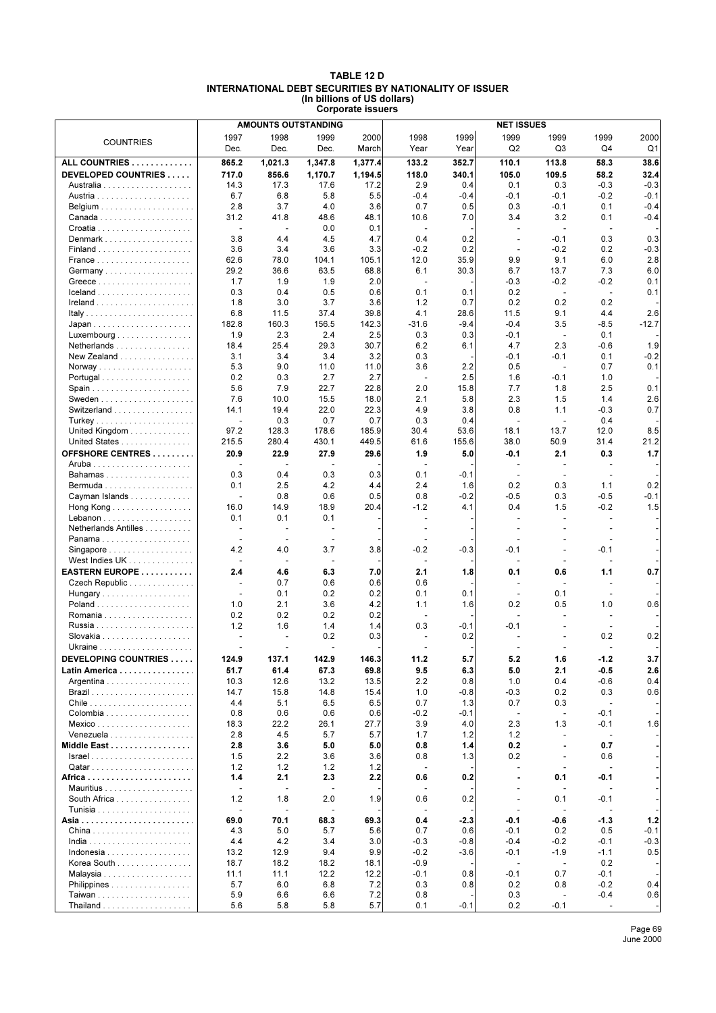### **TABLE 12 D INTERNATIONAL DEBT SECURITIES BY NATIONALITY OF ISSUER (In billions of US dollars) Corporate issuers**

|                                                   |                          | <b>AMOUNTS OUTSTANDING</b>       |                          | <b>NET ISSUES</b> |                          |                |                                 |                                 |                                 |                |
|---------------------------------------------------|--------------------------|----------------------------------|--------------------------|-------------------|--------------------------|----------------|---------------------------------|---------------------------------|---------------------------------|----------------|
| <b>COUNTRIES</b>                                  | 1997<br>Dec.             | 1998<br>Dec.                     | 1999<br>Dec.             | 2000<br>March     | 1998<br>Year             | 1999<br>Year   | 1999<br>Q <sub>2</sub>          | 1999<br>Q3                      | 1999<br>Q4                      | 2000<br>Q1     |
|                                                   |                          |                                  |                          |                   |                          |                |                                 |                                 |                                 |                |
| ALL COUNTRIES                                     | 865.2                    | 1,021.3                          | 1.347.8                  | 1.377.4           | 133.2                    | 352.7          | 110.1                           | 113.8                           | 58.3                            | 38.6           |
| DEVELOPED COUNTRIES                               | 717.0<br>14.3            | 856.6<br>17.3                    | 1,170.7<br>17.6          | 1,194.5<br>17.2   | 118.0<br>2.9             | 340.1<br>0.4   | 105.0<br>0.1                    | 109.5<br>0.3                    | 58.2<br>$-0.3$                  | 32.4<br>$-0.3$ |
|                                                   | 6.7                      | 6.8                              | 5.8                      | 5.5               | $-0.4$                   | $-0.4$         | $-0.1$                          | $-0.1$                          | $-0.2$                          | $-0.1$         |
|                                                   | 2.8                      | 3.7                              | 4.0                      | 3.6               | 0.7                      | 0.5            | 0.3                             | $-0.1$                          | 0.1                             | $-0.4$         |
|                                                   | 31.2                     | 41.8                             | 48.6                     | 48.1              | 10.6                     | 7.0            | 3.4                             | 3.2                             | 0.1                             | $-0.4$         |
|                                                   | $\overline{\phantom{a}}$ | $\overline{\phantom{a}}$         | 0.0                      | 0.1               | $\overline{\phantom{a}}$ |                |                                 | $\overline{\phantom{a}}$        | ÷,                              |                |
| Denmark                                           | 3.8                      | 4.4                              | 4.5                      | 4.7               | 0.4                      | 0.2            | ÷,                              | $-0.1$                          | 0.3                             | 0.3            |
| $Finaland$                                        | 3.6                      | 3.4                              | 3.6                      | 3.3               | $-0.2$                   | 0.2            | $\overline{\phantom{a}}$        | $-0.2$                          | 0.2                             | $-0.3$         |
|                                                   | 62.6                     | 78.0                             | 104.1                    | 105.1             | 12.0                     | 35.9           | 9.9                             | 9.1                             | 6.0                             | 2.8            |
| Germany                                           | 29.2                     | 36.6                             | 63.5                     | 68.8              | 6.1                      | 30.3           | 6.7                             | 13.7                            | 7.3                             | 6.0            |
|                                                   | 1.7                      | 1.9                              | 1.9                      | 2.0               | $\sim$                   |                | $-0.3$                          | $-0.2$                          | $-0.2$                          | 0.1            |
|                                                   | 0.3                      | 0.4                              | 0.5                      | 0.6               | 0.1                      | 0.1            | 0.2                             | $\overline{\phantom{a}}$        | $\overline{\phantom{a}}$        | 0.1            |
|                                                   | 1.8                      | 3.0                              | 3.7                      | 3.6               | 1.2<br>4.1               | 0.7            | 0.2                             | 0.2                             | 0.2                             |                |
| Italy                                             | 6.8<br>182.8             | 11.5<br>160.3                    | 37.4<br>156.5            | 39.8<br>142.3     | $-31.6$                  | 28.6<br>$-9.4$ | 11.5<br>$-0.4$                  | 9.1<br>3.5                      | 4.4<br>$-8.5$                   | 2.6<br>$-12.7$ |
| Luxembourg                                        | 1.9                      | 2.3                              | 2.4                      | 2.5               | 0.3                      | 0.3            | $-0.1$                          | $\blacksquare$                  | 0.1                             |                |
| Netherlands                                       | 18.4                     | 25.4                             | 29.3                     | 30.7              | 6.2                      | 6.1            | 4.7                             | 2.3                             | $-0.6$                          | 1.9            |
| New Zealand                                       | 3.1                      | 3.4                              | 3.4                      | 3.2               | 0.3                      |                | -0.1                            | $-0.1$                          | 0.1                             | $-0.2$         |
|                                                   | 5.3                      | 9.0                              | 11.0                     | 11.0              | 3.6                      | 2.2            | 0.5                             | $\overline{\phantom{a}}$        | 0.7                             | 0.1            |
| Portugal                                          | 0.2                      | 0.3                              | 2.7                      | 2.7               | $\overline{\phantom{a}}$ | 2.5            | 1.6                             | $-0.1$                          | 1.0                             |                |
|                                                   | 5.6                      | 7.9                              | 22.7                     | 22.8              | 2.0                      | 15.8           | 7.7                             | 1.8                             | 2.5                             | 0.1            |
|                                                   | 7.6                      | 10.0                             | 15.5                     | 18.0              | 2.1                      | 5.8            | 2.3                             | 1.5                             | 1.4                             | 2.6            |
| Switzerland                                       | 14.1                     | 19.4                             | 22.0                     | 22.3              | 4.9                      | 3.8            | 0.8                             | 1.1                             | $-0.3$                          | 0.7            |
| Turkey                                            |                          | 0.3                              | 0.7                      | 0.7               | 0.3                      | 0.4            | $\sim$                          | $\overline{\phantom{a}}$        | 0.4                             |                |
| United Kingdom                                    | 97.2                     | 128.3                            | 178.6                    | 185.9             | 30.4                     | 53.6           | 18.1                            | 13.7                            | 12.0                            | 8.5            |
| United States                                     | 215.5                    | 280.4                            | 430.1                    | 449.5             | 61.6                     | 155.6          | 38.0                            | 50.9                            | 31.4                            | 21.2           |
| OFFSHORE CENTRES                                  | 20.9<br>÷                | 22.9<br>$\overline{\phantom{a}}$ | 27.9<br>$\overline{a}$   | 29.6              | 1.9<br>$\blacksquare$    | 5.0            | -0.1<br>$\blacksquare$          | 2.1<br>$\overline{a}$           | 0.3<br>$\overline{\phantom{a}}$ | 1.7            |
| Bahamas                                           | 0.3                      | 0.4                              | 0.3                      | 0.3               | 0.1                      | $-0.1$         | $\overline{\phantom{a}}$        | $\overline{\phantom{a}}$        |                                 |                |
| Bermuda                                           | 0.1                      | 2.5                              | 4.2                      | 4.4               | 2.4                      | 1.6            | 0.2                             | 0.3                             | 1.1                             | 0.2            |
| Cayman Islands                                    | ÷,                       | 0.8                              | 0.6                      | 0.5               | 0.8                      | $-0.2$         | $-0.5$                          | 0.3                             | $-0.5$                          | $-0.1$         |
| Hong Kong                                         | 16.0                     | 14.9                             | 18.9                     | 20.4              | $-1.2$                   | 4.1            | 0.4                             | 1.5                             | $-0.2$                          | 1.5            |
|                                                   | 0.1                      | 0.1                              | 0.1                      |                   | $\overline{\phantom{a}}$ |                | ÷.                              |                                 | $\blacksquare$                  |                |
| Netherlands Antilles                              |                          | $\overline{\phantom{a}}$         | $\blacksquare$           |                   |                          |                |                                 |                                 |                                 |                |
| Panama                                            |                          | $\overline{\phantom{a}}$         | $\blacksquare$           |                   |                          |                |                                 |                                 |                                 |                |
| Singapore                                         | 4.2                      | 4.0                              | 3.7                      | 3.8               | $-0.2$                   | $-0.3$         | -0.1                            |                                 | -0.1                            |                |
| West Indies UK                                    |                          | $\overline{a}$                   |                          |                   |                          |                |                                 |                                 |                                 |                |
| EASTERN EUROPE<br>Czech Republic                  | 2.4<br>÷                 | 4.6<br>0.7                       | 6.3<br>0.6               | 7.0<br>0.6        | 2.1<br>0.6               | 1.8            | 0.1<br>$\blacksquare$           | 0.6                             | 1.1<br>$\blacksquare$           | 0.7            |
| Hungary                                           |                          | 0.1                              | 0.2                      | 0.2               | 0.1                      | 0.1            | $\overline{\phantom{a}}$        | 0.1                             | $\blacksquare$                  |                |
|                                                   | 1.0                      | 2.1                              | 3.6                      | 4.2               | 1.1                      | 1.6            | 0.2                             | 0.5                             | 1.0                             | 0.6            |
|                                                   | 0.2                      | 0.2                              | 0.2                      | 0.2               |                          |                |                                 |                                 | $\blacksquare$                  |                |
|                                                   | 1.2                      | 1.6                              | 1.4                      | 1.4               | 0.3                      | $-0.1$         | $-0.1$                          |                                 | $\overline{\phantom{a}}$        |                |
|                                                   |                          |                                  | 0.2                      | 0.3               |                          | 0.2            |                                 |                                 | 0.2                             | 0.2            |
|                                                   | ÷,                       | $\overline{\phantom{a}}$         | $\overline{\phantom{a}}$ |                   |                          |                |                                 |                                 | $\overline{a}$                  |                |
| DEVELOPING COUNTRIES                              | 124.9                    | 137.1                            | 142.9                    | 146.3             | 11.2                     | 5.7            | 5.2                             | 1.6                             | $-1.2$                          | 3.7            |
| Latin America                                     | 51.7                     | 61.4                             | 67.3                     | 69.8              | 9.5                      | 6.3            | 5.0                             | 2.1                             | $-0.5$                          | 2.6            |
| Argentina                                         | 10.3                     | 12.6                             | 13.2                     | 13.5              | 2.2                      | 0.8            | 1.0                             | 0.4                             | $-0.6$                          | 0.4            |
|                                                   | 14.7                     | 15.8                             | 14.8                     | 15.4              | 1.0                      | $-0.8$         | $-0.3$                          | 0.2                             | 0.3                             | 0.6            |
| Chile $\ldots \ldots \ldots \ldots \ldots \ldots$ | 4.4                      | 5.1                              | 6.5                      | 6.5               | 0.7                      | 1.3            | 0.7                             | 0.3                             | $\overline{a}$                  |                |
|                                                   | 0.8<br>18.3              | 0.6<br>22.2                      | 0.6<br>26.1              | 0.6<br>27.7       | $-0.2$<br>3.9            | $-0.1$<br>4.0  | $\overline{\phantom{a}}$<br>2.3 | $\overline{\phantom{a}}$<br>1.3 | $-0.1$<br>$-0.1$                | 1.6            |
| Venezuela $\ldots \ldots \ldots \ldots \ldots$    | 2.8                      | 4.5                              | 5.7                      | 5.7               | 1.7                      | 1.2            | 1.2                             | $\overline{\phantom{a}}$        | $\overline{\phantom{a}}$        |                |
| Middle East                                       | 2.8                      | 3.6                              | 5.0                      | 5.0               | 0.8                      | 1.4            | 0.2                             | $\blacksquare$                  | 0.7                             |                |
|                                                   | 1.5                      | 2.2                              | 3.6                      | 3.6               | 0.8                      | 1.3            | 0.2                             | $\overline{\phantom{a}}$        | 0.6                             |                |
| Qatar                                             | 1.2                      | 1.2                              | 1.2                      | 1.2               | $\overline{\phantom{a}}$ |                | $\sim$                          | $\blacksquare$                  | $\blacksquare$                  |                |
|                                                   | 1.4                      | 2.1                              | 2.3                      | 2.2               | 0.6                      | 0.2            | ä,                              | 0.1                             | -0.1                            |                |
|                                                   |                          | $\overline{\phantom{a}}$         | $\blacksquare$           |                   |                          |                |                                 | $\overline{\phantom{a}}$        |                                 |                |
| South Africa                                      | 1.2                      | 1.8                              | 2.0                      | 1.9               | 0.6                      | 0.2            | $\overline{\phantom{a}}$        | 0.1                             | $-0.1$                          |                |
|                                                   |                          | $\overline{a}$                   | $\overline{\phantom{a}}$ |                   |                          |                |                                 |                                 | $\overline{\phantom{a}}$        |                |
|                                                   | 69.0                     | 70.1                             | 68.3                     | 69.3              | 0.4                      | $-2.3$         | -0.1                            | -0.6                            | $-1.3$                          | $1.2$          |
|                                                   | 4.3                      | 5.0                              | 5.7                      | 5.6               | 0.7                      | 0.6            | $-0.1$                          | 0.2                             | 0.5                             | $-0.1$         |
|                                                   | 4.4                      | 4.2                              | 3.4                      | 3.0               | $-0.3$                   | $-0.8$         | $-0.4$                          | $-0.2$                          | $-0.1$                          | $-0.3$         |
| Indonesia<br>Korea South                          | 13.2<br>18.7             | 12.9<br>18.2                     | 9.4<br>18.2              | 9.9<br>18.1       | $-0.2$<br>$-0.9$         | $-3.6$         | $-0.1$<br>$\blacksquare$        | $-1.9$<br>$\blacksquare$        | $-1.1$<br>0.2                   | 0.5            |
|                                                   | 11.1                     | 11.1                             | 12.2                     | 12.2              | $-0.1$                   | 0.8            | $-0.1$                          | 0.7                             | $-0.1$                          |                |
| Philippines                                       | 5.7                      | 6.0                              | 6.8                      | 7.2               | 0.3                      | 0.8            | 0.2                             | 0.8                             | $-0.2$                          | 0.4            |
|                                                   | 5.9                      | 6.6                              | 6.6                      | 7.2               | 0.8                      |                | 0.3                             | $\overline{\phantom{a}}$        | $-0.4$                          | 0.6            |
| Thailand                                          | 5.6                      | 5.8                              | 5.8                      | 5.7               | 0.1                      | $-0.1$         | 0.2                             | $-0.1$                          | $\blacksquare$                  |                |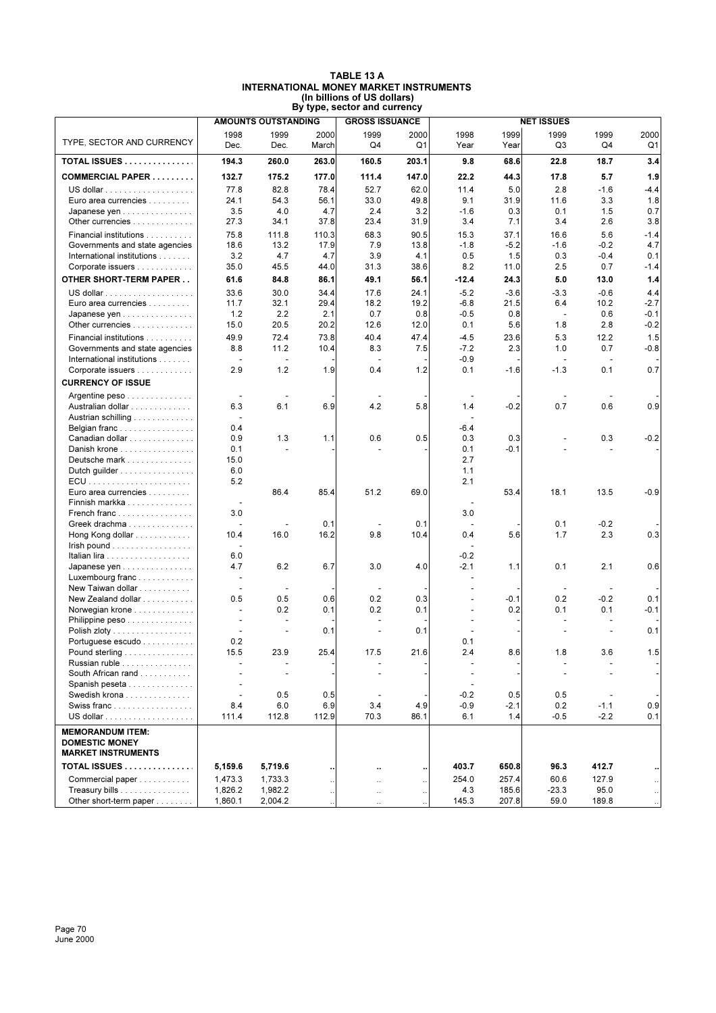| TABLE 13 A                                    |  |
|-----------------------------------------------|--|
| <b>INTERNATIONAL MONEY MARKET INSTRUMENTS</b> |  |
| (In billions of US dollars)                   |  |
| By type, sector and currency                  |  |
|                                               |  |

|                                                                               | <b>AMOUNTS OUTSTANDING</b> |                          |                      | <b>GROSS ISSUANCE</b>           |             | <b>NET ISSUES</b>        |              |                |                |                      |
|-------------------------------------------------------------------------------|----------------------------|--------------------------|----------------------|---------------------------------|-------------|--------------------------|--------------|----------------|----------------|----------------------|
| TYPE, SECTOR AND CURRENCY                                                     | 1998<br>Dec.               | 1999<br>Dec.             | 2000<br>March        | 1999<br>Q4                      | 2000<br>Q1  | 1998<br>Year             | 1999<br>Year | 1999<br>Q3     | 1999<br>Q4     | 2000<br>Q1           |
| <b>TOTAL ISSUES</b>                                                           | 194.3                      | 260.0                    | 263.0                | 160.5                           | 203.1       | 9.8                      | 68.6         | 22.8           | 18.7           | 3.4                  |
| <b>COMMERCIAL PAPER</b>                                                       | 132.7                      | 175.2                    | 177.0                | 111.4                           | 147.0       | 22.2                     | 44.3         | 17.8           | 5.7            | 1.9                  |
|                                                                               | 77.8                       | 82.8                     | 78.4                 | 52.7                            | 62.0        | 11.4                     | 5.0          | 2.8            | $-1.6$         | $-4.4$               |
| Euro area currencies                                                          | 24.1                       | 54.3                     | 56.1                 | 33.0                            | 49.8        | 9.1                      | 31.9         | 11.6           | 3.3            | 1.8                  |
| Japanese yen                                                                  | 3.5                        | 4.0                      | 4.7                  | 2.4                             | 3.2         | $-1.6$                   | 0.3          | 0.1            | 1.5            | 0.7                  |
| Other currencies                                                              | 27.3                       | 34.1                     | 37.8                 | 23.4                            | 31.9        | 3.4                      | 7.1          | 3.4            | 2.6            | 3.8                  |
| Financial institutions                                                        | 75.8                       | 111.8                    | 110.3                | 68.3                            | 90.5        | 15.3                     | 37.1         | 16.6           | 5.6            | $-1.4$               |
| Governments and state agencies                                                | 18.6                       | 13.2                     | 17.9                 | 7.9                             | 13.8        | $-1.8$                   | $-5.2$       | $-1.6$         | $-0.2$         | 4.7                  |
| International institutions                                                    | 3.2                        | 4.7                      | 4.7                  | 3.9                             | 4.1         | 0.5                      | 1.5          | 0.3            | $-0.4$         | 0.1                  |
| Corporate issuers                                                             | 35.0                       | 45.5                     | 44.0                 | 31.3                            | 38.6        | 8.2                      | 11.0         | 2.5            | 0.7            | $-1.4$               |
| <b>OTHER SHORT-TERM PAPER</b>                                                 | 61.6                       | 84.8                     | 86.1                 | 49.1                            | 56.1        | $-12.4$                  | 24.3         | 5.0            | 13.0           | 1.4                  |
|                                                                               | 33.6                       | 30.0                     | 34.4                 | 17.6                            | 24.1        | $-5.2$                   | $-3.6$       | $-3.3$         | $-0.6$         | 4.4                  |
| Euro area currencies                                                          | 11.7                       | 32.1                     | 29.4                 | 18.2                            | 19.2        | $-6.8$                   | 21.5         | 6.4            | 10.2           | $-2.7$               |
| Japanese yen                                                                  | 1.2                        | 2.2                      | 2.1                  | 0.7                             | 0.8         | $-0.5$                   | 0.8          | $\overline{a}$ | 0.6            | $-0.1$               |
| Other currencies                                                              | 15.0                       | 20.5                     | 20.2                 | 12.6                            | 12.0        | 0.1                      | 5.6          | 1.8            | 2.8            | $-0.2$               |
| Financial institutions                                                        | 49.9                       | 72.4                     | 73.8                 | 40.4                            | 47.4        | $-4.5$                   | 23.6         | 5.3            | 12.2           | 1.5                  |
| Governments and state agencies                                                | 8.8                        | 11.2                     | 10.4                 | 8.3                             | 7.5         | $-7.2$                   | 2.3          | 1.0            | 0.7            | $-0.8$               |
| International institutions                                                    |                            |                          |                      |                                 |             | $-0.9$                   |              |                |                |                      |
| Corporate issuers                                                             | 2.9                        | 1.2                      | 1.9                  | 0.4                             | 1.2         | 0.1                      | $-1.6$       | $-1.3$         | 0.1            | 0.7                  |
| <b>CURRENCY OF ISSUE</b><br>Argentine peso                                    | $\blacksquare$             | $\blacksquare$           |                      |                                 |             | $\overline{\phantom{a}}$ |              |                | ٠              |                      |
| Australian dollar                                                             | 6.3                        | 6.1                      | 6.9                  | 4.2                             | 5.8         | 1.4                      | $-0.2$       | 0.7            | 0.6            | 0.9                  |
| Austrian schilling                                                            |                            |                          |                      |                                 |             |                          |              |                |                |                      |
| Belgian franc                                                                 | 0.4                        |                          |                      |                                 |             | -6.4                     |              |                |                |                      |
| Canadian dollar                                                               | 0.9                        | 1.3                      | 1.1                  | 0.6                             | 0.5         | 0.3                      | 0.3          |                | 0.3            | $-0.2$               |
| Danish krone                                                                  | 0.1                        |                          |                      |                                 |             | 0.1                      | $-0.1$       |                |                |                      |
| Deutsche mark                                                                 | 15.0                       |                          |                      |                                 |             | 2.7                      |              |                |                |                      |
| Dutch guilder                                                                 | 6.0                        |                          |                      |                                 |             | 1.1                      |              |                |                |                      |
|                                                                               | 5.2                        |                          |                      |                                 |             | 2.1                      |              |                |                |                      |
| Euro area currencies                                                          |                            | 86.4                     | 85.4                 | 51.2                            | 69.0        |                          | 53.4         | 18.1           | 13.5           | $-0.9$               |
| Finnish markka                                                                |                            |                          |                      |                                 |             |                          |              |                |                |                      |
| French franc                                                                  | 3.0                        |                          |                      |                                 |             | 3.0                      |              |                |                |                      |
| Greek drachma                                                                 | 10.4                       | 16.0                     | 0.1<br>16.2          | $\overline{\phantom{a}}$<br>9.8 | 0.1<br>10.4 | $\blacksquare$<br>0.4    | 5.6          | 0.1<br>1.7     | $-0.2$<br>2.3  | 0.3                  |
| Hong Kong dollar<br>Irish pound                                               |                            |                          |                      |                                 |             |                          |              |                |                |                      |
|                                                                               | 6.0                        |                          |                      |                                 |             | $-0.2$                   |              |                |                |                      |
| Japanese yen                                                                  | 4.7                        | 6.2                      | 6.7                  | 3.0                             | 4.0         | $-2.1$                   | 1.1          | 0.1            | 2.1            | 0.6                  |
| Luxembourg franc                                                              |                            |                          |                      |                                 |             | L,                       |              |                |                |                      |
| New Taiwan dollar                                                             | ÷,                         | $\overline{\phantom{a}}$ |                      |                                 |             | ÷,                       |              |                |                |                      |
| New Zealand dollar                                                            | 0.5                        | 0.5                      | 0.6                  | 0.2                             | 0.3         | L.                       | $-0.1$       | 0.2            | $-0.2$         | 0.1                  |
| Norwegian krone                                                               | ÷,                         | 0.2                      | 0.1                  | 0.2                             | 0.1         | $\overline{a}$           | 0.2          | 0.1            | 0.1            | $-0.1$               |
| Philippine peso                                                               |                            | $\overline{a}$           |                      |                                 |             |                          |              |                |                |                      |
| Polish zloty                                                                  | ÷,                         | ÷,                       | 0.1                  |                                 | 0.1         |                          |              |                | $\overline{a}$ | 0.1                  |
| Portuguese escudo                                                             | 0.2                        |                          |                      |                                 |             | 0.1                      |              |                |                |                      |
| Pound sterling                                                                | 15.5                       | 23.9                     | 25.4                 | 17.5                            | 21.6        | 2.4                      | 8.6          | 1.8            | 3.6            | 1.5                  |
| Russian ruble<br>South African rand                                           |                            |                          |                      |                                 |             | $\blacksquare$           |              |                |                |                      |
| Spanish peseta                                                                |                            |                          |                      |                                 |             |                          |              |                |                |                      |
| Swedish krona                                                                 |                            | 0.5                      | 0.5                  | $\overline{\phantom{a}}$        |             | $-0.2$                   | 0.5          | 0.5            | $\sim$         |                      |
| Swiss franc                                                                   | 8.4                        | 6.0                      | 6.9                  | 3.4                             | 4.9         | $-0.9$                   | $-2.1$       | 0.2            | $-1.1$         | 0.9                  |
|                                                                               | 111.4                      | 112.8                    | 112.9                | 70.3                            | 86.1        | 6.1                      | 1.4          | $-0.5$         | $-2.2$         | 0.1                  |
| <b>MEMORANDUM ITEM:</b><br><b>DOMESTIC MONEY</b><br><b>MARKET INSTRUMENTS</b> |                            |                          |                      |                                 |             |                          |              |                |                |                      |
| TOTAL ISSUES                                                                  | 5,159.6                    | 5,719.6                  | $\ddot{\phantom{0}}$ | $\ddot{\phantom{1}}$            | ٠.          | 403.7                    | 650.8        | 96.3           | 412.7          | $\ddot{\phantom{0}}$ |
| Commercial paper                                                              | 1,473.3                    | 1,733.3                  | $\ddot{\phantom{0}}$ |                                 |             | 254.0                    | 257.4        | 60.6           | 127.9          |                      |
| Treasury bills                                                                | 1,826.2                    | 1,982.2                  | $\ddotsc$            | $\ddot{\phantom{a}}$            |             | 4.3                      | 185.6        | $-23.3$        | 95.0           |                      |
| Other short-term paper                                                        | 1,860.1                    | 2,004.2                  | $\ddotsc$            | $\ldots$                        |             | 145.3                    | 207.8        | 59.0           | 189.8          |                      |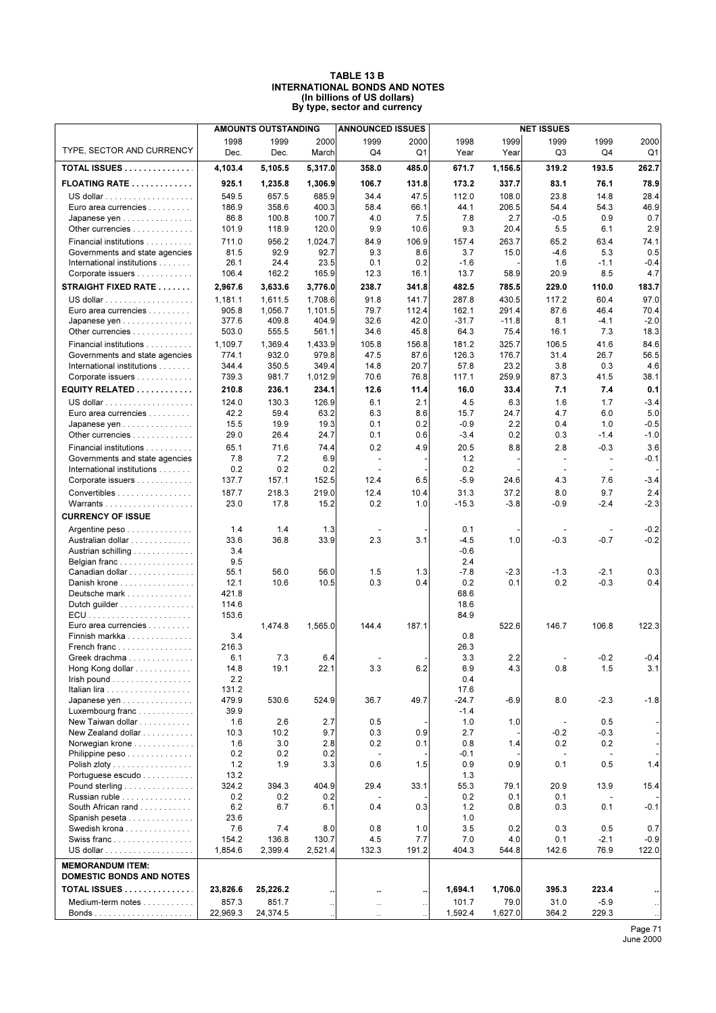#### **TABLE 13 B INTERNATIONAL BONDS AND NOTES (In billions of US dollars) By type, sector and currency**

|                                                     |                   | <b>AMOUNTS OUTSTANDING</b> |                      | <b>ANNOUNCED ISSUES</b>         |                      | <b>NET ISSUES</b> |                 |                          |                                 |               |  |
|-----------------------------------------------------|-------------------|----------------------------|----------------------|---------------------------------|----------------------|-------------------|-----------------|--------------------------|---------------------------------|---------------|--|
|                                                     | 1998              | 1999                       | 2000                 | 1999                            | 2000                 | 1998              | 1999            | 1999                     | 1999                            | 2000          |  |
| TYPE, SECTOR AND CURRENCY                           | Dec.              | Dec.                       | March                | Q4                              | Q1                   | Year              | Year            | Q3                       | Q4                              | Q1            |  |
| TOTAL ISSUES                                        | 4,103.4           | 5.105.5                    | 5,317.0              | 358.0                           | 485.0                | 671.7             | 1,156.5         | 319.2                    | 193.5                           | 262.7         |  |
| <b>FLOATING RATE </b>                               | 925.1             | 1,235.8                    | 1,306.9              | 106.7                           | 131.8                | 173.2             | 337.7           | 83.1                     | 76.1                            | 78.9          |  |
|                                                     | 549.5             | 657.5                      | 685.9                | 34.4                            | 47.5                 | 112.0             | 108.0           | 23.8                     | 14.8                            | 28.4          |  |
| Euro area currencies                                | 186.9             | 358.6                      | 400.3                | 58.4                            | 66.1                 | 44.1              | 206.5           | 54.4                     | 54.3                            | 46.9          |  |
| Japanese yen                                        | 86.8              | 100.8                      | 100.7                | 4.0                             | 7.5                  | 7.8               | 2.7             | $-0.5$                   | 0.9                             | 0.7           |  |
| Other currencies                                    | 101.9             | 118.9                      | 120.0                | 9.9                             | 10.6                 | 9.3               | 20.4            | 5.5                      | 6.1                             | 2.9           |  |
| Financial institutions                              | 711.0             | 956.2                      | 1,024.7              | 84.9                            | 106.9                | 157.4             | 263.7           | 65.2                     | 63.4                            | 74.1          |  |
| Governments and state agencies                      | 81.5              | 92.9                       | 92.7                 | 9.3                             | 8.6                  | 3.7               | 15.0            | $-4.6$                   | 5.3                             | 0.5           |  |
| International institutions                          | 26.1              | 24.4                       | 23.5                 | 0.1                             | 0.2                  | $-1.6$            |                 | 1.6                      | $-1.1$                          | $-0.4$        |  |
| Corporate issuers                                   | 106.4             | 162.2                      | 165.9                | 12.3                            | 16.1                 | 13.7              | 58.9            | 20.9                     | 8.5                             | 4.7           |  |
| <b>STRAIGHT FIXED RATE </b>                         | 2,967.6           | 3,633.6                    | 3,776.0              | 238.7                           | 341.8                | 482.5             | 785.5           | 229.0                    | 110.0                           | 183.7         |  |
|                                                     | 1,181.1           | 1,611.5                    | 1,708.6              | 91.8                            | 141.7                | 287.8             | 430.5           | 117.2                    | 60.4                            | 97.0          |  |
| Euro area currencies                                | 905.8             | 1,056.7                    | 1,101.5              | 79.7                            | 112.4                | 162.1             | 291.4           | 87.6                     | 46.4                            | 70.4          |  |
| Japanese yen                                        | 377.6             | 409.8                      | 404.9                | 32.6                            | 42.0                 | $-31.7$           | $-11.8$         | 8.1                      | $-4.1$                          | $-2.0$        |  |
| Other currencies                                    | 503.0             | 555.5                      | 561.1                | 34.6                            | 45.8                 | 64.3              | 75.4            | 16.1                     | 7.3                             | 18.3          |  |
| Financial institutions                              | 1,109.7           | 1,369.4                    | 1,433.9              | 105.8                           | 156.8                | 181.2             | 325.7           | 106.5                    | 41.6                            | 84.6          |  |
| Governments and state agencies                      | 774.1             | 932.0                      | 979.8                | 47.5                            | 87.6                 | 126.3             | 176.7           | 31.4                     | 26.7                            | 56.5          |  |
| International institutions                          | 344.4             | 350.5                      | 349.4                | 14.8                            | 20.7                 | 57.8              | 23.2            | 3.8                      | 0.3                             | 4.6           |  |
| Corporate issuers                                   | 739.3             | 981.7                      | 1,012.9              | 70.6                            | 76.8                 | 117.1             | 259.9           | 87.3                     | 41.5                            | 38.1          |  |
| EQUITY RELATED $\ldots \ldots \ldots$               | 210.8             | 236.1                      | 234.1                | 12.6                            | 11.4                 | 16.0              | 33.4            | 7.1                      | 7.4                             | 0.1           |  |
|                                                     | 124.0             | 130.3                      | 126.9                | 6.1                             | 2.1                  | 4.5               | 6.3             | 1.6                      | 1.7                             | $-3.4$        |  |
| Euro area currencies                                | 42.2              | 59.4                       | 63.2                 | 6.3                             | 8.6                  | 15.7              | 24.7            | 4.7                      | 6.0                             | 5.0           |  |
| Japanese yen                                        | 15.5              | 19.9                       | 19.3                 | 0.1                             | 0.2                  | $-0.9$            | 2.2             | 0.4                      | 1.0                             | $-0.5$        |  |
| Other currencies                                    | 29.0              | 26.4                       | 24.7                 | 0.1                             | 0.6                  | $-3.4$            | 0.2             | 0.3                      | $-1.4$                          | $-1.0$        |  |
| Financial institutions                              | 65.1              | 71.6                       | 74.4                 | 0.2                             | 4.9                  | 20.5              | 8.8             | 2.8                      | $-0.3$                          | 3.6           |  |
| Governments and state agencies                      | 7.8               | 7.2                        | 6.9                  | $\overline{\phantom{a}}$        |                      | 1.2               |                 | $\sim$                   | $\overline{\phantom{a}}$        | $-0.1$        |  |
| International institutions                          | 0.2               | 0.2                        | 0.2                  | $\overline{\phantom{a}}$        |                      | 0.2               |                 |                          | $\overline{\phantom{a}}$        |               |  |
| Corporate issuers                                   | 137.7             | 157.1                      | 152.5                | 12.4                            | 6.5                  | $-5.9$            | 24.6            | 4.3                      | 7.6                             | $-3.4$        |  |
| Convertibles                                        | 187.7<br>23.0     | 218.3<br>17.8              | 219.0<br>15.2        | 12.4<br>0.2                     | 10.4<br>1.0          | 31.3<br>$-15.3$   | 37.2<br>$-3.8$  | 8.0<br>$-0.9$            | 9.7<br>$-2.4$                   | 2.4<br>$-2.3$ |  |
| <b>CURRENCY OF ISSUE</b>                            |                   |                            |                      |                                 |                      |                   |                 |                          |                                 |               |  |
|                                                     | 1.4               | 1.4                        | 1.3                  | $\overline{\phantom{a}}$        |                      | 0.1               |                 | $\blacksquare$           | $\overline{\phantom{a}}$        | $-0.2$        |  |
| Argentine peso<br>Australian dollar                 | 33.6              | 36.8                       | 33.9                 | 2.3                             | 3.1                  | $-4.5$            | 1.0             | $-0.3$                   | $-0.7$                          | $-0.2$        |  |
| Austrian schilling                                  | 3.4               |                            |                      |                                 |                      | $-0.6$            |                 |                          |                                 |               |  |
| Belgian franc                                       | 9.5               |                            |                      |                                 |                      | 2.4               |                 |                          |                                 |               |  |
| Canadian dollar                                     | 55.1              | 56.0                       | 56.0                 | 1.5                             | 1.3                  | $-7.8$            | $-2.3$          | $-1.3$                   | $-2.1$                          | 0.3           |  |
| Danish krone                                        | 12.1              | 10.6                       | 10.5                 | 0.3                             | 0.4                  | 0.2               | 0.1             | 0.2                      | $-0.3$                          | 0.4           |  |
| Deutsche mark                                       | 421.8             |                            |                      |                                 |                      | 68.6              |                 |                          |                                 |               |  |
| Dutch guilder                                       | 114.6             |                            |                      |                                 |                      | 18.6              |                 |                          |                                 |               |  |
|                                                     | 153.6             |                            |                      |                                 |                      | 84.9              |                 |                          |                                 |               |  |
| Euro area currencies                                |                   | 1,474.8                    | 1.565.0              | 144.4                           | 187.1                |                   | 522.6           | 146.7                    | 106.8                           | 122.3         |  |
| Finnish markka                                      | 3.4               |                            |                      |                                 |                      | 0.8               |                 |                          |                                 |               |  |
| French franc                                        | 216.3<br>6.1      | 7.3                        | 6.4                  |                                 |                      | 26.3<br>3.3       | 2.2             |                          | $-0.2$                          | $-0.4$        |  |
| Greek drachma<br>Hong Kong dollar                   | 14.8              | 19.1                       | 22.1                 | 3.3                             | 6.2                  | 6.9               | 4.3             | 0.8                      | 1.5                             | 3.1           |  |
| $l$ rish pound $\ldots \ldots \ldots \ldots \ldots$ | 2.2               |                            |                      |                                 |                      | 0.4               |                 |                          |                                 |               |  |
|                                                     | 131.2             |                            |                      |                                 |                      | 17.6              |                 |                          |                                 |               |  |
| Japanese yen                                        | 479.9             | 530.6                      | 524.9                | 36.7                            | 49.7                 | $-24.7$           | $-6.9$          | 8.0                      | $-2.3$                          | $-1.8$        |  |
| Luxembourg franc                                    | 39.9              |                            |                      |                                 |                      | $-1.4$            |                 |                          |                                 |               |  |
| New Taiwan dollar                                   | 1.6               | 2.6                        | 2.7                  | 0.5                             |                      | 1.0               | 1.0             | $\overline{\phantom{a}}$ | 0.5                             |               |  |
| New Zealand dollar                                  | 10.3              | 10.2                       | 9.7                  | 0.3                             | 0.9                  | 2.7               |                 | $-0.2$                   | -0.3                            |               |  |
| Norwegian krone                                     | 1.6               | 3.0                        | 2.8                  | 0.2                             | 0.1                  | 0.8               | 1.4             | 0.2                      | 0.2                             |               |  |
| Philippine peso                                     | 0.2<br>1.2        | 0.2<br>1.9                 | 0.2<br>3.3           | $\overline{\phantom{a}}$<br>0.6 | 1.5                  | $-0.1$<br>0.9     | 0.9             | $\sim$<br>0.1            | $\overline{\phantom{a}}$<br>0.5 | 1.4           |  |
| Polish zloty<br>Portuguese escudo                   | 13.2              |                            |                      |                                 |                      | 1.3               |                 |                          |                                 |               |  |
| Pound sterling                                      | 324.2             | 394.3                      | 404.9                | 29.4                            | 33.1                 | 55.3              | 79.1            | 20.9                     | 13.9                            | 15.4          |  |
| Russian ruble                                       | 0.2               | 0.2                        | 0.2                  |                                 |                      | 0.2               | 0.1             | 0.1                      |                                 |               |  |
| South African rand                                  | 6.2               | 6.7                        | 6.1                  | 0.4                             | 0.3                  | 1.2               | 0.8             | 0.3                      | 0.1                             | $-0.1$        |  |
| Spanish peseta                                      | 23.6              |                            |                      |                                 |                      | 1.0               |                 |                          |                                 |               |  |
| Swedish krona                                       | 7.6               | 7.4                        | 8.0                  | 0.8                             | 1.0                  | 3.5               | 0.2             | 0.3                      | 0.5                             | 0.7           |  |
| Swiss franc                                         | 154.2             | 136.8                      | 130.7                | 4.5                             | 7.7                  | 7.0               | 4.0             | 0.1                      | $-2.1$                          | $-0.9$        |  |
|                                                     | 1,854.6           | 2,399.4                    | 2,521.4              | 132.3                           | 191.2                | 404.3             | 544.8           | 142.6                    | 76.9                            | 122.0         |  |
| <b>MEMORANDUM ITEM:</b>                             |                   |                            |                      |                                 |                      |                   |                 |                          |                                 |               |  |
| <b>DOMESTIC BONDS AND NOTES</b>                     |                   |                            |                      |                                 |                      |                   |                 |                          |                                 |               |  |
| TOTAL ISSUES                                        | 23,826.6          | 25,226.2                   |                      | Ω.                              | ٠.                   | 1,694.1           | 1,706.0         | 395.3                    | 223.4                           |               |  |
| Medium-term notes                                   | 857.3<br>22,969.3 | 851.7<br>24,374.5          | $\ddot{\phantom{0}}$ | $\ddotsc$                       | $\ddot{\phantom{0}}$ | 101.7<br>1,592.4  | 79.0<br>1,627.0 | 31.0<br>364.2            | $-5.9$<br>229.3                 |               |  |
|                                                     |                   |                            |                      |                                 |                      |                   |                 |                          |                                 |               |  |

Page 71 June 2000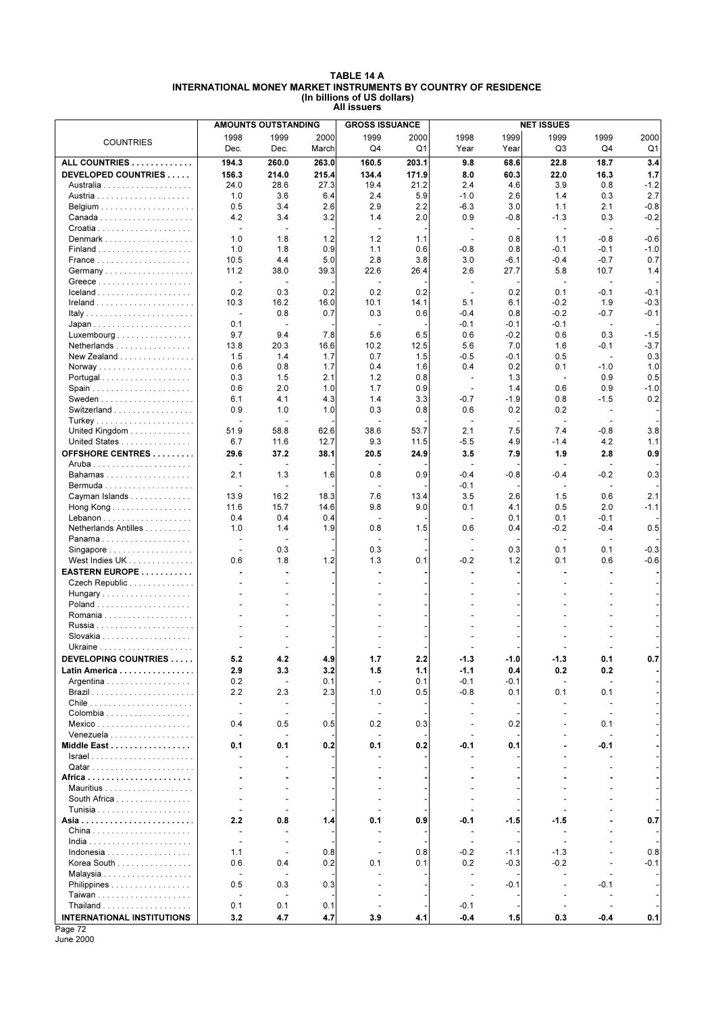#### **TABLE 14 A INTERNATIONAL MONEY MARKET INSTRUMENTS BY COUNTRY OF RESIDENCE (In billions of US dollars) All issuers**

|                                                  |                                                      | <b>AMOUNTS OUTSTANDING</b> |             | <b>GROSS ISSUANCE</b>          |             | <b>NET ISSUES</b>                                    |               |                       |                          |                  |  |  |
|--------------------------------------------------|------------------------------------------------------|----------------------------|-------------|--------------------------------|-------------|------------------------------------------------------|---------------|-----------------------|--------------------------|------------------|--|--|
| <b>COUNTRIES</b>                                 | 1998                                                 | 1999                       | 2000        | 1999                           | 2000        | 1998                                                 | 1999          | 1999                  | 1999                     | 2000             |  |  |
|                                                  | Dec.                                                 | Dec.                       | March       | Q4                             | Q1          | Year                                                 | Year          | Q3                    | Q4                       | Q1               |  |  |
| ALL COUNTRIES                                    | 194.3                                                | 260.0                      | 263.0       | 160.5                          | 203.1       | 9.8                                                  | 68.6          | 22.8                  | 18.7                     | 3.4              |  |  |
| DEVELOPED COUNTRIES                              | 156.3                                                | 214.0                      | 215.4       | 134.4                          | 171.9       | 8.0                                                  | 60.3          | 22.0                  | 16.3                     | 1.7              |  |  |
|                                                  | 24.0                                                 | 28.6                       | 27.3        | 19.4                           | 21.2        | 2.4                                                  | 4.6           | 3.9                   | 0.8                      | $-1.2$           |  |  |
|                                                  | 1.0                                                  | 3.6                        | 6.4         | 2.4                            | 5.9         | $-1.0$                                               | 2.6           | 1.4                   | 0.3                      | 2.7              |  |  |
|                                                  | 0.5                                                  | 3.4                        | 2.6         | 2.9                            | 2.2         | $-6.3$                                               | 3.0           | 1.1                   | 2.1                      | $-0.8$           |  |  |
|                                                  | 4.2                                                  | 3.4                        | 3.2         | 1.4                            | 2.0         | 0.9                                                  | $-0.8$        | $-1.3$                | 0.3                      | $-0.2$           |  |  |
|                                                  | $\blacksquare$                                       |                            |             | $\sim$                         |             |                                                      |               | ÷,                    | $\overline{a}$           |                  |  |  |
| Denmark                                          | 1.0                                                  | 1.8                        | 1.2         | 1.2                            | 1.1         | $\overline{\phantom{a}}$                             | 0.8           | 1.1                   | $-0.8$                   | $-0.6$           |  |  |
|                                                  | 1.0                                                  | 1.8                        | 0.9         | 1.1                            | 0.6         | $-0.8$                                               | 0.8           | $-0.1$                | $-0.1$                   | $-1.0$           |  |  |
|                                                  | 10.5                                                 | 4.4                        | 5.0         | 2.8                            | 3.8         | 3.0                                                  | $-6.1$        | $-0.4$                | $-0.7$                   | 0.7              |  |  |
|                                                  | 11.2                                                 | 38.0                       | 39.3        | 22.6                           | 26.4        | 2.6                                                  | 27.7          | 5.8                   | 10.7                     | 1.4              |  |  |
|                                                  | ÷,                                                   |                            |             | ÷,                             |             | $\overline{\phantom{a}}$                             |               | ÷,                    | $\overline{\phantom{a}}$ |                  |  |  |
|                                                  | 0.2                                                  | 0.3                        | 0.2         | 0.2                            | 0.2         | $\blacksquare$                                       | 0.2           | 0.1                   | $-0.1$                   | $-0.1$           |  |  |
|                                                  | 10.3                                                 | 16.2<br>0.8                | 16.0<br>0.7 | 10.1<br>0.3                    | 14.1<br>0.6 | 5.1<br>$-0.4$                                        | 6.1           | $-0.2$<br>$-0.2$      | 1.9<br>$-0.7$            | $-0.3$<br>$-0.1$ |  |  |
|                                                  | $\overline{\phantom{a}}$<br>0.1                      | $\overline{\phantom{a}}$   |             | ÷,                             |             | $-0.1$                                               | 0.8<br>-0.1   | $-0.1$                | $\overline{\phantom{a}}$ |                  |  |  |
| $Luxembourg \dots \dots \dots \dots \dots \dots$ | 9.7                                                  | 9.4                        | 7.8         | 5.6                            | 6.5         | 0.6                                                  | $-0.2$        | 0.6                   | 0.3                      | $-1.5$           |  |  |
| Netherlands                                      | 13.8                                                 | 20.3                       | 16.6        | 10.2                           | 12.5        | 5.6                                                  | 7.0           | 1.6                   | $-0.1$                   | $-3.7$           |  |  |
| New Zealand                                      | 1.5                                                  | 1.4                        | 1.7         | 0.7                            | 1.5         | $-0.5$                                               | -0.1          | 0.5                   | $\sim$                   | 0.3              |  |  |
|                                                  | 0.6                                                  | 0.8                        | 1.7         | 0.4                            | 1.6         | 0.4                                                  | 0.2           | 0.1                   | $-1.0$                   | 1.0              |  |  |
| Portugal                                         | 0.3                                                  | 1.5                        | 2.1         | 1.2                            | 0.8         | $\overline{\phantom{a}}$                             | 1.3           | $\blacksquare$        | 0.9                      | 0.5              |  |  |
| Spain                                            | 0.6                                                  | 2.0                        | 1.0         | 1.7                            | 0.9         | $\sim$                                               | 1.4           | 0.6                   | 0.9                      | $-1.0$           |  |  |
|                                                  | 6.1                                                  | 4.1                        | 4.3         | 1.4                            | 3.3         | $-0.7$                                               | $-1.9$        | 0.8                   | $-1.5$                   | 0.2              |  |  |
| Switzerland                                      | 0.9                                                  | 1.0                        | 1.0         | 0.3                            | 0.8         | 0.6                                                  | 0.2           | 0.2                   | $\overline{\phantom{a}}$ |                  |  |  |
|                                                  |                                                      |                            |             |                                |             |                                                      |               |                       |                          |                  |  |  |
| United Kingdom                                   | 51.9                                                 | 58.8                       | 62.6        | 38.6                           | 53.7        | 2.1                                                  | 7.5           | 7.4                   | $-0.8$                   | 3.8              |  |  |
| United States                                    | 6.7                                                  | 11.6                       | 12.7        | 9.3                            | 11.5        | $-5.5$                                               | 4.9           | $-1.4$                | 4.2                      | 1.1              |  |  |
| OFFSHORE CENTRES                                 | 29.6                                                 | 37.2                       | 38.1        | 20.5                           | 24.9        | 3.5                                                  | 7.9           | 1.9                   | 2.8                      | 0.9              |  |  |
|                                                  |                                                      | $\overline{\phantom{a}}$   |             |                                |             | $\overline{\phantom{a}}$                             |               |                       | ٠                        |                  |  |  |
| Bahamas                                          | 2.1                                                  | 1.3                        | 1.6         | 0.8                            | 0.9         | $-0.4$                                               | $-0.8$        | $-0.4$                | $-0.2$                   | 0.3              |  |  |
|                                                  | 13.9                                                 | 16.2                       | 18.3        | 7.6                            | 13.4        | $-0.1$<br>3.5                                        | 2.6           | $\overline{a}$<br>1.5 | 0.6                      | 2.1              |  |  |
| Cayman Islands<br>Hong Kong                      | 11.6                                                 | 15.7                       | 14.6        | 9.8                            | 9.0         | 0.1                                                  | 4.1           | 0.5                   | 2.0                      | $-1.1$           |  |  |
|                                                  | 0.4                                                  | 0.4                        | 0.4         | $\blacksquare$                 |             | $\sim$                                               | 0.1           | 0.1                   | $-0.1$                   |                  |  |  |
| Netherlands Antilles                             | 1.0                                                  | 1.4                        | 1.9         | 0.8                            | 1.5         | 0.6                                                  | 0.4           | $-0.2$                | $-0.4$                   | 0.5              |  |  |
| Panama                                           | $\overline{\phantom{a}}$                             | $\overline{\phantom{a}}$   |             | $\blacksquare$                 |             | ÷,                                                   |               | $\blacksquare$        | $\overline{\phantom{a}}$ |                  |  |  |
| Singapore                                        |                                                      | 0.3                        |             | 0.3                            |             |                                                      | 0.3           | 0.1                   | 0.1                      | $-0.3$           |  |  |
| West Indies UK                                   | 0.6                                                  | 1.8                        | 1.2         | 1.3                            | 0.1         | $-0.2$                                               | 1.2           | 0.1                   | 0.6                      | $-0.6$           |  |  |
| EASTERN EUROPE                                   |                                                      |                            |             |                                |             |                                                      |               |                       |                          |                  |  |  |
| Czech Republic                                   |                                                      |                            |             |                                |             |                                                      |               |                       |                          |                  |  |  |
| Hungary                                          |                                                      |                            |             |                                |             |                                                      |               |                       |                          |                  |  |  |
|                                                  |                                                      |                            |             |                                |             |                                                      |               |                       |                          |                  |  |  |
|                                                  |                                                      |                            |             |                                |             |                                                      |               |                       |                          |                  |  |  |
|                                                  |                                                      |                            |             |                                |             |                                                      |               |                       |                          |                  |  |  |
|                                                  |                                                      |                            |             |                                |             |                                                      |               |                       |                          |                  |  |  |
|                                                  |                                                      |                            |             |                                |             |                                                      |               |                       |                          |                  |  |  |
| DEVELOPING COUNTRIES                             | 5.2                                                  | 4.2                        | 4.9         | 1.7                            | 2.2         | -1.3                                                 | -1.0          | -1.3                  | U. 1                     | υ. /             |  |  |
| Latin America                                    | 2.9                                                  | 3.3                        | 3.2         | 1.5                            | 1.1         | $-1.1$                                               | 0.4           | 0.2                   | 0.2                      |                  |  |  |
| Argentina                                        | 0.2<br>2.2                                           | $\blacksquare$<br>2.3      | 0.1<br>2.3  | $\blacksquare$<br>1.0          | 0.1<br>0.5  | $-0.1$<br>$-0.8$                                     | $-0.1$<br>0.1 | 0.1                   | $\overline{a}$<br>0.1    |                  |  |  |
|                                                  | $\overline{\phantom{a}}$                             | $\overline{\phantom{a}}$   |             | $\overline{\phantom{a}}$       |             |                                                      |               |                       | $\overline{\phantom{a}}$ |                  |  |  |
|                                                  | $\sim$                                               | $\overline{\phantom{a}}$   |             | $\sim$                         |             |                                                      |               |                       | $\overline{\phantom{a}}$ |                  |  |  |
| Mexico                                           | 0.4                                                  | 0.5                        | 0.5         | 0.2                            | 0.3         |                                                      | 0.2           |                       | 0.1                      |                  |  |  |
| Venezuela                                        |                                                      | $\overline{\phantom{a}}$   |             | $\overline{\phantom{a}}$       |             |                                                      |               |                       | $\blacksquare$           |                  |  |  |
| Middle East                                      | 0.1                                                  | 0.1                        | 0.2         | 0.1                            | 0.2         | -0.1                                                 | 0.1           |                       | -0.1                     |                  |  |  |
|                                                  |                                                      |                            |             |                                |             |                                                      |               |                       |                          |                  |  |  |
|                                                  |                                                      |                            |             |                                |             |                                                      |               |                       |                          |                  |  |  |
|                                                  |                                                      |                            |             |                                |             |                                                      |               |                       |                          |                  |  |  |
|                                                  |                                                      |                            |             |                                |             |                                                      |               |                       |                          |                  |  |  |
| South Africa                                     |                                                      |                            |             |                                |             |                                                      |               |                       |                          |                  |  |  |
|                                                  |                                                      |                            |             |                                |             |                                                      |               |                       |                          |                  |  |  |
|                                                  | 2.2                                                  | 0.8                        | 1.4         | 0.1                            | 0.9         | -0.1                                                 | $-1.5$        | $-1.5$                |                          | 0.7              |  |  |
| China                                            | $\overline{\phantom{a}}$<br>$\overline{\phantom{a}}$ |                            |             | $\blacksquare$                 |             | $\overline{\phantom{a}}$<br>$\overline{\phantom{a}}$ |               |                       |                          |                  |  |  |
| Indonesia                                        | 1.1                                                  | $\sim$                     | 0.8         | $\overline{\phantom{a}}$<br>÷. | 0.8         | $-0.2$                                               | $-1.1$        | $-1.3$                |                          | 0.8              |  |  |
| Korea South                                      | 0.6                                                  | 0.4                        | 0.2         | 0.1                            | 0.1         | 0.2                                                  | $-0.3$        | $-0.2$                |                          | $-0.1$           |  |  |
|                                                  |                                                      |                            |             |                                |             |                                                      |               |                       |                          |                  |  |  |
| Philippines                                      | 0.5                                                  | 0.3                        | 0.3         |                                |             | $\overline{\phantom{a}}$                             | $-0.1$        |                       | -0.1                     |                  |  |  |
|                                                  |                                                      |                            |             |                                |             |                                                      |               |                       |                          |                  |  |  |
|                                                  | 0.1                                                  | 0.1                        | 0.1         |                                |             | $-0.1$                                               |               |                       | $\overline{\phantom{a}}$ |                  |  |  |
| <b>INTERNATIONAL INSTITUTIONS</b>                | 3.2                                                  | 4.7                        | 4.7         | 3.9                            | 4.1         | $-0.4$                                               | 1.5           | 0.3                   | $-0.4$                   | 0.1              |  |  |

Page 72 June 2000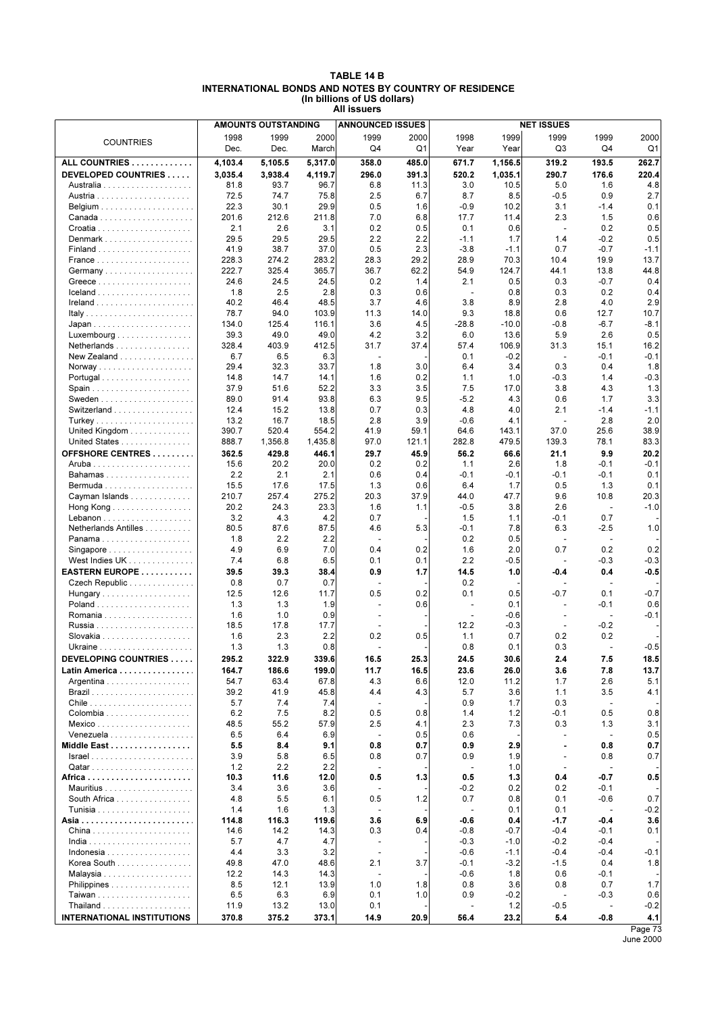| TABLE 14 B                                            |
|-------------------------------------------------------|
| INTERNATIONAL BONDS AND NOTES BY COUNTRY OF RESIDENCE |
| (In billions of US dollars)                           |
| All issuers                                           |

|                                                         | <b>AMOUNTS OUTSTANDING</b> |         |         | <b>ANNOUNCED ISSUES</b>  |             |                          |         | <b>NET ISSUES</b>        |                          |         |
|---------------------------------------------------------|----------------------------|---------|---------|--------------------------|-------------|--------------------------|---------|--------------------------|--------------------------|---------|
| <b>COUNTRIES</b>                                        | 1998                       | 1999    | 2000    | 1999                     | 2000        | 1998                     | 1999    | 1999                     | 1999                     | 2000    |
|                                                         | Dec.                       | Dec.    | March   | Q4                       | Q1          | Year                     | Year    | Q3                       | Q4                       | Q1      |
| ALL COUNTRIES                                           | 4,103.4                    | 5,105.5 | 5,317.0 | 358.0                    | 485.0       | 671.7                    | 1,156.5 | 319.2                    | 193.5                    | 262.7   |
| DEVELOPED COUNTRIES                                     | 3,035.4                    | 3,938.4 | 4,119.7 | 296.0                    | 391.3       | 520.2                    | 1,035.1 | 290.7                    | 176.6                    | 220.4   |
|                                                         | 81.8                       | 93.7    | 96.7    | 6.8                      | 11.3        | 3.0                      | 10.5    | 5.0                      | 1.6                      | 4.8     |
|                                                         | 72.5                       | 74.7    | 75.8    | 2.5                      | 6.7         | 8.7                      | 8.5     | $-0.5$                   | 0.9                      | 2.7     |
|                                                         | 22.3                       | 30.1    | 29.9    | 0.5                      | 1.6         | $-0.9$                   | 10.2    | 3.1                      | $-1.4$                   | 0.1     |
|                                                         | 201.6                      | 212.6   | 211.8   | 7.0                      | 6.8         | 17.7                     | 11.4    | 2.3                      | 1.5                      | 0.6     |
|                                                         | 2.1                        | 2.6     | 3.1     | 0.2                      | 0.5         | 0.1                      | 0.6     | $\overline{\phantom{a}}$ | 0.2                      | 0.5     |
| Denmark                                                 | 29.5                       | 29.5    | 29.5    | 2.2                      | 2.2         | $-1.1$                   | 1.7     | 1.4                      | $-0.2$                   | 0.5     |
|                                                         | 41.9                       | 38.7    | 37.0    | 0.5                      | 2.3         | $-3.8$                   | $-1.1$  | 0.7                      | $-0.7$                   | $-1.1$  |
|                                                         | 228.3                      | 274.2   | 283.2   | 28.3                     | 29.2        | 28.9                     | 70.3    | 10.4                     | 19.9                     | 13.7    |
|                                                         | 222.7                      | 325.4   | 365.7   | 36.7                     | 62.2        | 54.9                     | 124.7   | 44.1                     | 13.8                     | 44.8    |
|                                                         | 24.6                       | 24.5    | 24.5    | 0.2                      | 1.4         | 2.1                      | 0.5     | 0.3                      | $-0.7$                   | 0.4     |
|                                                         | 1.8                        | 2.5     | 2.8     | 0.3                      | 0.6         | $\blacksquare$           | 0.8     | 0.3                      | 0.2                      | 0.4     |
|                                                         | 40.2                       | 46.4    | 48.5    | 3.7                      | 4.6         | 3.8                      | 8.9     | 2.8                      | 4.0                      | 2.9     |
|                                                         | 78.7                       | 94.0    | 103.9   | 11.3                     | 14.0        | 9.3                      | 18.8    | 0.6                      | 12.7                     | 10.7    |
| $Japan \dots \dots \dots \dots \dots \dots \dots \dots$ | 134.0                      | 125.4   | 116.1   | 3.6                      | 4.5         | $-28.8$                  | $-10.0$ | -0.8                     | $-6.7$                   | $-8.1$  |
| Luxembourg                                              | 39.3                       | 49.0    | 49.0    | 4.2                      | 3.2         | 6.0                      | 13.6    | 5.9                      | 2.6                      | 0.5     |
| Netherlands                                             | 328.4                      | 403.9   | 412.5   | 31.7                     | 37.4        | 57.4                     | 106.9   | 31.3                     | 15.1                     | 16.2    |
| New Zealand                                             | 6.7                        | 6.5     | 6.3     |                          |             | 0.1                      | $-0.2$  |                          | $-0.1$                   | $-0.1$  |
|                                                         | 29.4                       | 32.3    | 33.7    | 1.8                      | 3.0         | 6.4                      | 3.4     | 0.3                      | 0.4                      | 1.8     |
| Portugal                                                | 14.8                       | 14.7    | 14.1    | 1.6                      | 0.2         | 1.1                      | 1.0     | $-0.3$                   | 1.4                      | $-0.3$  |
|                                                         | 37.9                       | 51.6    | 52.2    | 3.3                      | 3.5         | 7.5                      | 17.0    | 3.8                      | 4.3                      | 1.3     |
|                                                         | 89.0                       | 91.4    | 93.8    | 6.3                      | 9.5         | $-5.2$                   | 4.3     | 0.6                      | 1.7                      | 3.3     |
| Switzerland                                             | 12.4                       | 15.2    | 13.8    | 0.7                      | 0.3         | 4.8                      | 4.0     | 2.1                      | $-1.4$                   | $-1.1$  |
| Turkey                                                  | 13.2                       | 16.7    | 18.5    | 2.8                      | 3.9         | $-0.6$                   | 4.1     | ÷,                       | 2.8                      | 2.0     |
| United Kingdom $\ldots \ldots \ldots \ldots$            | 390.7                      | 520.4   | 554.2   | 41.9                     | 59.1        | 64.6                     | 143.1   | 37.0                     | 25.6                     | 38.9    |
| United States                                           | 888.7                      | 1,356.8 | 1,435.8 | 97.0                     | 121.1       | 282.8                    | 479.5   | 139.3                    | 78.1                     | 83.3    |
| OFFSHORE CENTRES                                        | 362.5                      | 429.8   | 446.1   | 29.7                     | 45.9        | 56.2                     | 66.6    | 21.1                     | 9.9                      | 20.2    |
|                                                         | 15.6                       | 20.2    | 20.0    | 0.2                      | 0.2         | 1.1                      | 2.6     | 1.8                      | $-0.1$                   | $-0.1$  |
| Bahamas                                                 | 2.2                        | 2.1     | 2.1     | 0.6                      | 0.4         | $-0.1$                   | $-0.1$  | $-0.1$                   | $-0.1$                   | 0.1     |
|                                                         | 15.5                       | 17.6    | 17.5    | 1.3                      | 0.6         | 6.4                      | 1.7     | 0.5                      | 1.3                      | 0.1     |
| Cayman Islands                                          | 210.7                      | 257.4   | 275.2   | 20.3                     | 37.9        | 44.0                     | 47.7    | 9.6                      | 10.8                     | 20.3    |
| Hong Kong                                               | 20.2                       | 24.3    | 23.3    | 1.6                      | 1.1         | $-0.5$                   | 3.8     | 2.6                      | $\overline{\phantom{a}}$ | $-1.0$  |
|                                                         | 3.2                        | 4.3     | 4.2     | 0.7                      |             | 1.5                      | 1.1     | -0.1                     | 0.7                      |         |
| Netherlands Antilles                                    | 80.5                       | 87.6    | 87.5    | 4.6                      | 5.3         | $-0.1$                   | 7.8     | 6.3                      | $-2.5$                   | 1.0     |
| Panama                                                  | 1.8                        | 2.2     | 2.2     | $\sim$                   |             | 0.2                      | 0.5     | $\sim$                   | $\overline{\phantom{a}}$ |         |
| Singapore $\ldots \ldots \ldots \ldots \ldots \ldots$   | 4.9                        | 6.9     | 7.0     | 0.4                      | 0.2         | 1.6                      | 2.0     | 0.7                      | 0.2                      | 0.2     |
| West Indies UK                                          | 7.4                        | 6.8     | 6.5     | 0.1                      | 0.1         | 2.2                      | -0.5    |                          | $-0.3$                   | $-0.3$  |
| EASTERN EUROPE                                          | 39.5                       | 39.3    | 38.4    | 0.9                      | 1.7         | 14.5                     | 1.0     | -0.4                     | 0.4                      | $-0.5$  |
| Czech Republic                                          | 0.8                        | 0.7     | 0.7     | $\overline{\phantom{a}}$ |             | 0.2                      |         |                          | $\overline{\phantom{m}}$ |         |
| Hungary                                                 | 12.5                       | 12.6    | 11.7    | 0.5                      | 0.2         | 0.1                      | 0.5     | $-0.7$                   | 0.1                      | $-0.7$  |
|                                                         | 1.3                        | 1.3     | 1.9     |                          | 0.6         | $\sim$                   | 0.1     |                          | $-0.1$                   | 0.6     |
|                                                         | 1.6                        | 1.0     | 0.9     |                          |             | $\blacksquare$           | $-0.6$  |                          | $\overline{\phantom{a}}$ | $-0.1$  |
|                                                         | 18.5                       | 17.8    | 17.7    |                          |             | 12.2                     | $-0.3$  | $\sim$                   | $-0.2$                   |         |
|                                                         | 1.6                        | 2.3     | 2.2     | 0.2                      | 0.5         | 1.1                      | 0.7     | 0.2                      | 0.2                      |         |
|                                                         | 1.3                        | 1.3     | 0.8     |                          |             | 0.8                      | 0.1     | 0.3                      |                          | $-0.5$  |
| DEVELOPING COUNTRIES                                    | 295.2                      | 322.9   | 339.6   | 16.5                     | 25.3        | 24.5                     | 30.6    | 2.4                      | 7.5                      | 18.5    |
|                                                         | 164.7                      | 186.6   | 199.0   | 11.7                     |             | 23.6                     | 26.0    |                          | 7.8                      | 13.7    |
| Latin America<br>Argentina                              | 54.7                       | 63.4    | 67.8    | 4.3                      | 16.5<br>6.6 | 12.0                     | 11.2    | 3.6<br>1.7               | 2.6                      | 5.1     |
|                                                         | 39.2                       | 41.9    | 45.8    | 4.4                      | 4.3         | 5.7                      | 3.6     | 1.1                      | 3.5                      | 4.1     |
|                                                         | 5.7                        | 7.4     | 7.4     |                          |             | 0.9                      | 1.7     | 0.3                      | $\overline{\phantom{a}}$ |         |
| Colombia                                                | 6.2                        | 7.5     | 8.2     | 0.5                      | 0.8         | 1.4                      | 1.2     | -0.1                     | 0.5                      | 0.8     |
|                                                         | 48.5                       | 55.2    | 57.9    | 2.5                      | 4.1         | 2.3                      | 7.3     | 0.3                      | 1.3                      | 3.1     |
| Venezuela                                               | 6.5                        | 6.4     | 6.9     | $\blacksquare$           | 0.5         | 0.6                      |         |                          | $\overline{\phantom{a}}$ | 0.5     |
| Middle East                                             | 5.5                        | 8.4     | 9.1     | 0.8                      | 0.7         | 0.9                      | 2.9     |                          | 0.8                      | 0.7     |
|                                                         | 3.9                        | 5.8     | 6.5     | 0.8                      | 0.7         | 0.9                      | 1.9     | $\blacksquare$           | 0.8                      | 0.7     |
|                                                         | 1.2                        | 2.2     | 2.2     | $\overline{a}$           |             | $\overline{\phantom{a}}$ | 1.0     |                          | $\blacksquare$           |         |
|                                                         | 10.3                       | 11.6    | 12.0    | 0.5                      | 1.3         | 0.5                      | 1.3     | 0.4                      | $-0.7$                   | 0.5     |
|                                                         | 3.4                        | 3.6     | 3.6     |                          |             | $-0.2$                   | 0.2     | 0.2                      | $-0.1$                   |         |
| South Africa                                            | 4.8                        | 5.5     | 6.1     | 0.5                      | 1.2         | 0.7                      | 0.8     | 0.1                      | $-0.6$                   | 0.7     |
|                                                         | 1.4                        | 1.6     | 1.3     | $\overline{\phantom{a}}$ |             | ÷,                       | 0.1     | 0.1                      | $\overline{\phantom{a}}$ | $-0.2$  |
|                                                         | 114.8                      | 116.3   | 119.6   | 3.6                      | 6.9         | $-0.6$                   | 0.4     | $-1.7$                   | $-0.4$                   | 3.6     |
|                                                         | 14.6                       | 14.2    | 14.3    | 0.3                      | 0.4         | $-0.8$                   | $-0.7$  | $-0.4$                   | $-0.1$                   | 0.1     |
|                                                         | 5.7                        | 4.7     | 4.7     |                          |             | -0.3                     | $-1.0$  | $-0.2$                   | $-0.4$                   |         |
|                                                         | 4.4                        | 3.3     | 3.2     | $\overline{\phantom{a}}$ |             | $-0.6$                   | $-1.1$  | $-0.4$                   | $-0.4$                   | $-0.1$  |
| Korea South                                             | 49.8                       | 47.0    | 48.6    | 2.1                      | 3.7         | -0.1                     | $-3.2$  | $-1.5$                   | 0.4                      | 1.8     |
|                                                         | 12.2                       | 14.3    | 14.3    | $\overline{\phantom{a}}$ |             | $-0.6$                   | 1.8     | 0.6                      | -0.1                     |         |
| Philippines                                             | 8.5                        | 12.1    | 13.9    | 1.0                      | 1.8         | 0.8                      | 3.6     | 0.8                      | 0.7                      | 1.7     |
|                                                         | 6.5                        | 6.3     | 6.9     | 0.1                      | 1.0         | 0.9                      | $-0.2$  | $\overline{a}$           | $-0.3$                   | 0.6     |
|                                                         | 11.9                       | 13.2    | 13.0    | 0.1                      |             | $\sim$                   | 1.2     | $-0.5$                   | $\overline{\phantom{a}}$ | $-0.2$  |
| <b>INTERNATIONAL INSTITUTIONS</b>                       | 370.8                      | 375.2   | 373.1   | 14.9                     | 20.9        | 56.4                     | 23.2    | 5.4                      | -0.8                     | 4.1     |
|                                                         |                            |         |         |                          |             |                          |         |                          |                          | Page 73 |

June 2000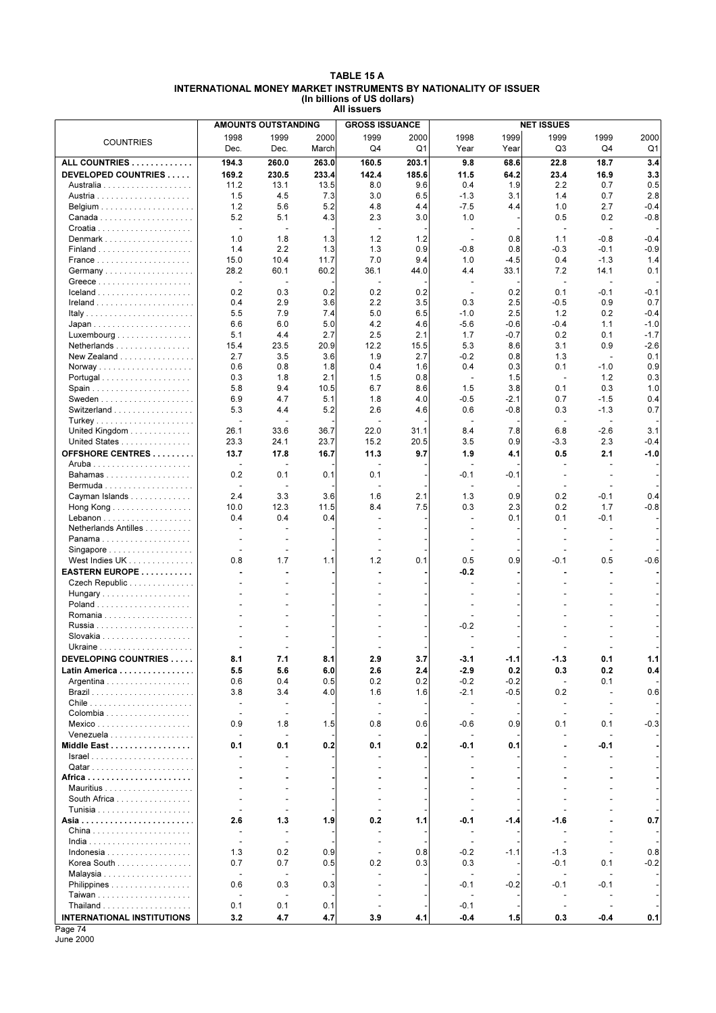#### **TABLE 15 A INTERNATIONAL MONEY MARKET INSTRUMENTS BY NATIONALITY OF ISSUER (In billions of US dollars) All issuers**

|                                                   |                          | <b>AMOUNTS OUTSTANDING</b>      |       | <b>GROSS ISSUANCE</b>    |       | <b>NET ISSUES</b>        |        |                |                          |        |  |  |
|---------------------------------------------------|--------------------------|---------------------------------|-------|--------------------------|-------|--------------------------|--------|----------------|--------------------------|--------|--|--|
|                                                   | 1998                     | 1999                            | 2000  | 1999                     | 2000  | 1998                     | 1999   | 1999           | 1999                     | 2000   |  |  |
| <b>COUNTRIES</b>                                  | Dec.                     | Dec.                            | March | Q4                       | Q1    | Year                     | Year   | Q3             | Q4                       | Q1     |  |  |
| ALL COUNTRIES                                     | 194.3                    | 260.0                           | 263.0 | 160.5                    | 203.1 | 9.8                      | 68.6   | 22.8           | 18.7                     | 3.4    |  |  |
| DEVELOPED COUNTRIES                               | 169.2                    | 230.5                           | 233.4 | 142.4                    | 185.6 | 11.5                     | 64.2   | 23.4           | 16.9                     | 3.3    |  |  |
|                                                   | 11.2                     | 13.1                            | 13.5  | 8.0                      | 9.6   | 0.4                      | 1.9    | 2.2            | 0.7                      | 0.5    |  |  |
|                                                   |                          |                                 | 7.3   | 3.0                      | 6.5   |                          |        |                |                          |        |  |  |
|                                                   | 1.5                      | 4.5                             |       |                          |       | $-1.3$                   | 3.1    | 1.4            | 0.7                      | 2.8    |  |  |
|                                                   | 1.2                      | 5.6                             | 5.2   | 4.8                      | 4.4   | $-7.5$                   | 4.4    | 1.0            | 2.7                      | $-0.4$ |  |  |
|                                                   | 5.2                      | 5.1                             | 4.3   | 2.3                      | 3.0   | 1.0                      |        | 0.5            | 0.2                      | $-0.8$ |  |  |
|                                                   | $\sim$                   | $\overline{\phantom{a}}$        |       | $\overline{\phantom{a}}$ |       | $\overline{\phantom{a}}$ |        |                | $\overline{\phantom{a}}$ |        |  |  |
|                                                   | 1.0                      | 1.8                             | 1.3   | 1.2                      | 1.2   | $\overline{\phantom{a}}$ | 0.8    | 1.1            | $-0.8$                   | $-0.4$ |  |  |
|                                                   | 1.4                      | 2.2                             | 1.3   | 1.3                      | 0.9   | $-0.8$                   | 0.8    | $-0.3$         | $-0.1$                   | $-0.9$ |  |  |
|                                                   | 15.0                     | 10.4                            | 11.7  | 7.0                      | 9.4   | 1.0                      | $-4.5$ | 0.4            | $-1.3$                   | 1.4    |  |  |
|                                                   | 28.2                     | 60.1                            | 60.2  | 36.1                     | 44.0  | 4.4                      | 33.1   | 7.2            | 14.1                     | 0.1    |  |  |
|                                                   | $\blacksquare$           | Ĭ.                              |       | $\overline{\phantom{a}}$ |       | $\sim$                   |        | ÷.             | $\blacksquare$           |        |  |  |
|                                                   | 0.2                      | 0.3                             | 0.2   | 0.2                      | 0.2   | $\sim$                   | 0.2    | 0.1            | $-0.1$                   | $-0.1$ |  |  |
|                                                   | 0.4                      | 2.9                             | 3.6   | 2.2                      | 3.5   | 0.3                      | 2.5    | $-0.5$         | 0.9                      | 0.7    |  |  |
|                                                   | 5.5                      | 7.9                             | 7.4   | 5.0                      | 6.5   | $-1.0$                   | 2.5    | 1.2            | 0.2                      | $-0.4$ |  |  |
|                                                   | 6.6                      | 6.0                             | 5.0   | 4.2                      | 4.6   | $-5.6$                   | $-0.6$ | $-0.4$         | 1.1                      | $-1.0$ |  |  |
| $Luxembourg \dots \dots \dots \dots \dots \dots$  | 5.1                      | 4.4                             | 2.7   | 2.5                      | 2.1   | 1.7                      | $-0.7$ | 0.2            | 0.1                      | $-1.7$ |  |  |
| Netherlands                                       | 15.4                     | 23.5                            | 20.9  | 12.2                     | 15.5  | 5.3                      | 8.6    | 3.1            | 0.9                      | $-2.6$ |  |  |
| New Zealand                                       | 2.7                      | 3.5                             | 3.6   | 1.9                      | 2.7   | $-0.2$                   | 0.8    | 1.3            | $\overline{\phantom{a}}$ | 0.1    |  |  |
|                                                   | 0.6                      | 0.8                             | 1.8   | 0.4                      | 1.6   | 0.4                      | 0.3    | 0.1            | $-1.0$                   | 0.9    |  |  |
| Portugal                                          | 0.3                      | 1.8                             | 2.1   | 1.5                      | 0.8   | $\sim$                   | 1.5    | $\sim$         | 1.2                      | 0.3    |  |  |
|                                                   | 5.8                      | 9.4                             | 10.5  | 6.7                      | 8.6   | 1.5                      | 3.8    | 0.1            | 0.3                      | 1.0    |  |  |
| Sweden $\ldots \ldots \ldots \ldots \ldots$       | 6.9                      | 4.7                             | 5.1   | 1.8                      | 4.0   | $-0.5$                   | -2.1   | 0.7            | $-1.5$                   | 0.4    |  |  |
| Switzerland                                       | 5.3                      | 4.4                             | 5.2   | 2.6                      | 4.6   | 0.6                      | $-0.8$ | 0.3            | $-1.3$                   | 0.7    |  |  |
|                                                   |                          |                                 |       |                          |       |                          |        |                | $\overline{\phantom{a}}$ |        |  |  |
| United Kingdom                                    | 26.1                     | 33.6                            | 36.7  | 22.0                     | 31.1  | 8.4                      | 7.8    | 6.8            | $-2.6$                   | 3.1    |  |  |
| United States                                     | 23.3                     | 24.1                            | 23.7  | 15.2                     | 20.5  | 3.5                      | 0.9    | $-3.3$         | 2.3                      | $-0.4$ |  |  |
|                                                   |                          |                                 |       |                          |       |                          |        |                |                          |        |  |  |
| OFFSHORE CENTRES                                  | 13.7                     | 17.8                            | 16.7  | 11.3                     | 9.7   | 1.9                      | 4.1    | 0.5            | 2.1                      | $-1.0$ |  |  |
|                                                   |                          |                                 |       |                          |       |                          |        |                |                          |        |  |  |
| Bahamas                                           | 0.2                      | 0.1                             | 0.1   | 0.1                      |       | $-0.1$                   | $-0.1$ | ÷.             | ٠                        |        |  |  |
|                                                   | ٠                        |                                 |       |                          |       |                          |        |                |                          |        |  |  |
| Cayman Islands                                    | 2.4                      | 3.3                             | 3.6   | 1.6                      | 2.1   | 1.3                      | 0.9    | 0.2            | $-0.1$                   | 0.4    |  |  |
| Hong Kong                                         | 10.0                     | 12.3                            | 11.5  | 8.4                      | 7.5   | 0.3                      | 2.3    | 0.2            | 1.7                      | $-0.8$ |  |  |
|                                                   | 0.4                      | 0.4                             | 0.4   |                          |       |                          | 0.1    | 0.1            | $-0.1$                   |        |  |  |
| Netherlands Antilles                              |                          |                                 |       |                          |       |                          |        |                |                          |        |  |  |
| Panama                                            | ä,                       |                                 |       |                          |       |                          |        |                |                          |        |  |  |
| Singapore                                         |                          |                                 |       |                          |       |                          |        |                |                          |        |  |  |
| West Indies UK                                    | 0.8                      | 1.7                             | 1.1   | 1.2                      | 0.1   | 0.5                      | 0.9    | $-0.1$         | 0.5                      | $-0.6$ |  |  |
| EASTERN EUROPE                                    |                          |                                 |       |                          |       | $-0.2$                   |        |                |                          |        |  |  |
| Czech Republic                                    |                          |                                 |       |                          |       |                          |        |                |                          |        |  |  |
| Hungary                                           |                          |                                 |       |                          |       |                          |        |                |                          |        |  |  |
|                                                   |                          |                                 |       |                          |       |                          |        |                |                          |        |  |  |
|                                                   |                          |                                 |       |                          |       |                          |        |                |                          |        |  |  |
|                                                   |                          |                                 |       |                          |       | $-0.2$                   |        |                |                          |        |  |  |
|                                                   |                          |                                 |       |                          |       |                          |        |                |                          |        |  |  |
|                                                   |                          |                                 |       |                          |       |                          |        |                |                          |        |  |  |
|                                                   |                          |                                 |       |                          |       |                          |        |                |                          |        |  |  |
| DEVELOPING COUNTRIES                              | 8.1                      | 7.1                             | 8.1   | 2.9                      | 3.7   | $-3.1$                   | -1.1   | -1.3           | U. 1                     | 1.1    |  |  |
| Latin America                                     | 5.5                      | 5.6                             | 6.0   | 2.6                      | 2.4   | $-2.9$                   | 0.2    | 0.3            | 0.2                      | 0.4    |  |  |
| Argentina                                         | 0.6                      | 0.4                             | 0.5   | 0.2                      | 0.2   | $-0.2$                   | $-0.2$ | $\sim$         | 0.1                      |        |  |  |
|                                                   | 3.8                      | 3.4                             | 4.0   | 1.6                      | 1.6   | $-2.1$                   | $-0.5$ | 0.2            | $\overline{\phantom{a}}$ | 0.6    |  |  |
| Chile $\ldots \ldots \ldots \ldots \ldots \ldots$ | $\blacksquare$           | $\overline{\phantom{a}}$        |       | $\overline{\phantom{a}}$ |       | $\overline{\phantom{a}}$ |        | $\blacksquare$ | $\overline{\phantom{a}}$ |        |  |  |
|                                                   | $\overline{\phantom{a}}$ | $\overline{\phantom{a}}$        |       | $\blacksquare$           |       | $\overline{\phantom{a}}$ |        | $\overline{a}$ | $\blacksquare$           |        |  |  |
| $Mexico$                                          | 0.9                      | 1.8                             | 1.5   | 0.8                      | 0.6   | $-0.6$                   | 0.9    | 0.1            | 0.1                      | $-0.3$ |  |  |
| Venezuela                                         | $\blacksquare$           | $\overline{\phantom{a}}$        |       | $\overline{\phantom{a}}$ |       | $\overline{\phantom{a}}$ |        |                | $\overline{\phantom{a}}$ |        |  |  |
| Middle East                                       | 0.1                      | 0.1                             | 0.2   | 0.1                      | 0.2   | $-0.1$                   | 0.1    |                | -0.1                     |        |  |  |
|                                                   |                          |                                 |       |                          |       |                          |        |                |                          |        |  |  |
|                                                   |                          |                                 |       |                          |       |                          |        |                |                          |        |  |  |
|                                                   |                          |                                 |       |                          |       |                          |        |                |                          |        |  |  |
|                                                   |                          |                                 |       |                          |       |                          |        |                |                          |        |  |  |
| South Africa                                      | ä,                       | $\overline{a}$                  |       |                          |       |                          |        |                |                          |        |  |  |
|                                                   | ä,                       | $\overline{\phantom{a}}$        |       |                          |       |                          |        |                |                          |        |  |  |
|                                                   | 2.6                      | 1.3                             | 1.9   | 0.2                      | 1.1   | -0.1                     | $-1.4$ | $-1.6$         |                          | 0.7    |  |  |
|                                                   | $\blacksquare$           | $\blacksquare$                  |       | ÷                        |       | $\blacksquare$           |        |                |                          |        |  |  |
|                                                   | $\blacksquare$           | $\overline{\phantom{a}}$        |       | $\overline{\phantom{a}}$ |       | $\blacksquare$           |        |                |                          |        |  |  |
| Indonesia                                         | 1.3                      | 0.2                             | 0.9   | $\overline{\phantom{a}}$ | 0.8   | $-0.2$                   | $-1.1$ | $-1.3$         | $\overline{a}$           | 0.8    |  |  |
| Korea South                                       | 0.7                      | 0.7                             | 0.5   | 0.2                      | 0.3   | 0.3                      |        | $-0.1$         | 0.1                      | $-0.2$ |  |  |
|                                                   | $\blacksquare$           |                                 |       |                          |       |                          |        |                |                          |        |  |  |
|                                                   |                          |                                 |       |                          |       |                          |        |                |                          |        |  |  |
| Philippines                                       | 0.6<br>ä,                | 0.3<br>$\overline{\phantom{a}}$ | 0.3   |                          |       | $-0.1$                   | -0.2   | -0.1           | -0.1                     |        |  |  |
|                                                   |                          |                                 |       |                          |       |                          |        |                |                          |        |  |  |
|                                                   | 0.1                      | 0.1                             | 0.1   |                          |       | $-0.1$                   |        |                |                          |        |  |  |
| <b>INTERNATIONAL INSTITUTIONS</b>                 | 3.2                      | 4.7                             | 4.7   | 3.9                      | 4.1   | $-0.4$                   | 1.5    | 0.3            | -0.4                     | 0.1    |  |  |

Page 74 June 2000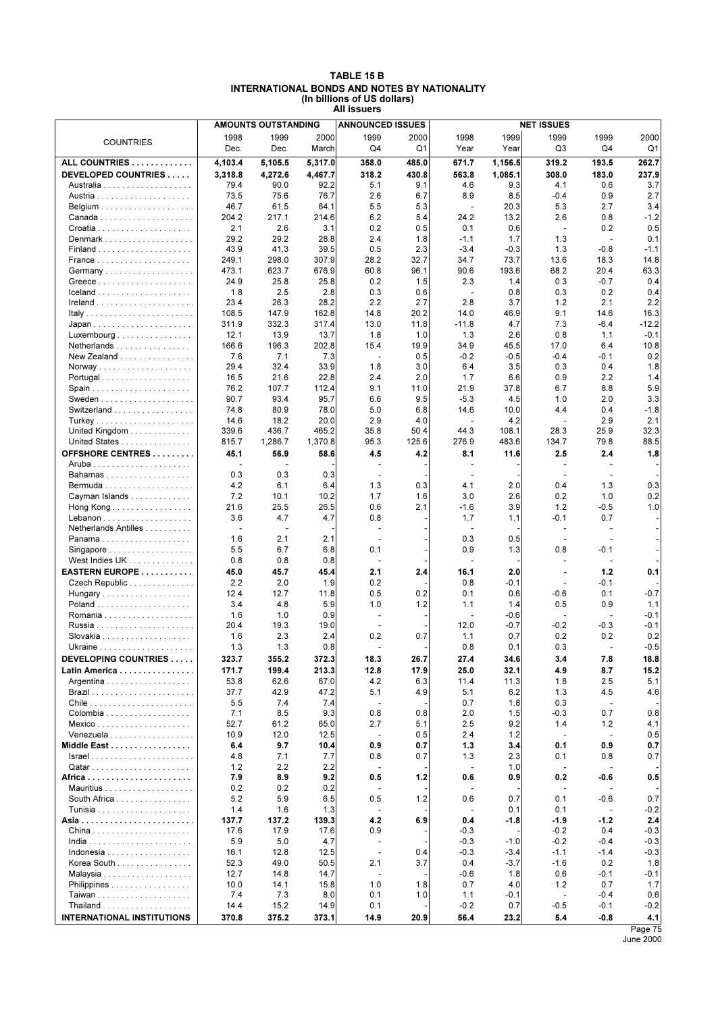| TABLE 15 B                                   |
|----------------------------------------------|
| INTERNATIONAL BONDS AND NOTES BY NATIONALITY |
| (In billions of US dollars)                  |
| All issuers                                  |

|                                                | <b>AMOUNTS OUTSTANDING</b> |              |              | <b>ANNOUNCED ISSUES</b>  |            |                          |                  | <b>NET ISSUES</b>        |                          |               |
|------------------------------------------------|----------------------------|--------------|--------------|--------------------------|------------|--------------------------|------------------|--------------------------|--------------------------|---------------|
| <b>COUNTRIES</b>                               | 1998                       | 1999         | 2000         | 1999                     | 2000       | 1998                     | 1999             | 1999                     | 1999                     | 2000          |
|                                                | Dec.                       | Dec.         | March        | Q4                       | Q1         | Year                     | Year             | Q3                       | Q4                       | Q1            |
| ALL COUNTRIES                                  | 4,103.4                    | 5,105.5      | 5,317.0      | 358.0                    | 485.0      | 671.7                    | 1,156.5          | 319.2                    | 193.5                    | 262.7         |
| DEVELOPED COUNTRIES                            | 3,318.8                    | 4,272.6      | 4,467.7      | 318.2                    | 430.8      | 563.8                    | 1,085.1          | 308.0                    | 183.0                    | 237.9         |
|                                                | 79.4                       | 90.0         | 92.2         | 5.1                      | 9.1        | 4.6                      | 9.3              | 4.1                      | 0.6                      | 3.7           |
|                                                | 73.5                       | 75.6         | 76.7         | 2.6                      | 6.7        | 8.9                      | 8.5              | $-0.4$                   | 0.9                      | 2.7           |
|                                                | 46.7                       | 61.5         | 64.1         | 5.5                      | 5.3        | $\blacksquare$           | 20.3             | 5.3                      | 2.7                      | 3.4           |
|                                                | 204.2                      | 217.1        | 214.6        | 6.2                      | 5.4        | 24.2                     | 13.2             | 2.6                      | 0.8                      | $-1.2$        |
|                                                | 2.1                        | 2.6          | 3.1          | 0.2                      | 0.5        | 0.1                      | 0.6              | $\overline{\phantom{a}}$ | 0.2                      | 0.5           |
| Denmark                                        | 29.2                       | 29.2         | 28.8         | 2.4                      | 1.8        | $-1.1$                   | 1.7              | 1.3                      | $\blacksquare$           | 0.1           |
|                                                | 43.9                       | 41.3         | 39.5         | 0.5                      | 2.3        | $-3.4$                   | $-0.3$           | 1.3                      | $-0.8$                   | $-1.1$        |
|                                                | 249.1                      | 298.0        | 307.9        | 28.2                     | 32.7       | 34.7                     | 73.7             | 13.6                     | 18.3                     | 14.8          |
| Germany                                        | 473.1                      | 623.7        | 676.9        | 60.8                     | 96.1       | 90.6                     | 193.6            | 68.2                     | 20.4                     | 63.3          |
|                                                | 24.9                       | 25.8         | 25.8         | 0.2                      | 1.5        | 2.3                      | 1.4              | 0.3                      | $-0.7$                   | 0.4           |
| $lceland$                                      | 1.8                        | 2.5          | 2.8          | 0.3                      | 0.6        | $\sim$                   | 0.8              | 0.3                      | 0.2                      | 0.4           |
|                                                | 23.4                       | 26.3         | 28.2         | 2.2                      | 2.7        | 2.8                      | 3.7              | 1.2                      | 2.1                      | 2.2           |
|                                                | 108.5                      | 147.9        | 162.8        | 14.8                     | 20.2       | 14.0                     | 46.9             | 9.1                      | 14.6                     | 16.3          |
|                                                | 311.9                      | 332.3        | 317.4        | 13.0                     | 11.8       | $-11.8$                  | 4.7              | 7.3                      | $-6.4$                   | $-12.2$       |
| Luxembourg                                     | 12.1                       | 13.9         | 13.7         | 1.8                      | 1.0        | 1.3                      | 2.6              | 0.8                      | 1.1                      | $-0.1$        |
| Netherlands                                    | 166.6                      | 196.3        | 202.8        | 15.4                     | 19.9       | 34.9                     | 45.5             | 17.0                     | 6.4                      | 10.8          |
| New Zealand                                    | 7.6                        | 7.1          | 7.3          | $\blacksquare$           | 0.5        | $-0.2$                   | $-0.5$           | $-0.4$                   | $-0.1$                   | 0.2           |
|                                                | 29.4                       | 32.4         | 33.9         | 1.8                      | 3.0        | 6.4                      | 3.5              | 0.3                      | 0.4                      | 1.8           |
| Portugal                                       | 16.5                       | 21.6         | 22.8         | 2.4                      | 2.0        | 1.7                      | 6.6              | 0.9                      | 2.2                      | 1.4           |
| Spain                                          | 76.2                       | 107.7        | 112.4        | 9.1                      | 11.0       | 21.9                     | 37.8             | 6.7                      | 8.8                      | 5.9           |
|                                                | 90.7                       | 93.4         | 95.7         | 6.6                      | 9.5        | $-5.3$                   | 4.5              | 1.0                      | 2.0                      | 3.3           |
| Switzerland                                    | 74.8                       | 80.9         | 78.0         | 5.0                      | 6.8        | 14.6                     | 10.0             | 4.4                      | 0.4                      | $-1.8$        |
|                                                | 14.6                       | 18.2         | 20.0         | 2.9                      | 4.0        | ÷,                       | 4.2              |                          | 2.9                      | 2.1           |
| United Kingdom                                 | 339.6                      | 436.7        | 465.2        | 35.8                     | 50.4       | 44.3                     | 108.1            | 28.3                     | 25.9                     | 32.3          |
| United States                                  | 815.7                      | 1,286.7      | 1,370.8      | 95.3                     | 125.6      | 276.9                    | 483.6            | 134.7                    | 79.8                     | 88.5          |
| OFFSHORE CENTRES                               | 45.1                       | 56.9         | 58.6         | 4.5                      | 4.2        | 8.1                      | 11.6             | 2.5                      | 2.4                      | 1.8           |
|                                                |                            |              |              |                          |            | $\overline{a}$           |                  |                          |                          |               |
| Bahamas                                        | 0.3                        | 0.3          | 0.3          | $\sim$                   |            | $\sim$                   |                  | ÷.                       | $\sim$                   |               |
|                                                | 4.2                        | 6.1          | 6.4          | 1.3                      | 0.3        | 4.1                      | 2.0              | 0.4                      | 1.3                      | 0.3           |
| Cayman Islands                                 | 7.2                        | 10.1         | 10.2         | 1.7                      | 1.6        | 3.0                      | 2.6              | 0.2                      | 1.0                      | 0.2           |
| Hong Kong $\ldots \ldots \ldots \ldots \ldots$ | 21.6                       | 25.5         | 26.5         | 0.6                      | 2.1        | $-1.6$                   | 3.9              | 1.2                      | $-0.5$                   | 1.0           |
|                                                | 3.6                        | 4.7          | 4.7          | 0.8                      |            | 1.7                      | 1.1              | -0.1                     | 0.7                      |               |
| Netherlands Antilles                           |                            | ÷,           |              | $\overline{a}$           |            | ч.                       |                  |                          | $\sim$                   |               |
| Panama                                         | 1.6                        | 2.1          | 2.1          |                          |            | 0.3                      | 0.5              |                          | $\overline{\phantom{a}}$ |               |
| Singapore                                      | 5.5                        | 6.7          | 6.8          | 0.1                      |            | 0.9                      | 1.3              | 0.8                      | $-0.1$                   |               |
| West Indies UK                                 | 0.8                        | 0.8          | 0.8          | $\sim$                   |            | ÷,                       |                  |                          | $\overline{\phantom{a}}$ |               |
| EASTERN EUROPE                                 | 45.0                       | 45.7         | 45.4         | 2.1                      | 2.4        | 16.1                     | 2.0              | $\blacksquare$           | 1.2                      | 0.1           |
| Czech Republic                                 | 2.2                        | 2.0          | 1.9          | 0.2                      |            | 0.8                      | -0.1             |                          | $-0.1$                   |               |
| Hungary                                        | 12.4                       | 12.7         | 11.8         | 0.5                      | 0.2        | 0.1                      | 0.6              | $-0.6$                   | 0.1                      | $-0.7$        |
|                                                | 3.4                        | 4.8          | 5.9          | 1.0                      | 1.2        | 1.1                      | 1.4              | 0.5                      | 0.9                      | 1.1           |
|                                                | 1.6                        | 1.0          | 0.9          | $\overline{a}$           |            | $\overline{\phantom{a}}$ | $-0.6$           |                          | $\overline{\phantom{a}}$ | $-0.1$        |
|                                                | 20.4                       | 19.3         | 19.0         |                          |            | 12.0                     | $-0.7$           | $-0.2$                   | $-0.3$                   | $-0.1$        |
|                                                | 1.6                        | 2.3          | 2.4          | 0.2                      | 0.7        | 1.1                      | 0.7              | 0.2                      | 0.2                      | 0.2           |
|                                                | 1.3                        | 1.3          | 0.8          | ä,                       |            | 0.8                      | 0.1              | 0.3                      | $\overline{\phantom{a}}$ | $-0.5$        |
| <b>DEVELOPING COUNTRIES</b>                    | 323.7                      | 355.2        | 372.3        | 18.3                     | 26.7       | 27.4                     | 34.6             | 3.4                      | 7.8                      | 18.8          |
| Latin America                                  | 171.7                      | 199.4        | 213.3        | 12.8                     | 17.9       | 25.0                     | 32.1             | 4.9                      | 8.7                      | 15.2          |
| Argentina                                      | 53.8                       | 62.6         | 67.0         | 4.2                      | 6.3        | 11.4                     | 11.3             | 1.8                      | 2.5                      | 5.1           |
|                                                | 37.7                       | 42.9         | 47.2         | 5.1                      | 4.9        | 5.1                      | 6.2              | 1.3                      | 4.5                      | 4.6           |
|                                                | 5.5                        | 7.4          | 7.4          | ÷,                       |            | 0.7                      | 1.8              | 0.3                      | $\blacksquare$           |               |
| Colombia                                       | 7.1                        | 8.5          | 9.3          | 0.8                      | 0.8        | 2.0                      | 1.5              | -0.3                     | 0.7                      | 0.8           |
|                                                | 52.7                       | 61.2         | 65.0         | 2.7                      | 5.1        | 2.5                      | 9.2              | 1.4                      | 1.2                      | 4.1           |
| Venezuela                                      | 10.9                       | 12.0         | 12.5         | $\blacksquare$           | 0.5        | 2.4                      | 1.2              | $\overline{a}$           | $\overline{\phantom{a}}$ | 0.5           |
| Middle East                                    | 6.4                        | 9.7          | 10.4         | 0.9                      | 0.7        | 1.3                      | 3.4              | 0.1                      | 0.9                      | 0.7           |
|                                                | 4.8                        | 7.1          | 7.7          | 0.8                      | 0.7        | 1.3                      | 2.3              | 0.1                      | 0.8                      | 0.7           |
|                                                | 1.2                        | 2.2          | 2.2          | $\overline{\phantom{a}}$ |            | $\blacksquare$           | 1.0              |                          | $\overline{\phantom{a}}$ |               |
|                                                | 7.9                        | 8.9          | 9.2          | 0.5                      | 1.2        | 0.6                      | 0.9              | 0.2                      | -0.6                     | 0.5           |
|                                                | 0.2                        | 0.2          | 0.2          |                          |            |                          |                  |                          |                          |               |
| South Africa                                   | 5.2                        | 5.9          | 6.5          | 0.5                      | 1.2        | 0.6                      | 0.7              | 0.1                      | -0.6                     | 0.7           |
|                                                | 1.4                        | 1.6          | 1.3          |                          |            | ÷,                       | 0.1              | 0.1                      | $\blacksquare$           | $-0.2$        |
|                                                | 137.7                      | 137.2        | 139.3        | 4.2                      | 6.9        | 0.4                      | -1.8             | -1.9                     | $-1.2$                   | 2.4           |
|                                                | 17.6                       | 17.9         | 17.6         | 0.9<br>÷,                |            | $-0.3$                   |                  | $-0.2$                   | 0.4                      | $-0.3$        |
|                                                | 5.9                        | 5.0          | 4.7          |                          |            | $-0.3$<br>$-0.3$         | $-1.0$           | $-0.2$                   | $-0.4$                   | $-0.3$        |
| Korea South                                    | 16.1<br>52.3               | 12.8<br>49.0 | 12.5<br>50.5 | $\blacksquare$<br>2.1    | 0.4<br>3.7 | 0.4                      | $-3.4$<br>$-3.7$ | $-1.1$<br>$-1.6$         | $-1.4$<br>0.2            | $-0.3$<br>1.8 |
|                                                | 12.7                       | 14.8         | 14.7         |                          |            | $-0.6$                   | 1.8              | 0.6                      | $-0.1$                   | $-0.1$        |
|                                                | 10.0                       | 14.1         | 15.8         | 1.0                      | 1.8        | 0.7                      | 4.0              | 1.2                      | 0.7                      | 1.7           |
| Philippines                                    | 7.4                        | 7.3          | 8.0          | 0.1                      | 1.0        | 1.1                      | $-0.1$           | ÷,                       | $-0.4$                   | 0.6           |
|                                                | 14.4                       | 15.2         | 14.9         | 0.1                      |            | $-0.2$                   | 0.7              | $-0.5$                   | $-0.1$                   | $-0.2$        |
| <b>INTERNATIONAL INSTITUTIONS</b>              | 370.8                      | 375.2        | 373.1        | 14.9                     | 20.9       | 56.4                     | 23.2             | 5.4                      | $-0.8$                   | 4.1           |
|                                                |                            |              |              |                          |            |                          |                  |                          |                          | Page 75       |
|                                                |                            |              |              |                          |            |                          |                  |                          |                          |               |

June 2000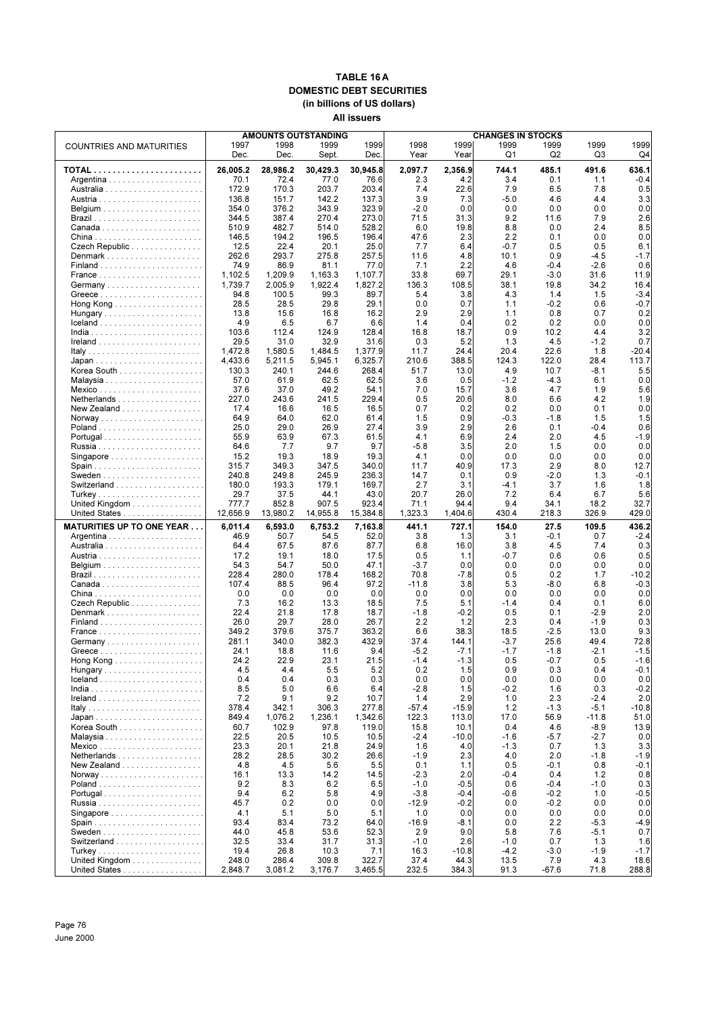#### **TABLE 16 A DOMESTIC DEBT SECURITIES (in billions of US dollars) All issuers**

|                                                                   | <b>AMOUNTS OUTSTANDING</b> |               |               |               |               | <b>CHANGES IN STOCKS</b> |                |               |               |                  |  |  |  |
|-------------------------------------------------------------------|----------------------------|---------------|---------------|---------------|---------------|--------------------------|----------------|---------------|---------------|------------------|--|--|--|
| <b>COUNTRIES AND MATURITIES</b>                                   | 1997<br>Dec.               | 1998<br>Dec.  | 1999<br>Sept. | 1999<br>Dec.  | 1998<br>Year  | 1999<br>Year             | 1999<br>Q1     | 1999<br>Q2    | 1999<br>Q3    | 1999<br>Q4       |  |  |  |
|                                                                   | 26,005.2                   | 28,986.2      | 30,429.3      | 30,945.8      | 2,097.7       | 2,356.9                  | 744.1          | 485.1         | 491.6         | 636.1            |  |  |  |
|                                                                   | 70.1                       | 72.4          | 77.0          | 76.6          | 2.3           | 4.2                      | 3.4            | 0.1           | 1.1           | $-0.4$           |  |  |  |
|                                                                   | 172.9                      | 170.3         | 203.7         | 203.4         | 7.4           | 22.6                     | 7.9            | 6.5           | 7.8           | 0.5              |  |  |  |
|                                                                   | 136.8                      | 151.7         | 142.2         | 137.3         | 3.9           | 7.3                      | $-5.0$         | 4.6           | 4.4           | 3.3              |  |  |  |
|                                                                   | 354.0                      | 376.2         | 343.9         | 323.9         | $-2.0$        | 0.0                      | 0.0            | 0.0           | 0.0           | 0.0              |  |  |  |
|                                                                   | 344.5                      | 387.4         | 270.4         | 273.0         | 71.5          | 31.3                     | 9.2            | 11.6          | 7.9           | 2.6              |  |  |  |
|                                                                   | 510.9                      | 482.7         | 514.0         | 528.2         | 6.0           | 19.8                     | 8.8            | 0.0           | 2.4           | 8.5              |  |  |  |
|                                                                   | 146.5                      | 194.2         | 196.5         | 196.4         | 47.6          | 2.3                      | 2.2            | 0.1           | 0.0           | 0.0              |  |  |  |
| Czech Republic                                                    | 12.5<br>262.6              | 22.4<br>293.7 | 20.1<br>275.8 | 25.0<br>257.5 | 7.7<br>11.6   | 6.4<br>4.8               | $-0.7$<br>10.1 | 0.5<br>0.9    | 0.5<br>$-4.5$ | 6.1<br>$-1.7$    |  |  |  |
|                                                                   | 74.9                       | 86.9          | 81.1          | 77.0          | 7.1           | 2.2                      | 4.6            | $-0.4$        | $-2.6$        | 0.6              |  |  |  |
|                                                                   | 1,102.5                    | 1,209.9       | 1,163.3       | 1,107.7       | 33.8          | 69.7                     | 29.1           | $-3.0$        | 31.6          | 11.9             |  |  |  |
| Germany                                                           | 1,739.7                    | 2,005.9       | 1,922.4       | 1,827.2       | 136.3         | 108.5                    | 38.1           | 19.8          | 34.2          | 16.4             |  |  |  |
|                                                                   | 94.8                       | 100.5         | 99.3          | 89.7          | 5.4           | 3.8                      | 4.3            | 1.4           | 1.5           | $-3.4$           |  |  |  |
|                                                                   | 28.5                       | 28.5          | 29.8          | 29.1          | 0.0           | 0.7                      | 1.1            | $-0.2$        | 0.6           | $-0.7$           |  |  |  |
| Hungary                                                           | 13.8                       | 15.6          | 16.8          | 16.2          | 2.9           | 2.9                      | 1.1            | 0.8           | 0.7           | 0.2              |  |  |  |
| $lceland \ldots \ldots \ldots \ldots \ldots \ldots \ldots \ldots$ | 4.9<br>103.6               | 6.5<br>112.4  | 6.7<br>124.9  | 6.6<br>128.4  | 1.4<br>16.8   | 0.4<br>18.7              | 0.2<br>0.9     | 0.2<br>10.2   | 0.0<br>4.4    | 0.0<br>3.2       |  |  |  |
|                                                                   | 29.5                       | 31.0          | 32.9          | 31.6          | 0.3           | 5.2                      | 1.3            | 4.5           | $-1.2$        | 0.7              |  |  |  |
|                                                                   | 1,472.8                    | 1,580.5       | 1,484.5       | 1,377.9       | 11.7          | 24.4                     | 20.4           | 22.6          | 1.8           | $-20.4$          |  |  |  |
|                                                                   | 4,433.6                    | 5,211.5       | 5,945.1       | 6,325.7       | 210.6         | 388.5                    | 124.3          | 122.0         | 28.4          | 113.7            |  |  |  |
| Korea South                                                       | 130.3                      | 240.1         | 244.6         | 268.4         | 51.7          | 13.0                     | 4.9            | 10.7          | $-8.1$        | 5.5              |  |  |  |
|                                                                   | 57.0                       | 61.9          | 62.5          | 62.5          | 3.6           | 0.5                      | $-1.2$         | $-4.3$        | 6.1           | 0.0              |  |  |  |
|                                                                   | 37.6                       | 37.0          | 49.2          | 54.1          | 7.0           | 15.7                     | 3.6            | 4.7           | 1.9           | 5.6              |  |  |  |
| Netherlands<br>New Zealand                                        | 227.0<br>17.4              | 243.6<br>16.6 | 241.5<br>16.5 | 229.4<br>16.5 | 0.5<br>0.7    | 20.6<br>0.2              | 8.0<br>0.2     | 6.6<br>0.0    | 4.2<br>0.1    | 1.9<br>0.0       |  |  |  |
|                                                                   | 64.9                       | 64.0          | 62.0          | 61.4          | 1.5           | 0.9                      | $-0.3$         | $-1.8$        | 1.5           | 1.5              |  |  |  |
|                                                                   | 25.0                       | 29.0          | 26.9          | 27.4          | 3.9           | 2.9                      | 2.6            | 0.1           | $-0.4$        | 0.6              |  |  |  |
| Portugal                                                          | 55.9                       | 63.9          | 67.3          | 61.5          | 4.1           | 6.9                      | 2.4            | 2.0           | 4.5           | $-1.9$           |  |  |  |
|                                                                   | 64.6                       | 7.7           | 9.7           | 9.7           | $-5.8$        | 3.5                      | 2.0            | 1.5           | 0.0           | 0.0              |  |  |  |
|                                                                   | 15.2<br>315.7              | 19.3<br>349.3 | 18.9<br>347.5 | 19.3<br>340.0 | 4.1<br>11.7   | 0.0<br>40.9              | 0.0<br>17.3    | 0.0<br>2.9    | 0.0<br>8.0    | 0.0<br>12.7      |  |  |  |
|                                                                   | 240.8                      | 249.8         | 245.9         | 236.3         | 14.7          | 0.1                      | 0.9            | -2.0          | 1.3           | $-0.1$           |  |  |  |
|                                                                   | 180.0                      | 193.3         | 179.1         | 169.7         | 2.7           | 3.1                      | $-4.1$         | 3.7           | 1.6           | 1.8              |  |  |  |
|                                                                   | 29.7                       | 37.5          | 44.1          | 43.0          | 20.7          | 26.0                     | 7.2            | 6.4           | 6.7           | 5.6              |  |  |  |
| United Kingdom                                                    | 777.7                      | 852.8         | 907.5         | 923.4         | 71.1          | 94.4                     | 9.4            | 34.1          | 18.2          | 32.7             |  |  |  |
| United States                                                     | 12,656.9                   | 13,980.2      | 14,955.8      | 15,384.8      | 1,323.3       | 1,404.6                  | 430.4          | 218.3         | 326.9         | 429.0            |  |  |  |
| <b>MATURITIES UP TO ONE YEAR</b>                                  | 6,011.4                    | 6,593.0       | 6,753.2       | 7,163.8       | 441.1         | 727.1                    | 154.0          | 27.5          | 109.5         | 436.2            |  |  |  |
|                                                                   | 46.9<br>64.4               | 50.7<br>67.5  | 54.5<br>87.6  | 52.0<br>87.7  | 3.8<br>6.8    | 1.3                      | 3.1<br>3.8     | $-0.1$<br>4.5 | 0.7<br>7.4    | $-2.4$<br>0.3    |  |  |  |
|                                                                   | 17.2                       | 19.1          | 18.0          | 17.5          | 0.5           | 16.0<br>1.1              | $-0.7$         | 0.6           | 0.6           | 0.5              |  |  |  |
|                                                                   | 54.3                       | 54.7          | 50.0          | 47.1          | -3.7          | 0.0                      | 0.0            | 0.0           | 0.0           | 0.0              |  |  |  |
|                                                                   | 228.4                      | 280.0         | 178.4         | 168.2         | 70.8          | $-7.8$                   | 0.5            | 0.2           | 1.7           | $-10.2$          |  |  |  |
|                                                                   | 107.4                      | 88.5          | 96.4          | 97.2          | $-11.8$       | 3.8                      | 5.3            | -8.0          | 6.8           | $-0.3$           |  |  |  |
|                                                                   | 0.0                        | 0.0           | 0.0           | 0.0           | 0.0           | 0.0                      | 0.0            | 0.0           | 0.0           | 0.0              |  |  |  |
| Czech Republic<br>Denmark                                         | 7.3<br>22.4                | 16.2<br>21.8  | 13.3<br>17.8  | 18.5<br>18.7  | 7.5<br>$-1.8$ | 5.1<br>$-0.2$            | $-1.4$<br>0.5  | 0.4<br>0.1    | 0.1<br>$-2.9$ | 6.0<br>2.0       |  |  |  |
|                                                                   | 26.0                       | 29.7          | 28.0          | 26.7          | 2.2           | 1.2                      | 2.3            | 0.4           | $-1.9$        | 0.3              |  |  |  |
|                                                                   | 349.2                      | 379.6         | 375.7         | 363.2         | 6.6           | 38.3                     | 18.5           | $-2.5$        | 13.0          | 9.3              |  |  |  |
| Germany                                                           | 281.1                      | 340.0         | 382.3         | 432.9         | 37.4          | 144.1                    | $-3.7$         | 25.6          | 49.4          | 72.8             |  |  |  |
|                                                                   | 24.1                       | 18.8          | 11.6          | 9.4           | $-5.2$        | $-7.1$                   | $-1.7$         | $-1.8$        | $-2.1$        | $-1.5$           |  |  |  |
|                                                                   | 24.2                       | 22.9          | 23.1          | 21.5          | $-1.4$        | $-1.3$                   | 0.5            | $-0.7$        | 0.5           | $-1.6$           |  |  |  |
| Hungary                                                           | 4.5                        | 4.4           | 5.5           | 5.2           | 0.2           | 1.5                      | 0.9            | 0.3           | 0.4           | $-0.1$           |  |  |  |
| $lceland \ldots \ldots \ldots \ldots \ldots \ldots \ldots \ldots$ | 0.4<br>8.5                 | 0.4<br>5.0    | 0.3<br>6.6    | 0.3<br>6.4    | 0.0<br>$-2.8$ | 0.0<br>1.5               | 0.0<br>$-0.2$  | 0.0<br>1.6    | 0.0<br>0.3    | 0.0<br>$-0.2$    |  |  |  |
|                                                                   | 7.2                        | 9.1           | 9.2           | 10.7          | 1.4           | 2.9                      | 1.0            | 2.3           | -2.4          | 2.0              |  |  |  |
|                                                                   | 378.4                      | 342.1         | 306.3         | 277.8         | $-57.4$       | $-15.9$                  | 1.2            | $-1.3$        | $-5.1$        | $-10.8$          |  |  |  |
|                                                                   | 849.4                      | 1,076.2       | 1,236.1       | 1,342.6       | 122.3         | 113.0                    | 17.0           | 56.9          | $-11.8$       | 51.0             |  |  |  |
| Korea South                                                       | 60.7                       | 102.9         | 97.8          | 119.0         | 15.8          | 10.1                     | 0.4            | 4.6           | $-8.9$        | 13.9             |  |  |  |
|                                                                   | 22.5                       | 20.5          | 10.5          | 10.5          | -2.4          | $-10.0$                  | $-1.6$         | $-5.7$        | $-2.7$        | 0.0              |  |  |  |
|                                                                   | 23.3                       | 20.1          | 21.8          | 24.9          | 1.6           | 4.0                      | $-1.3$         | 0.7           | 1.3           | 3.3              |  |  |  |
| Netherlands<br>New Zealand $\ldots$ , $\ldots$ , $\ldots$         | 28.2<br>4.8                | 28.5<br>4.5   | 30.2<br>5.6   | 26.6<br>5.5   | $-1.9$<br>0.1 | 2.3<br>1.1               | 4.0<br>0.5     | 2.0<br>$-0.1$ | $-1.8$<br>0.8 | $-1.9$<br>$-0.1$ |  |  |  |
|                                                                   | 16.1                       | 13.3          | 14.2          | 14.5          | -2.3          | 2.0                      | $-0.4$         | 0.4           | 1.2           | 0.8              |  |  |  |
|                                                                   | 9.2                        | 8.3           | 6.2           | 6.5           | $-1.0$        | $-0.5$                   | 0.6            | $-0.4$        | $-1.0$        | 0.3              |  |  |  |
| Portugal                                                          | 9.4                        | 6.2           | 5.8           | 4.9           | $-3.8$        | $-0.4$                   | $-0.6$         | $-0.2$        | 1.0           | $-0.5$           |  |  |  |
|                                                                   | 45.7                       | 0.2           | 0.0           | 0.0           | $-12.9$       | $-0.2$                   | 0.0            | $-0.2$        | 0.0           | 0.0              |  |  |  |
| Singapore $\ldots \ldots \ldots \ldots \ldots \ldots$             | 4.1                        | 5.1           | 5.0           | 5.1           | 1.0           | 0.0                      | 0.0            | 0.0           | 0.0           | 0.0              |  |  |  |
|                                                                   | 93.4                       | 83.4          | 73.2          | 64.0          | $-16.9$       | $-8.1$                   | 0.0            | 2.2           | $-5.3$        | -4.9             |  |  |  |
|                                                                   | 44.0<br>32.5               | 45.8<br>33.4  | 53.6<br>31.7  | 52.3<br>31.3  | 2.9<br>$-1.0$ | 9.0<br>2.6               | 5.8<br>$-1.0$  | 7.6<br>0.7    | -5.1<br>1.3   | 0.7<br>1.6       |  |  |  |
|                                                                   | 19.4                       | 26.8          | 10.3          | 7.1           | 16.3          | $-10.8$                  | $-4.2$         | $-3.0$        | $-1.9$        | $-1.7$           |  |  |  |
| United Kingdom $\ldots \ldots \ldots \ldots \ldots$               | 248.0                      | 286.4         | 309.8         | 322.7         | 37.4          | 44.3                     | 13.5           | 7.9           | 4.3           | 18.6             |  |  |  |
| United States                                                     | 2,848.7                    | 3,081.2       | 3,176.7       | 3,465.5       | 232.5         | 384.3                    | 91.3           | $-67.6$       | 71.8          | 288.8            |  |  |  |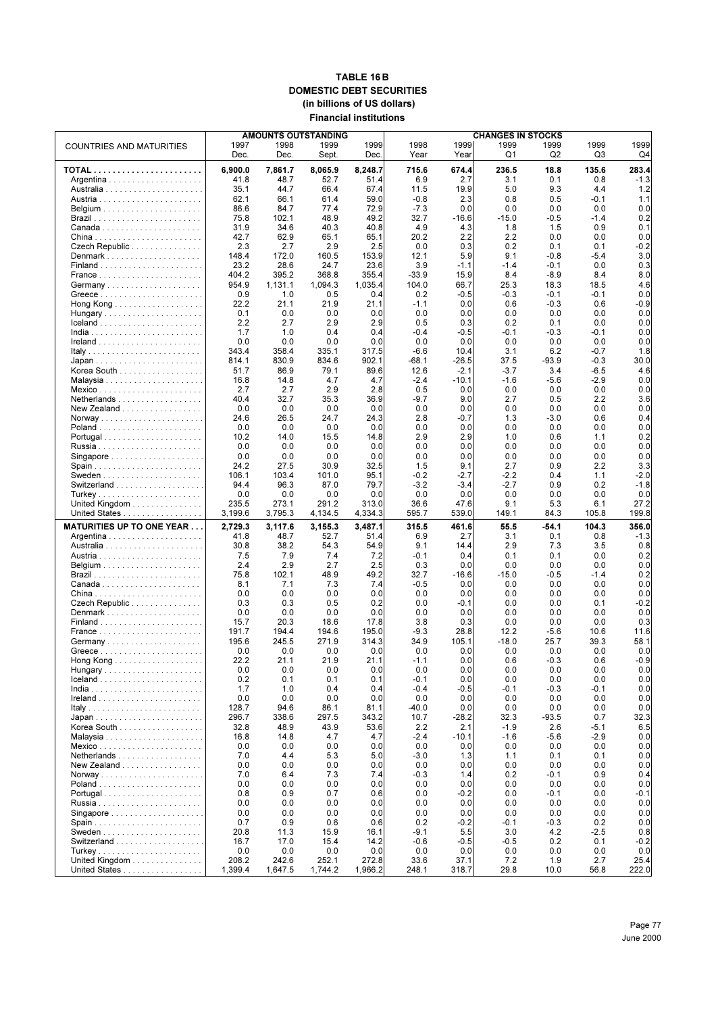#### **TABLE 16 B DOMESTIC DEBT SECURITIES (in billions of US dollars) Financial institutions**

|                                                     |         | <b>AMOUNTS OUTSTANDING</b> | <b>CHANGES IN STOCKS</b> |         |         |         |         |                |        |        |
|-----------------------------------------------------|---------|----------------------------|--------------------------|---------|---------|---------|---------|----------------|--------|--------|
| <b>COUNTRIES AND MATURITIES</b>                     | 1997    | 1998                       | 1999                     | 1999    | 1998    | 1999    | 1999    | 1999           | 1999   | 1999   |
|                                                     | Dec.    | Dec.                       | Sept.                    | Dec.    | Year    | Year    | Q1      | Q <sub>2</sub> | Q3     | Q4     |
|                                                     |         |                            |                          |         |         |         |         |                |        |        |
|                                                     | 6,900.0 | 7,861.7                    | 8,065.9                  | 8,248.7 | 715.6   | 674.4   | 236.5   | 18.8           | 135.6  | 283.4  |
|                                                     | 41.8    | 48.7                       | 52.7                     | 51.4    | 6.9     | 2.7     | 3.1     | 0.1            | 0.8    | $-1.3$ |
|                                                     | 35.1    | 44.7                       | 66.4                     | 67.4    | 11.5    | 19.9    | 5.0     | 9.3            | 4.4    | 1.2    |
|                                                     | 62.1    | 66.1                       | 61.4                     | 59.0    | $-0.8$  | 2.3     | 0.8     | 0.5            | $-0.1$ | 1.1    |
|                                                     | 86.6    | 84.7                       | 77.4                     | 72.9    | $-7.3$  | 0.0     | 0.0     | 0.0            | 0.0    | 0.0    |
|                                                     | 75.8    | 102.1                      | 48.9                     | 49.2    | 32.7    | $-16.6$ | $-15.0$ | $-0.5$         | $-1.4$ | 0.2    |
|                                                     | 31.9    | 34.6                       | 40.3                     | 40.8    | 4.9     | 4.3     | 1.8     | 1.5            | 0.9    | 0.1    |
|                                                     | 42.7    | 62.9                       | 65.1                     | 65.1    | 20.2    | 2.2     | 2.2     | 0.0            | 0.0    | 0.0    |
| Czech Republic                                      | 2.3     | 2.7                        | 2.9                      | 2.5     | 0.0     | 0.3     | 0.2     | 0.1            | 0.1    | $-0.2$ |
|                                                     | 148.4   | 172.0                      | 160.5                    | 153.9   | 12.1    | 5.9     | 9.1     | $-0.8$         | $-5.4$ | 3.0    |
|                                                     | 23.2    | 28.6                       | 24.7                     | 23.6    | 3.9     | -1.1    | $-1.4$  | $-0.1$         | 0.0    | 0.3    |
|                                                     | 404.2   | 395.2                      | 368.8                    | 355.4   | $-33.9$ | 15.9    | 8.4     | $-8.9$         | 8.4    | 8.0    |
| Germany                                             | 954.9   | 1,131.1                    | 1,094.3                  | 1,035.4 | 104.0   | 66.7    | 25.3    | 18.3           | 18.5   | 4.6    |
|                                                     | 0.9     | 1.0                        | 0.5                      | 0.4     | 0.2     | $-0.5$  | $-0.3$  | $-0.1$         | $-0.1$ | 0.0    |
|                                                     | 22.2    | 21.1                       | 21.9                     | 21.1    | -1.1    | 0.0     | 0.6     | $-0.3$         | 0.6    | $-0.9$ |
| Hungary                                             | 0.1     | 0.0                        | 0.0                      | 0.0     | 0.0     | 0.0     | 0.0     | 0.0            | 0.0    | 0.0    |
|                                                     | 2.2     | 2.7                        | 2.9                      | 2.9     | 0.5     | 0.3     | 0.2     | 0.1            | 0.0    | 0.0    |
|                                                     | 1.7     | 1.0                        | 0.4                      | 0.4     | $-0.4$  | $-0.5$  | -0.1    | $-0.3$         | $-0.1$ | 0.0    |
|                                                     | 0.0     | 0.0                        | 0.0                      | 0.0     | 0.0     | 0.0     | 0.0     | 0.0            | 0.0    | 0.0    |
|                                                     | 343.4   | 358.4                      | 335.1                    | 317.5   | $-6.6$  | 10.4    | 3.1     | 6.2            | $-0.7$ | 1.8    |
|                                                     | 814.1   | 830.9                      | 834.6                    | 902.1   | -68.1   | -26.5   | 37.5    | $-93.9$        | -0.3   | 30.0   |
| Korea South                                         | 51.7    | 86.9                       | 79.1                     | 89.6    | 12.6    | $-2.1$  | $-3.7$  | 3.4            | $-6.5$ | 4.6    |
|                                                     | 16.8    | 14.8                       | 4.7                      | 4.7     | $-2.4$  | -10.1   | $-1.6$  | $-5.6$         | -2.9   | 0.0    |
| Mexico                                              | 2.7     | 2.7                        | 2.9                      | 2.8     | 0.5     | 0.0     | 0.0     | 0.0            | 0.0    | 0.0    |
| Netherlands                                         | 40.4    | 32.7                       | 35.3                     | 36.9    | $-9.7$  | 9.0     | 2.7     | 0.5            | 2.2    | 3.6    |
| New Zealand $\ldots \ldots \ldots \ldots \ldots$    | 0.0     | 0.0                        | 0.0                      | 0.0     | 0.0     | 0.0     | 0.0     | 0.0            | 0.0    | 0.0    |
| Norway                                              | 24.6    | 26.5                       | 24.7                     | 24.3    | 2.8     | $-0.7$  | 1.3     | $-3.0$         | 0.6    | 0.4    |
|                                                     | 0.0     | 0.0                        | 0.0                      | 0.0     | 0.0     | 0.0     | 0.0     | 0.0            | 0.0    | 0.0    |
| Portugal                                            | 10.2    | 14.0                       | 15.5                     | 14.8    | 2.9     | 2.9     | 1.0     | 0.6            | 1.1    | 0.2    |
|                                                     | 0.0     | 0.0                        | 0.0                      | 0.0     | 0.0     | 0.0     | 0.0     | 0.0            | 0.0    | 0.0    |
|                                                     | 0.0     | 0.0                        | 0.0                      | 0.0     | 0.0     | 0.0     | 0.0     | 0.0            | 0.0    | 0.0    |
|                                                     | 24.2    | 27.5                       | 30.9                     | 32.5    | 1.5     | 9.1     | 2.7     | 0.9            | 2.2    | 3.3    |
|                                                     | 106.1   | 103.4                      | 101.0                    | 95.1    | $-0.2$  | $-2.7$  | $-2.2$  | 0.4            | 1.1    | $-2.0$ |
|                                                     | 94.4    | 96.3                       | 87.0                     | 79.7    | $-3.2$  | $-3.4$  | $-2.7$  | 0.9            | 0.2    | $-1.8$ |
|                                                     | 0.0     | 0.0                        | 0.0                      | 0.0     | 0.0     | 0.0     | 0.0     | 0.0            | 0.0    | 0.0    |
| United Kingdom $\ldots \ldots \ldots \ldots \ldots$ | 235.5   | 273.1                      | 291.2                    | 313.0   | 36.6    | 47.6    | 9.1     | 5.3            | 6.1    | 27.2   |
| United States                                       | 3,199.6 | 3,795.3                    | 4,134.5                  | 4,334.3 | 595.7   | 539.0   | 149.1   | 84.3           | 105.8  | 199.8  |
| <b>MATURITIES UP TO ONE YEAR</b>                    | 2,729.3 | 3,117.6                    | 3,155.3                  | 3,487.1 | 315.5   | 461.6   | 55.5    | -54.1          | 104.3  | 356.0  |
|                                                     | 41.8    | 48.7                       | 52.7                     | 51.4    | 6.9     | 2.7     | 3.1     | 0.1            | 0.8    | $-1.3$ |
|                                                     | 30.8    | 38.2                       | 54.3                     | 54.9    | 9.1     | 14.4    | 2.9     | 7.3            | 3.5    | 0.8    |
|                                                     | 7.5     | 7.9                        | 7.4                      | 7.2     | -0.1    | 0.4     | 0.1     | 0.1            | 0.0    | 0.2    |
|                                                     | 2.4     | 2.9                        | 2.7                      | 2.5     | 0.3     | 0.0     | 0.0     | 0.0            | 0.0    | 0.0    |
|                                                     | 75.8    | 102.1                      | 48.9                     | 49.2    | 32.7    | $-16.6$ | $-15.0$ | $-0.5$         | $-1.4$ | 0.2    |
|                                                     | 8.1     | 7.1                        | 7.3                      | 7.4     | $-0.5$  | 0.0     | 0.0     | 0.0            | 0.0    | 0.0    |
|                                                     | 0.0     | 0.0                        | 0.0                      | 0.0     | 0.0     | 0.0     | 0.0     | 0.0            | 0.0    | 0.0    |
| Czech Republic                                      | 0.3     | 0.3                        | 0.5                      | 0.2     | 0.0     | $-0.1$  | 0.0     | 0.0            | 0.1    | $-0.2$ |
|                                                     | 0.0     | 0.0                        | 0.0                      | 0.0     | 0.0     | 0.0     | 0.0     | 0.0            | 0.0    | 0.0    |
|                                                     | 15.7    | 20.3                       | 18.6                     | 17.8    | 3.8     | 0.3     | 0.0     | 0.0            | 0.0    | 0.3    |
|                                                     | 191.7   | 194.4                      | 194.6                    | 195.0   | $-9.3$  | 28.8    | 12.2    | $-5.6$         | 10.6   | 11.6   |
|                                                     | 195.6   | 245.5                      | 271.9                    | 314.3   | 34.9    | 105.1   | $-18.0$ | 25.7           | 39.3   | 58.1   |
|                                                     | 0.0     | 0.0                        | 0.0                      | 0.0     | 0.0     | 0.0     | 0.0     | 0.0            | 0.0    | 0.0    |
| Hong Kong                                           | 22.2    | 21.1                       | 21.9                     | 21.1    | $-1.1$  | 0.0     | 0.6     | $-0.3$         | 0.6    | $-0.9$ |
|                                                     | 0.0     | 0.0                        | 0.0                      | 0.0     | 0.0     | 0.0     | 0.0     | 0.0            | 0.0    | 0.0    |
|                                                     | 0.2     | 0.1                        | 0.1                      | 0.1     | -0.1    | 0.0     | 0.0     | 0.0            | 0.0    | 0.0    |
|                                                     | 1.7     | 1.0                        | 0.4                      | 0.4     | $-0.4$  | $-0.5$  | $-0.1$  | $-0.3$         | $-0.1$ | 0.0    |
|                                                     | 0.0     | 0.0                        | 0.0                      | 0.0     | 0.0     | 0.0     | 0.0     | 0.0            | 0.0    | 0.0    |
|                                                     | 128.7   | 94.6                       | 86.1                     | 81.1    | -40.0   | 0.0     | 0.0     | 0.0            | 0.0    | 0.0    |
|                                                     | 296.7   | 338.6                      | 297.5                    | 343.2   | 10.7    | $-28.2$ | 32.3    | $-93.5$        | 0.7    | 32.3   |
| Korea South                                         | 32.8    | 48.9                       | 43.9                     | 53.6    | 2.2     | 2.1     | $-1.9$  | 2.6            | $-5.1$ | 6.5    |
|                                                     | 16.8    | 14.8                       | 4.7                      | 4.7     | -2.4    | -10.1   | $-1.6$  | $-5.6$         | -2.9   | 0.0    |
| Mexico                                              | 0.0     | 0.0                        | 0.0                      | 0.0     | 0.0     | 0.0     | 0.0     | 0.0            | 0.0    | 0.0    |
| Netherlands                                         | 7.0     | 4.4                        | 5.3                      | 5.0     | $-3.0$  | 1.3     | 1.1     | 0.1            | 0.1    | 0.0    |
| New Zealand $\ldots \ldots \ldots \ldots \ldots$    | 0.0     | 0.0                        | 0.0                      | 0.0     | 0.0     | 0.0     | 0.0     | 0.0            | 0.0    | 0.0    |
|                                                     | 7.0     | 6.4                        | 7.3                      | 7.4     | $-0.3$  | 1.4     | 0.2     | $-0.1$         | 0.9    | 0.4    |
|                                                     | 0.0     | 0.0                        | 0.0                      | 0.0     | 0.0     | 0.0     | 0.0     | 0.0            | 0.0    | 0.0    |
| Portugal                                            | 0.8     | 0.9                        | 0.7                      | 0.6     | 0.0     | $-0.2$  | 0.0     | $-0.1$         | 0.0    | -0.1   |
|                                                     | 0.0     | 0.0                        | 0.0                      | 0.0     | 0.0     | 0.0     | 0.0     | 0.0            | 0.0    | 0.0    |
|                                                     | 0.0     | 0.0                        | 0.0                      | 0.0     | 0.0     | 0.0     | 0.0     | 0.0            | 0.0    | 0.0    |
|                                                     | 0.7     | 0.9                        | 0.6                      | 0.6     | 0.2     | $-0.2$  | $-0.1$  | $-0.3$         | 0.2    | 0.0    |
|                                                     | 20.8    | 11.3                       | 15.9                     | 16.1    | -9.1    | 5.5     | 3.0     | 4.2            | $-2.5$ | 0.8    |
|                                                     | 16.7    | 17.0                       | 15.4                     | 14.2    | -0.6    | $-0.5$  | $-0.5$  | 0.2            | 0.1    | -0.2   |
|                                                     | 0.0     | 0.0                        | 0.0                      | 0.0     | 0.0     | 0.0     | 0.0     | 0.0            | 0.0    | 0.0    |
| United Kingdom                                      | 208.2   | 242.6                      | 252.1                    | 272.8   | 33.6    | 37.1    | 7.2     | 1.9            | 2.7    | 25.4   |
| United States                                       | 1,399.4 | 1,647.5                    | 1,744.2                  | 1,966.2 | 248.1   | 318.7   | 29.8    | 10.0           | 56.8   | 222.0  |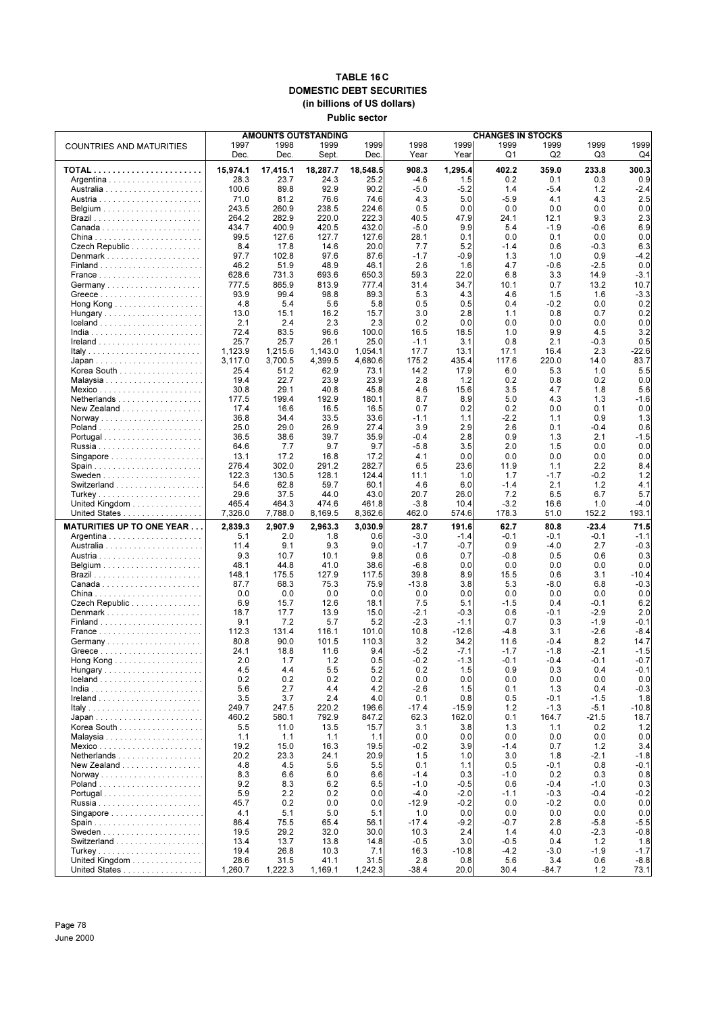### **TABLE 16 C DOMESTIC DEBT SECURITIES (in billions of US dollars) Public sector**

|                                                                   |                 |                 | <b>AMOUNTS OUTSTANDING</b> |                 | <b>CHANGES IN STOCKS</b> |                |                  |                |                |                |  |
|-------------------------------------------------------------------|-----------------|-----------------|----------------------------|-----------------|--------------------------|----------------|------------------|----------------|----------------|----------------|--|
| <b>COUNTRIES AND MATURITIES</b>                                   | 1997<br>Dec.    | 1998<br>Dec.    | 1999<br>Sept.              | 1999<br>Dec.    | 1998<br>Year             | 1999<br>Year   | 1999<br>Q1       | 1999<br>Q2     | 1999<br>Q3     | 1999<br>Q4     |  |
|                                                                   | 15,974.1        | 17,415.1        | 18,287.7                   | 18,548.5        | 908.3                    | 1,295.4        | 402.2            | 359.0          | 233.8          | 300.3          |  |
|                                                                   | 28.3            | 23.7            | 24.3                       | 25.2            | $-4.6$                   | 1.5            | 0.2              | 0.1            | 0.3            | 0.9            |  |
|                                                                   | 100.6           | 89.8            | 92.9                       | 90.2            | $-5.0$                   | $-5.2$         | 1.4              | $-5.4$         | 1.2            | $-2.4$         |  |
|                                                                   | 71.0            | 81.2            | 76.6                       | 74.6            | 4.3                      | 5.0            | $-5.9$           | 4.1            | 4.3            | 2.5            |  |
|                                                                   | 243.5           | 260.9           | 238.5                      | 224.6           | 0.5                      | 0.0            | 0.0              | 0.0            | 0.0            | 0.0            |  |
|                                                                   | 264.2<br>434.7  | 282.9<br>400.9  | 220.0<br>420.5             | 222.3<br>432.0  | 40.5<br>$-5.0$           | 47.9<br>9.9    | 24.1<br>5.4      | 12.1<br>$-1.9$ | 9.3<br>$-0.6$  | 2.3<br>6.9     |  |
|                                                                   | 99.5            | 127.6           | 127.7                      | 127.6           | 28.1                     | 0.1            | 0.0              | 0.1            | 0.0            | 0.0            |  |
| Czech Republic                                                    | 8.4             | 17.8            | 14.6                       | 20.0            | 7.7                      | 5.2            | $-1.4$           | 0.6            | $-0.3$         | 6.3            |  |
|                                                                   | 97.7            | 102.8           | 97.6                       | 87.6            | $-1.7$                   | $-0.9$         | 1.3              | 1.0            | 0.9            | $-4.2$         |  |
|                                                                   | 46.2            | 51.9            | 48.9                       | 46.1            | 2.6                      | 1.6            | 4.7              | $-0.6$         | $-2.5$         | 0.0            |  |
|                                                                   | 628.6           | 731.3           | 693.6                      | 650.3           | 59.3                     | 22.0           | 6.8              | 3.3            | 14.9           | $-3.1$         |  |
| Germany                                                           | 777.5<br>93.9   | 865.9<br>99.4   | 813.9<br>98.8              | 777.4<br>89.3   | 31.4<br>5.3              | 34.7<br>4.3    | 10.1<br>4.6      | 0.7<br>1.5     | 13.2<br>1.6    | 10.7<br>$-3.3$ |  |
|                                                                   | 4.8             | 5.4             | 5.6                        | 5.8             | 0.5                      | 0.5            | 0.4              | $-0.2$         | 0.0            | 0.2            |  |
| Hungary                                                           | 13.0            | 15.1            | 16.2                       | 15.7            | 3.0                      | 2.8            | 1.1              | 0.8            | 0.7            | 0.2            |  |
| $lceland \ldots \ldots \ldots \ldots \ldots \ldots \ldots \ldots$ | 2.1             | 2.4             | 2.3                        | 2.3             | 0.2                      | 0.0            | 0.0              | 0.0            | 0.0            | 0.0            |  |
|                                                                   | 72.4            | 83.5            | 96.6                       | 100.0           | 16.5                     | 18.5           | 1.0              | 9.9            | 4.5            | 3.2            |  |
|                                                                   | 25.7<br>1,123.9 | 25.7<br>1,215.6 | 26.1<br>1,143.0            | 25.0<br>1,054.1 | $-1.1$<br>17.7           | 3.1<br>13.1    | 0.8<br>17.1      | 2.1<br>16.4    | $-0.3$<br>2.3  | 0.5<br>$-22.6$ |  |
|                                                                   | 3,117.0         | 3,700.5         | 4,399.5                    | 4,680.6         | 175.2                    | 435.4          | 117.6            | 220.0          | 14.0           | 83.7           |  |
| Korea South                                                       | 25.4            | 51.2            | 62.9                       | 73.1            | 14.2                     | 17.9           | 6.0              | 5.3            | 1.0            | 5.5            |  |
|                                                                   | 19.4            | 22.7            | 23.9                       | 23.9            | 2.8                      | 1.2            | 0.2              | 0.8            | 0.2            | 0.0            |  |
|                                                                   | 30.8            | 29.1            | 40.8                       | 45.8            | 4.6                      | 15.6           | 3.5              | 4.7            | 1.8            | 5.6            |  |
| Netherlands                                                       | 177.5           | 199.4           | 192.9                      | 180.1           | 8.7                      | 8.9            | 5.0              | 4.3            | 1.3            | -1.6           |  |
| New Zealand                                                       | 17.4<br>36.8    | 16.6<br>34.4    | 16.5<br>33.5               | 16.5<br>33.6    | 0.7<br>$-1.1$            | 0.2<br>1.1     | 0.2<br>$-2.2$    | 0.0<br>1.1     | 0.1<br>0.9     | 0.0<br>1.3     |  |
|                                                                   | 25.0            | 29.0            | 26.9                       | 27.4            | 3.9                      | 2.9            | 2.6              | 0.1            | $-0.4$         | 0.6            |  |
| Portugal                                                          | 36.5            | 38.6            | 39.7                       | 35.9            | $-0.4$                   | 2.8            | 0.9              | 1.3            | 2.1            | $-1.5$         |  |
|                                                                   | 64.6            | 7.7             | 9.7                        | 9.7             | $-5.8$                   | 3.5            | 2.0              | 1.5            | 0.0            | 0.0            |  |
|                                                                   | 13.1            | 17.2            | 16.8                       | 17.2            | 4.1                      | 0.0            | 0.0              | 0.0            | 0.0            | 0.0            |  |
|                                                                   | 276.4<br>122.3  | 302.0<br>130.5  | 291.2<br>128.1             | 282.7<br>124.4  | 6.5<br>11.1              | 23.6<br>1.0    | 11.9<br>1.7      | 1.1<br>$-1.7$  | 2.2<br>-0.2    | 8.4<br>1.2     |  |
|                                                                   | 54.6            | 62.8            | 59.7                       | 60.1            | 4.6                      | 6.0            | $-1.4$           | 2.1            | 1.2            | 4.1            |  |
|                                                                   | 29.6            | 37.5            | 44.0                       | 43.0            | 20.7                     | 26.0           | 7.2              | 6.5            | 6.7            | 5.7            |  |
| United Kingdom                                                    | 465.4           | 464.3           | 474.6                      | 461.8           | $-3.8$                   | 10.4           | $-3.2$           | 16.6           | 1.0            | -4.0           |  |
| United States                                                     | 7,326.0         | 7,788.0         | 8,169.5                    | 8,362.6         | 462.0                    | 574.6          | 178.3            | 51.0           | 152.2          | 193.1          |  |
| <b>MATURITIES UP TO ONE YEAR</b>                                  | 2,839.3         | 2,907.9         | 2,963.3                    | 3,030.9         | 28.7                     | 191.6          | 62.7             | 80.8           | $-23.4$        | 71.5           |  |
|                                                                   | 5.1             | 2.0             | 1.8                        | 0.6             | $-3.0$                   | $-1.4$         | $-0.1$           | $-0.1$         | $-0.1$         | $-1.1$         |  |
|                                                                   | 11.4<br>9.3     | 9.1<br>10.7     | 9.3<br>10.1                | 9.0<br>9.8      | $-1.7$<br>0.6            | $-0.7$<br>0.7  | 0.9<br>$-0.8$    | -4.0<br>0.5    | 2.7<br>0.6     | $-0.3$<br>0.3  |  |
|                                                                   | 48.1            | 44.8            | 41.0                       | 38.6            | $-6.8$                   | 0.0            | 0.0              | 0.0            | 0.0            | 0.0            |  |
|                                                                   | 148.1           | 175.5           | 127.9                      | 117.5           | 39.8                     | 8.9            | 15.5             | 0.6            | 3.1            | $-10.4$        |  |
|                                                                   | 87.7            | 68.3            | 75.3                       | 75.9            | $-13.8$                  | 3.8            | 5.3              | $-8.0$         | 6.8            | $-0.3$         |  |
|                                                                   | 0.0             | 0.0             | 0.0                        | 0.0             | 0.0                      | 0.0            | 0.0              | 0.0            | 0.0            | 0.0            |  |
| Czech Republic<br>Denmark                                         | 6.9<br>18.7     | 15.7<br>17.7    | 12.6<br>13.9               | 18.1<br>15.0    | 7.5<br>-2.1              | 5.1<br>$-0.3$  | $-1.5$<br>0.6    | 0.4<br>-0.1    | -0.1<br>$-2.9$ | 6.2<br>2.0     |  |
|                                                                   | 9.1             | 7.2             | 5.7                        | 5.2             | $-2.3$                   | $-1.1$         | 0.7              | 0.3            | $-1.9$         | $-0.1$         |  |
|                                                                   | 112.3           | 131.4           | 116.1                      | 101.0           | 10.8                     | $-12.6$        | $-4.8$           | 3.1            | $-2.6$         | $-8.4$         |  |
|                                                                   | 80.8            | 90.0            | 101.5                      | 110.3           | 3.2                      | 34.2           | 11.6             | $-0.4$         | 8.2            | 14.7           |  |
|                                                                   | 24.1            | 18.8            | 11.6                       | 9.4             | $-5.2$                   | $-7.1$         | $-1.7$           | $-1.8$         | $-2.1$         | $-1.5$         |  |
| Hungary                                                           | 2.0<br>4.5      | 1.7<br>4.4      | 1.2<br>5.5                 | 0.5<br>5.2      | $-0.2$<br>0.2            | $-1.3$<br>1.5  | $-0.1$<br>0.9    | $-0.4$<br>0.3  | $-0.1$<br>0.4  | $-0.7$<br>-0.1 |  |
| $lceland \ldots \ldots \ldots \ldots \ldots \ldots \ldots \ldots$ | 0.2             | 0.2             | 0.2                        | 0.2             | 0.0                      | 0.0            | 0.0              | 0.0            | 0.0            | 0.0            |  |
|                                                                   | 5.6             | 2.7             | 4.4                        | 4.2             | $-2.6$                   | 1.5            | 0.1              | 1.3            | 0.4            | $-0.3$         |  |
|                                                                   | 3.5             | 3.7             | 2.4                        | 4.0             | 0.1                      | 0.8            | 0.5              | $-0.1$         | $-1.5$         | 1.8            |  |
|                                                                   | 249.7           | 247.5           | 220.2                      | 196.6           | $-17.4$                  | $-15.9$        | 1.2              | $-1.3$         | $-5.1$         | $-10.8$        |  |
| Korea South                                                       | 460.2<br>5.5    | 580.1<br>11.0   | 792.9<br>13.5              | 847.2<br>15.7   | 62.3<br>3.1              | 162.0<br>3.8   | 0.1<br>1.3       | 164.7<br>1.1   | $-21.5$<br>0.2 | 18.7<br>$1.2$  |  |
|                                                                   | 1.1             | 1.1             | 1.1                        | 1.1             | 0.0                      | 0.0            | 0.0              | 0.0            | 0.0            | 0.0            |  |
|                                                                   | 19.2            | 15.0            | 16.3                       | 19.5            | $-0.2$                   | 3.9            | $-1.4$           | 0.7            | 1.2            | 3.4            |  |
| Netherlands                                                       | 20.2            | 23.3            | 24.1                       | 20.9            | 1.5                      | 1.0            | 3.0              | 1.8            | $-2.1$         | $-1.8$         |  |
| New Zealand                                                       | 4.8             | 4.5             | 5.6                        | 5.5             | 0.1                      | 1.1            | 0.5              | $-0.1$         | 0.8            | $-0.1$         |  |
|                                                                   | 8.3<br>9.2      | 6.6<br>8.3      | 6.0<br>6.2                 | 6.6<br>6.5      | $-1.4$<br>$-1.0$         | 0.3<br>$-0.5$  | $-1.0$<br>0.6    | 0.2<br>$-0.4$  | 0.3<br>$-1.0$  | 0.8<br>0.3     |  |
| Portugal                                                          | 5.9             | 2.2             | 0.2                        | 0.0             | $-4.0$                   | $-2.0$         | $-1.1$           | $-0.3$         | $-0.4$         | $-0.2$         |  |
|                                                                   | 45.7            | 0.2             | 0.0                        | 0.0             | $-12.9$                  | $-0.2$         | 0.0              | $-0.2$         | 0.0            | 0.0            |  |
| Singapore $\ldots \ldots \ldots \ldots \ldots \ldots$             | 4.1             | 5.1             | 5.0                        | 5.1             | 1.0                      | 0.0            | 0.0              | 0.0            | 0.0            | 0.0            |  |
|                                                                   | 86.4            | 75.5            | 65.4                       | 56.1            | $-17.4$                  | $-9.2$         | $-0.7$           | 2.8            | $-5.8$         | $-5.5$         |  |
|                                                                   | 19.5            | 29.2            | 32.0                       | 30.0            | 10.3                     | 2.4            | 1.4              | 4.0            | $-2.3$         | $-0.8$         |  |
|                                                                   | 13.4<br>19.4    | 13.7<br>26.8    | 13.8<br>10.3               | 14.8<br>7.1     | $-0.5$<br>16.3           | 3.0<br>$-10.8$ | $-0.5$<br>$-4.2$ | 0.4<br>$-3.0$  | 1.2<br>$-1.9$  | 1.8<br>$-1.7$  |  |
| United Kingdom                                                    | 28.6            | 31.5            | 41.1                       | 31.5            | 2.8                      | 0.8            | 5.6              | 3.4            | 0.6            | $-8.8$         |  |
| United States                                                     | 1,260.7         | 1,222.3         | 1,169.1                    | 1,242.3         | $-38.4$                  | 20.0           | 30.4             | $-84.7$        | 1.2            | 73.1           |  |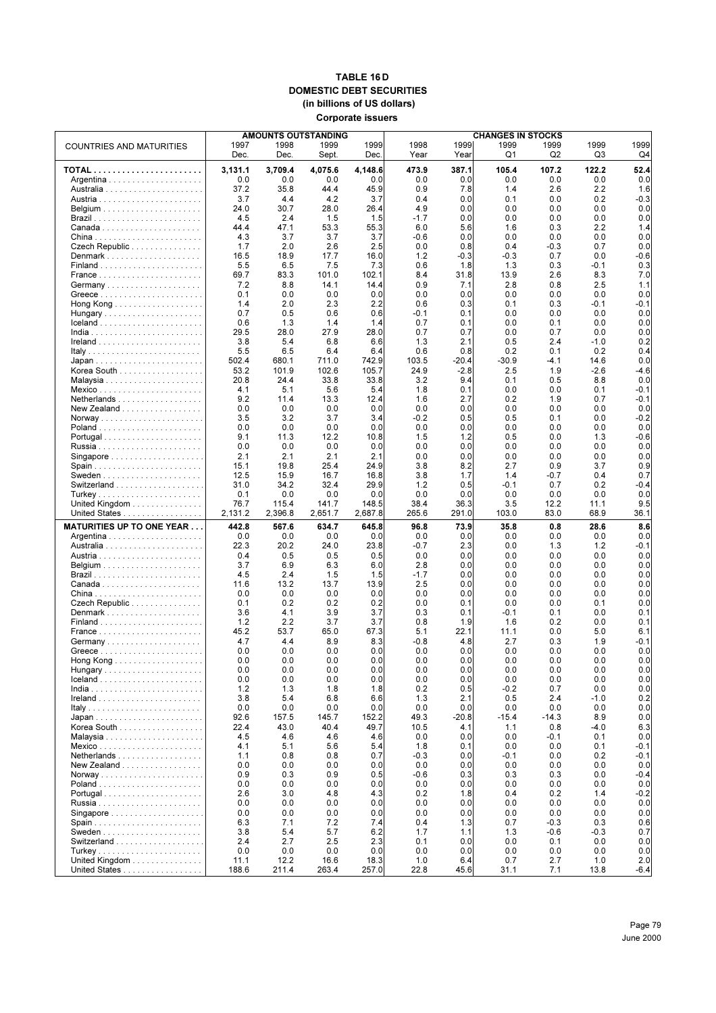#### **TABLE 16 D DOMESTIC DEBT SECURITIES (in billions of US dollars) Corporate issuers**

|                                  | <b>AMOUNTS OUTSTANDING</b> | <b>CHANGES IN STOCKS</b> |               |               |               |             |               |                |               |                |
|----------------------------------|----------------------------|--------------------------|---------------|---------------|---------------|-------------|---------------|----------------|---------------|----------------|
| <b>COUNTRIES AND MATURITIES</b>  | 1997                       | 1998                     | 1999          | 1999          | 1998          | 1999        | 1999          | 1999           | 1999          | 1999           |
|                                  | Dec.                       | Dec.                     | Sept.         | Dec.          | Year          | Year        | Q1            | Q <sub>2</sub> | Q3            | Q4             |
|                                  | 3,131.1                    | 3.709.4                  | 4,075.6       | 4,148.6       | 473.9         | 387.1       | 105.4         | 107.2          | 122.2         | 52.4           |
|                                  | 0.0                        | 0.0                      | 0.0           | 0.0           | 0.0           | 0.0         | 0.0           | 0.0            | 0.0           | 0.0            |
|                                  | 37.2<br>3.7                | 35.8<br>4.4              | 44.4<br>4.2   | 45.9<br>3.7   | 0.9<br>0.4    | 7.8<br>0.0  | 1.4<br>0.1    | 2.6<br>0.0     | 2.2<br>0.2    | 1.6<br>$-0.3$  |
|                                  | 24.0                       | 30.7                     | 28.0          | 26.4          | 4.9           | 0.0         | 0.0           | 0.0            | 0.0           | 0.0            |
|                                  | 4.5                        | 2.4                      | 1.5           | 1.5           | $-1.7$        | 0.0         | 0.0           | 0.0            | 0.0           | 0.0            |
|                                  | 44.4                       | 47.1                     | 53.3          | 55.3          | 6.0           | 5.6         | 1.6           | 0.3            | 2.2           | 1.4            |
|                                  | 4.3                        | 3.7                      | 3.7           | 3.7           | $-0.6$        | 0.0         | 0.0           | 0.0            | 0.0           | 0.0            |
| Czech Republic                   | 1.7                        | 2.0                      | 2.6           | 2.5           | 0.0           | 0.8         | 0.4           | -0.3           | 0.7           | 0.0            |
| Denmark                          | 16.5                       | 18.9                     | 17.7          | 16.0          | 1.2           | $-0.3$      | $-0.3$        | 0.7            | 0.0           | $-0.6$         |
|                                  | 5.5                        | 6.5                      | 7.5           | 7.3           | 0.6           | 1.8         | 1.3           | 0.3            | $-0.1$        | 0.3            |
|                                  | 69.7                       | 83.3                     | 101.0         | 102.1         | 8.4           | 31.8        | 13.9          | 2.6            | 8.3           | 7.0            |
| Germany                          | 7.2                        | 8.8                      | 14.1          | 14.4          | 0.9           | 7.1         | 2.8           | 0.8            | 2.5           | 1.1            |
|                                  | 0.1<br>1.4                 | 0.0<br>2.0               | 0.0<br>2.3    | 0.0<br>2.2    | 0.0<br>0.6    | 0.0<br>0.3  | 0.0<br>0.1    | 0.0<br>0.3     | 0.0<br>$-0.1$ | 0.0<br>$-0.1$  |
| Hungary                          | 0.7                        | 0.5                      | 0.6           | 0.6           | -0.1          | 0.1         | 0.0           | 0.0            | 0.0           | 0.0            |
|                                  | 0.6                        | 1.3                      | 1.4           | 1.4           | 0.7           | 0.1         | 0.0           | 0.1            | 0.0           | 0.0            |
|                                  | 29.5                       | 28.0                     | 27.9          | 28.0          | 0.7           | 0.7         | 0.0           | 0.7            | 0.0           | 0.0            |
|                                  | 3.8                        | 5.4                      | 6.8           | 6.6           | 1.3           | 2.1         | 0.5           | 2.4            | $-1.0$        | 0.2            |
|                                  | 5.5                        | 6.5                      | 6.4           | 6.4           | 0.6           | 0.8         | 0.2           | 0.1            | 0.2           | 0.4            |
|                                  | 502.4                      | 680.1                    | 711.0         | 742.9         | 103.5         | -20.4       | $-30.9$       | -4.1           | 14.6          | 0.0            |
| Korea South                      | 53.2                       | 101.9                    | 102.6         | 105.7         | 24.9          | $-2.8$      | 2.5           | 1.9            | $-2.6$        | -4.6           |
|                                  | 20.8                       | 24.4                     | 33.8          | 33.8          | 3.2           | 9.4         | 0.1           | 0.5            | 8.8           | 0.0            |
| Mexico<br>Netherlands            | 4.1<br>9.2                 | 5.1<br>11.4              | 5.6<br>13.3   | 5.4<br>12.4   | 1.8<br>1.6    | 0.1<br>2.7  | 0.0<br>0.2    | 0.0<br>1.9     | 0.1<br>0.7    | -0.1<br>$-0.1$ |
| New Zealand                      | 0.0                        | 0.0                      | 0.0           | 0.0           | 0.0           | 0.0         | 0.0           | 0.0            | 0.0           | 0.0            |
|                                  | 3.5                        | 3.2                      | 3.7           | 3.4           | $-0.2$        | 0.5         | 0.5           | 0.1            | 0.0           | $-0.2$         |
|                                  | 0.0                        | 0.0                      | 0.0           | 0.0           | 0.0           | 0.0         | 0.0           | 0.0            | 0.0           | 0.0            |
| Portugal                         | 9.1                        | 11.3                     | 12.2          | 10.8          | 1.5           | 1.2         | 0.5           | 0.0            | 1.3           | $-0.6$         |
|                                  | 0.0                        | 0.0                      | 0.0           | 0.0           | 0.0           | 0.0         | 0.0           | 0.0            | 0.0           | 0.0            |
|                                  | 2.1                        | 2.1                      | 2.1           | 2.1           | 0.0           | 0.0         | 0.0           | 0.0            | 0.0           | 0.0            |
|                                  | 15.1                       | 19.8                     | 25.4          | 24.9          | 3.8           | 8.2         | 2.7           | 0.9            | 3.7           | 0.9            |
|                                  | 12.5                       | 15.9                     | 16.7          | 16.8          | 3.8           | 1.7         | 1.4           | -0.7           | 0.4           | 0.7            |
|                                  | 31.0<br>0.1                | 34.2<br>0.0              | 32.4<br>0.0   | 29.9<br>0.0   | 1.2<br>0.0    | 0.5<br>0.0  | $-0.1$<br>0.0 | 0.7<br>0.0     | 0.2<br>0.0    | $-0.4$<br>0.0  |
| Turkey<br>United Kingdom         | 76.7                       | 115.4                    | 141.7         | 148.5         | 38.4          | 36.3        | 3.5           | 12.2           | 11.1          | 9.5            |
| United States                    | 2,131.2                    | 2,396.8                  | 2,651.7       | 2,687.8       | 265.6         | 291.0       | 103.0         | 83.0           | 68.9          | 36.1           |
| <b>MATURITIES UP TO ONE YEAR</b> | 442.8                      | 567.6                    | 634.7         | 645.8         | 96.8          | 73.9        | 35.8          | 0.8            | 28.6          | 8.6            |
|                                  | 0.0                        | 0.0                      | 0.0           | 0.0           | 0.0           | 0.0         | 0.0           | 0.0            | 0.0           | 0.0            |
|                                  | 22.3                       | 20.2                     | 24.0          | 23.8          | $-0.7$        | 2.3         | 0.0           | 1.3            | 1.2           | $-0.1$         |
|                                  | 0.4                        | 0.5                      | 0.5           | 0.5           | 0.0           | 0.0         | 0.0           | 0.0            | 0.0           | 0.0            |
|                                  | 3.7                        | 6.9                      | 6.3           | 6.0           | 2.8           | 0.0         | 0.0           | 0.0            | 0.0           | 0.0            |
|                                  | 4.5                        | 2.4                      | 1.5           | 1.5           | $-1.7$        | 0.0         | 0.0           | 0.0            | 0.0           | 0.0            |
|                                  | 11.6                       | 13.2                     | 13.7          | 13.9          | 2.5           | 0.0         | 0.0           | 0.0            | 0.0           | 0.0            |
| Czech Republic                   | 0.0<br>0.1                 | 0.0<br>0.2               | 0.0<br>0.2    | 0.0<br>0.2    | 0.0<br>0.0    | 0.0<br>0.1  | 0.0<br>0.0    | 0.0<br>0.0     | 0.0<br>0.1    | 0.0<br>0.0     |
| Denmark                          | 3.6                        | 4.1                      | 3.9           | 3.7           | 0.3           | 0.1         | $-0.1$        | 0.1            | 0.0           | 0.1            |
|                                  | 1.2                        | 2.2                      | 3.7           | 3.7           | 0.8           | 1.9         | 1.6           | 0.2            | 0.0           | 0.1            |
|                                  | 45.2                       | 53.7                     | 65.0          | 67.3          | 5.1           | 22.1        | 11.1          | 0.0            | 5.0           | 6.1            |
| Germany                          | 4.7                        | 4.4                      | 8.9           | 8.3           | $-0.8$        | 4.8         | 2.7           | 0.3            | 1.9           | -0.1           |
|                                  | 0.0                        | 0.0                      | 0.0           | 0.0           | 0.0           | 0.0         | 0.0           | 0.0            | 0.0           | 0.0            |
|                                  | 0.0                        | 0.0                      | 0.0           | 0.0           | 0.0           | 0.0         | 0.0           | 0.0            | 0.0           | 0.0            |
| Hungary                          | U.U                        | 0.0                      | υ.υ           | U.U           | U.U           | 0.0         | U.U           | U.U            | U.U           | 0.0            |
|                                  | 0.0<br>1.2                 | 0.0<br>1.3               | 0.0<br>1.8    | 0.0<br>1.8    | 0.0<br>0.2    | 0.0<br>0.5  | 0.0<br>$-0.2$ | 0.0<br>0.7     | 0.0<br>0.0    | 0.0<br>0.0     |
|                                  | 3.8                        | 5.4                      | 6.8           | 6.6           | 1.3           | 2.1         | 0.5           | 2.4            | $-1.0$        | 0.2            |
|                                  | 0.0                        | 0.0                      | 0.0           | 0.0           | 0.0           | 0.0         | 0.0           | 0.0            | 0.0           | 0.0            |
|                                  | 92.6                       | 157.5                    | 145.7         | 152.2         | 49.3          | -20.8       | $-15.4$       | $-14.3$        | 8.9           | 0.0            |
| Korea South                      | 22.4                       | 43.0                     | 40.4          | 49.7          | 10.5          | 4.1         | 1.1           | 0.8            | $-4.0$        | 6.3            |
|                                  | 4.5                        | 4.6                      | 4.6           | 4.6           | 0.0           | 0.0         | 0.0           | $-0.1$         | 0.1           | 0.0            |
| Mexico                           | 4.1                        | 5.1                      | 5.6           | 5.4           | 1.8           | 0.1         | 0.0           | 0.0            | 0.1           | -0.1           |
| Netherlands                      | 1.1                        | 0.8                      | 0.8           | 0.7           | -0.3          | 0.0         | -0.1          | 0.0            | 0.2           | $-0.1$         |
| New Zealand                      | 0.0<br>0.9                 | 0.0<br>0.3               | 0.0<br>0.9    | 0.0<br>0.5    | 0.0<br>$-0.6$ | 0.0<br>0.3  | 0.0<br>0.3    | 0.0<br>0.3     | 0.0<br>0.0    | 0.0<br>$-0.4$  |
|                                  | 0.0                        | 0.0                      | 0.0           | 0.0           | 0.0           | 0.0         | 0.0           | 0.0            | 0.0           | 0.0            |
| Portugal                         | 2.6                        | 3.0                      | 4.8           | 4.3           | 0.2           | 1.8         | 0.4           | 0.2            | 1.4           | $-0.2$         |
|                                  | 0.0                        | 0.0                      | 0.0           | 0.0           | 0.0           | 0.0         | 0.0           | 0.0            | 0.0           | 0.0            |
|                                  | 0.0                        | 0.0                      | 0.0           | 0.0           | 0.0           | 0.0         | 0.0           | 0.0            | 0.0           | 0.0            |
|                                  | 6.3                        | 7.1                      | 7.2           | 7.4           | 0.4           | 1.3         | 0.7           | $-0.3$         | 0.3           | 0.6            |
|                                  | 3.8                        | 5.4                      | 5.7           | 6.2           | 1.7           | 1.1         | 1.3           | $-0.6$         | $-0.3$        | 0.7            |
|                                  | 2.4                        | 2.7                      | 2.5           | 2.3           | 0.1           | 0.0         | 0.0           | 0.1            | 0.0           | 0.0            |
|                                  | 0.0                        | 0.0                      | 0.0           | 0.0           | 0.0           | 0.0         | 0.0           | 0.0            | 0.0           | 0.0            |
| United Kingdom<br>United States  | 11.1<br>188.6              | 12.2<br>211.4            | 16.6<br>263.4 | 18.3<br>257.0 | 1.0<br>22.8   | 6.4<br>45.6 | 0.7<br>31.1   | 2.7<br>7.1     | 1.0<br>13.8   | 2.0<br>$-6.4$  |
|                                  |                            |                          |               |               |               |             |               |                |               |                |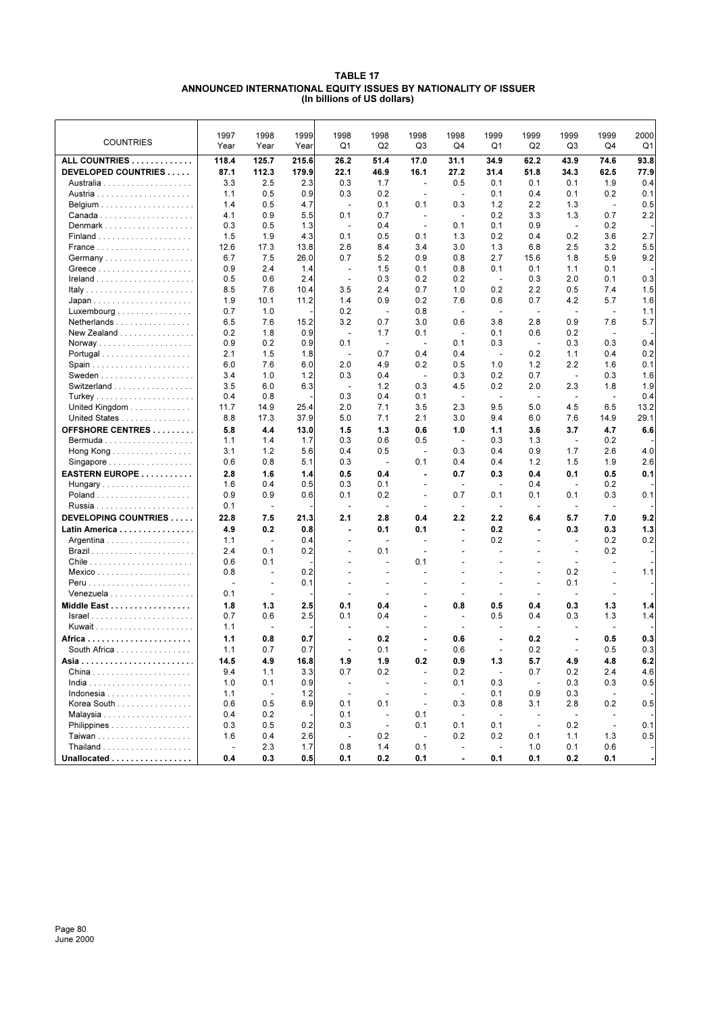#### **TABLE 17 ANNOUNCED INTERNATIONAL EQUITY ISSUES BY NATIONALITY OF ISSUER (In billions of US dollars)**

| <b>COUNTRIES</b>                                 | 1997<br>Year             | 1998<br>Year             | 1999<br>Year | 1998<br>Q1               | 1998<br>Q <sub>2</sub>   | 1998<br>Q <sub>3</sub>   | 1998<br>Q4               | 1999<br>Q <sub>1</sub>   | 1999<br>Q2               | 1999<br>Q3               | 1999<br>Q4               | 2000<br>Q <sub>1</sub> |
|--------------------------------------------------|--------------------------|--------------------------|--------------|--------------------------|--------------------------|--------------------------|--------------------------|--------------------------|--------------------------|--------------------------|--------------------------|------------------------|
| ALL COUNTRIES                                    | 118.4                    | 125.7                    | 215.6        | 26.2                     | 51.4                     | 17.0                     | 31.1                     | 34.9                     | 62.2                     | 43.9                     | 74.6                     | 93.8                   |
| DEVELOPED COUNTRIES                              | 87.1                     | 112.3                    | 179.9        | 22.1                     | 46.9                     | 16.1                     | 27.2                     | 31.4                     | 51.8                     | 34.3                     | 62.5                     | 77.9                   |
|                                                  | 3.3                      | 2.5                      | 2.3          | 0.3                      | 1.7                      | $\blacksquare$           | 0.5                      | 0.1                      | 0.1                      | 0.1                      | 1.9                      | 0.4                    |
|                                                  | 1.1                      | 0.5                      | 0.9          | 0.3                      | 0.2                      | $\overline{\phantom{a}}$ | $\sim$                   | 0.1                      | 0.4                      | 0.1                      | 0.2                      | 0.1                    |
|                                                  | 1.4                      | 0.5                      | 4.7          | $\overline{\phantom{a}}$ | 0.1                      | 0.1                      | 0.3                      | 1.2                      | 2.2                      | 1.3                      |                          | 0.5                    |
|                                                  | 4.1                      | 0.9                      | 5.5          | 0.1                      | 0.7                      | ٠                        | $\overline{\phantom{a}}$ | 0.2                      | 3.3                      | 1.3                      | 0.7                      | 2.2                    |
| Denmark                                          | 0.3                      | 0.5                      | 1.3          | ÷,                       | 0.4                      |                          | 0.1                      | 0.1                      | 0.9                      | $\blacksquare$           | 0.2                      |                        |
|                                                  | 1.5                      | 1.9                      | 4.3          | 0.1                      | 0.5                      | 0.1                      | 1.3                      | 0.2                      | 0.4                      | 0.2                      | 3.6                      | 2.7                    |
|                                                  | 12.6                     | 17.3                     | 13.8         | 2.6                      | 8.4                      | 3.4                      | 3.0                      | 1.3                      | 6.8                      | 2.5                      | 3.2                      | 5.5                    |
| Germany                                          | 6.7                      | 7.5                      | 26.0         | 0.7                      | 5.2                      | 0.9                      | 0.8                      | 2.7                      | 15.6                     | 1.8                      | 5.9                      | 9.2                    |
|                                                  | 0.9                      | 2.4                      | 1.4          | ÷,                       | 1.5                      | 0.1                      | 0.8                      | 0.1                      | 0.1                      | 1.1                      | 0.1                      |                        |
|                                                  | 0.5                      | 0.6                      | 2.4          | $\overline{\phantom{a}}$ | 0.3                      | 0.2                      | 0.2                      | $\overline{\phantom{a}}$ | 0.3                      | 2.0                      | 0.1                      | 0.3                    |
|                                                  | 8.5                      | 7.6                      | 10.4         | 3.5                      | 2.4                      | 0.7                      | 1.0                      | 0.2                      | 2.2                      | 0.5                      | 7.4                      | 1.5                    |
|                                                  | 1.9                      | 10.1                     | 11.2         | 1.4                      | 0.9                      | 0.2                      | 7.6                      | 0.6                      | 0.7                      | 4.2                      | 5.7                      | 1.6                    |
| $Luxembourg \dots \dots \dots \dots \dots \dots$ | 0.7                      | 1.0                      |              | 0.2                      | $\overline{\phantom{a}}$ | 0.8                      | $\overline{\phantom{a}}$ | $\overline{\phantom{a}}$ | ÷,                       | $\blacksquare$           | $\overline{\phantom{a}}$ | 1.1                    |
| Netherlands                                      | 6.5                      | 7.6                      | 15.2         | 3.2                      | 0.7                      | 3.0                      | 0.6                      | 3.8                      | 2.8                      | 0.9                      | 7.6                      | 5.7                    |
| New Zealand                                      | 0.2                      | 1.8                      | 0.9          | ÷,                       | 1.7                      | 0.1                      | ÷,                       | 0.1                      | 0.6                      | 0.2                      |                          |                        |
|                                                  | 0.9                      | 0.2                      | 0.9          | 0.1                      | $\sim$                   | ÷.                       | 0.1                      | 0.3                      | $\sim$                   | 0.3                      | 0.3                      | 0.4                    |
| Portugal                                         | 2.1                      | 1.5                      | 1.8          | ÷,                       | 0.7                      | 0.4                      | 0.4                      | $\sim$                   | 0.2                      | 1.1                      | 0.4                      | 0.2                    |
|                                                  | 6.0                      | 7.6                      | 6.0          | 2.0                      | 4.9                      | 0.2                      | 0.5                      | 1.0                      | 1.2                      | 2.2                      | 1.6                      | 0.1                    |
|                                                  | 3.4                      | 1.0                      | 1.2          | 0.3                      | 0.4                      | $\overline{\phantom{a}}$ | 0.3                      | 0.2                      | 0.7                      | $\sim$                   | 0.3                      | 1.6                    |
| Switzerland                                      | 3.5                      | 6.0                      | 6.3          | $\overline{\phantom{a}}$ | 1.2                      | 0.3                      | 4.5                      | 0.2                      | 2.0                      | 2.3                      | 1.8                      | 1.9                    |
|                                                  | 0.4                      | 0.8                      |              | 0.3                      | 0.4                      | 0.1                      | $\overline{a}$           | $\overline{\phantom{a}}$ | ÷,                       | $\overline{\phantom{a}}$ | $\overline{\phantom{a}}$ | 0.4                    |
| United Kingdom                                   | 11.7                     | 14.9                     | 25.4         | 2.0                      | 7.1                      | 3.5                      | 2.3                      | 9.5                      | 5.0                      | 4.5                      | 6.5                      | 13.2                   |
| United States                                    | 8.8                      | 17.3                     | 37.9         | 5.0                      | 7.1                      | 2.1                      | 3.0                      | 9.4                      | 6.0                      | 7.6                      | 14.9                     | 29.1                   |
| <b>OFFSHORE CENTRES</b>                          | 5.8                      | 4.4                      | 13.0         | 1.5                      | 1.3                      | 0.6                      | 1.0                      | 1.1                      | 3.6                      | 3.7                      | 4.7                      | 6.6                    |
|                                                  | 1.1                      | 1.4                      | 1.7          | 0.3                      | 0.6                      | 0.5                      | $\sim$                   | 0.3                      | 1.3                      | $\sim$                   | 0.2                      |                        |
| Hong Kong                                        | 3.1                      | 1.2                      | 5.6          | 0.4                      | 0.5                      |                          | 0.3                      | 0.4                      | 0.9                      | 1.7                      | 2.6                      | 4.0                    |
| Singapore                                        | 0.6                      | 0.8                      | 5.1          | 0.3                      | $\sim$                   | 0.1                      | 0.4                      | 0.4                      | 1.2                      | 1.5                      | 1.9                      | 2.6                    |
| EASTERN EUROPE                                   | 2.8                      | 1.6                      | 1.4          | 0.5                      | 0.4                      | ٠                        | 0.7                      | 0.3                      | 0.4                      | 0.1                      | 0.5                      | 0.1                    |
| Hungary                                          | 1.6                      | 0.4                      | 0.5          | 0.3                      | 0.1                      |                          | $\blacksquare$           | $\sim$                   | 0.4                      | $\blacksquare$           | 0.2                      |                        |
|                                                  | 0.9                      | 0.9                      | 0.6          | 0.1                      | 0.2                      | $\overline{a}$           | 0.7                      | 0.1                      | 0.1                      | 0.1                      | 0.3                      | 0.1                    |
|                                                  | 0.1                      | $\overline{\phantom{a}}$ |              | $\overline{\phantom{a}}$ | $\sim$                   |                          | $\blacksquare$           | $\blacksquare$           | $\overline{\phantom{a}}$ | $\blacksquare$           | $\overline{\phantom{a}}$ |                        |
| DEVELOPING COUNTRIES                             | 22.8                     | 7.5                      | 21.3         | 2.1                      | 2.8                      | 0.4                      | 2.2                      | 2.2                      | 6.4                      | 5.7                      | 7.0                      | 9.2                    |
| Latin America                                    | 4.9                      | 0.2                      | 0.8          | $\blacksquare$           | 0.1                      | 0.1                      | $\blacksquare$           | 0.2                      | $\blacksquare$           | 0.3                      | 0.3                      | 1.3                    |
| Argentina                                        | 1.1                      | $\blacksquare$           | 0.4          | $\overline{\phantom{a}}$ | $\overline{\phantom{a}}$ | $\overline{\phantom{a}}$ | $\blacksquare$           | 0.2                      | $\overline{\phantom{a}}$ | $\blacksquare$           | 0.2                      | 0.2                    |
|                                                  | 2.4                      | 0.1                      | 0.2          |                          | 0.1                      |                          |                          | $\overline{a}$           |                          | $\overline{\phantom{a}}$ | 0.2                      |                        |
|                                                  | 0.6                      | 0.1                      |              |                          | $\overline{\phantom{a}}$ | 0.1                      |                          |                          |                          | $\overline{\phantom{a}}$ | $\overline{\phantom{a}}$ |                        |
|                                                  | 0.8                      | $\sim$                   | 0.2          |                          |                          | ÷.                       |                          |                          |                          | 0.2                      | $\overline{\phantom{a}}$ | 1.1                    |
| Peru                                             | ÷,                       | $\overline{\phantom{a}}$ | 0.1          |                          | $\overline{a}$           | ÷,                       | ÷,                       | ÷,                       | $\overline{\phantom{a}}$ | 0.1                      |                          |                        |
| Venezuela                                        | 0.1                      | ÷.                       |              |                          |                          |                          |                          |                          |                          | $\overline{\phantom{a}}$ |                          |                        |
| Middle East                                      | 1.8                      | 1.3                      | 2.5          | 0.1                      | 0.4                      | ٠                        | 0.8                      | 0.5                      | 0.4                      | 0.3                      | 1.3                      | 1.4                    |
|                                                  | 0.7                      | 0.6                      | 2.5          | 0.1                      | 0.4                      |                          | $\sim$                   | 0.5                      | 0.4                      | 0.3                      | 1.3                      | 1.4                    |
|                                                  | 1.1                      | $\overline{\phantom{a}}$ |              | $\overline{a}$           | $\overline{\phantom{a}}$ |                          | $\blacksquare$           | $\sim$                   | $\overline{\phantom{a}}$ | $\blacksquare$           | $\blacksquare$           |                        |
|                                                  | 1.1                      | 0.8                      | 0.7          |                          | 0.2                      |                          | 0.6                      |                          | 0.2                      |                          | 0.5                      | 0.3                    |
| South Africa                                     | 1.1                      | 0.7                      | 0.7          | ÷,                       | 0.1                      | ÷,                       | 0.6                      | ÷,                       | 0.2                      | $\overline{\phantom{a}}$ | 0.5                      | 0.3                    |
|                                                  | 14.5                     | 4.9                      | 16.8         | 1.9                      | 1.9                      | 0.2                      | 0.9                      | 1.3                      | 5.7                      | 4.9                      | 4.8                      | 6.2                    |
|                                                  | 9.4                      | 1.1                      | 3.3          | 0.7                      | 0.2                      | $\blacksquare$           | 0.2                      | $\overline{\phantom{a}}$ | 0.7                      | 0.2                      | 2.4                      | 4.6                    |
|                                                  | 1.0                      | 0.1                      | 0.9          | $\blacksquare$           | $\blacksquare$           | $\blacksquare$           | 0.1                      | 0.3                      | $\sim$                   | 0.3                      | 0.3                      | 0.5                    |
|                                                  | 1.1                      | $\overline{\phantom{a}}$ | 1.2          | $\overline{\phantom{a}}$ | $\sim$                   | $\overline{\phantom{a}}$ | $\overline{\phantom{a}}$ | 0.1                      | 0.9                      | 0.3                      | $\overline{\phantom{a}}$ |                        |
| Korea South                                      | 0.6                      | 0.5                      | 6.9          | 0.1                      | 0.1                      | $\sim$                   | 0.3                      | 0.8                      | 3.1                      | 2.8                      | 0.2                      | 0.5                    |
|                                                  | 0.4                      | 0.2                      |              | 0.1                      | $\blacksquare$           | 0.1                      | $\blacksquare$           | $\sim$                   | $\sim$                   | $\sim$                   |                          |                        |
| Philippines                                      | 0.3                      | 0.5                      | 0.2          | 0.3                      | $\sim$                   | 0.1                      | 0.1                      | 0.1                      | $\overline{a}$           | 0.2                      | $\sim$                   | 0.1                    |
|                                                  | 1.6                      | 0.4                      | 2.6          | $\overline{\phantom{a}}$ | 0.2                      | $\mathbf{u}$             | 0.2                      | 0.2                      | 0.1                      | 1.1                      | 1.3                      | 0.5                    |
| Thailand                                         | $\overline{\phantom{a}}$ | 2.3                      | 1.7          | 0.8                      | 1.4                      | 0.1                      | $\overline{\phantom{a}}$ | $\blacksquare$           | 1.0                      | 0.1                      | 0.6                      |                        |
| Unallocated                                      | 0.4                      | 0.3                      | 0.5          | 0.1                      | 0.2                      | 0.1                      | $\blacksquare$           | 0.1                      | 0.1                      | 0.2                      | 0.1                      |                        |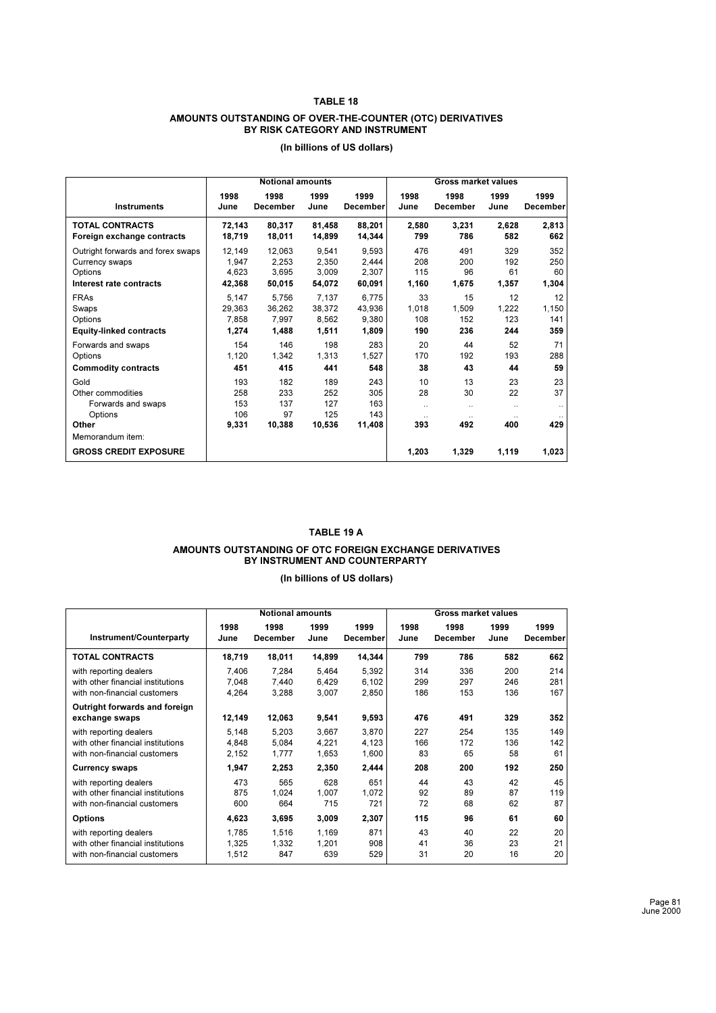#### **TABLE 18**

#### **AMOUNTS OUTSTANDING OF OVER-THE-COUNTER (OTC) DERIVATIVES BY RISK CATEGORY AND INSTRUMENT**

|                                   |        | <b>Notional amounts</b> |        |                 | <b>Gross market values</b> |                 |           |                 |  |  |
|-----------------------------------|--------|-------------------------|--------|-----------------|----------------------------|-----------------|-----------|-----------------|--|--|
|                                   | 1998   | 1998                    | 1999   | 1999            | 1998                       | 1998            | 1999      | 1999            |  |  |
| <b>Instruments</b>                | June   | <b>December</b>         | June   | <b>December</b> | June                       | <b>December</b> | June      | <b>December</b> |  |  |
| <b>TOTAL CONTRACTS</b>            | 72,143 | 80,317                  | 81,458 | 88,201          | 2,580                      | 3,231           | 2,628     | 2,813           |  |  |
| Foreign exchange contracts        | 18,719 | 18,011                  | 14,899 | 14,344          | 799                        | 786             | 582       | 662             |  |  |
| Outright forwards and forex swaps | 12,149 | 12,063                  | 9,541  | 9,593           | 476                        | 491             | 329       | 352             |  |  |
| Currency swaps                    | 1,947  | 2,253                   | 2,350  | 2,444           | 208                        | 200             | 192       | 250             |  |  |
| Options                           | 4.623  | 3,695                   | 3,009  | 2,307           | 115                        | 96              | 61        | 60              |  |  |
| Interest rate contracts           | 42,368 | 50,015                  | 54,072 | 60,091          | 1,160                      | 1,675           | 1,357     | 1,304           |  |  |
| <b>FRAs</b>                       | 5,147  | 5,756                   | 7,137  | 6,775           | 33                         | 15              | 12        | 12              |  |  |
| Swaps                             | 29,363 | 36.262                  | 38,372 | 43,936          | 1,018                      | 1,509           | 1,222     | 1,150           |  |  |
| Options                           | 7,858  | 7,997                   | 8,562  | 9,380           | 108                        | 152             | 123       | 141             |  |  |
| <b>Equity-linked contracts</b>    | 1,274  | 1,488                   | 1,511  | 1,809           | 190                        | 236             | 244       | 359             |  |  |
| Forwards and swaps                | 154    | 146                     | 198    | 283             | 20                         | 44              | 52        | 71              |  |  |
| Options                           | 1,120  | 1,342                   | 1,313  | 1,527           | 170                        | 192             | 193       | 288             |  |  |
| <b>Commodity contracts</b>        | 451    | 415                     | 441    | 548             | 38                         | 43              | 44        | 59              |  |  |
| Gold                              | 193    | 182                     | 189    | 243             | 10                         | 13              | 23        | 23              |  |  |
| Other commodities                 | 258    | 233                     | 252    | 305             | 28                         | 30              | 22        | 37              |  |  |
| Forwards and swaps                | 153    | 137                     | 127    | 163             | $\ddotsc$                  | $\cdot$ .       | $\ddotsc$ |                 |  |  |
| Options                           | 106    | 97                      | 125    | 143             | $\ddotsc$                  | $\cdot$ .       |           |                 |  |  |
| Other                             | 9.331  | 10,388                  | 10,536 | 11,408          | 393                        | 492             | 400       | 429             |  |  |
| Memorandum item:                  |        |                         |        |                 |                            |                 |           |                 |  |  |
| <b>GROSS CREDIT EXPOSURE</b>      |        |                         |        |                 | 1,203                      | 1,329           | 1,119     | 1,023           |  |  |

# **(In billions of US dollars)**

#### **TABLE 19 A**

# **AMOUNTS OUTSTANDING OF OTC FOREIGN EXCHANGE DERIVATIVES BY INSTRUMENT AND COUNTERPARTY**

|                                                 | <b>Notional amounts</b><br><b>Gross market values</b> |          |        |                 |      |          |      |                 |
|-------------------------------------------------|-------------------------------------------------------|----------|--------|-----------------|------|----------|------|-----------------|
| Instrument/Counterparty                         | 1998                                                  | 1998     | 1999   | 1999            | 1998 | 1998     | 1999 | 1999            |
|                                                 | June                                                  | December | June   | <b>December</b> | June | December | June | <b>December</b> |
| <b>TOTAL CONTRACTS</b>                          | 18,719                                                | 18,011   | 14,899 | 14,344          | 799  | 786      | 582  | 662             |
| with reporting dealers                          | 7,406                                                 | 7,284    | 5,464  | 5,392           | 314  | 336      | 200  | 214             |
| with other financial institutions               | 7.048                                                 | 7,440    | 6,429  | 6,102           | 299  | 297      | 246  | 281             |
| with non-financial customers                    | 4,264                                                 | 3,288    | 3,007  | 2,850           | 186  | 153      | 136  | 167             |
| Outright forwards and foreign<br>exchange swaps | 12,149                                                | 12,063   | 9,541  | 9,593           | 476  | 491      | 329  | 352             |
| with reporting dealers                          | 5.148                                                 | 5,203    | 3,667  | 3,870           | 227  | 254      | 135  | 149             |
| with other financial institutions               | 4.848                                                 | 5,084    | 4,221  | 4,123           | 166  | 172      | 136  | 142             |
| with non-financial customers                    | 2,152                                                 | 1,777    | 1,653  | 1,600           | 83   | 65       | 58   | 61              |
| <b>Currency swaps</b>                           | 1,947                                                 | 2,253    | 2,350  | 2,444           | 208  | 200      | 192  | 250             |
| with reporting dealers                          | 473                                                   | 565      | 628    | 651             | 44   | 43       | 42   | 45              |
| with other financial institutions               | 875                                                   | 1,024    | 1,007  | 1,072           | 92   | 89       | 87   | 119             |
| with non-financial customers                    | 600                                                   | 664      | 715    | 721             | 72   | 68       | 62   | 87              |
| <b>Options</b>                                  | 4,623                                                 | 3,695    | 3,009  | 2,307           | 115  | 96       | 61   | 60              |
| with reporting dealers                          | 1.785                                                 | 1.516    | 1,169  | 871             | 43   | 40       | 22   | 20              |
| with other financial institutions               | 1.325                                                 | 1,332    | 1,201  | 908             | 41   | 36       | 23   | 21              |
| with non-financial customers                    | 1,512                                                 | 847      | 639    | 529             | 31   | 20       | 16   | 20              |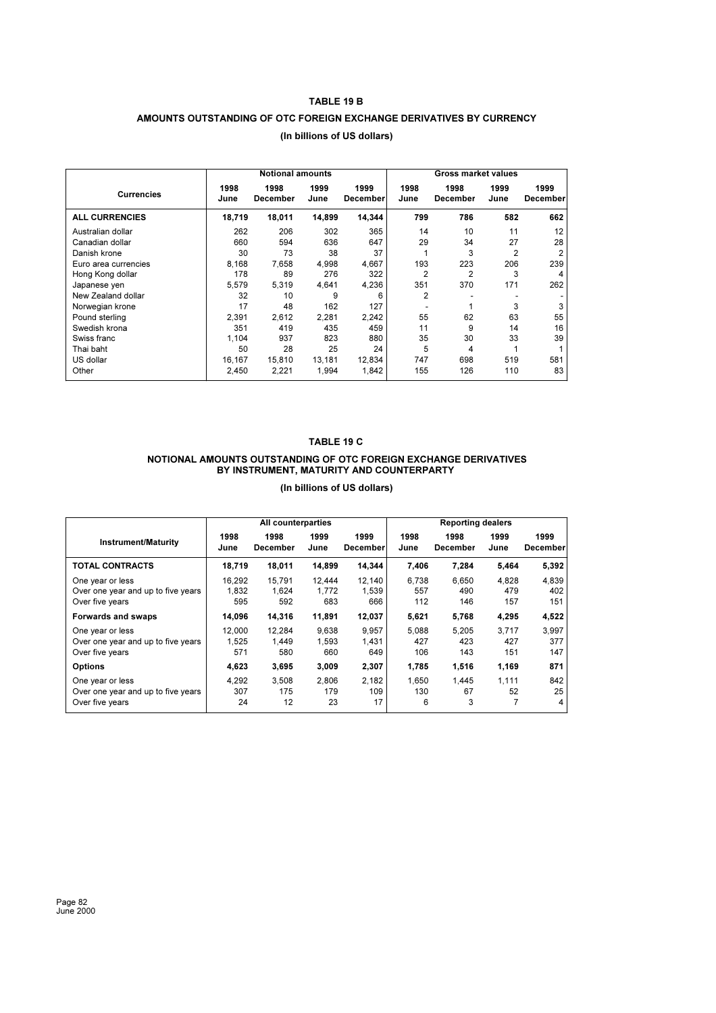#### **TABLE 19 B**

# **AMOUNTS OUTSTANDING OF OTC FOREIGN EXCHANGE DERIVATIVES BY CURRENCY**

|                       |              | <b>Notional amounts</b> |              |                         |                | <b>Gross market values</b> |                |                  |
|-----------------------|--------------|-------------------------|--------------|-------------------------|----------------|----------------------------|----------------|------------------|
| <b>Currencies</b>     | 1998<br>June | 1998<br><b>December</b> | 1999<br>June | 1999<br><b>December</b> | 1998<br>June   | 1998<br>December           | 1999<br>June   | 1999<br>December |
| <b>ALL CURRENCIES</b> | 18,719       | 18,011                  | 14,899       | 14,344                  | 799            | 786                        | 582            | 662              |
| Australian dollar     | 262          | 206                     | 302          | 365                     | 14             | 10                         | 11             | 12               |
| Canadian dollar       | 660          | 594                     | 636          | 647                     | 29             | 34                         | 27             | 28               |
| Danish krone          | 30           | 73                      | 38           | 37                      | 1              | 3                          | $\overline{2}$ | $\overline{2}$   |
| Euro area currencies  | 8.168        | 7.658                   | 4.998        | 4.667                   | 193            | 223                        | 206            | 239              |
| Hong Kong dollar      | 178          | 89                      | 276          | 322                     | $\overline{2}$ | $\overline{2}$             | 3              | 4                |
| Japanese yen          | 5.579        | 5.319                   | 4.641        | 4,236                   | 351            | 370                        | 171            | 262              |
| New Zealand dollar    | 32           | 10                      | 9            | 6                       | $\overline{2}$ |                            |                |                  |
| Norwegian krone       | 17           | 48                      | 162          | 127                     |                |                            | 3              | 3                |
| Pound sterling        | 2,391        | 2.612                   | 2,281        | 2,242                   | 55             | 62                         | 63             | 55               |
| Swedish krona         | 351          | 419                     | 435          | 459                     | 11             | 9                          | 14             | 16               |
| Swiss franc           | 1.104        | 937                     | 823          | 880                     | 35             | 30                         | 33             | 39               |
| Thai baht             | 50           | 28                      | 25           | 24                      | 5              | 4                          |                |                  |
| US dollar             | 16.167       | 15,810                  | 13,181       | 12,834                  | 747            | 698                        | 519            | 581              |
| Other                 | 2,450        | 2,221                   | 1.994        | 1,842                   | 155            | 126                        | 110            | 83               |

# **(In billions of US dollars)**

#### **TABLE 19 C**

#### **NOTIONAL AMOUNTS OUTSTANDING OF OTC FOREIGN EXCHANGE DERIVATIVES BY INSTRUMENT, MATURITY AND COUNTERPARTY**

|                                                                           |                        | <b>Reporting dealers</b><br>All counterparties |                        |                        |                     |                     |                     |                             |
|---------------------------------------------------------------------------|------------------------|------------------------------------------------|------------------------|------------------------|---------------------|---------------------|---------------------|-----------------------------|
| <b>Instrument/Maturity</b>                                                | 1998<br>June           | 1998<br>December                               | 1999<br>June           | 1999<br>December       | 1998<br>June        | 1998<br>December    | 1999<br>June        | 1999<br><b>December</b>     |
| <b>TOTAL CONTRACTS</b>                                                    | 18,719                 | 18,011                                         | 14,899                 | 14,344                 | 7,406               | 7,284               | 5,464               | 5,392                       |
| One year or less<br>Over one year and up to five years<br>Over five years | 16.292<br>1.832<br>595 | 15.791<br>1.624<br>592                         | 12.444<br>1.772<br>683 | 12,140<br>1.539<br>666 | 6.738<br>557<br>112 | 6.650<br>490<br>146 | 4.828<br>479<br>157 | 4,839<br>402<br>151         |
| Forwards and swaps                                                        | 14,096                 | 14,316                                         | 11,891                 | 12,037                 | 5,621               | 5,768               | 4,295               | 4,522                       |
| One year or less<br>Over one year and up to five years<br>Over five years | 12.000<br>1.525<br>571 | 12,284<br>1.449<br>580                         | 9,638<br>1,593<br>660  | 9.957<br>1,431<br>649  | 5.088<br>427<br>106 | 5,205<br>423<br>143 | 3,717<br>427<br>151 | 3,997<br>377<br>147         |
| <b>Options</b>                                                            | 4,623                  | 3,695                                          | 3,009                  | 2,307                  | 1,785               | 1,516               | 1,169               | 871                         |
| One year or less<br>Over one year and up to five years<br>Over five years | 4.292<br>307<br>24     | 3.508<br>175<br>12                             | 2.806<br>179<br>23     | 2.182<br>109<br>17     | 1.650<br>130<br>6   | 1.445<br>67<br>3    | 1.111<br>52         | 842<br>25<br>$\overline{4}$ |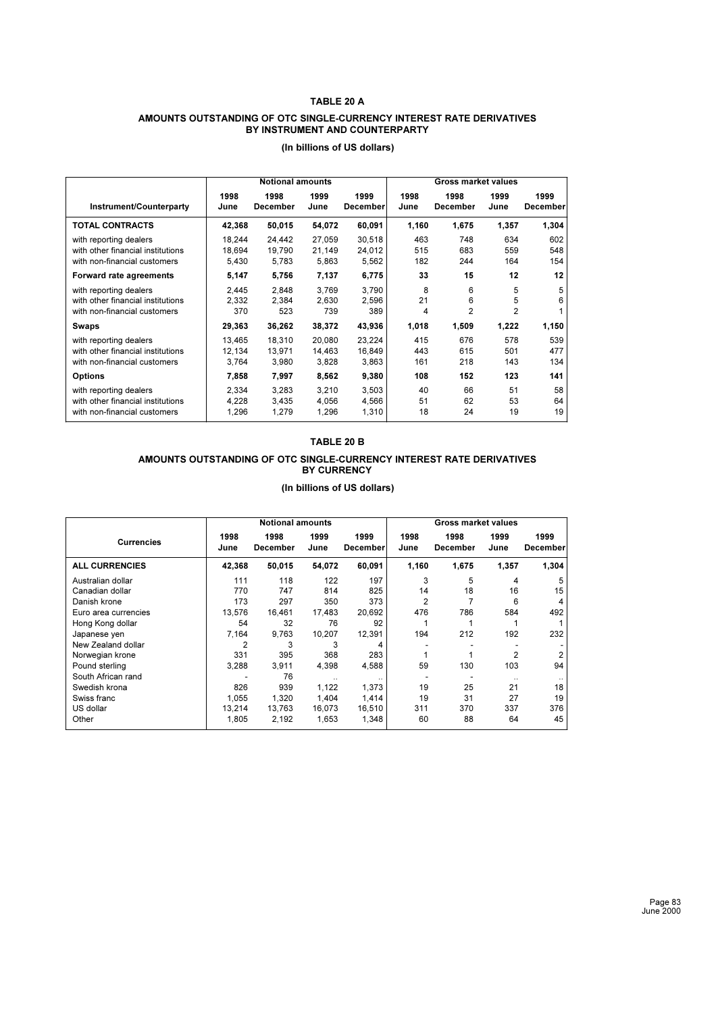#### **TABLE 20 A**

#### **AMOUNTS OUTSTANDING OF OTC SINGLE-CURRENCY INTEREST RATE DERIVATIVES BY INSTRUMENT AND COUNTERPARTY**

|                                                                                             |                           | <b>Notional amounts</b>   |                           |                           | <b>Gross market values</b> |                          |                          |                   |  |
|---------------------------------------------------------------------------------------------|---------------------------|---------------------------|---------------------------|---------------------------|----------------------------|--------------------------|--------------------------|-------------------|--|
| Instrument/Counterparty                                                                     | 1998<br>June              | 1998<br>December          | 1999<br>June              | 1999<br>December          | 1998<br>June               | 1998<br>December         | 1999<br>June             | 1999<br>December  |  |
| <b>TOTAL CONTRACTS</b>                                                                      | 42,368                    | 50,015                    | 54,072                    | 60,091                    | 1,160                      | 1,675                    | 1,357                    | 1,304             |  |
| with reporting dealers<br>with other financial institutions<br>with non-financial customers | 18,244<br>18,694<br>5,430 | 24,442<br>19,790<br>5,783 | 27,059<br>21,149<br>5,863 | 30.518<br>24,012<br>5,562 | 463<br>515<br>182          | 748<br>683<br>244        | 634<br>559<br>164        | 602<br>548<br>154 |  |
| <b>Forward rate agreements</b>                                                              | 5,147                     | 5,756                     | 7,137                     | 6,775                     | 33                         | 15                       | 12                       | 12                |  |
| with reporting dealers<br>with other financial institutions<br>with non-financial customers | 2,445<br>2,332<br>370     | 2,848<br>2,384<br>523     | 3,769<br>2,630<br>739     | 3,790<br>2,596<br>389     | 8<br>21<br>4               | 6<br>6<br>$\overline{2}$ | 5<br>5<br>$\mathfrak{p}$ | 5<br>6            |  |
| Swaps                                                                                       | 29,363                    | 36,262                    | 38,372                    | 43,936                    | 1,018                      | 1,509                    | 1,222                    | 1,150             |  |
| with reporting dealers<br>with other financial institutions<br>with non-financial customers | 13.465<br>12,134<br>3,764 | 18,310<br>13,971<br>3,980 | 20,080<br>14,463<br>3,828 | 23,224<br>16,849<br>3,863 | 415<br>443<br>161          | 676<br>615<br>218        | 578<br>501<br>143        | 539<br>477<br>134 |  |
| <b>Options</b>                                                                              | 7,858                     | 7,997                     | 8,562                     | 9,380                     | 108                        | 152                      | 123                      | 141               |  |
| with reporting dealers<br>with other financial institutions<br>with non-financial customers | 2.334<br>4,228<br>1,296   | 3,283<br>3,435<br>1,279   | 3,210<br>4,056<br>1,296   | 3,503<br>4,566<br>1,310   | 40<br>51<br>18             | 66<br>62<br>24           | 51<br>53<br>19           | 58<br>64<br>19    |  |

# **(In billions of US dollars)**

#### **TABLE 20 B**

#### **AMOUNTS OUTSTANDING OF OTC SINGLE-CURRENCY INTEREST RATE DERIVATIVES BY CURRENCY**

|                       |              | <b>Notional amounts</b> |                      | <b>Gross market values</b> |                |                         |                      |                  |
|-----------------------|--------------|-------------------------|----------------------|----------------------------|----------------|-------------------------|----------------------|------------------|
| <b>Currencies</b>     | 1998<br>June | 1998<br>December        | 1999<br>June         | 1999<br><b>December</b>    | 1998<br>June   | 1998<br><b>December</b> | 1999<br>June         | 1999<br>December |
| <b>ALL CURRENCIES</b> | 42,368       | 50,015                  | 54,072               | 60,091                     | 1,160          | 1,675                   | 1,357                | 1,304            |
| Australian dollar     | 111          | 118                     | 122                  | 197                        | 3              | 5                       | 4                    |                  |
| Canadian dollar       | 770          | 747                     | 814                  | 825                        | 14             | 18                      | 16                   | 15               |
| Danish krone          | 173          | 297                     | 350                  | 373                        | $\overline{2}$ |                         | 6                    | 4                |
| Euro area currencies  | 13.576       | 16.461                  | 17.483               | 20.692                     | 476            | 786                     | 584                  | 492              |
| Hong Kong dollar      | 54           | 32                      | 76                   | 92                         |                |                         |                      |                  |
| Japanese yen          | 7,164        | 9,763                   | 10,207               | 12,391                     | 194            | 212                     | 192                  | 232              |
| New Zealand dollar    | 2            | 3                       | 3                    | 4                          |                |                         |                      |                  |
| Norwegian krone       | 331          | 395                     | 368                  | 283                        |                |                         | 2                    |                  |
| Pound sterling        | 3,288        | 3,911                   | 4,398                | 4,588                      | 59             | 130                     | 103                  | 94               |
| South African rand    |              | 76                      | $\ddot{\phantom{a}}$ | $\ddotsc$                  |                | -                       | $\ddot{\phantom{0}}$ |                  |
| Swedish krona         | 826          | 939                     | 1,122                | 1.373                      | 19             | 25                      | 21                   | 18               |
| Swiss franc           | 1.055        | 1,320                   | 1.404                | 1,414                      | 19             | 31                      | 27                   | 19               |
| US dollar             | 13.214       | 13.763                  | 16.073               | 16,510                     | 311            | 370                     | 337                  | 376              |
| Other                 | 1,805        | 2,192                   | 1,653                | 1,348                      | 60             | 88                      | 64                   | 45               |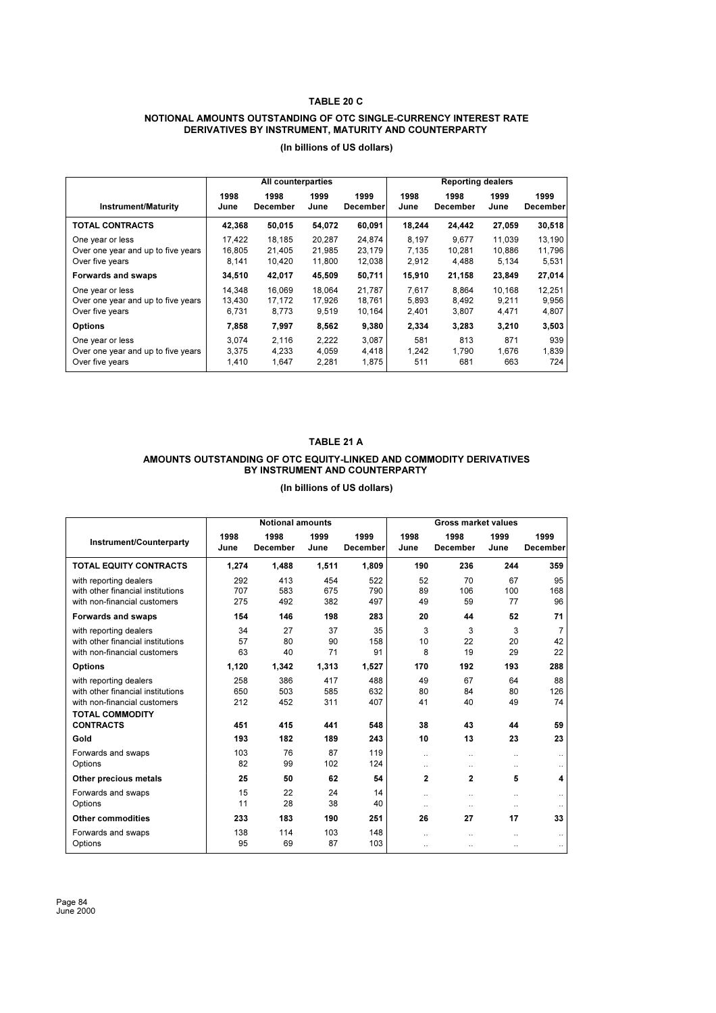#### **TABLE 20 C**

#### **NOTIONAL AMOUNTS OUTSTANDING OF OTC SINGLE-CURRENCY INTEREST RATE DERIVATIVES BY INSTRUMENT, MATURITY AND COUNTERPARTY**

|                                    | <b>Reporting dealers</b><br>All counterparties |          |        |          |        |          |        |                 |
|------------------------------------|------------------------------------------------|----------|--------|----------|--------|----------|--------|-----------------|
| <b>Instrument/Maturity</b>         | 1998                                           | 1998     | 1999   | 1999     | 1998   | 1998     | 1999   | 1999            |
|                                    | June                                           | December | June   | December | June   | December | June   | <b>December</b> |
| <b>TOTAL CONTRACTS</b>             | 42,368                                         | 50,015   | 54,072 | 60,091   | 18,244 | 24,442   | 27,059 | 30,518          |
| One year or less                   | 17.422                                         | 18.185   | 20.287 | 24.874   | 8.197  | 9.677    | 11.039 | 13,190          |
| Over one year and up to five years | 16.805                                         | 21.405   | 21.985 | 23,179   | 7.135  | 10,281   | 10.886 | 11,796          |
| Over five years                    | 8,141                                          | 10.420   | 11,800 | 12,038   | 2,912  | 4,488    | 5,134  | 5,531           |
| Forwards and swaps                 | 34,510                                         | 42,017   | 45,509 | 50,711   | 15,910 | 21,158   | 23,849 | 27,014          |
| One year or less                   | 14.348                                         | 16.069   | 18.064 | 21,787   | 7.617  | 8.864    | 10.168 | 12,251          |
| Over one year and up to five years | 13.430                                         | 17.172   | 17.926 | 18.761   | 5.893  | 8,492    | 9.211  | 9,956           |
| Over five years                    | 6,731                                          | 8,773    | 9,519  | 10,164   | 2,401  | 3,807    | 4,471  | 4,807           |
| <b>Options</b>                     | 7,858                                          | 7,997    | 8,562  | 9,380    | 2,334  | 3,283    | 3,210  | 3,503           |
| One year or less                   | 3.074                                          | 2.116    | 2,222  | 3,087    | 581    | 813      | 871    | 939             |
| Over one year and up to five years | 3,375                                          | 4,233    | 4,059  | 4,418    | 1.242  | 1,790    | 1,676  | 1,839           |
| Over five years                    | 1.410                                          | 1,647    | 2,281  | 1,875    | 511    | 681      | 663    | 724             |

**(In billions of US dollars)** 

# **TABLE 21 A AMOUNTS OUTSTANDING OF OTC EQUITY-LINKED AND COMMODITY DERIVATIVES BY INSTRUMENT AND COUNTERPARTY**

|                                                                                                                       |                   | <b>Notional amounts</b> |                   |                         |                                   | <b>Gross market values</b> |                                   |                            |
|-----------------------------------------------------------------------------------------------------------------------|-------------------|-------------------------|-------------------|-------------------------|-----------------------------------|----------------------------|-----------------------------------|----------------------------|
| Instrument/Counterparty                                                                                               | 1998<br>June      | 1998<br><b>December</b> | 1999<br>June      | 1999<br><b>December</b> | 1998<br>June                      | 1998<br><b>December</b>    | 1999<br>June                      | 1999<br><b>December</b>    |
| <b>TOTAL EQUITY CONTRACTS</b>                                                                                         | 1,274             | 1.488                   | 1,511             | 1,809                   | 190                               | 236                        | 244                               | 359                        |
| with reporting dealers<br>with other financial institutions<br>with non-financial customers                           | 292<br>707<br>275 | 413<br>583<br>492       | 454<br>675<br>382 | 522<br>790<br>497       | 52<br>89<br>49                    | 70<br>106<br>59            | 67<br>100<br>77                   | 95<br>168<br>96            |
| Forwards and swaps                                                                                                    | 154               | 146                     | 198               | 283                     | 20                                | 44                         | 52                                | 71                         |
| with reporting dealers<br>with other financial institutions<br>with non-financial customers                           | 34<br>57<br>63    | 27<br>80<br>40          | 37<br>90<br>71    | 35<br>158<br>91         | 3<br>10<br>8                      | 3<br>22<br>19              | 3<br>20<br>29                     | $\overline{7}$<br>42<br>22 |
| <b>Options</b>                                                                                                        | 1.120             | 1.342                   | 1.313             | 1.527                   | 170                               | 192                        | 193                               | 288                        |
| with reporting dealers<br>with other financial institutions<br>with non-financial customers<br><b>TOTAL COMMODITY</b> | 258<br>650<br>212 | 386<br>503<br>452       | 417<br>585<br>311 | 488<br>632<br>407       | 49<br>80<br>41                    | 67<br>84<br>40             | 64<br>80<br>49                    | 88<br>126<br>74            |
| <b>CONTRACTS</b>                                                                                                      | 451               | 415                     | 441               | 548                     | 38                                | 43                         | 44                                | 59                         |
| Gold                                                                                                                  | 193               | 182                     | 189               | 243                     | 10                                | 13                         | 23                                | 23                         |
| Forwards and swaps<br>Options                                                                                         | 103<br>82         | 76<br>99                | 87<br>102         | 119<br>124              | $\ddotsc$<br>$\ddotsc$            | $\ddotsc$<br>              | $\ddotsc$<br>$\ddot{\phantom{a}}$ | $\ddotsc$                  |
| Other precious metals                                                                                                 | 25                | 50                      | 62                | 54                      | $\mathbf{2}$                      | $\overline{2}$             | 5                                 | $\boldsymbol{4}$           |
| Forwards and swaps<br>Options                                                                                         | 15<br>11          | 22<br>28                | 24<br>38          | 14<br>40                | $\ddotsc$<br>$\cdot$              | $\ddotsc$<br>$\ddotsc$     | $\ddotsc$<br>$\ddotsc$            | $\ddotsc$                  |
| <b>Other commodities</b>                                                                                              | 233               | 183                     | 190               | 251                     | 26                                | 27                         | 17                                | 33                         |
| Forwards and swaps<br>Options                                                                                         | 138<br>95         | 114<br>69               | 103<br>87         | 148<br>103              | $\ddot{\phantom{a}}$<br>$\ddotsc$ | $\ddot{\phantom{a}}$       | $\ddotsc$<br>$\ddotsc$            | $\ddotsc$<br>$\ddotsc$     |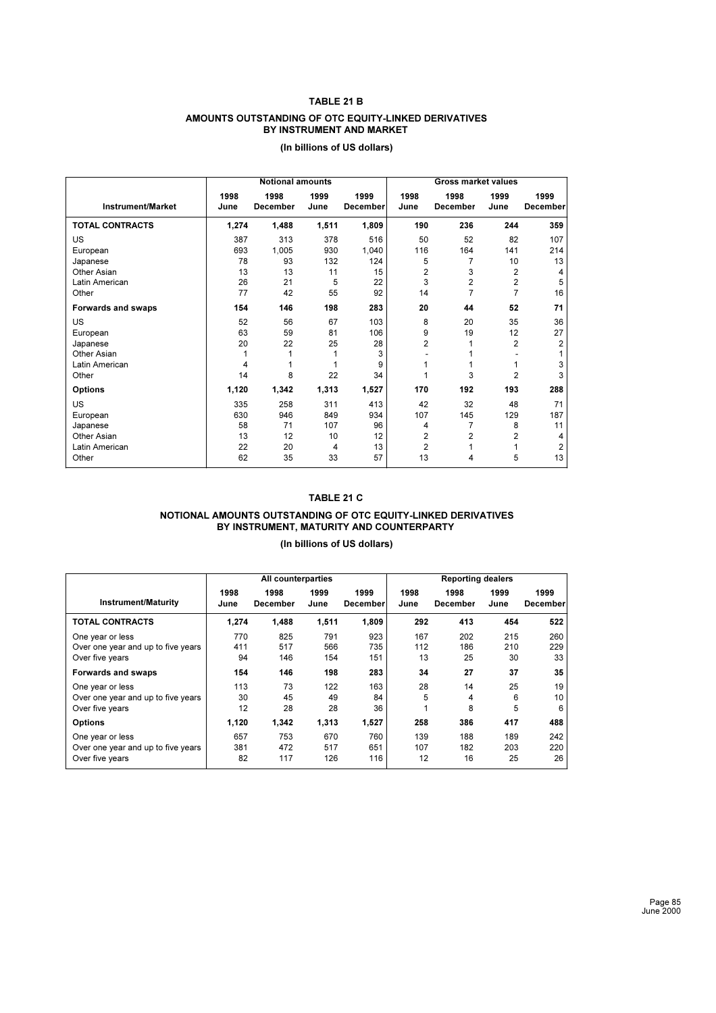#### **TABLE 21 B**

#### **AMOUNTS OUTSTANDING OF OTC EQUITY-LINKED DERIVATIVES BY INSTRUMENT AND MARKET**

|                          |              | <b>Notional amounts</b> |              |                         | <b>Gross market values</b> |                         |                |                         |  |  |
|--------------------------|--------------|-------------------------|--------------|-------------------------|----------------------------|-------------------------|----------------|-------------------------|--|--|
| <b>Instrument/Market</b> | 1998<br>June | 1998<br><b>December</b> | 1999<br>June | 1999<br><b>December</b> | 1998<br>June               | 1998<br><b>December</b> | 1999<br>June   | 1999<br><b>December</b> |  |  |
| <b>TOTAL CONTRACTS</b>   | 1,274        | 1,488                   | 1,511        | 1,809                   | 190                        | 236                     | 244            | 359                     |  |  |
| <b>US</b>                | 387          | 313                     | 378          | 516                     | 50                         | 52                      | 82             | 107                     |  |  |
| European                 | 693          | 1,005                   | 930          | 1,040                   | 116                        | 164                     | 141            | 214                     |  |  |
| Japanese                 | 78           | 93                      | 132          | 124                     | 5                          | 7                       | 10             | 13                      |  |  |
| Other Asian              | 13           | 13                      | 11           | 15                      | $\overline{2}$             | 3                       | $\overline{2}$ | 4                       |  |  |
| Latin American           | 26           | 21                      | 5            | 22                      | 3                          | $\overline{2}$          | $\overline{2}$ | 5                       |  |  |
| Other                    | 77           | 42                      | 55           | 92                      | 14                         | $\overline{7}$          | 7              | 16                      |  |  |
| Forwards and swaps       | 154          | 146                     | 198          | 283                     | 20                         | 44                      | 52             | 71                      |  |  |
| US                       | 52           | 56                      | 67           | 103                     | 8                          | 20                      | 35             | 36                      |  |  |
| European                 | 63           | 59                      | 81           | 106                     | 9                          | 19                      | 12             | 27                      |  |  |
| Japanese                 | 20           | 22                      | 25           | 28                      | $\overline{2}$             | 1                       | $\overline{2}$ | $\overline{2}$          |  |  |
| Other Asian              | 1            |                         | 1            | 3                       |                            |                         |                |                         |  |  |
| Latin American           | 4            |                         |              | 9                       |                            | 1                       | 1              | 3                       |  |  |
| Other                    | 14           | 8                       | 22           | 34                      |                            | 3                       | $\overline{2}$ | 3                       |  |  |
| <b>Options</b>           | 1,120        | 1,342                   | 1,313        | 1,527                   | 170                        | 192                     | 193            | 288                     |  |  |
| <b>US</b>                | 335          | 258                     | 311          | 413                     | 42                         | 32                      | 48             | 71                      |  |  |
| European                 | 630          | 946                     | 849          | 934                     | 107                        | 145                     | 129            | 187                     |  |  |
| Japanese                 | 58           | 71                      | 107          | 96                      | 4                          | 7                       | 8              | 11                      |  |  |
| Other Asian              | 13           | 12                      | 10           | 12                      | $\overline{2}$             | $\overline{2}$          | 2              | 4                       |  |  |
| Latin American           | 22           | 20                      | 4            | 13                      | $\overline{2}$             | 1                       |                | $\overline{2}$          |  |  |
| Other                    | 62           | 35                      | 33           | 57                      | 13                         | 4                       | 5              | 13                      |  |  |

# **(In billions of US dollars)**

## **TABLE 21 C**

#### **NOTIONAL AMOUNTS OUTSTANDING OF OTC EQUITY-LINKED DERIVATIVES BY INSTRUMENT, MATURITY AND COUNTERPARTY**

|                                    | <b>Reporting dealers</b><br>All counterparties |                  |              |                  |              |                  |              |                  |
|------------------------------------|------------------------------------------------|------------------|--------------|------------------|--------------|------------------|--------------|------------------|
| <b>Instrument/Maturity</b>         | 1998<br>June                                   | 1998<br>December | 1999<br>June | 1999<br>December | 1998<br>June | 1998<br>December | 1999<br>June | 1999<br>December |
| <b>TOTAL CONTRACTS</b>             | 1,274                                          | 1,488            | 1,511        | 1,809            | 292          | 413              | 454          | 522              |
| One year or less                   | 770                                            | 825              | 791          | 923              | 167          | 202              | 215          | 260              |
| Over one year and up to five years | 411                                            | 517              | 566          | 735              | 112          | 186              | 210          | 229              |
| Over five years                    | 94                                             | 146              | 154          | 151              | 13           | 25               | 30           | 33               |
| Forwards and swaps                 | 154                                            | 146              | 198          | 283              | 34           | 27               | 37           | 35               |
| One year or less                   | 113                                            | 73               | 122          | 163              | 28           | 14               | 25           | 19               |
| Over one year and up to five years | 30                                             | 45               | 49           | 84               | 5            | 4                | 6            | 10               |
| Over five years                    | 12                                             | 28               | 28           | 36               |              | 8                | 5            | 6                |
| <b>Options</b>                     | 1,120                                          | 1,342            | 1,313        | 1,527            | 258          | 386              | 417          | 488              |
| One year or less                   | 657                                            | 753              | 670          | 760              | 139          | 188              | 189          | 242              |
| Over one year and up to five years | 381                                            | 472              | 517          | 651              | 107          | 182              | 203          | 220              |
| Over five years                    | 82                                             | 117              | 126          | 116              | 12           | 16               | 25           | 26               |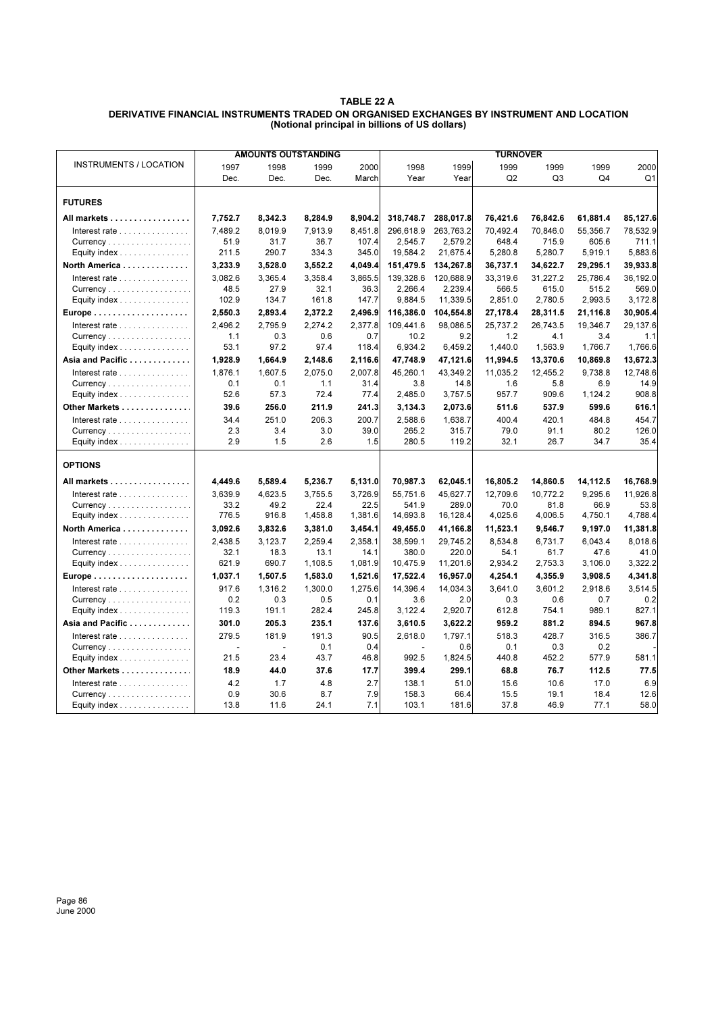### **TABLE 22 A DERIVATIVE FINANCIAL INSTRUMENTS TRADED ON ORGANISED EXCHANGES BY INSTRUMENT AND LOCATION (Notional principal in billions of US dollars)**

|                                                         | <b>AMOUNTS OUTSTANDING</b> |                |                 |                 |                   |                   | <b>TURNOVER</b> |                 |                 |                 |
|---------------------------------------------------------|----------------------------|----------------|-----------------|-----------------|-------------------|-------------------|-----------------|-----------------|-----------------|-----------------|
| <b>INSTRUMENTS / LOCATION</b>                           | 1997                       | 1998           | 1999            | 2000            | 1998              | 1999              | 1999            | 1999            | 1999            | 2000            |
|                                                         | Dec.                       | Dec.           | Dec.            | March           | Year              | Year              | Q <sub>2</sub>  | Q <sub>3</sub>  | Q4              | Q1              |
| <b>FUTURES</b>                                          |                            |                |                 |                 |                   |                   |                 |                 |                 |                 |
| All markets                                             | 7,752.7                    | 8,342.3        | 8,284.9         | 8,904.2         | 318,748.7         | 288,017.8         | 76,421.6        | 76,842.6        | 61,881.4        | 85,127.6        |
| Interest rate                                           | 7.489.2                    | 8.019.9        | 7.913.9         | 8.451.8         | 296.618.9         | 263.763.2         | 70.492.4        | 70.846.0        | 55.356.7        | 78.532.9        |
| Currency                                                | 51.9                       | 31.7           | 36.7            | 107.4           | 2,545.7           | 2,579.2           | 648.4           | 715.9           | 605.6           | 711.1           |
| Equity index $\ldots \ldots \ldots \ldots \ldots$       | 211.5                      | 290.7          | 334.3           | 345.0           | 19,584.2          | 21,675.4          | 5,280.8         | 5,280.7         | 5,919.1         | 5,883.6         |
| North America                                           | 3,233.9                    | 3,528.0        | 3,552.2         | 4.049.4         | 151,479.5         | 134,267.8         | 36,737.1        | 34,622.7        | 29,295.1        | 39,933.8        |
| Interest rate                                           | 3.082.6                    | 3.365.4        | 3.358.4         | 3.865.5         | 139,328.6         | 120,688.9         | 33.319.6        | 31.227.2        | 25.786.4        | 36.192.0        |
|                                                         | 48.5                       | 27.9           | 32.1            | 36.3            | 2,266.4           | 2,239.4           | 566.5           | 615.0           | 515.2           | 569.0           |
| Equity index                                            | 102.9                      | 134.7          | 161.8           | 147.7           | 9,884.5           | 11,339.5          | 2,851.0         | 2,780.5         | 2,993.5         | 3,172.8         |
|                                                         | 2,550.3                    | 2,893.4        | 2,372.2         | 2,496.9         | 116,386.0         | 104,554.8         | 27,178.4        | 28,311.5        | 21,116.8        | 30,905.4        |
| Interest rate $\ldots \ldots \ldots \ldots$<br>Currency | 2,496.2<br>1.1             | 2,795.9<br>0.3 | 2,274.2<br>0.6  | 2,377.8<br>0.7  | 109,441.6<br>10.2 | 98,086.5<br>9.2   | 25,737.2<br>1.2 | 26,743.5<br>4.1 | 19,346.7<br>3.4 | 29,137.6<br>1.1 |
| Equity index                                            | 53.1                       | 97.2           | 97.4            | 118.4           | 6,934.2           | 6,459.2           | 1,440.0         | 1,563.9         | 1,766.7         | 1,766.6         |
| Asia and Pacific                                        | 1,928.9                    | 1,664.9        | 2,148.6         | 2,116.6         | 47,748.9          | 47,121.6          | 11,994.5        | 13,370.6        | 10,869.8        | 13,672.3        |
| Interest rate                                           | 1.876.1                    | 1.607.5        | 2.075.0         | 2.007.8         | 45.260.1          | 43.349.2          | 11,035.2        | 12,455.2        | 9.738.8         | 12,748.6        |
| Currency                                                | 0.1                        | 0.1            | 1.1             | 31.4            | 3.8               | 14.8              | 1.6             | 5.8             | 6.9             | 14.9            |
| Equity index $\ldots \ldots \ldots \ldots \ldots$       | 52.6                       | 57.3           | 72.4            | 77.4            | 2,485.0           | 3,757.5           | 957.7           | 909.6           | 1,124.2         | 908.8           |
| Other Markets                                           | 39.6                       | 256.0          | 211.9           | 241.3           | 3,134.3           | 2,073.6           | 511.6           | 537.9           | 599.6           | 616.1           |
| Interest rate                                           | 34.4                       | 251.0          | 206.3           | 200.7           | 2,588.6           | 1,638.7           | 400.4           | 420.1           | 484.8           | 454.7           |
| Currency                                                | 2.3                        | 3.4            | 3.0             | 39.0            | 265.2             | 315.7             | 79.0            | 91.1            | 80.2            | 126.0           |
| Equity index $\ldots \ldots \ldots \ldots \ldots$       | 2.9                        | 1.5            | 2.6             | 1.5             | 280.5             | 119.2             | 32.1            | 26.7            | 34.7            | 35.4            |
| <b>OPTIONS</b>                                          |                            |                |                 |                 |                   |                   |                 |                 |                 |                 |
| All markets                                             | 4,449.6                    | 5,589.4        | 5,236.7         | 5,131.0         | 70,987.3          | 62,045.1          | 16,805.2        | 14,860.5        | 14,112.5        | 16,768.9        |
| Interest rate $\ldots \ldots \ldots \ldots$             | 3,639.9                    | 4,623.5        | 3.755.5         | 3,726.9         | 55.751.6          | 45,627.7          | 12,709.6        | 10,772.2        | 9,295.6         | 11,926.8        |
| Currency                                                | 33.2                       | 49.2           | 22.4            | 22.5            | 541.9             | 289.0             | 70.0            | 81.8            | 66.9            | 53.8            |
| Equity index                                            | 776.5                      | 916.8          | 1,458.8         | 1,381.6         | 14,693.8          | 16,128.4          | 4,025.6         | 4,006.5         | 4,750.1         | 4,788.4         |
| North America                                           | 3,092.6                    | 3,832.6        | 3,381.0         | 3,454.1         | 49,455.0          | 41,166.8          | 11,523.1        | 9,546.7         | 9,197.0         | 11,381.8        |
| Interest rate                                           | 2.438.5                    | 3.123.7        | 2.259.4         | 2.358.1         | 38.599.1          | 29.745.2          | 8.534.8         | 6.731.7         | 6.043.4         | 8.018.6         |
| Currency<br>Equity index                                | 32.1<br>621.9              | 18.3<br>690.7  | 13.1<br>1,108.5 | 14.1<br>1,081.9 | 380.0<br>10,475.9 | 220.0<br>11,201.6 | 54.1<br>2,934.2 | 61.7<br>2,753.3 | 47.6<br>3,106.0 | 41.0<br>3,322.2 |
|                                                         | 1,037.1                    | 1,507.5        | 1,583.0         | 1,521.6         | 17,522.4          | 16,957.0          | 4,254.1         | 4,355.9         | 3,908.5         | 4,341.8         |
| Interest rate $\ldots \ldots \ldots \ldots$             | 917.6                      | 1,316.2        | 1,300.0         | 1,275.6         | 14,396.4          | 14,034.3          | 3,641.0         | 3,601.2         | 2,918.6         | 3,514.5         |
| Currency                                                | 0.2                        | 0.3            | 0.5             | 0.1             | 3.6               | 2.0               | 0.3             | 0.6             | 0.7             | 0.2             |
| Equity index                                            | 119.3                      | 191.1          | 282.4           | 245.8           | 3,122.4           | 2,920.7           | 612.8           | 754.1           | 989.1           | 827.1           |
| Asia and Pacific                                        | 301.0                      | 205.3          | 235.1           | 137.6           | 3,610.5           | 3,622.2           | 959.2           | 881.2           | 894.5           | 967.8           |
| Interest rate                                           | 279.5                      | 181.9          | 191.3           | 90.5            | 2.618.0           | 1.797.1           | 518.3           | 428.7           | 316.5           | 386.7           |
| Currency                                                |                            |                | 0.1             | 0.4             |                   | 0.6               | 0.1             | 0.3             | 0.2             |                 |
| Equity index $\ldots \ldots \ldots \ldots \ldots$       | 21.5                       | 23.4           | 43.7            | 46.8            | 992.5             | 1,824.5           | 440.8           | 452.2           | 577.9           | 581.1           |
| Other Markets                                           | 18.9                       | 44.0           | 37.6            | 17.7            | 399.4             | 299.1             | 68.8            | 76.7            | 112.5           | 77.5            |
| Interest rate                                           | 4.2                        | 1.7            | 4.8             | 2.7             | 138.1             | 51.0              | 15.6            | 10.6            | 17.0            | 6.9             |
| Currency                                                | 0.9<br>13.8                | 30.6<br>11.6   | 8.7<br>24.1     | 7.9<br>7.1      | 158.3<br>103.1    | 66.4<br>181.6     | 15.5<br>37.8    | 19.1<br>46.9    | 18.4<br>77.1    | 12.6<br>58.0    |
| Equity index $\ldots \ldots \ldots \ldots \ldots$       |                            |                |                 |                 |                   |                   |                 |                 |                 |                 |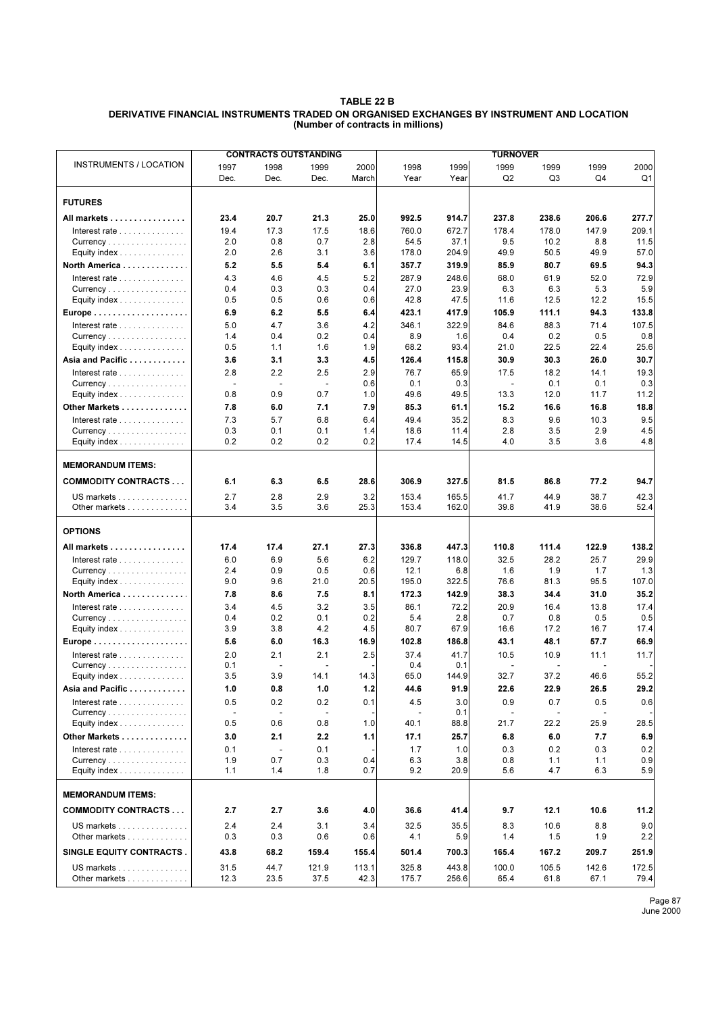#### **TABLE 22 B DERIVATIVE FINANCIAL INSTRUMENTS TRADED ON ORGANISED EXCHANGES BY INSTRUMENT AND LOCATION (Number of contracts in millions)**

|                                             | <b>CONTRACTS OUTSTANDING</b> |                          |                                 |            | <b>TURNOVER</b> |             |                |                |             |             |  |
|---------------------------------------------|------------------------------|--------------------------|---------------------------------|------------|-----------------|-------------|----------------|----------------|-------------|-------------|--|
| <b>INSTRUMENTS / LOCATION</b>               | 1997                         | 1998                     | 1999                            | 2000       | 1998            | 1999        | 1999           | 1999           | 1999        | 2000        |  |
|                                             | Dec.                         | Dec.                     | Dec.                            | March      | Year            | Year        | Q <sub>2</sub> | Q3             | Q4          | Q1          |  |
|                                             |                              |                          |                                 |            |                 |             |                |                |             |             |  |
| <b>FUTURES</b>                              |                              |                          |                                 |            |                 |             |                |                |             |             |  |
| All markets                                 | 23.4                         | 20.7                     | 21.3                            | 25.0       | 992.5           | 914.7       | 237.8          | 238.6          | 206.6       | 277.7       |  |
| Interest rate $\ldots \ldots \ldots \ldots$ | 19.4                         | 17.3                     | 17.5                            | 18.6       | 760.0           | 672.7       | 178.4          | 178.0          | 147.9       | 209.1       |  |
|                                             | 2.0                          | 0.8                      | 0.7                             | 2.8        | 54.5            | 37.1        | 9.5            | 10.2           | 8.8         | 11.5        |  |
| Equity index $\ldots \ldots \ldots \ldots$  | 2.0                          | 2.6                      | 3.1                             | 3.6        | 178.0           | 204.9       | 49.9           | 50.5           | 49.9        | 57.0        |  |
| North America                               | 5.2                          | 5.5                      | 5.4                             | 6.1        | 357.7           | 319.9       | 85.9           | 80.7           | 69.5        | 94.3        |  |
| Interest rate $\ldots \ldots \ldots \ldots$ | 4.3                          | 4.6                      | 4.5                             | 5.2        | 287.9           | 248.6       | 68.0           | 61.9           | 52.0        | 72.9        |  |
| Currency                                    | 0.4                          | 0.3                      | 0.3                             | 0.4        | 27.0            | 23.9        | 6.3            | 6.3            | 5.3         | 5.9         |  |
| Equity index                                | 0.5                          | 0.5                      | 0.6                             | 0.6        | 42.8            | 47.5        | 11.6           | 12.5           | 12.2        | 15.5        |  |
| Europe                                      | 6.9                          | 6.2                      | 5.5                             | 6.4        | 423.1           | 417.9       | 105.9          | 111.1          | 94.3        | 133.8       |  |
| Interest rate                               | 5.0                          | 4.7                      | 3.6                             | 4.2        | 346.1           | 322.9       | 84.6           | 88.3           | 71.4        | 107.5       |  |
|                                             | 1.4                          | 0.4                      | 0.2                             | 0.4        | 8.9             | 1.6         | 0.4            | 0.2            | 0.5         | 0.8         |  |
| Equity index                                | 0.5                          | 1.1                      | 1.6                             | 1.9        | 68.2            | 93.4        | 21.0           | 22.5           | 22.4        | 25.6        |  |
| Asia and Pacific                            | 3.6                          | 3.1                      | 3.3                             | 4.5        | 126.4           | 115.8       | 30.9           | 30.3           | 26.0        | 30.7        |  |
| Interest rate $\ldots \ldots \ldots \ldots$ | 2.8<br>$\blacksquare$        | 2.2                      | 2.5<br>$\overline{\phantom{a}}$ | 2.9<br>0.6 | 76.7<br>0.1     | 65.9<br>0.3 | 17.5<br>٠      | 18.2<br>0.1    | 14.1<br>0.1 | 19.3<br>0.3 |  |
| Equity index                                | 0.8                          | 0.9                      | 0.7                             | 1.0        | 49.6            | 49.5        | 13.3           | 12.0           | 11.7        | 11.2        |  |
| Other Markets                               | 7.8                          | 6.0                      | 7.1                             | 7.9        | 85.3            | 61.1        | 15.2           | 16.6           | 16.8        | 18.8        |  |
| Interest rate                               | 7.3                          | 5.7                      | 6.8                             | 6.4        | 49.4            | 35.2        | 8.3            | 9.6            | 10.3        | 9.5         |  |
| Currency                                    | 0.3                          | 0.1                      | 0.1                             | 1.4        | 18.6            | 11.4        | 2.8            | 3.5            | 2.9         | 4.5         |  |
| Equity index                                | 0.2                          | 0.2                      | 0.2                             | 0.2        | 17.4            | 14.5        | 4.0            | 3.5            | 3.6         | 4.8         |  |
|                                             |                              |                          |                                 |            |                 |             |                |                |             |             |  |
| <b>MEMORANDUM ITEMS:</b>                    |                              |                          |                                 |            |                 |             |                |                |             |             |  |
| <b>COMMODITY CONTRACTS</b>                  | 6.1                          | 6.3                      | 6.5                             | 28.6       | 306.9           | 327.5       | 81.5           | 86.8           | 77.2        | 94.7        |  |
| US markets                                  | 2.7                          | 2.8                      | 2.9                             | 3.2        | 153.4           | 165.5       | 41.7           | 44.9           | 38.7        | 42.3        |  |
| Other markets                               | 3.4                          | 3.5                      | 3.6                             | 25.3       | 153.4           | 162.0       | 39.8           | 41.9           | 38.6        | 52.4        |  |
| <b>OPTIONS</b>                              |                              |                          |                                 |            |                 |             |                |                |             |             |  |
| All markets                                 | 17.4                         | 17.4                     | 27.1                            | 27.3       | 336.8           | 447.3       | 110.8          | 111.4          | 122.9       | 138.2       |  |
| Interest rate $\ldots \ldots \ldots \ldots$ | 6.0                          | 6.9                      | 5.6                             | 6.2        | 129.7           | 118.0       | 32.5           | 28.2           | 25.7        | 29.9        |  |
| Currency                                    | 2.4                          | 0.9                      | 0.5                             | 0.6        | 12.1            | 6.8         | 1.6            | 1.9            | 1.7         | 1.3         |  |
| Equity index                                | 9.0                          | 9.6                      | 21.0                            | 20.5       | 195.0           | 322.5       | 76.6           | 81.3           | 95.5        | 107.0       |  |
| North America                               | 7.8                          | 8.6                      | 7.5                             | 8.1        | 172.3           | 142.9       | 38.3           | 34.4           | 31.0        | 35.2        |  |
| Interest rate $\ldots \ldots \ldots \ldots$ | 3.4                          | 4.5                      | 3.2                             | 3.5        | 86.1            | 72.2        | 20.9           | 16.4           | 13.8        | 17.4        |  |
|                                             | 0.4                          | 0.2                      | 0.1                             | 0.2        | 5.4             | 2.8         | 0.7            | 0.8            | 0.5         | 0.5         |  |
| Equity index                                | 3.9                          | 3.8                      | 4.2                             | 4.5        | 80.7            | 67.9        | 16.6           | 17.2           | 16.7        | 17.4        |  |
| Europe                                      | 5.6                          | 6.0                      | 16.3                            | 16.9       | 102.8           | 186.8       | 43.1           | 48.1           | 57.7        | 66.9        |  |
| Interest rate                               | 2.0                          | 2.1                      | 2.1                             | 2.5        | 37.4            | 41.7        | 10.5           | 10.9           | 11.1        | 11.7        |  |
|                                             | 0.1                          | ÷.                       | $\overline{\phantom{a}}$        |            | 0.4             | 0.1         | ÷              | $\overline{a}$ |             |             |  |
| Equity index                                | 3.5                          | 3.9                      | 14.1                            | 14.3       | 65.0            | 144.9       | 32.7           | 37.2           | 46.6        | 55.2        |  |
| Asia and Pacific                            | 1.0                          | 0.8                      | 1.0                             | 1.2        | 44.6            | 91.9        | 22.6           | 22.9           | 26.5        | 29.2        |  |
| Interest rate                               | 0.5                          | 0.2                      | 0.2                             | 0.1        | 4.5             | 3.0         | 0.9            | 0.7            | 0.5         | 0.6         |  |
| Currency                                    | $\overline{\phantom{a}}$     |                          |                                 |            | $\blacksquare$  | 0.1         |                |                |             |             |  |
| Equity index                                | 0.5                          | 0.6                      | 0.8                             | 1.0        | 40.1            | 88.8        | 21.7           | 22.2           | 25.9        | 28.5        |  |
| Other Markets                               | 3.0                          | 2.1                      | 2.2                             | 1.1        | 17.1            | 25.7        | 6.8            | 6.0            | 7.7         | 6.9         |  |
| Interest rate                               | 0.1                          | $\overline{\phantom{a}}$ | 0.1                             |            | 1.7             | 1.0         | 0.3            | 0.2            | 0.3         | 0.2         |  |
| Equity index                                | 1.9<br>1.1                   | 0.7<br>1.4               | 0.3<br>1.8                      | 0.4<br>0.7 | 6.3<br>9.2      | 3.8<br>20.9 | 0.8<br>5.6     | 1.1<br>4.7     | 1.1<br>6.3  | 0.9<br>5.9  |  |
|                                             |                              |                          |                                 |            |                 |             |                |                |             |             |  |
| <b>MEMORANDUM ITEMS:</b>                    |                              |                          |                                 |            |                 |             |                |                |             |             |  |
| <b>COMMODITY CONTRACTS</b>                  | 2.7                          | 2.7                      | 3.6                             | 4.0        | 36.6            | 41.4        | 9.7            | 12.1           | 10.6        | 11.2        |  |
| US markets                                  | 2.4                          | 2.4                      | 3.1                             | 3.4        | 32.5            | 35.5        | 8.3            | 10.6           | 8.8         | 9.0         |  |
| Other markets                               | 0.3                          | 0.3                      | 0.6                             | 0.6        | 4.1             | 5.9         | 1.4            | 1.5            | 1.9         | 2.2         |  |
| SINGLE EQUITY CONTRACTS.                    | 43.8                         | 68.2                     | 159.4                           | 155.4      | 501.4           | 700.3       | 165.4          | 167.2          | 209.7       | 251.9       |  |
| US markets                                  | 31.5                         | 44.7                     | 121.9                           | 113.1      | 325.8           | 443.8       | 100.0          | 105.5          | 142.6       | 172.5       |  |
| Other markets                               | 12.3                         | 23.5                     | 37.5                            | 42.3       | 175.7           | 256.6       | 65.4           | 61.8           | 67.1        | 79.4        |  |

Page 87 June 2000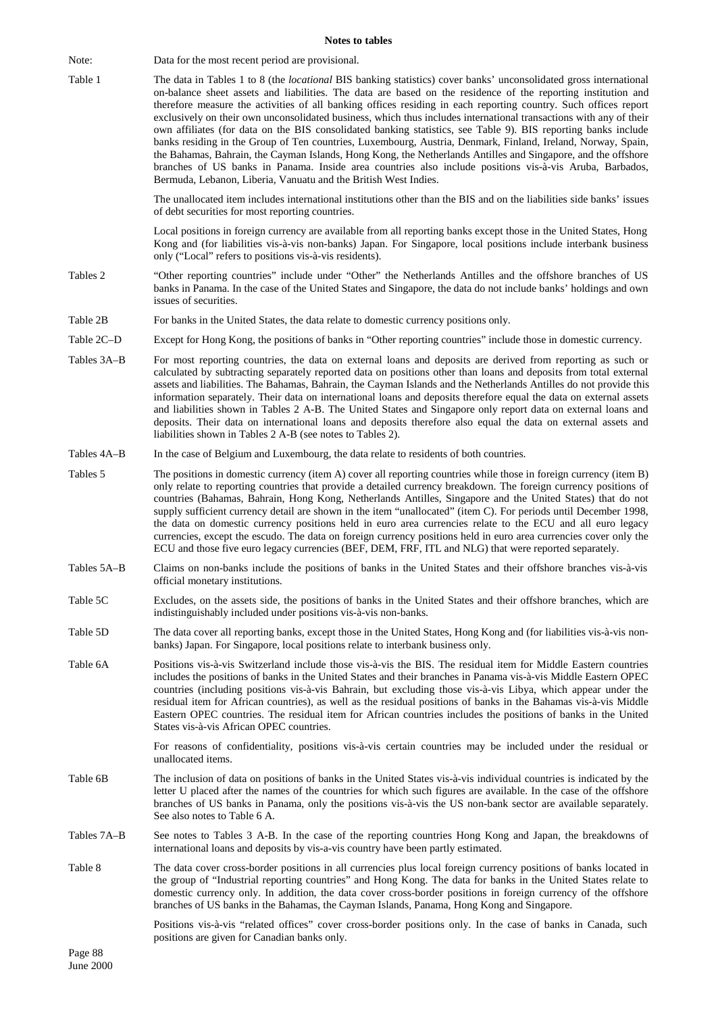#### **Notes to tables**

Note: Data for the most recent period are provisional. Table 1 The data in Tables 1 to 8 (the *locational* BIS banking statistics) cover banks' unconsolidated gross international on-balance sheet assets and liabilities. The data are based on the residence of the reporting institution and therefore measure the activities of all banking offices residing in each reporting country. Such offices report exclusively on their own unconsolidated business, which thus includes international transactions with any of their own affiliates (for data on the BIS consolidated banking statistics, see Table 9). BIS reporting banks include banks residing in the Group of Ten countries, Luxembourg, Austria, Denmark, Finland, Ireland, Norway, Spain, the Bahamas, Bahrain, the Cayman Islands, Hong Kong, the Netherlands Antilles and Singapore, and the offshore branches of US banks in Panama. Inside area countries also include positions vis-à-vis Aruba, Barbados, Bermuda, Lebanon, Liberia, Vanuatu and the British West Indies.

> The unallocated item includes international institutions other than the BIS and on the liabilities side banks' issues of debt securities for most reporting countries.

> Local positions in foreign currency are available from all reporting banks except those in the United States, Hong Kong and (for liabilities vis-à-vis non-banks) Japan. For Singapore, local positions include interbank business only ("Local" refers to positions vis-à-vis residents).

- Tables 2 "Other reporting countries" include under "Other" the Netherlands Antilles and the offshore branches of US banks in Panama. In the case of the United States and Singapore, the data do not include banks' holdings and own issues of securities.
- Table 2B For banks in the United States, the data relate to domestic currency positions only.
- Table 2C–D Except for Hong Kong, the positions of banks in "Other reporting countries" include those in domestic currency.
- Tables 3A–B For most reporting countries, the data on external loans and deposits are derived from reporting as such or calculated by subtracting separately reported data on positions other than loans and deposits from total external assets and liabilities. The Bahamas, Bahrain, the Cayman Islands and the Netherlands Antilles do not provide this information separately. Their data on international loans and deposits therefore equal the data on external assets and liabilities shown in Tables 2 A-B. The United States and Singapore only report data on external loans and deposits. Their data on international loans and deposits therefore also equal the data on external assets and liabilities shown in Tables 2 A-B (see notes to Tables 2).
- Tables 4A–B In the case of Belgium and Luxembourg, the data relate to residents of both countries.
- Tables 5 The positions in domestic currency (item A) cover all reporting countries while those in foreign currency (item B) only relate to reporting countries that provide a detailed currency breakdown. The foreign currency positions of countries (Bahamas, Bahrain, Hong Kong, Netherlands Antilles, Singapore and the United States) that do not supply sufficient currency detail are shown in the item "unallocated" (item C). For periods until December 1998, the data on domestic currency positions held in euro area currencies relate to the ECU and all euro legacy currencies, except the escudo. The data on foreign currency positions held in euro area currencies cover only the ECU and those five euro legacy currencies (BEF, DEM, FRF, ITL and NLG) that were reported separately.
- Tables 5A–B Claims on non-banks include the positions of banks in the United States and their offshore branches vis-à-vis official monetary institutions.
- Table 5C Excludes, on the assets side, the positions of banks in the United States and their offshore branches, which are indistinguishably included under positions vis-à-vis non-banks.
- Table 5D The data cover all reporting banks, except those in the United States, Hong Kong and (for liabilities vis-à-vis nonbanks) Japan. For Singapore, local positions relate to interbank business only.
- Table 6A Positions vis-à-vis Switzerland include those vis-à-vis the BIS. The residual item for Middle Eastern countries includes the positions of banks in the United States and their branches in Panama vis-à-vis Middle Eastern OPEC countries (including positions vis-à-vis Bahrain, but excluding those vis-à-vis Libya, which appear under the residual item for African countries), as well as the residual positions of banks in the Bahamas vis-à-vis Middle Eastern OPEC countries. The residual item for African countries includes the positions of banks in the United States vis-à-vis African OPEC countries.

For reasons of confidentiality, positions vis-à-vis certain countries may be included under the residual or unallocated items.

- Table 6B The inclusion of data on positions of banks in the United States vis-à-vis individual countries is indicated by the letter U placed after the names of the countries for which such figures are available. In the case of the offshore branches of US banks in Panama, only the positions vis-à-vis the US non-bank sector are available separately. See also notes to Table 6 A.
- Tables 7A–B See notes to Tables 3 A-B. In the case of the reporting countries Hong Kong and Japan, the breakdowns of international loans and deposits by vis-a-vis country have been partly estimated.
- Table 8 The data cover cross-border positions in all currencies plus local foreign currency positions of banks located in the group of "Industrial reporting countries" and Hong Kong. The data for banks in the United States relate to domestic currency only. In addition, the data cover cross-border positions in foreign currency of the offshore branches of US banks in the Bahamas, the Cayman Islands, Panama, Hong Kong and Singapore.

Positions vis-à-vis "related offices" cover cross-border positions only. In the case of banks in Canada, such positions are given for Canadian banks only.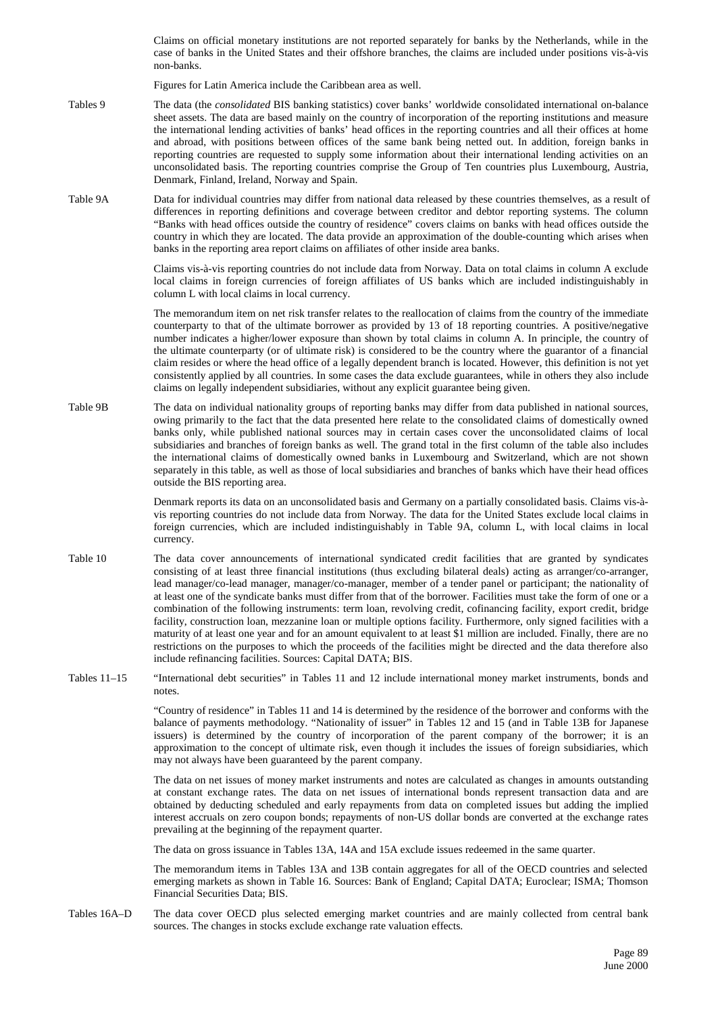Claims on official monetary institutions are not reported separately for banks by the Netherlands, while in the case of banks in the United States and their offshore branches, the claims are included under positions vis-à-vis non-banks.

Figures for Latin America include the Caribbean area as well.

- Tables 9 The data (the *consolidated* BIS banking statistics) cover banks' worldwide consolidated international on-balance sheet assets. The data are based mainly on the country of incorporation of the reporting institutions and measure the international lending activities of banks' head offices in the reporting countries and all their offices at home and abroad, with positions between offices of the same bank being netted out. In addition, foreign banks in reporting countries are requested to supply some information about their international lending activities on an unconsolidated basis. The reporting countries comprise the Group of Ten countries plus Luxembourg, Austria, Denmark, Finland, Ireland, Norway and Spain.
- Table 9A Data for individual countries may differ from national data released by these countries themselves, as a result of differences in reporting definitions and coverage between creditor and debtor reporting systems. The column "Banks with head offices outside the country of residence" covers claims on banks with head offices outside the country in which they are located. The data provide an approximation of the double-counting which arises when banks in the reporting area report claims on affiliates of other inside area banks.

Claims vis-à-vis reporting countries do not include data from Norway. Data on total claims in column A exclude local claims in foreign currencies of foreign affiliates of US banks which are included indistinguishably in column L with local claims in local currency.

The memorandum item on net risk transfer relates to the reallocation of claims from the country of the immediate counterparty to that of the ultimate borrower as provided by 13 of 18 reporting countries. A positive/negative number indicates a higher/lower exposure than shown by total claims in column A. In principle, the country of the ultimate counterparty (or of ultimate risk) is considered to be the country where the guarantor of a financial claim resides or where the head office of a legally dependent branch is located. However, this definition is not yet consistently applied by all countries. In some cases the data exclude guarantees, while in others they also include claims on legally independent subsidiaries, without any explicit guarantee being given.

Table 9B The data on individual nationality groups of reporting banks may differ from data published in national sources, owing primarily to the fact that the data presented here relate to the consolidated claims of domestically owned banks only, while published national sources may in certain cases cover the unconsolidated claims of local subsidiaries and branches of foreign banks as well. The grand total in the first column of the table also includes the international claims of domestically owned banks in Luxembourg and Switzerland, which are not shown separately in this table, as well as those of local subsidiaries and branches of banks which have their head offices outside the BIS reporting area.

> Denmark reports its data on an unconsolidated basis and Germany on a partially consolidated basis. Claims vis-àvis reporting countries do not include data from Norway. The data for the United States exclude local claims in foreign currencies, which are included indistinguishably in Table 9A, column L, with local claims in local currency.

- Table 10 The data cover announcements of international syndicated credit facilities that are granted by syndicates consisting of at least three financial institutions (thus excluding bilateral deals) acting as arranger/co-arranger, lead manager/co-lead manager, manager/co-manager, member of a tender panel or participant; the nationality of at least one of the syndicate banks must differ from that of the borrower. Facilities must take the form of one or a combination of the following instruments: term loan, revolving credit, cofinancing facility, export credit, bridge facility, construction loan, mezzanine loan or multiple options facility. Furthermore, only signed facilities with a maturity of at least one year and for an amount equivalent to at least \$1 million are included. Finally, there are no restrictions on the purposes to which the proceeds of the facilities might be directed and the data therefore also include refinancing facilities. Sources: Capital DATA; BIS.
- Tables 11–15 "International debt securities" in Tables 11 and 12 include international money market instruments, bonds and notes.

"Country of residence" in Tables 11 and 14 is determined by the residence of the borrower and conforms with the balance of payments methodology. "Nationality of issuer" in Tables 12 and 15 (and in Table 13B for Japanese issuers) is determined by the country of incorporation of the parent company of the borrower; it is an approximation to the concept of ultimate risk, even though it includes the issues of foreign subsidiaries, which may not always have been guaranteed by the parent company.

The data on net issues of money market instruments and notes are calculated as changes in amounts outstanding at constant exchange rates. The data on net issues of international bonds represent transaction data and are obtained by deducting scheduled and early repayments from data on completed issues but adding the implied interest accruals on zero coupon bonds; repayments of non-US dollar bonds are converted at the exchange rates prevailing at the beginning of the repayment quarter.

The data on gross issuance in Tables 13A, 14A and 15A exclude issues redeemed in the same quarter.

The memorandum items in Tables 13A and 13B contain aggregates for all of the OECD countries and selected emerging markets as shown in Table 16. Sources: Bank of England; Capital DATA; Euroclear; ISMA; Thomson Financial Securities Data; BIS.

Tables 16A–D The data cover OECD plus selected emerging market countries and are mainly collected from central bank sources. The changes in stocks exclude exchange rate valuation effects.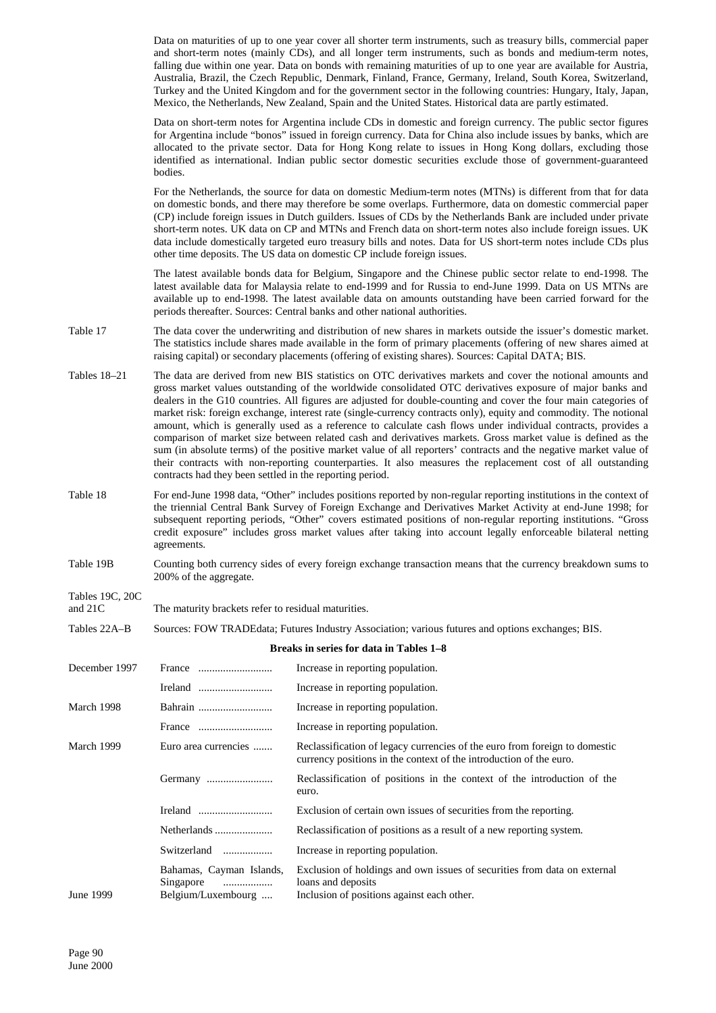Data on maturities of up to one year cover all shorter term instruments, such as treasury bills, commercial paper and short-term notes (mainly CDs), and all longer term instruments, such as bonds and medium-term notes, falling due within one year. Data on bonds with remaining maturities of up to one year are available for Austria, Australia, Brazil, the Czech Republic, Denmark, Finland, France, Germany, Ireland, South Korea, Switzerland, Turkey and the United Kingdom and for the government sector in the following countries: Hungary, Italy, Japan, Mexico, the Netherlands, New Zealand, Spain and the United States. Historical data are partly estimated.

Data on short-term notes for Argentina include CDs in domestic and foreign currency. The public sector figures for Argentina include "bonos" issued in foreign currency. Data for China also include issues by banks, which are allocated to the private sector. Data for Hong Kong relate to issues in Hong Kong dollars, excluding those identified as international. Indian public sector domestic securities exclude those of government-guaranteed bodies.

For the Netherlands, the source for data on domestic Medium-term notes (MTNs) is different from that for data on domestic bonds, and there may therefore be some overlaps. Furthermore, data on domestic commercial paper (CP) include foreign issues in Dutch guilders. Issues of CDs by the Netherlands Bank are included under private short-term notes. UK data on CP and MTNs and French data on short-term notes also include foreign issues. UK data include domestically targeted euro treasury bills and notes. Data for US short-term notes include CDs plus other time deposits. The US data on domestic CP include foreign issues.

The latest available bonds data for Belgium, Singapore and the Chinese public sector relate to end-1998. The latest available data for Malaysia relate to end-1999 and for Russia to end-June 1999. Data on US MTNs are available up to end-1998. The latest available data on amounts outstanding have been carried forward for the periods thereafter. Sources: Central banks and other national authorities.

- Table 17 The data cover the underwriting and distribution of new shares in markets outside the issuer's domestic market. The statistics include shares made available in the form of primary placements (offering of new shares aimed at raising capital) or secondary placements (offering of existing shares). Sources: Capital DATA; BIS.
- Tables 18–21 The data are derived from new BIS statistics on OTC derivatives markets and cover the notional amounts and gross market values outstanding of the worldwide consolidated OTC derivatives exposure of major banks and dealers in the G10 countries. All figures are adjusted for double-counting and cover the four main categories of market risk: foreign exchange, interest rate (single-currency contracts only), equity and commodity. The notional amount, which is generally used as a reference to calculate cash flows under individual contracts, provides a comparison of market size between related cash and derivatives markets. Gross market value is defined as the sum (in absolute terms) of the positive market value of all reporters' contracts and the negative market value of their contracts with non-reporting counterparties. It also measures the replacement cost of all outstanding contracts had they been settled in the reporting period.
- Table 18 For end-June 1998 data, "Other" includes positions reported by non-regular reporting institutions in the context of the triennial Central Bank Survey of Foreign Exchange and Derivatives Market Activity at end-June 1998; for subsequent reporting periods, "Other" covers estimated positions of non-regular reporting institutions. "Gross credit exposure" includes gross market values after taking into account legally enforceable bilateral netting agreements.
- Table 19B Counting both currency sides of every foreign exchange transaction means that the currency breakdown sums to 200% of the aggregate.

# Tables 19C, 20C

and 21C The maturity brackets refer to residual maturities.

Tables 22A–B Sources: FOW TRADEdata; Futures Industry Association; various futures and options exchanges; BIS.

#### **Breaks in series for data in Tables 1–8**

| December 1997 |                                                                  | Increase in reporting population.                                                                                                                |
|---------------|------------------------------------------------------------------|--------------------------------------------------------------------------------------------------------------------------------------------------|
|               |                                                                  | Increase in reporting population.                                                                                                                |
| March 1998    | Bahrain                                                          | Increase in reporting population.                                                                                                                |
|               |                                                                  | Increase in reporting population.                                                                                                                |
| March 1999    | Euro area currencies                                             | Reclassification of legacy currencies of the euro from foreign to domestic<br>currency positions in the context of the introduction of the euro. |
|               |                                                                  | Reclassification of positions in the context of the introduction of the<br>euro.                                                                 |
|               |                                                                  | Exclusion of certain own issues of securities from the reporting.                                                                                |
|               | Netherlands                                                      | Reclassification of positions as a result of a new reporting system.                                                                             |
|               | Switzerland                                                      | Increase in reporting population.                                                                                                                |
| June 1999     | Bahamas, Cayman Islands,<br>Singapore<br>.<br>Belgium/Luxembourg | Exclusion of holdings and own issues of securities from data on external<br>loans and deposits<br>Inclusion of positions against each other.     |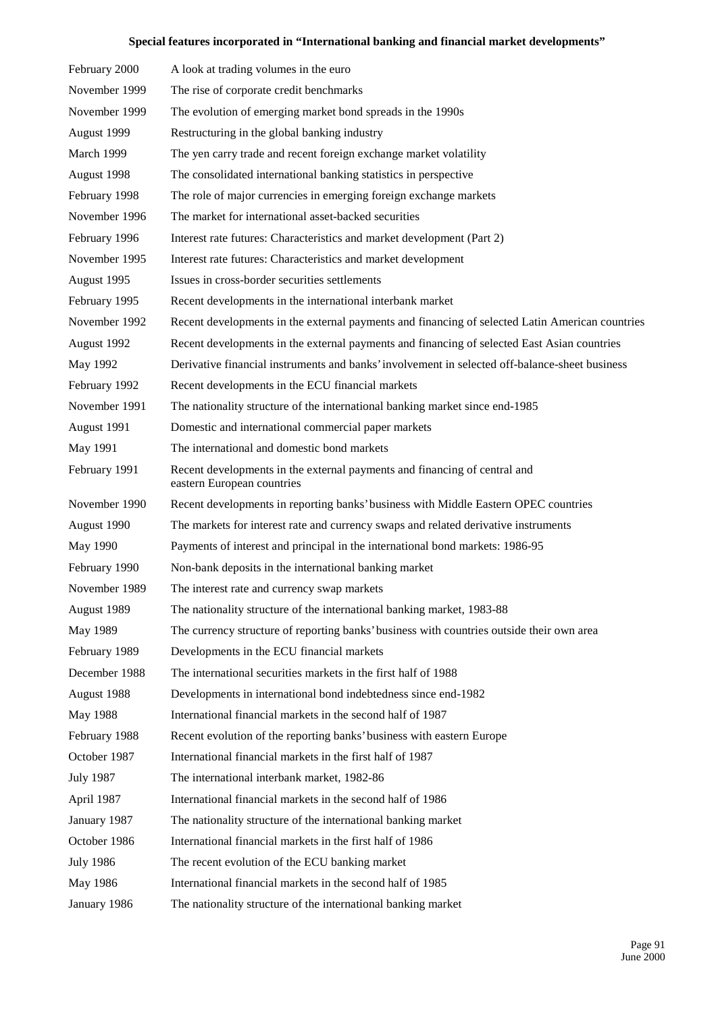# **Special features incorporated in "International banking and financial market developments"**

| February 2000    | A look at trading volumes in the euro                                                                   |  |
|------------------|---------------------------------------------------------------------------------------------------------|--|
| November 1999    | The rise of corporate credit benchmarks                                                                 |  |
| November 1999    | The evolution of emerging market bond spreads in the 1990s                                              |  |
| August 1999      | Restructuring in the global banking industry                                                            |  |
| March 1999       | The yen carry trade and recent foreign exchange market volatility                                       |  |
| August 1998      | The consolidated international banking statistics in perspective                                        |  |
| February 1998    | The role of major currencies in emerging foreign exchange markets                                       |  |
| November 1996    | The market for international asset-backed securities                                                    |  |
| February 1996    | Interest rate futures: Characteristics and market development (Part 2)                                  |  |
| November 1995    | Interest rate futures: Characteristics and market development                                           |  |
| August 1995      | Issues in cross-border securities settlements                                                           |  |
| February 1995    | Recent developments in the international interbank market                                               |  |
| November 1992    | Recent developments in the external payments and financing of selected Latin American countries         |  |
| August 1992      | Recent developments in the external payments and financing of selected East Asian countries             |  |
| May 1992         | Derivative financial instruments and banks' involvement in selected off-balance-sheet business          |  |
| February 1992    | Recent developments in the ECU financial markets                                                        |  |
| November 1991    | The nationality structure of the international banking market since end-1985                            |  |
| August 1991      | Domestic and international commercial paper markets                                                     |  |
| May 1991         | The international and domestic bond markets                                                             |  |
| February 1991    | Recent developments in the external payments and financing of central and<br>eastern European countries |  |
| November 1990    | Recent developments in reporting banks' business with Middle Eastern OPEC countries                     |  |
| August 1990      | The markets for interest rate and currency swaps and related derivative instruments                     |  |
| May 1990         | Payments of interest and principal in the international bond markets: 1986-95                           |  |
| February 1990    | Non-bank deposits in the international banking market                                                   |  |
| November 1989    | The interest rate and currency swap markets                                                             |  |
| August 1989      | The nationality structure of the international banking market, 1983-88                                  |  |
| May 1989         | The currency structure of reporting banks' business with countries outside their own area               |  |
| February 1989    |                                                                                                         |  |
|                  | Developments in the ECU financial markets                                                               |  |
| December 1988    | The international securities markets in the first half of 1988                                          |  |
| August 1988      | Developments in international bond indebtedness since end-1982                                          |  |
| May 1988         | International financial markets in the second half of 1987                                              |  |
| February 1988    | Recent evolution of the reporting banks' business with eastern Europe                                   |  |
| October 1987     | International financial markets in the first half of 1987                                               |  |
| <b>July 1987</b> | The international interbank market, 1982-86                                                             |  |
| April 1987       | International financial markets in the second half of 1986                                              |  |
| January 1987     | The nationality structure of the international banking market                                           |  |
| October 1986     | International financial markets in the first half of 1986                                               |  |
| <b>July 1986</b> | The recent evolution of the ECU banking market                                                          |  |
| May 1986         | International financial markets in the second half of 1985                                              |  |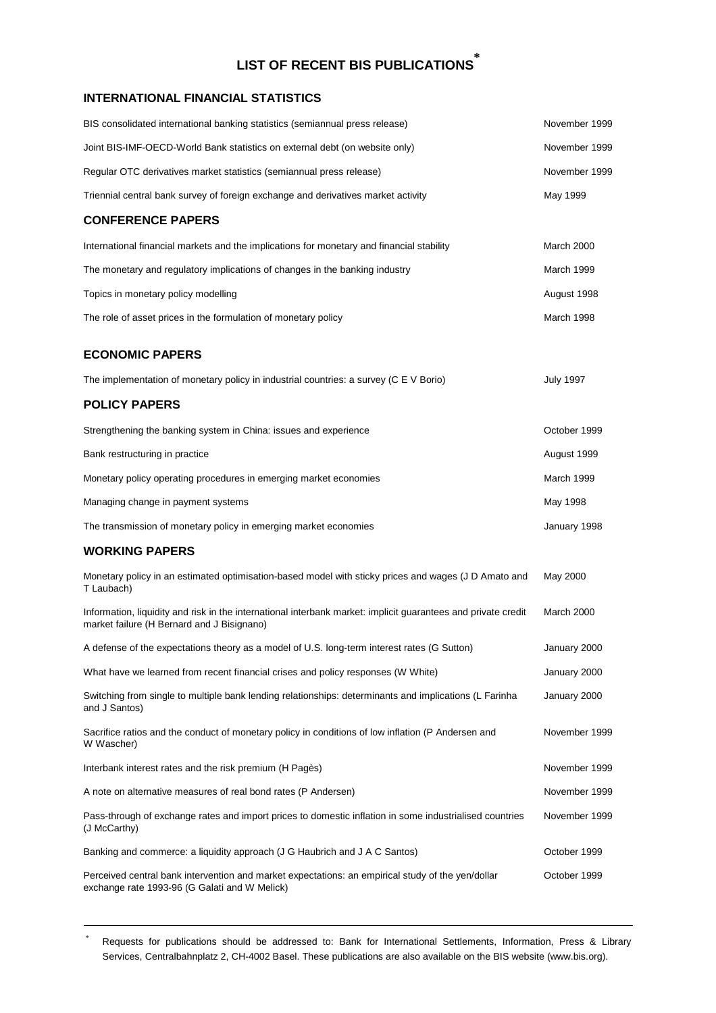# **LIST OF RECENT BIS PUBLICATIONS \***

# **INTERNATIONAL FINANCIAL STATISTICS**

| BIS consolidated international banking statistics (semiannual press release)                                                                                | November 1999    |
|-------------------------------------------------------------------------------------------------------------------------------------------------------------|------------------|
| Joint BIS-IMF-OECD-World Bank statistics on external debt (on website only)                                                                                 | November 1999    |
| Regular OTC derivatives market statistics (semiannual press release)                                                                                        | November 1999    |
| Triennial central bank survey of foreign exchange and derivatives market activity                                                                           | May 1999         |
| <b>CONFERENCE PAPERS</b>                                                                                                                                    |                  |
| International financial markets and the implications for monetary and financial stability                                                                   | March 2000       |
| The monetary and regulatory implications of changes in the banking industry                                                                                 | March 1999       |
| Topics in monetary policy modelling                                                                                                                         | August 1998      |
| The role of asset prices in the formulation of monetary policy                                                                                              | March 1998       |
| <b>ECONOMIC PAPERS</b>                                                                                                                                      |                  |
| The implementation of monetary policy in industrial countries: a survey (C E V Borio)                                                                       | <b>July 1997</b> |
| <b>POLICY PAPERS</b>                                                                                                                                        |                  |
| Strengthening the banking system in China: issues and experience                                                                                            | October 1999     |
| Bank restructuring in practice                                                                                                                              | August 1999      |
| Monetary policy operating procedures in emerging market economies                                                                                           | March 1999       |
| Managing change in payment systems                                                                                                                          | May 1998         |
| The transmission of monetary policy in emerging market economies                                                                                            | January 1998     |
| <b>WORKING PAPERS</b>                                                                                                                                       |                  |
| Monetary policy in an estimated optimisation-based model with sticky prices and wages (J D Amato and<br>T Laubach)                                          | May 2000         |
| Information, liquidity and risk in the international interbank market: implicit guarantees and private credit<br>market failure (H Bernard and J Bisignano) | March 2000       |
| A defense of the expectations theory as a model of U.S. long-term interest rates (G Sutton)                                                                 | January 2000     |
| What have we learned from recent financial crises and policy responses (W White)                                                                            | January 2000     |
| Switching from single to multiple bank lending relationships: determinants and implications (L Farinha<br>and J Santos)                                     | January 2000     |
| Sacrifice ratios and the conduct of monetary policy in conditions of low inflation (P Andersen and<br>W Wascher)                                            | November 1999    |
| Interbank interest rates and the risk premium (H Pagès)                                                                                                     | November 1999    |
| A note on alternative measures of real bond rates (P Andersen)                                                                                              | November 1999    |
| Pass-through of exchange rates and import prices to domestic inflation in some industrialised countries<br>(J McCarthy)                                     | November 1999    |
| Banking and commerce: a liquidity approach (J G Haubrich and J A C Santos)                                                                                  | October 1999     |
| Perceived central bank intervention and market expectations: an empirical study of the yen/dollar<br>exchange rate 1993-96 (G Galati and W Melick)          | October 1999     |

Requests for publications should be addressed to: Bank for International Settlements, Information, Press & Library Services, Centralbahnplatz 2, CH-4002 Basel. These publications are also available on the BIS website (www.bis.org).